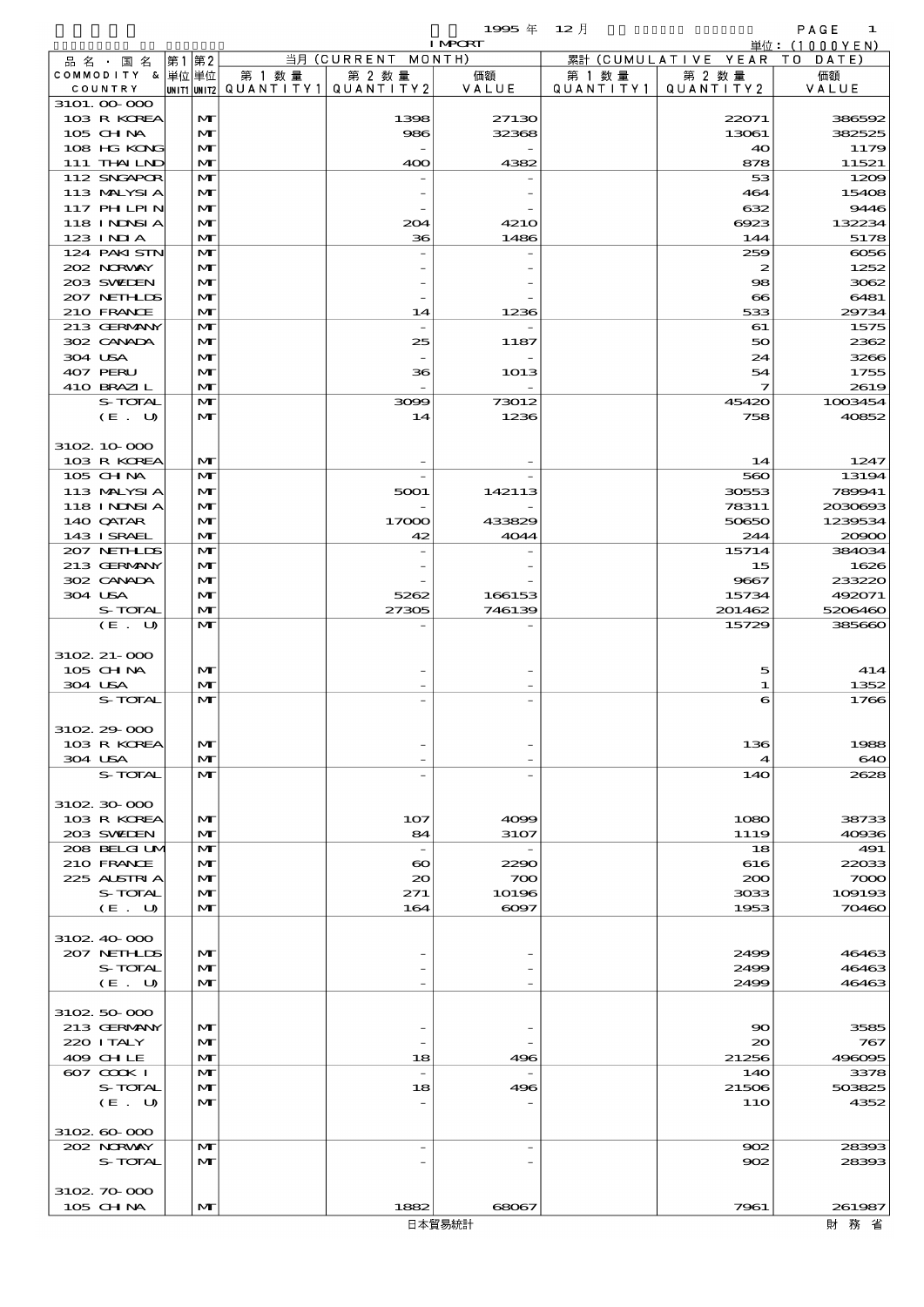$1995 \frac{1}{4}$   $12 \frac{1}{2}$ 

|                           |                              |                                                  |                          | <b>I MPORT</b>           |                     |                              | 単位: (1000 Y E N )  |
|---------------------------|------------------------------|--------------------------------------------------|--------------------------|--------------------------|---------------------|------------------------------|--------------------|
| 品名・国名                     | 第1第2                         |                                                  | 当月 (CURRENT MONTH)       |                          |                     | 累計 (CUMULATIVE YEAR TO DATE) |                    |
| COMMODITY & 単位単位          |                              | 第 1 数量<br> UNIT1 UNIT2  QUANT I TY1  QUANT I TY2 | 第 2 数量                   | 価額<br>VALUE              | 第 1 数量<br>QUANTITY1 | 第 2 数量<br>QUANTITY 2         | 価額                 |
| COUNTRY<br>3101.00.000    |                              |                                                  |                          |                          |                     |                              | VALUE              |
| 103 R KOREA               | M                            |                                                  | 1398                     | 27130                    |                     | 22071                        | 386592             |
| 105 CHNA                  | M                            |                                                  | 986                      | 32368                    |                     | 13061                        | 382525             |
| 108 HG KONG               | $\mathbf{M}$                 |                                                  |                          |                          |                     | 40                           | 1175               |
| 111 THAILND               | M                            |                                                  | 400                      | 4382                     |                     | 878                          | 11521              |
| 112 SNGAPOR               | $\mathbf{M}$                 |                                                  |                          |                          |                     | 53                           | 1200               |
| 113 MALYSIA<br>117 PHLPIN | $\mathbf{M}$<br>M            |                                                  |                          |                          |                     | 464<br>632                   | 1540<br>9446       |
| 118 INNSI A               | $\mathbf{M}$                 |                                                  | 204                      | <b>4210</b>              |                     | 6923                         | 132234             |
| 123 INIA                  | $\mathbf{M}$                 |                                                  | 36                       | 1486                     |                     | 144                          | 5178               |
| 124 PAKI STN              | $\mathbf{M}$                 |                                                  |                          |                          |                     | 259                          | $\cos$             |
| 202 NORWAY                | M                            |                                                  |                          |                          |                     | 2                            | 1252               |
| 203 SWIEN                 | M                            |                                                  |                          |                          |                     | $\infty$                     | 3062               |
| 207 NEIHLIS               | $\mathbf{M}$                 |                                                  |                          |                          |                     | $\infty$                     | 6481               |
| 210 FRANCE                | $\mathbf{M}$                 |                                                  | 14                       | 1236                     |                     | 533                          | 29734              |
| 213 GERMANY<br>302 CANADA | $\mathbf{M}$<br>$\mathbf{M}$ |                                                  | 25                       | 1187                     |                     | 61<br>50                     | 1575<br>2362       |
| 304 USA                   | M                            |                                                  |                          |                          |                     | 24                           | 3266               |
| 407 PERU                  | M                            |                                                  | 36                       | 1013                     |                     | 54                           | 1755               |
| 410 BRAZIL                | $\mathbf{M}$                 |                                                  |                          |                          |                     | 7                            | 2619               |
| S-TOTAL                   | $\mathbf{M}$                 |                                                  | 3099                     | 73012                    |                     | 45420                        | 1003454            |
| (E. U)                    | M                            |                                                  | 14                       | 1236                     |                     | 758                          | 40852              |
|                           |                              |                                                  |                          |                          |                     |                              |                    |
| 3102 10 000               |                              |                                                  |                          |                          |                     |                              |                    |
| 103 R KOREA<br>105 CH NA  | M<br>$\mathbf{M}$            |                                                  |                          |                          |                     | 14<br>560                    | 1247<br>13194      |
| 113 MALYSIA               | M                            |                                                  | 5001                     | 142113                   |                     | 30553                        | 789941             |
| 118 I NJNSI A             | M                            |                                                  |                          |                          |                     | 78311                        | 2030693            |
| 140 QATAR                 | M                            |                                                  | 17000                    | 433829                   |                     | 50650                        | 1239534            |
| 143 I SRAEL               | $\mathbf{M}$                 |                                                  | 42                       | 4044                     |                     | 244                          | 20000              |
| 207 NETHLIS               | $\mathbf{M}$                 |                                                  |                          |                          |                     | 15714                        | 384034             |
| 213 GERMANY               | M                            |                                                  |                          |                          |                     | 15                           | 1626               |
| 302 CANADA                | M                            |                                                  |                          |                          |                     | 9667                         | 233220             |
| 304 USA<br>S-TOTAL        | M<br>$\mathbf{M}$            |                                                  | 5262<br>27305            | 166153<br>746139         |                     | 15734                        | 492071             |
| (E. U)                    | $\mathbf{M}$                 |                                                  |                          |                          |                     | 201462<br>15729              | 5206460<br>385660  |
|                           |                              |                                                  |                          |                          |                     |                              |                    |
| $3102.21 - 000$           |                              |                                                  |                          |                          |                     |                              |                    |
| 105 CH NA                 | M                            |                                                  |                          |                          |                     | 5                            | 414                |
| 304 USA                   | $\mathbf{M}$                 |                                                  |                          |                          |                     | 1                            | 1352               |
| S-TOTAL                   | M                            |                                                  |                          |                          |                     | 6                            | 1766               |
|                           |                              |                                                  |                          |                          |                     |                              |                    |
| 3102 29 000               |                              |                                                  |                          |                          |                     | 136                          | 1988               |
| 103 R KOREA<br>304 USA    | M<br>M                       |                                                  |                          |                          |                     | ◢                            | 640                |
| S-TOTAL                   | $\mathbf{M}$                 |                                                  |                          |                          |                     | 14O                          | 2628               |
|                           |                              |                                                  |                          |                          |                     |                              |                    |
| 3102 30 000               |                              |                                                  |                          |                          |                     |                              |                    |
| 103 R KOREA               | M                            |                                                  | 107                      | 4099                     |                     | 1080                         | 38733              |
| 203 SWIEN                 | M                            |                                                  | 84                       | 3107                     |                     | 1119                         | 4000               |
| 208 BELGI UM              | $\mathbf{M}$                 |                                                  | $\overline{\phantom{a}}$ | $\overline{\phantom{a}}$ |                     | 18                           | 491                |
| 210 FRANCE<br>225 ALSTRIA | M                            |                                                  | $\boldsymbol{\infty}$    | 2290                     |                     | 616                          | 22033              |
| S-TOTAL                   | M<br>M                       |                                                  | $\infty$<br>271          | 700<br>10196             |                     | 200<br>3033                  | $\infty$<br>10919c |
| (E. U)                    | $\mathbf{M}$                 |                                                  | 164                      | 6097                     |                     | 1953                         | 70460              |
|                           |                              |                                                  |                          |                          |                     |                              |                    |
| 3102 40 000               |                              |                                                  |                          |                          |                     |                              |                    |
| 207 NETHLIS               | M                            |                                                  |                          |                          |                     | 2499                         | 46463              |
| S-TOTAL                   | M                            |                                                  |                          |                          |                     | 2499                         | 46463              |
| (E. U)                    | $\mathbf{M}$                 |                                                  |                          |                          |                     | 2499                         | 46463              |
|                           |                              |                                                  |                          |                          |                     |                              |                    |
| 3102 50 000               |                              |                                                  |                          |                          |                     |                              |                    |
| 213 GERMANY<br>220 I TALY | $\mathbf{M}$<br>M            |                                                  |                          |                          |                     | 90<br>$\infty$               | 3585<br>767        |
| 409 CHLE                  | M                            |                                                  | 18                       | 496                      |                     | 21256                        | 49609£             |
| 607 COOK I                | $\mathbf{M}$                 |                                                  | $\overline{a}$           |                          |                     | 14O                          | 3378               |
| S-TOTAL                   | M                            |                                                  | 18                       | 496                      |                     | 21506                        | 503825             |
| (E. U)                    | $\mathbf{M}$                 |                                                  |                          |                          |                     | 11O                          | 4352               |
|                           |                              |                                                  |                          |                          |                     |                              |                    |
| 3102, 60, 000             |                              |                                                  |                          |                          |                     |                              |                    |
| 202 NRWAY                 | M                            |                                                  | $\overline{\phantom{a}}$ |                          |                     | $\infty$                     | 28390              |
| S-TOTAL                   | M                            |                                                  |                          |                          |                     | 902                          | 28390              |

 $105 \text{ GHM}$   $|\text{M}|$  1882 68067 7961 7961 261987

3102.70-000

財務省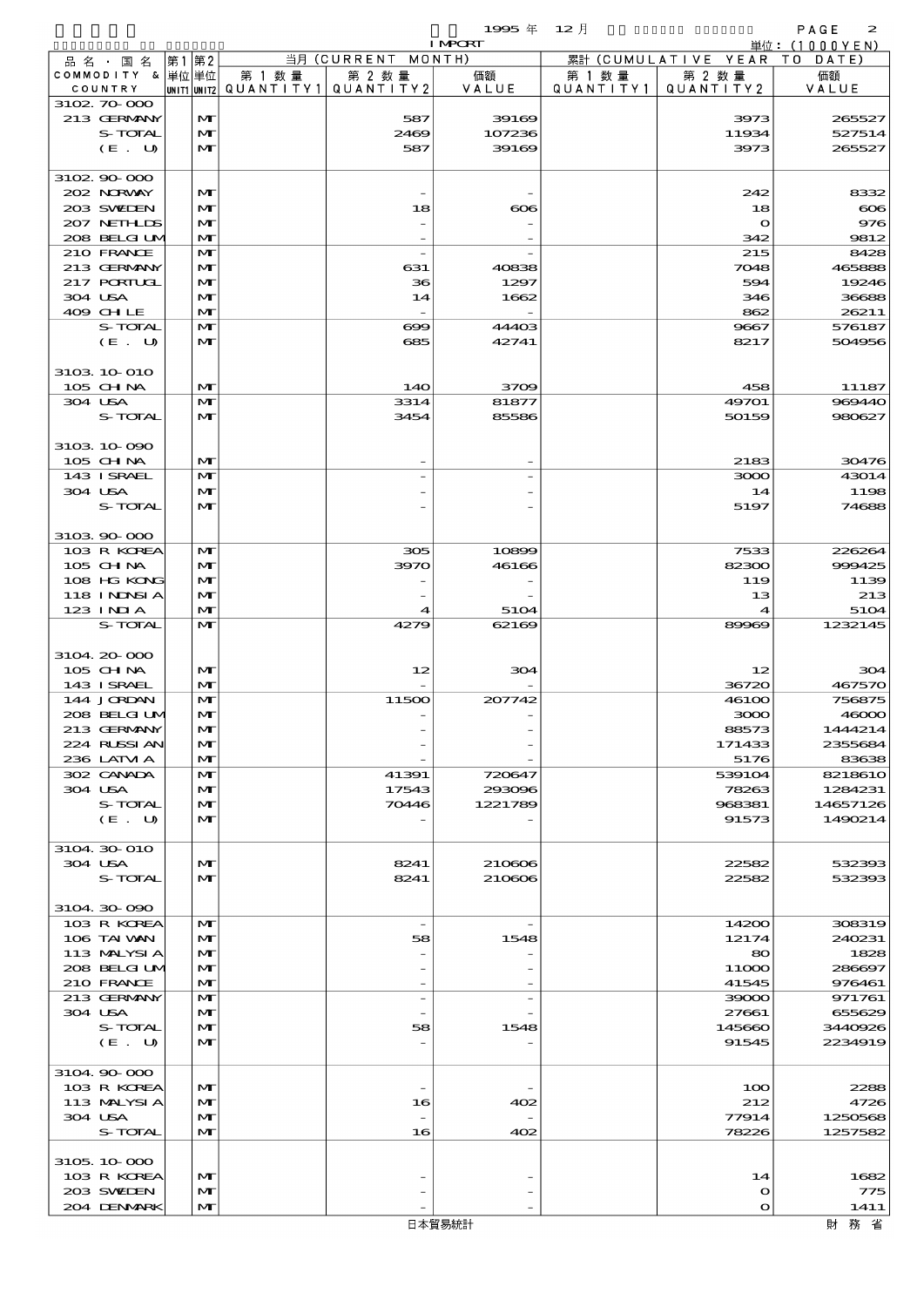$1995 \# 12$   $\frac{1}{2}$ 

|                             |                              |                                       |                          | <b>I MPORT</b> |           |                              | 単位: (1000YEN)      |
|-----------------------------|------------------------------|---------------------------------------|--------------------------|----------------|-----------|------------------------------|--------------------|
| 品 名 ・ 国 名                   | 第1第2                         |                                       | 当月 (CURRENT MONTH)       |                |           | 累計 (CUMULATIVE YEAR TO DATE) |                    |
| COMMODITY & 単位単位            |                              | 第 1 数量                                | 第 2 数量                   | 価額             | 第 1 数 量   | 第 2 数量                       | 価額                 |
| COUNTRY<br>3102 70 000      |                              | UNIT1 UNIT2  QUANT I TY1  QUANT I TY2 |                          | VALUE          | QUANTITY1 | QUANTITY 2                   | VALUE              |
| 213 GERMANY                 | M                            |                                       | 587                      | 39169          |           | 3973                         | 265527             |
| S-TOTAL                     | $\mathbf{M}$                 |                                       | 2469                     | 107236         |           | 11934                        | 527514             |
| (E. U)                      | $\mathbf{M}$                 |                                       | 587                      | 39169          |           | 3973                         | 265527             |
|                             |                              |                                       |                          |                |           |                              |                    |
| 3102 90 000                 |                              |                                       |                          |                |           |                              |                    |
| 202 NRWAY                   | $\mathbf{M}$                 |                                       |                          |                |           | 242                          | 8332               |
| 203 SWIEN<br>207 NETHLIS    | $\mathbf{M}$<br>$\mathbf{M}$ |                                       | 18                       | $\infty$       |           | 18                           | $\infty$<br>976    |
| 208 BELGI UM                | $\mathbf{M}$                 |                                       |                          |                |           | $\mathbf o$<br>342           | 9812               |
| 210 FRANCE                  | M                            |                                       |                          |                |           | 215                          | 8428               |
| 213 GERMANY                 | M                            |                                       | 631                      | 40838          |           | 7048                         | 465888             |
| 217 PORTUGL                 | $\mathbf{M}$                 |                                       | 36                       | 1297           |           | 594                          | 19246              |
| 304 USA                     | $\mathbf{M}$                 |                                       | 14                       | 1662           |           | 346                          | 36688              |
| 409 CHLE                    | $\mathbf{M}$                 |                                       |                          |                |           | 862                          | 26211              |
| S-TOTAL                     | $\mathbf{M}$<br>M            |                                       | $\infty$<br>685          | 44403<br>42741 |           | 9667                         | 576187             |
| (E. U)                      |                              |                                       |                          |                |           | 8217                         | 504956             |
| 3103 10 010                 |                              |                                       |                          |                |           |                              |                    |
| 105 CHNA                    | $\mathbf{M}$                 |                                       | 140                      | 3709           |           | 458                          | 11187              |
| 304 USA                     | $\mathbf{M}$                 |                                       | 3314                     | 81877          |           | 49701                        | 969440             |
| S-TOTAL                     | M                            |                                       | 3454                     | 85586          |           | 50159                        | 980627             |
|                             |                              |                                       |                          |                |           |                              |                    |
| 3103 10 090                 |                              |                                       |                          |                |           |                              |                    |
| 105 CHNA                    | $\mathbf{M}$                 |                                       |                          |                |           | 2183                         | 30476              |
| 143 ISRAEL<br>304 USA       | M<br>$\mathbf{M}$            |                                       |                          |                |           | 3000<br>14                   | 43014<br>1198      |
| S-TOTAL                     | $\mathbf{M}$                 |                                       |                          |                |           | 5197                         | 74688              |
|                             |                              |                                       |                          |                |           |                              |                    |
| 3103 90 000                 |                              |                                       |                          |                |           |                              |                    |
| 103 R KOREA                 | M                            |                                       | 305                      | 10899          |           | 7533                         | 226264             |
| 105 CHNA                    | $\mathbf{M}$                 |                                       | 3970                     | 46166          |           | 82300                        | 999425             |
| 108 HG KONG                 | $\mathbf{M}$                 |                                       |                          |                |           | 119                          | 1139               |
| 118 INNSI A<br>123 INIA     | $\mathbf{M}$<br>$\mathbf{M}$ |                                       |                          |                |           | 13<br>4                      | 213                |
| S-TOTAL                     | $\mathbf{M}$                 |                                       | 4<br>4279                | 5104<br>62169  |           | 89969                        | 5104<br>1232145    |
|                             |                              |                                       |                          |                |           |                              |                    |
| 3104 20 000                 |                              |                                       |                          |                |           |                              |                    |
| 105 CH NA                   | $\mathbf{M}$                 |                                       | 12                       | 304            |           | 12                           | 304                |
| 143 I SRAEL                 | $\mathbf{M}$                 |                                       |                          |                |           | 36720                        | 467570             |
| 144 JORDAN                  | $\mathbf{M}$                 |                                       | 11500                    | 207742         |           | 46100                        | 756875             |
| 208 BELGIUM                 | $\mathbf{M}$                 |                                       |                          |                |           | 3000                         | 46000              |
| 213 GERMANY<br>224 RUSSI AN | $\mathbf{M}$<br>$\mathbf{M}$ |                                       |                          |                |           | 88573<br>171433              | 1444214<br>2355684 |
| 236 LATM A                  | $\mathbf{M}$                 |                                       |                          |                |           | 5176                         | 83638              |
| 302 CANADA                  | $\mathbf{M}$                 |                                       | 41391                    | 720647         |           | 539104                       | 8218610            |
| 304 USA                     | $\mathbf{M}$                 |                                       | 17543                    | 293096         |           | 78263                        | 1284231            |
| S-TOTAL                     | $\mathbf{M}$                 |                                       | 70446                    | 1221789        |           | 968381                       | 14657126           |
| (E. U)                      | $\mathbf{M}$                 |                                       |                          |                |           | 91573                        | 1490214            |
|                             |                              |                                       |                          |                |           |                              |                    |
| 3104 30 010<br>304 USA      |                              |                                       |                          | 210606         |           |                              |                    |
| S-TOTAL                     | $\mathbf{M}$<br>$\mathbf{M}$ |                                       | 8241<br>8241             | 210606         |           | 22582<br>22582               | 532393<br>532393   |
|                             |                              |                                       |                          |                |           |                              |                    |
| 3104 30 090                 |                              |                                       |                          |                |           |                              |                    |
| 103 R KOREA                 | M                            |                                       | $\overline{\phantom{a}}$ |                |           | 14200                        | 308319             |
| 106 TAI VAN                 | $\mathbf{M}$                 |                                       | 58                       | 1548           |           | 12174                        | 240231             |
| 113 MALYSIA                 | $\mathbf{M}$                 |                                       |                          |                |           | 80                           | 1828               |
| 208 BELGI UM                | $\mathbf{M}$                 |                                       |                          |                |           | 11000                        | 286697             |
| 210 FRANCE<br>213 GERMANY   | $\mathbf{M}$<br>$\mathbf{M}$ |                                       |                          |                |           | 41545<br>39000               | 976461<br>971761   |
| 304 USA                     | $\mathbf{M}$                 |                                       |                          |                |           | 27661                        | 655629             |
| S-TOTAL                     | $\mathbf{M}$                 |                                       | 58                       | 1548           |           | 145660                       | 3440926            |
| (E. U)                      | $\mathbf{M}$                 |                                       |                          |                |           | 91545                        | 2234919            |
|                             |                              |                                       |                          |                |           |                              |                    |
| 3104 90 000                 |                              |                                       |                          |                |           |                              |                    |
| 103 R KOREA                 | $\mathbf{M}$                 |                                       |                          |                |           | 100                          | 2288               |
| 113 MALYSIA                 | $\mathbf{M}$                 |                                       | 16                       | 402            |           | 212                          | 4726               |
| 304 USA<br>S-TOTAL          | M<br>$\mathbf{M}$            |                                       | 16                       | 402            |           | 77914<br>78226               | 1250568<br>1257582 |
|                             |                              |                                       |                          |                |           |                              |                    |
| 3105 10 000                 |                              |                                       |                          |                |           |                              |                    |
| 103 R KOREA                 | $\mathbf{M}$                 |                                       |                          |                |           | 14                           | 1682               |
| 203 SWIDEN                  | M                            |                                       |                          |                |           | $\mathbf o$                  | 775                |
| 204 DENMARK                 | M                            |                                       |                          |                |           | $\mathbf o$                  | 1411               |
|                             |                              |                                       |                          | 日本貿易統計         |           |                              | 財務省                |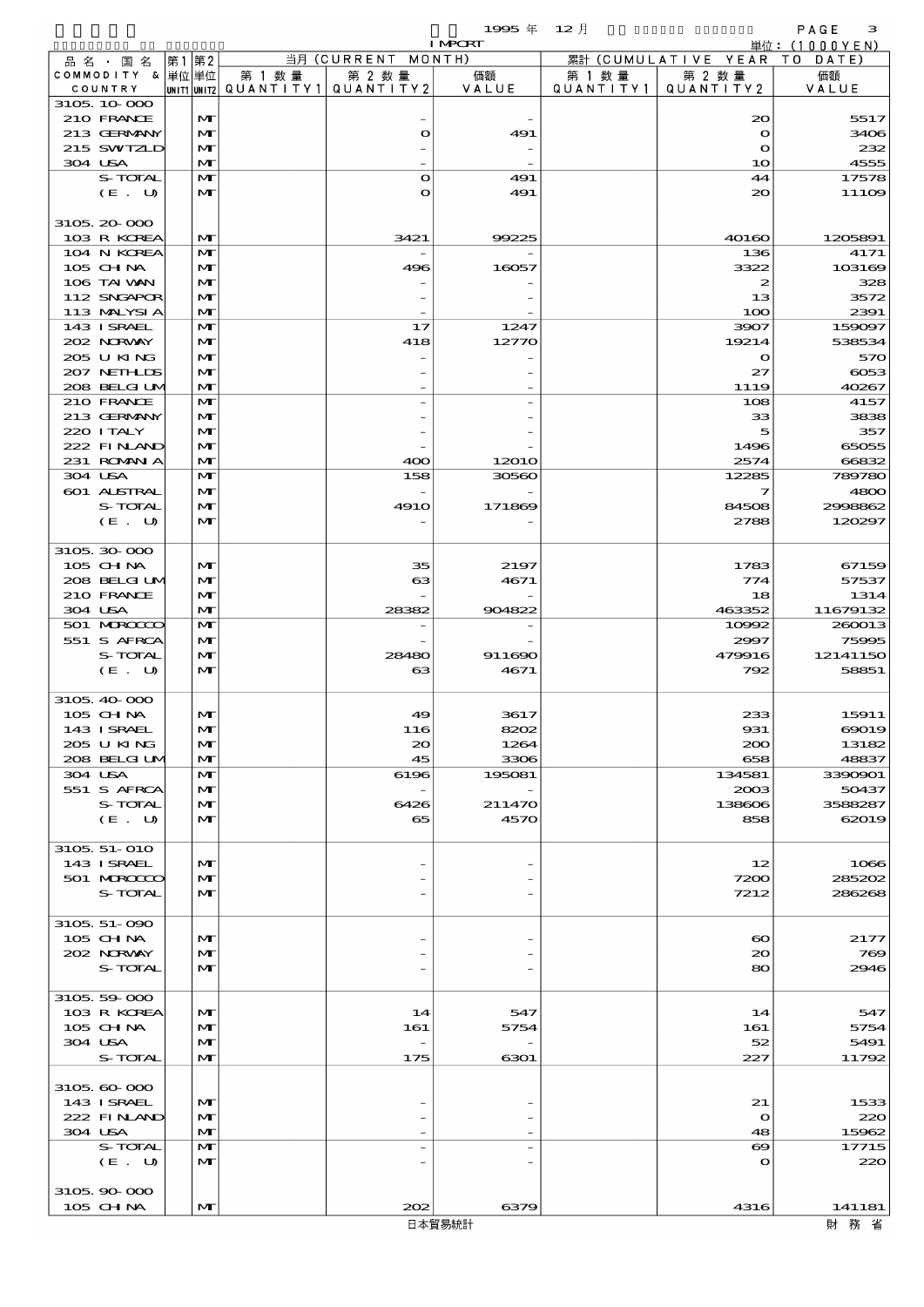$1995 \nless 12 \nless 12$ 

|              |                        |      |              |        |                                          | <b>I MPORT</b> |           |                              | 単位: (1000YEN)    |
|--------------|------------------------|------|--------------|--------|------------------------------------------|----------------|-----------|------------------------------|------------------|
|              | 品名・国名                  | 第1第2 |              |        | 当月 (CURRENT MONTH)                       |                |           | 累計 (CUMULATIVE YEAR TO DATE) |                  |
|              | COMMODITY & 単位単位       |      |              | 第 1 数量 | 第 2 数量                                   | 価額             | 第 1 数 量   | 第 2 数量                       | 価額               |
| COUNTRY      |                        |      |              |        | UNIT1 UNIT2  QUANT I TY 1   QUANT I TY 2 | VALUE          | QUANTITY1 | QUANTITY2                    | VALUE            |
| 3105 10 000  |                        |      |              |        |                                          |                |           |                              |                  |
|              | 210 FRANCE             |      | M            |        |                                          |                |           | 20                           | 5517             |
|              | 213 GERMANY            |      | M            |        | $\bullet$                                | 491            |           | $\mathbf{o}$                 | 3400             |
|              | 215 SWIZLD             |      | M            |        |                                          |                |           | $\mathbf{o}$                 | 232              |
| 304 USA      |                        |      | M            |        |                                          |                |           | 10                           | 4555             |
|              | S-TOTAL                |      | $\mathbf{M}$ |        | $\mathbf{o}$                             | 491            |           | 44                           | 17578            |
|              | (E. U)                 |      | M            |        | $\mathbf o$                              | 491            |           | 20                           | $111$ OE         |
|              |                        |      |              |        |                                          |                |           |                              |                  |
| 3105 20 000  | 103 R KOREA            |      | M            |        | 3421                                     | 99225          |           | 40160                        | 1205891          |
|              | 104 N KOREA            |      | $\mathbf{M}$ |        |                                          |                |           | 136                          | 4171             |
|              | 105 CH NA              |      | M            |        | 496                                      | 16057          |           | 3322                         | 103166           |
|              | 106 TAI VAN            |      | M            |        |                                          |                |           | $\boldsymbol{z}$             | 328              |
|              | 112 SNGAPOR            |      | M            |        |                                          |                |           | 13                           | 3572             |
|              | 113 MALYSIA            |      | $\mathbf{M}$ |        |                                          |                |           | 100                          | 2391             |
|              | 143 ISRAEL             |      | $\mathbf{M}$ |        | 17                                       | 1247           |           | 3907                         | 159097           |
|              | 202 NORWAY             |      | M            |        | 418                                      | 12770          |           | 19214                        | 538534           |
|              | 205 U KING             |      | M            |        |                                          |                |           | $\mathbf{o}$                 | 570              |
|              | 207 NETHLIS            |      | M            |        |                                          |                |           | 27                           | $\cos$           |
|              | 208 BELGI UM           |      | $\mathbf{M}$ |        |                                          |                |           | 1119                         | 40267            |
|              | 210 FRANCE             |      | $\mathbf{M}$ |        |                                          |                |           | 108                          | 4157             |
|              | 213 GERMANY            |      | M            |        |                                          |                |           | 33                           | 3838             |
|              | 220 I TALY             |      | M            |        |                                          |                |           | 5                            | 357              |
|              | 222 FINAND             |      | M            |        |                                          |                |           | 1496                         | 65055            |
|              | 231 ROMAN A            |      | $\mathbf{M}$ |        | 400                                      | 1201O          |           | 2574                         | 66832            |
| 304 USA      |                        |      | $\mathbf{M}$ |        | 158                                      | 30560          |           | 12285                        | 789780           |
|              | 601 ALSTRAL            |      | M            |        |                                          |                |           | 7                            | 4800             |
|              | S-TOTAL                |      | M            |        | <b>4910</b>                              | 171869         |           | 84508                        | 2998862          |
|              | (E. U)                 |      | $\mathbf{M}$ |        |                                          |                |           | 2788                         | 120297           |
|              |                        |      |              |        |                                          |                |           |                              |                  |
| 3105 30 000  |                        |      |              |        |                                          |                |           |                              |                  |
|              | 105 CH NA              |      | M            |        | 35                                       | 2197           |           | 1783                         | 67159            |
|              | 208 BELGI UM           |      | M            |        | 63                                       | 4671           |           | 774                          | 57537            |
|              | 210 FRANCE             |      | M            |        |                                          |                |           | 18                           | 1314             |
| 304 USA      |                        |      | $\mathbf{M}$ |        | 28382                                    | 904822         |           | 463352                       | 11679132         |
|              | 501 MRODO              |      | $\mathbf{M}$ |        |                                          |                |           | 10992                        | 260013           |
|              | 551 S AFRCA            |      | M            |        |                                          |                |           | 2997                         | <b>75995</b>     |
|              | S-TOTAL                |      | M            |        | 28480                                    | 911690         |           | 479916                       | 12141150         |
|              | (E. U)                 |      | $\mathbf{M}$ |        | 63                                       | 4671           |           | 792                          | 58851            |
|              |                        |      |              |        |                                          |                |           |                              |                  |
| 3105 40 000  |                        |      |              |        |                                          |                |           |                              |                  |
| 105 CHNA     |                        |      | M            |        | 49                                       | 3617           |           | 233                          | 15911            |
|              | 143 I SRAEL            |      | $\mathbf{M}$ |        | 116                                      | 8202           |           | 931                          | 69019            |
|              | 205 U KING             |      | M            |        | $\infty$                                 | 1264           |           | 200                          | 13182            |
|              | 208 BELGI UM           |      | M            |        | 45                                       | 3306           |           | 658                          | 48837            |
| 304 USA      |                        |      | M            |        | 6196                                     | 195081         |           | 134581                       | 3390901<br>50437 |
|              | 551 S AFRCA<br>S-TOTAL |      | M<br>M       |        | 6426                                     | 211470         |           | 2003<br>138606               | 3588287          |
|              |                        |      | $\mathbf{M}$ |        |                                          | 4570           |           | 858                          |                  |
|              | (E. U)                 |      |              |        | 65                                       |                |           |                              | 62019            |
| 3105 51-010  |                        |      |              |        |                                          |                |           |                              |                  |
|              | 143 ISRAEL             |      | M            |        |                                          |                |           | 12                           | 1066             |
|              | 501 MRODO              |      | M            |        |                                          |                |           | 7200                         | 285202           |
|              | S-TOTAL                |      | $\mathbf{M}$ |        |                                          |                |           | 7212                         | 286265           |
|              |                        |      |              |        |                                          |                |           |                              |                  |
| 3105 51-090  |                        |      |              |        |                                          |                |           |                              |                  |
|              | 105 CH NA              |      | M            |        |                                          |                |           | $\boldsymbol{\infty}$        | 2177             |
|              | 202 NORWAY             |      | M            |        |                                          |                |           | 20 <sub>o</sub>              | 700              |
|              | S-TOTAL                |      | $\mathbf{M}$ |        |                                          |                |           | 80                           | 2946             |
|              |                        |      |              |        |                                          |                |           |                              |                  |
| 3105 59 000  |                        |      |              |        |                                          |                |           |                              |                  |
|              | 103 R KOREA            |      | M            |        | 14                                       | 547            |           | 14                           | 547              |
|              | 105 CH NA              |      | $\mathbf{M}$ |        | 161                                      | 5754           |           | 161                          | 5754             |
| 304 USA      |                        |      | M            |        |                                          |                |           | 52                           | 5491             |
|              | S-TOTAL                |      | $\mathbf{M}$ |        | 175                                      | 6301           |           | 227                          | 11792            |
|              |                        |      |              |        |                                          |                |           |                              |                  |
| 3105, 60-000 |                        |      |              |        |                                          |                |           |                              |                  |
|              | 143 ISRAEL             |      | M            |        |                                          |                |           | 21                           | 1533             |
|              | 222 FINAND             |      | M            |        |                                          |                |           | $\mathbf o$                  | 220              |
| 304 USA      |                        |      | M            |        |                                          |                |           | 48                           | 15962            |
|              | S-TOTAL                |      | M            |        |                                          |                |           | $\boldsymbol{\infty}$        | 17715            |
|              | (E. U)                 |      | M            |        |                                          |                |           | $\mathbf o$                  | 220              |
|              |                        |      |              |        |                                          |                |           |                              |                  |
| 3105 90 000  |                        |      |              |        |                                          |                |           |                              |                  |

105 CHINA MT 202 6379 6379 4316 141181<br>日本貿易統計 財務省 財務省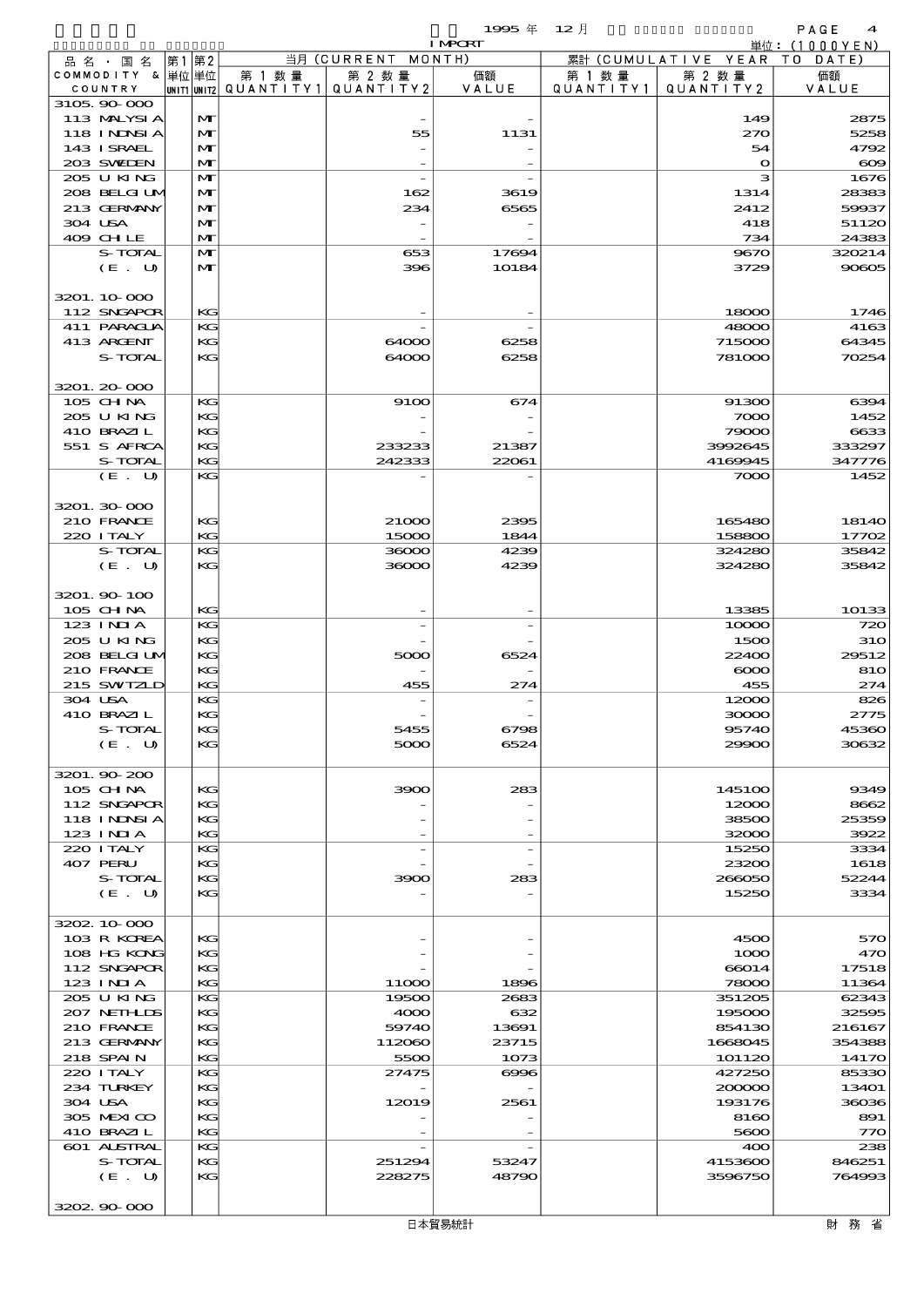$\overline{1995}$   $\overline{4}$   $\overline{12}$   $\overline{12}$   $\overline{12}$   $\overline{12}$   $\overline{12}$   $\overline{12}$   $\overline{12}$   $\overline{12}$   $\overline{12}$   $\overline{12}$   $\overline{12}$   $\overline{12}$   $\overline{12}$   $\overline{12}$   $\overline{12}$   $\overline{12}$   $\overline{12}$   $\overline{12}$   $\overline{12}$   $\overline{12}$ 

|                            |                   |        |                                                  | <b>I MPORT</b> |           |                              | 単位: (1000YEN)    |
|----------------------------|-------------------|--------|--------------------------------------------------|----------------|-----------|------------------------------|------------------|
| 品名・国名                      | 第1第2              |        | 当月 (CURRENT MONTH)                               |                |           | 累計 (CUMULATIVE YEAR TO DATE) |                  |
| COMMODITY & 単位単位           |                   | 第 1 数量 | 第 2 数量<br> UNIT1 UNIT2  QUANT   TY1  QUANT   TY2 | 価額<br>VALUE    | 第 1 数 量   | 第 2 数量<br>QUANTITY 2         | 価額               |
| COUNTRY<br>3105 90 000     |                   |        |                                                  |                | QUANTITY1 |                              | VALUE            |
| 113 MALYSIA                | M                 |        |                                                  |                |           | 149                          | 2875             |
| 118 I NDSI A               | $\mathbf{M}$      |        | 55                                               | 1131           |           | 270                          | 5258             |
| 143 ISRAEL                 | M                 |        |                                                  |                |           | 54                           | 4792             |
| 203 SVELEN                 | M                 |        |                                                  |                |           | $\mathbf{o}$                 | $\infty$         |
| 205 U KING<br>208 BELGI UM | $\mathbf{M}$<br>M |        | 162                                              | 3619           |           | з<br>1314                    | 1676<br>28383    |
| 213 GERMANY                | $\mathbf{M}$      |        | 234                                              | 6565           |           | 2412                         | 59937            |
| 304 USA                    | M                 |        |                                                  |                |           | 418                          | 51120            |
| 409 CHLE                   | $\mathbf{M}$      |        |                                                  |                |           | 734                          | 24383            |
| S-TOTAL                    | M                 |        | 653                                              | 17694          |           | 9670                         | 320214           |
| (E. U)                     | $\mathbf{M}$      |        | 396                                              | 10184          |           | 3729                         | 90605            |
|                            |                   |        |                                                  |                |           |                              |                  |
| 3201.10.000<br>112 SNGAPOR | KG                |        |                                                  |                |           | 18000                        |                  |
| 411 PARACLIA               | KG                |        |                                                  |                |           | 48000                        | 1746<br>4163     |
| 413 ARCENT                 | KG                |        | 64000                                            | 6258           |           | 715000                       | 64345            |
| S-TOTAL                    | KG                |        | 64000                                            | 6258           |           | 781000                       | 70254            |
|                            |                   |        |                                                  |                |           |                              |                  |
| 3201.20-000                |                   |        |                                                  |                |           |                              |                  |
| 105 CH NA                  | KG                |        | 9100                                             | 674            |           | 91300                        | 6394             |
| 205 U KING                 | KG                |        |                                                  |                |           | 7000                         | 1452             |
| 410 BRAZIL                 | KG                |        |                                                  |                |           | 79000                        | 6633             |
| 551 S AFRCA<br>S-TOTAL     | KG<br>KG          |        | 233233<br>242333                                 | 21387<br>22061 |           | 3992645<br>4169945           | 333297<br>347776 |
| (E. U)                     | KG                |        |                                                  |                |           | 7000                         | 1452             |
|                            |                   |        |                                                  |                |           |                              |                  |
| 3201.30 000                |                   |        |                                                  |                |           |                              |                  |
| 210 FRANCE                 | KG                |        | 21000                                            | 2395           |           | 165480                       | 18140            |
| 220 I TALY                 | KG                |        | 15000                                            | 1844           |           | 158800                       | 17702            |
| S-TOTAL                    | KG                |        | 36000                                            | 4239           |           | 324280                       | 35842            |
| (E. U)                     | KG                |        | 36000                                            | 4239           |           | 324280                       | 35842            |
| 3201.90-100                |                   |        |                                                  |                |           |                              |                  |
| 105 CHNA                   | KG                |        |                                                  |                |           | 13385                        | 10133            |
| 123 INIA                   | KG                |        |                                                  |                |           | 10000                        | 720              |
| 205 U KING                 | KG                |        |                                                  |                |           | 1500                         | <b>31O</b>       |
| 208 BELGI UM               | KG                |        | 5000                                             | 6524           |           | 22400                        | 29512            |
| 210 FRANCE                 | KG                |        |                                                  |                |           | $\infty$                     | 810              |
| 215 SWIZLD                 | KG                |        | 455                                              | 274            |           | 455                          | 274              |
| 304 USA<br>410 BRAZIL      | KG<br>KG          |        |                                                  |                |           | 12000<br>30000               | 826<br>2775      |
| S-TOTAL                    | KG                |        | 5455                                             | 6798           |           | 95740                        | 45360            |
| (E U)                      | KG                |        | 5000                                             | 6524           |           | 29900                        | 30632            |
|                            |                   |        |                                                  |                |           |                              |                  |
| 3201.90-200                |                   |        |                                                  |                |           |                              |                  |
| 105 CHNA                   | KG                |        | 3900                                             | 283            |           | 145100                       | 9349             |
| 112 SNGAPOR                | KG                |        |                                                  |                |           | 12000                        | 8662             |
| 118 I NDSI A<br>123 INIA   | KC                |        |                                                  |                |           | 38500<br>32000               | 25359            |
| 220 I TALY                 | KG<br>KG          |        |                                                  |                |           | 15250                        | 3922<br>3334     |
| 407 PERU                   | KG                |        |                                                  |                |           | 23200                        | 1618             |
| S-TOTAL                    | KG                |        | 3900                                             | 283            |           | 266050                       | 52244            |
| (E. U)                     | KG                |        |                                                  |                |           | 15250                        | 3334             |
|                            |                   |        |                                                  |                |           |                              |                  |
| 3202 10 000                |                   |        |                                                  |                |           |                              |                  |
| 103 R KOREA<br>108 HG KONG | KG<br>KG          |        |                                                  |                |           | 4500                         | 570<br>470       |
| 112 SNGAPOR                | KC                |        |                                                  |                |           | 1000<br>66014                | 17518            |
| 123 INIA                   | KG                |        | 11000                                            | 1896           |           | 78000                        | 11364            |
| 205 U KING                 | KG                |        | 19500                                            | 2683           |           | 351205                       | 62343            |
| 207 NETHLIS                | KG                |        | 4000                                             | 632            |           | 195000                       | 32595            |
| 210 FRANCE                 | KC                |        | 59740                                            | 13691          |           | 854130                       | 216167           |
| 213 GERMANY                | KG                |        | 112060                                           | 23715          |           | 1668045                      | 354388           |
| 218 SPAIN                  | KG                |        | 5500                                             | 1073           |           | 101120                       | 14170            |
| 220 I TALY<br>234 TURKEY   | KG<br>KG          |        | 27475                                            | $\infty$       |           | 427250<br>200000             | 85330<br>13401   |
| 304 USA                    | KC                |        | 12019                                            | 2561           |           | 193176                       | 36036            |
| 305 MEXICO                 | KG                |        |                                                  |                |           | 8160                         | 891              |
| 410 BRAZIL                 | KG                |        |                                                  |                |           | 5600                         | 770              |
| 601 ALSTRAL                | KG                |        |                                                  |                |           | 400                          | 238              |
| S-TOTAL                    | KG                |        | 251294                                           | 53247          |           | 4153600                      | 846251           |
| (E. U)                     | KG                |        | 228275                                           | 48790          |           | 3596750                      | 764993           |
| 3202 90 000                |                   |        |                                                  |                |           |                              |                  |
|                            |                   |        |                                                  |                |           |                              |                  |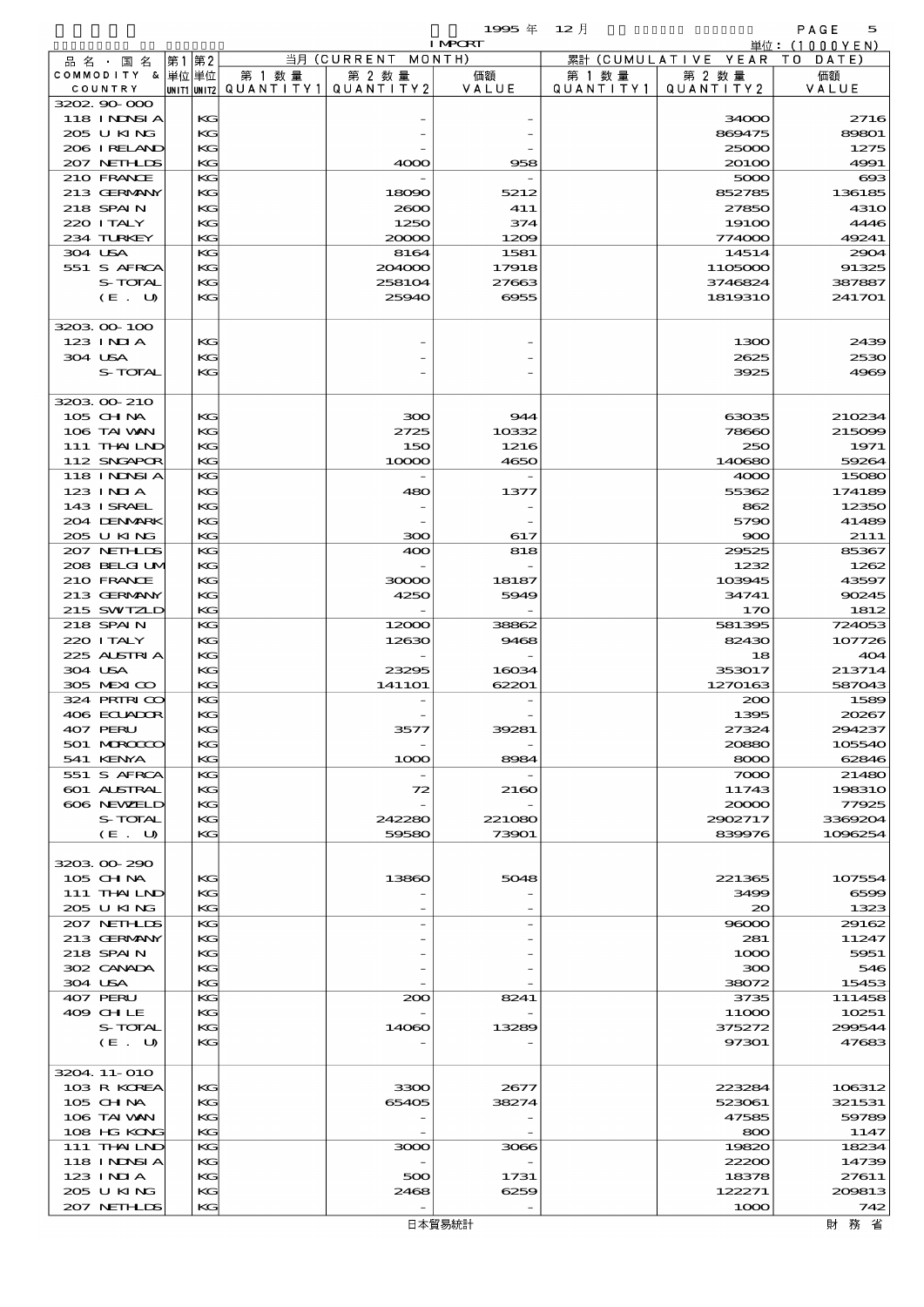|                       |                 |           |                          | 1995年          | $12$ 月    |                     | PAGE<br>5        |
|-----------------------|-----------------|-----------|--------------------------|----------------|-----------|---------------------|------------------|
|                       |                 |           |                          | <b>I MPORT</b> |           |                     | 単位:(1000YEN)     |
| 品 名 ・ 国 名             | 第2<br> 第1       |           | 当月 (CURRENT              | MONTH)         |           | 累計 (CUMULATIVE YEAR | T O<br>DATE      |
| COMMODITY &           | 単位 単位           | 第 1 数量    | 第 2 数量                   | 価額             | 第 1 数 量   | 第 2 数量              | 価額               |
| COUNTRY               | UNIT1 UNIT2     | QUANTITY1 | QUANTITY2                | VALUE          | QUANTITY1 | QUANTITY2           | VALUE            |
| 3202 90 000           |                 |           |                          |                |           |                     |                  |
| <b>118 INNSIA</b>     | KG              |           |                          |                |           | 34000               | 2716             |
| 205 U KING            | KG              |           |                          |                |           | 869475              | 89801            |
| 206 I RELAND          | KG              |           |                          |                |           | 25000               | 1275             |
| 207 NETHLIS           | KG              |           | 4000                     | 958            |           | 20100               | 4991             |
| 210 FRANCE            | KG              |           |                          |                |           | 5000                | $\infty$         |
| 213 GERMANY           | KG <sub>3</sub> |           | 18090                    | 5212           |           | 852785              | 136185           |
| 218 SPAIN             | KG              |           | 2000                     | 411            |           | 27850               | <b>4310</b>      |
| 220 I TALY            | KG              |           | 1250                     | 374            |           | 191 <sub>0</sub>    | 4446             |
| 234 TURKEY<br>304 USA | KG<br>KG        |           | 20000                    | 1209<br>1581   |           | 774000<br>14514     | 49241<br>2904    |
| 551 S AFRCA           | KG              |           | 8164<br>204000           | 17918          |           | 1105000             | 91325            |
| S-TOTAL               | KG              |           | 258104                   | 27663          |           | 3746824             |                  |
| (E. U)                | KG              |           | 25940                    | 6955           |           | 1819310             | 387887<br>241701 |
|                       |                 |           |                          |                |           |                     |                  |
| 3203 00 100           |                 |           |                          |                |           |                     |                  |
| $123$ INIA            | KG              |           |                          |                |           | 1300                | 2439             |
| 304 USA               | KG              |           |                          |                |           | 2625                | 2530             |
| S-TOTAL               | KG              |           |                          |                |           | 3925                | 4969             |
|                       |                 |           |                          |                |           |                     |                  |
| 3203 00 210           |                 |           |                          |                |           |                     |                  |
| 105 CH NA             | KG              |           | 300                      | 944            |           | 63035               | 210234           |
| 106 TAI VAN           | KG              |           | 2725                     | 10332          |           | 78660               | 215099           |
| 111 THAILND           | KG              |           | 150                      | 1216           |           | 250                 | 1971             |
| 112 SNGAPOR           | KG              |           | 10000                    | 4650           |           | 140680              | 59264            |
| <b>118 INNSI A</b>    | KG              |           | $\overline{\phantom{a}}$ |                |           | 4000                | 15080            |
| $123$ INIA            | KG              |           | 480                      | 1377           |           | 55362               | 174189           |
| 143 I SRAEL           | KG              |           |                          |                |           | 862                 | 12350            |
| 204 DENMARK           | KG              |           |                          |                |           | 5790                | 41489            |
| 205 U KING            | KG              |           | 300                      | 617            |           | 900                 | 2111             |
| 207 NETHLIS           | KG              |           | 400                      | 818            |           | 29525               | 85367            |
| 208 BELGI UM          | KG              |           |                          |                |           | 1232                | 1262             |
| 210 FRANCE            | KG              |           | 30000                    | 18187          |           | 103945              | 43597            |
| 213 GERMANY           | KG              |           | 4250                     | 5949           |           | 34741               | 90245            |
| 215 SWIZLD            | KG              |           |                          |                |           | 170                 | 1812             |
| 218 SPAIN             | KG              |           | 12000                    | 38862          |           | 581395              | 724053           |
| 220 I TALY            | KG              |           | 12630                    | 9468           |           | 82430               | 107726           |
| 225 ALSTRIA           | KG              |           |                          |                |           | 18                  | 404              |
| 304 USA               | KG              |           | 23295                    | 16034          |           | 353017              | 213714           |

| 305 MEXICO        | KG | 1411O1 | 62201  | 1270163 | 587043  |
|-------------------|----|--------|--------|---------|---------|
| 324 PRIRICO       | KG |        |        | 200     | 1589    |
| 406 ECUADOR       | KG |        |        | 1395    | 20267   |
| 407 PERU          | KG | 3577   | 39281  | 27324   | 294237  |
| 501 MROCCO        | KG |        |        | 20880   | 105540  |
| 541 KENYA         | KG | 1000   | 8984   | 8000    | 62846   |
| 551 S AFRCA       | KG |        |        | 7000    | 21480   |
| 601 ALSTRAL       | KG | 72     | 2160   | 11743   | 198310  |
| 606 NEWELD        | KG |        |        | 20000   | 77925   |
| S-TOTAL           | KG | 242280 | 221080 | 2902717 | 3369204 |
| (E. U)            | KG | 59580  | 73901  | 839976  | 1096254 |
|                   |    |        |        |         |         |
| 3203 00 290       |    |        |        |         |         |
| $105$ CHNA        | KG | 13860  | 5048   | 221365  | 107554  |
| 111 THAILND       | KG |        |        | 3499    | 6595    |
| 205 U KING        | KG |        |        | 20      | 1325    |
| 207 NETHLIS       | KG |        |        | 96000   | 29162   |
| 213 GERMANY       | KG |        |        | 281     | 11247   |
| 218 SPAIN         | KG |        |        | 1000    | 5951    |
| 302 CANADA        | KG |        |        | 300     | 546     |
| 304 USA           | KG |        |        | 38072   | 15453   |
| 407 PERU          | KG | 200    | 8241   | 3735    | 111458  |
| 409 CHLE          | KG |        |        | 11000   | 10251   |
| S-TOTAL           | KG | 14060  | 13289  | 375272  | 299544  |
| (E. U)            | KG |        |        | 97301   | 47683   |
|                   |    |        |        |         |         |
| 3204.11-010       |    |        |        |         |         |
| 103 R KOREA       | KG | 3300   | 2677   | 223284  | 106312  |
| $105$ CHNA        | KG | 65405  | 38274  | 523061  | 321531  |
| 106 TAI VAN       | KG |        |        | 47585   | 59789   |
| 108 HG KONG       | KG |        |        | 800     | 1147    |
| 111 THAILND       | KG | 3000   | 3066   | 19820   | 18234   |
| <b>118 INNSIA</b> | KG |        |        | 22200   | 14739   |
| $123$ INIA        | KG | 500    | 1731   | 18378   | 27611   |
| 205 U KING        | KG | 2468   | 6259   | 122271  | 209813  |
| 207 NETHLIS       | KG |        |        | 1000    | 742     |
|                   |    |        | 日本貿易統計 |         | 財務省     |
|                   |    |        |        |         |         |
|                   |    |        |        |         |         |
|                   |    |        |        |         |         |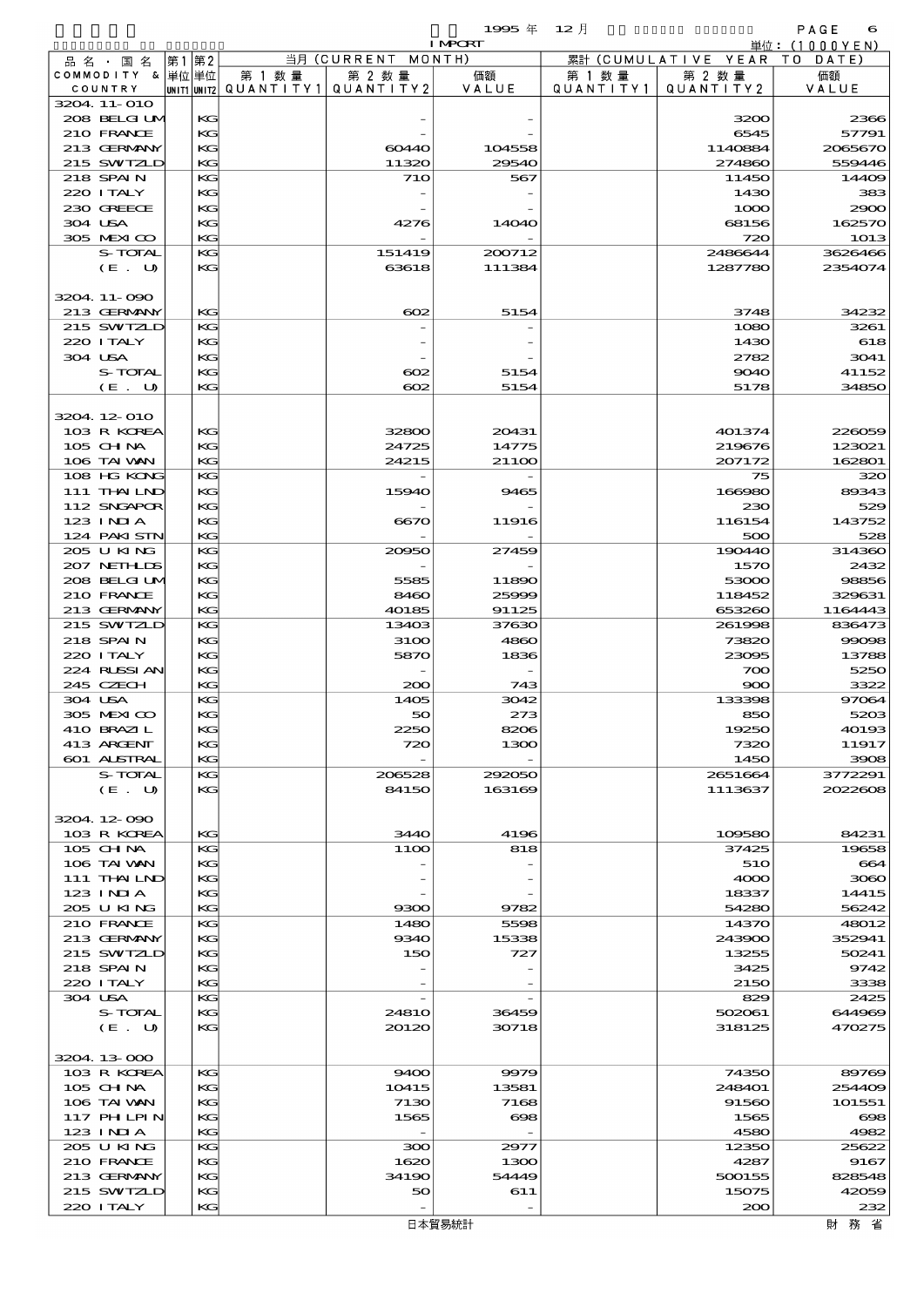$\mathbf{1995} \notin \mathbf{12} \nexists$  and  $\mathbf{12} \nexists$  and  $\mathbf{12} \nexists$  and  $\mathbf{12} \nexists$  and  $\mathbf{12} \nexists$  and  $\mathbf{12} \nexists$  and  $\mathbf{12} \nexists$  and  $\mathbf{12} \nexists$  and  $\mathbf{12} \nexists$  and  $\mathbf{12} \nexists$  and  $\mathbf{12} \nexists$  and  $\mathbf{12} \nexists$  and  $\mathbf{1$ 

|                             |          |                                       |                    | <b>I MPORT</b> |           |                              | 単位: (1000YEN)    |
|-----------------------------|----------|---------------------------------------|--------------------|----------------|-----------|------------------------------|------------------|
| 品 名 ・ 国 名                   | 第1第2     |                                       | 当月 (CURRENT MONTH) |                |           | 累計 (CUMULATIVE YEAR TO DATE) |                  |
| COMMODITY & 単位単位            |          | 第 1 数量                                | 第 2 数量             | 価額             | 第 1 数 量   | 第 2 数量                       | 価額               |
| COUNTRY                     |          | unit1 unit2  QUANT   TY1  QUANT   TY2 |                    | VALUE          | QUANTITY1 | QUANTITY 2                   | VALUE            |
| 3204 11-010<br>208 BELGI UM | KG       |                                       |                    |                |           | 3200                         | 2366             |
| 210 FRANCE                  | KG       |                                       |                    |                |           | 6545                         | 57791            |
| 213 GERMANY                 | KG       |                                       | 60440              | 104558         |           | 1140884                      | 2065670          |
| 215 SWIZLD                  | KG       |                                       | 11320              | 29540          |           | 274860                       | 559446           |
| 218 SPAIN                   | KG       |                                       | 710                | 567            |           | 11450                        | 14409            |
| 220 I TALY                  | KG       |                                       |                    |                |           | 1430                         | 383              |
| 230 GREECE                  | KG       |                                       |                    |                |           | 1000                         | 2900             |
| 304 USA                     | KG       |                                       | 4276               | 14O4O          |           | 68156                        | 162570           |
| 305 MEXICO                  | KG       |                                       |                    |                |           | 720                          | 1013             |
| S-TOTAL                     | KG       |                                       | 151419             | 200712         |           | 2486644                      | 3626466          |
| (E. U)                      | KG       |                                       | 63618              | 111384         |           | 1287780                      | 2354074          |
| 3204.11-090                 |          |                                       |                    |                |           |                              |                  |
| 213 GERMANY                 | KG       |                                       | $\infty$           | 5154           |           | 3748                         | 34232            |
| 215 SWIZLD                  | KG       |                                       |                    |                |           | 1080                         | 3261             |
| 220 ITALY                   | KG       |                                       |                    |                |           | 1430                         | 618              |
| 304 USA                     | KG       |                                       |                    |                |           | 2782                         | 3041             |
| S-TOTAL                     | KG       |                                       | $_{\rm \alpha z}$  | 5154           |           | 9040                         | 41152            |
| (E. U)                      | KG       |                                       | $\infty$           | 5154           |           | 5178                         | 34850            |
|                             |          |                                       |                    |                |           |                              |                  |
| 3204 12 010                 |          |                                       |                    |                |           |                              |                  |
| 103 R KOREA                 | KG       |                                       | 32800              | 20431          |           | 401374                       | 226059           |
| $105$ CHNA<br>106 TAI VAN   | KG<br>KG |                                       | 24725<br>24215     | 14775<br>21100 |           | 219676<br>207172             | 123021<br>162801 |
| 108 HG KONG                 | KG       |                                       |                    |                |           | 75                           | 320              |
| 111 THAILND                 | KG       |                                       | 15940              | 9465           |           | 166980                       | 89343            |
| 112 SNGAPOR                 | KG       |                                       |                    |                |           | 230                          | 529              |
| 123 INIA                    | KG       |                                       | 6670               | 11916          |           | 116154                       | 143752           |
| 124 PAKI STN                | KG       |                                       |                    |                |           | 500                          | 528              |
| 205 U KING                  | KG       |                                       | 20950              | 27459          |           | 190440                       | 314360           |
| 207 NETHLIS                 | KG       |                                       |                    |                |           | 1570                         | 2432             |
| 208 BELGI UM                | KG       |                                       | 5585               | 11890          |           | 53000                        | 98856            |
| 210 FRANCE                  | KG       |                                       | 8460               | 25999          |           | 118452                       | 329631           |
| 213 GERMANY                 | KG       |                                       | 40185              | 91125          |           | 653260                       | 1164443          |
| 215 SWIZLD                  | KG       |                                       | 13403              | 37630          |           | 261998                       | 836473           |
| 218 SPAIN<br>220 I TALY     | KG<br>KG |                                       | 3100<br>5870       | 4860<br>1836   |           | 73820<br>23095               | 99098<br>13788   |
| 224 RUSSIAN                 | KG       |                                       |                    |                |           | 700                          | 5250             |
| 245 CZECH                   | KG       |                                       | 200                | 743            |           | 900                          | 3322             |
| 304 USA                     | KG       |                                       | 1405               | 3042           |           | 133398                       | 97064            |
| 305 MEXICO                  | KG       |                                       | 50                 | 273            |           | 850                          | 5203             |
| 410 BRAZIL                  | KG       |                                       | 2250               | 8206           |           | 19250                        | 40193            |
| 413 ARGENT                  | KG       |                                       | 720                | 1300           |           | 7320                         | 11917            |
| 601 ALSTRAL                 | KG       |                                       |                    |                |           | 1450                         | 3908             |
| S-TOTAL                     | KG       |                                       | 206528             | 292050         |           | 2651664                      | 3772291          |
| (E. U)                      | KG       |                                       | 84150              | 163169         |           | 1113637                      | 2022608          |
| 3204.12-090                 |          |                                       |                    |                |           |                              |                  |
| 103 R KOREA                 | KG       |                                       | 3440               | 4196           |           | 109580                       | 84231            |
| 105 CHNA                    | KG       |                                       | <b>1100</b>        | 818            |           | 37425                        | 19658            |
| 106 TAI VAN                 | KG       |                                       |                    |                |           | 510                          | 664              |
| 111 THAILND                 | KG       |                                       |                    |                |           | 4000                         | 3080             |
| 123 INIA                    | KG       |                                       |                    |                |           | 18337                        | 14415            |
| 205 U KING                  | KG       |                                       | 9300               | 9782           |           | 54280                        | 56242            |
| 210 FRANCE                  | KG       |                                       | 1480               | 5598           |           | 14370                        | 48012            |
| 213 GERMANY                 | KG       |                                       | 9340               | 15338          |           | 243900                       | 352941           |
| 215 SWIZLD                  | KG       |                                       | 150                | 727            |           | 13255                        | 50241            |
| 218 SPAIN                   | KG       |                                       |                    |                |           | 3425                         | 9742             |
| 220 I TALY                  | KG       |                                       |                    |                |           | 2150                         | 3338             |
| 304 USA<br>S-TOTAL          | KG<br>KG |                                       | 2481O              | 36459          |           | 829<br>502061                | 2425<br>644969   |
| (E. U)                      | KG       |                                       | 20120              | 30718          |           | 318125                       | 470275           |
|                             |          |                                       |                    |                |           |                              |                  |
| 3204.13-000                 |          |                                       |                    |                |           |                              |                  |
| 103 R KOREA                 | KG       |                                       | 9400               | 9979           |           | 74350                        | 89769            |
| $105$ CHNA                  | KG       |                                       | 10415              | 13581          |           | 248401                       | 254409           |
| 106 TAI VAN                 | KG       |                                       | 7130               | 7168           |           | 91560                        | 101551           |
| 117 PH LPIN                 | KG       |                                       | 1565               | $\infty$       |           | 1565                         | $\infty$         |
| 123 INIA                    | KG       |                                       |                    |                |           | 4580                         | 4982             |
| 205 U KING                  | KG       |                                       | 300                | 2977           |           | 12350                        | 25622            |
| 210 FRANCE                  | KG       |                                       | 1620               | 1300           |           | 4287                         | 9167             |
| 213 GERMANY<br>215 SWIZLD   | KG<br>KG |                                       | 34190<br>50        | 54449<br>611   |           | 500155<br>15075              | 828548<br>42059  |
| 220 I TALY                  | KG       |                                       |                    |                |           | 200                          | 232              |
|                             |          |                                       |                    |                |           |                              |                  |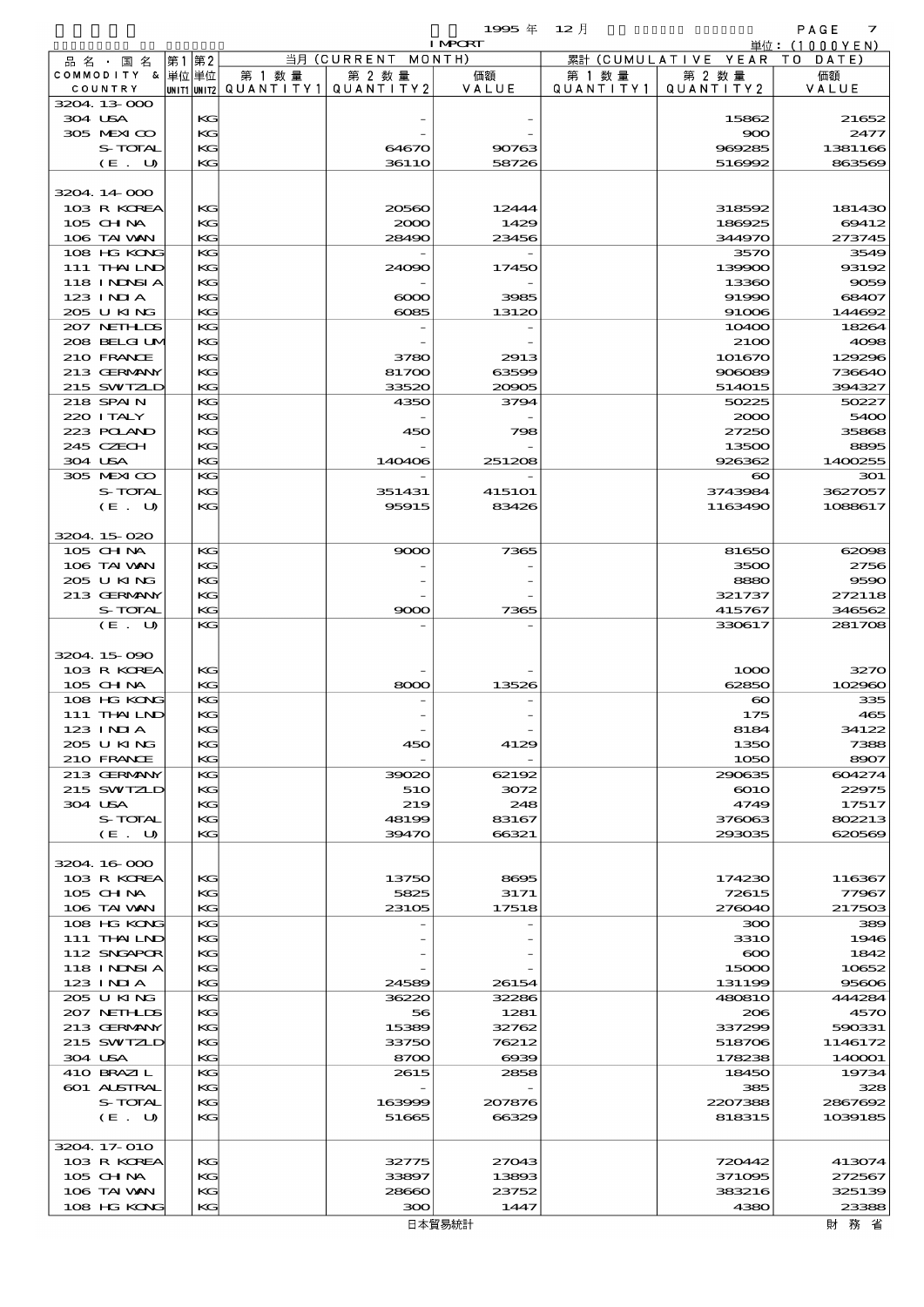$1995 \nleftrightarrow 12 \nparallel$  PAGE 7

|                              |    |          |                                       |                | <b>I MPORT</b> |           |                              | 単位: (1000 Y E N) |
|------------------------------|----|----------|---------------------------------------|----------------|----------------|-----------|------------------------------|------------------|
| 品名・国名                        | 第1 | 第2       |                                       | 当月(CURRENT     | MONTH)         |           | 累計 (CUMULATIVE YEAR TO DATE) |                  |
| COMMODITY & 単位単位             |    |          | 第 1 数量                                | 第 2 数量         | 価額             | 第 1 数 量   | 第 2 数量                       | 価額               |
| COUNTRY                      |    |          | unit1 unit2  QUANT   TY1  QUANT   TY2 |                | VALUE          | QUANTITY1 | QUANTITY 2                   | VALUE            |
| 3204.13-000<br>304 USA       |    | КG       |                                       |                |                |           | 15862                        | 21652            |
| 305 MEXICO                   |    | KG       |                                       |                |                |           | 900                          | 2477             |
| S-TOTAL                      |    | KG       |                                       | 64670          | 90763          |           | 969285                       | 1381166          |
| (E. U)                       |    | KG       |                                       | 3611O          | 58726          |           | 516992                       | 863569           |
|                              |    |          |                                       |                |                |           |                              |                  |
| 3204.14.000                  |    |          |                                       |                |                |           |                              |                  |
| 103 R KOREA                  |    | KG       |                                       | 20560          | 12444          |           | 318592                       | 181430           |
| $105$ CHNA                   |    | KG       |                                       | 2000           | 1429           |           | 186925                       | 69412            |
| 106 TAI VAN                  |    | KG<br>KG |                                       | 28490          | 23456          |           | 344970                       | 273745           |
| 108 HG KONG<br>$111$ THAILND |    | КG       |                                       | 24090          | 17450          |           | 3570<br>139900               | 3549<br>93192    |
| 118 I NDSI A                 |    | KG       |                                       |                |                |           | 13360                        | 9059             |
| 123 INIA                     |    | KG       |                                       | $\infty$       | 3985           |           | 91990                        | 68407            |
| 205 U KING                   |    | KG       |                                       | 6085           | 13120          |           | 91006                        | 144692           |
| 207 NETHLIS                  |    | KG       |                                       |                |                |           | 10400                        | 18264            |
| 208 BELGI UM                 |    | KG       |                                       |                |                |           | 2100                         | 4098             |
| 210 FRANCE                   |    | KG       |                                       | 3780           | 2913           |           | 101670                       | 129296           |
| 213 GERMANY                  |    | KG<br>KG |                                       | 81700          | 63599<br>20905 |           | 906089<br>514015             | 736640           |
| 215 SWIZLD<br>218 SPAIN      |    | KG       |                                       | 33520<br>4350  | 3794           |           | 50225                        | 394327<br>50227  |
| 220 I TALY                   |    | KG       |                                       |                |                |           | 2000                         | 5400             |
| 223 POLAND                   |    | KG       |                                       | 450            | 798            |           | 27250                        | 35868            |
| 245 CZECH                    |    | KG       |                                       |                |                |           | 13500                        | 8895             |
| 304 USA                      |    | KG       |                                       | 140406         | 251208         |           | 926362                       | 1400255          |
| 305 MEXICO                   |    | KG       |                                       |                |                |           | $\boldsymbol{\infty}$        | 301              |
| S-TOTAL                      |    | KG       |                                       | 351431         | 415101         |           | 3743984                      | 3627057          |
| (E. U)                       |    | KG       |                                       | 95915          | 83426          |           | 1163490                      | 1088617          |
|                              |    |          |                                       |                |                |           |                              |                  |
| 3204.15020<br>105 CHNA       |    | KG       |                                       | 9000           | 7365           |           | 81650                        | 62098            |
| 106 TAI VAN                  |    | KG       |                                       |                |                |           | 3500                         | 2756             |
| 205 U KING                   |    | KG       |                                       |                |                |           | 8880                         | 9590             |
| 213 GERMANY                  |    | KG       |                                       |                |                |           | 321737                       | 272118           |
| S-TOTAL                      |    | KG       |                                       | 9000           | 7365           |           | 415767                       | 346562           |
| (E. U)                       |    | KG       |                                       |                |                |           | 330617                       | 281708           |
|                              |    |          |                                       |                |                |           |                              |                  |
| 3204 15 090                  |    |          |                                       |                |                |           |                              |                  |
| 103 R KOREA<br>105 CHNA      |    | KG<br>KG |                                       | 8000           | 13526          |           | 1000<br>62850                | 3270<br>102960   |
| 108 HG KONG                  |    | KG       |                                       |                |                |           | $\boldsymbol{\infty}$        | 335              |
| 111 THAILND                  |    | KG       |                                       |                |                |           | 175                          | 465              |
| 123 INIA                     |    | KG       |                                       |                |                |           | 8184                         | 34122            |
| 205 U KING                   |    | KG       |                                       | 450            | 4129           |           | 1350                         | 7388             |
| 210 FRANCE                   |    | KG       |                                       |                |                |           | 1050                         | 8907             |
| 213 GERMANY                  |    | KG       |                                       | 39020          | 62192          |           | 290635                       | 604274           |
| 215 SWIZLD                   |    | KG       |                                       | 510            | 3072           |           | $\boldsymbol{\mathrm{601O}}$ | 22975            |
| 304 USA                      |    | KG       |                                       | 219            | 248            |           | 4749                         | 17517            |
| S-TOTAL<br>$(E_U U)$         |    | KG<br>KG |                                       | 48199<br>39470 | 83167<br>66321 |           | 376063<br>293035             | 802213<br>620569 |
|                              |    |          |                                       |                |                |           |                              |                  |
| 3204.16.000                  |    |          |                                       |                |                |           |                              |                  |
| 103 R KOREA                  |    | KG       |                                       | 13750          | 8695           |           | 174230                       | 116367           |
| 105 CH NA                    |    | KG       |                                       | 5825           | 3171           |           | 72615                        | 77967            |
| 106 TAI VAN                  |    | KG       |                                       | 23105          | 17518          |           | 276040                       | 217503           |
| 108 HG KONG                  |    | KG       |                                       |                |                |           | 300                          | 389              |
| 111 THAILND                  |    | KG       |                                       |                |                |           | <b>3310</b>                  | 1946             |
| 112 SNGAPOR<br>118 I NDSI A  |    | KG<br>KG |                                       |                |                |           | $\infty$<br>15000            | 1842<br>10652    |
| 123 INIA                     |    | KG       |                                       | 24589          | 26154          |           | 131199                       | 95606            |
| 205 U KING                   |    | KG       |                                       | 36220          | 32286          |           | 480810                       | 444284           |
| 207 NETHLIS                  |    | KG       |                                       | 56             | 1281           |           | 206                          | 4570             |
| 213 GERMANY                  |    | KG       |                                       | 15389          | 32762          |           | 337299                       | 590331           |
| 215 SWIZLD                   |    | KG       |                                       | 33750          | 76212          |           | 518706                       | 1146172          |
| 304 USA                      |    | KG       |                                       | 8700           | $\alpha$       |           | 178238                       | 140001           |
| 410 BRAZIL                   |    | KG       |                                       | 2615           | 2858           |           | 18450                        | 19734            |
| 601 ALSTRAL<br>S-TOTAL       |    | KG<br>KG |                                       | 163999         | 207876         |           | 385<br>2207388               | 328<br>2867692   |
| (E. U)                       |    | KG       |                                       | 51665          | 66329          |           | 818315                       | 1039185          |
|                              |    |          |                                       |                |                |           |                              |                  |
| 3204.17-010                  |    |          |                                       |                |                |           |                              |                  |
| 103 R KOREA                  |    | KG       |                                       | 32775          | 27043          |           | 720442                       | 413074           |
| 105 CHNA                     |    | KG       |                                       | 33897          | 13893          |           | 371095                       | 272567           |
| 106 TAI VAN                  |    | KG       |                                       | 28660          | 23752          |           | 383216                       | 325139           |
| 108 HG KONG                  |    | KG       |                                       | 300            | 1447           |           | 4380                         | 23388            |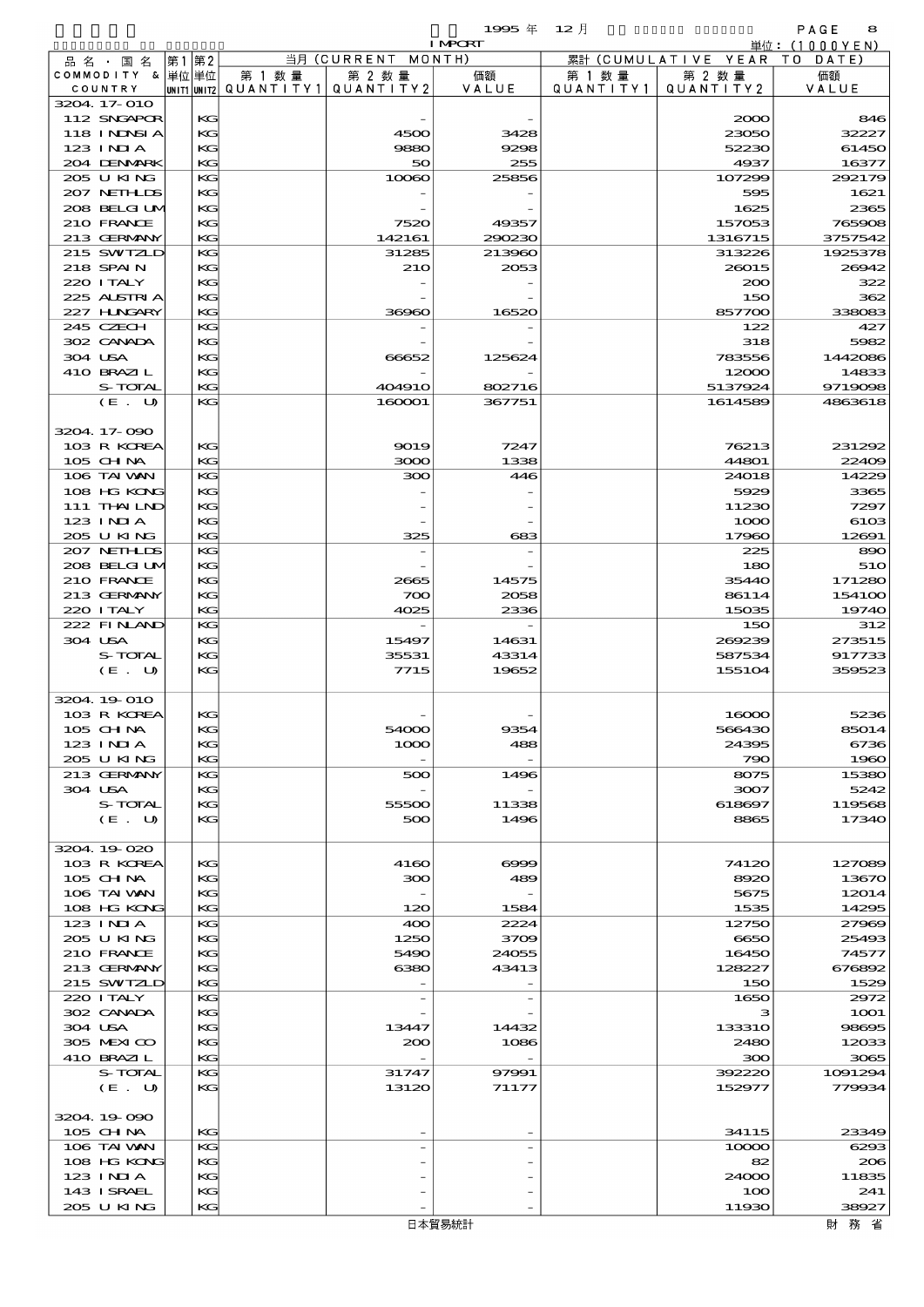$\begin{array}{ccccccccc}\n 1995 & \# & 12 & \end{array}$ 

|         |                            |      |          |        |                                       | <b>I MPORT</b>           |           |                              | 単位: (1000 Y E N)          |
|---------|----------------------------|------|----------|--------|---------------------------------------|--------------------------|-----------|------------------------------|---------------------------|
|         | 品名・国名                      | 第1第2 |          |        | 当月 (CURRENT MONTH)                    |                          |           | 累計 (CUMULATIVE YEAR TO DATE) |                           |
|         | COMMODITY & 単位単位           |      |          | 第 1 数量 | 第 2 数量                                | 価額                       | 第 1 数 量   | 第 2 数量                       | 価額                        |
|         | COUNTRY                    |      |          |        | UNIT1 UNIT2  QUANT I TY1  QUANT I TY2 | VALUE                    | QUANTITY1 | QUANTITY 2                   | VALUE                     |
|         | 3204 17-010<br>112 SNGAPOR |      | KG       |        |                                       |                          |           | 2000                         | 846                       |
|         | 118 INNSI A                |      | KG       |        | 4500                                  | 3428                     |           | 23050                        | 32227                     |
|         | $123$ INIA                 |      | KG       |        | 9880                                  | 9298                     |           | 52230                        | 61450                     |
|         | 204 DENMARK                |      | KG       |        | 50                                    | 255                      |           | 4937                         | 16377                     |
|         | 205 U KING                 |      | KG       |        | 10060                                 | 25856                    |           | 107299                       | 292179                    |
|         | 207 NETHLIDS               |      | KG       |        |                                       |                          |           | 595                          | 1621                      |
|         | 208 BELGI UM               |      | KG       |        |                                       |                          |           | 1625                         | 2365                      |
|         | 210 FRANCE                 |      | KG       |        | 7520                                  | 49357                    |           | 157053                       | 765908                    |
|         | 213 GERMANY<br>215 SWIZLD  |      | KG<br>KG |        | 142161<br>31285                       | 290230<br>213960         |           | 1316715<br>313226            | 3757542<br>1925378        |
|         | 218 SPAIN                  |      | KG       |        | 210                                   | 2053                     |           | 26015                        | 26942                     |
|         | 220 I TALY                 |      | KG       |        |                                       |                          |           | 200                          | 322                       |
|         | 225 ALSTRIA                |      | KG       |        |                                       |                          |           | 150                          | 362                       |
|         | 227 HNGARY                 |      | KG       |        | 36960                                 | 16520                    |           | 857700                       | 338083                    |
|         | 245 CZECH                  |      | KG       |        |                                       |                          |           | 122                          | 427                       |
|         | 302 CANADA                 |      | KG       |        |                                       |                          |           | 318                          | 5982                      |
| 304 USA |                            |      | KG       |        | 66652                                 | 125624                   |           | 783556                       | 1442086                   |
|         | 410 BRAZIL                 |      | KG<br>KG |        |                                       |                          |           | 12000                        | 14833                     |
|         | S-TOTAL<br>(E. U)          |      | KG       |        | <b>404910</b><br>160001               | 802716<br>367751         |           | 5137924<br>1614589           | 9719098<br>4863618        |
|         |                            |      |          |        |                                       |                          |           |                              |                           |
|         | 3204 17-090                |      |          |        |                                       |                          |           |                              |                           |
|         | 103 R KOREA                |      | KG       |        | 9019                                  | 7247                     |           | 76213                        | 231292                    |
|         | $105$ CHNA                 |      | KG       |        | 3000                                  | 1338                     |           | 44801                        | 22409                     |
|         | 106 TAI VAN                |      | KG       |        | 300                                   | 446                      |           | 24018                        | 14229                     |
|         | 108 HG KONG                |      | KG       |        |                                       |                          |           | 5929                         | 3365                      |
|         | 111 THAILND                |      | KG       |        |                                       |                          |           | 11230                        | 7297                      |
|         | $123$ INIA<br>205 U KING   |      | KG<br>KG |        | 325                                   | 683                      |           | 1000<br>17960                | 61 <sub>OS</sub><br>12691 |
|         | 207 NETHLIS                |      | KG       |        |                                       |                          |           | 225                          | 890                       |
|         | 208 BELGI UM               |      | KG       |        |                                       |                          |           | 180                          | 510                       |
|         | 210 FRANCE                 |      | KG       |        | 2665                                  | 14575                    |           | 35440                        | 171280                    |
|         | 213 GERMANY                |      | KG       |        | 700                                   | 2058                     |           | 86114                        | 154100                    |
|         | 220 I TALY                 |      | KG       |        | 4025                                  | 2336                     |           | 15035                        | 19740                     |
|         | 222 FINAND                 |      | KG       |        |                                       |                          |           | 150                          | 312                       |
| 304 USA |                            |      | KG       |        | 15497                                 | 14631                    |           | 269239                       | 273515                    |
|         | S-TOTAL                    |      | KG       |        | 35531                                 | 43314                    |           | 587534                       | 917733                    |
|         | (E. U)                     |      | KG       |        | 7715                                  | 19652                    |           | 155104                       | 359523                    |
|         | 3204 19 010                |      |          |        |                                       |                          |           |                              |                           |
|         | 103 R KOREA                |      | KG       |        |                                       |                          |           | 16000                        | 5236                      |
|         | 105 CHNA                   |      | KG       |        | 54000                                 | 9354                     |           | 566430                       | 85014                     |
|         | $123$ INIA                 |      | KG       |        | 1000                                  | 488                      |           | 24395                        | 6736                      |
|         | 205 U KING                 |      | KG       |        |                                       |                          |           | 790                          | 1960                      |
|         | 213 GERMANY                |      | KG       |        | 500                                   | 1496                     |           | 8075                         | 15380                     |
| 304 USA | S-TOTAL                    |      | KG<br>KG |        | 55500                                 | 11338                    |           | 3007<br>618697               | 5242<br>119568            |
|         | $(E_U U)$                  |      | KG       |        | 500                                   | 1496                     |           | 8865                         | 17340                     |
|         |                            |      |          |        |                                       |                          |           |                              |                           |
|         | 3204.19-020                |      |          |        |                                       |                          |           |                              |                           |
|         | 103 R KOREA                |      | KG       |        | 4160                                  | $\infty$                 |           | 74120                        | 127089                    |
|         | 105 CH NA                  |      | KG       |        | 300                                   | 489                      |           | 8920                         | 13670                     |
|         | 106 TAI VAN                |      | КG       |        |                                       |                          |           | 5675                         | 12014                     |
|         | 108 HG KONG                |      | KG       |        | 120                                   | 1584                     |           | 1535                         | 14295                     |
|         | $123$ INIA<br>205 U KING   |      | KG<br>KG |        | 400<br>1250                           | 2224<br>3709             |           | 12750<br>6650                | 27969<br>25493            |
|         | 210 FRANCE                 |      | KG       |        | 5490                                  | 24055                    |           | 16450                        | 74577                     |
|         | 213 GERMANY                |      | KG       |        | 6380                                  | 43413                    |           | 128227                       | 676892                    |
|         | 215 SWIZLD                 |      | KG       |        |                                       |                          |           | 150                          | 1529                      |
|         | 220 I TALY                 |      | KG       |        |                                       | $\overline{\phantom{a}}$ |           | 1650                         | 2972                      |
|         | 302 CANADA                 |      | KG       |        |                                       |                          |           | з                            | <b>1001</b>               |
| 304 USA |                            |      | KG       |        | 13447                                 | 14432                    |           | 133310                       | 98695                     |
|         | 305 MEXICO                 |      | KG       |        | 200                                   | 1086                     |           | 2480                         | 12033                     |
|         | 410 BRAZIL<br>S-TOTAL      |      | KG<br>KG |        | 31747                                 | 97991                    |           | 300<br>392220                | 3065<br>1091294           |
|         | (E. U)                     |      | KG       |        | 13120                                 | 71177                    |           | 152977                       | 779934                    |
|         |                            |      |          |        |                                       |                          |           |                              |                           |
|         | 3204.19-090                |      |          |        |                                       |                          |           |                              |                           |
|         | 105 CHNA                   |      | KG       |        |                                       |                          |           | 34115                        | 23349                     |
|         | 106 TAI VAN                |      | KG       |        |                                       |                          |           | 10000                        | 6293                      |
|         | 108 HG KONG                |      | KG       |        |                                       |                          |           | 82                           | 206                       |
|         | 123 INIA                   |      | KG       |        |                                       |                          |           | 24000                        | 11835                     |
|         | 143 ISRAEL<br>205 U KING   |      | KG<br>KG |        |                                       |                          |           | 100<br>11930                 | 241<br>38927              |
|         |                            |      |          |        |                                       |                          |           |                              |                           |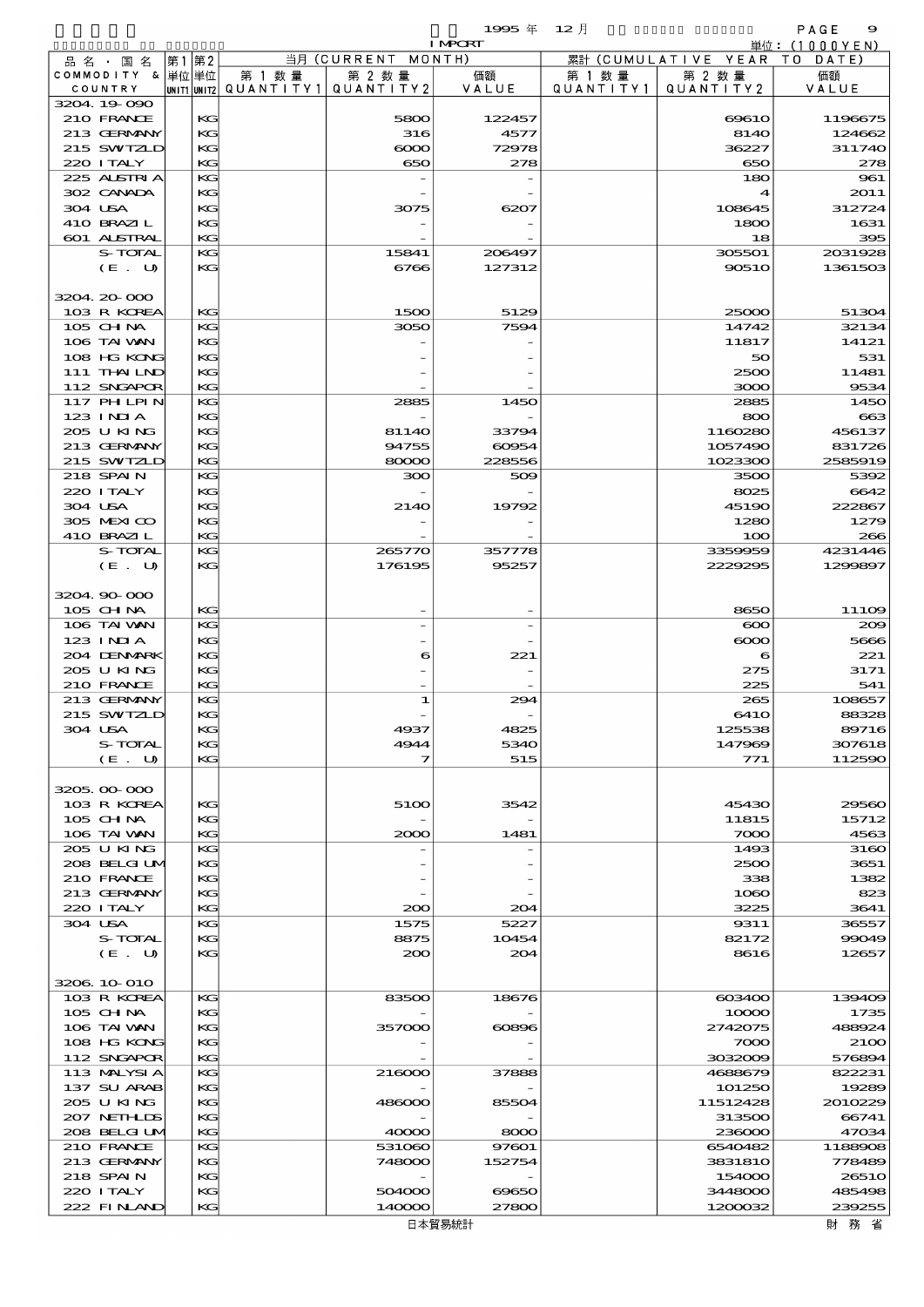|                            |          |                                        | 1995年          | - 12 月    |                        | PAGE<br>9                 |
|----------------------------|----------|----------------------------------------|----------------|-----------|------------------------|---------------------------|
|                            |          | 当月 (CURRENT MONTH)                     | <b>I MPORT</b> |           | 累計 (CUMULATIVE YEAR TO | 単位: (1000 Y E N )<br>DATE |
| 品名・国名<br>COMMODITY & 単位単位  | 第1 第2    | 第 1 数量<br>第 2 数量                       | 価額             | 第 1 数 量   | 第 2 数量                 | 価額                        |
| COUNTRY                    |          | unit1 unit2  Q∪ANT   TY1 <br>QUANTITY2 | VALUE          | QUANTITY1 | QUANTITY 2             | VALUE                     |
| 3204 19 090                |          |                                        |                |           |                        |                           |
| 210 FRANCE<br>213 GERMANY  | KG<br>KG | 5800                                   | 122457         |           | 6961O                  | 1196675<br>124662         |
| 215 SWIZLD                 | KG       | 316<br>$\infty$                        | 4577<br>72978  |           | 8140<br>36227          | 311740                    |
| 220 I TALY                 | KG       | 650                                    | 278            |           | 650                    | 278                       |
| 225 ALSTRIA                | KG       |                                        |                |           | 180                    | 961                       |
| 302 CANADA                 | KG       |                                        |                |           | 4                      | 2011                      |
| 304 USA<br>410 BRAZIL      | KG<br>KG | 3075                                   | 6207           |           | 108645<br>1800         | 312724<br>1631            |
| 601 ALSTRAL                | KG       |                                        |                |           | 18                     | 395                       |
| S-TOTAL                    | KG       | 15841                                  | 206497         |           | 305501                 | 2031928                   |
| (E. U)                     | KG       | 6766                                   | 127312         |           | 90510                  | 1361503                   |
|                            |          |                                        |                |           |                        |                           |
| 3204 20 000<br>103 R KOREA | KG       | 1500                                   | 5129           |           | 25000                  | 51304                     |
| $105$ CHNA                 | KG       | 3050                                   | 7594           |           | 14742                  | 32134                     |
| 106 TAI WAN                | KG       |                                        |                |           | 11817                  | 14121                     |
| 108 HG KONG                | KG       |                                        |                |           | 50                     | 531                       |
| 111 THAILND                | KG       |                                        |                |           | 2500                   | 11481                     |
| 112 SNGAPOR<br>117 PHLPIN  | KG<br>KG | 2885                                   | 1450           |           | 3000<br>2885           | 9534<br>1450              |
| $123$ $1$ NIA              | KG       |                                        |                |           | 800                    | 663                       |
| 205 U KING                 | KG       | 81140                                  | 33794          |           | 1160280                | 456137                    |
| 213 GERMANY                | KG       | 94755                                  | 60954          |           | 1057490                | 831726                    |
| 215 SWIZLD                 | KG       | 80000                                  | 228556         |           | 1023300                | 2585919                   |
| 218 SPAIN<br>220 I TALY    | KG<br>KG | 300                                    | 509            |           | 3500<br>8025           | 5392<br>6642              |
| 304 USA                    | KG       | 2140                                   | 19792          |           | 45190                  | 222867                    |
| 305 MEXICO                 | KG       |                                        |                |           | 1280                   | 1279                      |
| 410 BRAZIL                 | KG       |                                        |                |           | 100                    | 266                       |
| S-TOTAL                    | KG       | 265770                                 | 357778         |           | 3359959                | 4231446                   |
| (E. U)                     | KG       | 176195                                 | 95257          |           | 2229295                | 1299897                   |
| 3204.90.000                |          |                                        |                |           |                        |                           |
| 105 CHNA                   | KG       |                                        |                |           | 8650                   | 11109                     |
| 106 TAI VAN                | KG       |                                        |                |           | $\infty$               | 200                       |
| 123 INIA                   | KG       |                                        |                |           | $\infty$               | 5666                      |
| 204 DENMARK<br>205 U KING  | KG<br>KG |                                        | 221<br>6       |           | 6<br>275               | 221<br>3171               |
| 210 FRANCE                 | KG       |                                        |                |           | 225                    | 541                       |
| 213 GERMANY                | KG       |                                        | 1<br>294       |           | 265                    | 108657                    |
| 215 SWIZLD                 | KG       |                                        |                |           | 641O                   | 88328                     |
| 304 USA<br>S-TOTAL         | KG<br>KG | 4937<br>4944                           | 4825<br>5340   |           | 125538<br>147969       | 89716<br>307618           |
| (E. U)                     | KG       |                                        | 515<br>7       |           | 771                    | 112590                    |
|                            |          |                                        |                |           |                        |                           |
| 3205.00-000                |          |                                        |                |           |                        |                           |
| 103 R KOREA                | KG       | 5100                                   | 3542           |           | 45430                  | 29560                     |
| 105 CH NA<br>106 TAI VAN   | KG<br>КG |                                        | 1481           |           | 11815<br>7000          | 15712<br>4563             |
| 205 U KING                 | KG       | 2000                                   |                |           | 1493                   | 3160                      |
| 208 BELGI UM               | KG       |                                        |                |           | 2500                   | 3651                      |
| 210 FRANCE                 | KG       |                                        |                |           | 338                    | 1382                      |
| 213 GERMANY                | KG       |                                        |                |           | 1060                   | 823                       |
| 220 I TALY<br>304 USA      | КG<br>KG | 200<br>1575                            | 204<br>5227    |           | 3225<br>9311           | 3641<br>36557             |
| S-TOTAL                    | KG       | 8875                                   | 10454          |           | 82172                  | 99049                     |
| (E. U)                     | KG       | 200                                    | 204            |           | 8616                   | 12657                     |
|                            |          |                                        |                |           |                        |                           |
| 3206 10 010                |          |                                        |                |           |                        |                           |
| 103 R KOREA<br>$105$ CHNA  | KG<br>KG | 83500                                  | 18676          |           | 603400<br>10000        | 139409<br>1735            |
| 106 TAI WAN                | KG       | 357000                                 | 60896          |           | 2742075                | 488924                    |
| 108 HG KONG                | KG       |                                        |                |           | 7000                   | 2100                      |
| 112 SNGAPOR                | КG       |                                        |                |           | 3032009                | 576894                    |
| 113 MALYSIA                | КG       | 216000                                 | 37888          |           | 4688679                | 822231                    |
| 137 SU ARAB<br>205 U KING  | KG<br>KG | 486000                                 | 85504          |           | 101250<br>11512428     | 19289<br>2010229          |
| 207 NETHLIS                | KG       |                                        |                |           | 313500                 | 66741                     |
| 208 BELGI UM               | КG       | 40000                                  | 8000           |           | 236000                 | 47034                     |
| 210 FRANCE                 | KG       | 531060                                 | 97601          |           | 6540482                | 1188908                   |
| 213 GERMANY                | KG       | 748000                                 | 152754         |           | 3831810                | 778489                    |
| 218 SPAIN<br>220 I TALY    | KG<br>KG | 504000                                 | 69650          |           | 154000<br>3448000      | 2651O<br>485498           |
| 222 FINAND                 | KG       | 140000                                 | 27800          |           | 1200032                | 239255                    |
|                            |          |                                        |                |           |                        |                           |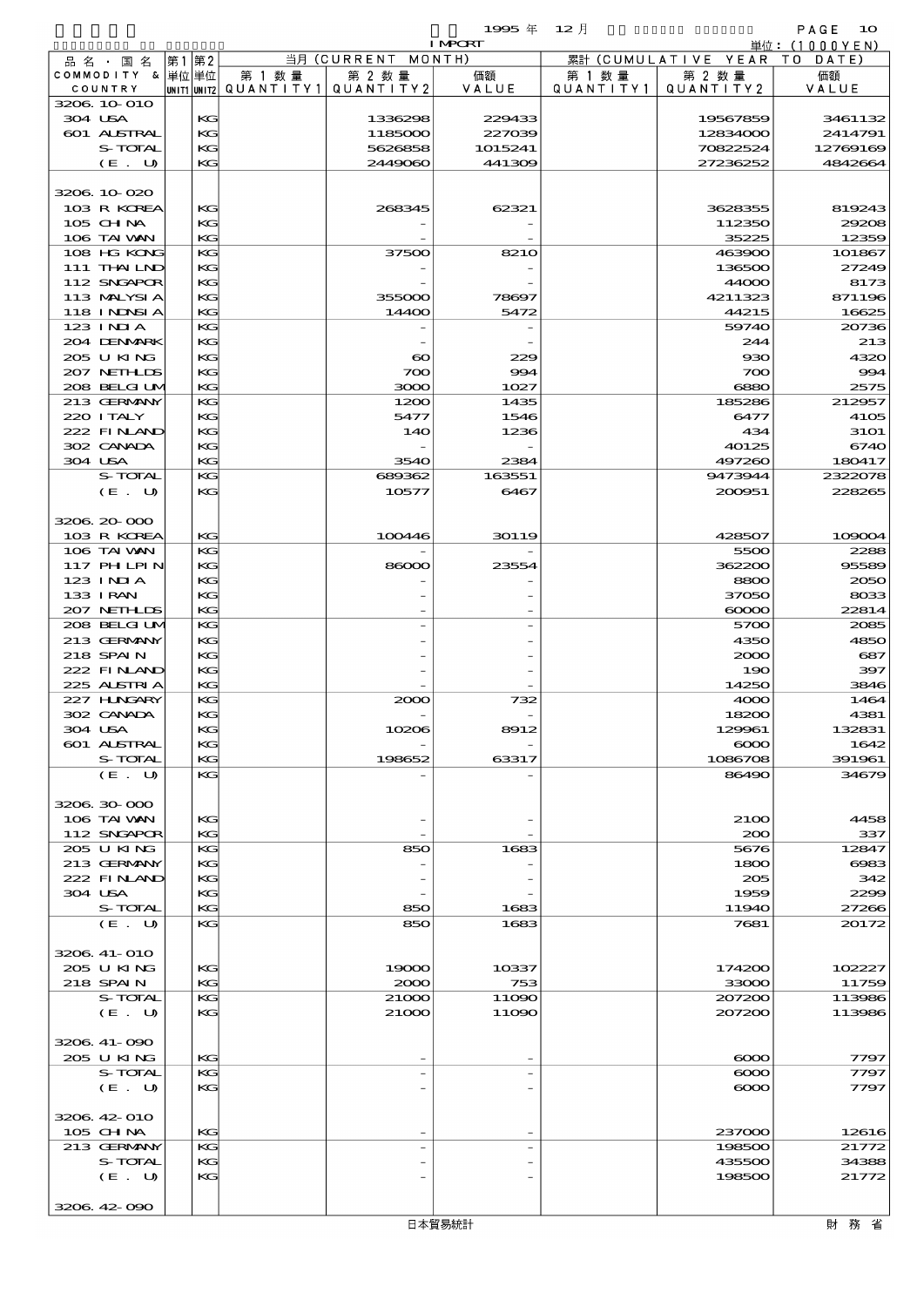$1995 \nsubseteq 12 \nexists$ 

|                            |          |                                       |                       | <b>I MPORT</b> |           |                              | 単位: (1000YEN)   |
|----------------------------|----------|---------------------------------------|-----------------------|----------------|-----------|------------------------------|-----------------|
| 品名・国名                      | 第1 第2    |                                       | 当月 (CURRENT MONTH)    |                |           | 累計 (CUMULATIVE YEAR TO DATE) |                 |
| COMMODITY & 単位単位           |          | 第 1 数量                                | 第 2 数量                | 価額             | 第 1 数 量   | 第 2 数量                       | 価額              |
| COUNTRY                    |          | UNIT1 UNIT2  QUANT   TY1  QUANT   TY2 |                       | VALUE          | QUANTITY1 | QUANTITY 2                   | VALUE           |
| 3206 10 010                |          |                                       |                       |                |           |                              |                 |
| 304 USA                    | KG       |                                       | 1336298               | 229433         |           | 19567859                     | 3461132         |
| 601 ALSTRAL                | KG       |                                       | 1185000               | 227039         |           | 12834000                     | 2414791         |
| S-TOTAL                    | KG       |                                       | 5626858               | 1015241        |           | 70822524                     | 12769169        |
| (E. U)                     | KG       |                                       | 2449060               | 441309         |           | 27236252                     | 4842664         |
|                            |          |                                       |                       |                |           |                              |                 |
| 3206.10-020<br>103 R KOREA |          |                                       |                       | 62321          |           |                              |                 |
| 105 CH NA                  | KG<br>KG |                                       | 268345                |                |           | 3628355<br>112350            | 819243<br>29208 |
| 106 TAI VAN                | KG       |                                       |                       |                |           | 35225                        | 12359           |
| 108 HG KONG                | KG       |                                       | 37500                 | <b>8210</b>    |           | 463900                       | 101867          |
| 111 THAILND                | КG       |                                       |                       |                |           | 136500                       | 27249           |
| 112 SNGAPOR                | KG       |                                       |                       |                |           | 44000                        | 8173            |
| 113 MALYSIA                | KG       |                                       | 355000                | 78697          |           | 4211323                      | 871196          |
| 118 I NDSI A               | KG       |                                       | 14400                 | 5472           |           | 44215                        | 16625           |
| 123 INIA                   | KG       |                                       |                       |                |           | 59740                        | 20736           |
| 204 DENMARK                | КG       |                                       |                       |                |           | 244                          | 213             |
| 205 U KING                 | KG       |                                       | $\boldsymbol{\infty}$ | 229            |           | 930                          | 4320            |
| 207 NETH LIS               | KG       |                                       | 700                   | 994            |           | 700                          | 994             |
| 208 BELGI UM               | KG       |                                       | 3000                  | 1027           |           | 6880                         | 2575            |
| 213 GERMANY                | KG       |                                       | 1200                  | 1435           |           | 185286                       | 212957          |
| 220 I TALY                 | KG       |                                       | 5477                  | 1546           |           | 6477                         | 4105            |
| 222 FINAND                 | KG       |                                       | <b>14O</b>            | 1236           |           | 434                          | <b>31O1</b>     |
| 302 CANADA                 | KG       |                                       |                       |                |           | 40125                        | 6740            |
| 304 USA                    | KG       |                                       | 3540                  | 2384           |           | 497260                       | 180417          |
| S-TOTAL                    | KG       |                                       | 689362                | 163551         |           | 9473944                      | 2322078         |
| (E. U)                     | KG       |                                       | 10577                 | 6467           |           | 200951                       | 228265          |
|                            |          |                                       |                       |                |           |                              |                 |
| 3206 20 000                |          |                                       |                       |                |           |                              |                 |
| 103 R KOREA                | KG       |                                       | 100446                | 30119          |           | 428507                       | 109004          |
| 106 TAI VAN                | KG       |                                       |                       |                |           | 5500                         | 2288            |
| 117 PHLPIN                 | KG       |                                       | 86000                 | 23554          |           | 362200                       | 95589           |
| $123$ $1$ NIA              | KG       |                                       |                       |                |           | 8800                         | 2050            |
| 133 I RAN                  | KG       |                                       |                       |                |           | 37050                        | 8033            |
| 207 NETHLIS                | KG       |                                       |                       |                |           | $\infty$                     | 22814           |
| 208 BELGI UM               | KG       |                                       |                       |                |           | 5700                         | 2085            |
| 213 GERMANY                | KG       |                                       |                       |                |           | 4350                         | 4850            |
| 218 SPAIN                  | KG       |                                       |                       |                |           | 2000                         | 687             |
| 222 FINAND                 | KG       |                                       |                       |                |           | 190                          | 397             |
| 225 ALSTRIA                | KG       |                                       |                       |                |           | 14250                        | 3846            |
| 227 H.NGARY                | KG       |                                       | 2000                  | 732            |           | 4000                         | 1464            |
| 302 CANADA                 | KG       |                                       |                       |                |           | 18200                        | 4381            |
| 304 USA                    | KG       |                                       | 10206                 | 8912           |           | 129961                       | 132831          |
| <b>601 ALSTRAL</b>         | KG       |                                       |                       |                |           | $\infty$                     | 1642            |
| S-TOTAL                    | KG       |                                       | 198652                | 63317          |           | 1086708                      | 391961          |
| (E. U)                     | KG       |                                       |                       |                |           | 86490                        | 34679           |
|                            |          |                                       |                       |                |           |                              |                 |
| 3206 30 000                |          |                                       |                       |                |           |                              |                 |
| 106 TAI VAN                | KG       |                                       |                       |                |           | 2100                         | 4458            |
| 112 SNGAPOR                | KG       |                                       |                       |                |           | 200                          | 337             |
| 205 U KING                 | KG       |                                       | 850                   | 1683           |           | 5676                         | 12847           |
| 213 GERMANY                | KG       |                                       |                       |                |           | 1800                         | 6983            |
| 222 FINAND                 | KG       |                                       |                       |                |           | 205                          | 342<br>2299     |
| 304 USA<br>S-TOTAL         | KC       |                                       |                       |                |           | 1959                         |                 |
| (E. U)                     | KG<br>KG |                                       | 850<br>850            | 1683<br>1683   |           | 11940<br>7681                | 27266<br>20172  |
|                            |          |                                       |                       |                |           |                              |                 |
| 3206 41-010                |          |                                       |                       |                |           |                              |                 |
| 205 U KING                 | KG       |                                       | 19000                 | 10337          |           | 174200                       | 102227          |
| 218 SPAIN                  | KG       |                                       | 2000                  | 753            |           | 33000                        | 11759           |
| S-TOTAL                    | KG       |                                       | 21000                 | 11090          |           | 207200                       | 113986          |
| (E. U)                     | $K$ $G$  |                                       | 21000                 | 11090          |           | 207200                       | 113986          |
|                            |          |                                       |                       |                |           |                              |                 |
| 3206.41-090                |          |                                       |                       |                |           |                              |                 |
| 205 U KING                 | KG       |                                       |                       |                |           | $\infty$                     | 7797            |
| S-TOTAL                    | KG       |                                       |                       |                |           | $\infty$                     | 7797            |
| (E. U)                     | $K$ $G$  |                                       |                       |                |           | $\infty$                     | 7797            |
|                            |          |                                       |                       |                |           |                              |                 |
| 3206.42-010                |          |                                       |                       |                |           |                              |                 |
| 105 CHNA                   | KG       |                                       |                       |                |           | 237000                       | 12616           |
| 213 GERMANY                | KG       |                                       |                       |                |           | 198500                       | 21772           |
| S-TOTAL                    | KG       |                                       |                       |                |           | 435500                       | 34388           |
| (E. U)                     | KG       |                                       |                       |                |           | 198500                       | 21772           |
|                            |          |                                       |                       |                |           |                              |                 |
| 3206 42 090                |          |                                       |                       |                |           |                              |                 |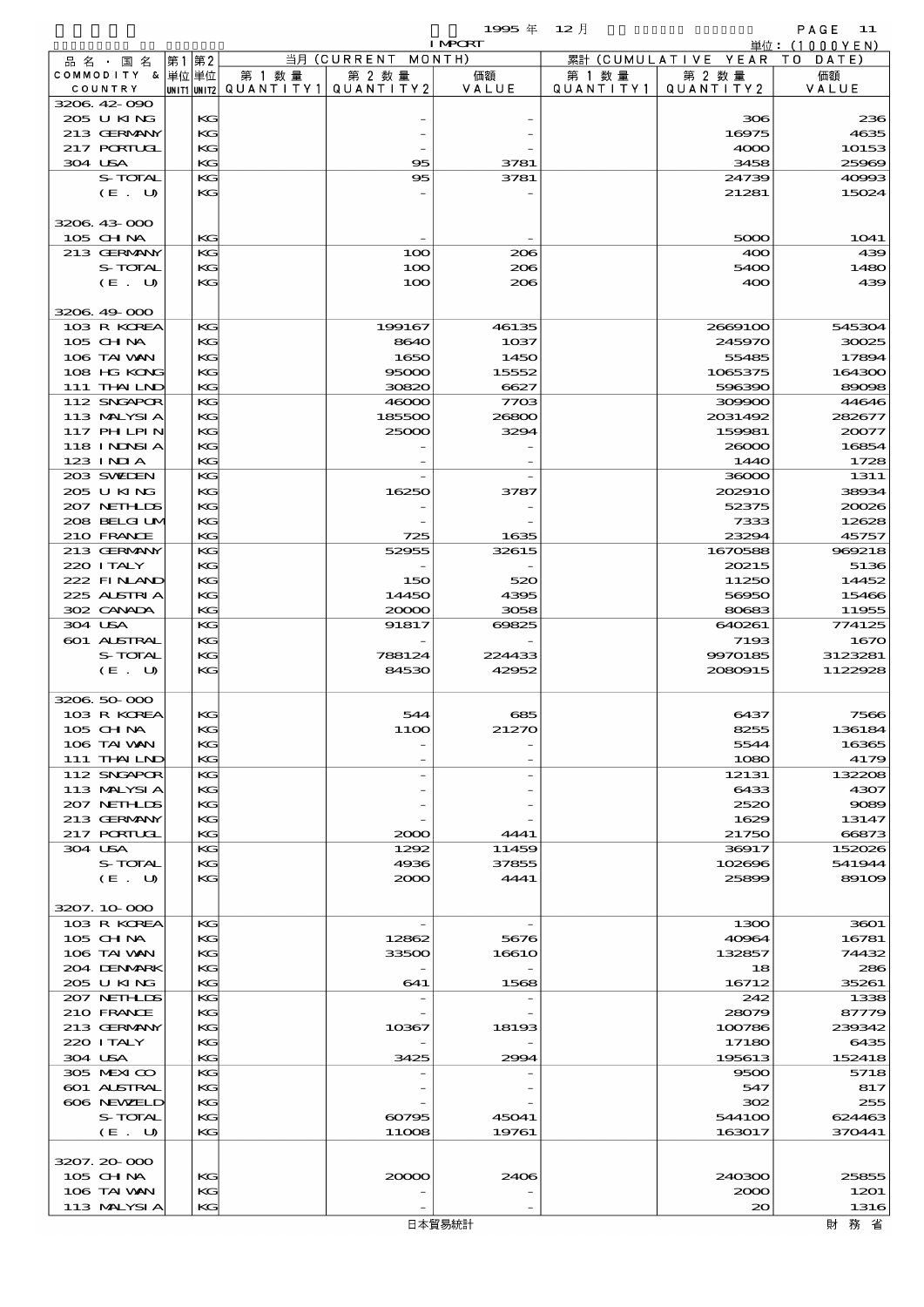$1995 \frac{1}{4}$   $12 \frac{1}{1}$  PAGE 11

|                             |    |          |        |                                       | <b>I MPORT</b> |           |                              | 単位: (1000YEN)  |
|-----------------------------|----|----------|--------|---------------------------------------|----------------|-----------|------------------------------|----------------|
| 品名・国名                       | 第1 | 第2       |        | 当月 (CURRENT                           | MONTH)         |           | 累計 (CUMULATIVE YEAR TO DATE) |                |
| COMMODITY & 単位単位            |    |          | 第 1 数量 | 第 2 数量                                | 価額             | 第 1 数 量   | 第 2 数量                       | 価額             |
| COUNTRY                     |    |          |        | UNIT1 UNIT2  QUANT I TY1  QUANT I TY2 | VALUE          | QUANTITY1 | QUANTITY 2                   | VALUE          |
| 3206 42 090<br>205 U KING   |    | KG       |        |                                       |                |           | 306                          | 236            |
| 213 GERMANY                 |    | KG       |        |                                       |                |           | 16975                        | 4635           |
| 217 PORTUGL                 |    | KG       |        |                                       |                |           | 4000                         | 10153          |
| 304 USA                     |    | KG       |        | 95                                    | 3781           |           | 3458                         | 25969          |
| S-TOTAL                     |    | KG       |        | 95                                    | 3781           |           | 24739                        | 40993          |
| (E. U)                      |    | KG       |        |                                       |                |           | 21281                        | 15024          |
|                             |    |          |        |                                       |                |           |                              |                |
| 3206 43 000                 |    |          |        |                                       |                |           |                              |                |
| 105 CHNA                    |    | KG       |        |                                       |                |           | 5000                         | 1041           |
| 213 GERMANY                 |    | KG       |        | 100                                   | 206            |           | 400                          | 439            |
| S-TOTAL                     |    | KG       |        | 100                                   | 206            |           | 5400                         | 1480           |
| (E. U)                      |    | KG       |        | 100                                   | 206            |           | 400                          | 439            |
| 3206 49 000                 |    |          |        |                                       |                |           |                              |                |
| 103 R KOREA                 |    | KG       |        | 199167                                | 46135          |           | 2669100                      | 545304         |
| 105 CH NA                   |    | KG       |        | 8640                                  | $10$ 37        |           | 245970                       | 30025          |
| 106 TAI VAN                 |    | KG       |        | 1650                                  | 1450           |           | 55485                        | 17894          |
| 108 HG KONG                 |    | KG       |        | 95000                                 | 15552          |           | 1065375                      | 164300         |
| 111 THAILND                 |    | KG       |        | 30820                                 | 6627           |           | 596390                       | 89098          |
| 112 SNGAPOR                 |    | KG       |        | 46000                                 | 7703           |           | 309900                       | 44646          |
| 113 MALYSIA                 |    | KG       |        | 185500                                | 26800          |           | 2031492                      | 282677         |
| 117 PH LPIN                 |    | KG       |        | 25000                                 | 3294           |           | 159981                       | 20077          |
| <b>118 INNSIA</b>           |    | KG       |        |                                       |                |           | 26000                        | 16854          |
| $123$ INIA                  |    | KG       |        |                                       |                |           | 1440                         | 1728           |
| 203 SWIEN                   |    | KG       |        |                                       |                |           | 36000                        | 1311           |
| 205 U KING                  |    | KG       |        | 16250                                 | 3787           |           | 202910                       | 38934          |
| 207 NETHLIS                 |    | KG       |        |                                       |                |           | 52375                        | 20026          |
| 208 BELGI UM                |    | KG       |        |                                       |                |           | 7333                         | 12628          |
| 210 FRANCE                  |    | KG       |        | 725                                   | 1635           |           | 23291                        | 45757          |
| 213 GERMANY<br>220 I TALY   |    | KG       |        | 52955                                 | 32615          |           | 1670588                      | 969218         |
| 222 FINAND                  |    | KG<br>KG |        | 150                                   | 520            |           | 20215<br>11250               | 5136<br>14452  |
| 225 ALSTRIA                 |    | KG       |        | 14450                                 | 4395           |           | 56950                        | 15466          |
| 302 CANADA                  |    | KG       |        | 20000                                 | 3058           |           | 80683                        | 11955          |
| 304 USA                     |    | KG       |        | 91817                                 | 69825          |           | 640261                       | 774125         |
| 601 ALSTRAL                 |    | KG       |        |                                       |                |           | 7193                         | 1670           |
| S-TOTAL                     |    | KG       |        | 788124                                | 224433         |           | 9970185                      | 3123281        |
| (E. U)                      |    | KG       |        | 84530                                 | 42952          |           | 2080915                      | 1122928        |
|                             |    |          |        |                                       |                |           |                              |                |
| 3206 50 000                 |    |          |        |                                       |                |           |                              |                |
| 103 R KOREA                 |    | KG       |        | 544                                   | 685            |           | 6437                         | 7566           |
| 105 CHNA                    |    | KG       |        | 1100                                  | 21270          |           | 8255                         | 136184         |
| 106 TAI VAN                 |    | KG       |        |                                       |                |           | 5544                         | 16365          |
| 111 THAILND                 |    | KG       |        |                                       |                |           | 1080                         | 4179           |
| 112 SNGAPOR                 |    | KG       |        |                                       |                |           | 12131                        | 132208         |
| 113 MALYSIA                 |    | KG       |        |                                       |                |           | 6433                         | 4307           |
| 207 NETHLIDS<br>213 GERMANY |    | KG<br>KG |        |                                       |                |           | 2520<br>1629                 | 9089<br>13147  |
| $217$ PORTUCE               |    | KG       |        | 2000                                  | 4441           |           | 21750                        | 66873          |
| 304 USA                     |    | KG       |        | 1292                                  | 11459          |           | 36917                        | 152026         |
| S-TOTAL                     |    | KG       |        | 4936                                  | 37855          |           | 102696                       | 541944         |
| (E. U)                      |    | KG       |        | 2000                                  | 4441           |           | 25899                        | 89109          |
|                             |    |          |        |                                       |                |           |                              |                |
| 3207.10.000                 |    |          |        |                                       |                |           |                              |                |
| 103 R KOREA                 |    | KG       |        |                                       |                |           | 1300                         | 3601           |
| 105 CHNA                    |    | KG       |        | 12862                                 | 5676           |           | 40964                        | 16781          |
| 106 TAI VAN                 |    | KG       |        | 33500                                 | 16610          |           | 132857                       | 74432          |
| 204 DENMARK                 |    | KG       |        |                                       |                |           | 18                           | 286            |
| 205 U KING                  |    | KG       |        | 641                                   | 1568           |           | 16712                        | 35261          |
| 207 NETHLIS                 |    | KG       |        |                                       |                |           | 242                          | 1338           |
| 210 FRANCE                  |    | KG       |        |                                       |                |           | 28079                        | 87779          |
| 213 GERMANY<br>220 I TALY   |    | KG<br>KG |        | 10367                                 | 18193          |           | 100786<br>17180              | 239342<br>6435 |
| 304 USA                     |    | KG       |        | 3425                                  | 2994           |           | 195613                       | 152418         |
| 305 MEXICO                  |    | KG       |        |                                       |                |           | 9500                         | 5718           |
| <b>601 ALSTRAL</b>          |    | KG       |        |                                       |                |           | 547                          | 817            |
| 606 NEWELD                  |    | KG       |        |                                       |                |           | 302                          | 255            |
| S-TOTAL                     |    | KG       |        | 60795                                 | 45041          |           | 544100                       | 624463         |
| (E. U)                      |    | KG       |        | 11008                                 | 19761          |           | 163017                       | 370441         |
|                             |    |          |        |                                       |                |           |                              |                |
| 3207.20-000                 |    |          |        |                                       |                |           |                              |                |
| $105$ CHNA                  |    | KG       |        | 20000                                 | 2406           |           | 240300                       | 25855          |
| 106 TAI VAN                 |    | KG       |        |                                       |                |           | 2000                         | 1201           |
| 113 MALYSIA                 |    | KG       |        |                                       |                |           | $\infty$                     | 1316           |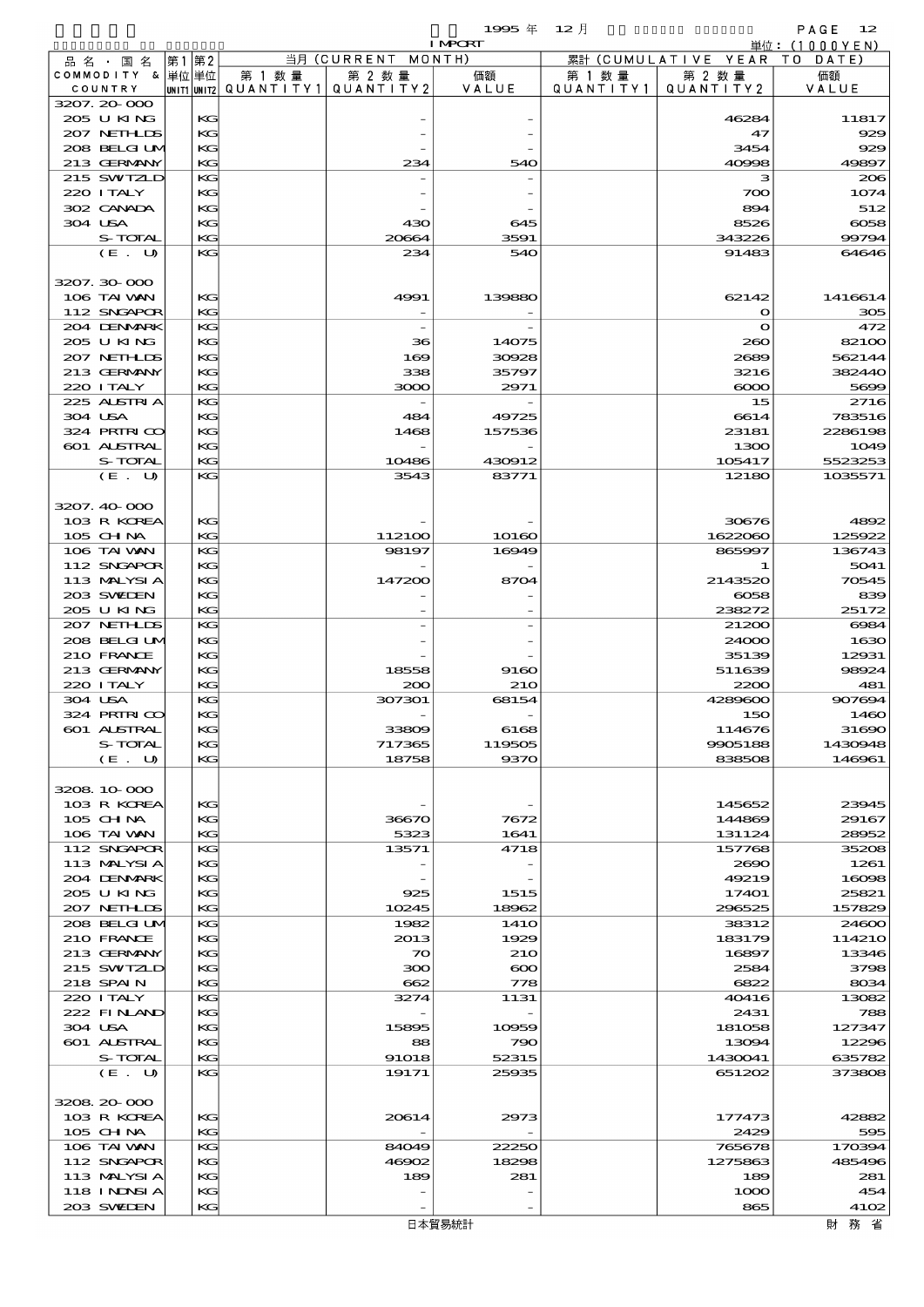$1995 \nleftrightarrow 12 \nparallel$  PAGE 12

|                           |      |          |                                       |                    | <b>I MPORT</b> |           |                              | 単位: (1000YEN) |
|---------------------------|------|----------|---------------------------------------|--------------------|----------------|-----------|------------------------------|---------------|
| 品名・国名                     | 第1第2 |          |                                       | 当月 (CURRENT MONTH) |                |           | 累計 (CUMULATIVE YEAR TO DATE) |               |
| COMMODITY & 単位単位          |      |          | 第 1 数量                                | 第 2 数量             | 価額             | 第 1 数 量   | 第 2 数量                       | 価額            |
| COUNTRY                   |      |          | UNIT1 UNIT2  QUANT I TY1  QUANT I TY2 |                    | VALUE          | QUANTITY1 | QUANTITY 2                   | VALUE         |
| 3207.20-000<br>205 U KING |      |          |                                       |                    |                |           | 46284                        | 11817         |
| 207 NETHLIS               |      | KG<br>KG |                                       |                    |                |           | 47                           | 929           |
| 208 BELGI UM              |      | KG       |                                       |                    |                |           | 3454                         | 929           |
| 213 GERMANY               |      | KG       |                                       | 234                | 540            |           | 40998                        | 49897         |
| 215 SWIZLD                |      | KG       |                                       |                    |                |           | з                            | 206           |
| 220 I TALY                |      | KG       |                                       |                    |                |           | 700                          | 1074          |
| 302 CANADA                |      | KС       |                                       |                    |                |           | 894                          | 512           |
| 304 USA                   |      | KG       |                                       | 430                | 645            |           | 8526                         | $\cos$        |
| S-TOTAL                   |      | KG       |                                       | 20664              | 3591           |           | 343226                       | 99794         |
| (E. U)                    |      | KG       |                                       | 234                | 540            |           | 91483                        | 64646         |
|                           |      |          |                                       |                    |                |           |                              |               |
| 3207.30 000               |      |          |                                       |                    |                |           |                              |               |
| 106 TAI VAN               |      | KG       |                                       | 4991               | 139880         |           | 62142                        | 1416614       |
| 112 SNGAPOR               |      | KG       |                                       |                    |                |           | $\mathbf o$                  | 305           |
| 204 DENMARK               |      | KG       |                                       |                    |                |           | $\mathbf o$                  | 472           |
| 205 U KING                |      | KG       |                                       | 36                 | 14075          |           | 260                          | 82100         |
| 207 NETHLIS               |      | KС       |                                       | 169                | 30928          |           | 2689                         | 562144        |
| 213 GERMANY               |      | KG<br>KG |                                       | 338                | 35797          |           | 3216                         | 382440        |
| 220 I TALY                |      |          |                                       | 3000               | 2971           |           | $\infty$<br>15               | 5699<br>2716  |
| 225 ALSTRIA<br>304 USA    |      | КG<br>KG |                                       | 484                | 49725          |           | 6614                         | 783516        |
| 324 PRIRICO               |      | KС       |                                       | 1468               | 157536         |           | 23181                        | 2286198       |
| 601 ALSTRAL               |      | KG       |                                       |                    |                |           | 1300                         | 1049          |
| S-TOTAL                   |      | KG       |                                       | 10486              | 430912         |           | 105417                       | 5523253       |
| (E. U)                    |      | KG       |                                       | 3543               | 83771          |           | 12180                        | 1035571       |
|                           |      |          |                                       |                    |                |           |                              |               |
| 3207.40.000               |      |          |                                       |                    |                |           |                              |               |
| 103 R KOREA               |      | KG       |                                       |                    |                |           | 30676                        | 4892          |
| 105 CHNA                  |      | KG       |                                       | 112100             | 10160          |           | 1622060                      | 125922        |
| 106 TAI VAN               |      | КG       |                                       | 98197              | 16949          |           | 865997                       | 136743        |
| 112 SNGAPOR               |      | KС       |                                       |                    |                |           |                              | 5041          |
| 113 MALYSIA               |      | KС       |                                       | 147200             | 8704           |           | 2143520                      | 70545         |
| 203 SWIEN                 |      | KG       |                                       |                    |                |           | 6058                         | 839           |
| 205 U KING                |      | KG       |                                       |                    |                |           | 238272                       | 25172         |
| 207 NETHLIDS              |      | KG       |                                       |                    |                |           | 21200                        | 6984          |
| 208 BELGI UM              |      | KС       |                                       |                    |                |           | 24000                        | 1630          |
| 210 FRANCE                |      | KС       |                                       |                    |                |           | 35139                        | 12931         |
| 213 GERMANY               |      | KG       |                                       | 18558              | 9160           |           | 511639                       | 98924         |
| 220 I TALY                |      | KG       |                                       | 200                | <b>210</b>     |           | 2200                         | 481           |
| 304 USA                   |      | KG       |                                       | 307301             | 68154          |           | 4289600                      | 907694        |
| 324 PRIRICO               |      | KG       |                                       |                    |                |           | 150                          | 1460          |
| 601 ALSTRAL               |      | KG       |                                       | 33809              | 6168           |           | 114676                       | 31690         |
| S-TOTAL                   |      | KG       |                                       | 717365             | 119505         |           | 9905188                      | 1430948       |
| (E. U)                    |      | KG       |                                       | 18758              | 9370           |           | 838508                       | 146961        |
| 3208 10 000               |      |          |                                       |                    |                |           |                              |               |
| 103 R KOREA               |      | KG       |                                       |                    |                |           | 145652                       | 23945         |
| $105$ CHNA                |      | KG       |                                       | 36670              | 7672           |           | 144869                       | 29167         |
| 106 TAI VAN               |      | KG       |                                       | 5323               | 1641           |           | 131124                       | 28952         |
| 112 SNGAPOR               |      | KG       |                                       | 13571              | 4718           |           | 157768                       | 35208         |
| 113 MALYSIA               |      | KG       |                                       |                    |                |           | 2690                         | 1261          |
| 204 DENMARK               |      | KG       |                                       |                    |                |           | 49219                        | 16098         |
| 205 U KING                |      | KG       |                                       | 925                | 1515           |           | 17401                        | 25821         |
| 207 NETHLIS               |      | KG       |                                       | 10245              | 18962          |           | 296525                       | 157829        |
| 208 BELGI UM              |      | KG       |                                       | 1982               | 141O           |           | 38312                        | 24600         |
| 210 FRANCE                |      | KG       |                                       | 2013               | 1929           |           | 183179                       | 114210        |
| 213 GERMANY               |      | KG       |                                       | $\infty$           | <b>210</b>     |           | 16897                        | 13346         |
| 215 SWIZLD                |      | KG       |                                       | 300                | $\infty$       |           | 2584                         | 3798          |
| 218 SPAIN                 |      | KG       |                                       | 662                | 778            |           | 6822                         | 8034          |
| 220 I TALY                |      | KG       |                                       | 3274               | 1131           |           | 40416                        | 13082         |
| 222 FINAND                |      | KG       |                                       |                    |                |           | 2431                         | 788           |
| 304 USA                   |      | KG       |                                       | 15895              | 10959          |           | 181058                       | 127347        |
| 601 ALSTRAL               |      | KG       |                                       | 88                 | 790            |           | 13094                        | 12296         |
| S-TOTAL                   |      | KG<br>КC |                                       | 91018              | 52315          |           | 1430041                      | 635782        |
| (E. U)                    |      |          |                                       | 19171              | 25935          |           | 651202                       | 373808        |
| 3208 20 000               |      |          |                                       |                    |                |           |                              |               |
| 103 R KOREA               |      | KG       |                                       | 20614              | 2973           |           | 177473                       | 42882         |
| 105 CH NA                 |      | KG       |                                       |                    |                |           | 2429                         | 595           |
| 106 TAI VAN               |      | KG       |                                       | 84049              | 22250          |           | 765678                       | 170394        |
| 112 SNGAPOR               |      | KG       |                                       | 46902              | 18298          |           | 1275863                      | 485496        |
| 113 MALYSIA               |      | KG       |                                       | 189                | 281            |           | 189                          | 281           |
| 118 I NDSI A              |      | KG       |                                       |                    |                |           | 1000                         | 454           |
| 203 SWIEN                 |      | KG       |                                       |                    |                |           | 865                          | 4102          |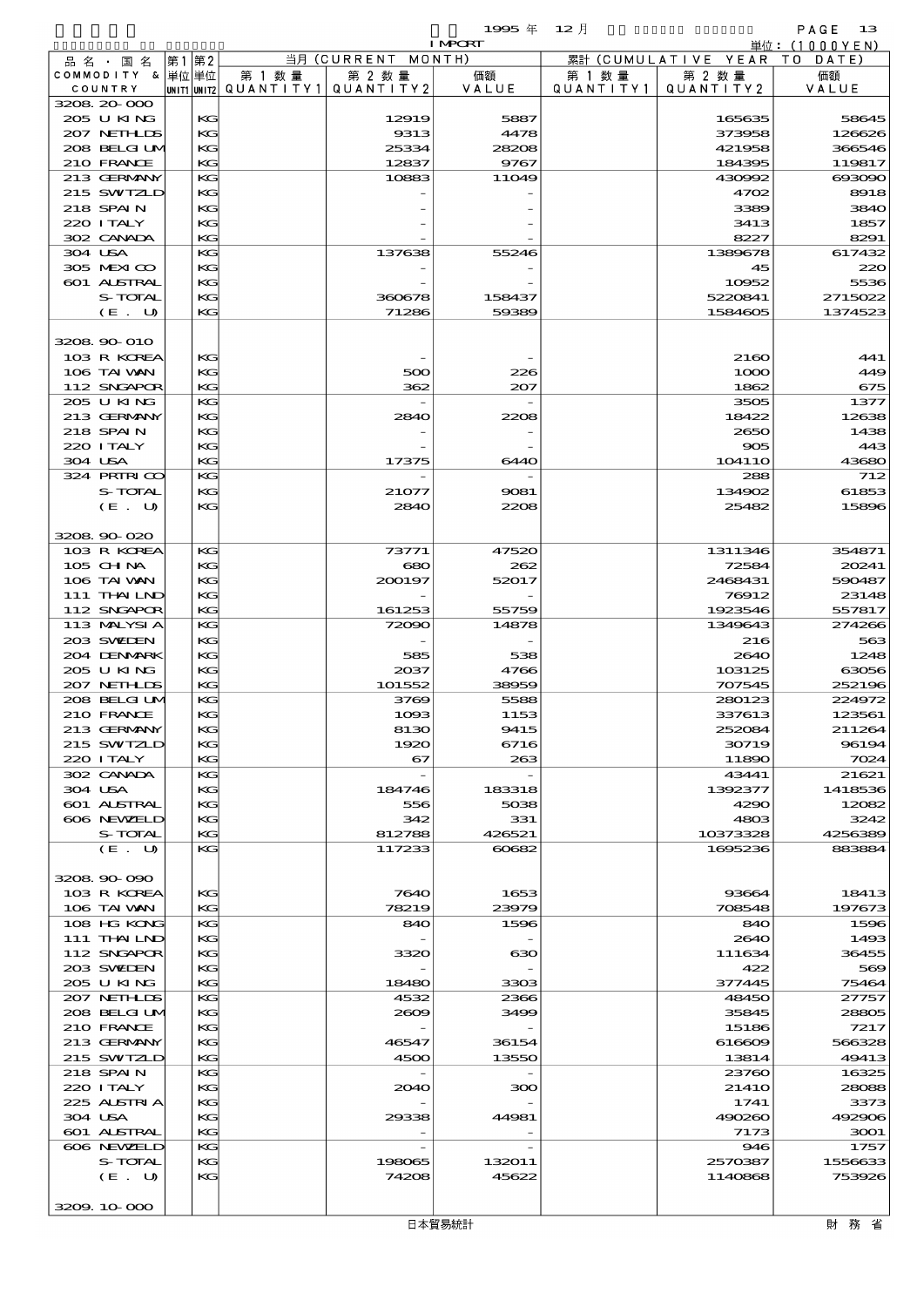$1995 \nleftrightarrow 12 \nparallel$  PAGE 13

|                  |       |    |                                          |                          | <b>I MPORT</b> |           |                              | 単位: (1000 Y E N ) |
|------------------|-------|----|------------------------------------------|--------------------------|----------------|-----------|------------------------------|-------------------|
| 品名・国名            | 第1 第2 |    |                                          | 当月 (CURRENT MONTH)       |                |           | 累計 (CUMULATIVE YEAR TO DATE) |                   |
| COMMODITY & 単位単位 |       |    | 第 1 数量                                   | 第 2 数量                   | 価額             | 第 1 数量    | 第 2 数量                       | 価額                |
| COUNTRY          |       |    | UNIT1 UNIT2  QUANT I TY 1   QUANT I TY 2 |                          | VALUE          | QUANTITY1 | QUANTITY 2                   | VALUE             |
| 3208 20 000      |       |    |                                          |                          |                |           |                              |                   |
| 205 U KING       |       | КG |                                          | 12919                    | 5887           |           | 165635                       | 58645             |
| 207 NETHLIS      |       | KG |                                          | 9313                     | 4478           |           | 373958                       | 126626            |
| 208 BELGI UM     |       | KG |                                          | 25334                    | 28208          |           | 421958                       | 366546            |
| 210 FRANCE       |       | KG |                                          | 12837                    | 9767           |           | 184395                       | 119817            |
| 213 GERMANY      |       | KG |                                          | 10883                    | 11049          |           | 430992                       | 693090            |
|                  |       |    |                                          |                          |                |           |                              |                   |
| 215 SWIZLD       |       | KG |                                          |                          |                |           | 4702                         | 8918              |
| 218 SPAIN        |       | KG |                                          |                          |                |           | 3389                         | 3840              |
| 220 I TALY       |       | KG |                                          |                          |                |           | 3413                         | 1857              |
| 302 CANADA       |       | KG |                                          |                          |                |           | 8227                         | 8291              |
| 304 USA          |       | KG |                                          | 137638                   | 55246          |           | 1389678                      | 617432            |
| 305 MEXICO       |       | KG |                                          |                          |                |           | 45                           | 220               |
| 601 ALSTRAL      |       | KG |                                          |                          |                |           | 10952                        | 5536              |
| S-TOTAL          |       | KG |                                          | 360678                   | 158437         |           | 5220841                      | 2715022           |
| (E. U)           |       | KG |                                          | 71286                    | 59389          |           | 1584605                      | 1374523           |
|                  |       |    |                                          |                          |                |           |                              |                   |
| 3208 90 010      |       |    |                                          |                          |                |           |                              |                   |
|                  |       |    |                                          |                          |                |           |                              |                   |
| 103 R KOREA      |       | KG |                                          |                          |                |           | 2160                         | 441               |
| 106 TAI VAN      |       | KG |                                          | 500                      | 226            |           | 1000                         | 449               |
| 112 SNGAPOR      |       | KG |                                          | 362                      | 207            |           | 1862                         | 675               |
| 205 U KING       |       | KG |                                          |                          |                |           | 3505                         | 1377              |
| 213 GERMANY      |       | KG |                                          | 2840                     | 2208           |           | 18422                        | 12638             |
| 218 SPAIN        |       | KG |                                          |                          |                |           | 2650                         | 1438              |
| 220 ITALY        |       | KG |                                          |                          |                |           | 905                          | 443               |
| 304 USA          |       | KG |                                          | 17375                    | 6440           |           | 104110                       | 43680             |
|                  |       |    |                                          |                          |                |           |                              |                   |
| 324 PRIRICO      |       | KG |                                          |                          |                |           | 288                          | 712               |
| S-TOTAL          |       | KG |                                          | 21077                    | 9081           |           | 134902                       | 61853             |
| (E. U)           |       | KG |                                          | <b>2840</b>              | 2208           |           | 25482                        | 15896             |
|                  |       |    |                                          |                          |                |           |                              |                   |
| 3208.90-020      |       |    |                                          |                          |                |           |                              |                   |
| 103 R KOREA      |       | KG |                                          | 73771                    | 47520          |           | 1311346                      | 354871            |
| 105 CH NA        |       | KG |                                          | 680                      | 262            |           | 72584                        | 20241             |
| 106 TAI VAN      |       | KG |                                          | 200197                   | 52017          |           | 2468431                      | 590487            |
|                  |       |    |                                          |                          |                |           |                              |                   |
| 111 THAILND      |       | KG |                                          |                          |                |           | 76912                        | 23148             |
| 112 SNGAPOR      |       | KG |                                          | 161253                   | 55759          |           | 1923546                      | 557817            |
| 113 MALYSIA      |       | KG |                                          | 72090                    | 14878          |           | 1349643                      | 274266            |
| 203 SVELEN       |       | KG |                                          |                          |                |           | 216                          | 563               |
| 204 DENMARK      |       | KG |                                          | 585                      | 538            |           | 2640                         | 1248              |
| 205 U KING       |       | KG |                                          | 2037                     | 4766           |           | 103125                       | 63056             |
| 207 NETHLIS      |       | KG |                                          | 101552                   | 38959          |           | 707545                       | 252196            |
| 208 BELGI UM     |       | KG |                                          | 3769                     | 5588           |           | 280123                       | 224972            |
| 210 FRANCE       |       | KG |                                          | 1093                     | 1153           |           | 337613                       | 123561            |
| 213 GERMANY      |       | KG |                                          | 8130                     | 9415           |           | 252084                       | 211264            |
|                  |       |    |                                          |                          |                |           |                              |                   |
| 215 SWIZLD       |       | КG |                                          | 1920                     | 6716           |           | 30719                        | 96194             |
| 220 I TALY       |       | KG |                                          | 67                       | 263            |           | 11890                        | 7024              |
| 302 CANADA       |       | KG |                                          | $\overline{\phantom{a}}$ |                |           | 43441                        | 21621             |
| 304 USA          |       | KG |                                          | 184746                   | 183318         |           | 1392377                      | 1418536           |
| 601 ALSTRAL      |       | KG |                                          | 556                      | 5038           |           | 4290                         | 12082             |
| 606 NEWELD       |       | KG |                                          | 342                      | 331            |           | 4803                         | 3242              |
| S-TOTAL          |       | KG |                                          | 812788                   | 426521         |           | 10373328                     | 4256389           |
| (E. U)           |       | KG |                                          | 117233                   | 60682          |           | 1695236                      | 883884            |
|                  |       |    |                                          |                          |                |           |                              |                   |
| 3208 90 090      |       |    |                                          |                          |                |           |                              |                   |
|                  |       |    |                                          |                          |                |           |                              |                   |
| 103 R KOREA      |       | KG |                                          | 7640                     | 1653           |           | 93664                        | 18413             |
| 106 TAI VAN      |       | KG |                                          | 78219                    | 23979          |           | 708548                       | 197673            |
| 108 HG KONG      |       | KG |                                          | 840                      | 1596           |           | 840                          | 1596              |
| 111 THAILND      |       | KG |                                          |                          |                |           | 2640                         | 1493              |
| 112 SNGAPOR      |       | KG |                                          | 3320                     | 630            |           | 111634                       | 36455             |
| 203 SWIDEN       |       | KG |                                          |                          |                |           | 422                          | 569               |
| 205 U KING       |       | KG |                                          | 18480                    | 3303           |           | 377445                       | 75464             |
| 207 NETHLIS      |       | KG |                                          | 4532                     | 2366           |           | 48450                        | 27757             |
| 208 BELGI UM     |       | KG |                                          | 2609                     | 3499           |           | 35845                        | 28805             |
|                  |       |    |                                          |                          |                |           |                              |                   |
| 210 FRANCE       |       | KG |                                          |                          |                |           | 15186                        | 7217              |
| 213 GERMANY      |       | KG |                                          | 46547                    | 36154          |           | 616609                       | 566328            |
| 215 SWIZLD       |       | KG |                                          | 4500                     | 13550          |           | 13814                        | 49413             |
| 218 SPAIN        |       | KG |                                          |                          |                |           | 23760                        | 16325             |
| 220 I TALY       |       | KG |                                          | 2040                     | 300            |           | <b>21410</b>                 | 28088             |
| 225 ALSTRIA      |       | KG |                                          |                          |                |           | 1741                         | 3373              |
| 304 USA          |       | KG |                                          | 29338                    | 44981          |           | 490260                       | 492906            |
| 601 ALSTRAL      |       | KG |                                          |                          |                |           | 7173                         | 3001              |
| 606 NEWELD       |       | KG |                                          |                          |                |           | 946                          | 1757              |
| S-TOTAL          |       | KG |                                          | 198065                   | 132011         |           | 2570387                      | 1556633           |
|                  |       |    |                                          |                          |                |           |                              |                   |
| (E. U)           |       | KG |                                          | 74208                    | 45622          |           | 1140868                      | 753926            |
|                  |       |    |                                          |                          |                |           |                              |                   |

 $\frac{3209.10}{200}$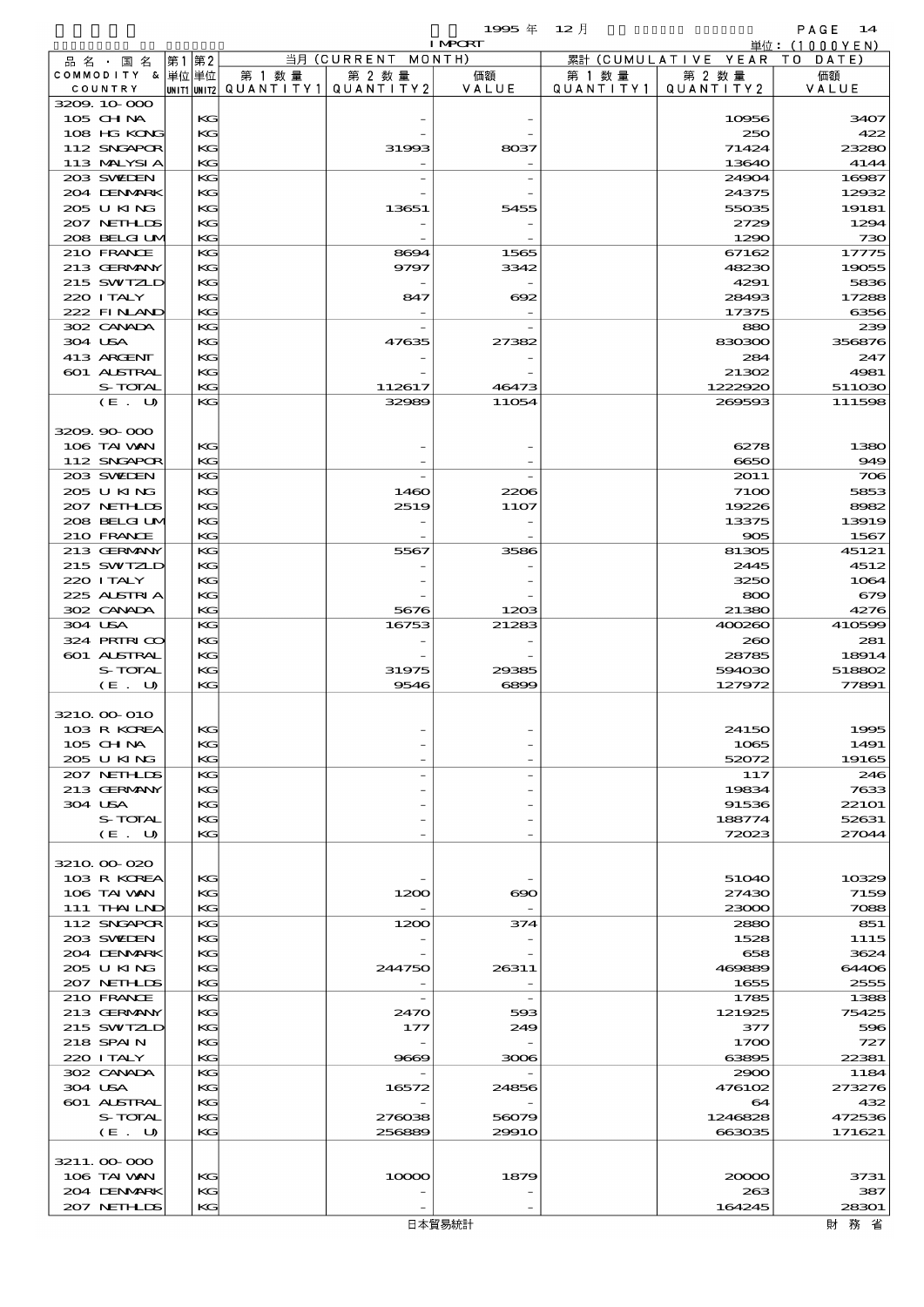$1995 \frac{1}{4}$   $12 \frac{1}{2}$ 

|                             |       |          |                                       |                    | <b>I MPORT</b>           |           |                              | 単位:(1000YEN)  |
|-----------------------------|-------|----------|---------------------------------------|--------------------|--------------------------|-----------|------------------------------|---------------|
| 品 名 ・ 国 名                   | 第1 第2 |          |                                       | 当月 (CURRENT MONTH) |                          |           | 累計 (CUMULATIVE YEAR TO DATE) |               |
| COMMODITY & 単位単位            |       |          | 第 1 数量                                | 第 2 数量             | 価額                       | 第 1 数 量   | 第 2 数量                       | 価額            |
| COUNTRY                     |       |          | UNIT1 UNIT2  QUANT I TY1  QUANT I TY2 |                    | VALUE                    | QUANTITY1 | QUANTITY 2                   | VALUE         |
| 3209.10.000<br>105 CH NA    |       | KG       |                                       |                    |                          |           | 10956                        | 3407          |
| 108 HG KONG                 |       | KG       |                                       |                    |                          |           | 250                          | 422           |
| 112 SNGAPOR                 |       | KG       |                                       | 31993              | 8037                     |           | 71424                        | 23280         |
| 113 MALYSIA                 |       | KG       |                                       |                    |                          |           | 13640                        | 4144          |
| 203 SWIEN                   |       | KG       |                                       |                    |                          |           | 24904                        | 16987         |
| 204 DENMARK                 |       | КG       |                                       |                    |                          |           | 24375                        | 12932         |
| 205 U KING                  |       | KG       |                                       | 13651              | 5455                     |           | 55035                        | 19181         |
| 207 NETHLIS                 |       | KG       |                                       |                    |                          |           | 2729                         | 1294          |
| 208 BELGI UM<br>210 FRANCE  |       | KG<br>KG |                                       | 8694               | 1565                     |           | 1290<br>67162                | 730<br>17775  |
| 213 GERMANY                 |       | КG       |                                       | 9797               | 3342                     |           | 48230                        | 19055         |
| 215 SWIZLD                  |       | KG       |                                       |                    |                          |           | 4291                         | 5836          |
| 220 I TALY                  |       | KС       |                                       | 847                | $\infty$                 |           | 28493                        | 17288         |
| 222 FINLAND                 |       | KG       |                                       |                    |                          |           | 17375                        | 6356          |
| 302 CANADA                  |       | KG       |                                       |                    |                          |           | 880                          | 239           |
| 304 USA                     |       | КG       |                                       | 47635              | 27382                    |           | 830300                       | 356876        |
| 413 ARCENT<br>601 ALSTRAL   |       | KG       |                                       |                    |                          |           | 284                          | 247<br>4981   |
| S-TOTAL                     |       | KG<br>KG |                                       | 112617             | 46473                    |           | 21302<br>1222920             | 511030        |
| (E. U)                      |       | KG       |                                       | 32989              | 11054                    |           | 269593                       | 111598        |
|                             |       |          |                                       |                    |                          |           |                              |               |
| 3209.90-000                 |       |          |                                       |                    |                          |           |                              |               |
| 106 TAI VAN                 |       | KG       |                                       |                    |                          |           | 6278                         | 1380          |
| 112 SNGAPOR                 |       | KG       |                                       |                    |                          |           | 6650                         | 949           |
| 203 SWIEN                   |       | KG       |                                       |                    |                          |           | 2011                         | 706           |
| 205 U KING                  |       | KG       |                                       | 1460               | 2206                     |           | 7100                         | 5853          |
| 207 NETHLIS<br>208 BELGI UM |       | KG<br>KС |                                       | 2519               | 11O7                     |           | 19226<br>13375               | 8982<br>13919 |
| 210 FRANCE                  |       | KG       |                                       |                    |                          |           | 905                          | 1567          |
| 213 GERMANY                 |       | KG       |                                       | 5567               | 3586                     |           | 81305                        | 45121         |
| 215 SWIZLD                  |       | KG       |                                       |                    |                          |           | 2445                         | 4512          |
| 220 I TALY                  |       | KG       |                                       |                    |                          |           | 3250                         | 1064          |
| 225 ALSTRIA                 |       | KС       |                                       |                    |                          |           | 800                          | 679           |
| 302 CANADA                  |       | KG       |                                       | 5676               | 1203                     |           | 21380                        | 4276          |
| 304 USA<br>324 PRIRICO      |       | KG       |                                       | 16753              | 21283                    |           | 400260                       | 410599        |
| 601 ALSTRAL                 |       | KG<br>KG |                                       |                    |                          |           | 200<br>28785                 | 281<br>18914  |
| S-TOTAL                     |       | KС       |                                       | 31975              | 29385                    |           | 594030                       | 518802        |
| (E. U)                      |       | KG       |                                       | 9546               | 6899                     |           | 127972                       | 77891         |
|                             |       |          |                                       |                    |                          |           |                              |               |
| 3210 00 010                 |       |          |                                       |                    |                          |           |                              |               |
| 103 R KOREA                 |       | KG       |                                       |                    |                          |           | 24150                        | 1995          |
| $105$ CHNA                  |       | KС       |                                       |                    |                          |           | 1065                         | 1491          |
| 205 U KING<br>207 NETHLIS   |       | KG<br>KG |                                       |                    |                          |           | 52072<br>117                 | 19165<br>246  |
| 213 GERMANY                 |       | KG       |                                       |                    |                          |           | 19834                        | 7633          |
| 304 USA                     |       | KG       |                                       |                    |                          |           | 91536                        | 221O1         |
| S-TOTAL                     |       | КG       |                                       |                    |                          |           | 188774                       | 52631         |
| (E. U)                      |       | KG       |                                       |                    |                          |           | 72023                        | 27044         |
|                             |       |          |                                       |                    |                          |           |                              |               |
| 3210 00 020                 |       |          |                                       |                    |                          |           |                              |               |
| 103 R KOREA<br>106 TAI VAN  |       | KG<br>KС |                                       | 1200               | $\infty$                 |           | 51040<br>27430               | 10329<br>7159 |
| 111 THAILND                 |       | KG       |                                       |                    |                          |           | 23000                        | 7088          |
| 112 SNGAPOR                 |       | KG       |                                       | 1200               | 374                      |           | 2880                         | 851           |
| 203 SWIDEN                  |       | KG       |                                       |                    |                          |           | 1528                         | 1115          |
| 204 DENMARK                 |       | KG       |                                       |                    |                          |           | 658                          | 3624          |
| 205 U KING                  |       | KС       |                                       | 244750             | 26311                    |           | 469889                       | 64406         |
| 207 NETHLIS                 |       | KG       |                                       |                    |                          |           | 1655                         | 2555          |
| 210 FRANCE<br>213 GERMANY   |       | KG<br>KG |                                       | 2470               | $\overline{\phantom{a}}$ |           | 1785<br>121925               | 1388<br>75425 |
| 215 SWIZLD                  |       | KG       |                                       | 177                | 593<br>249               |           | 377                          | 596           |
| 218 SPAIN                   |       | KС       |                                       |                    |                          |           | 1700                         | 727           |
| 220 I TALY                  |       | KG       |                                       | 9669               | 3006                     |           | 63895                        | 22381         |
| 302 CANADA                  |       | KG       |                                       |                    |                          |           | 2900                         | 1184          |
| 304 USA                     |       | KG       |                                       | 16572              | 24856                    |           | 476102                       | 273276        |
| 601 ALSTRAL                 |       | KG       |                                       |                    |                          |           | 64                           | 432           |
| S-TOTAL                     |       | KС       |                                       | 276038             | 56079                    |           | 1246828                      | 472536        |
| (E. U)                      |       | KG       |                                       | 256889             | 29910                    |           | 663035                       | 171621        |
| 3211.000000                 |       |          |                                       |                    |                          |           |                              |               |
| 106 TAI VAN                 |       | KG       |                                       | 10000              | 1879                     |           | 20000                        | 3731          |
| 204 DENMARK                 |       | KG       |                                       |                    |                          |           | 263                          | 387           |
| 207 NETHLIS                 |       | KG       |                                       |                    |                          |           | 164245                       | 28301         |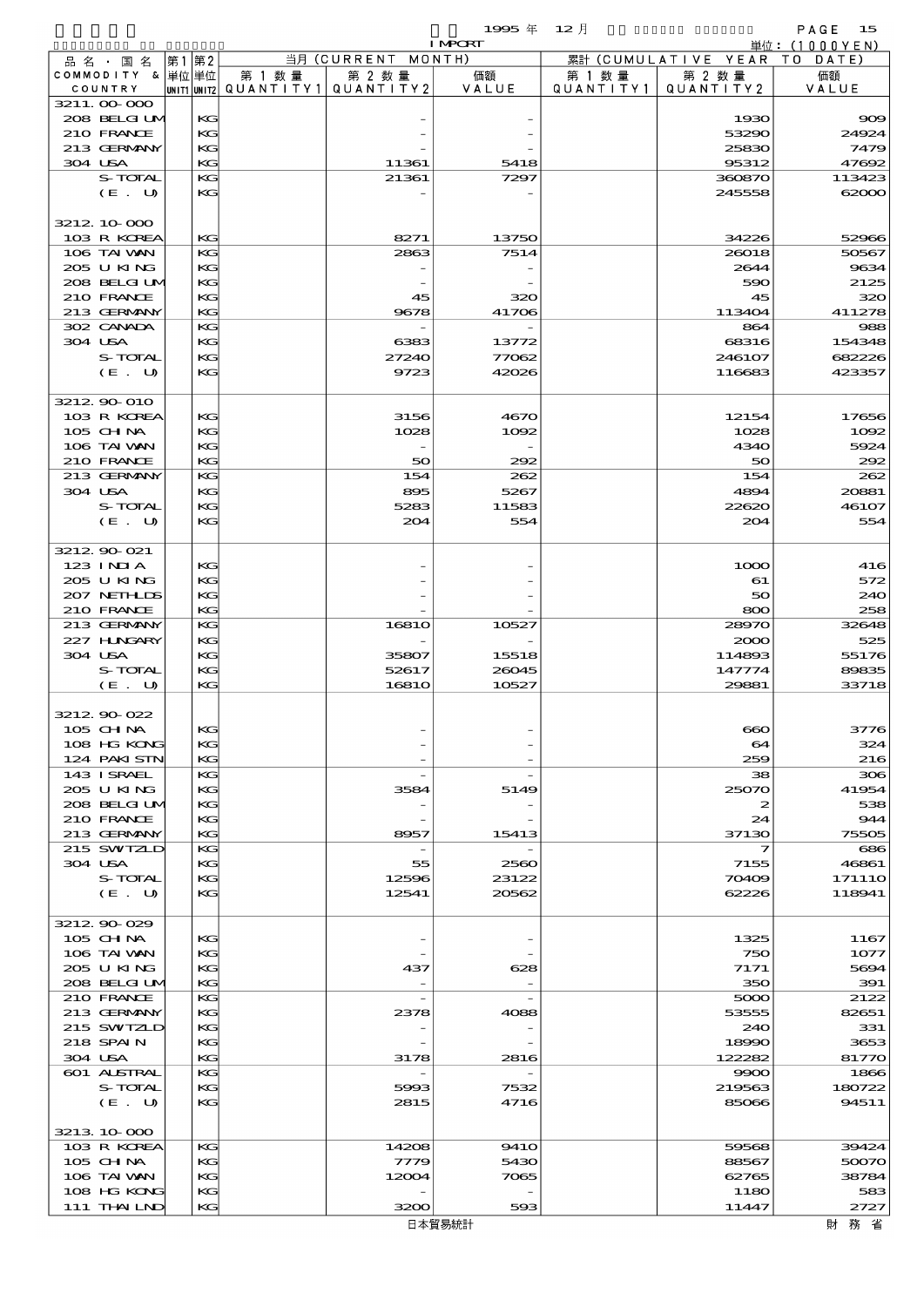|                               |          |                                   |                     | 1995 $#$       | $12$ 月               |                      | PAGE<br>15     |
|-------------------------------|----------|-----------------------------------|---------------------|----------------|----------------------|----------------------|----------------|
|                               |          |                                   |                     | <b>I MPORT</b> |                      |                      | 単位:(1000YEN)   |
| 品 名 ・ 国 名                     | 第1 第2    |                                   | 当月 (CURRENT MONTH)  |                |                      | 累計 (CUMULATIVE YEAR) | T O<br>DATE    |
| COMMODITY & 単位単位<br>COUNTRY   |          | 第 1 数 量<br>UNIT1 UNIT2 QUANTITY 1 | 第 2 数量<br>QUANTITY2 | 価額<br>VALUE    | 第 1 数 量<br>QUANTITY1 | 第 2 数量<br>QUANTITY2  | 価額<br>VALUE    |
| 3211.00-000                   |          |                                   |                     |                |                      |                      |                |
| 208 BELGIUM                   | KG       |                                   |                     |                |                      | 1930                 | 909            |
| 210 FRANCE                    | KG       |                                   |                     |                |                      | 53290                | 24924          |
| 213 GERMANY<br>304 USA        | KG<br>KG |                                   |                     |                |                      | 25830<br>95312       | 7479<br>47692  |
| S-TOTAL                       | KG       |                                   | 11361<br>21361      | 5418<br>7297   |                      | 360870               | 113423         |
| (E. U)                        | KG       |                                   |                     |                |                      | 245558               | 62000          |
|                               |          |                                   |                     |                |                      |                      |                |
| 3212 10 000                   |          |                                   |                     |                |                      |                      |                |
| 103 R KOREA                   | KG       |                                   | 8271                | 13750          |                      | 34226                | 52966          |
| 106 TAI VAN                   | KG       |                                   | 2863                | 7514           |                      | 26018                | 50567          |
| 205 U KING<br>208 BELGI UM    | KG<br>KG |                                   |                     |                |                      | 2644<br>590          | 9634<br>2125   |
| 210 FRANCE                    | KG       |                                   | 45                  | 320            |                      | 45                   | 320            |
| 213 GERMANY                   | KG       |                                   | 9678                | 41706          |                      | 113404               | 411278         |
| 302 CANADA                    | KG       |                                   |                     |                |                      | 864                  | 988            |
| 304 USA                       | KG       |                                   | 6383                | 13772          |                      | 68316                | 154348         |
| S-TOTAL                       | KG       |                                   | 27240               | 77062          |                      | 246107               | 682226         |
| (E. U)                        | KG       |                                   | 9723                | 42026          |                      | 116683               | 423357         |
| 3212 90 010                   |          |                                   |                     |                |                      |                      |                |
| 103 R KOREA                   | KG       |                                   | 3156                | 4670           |                      | 12154                | 17656          |
| 105 CHNA                      | KG       |                                   | 1028                | 1002           |                      | 1028                 | 1092           |
| 106 TAI VAN                   | КG       |                                   |                     |                |                      | 4340                 | 5924           |
| 210 FRANCE                    | KG       |                                   | 50                  | 292            |                      | 50                   | 292            |
| 213 GERMANY                   | KG       |                                   | 154                 | 262            |                      | 154                  | 262            |
| 304 USA<br>S-TOTAL            | KG<br>KG |                                   | 895<br>5283         | 5267<br>11583  |                      | 4894<br>22620        | 20881<br>46107 |
| (E. U)                        | KG       |                                   | 204                 | 554            |                      | 204                  | 554            |
|                               |          |                                   |                     |                |                      |                      |                |
| 3212 90 021                   |          |                                   |                     |                |                      |                      |                |
| $123$ INIA                    | KG       |                                   |                     |                |                      | 1000                 | 416            |
| 205 U KING                    | KG       |                                   |                     |                |                      | 61                   | 572            |
| 207 NETHLIS                   | KG       |                                   |                     |                |                      | 50                   | 240            |
| 210 FRANCE<br>213 GERMANY     | KG<br>KG |                                   | 1681O               | 10527          |                      | 800<br>28970         | 258<br>32648   |
| 227 HNGARY                    | KG       |                                   |                     |                |                      | 2000                 | 525            |
| 304 USA                       | KG       |                                   | 35807               | 15518          |                      | 114893               | 55176          |
| S-TOTAL                       | KG       |                                   | 52617               | 26045          |                      | 147774               | 89835          |
| (E. U)                        | KG       |                                   | <b>16810</b>        | 10527          |                      | 29881                | 33718          |
|                               |          |                                   |                     |                |                      |                      |                |
| 3212.90-022<br>105 CH NA      | KG       |                                   |                     |                |                      | $\bf{60}$            | 3776           |
| 108 HG KONG                   | KG       |                                   |                     |                |                      | 64                   | 324            |
| 124 PAKISTN                   | KG       |                                   |                     |                |                      | 259                  | 216            |
| 143 ISRAEL                    | KG       |                                   |                     |                |                      | 38                   | 306            |
| 205 U KING                    | KG       |                                   | 3584                | 5149           |                      | 25070                | 41954          |
| 208 BELGI UM                  | KG       |                                   |                     |                |                      | $\boldsymbol{z}$     | 538            |
| 210 FRANCE                    | KG       |                                   |                     |                |                      | 24                   | 944            |
| 213 GERMANY<br>215 SWIZLD     | KG<br>KG |                                   | 8957                | 15413          |                      | 37130<br>7           | 75505<br>686   |
| 304 USA                       | KG       |                                   | 55                  | 2560           |                      | 7155                 | 46861          |
| S-TOTAL                       | KG       |                                   | 12596               | 23122          |                      | 70409                | 17111O         |
| $(E_U U)$                     | КG       |                                   | 12541               | 20562          |                      | 62226                | 118941         |
|                               |          |                                   |                     |                |                      |                      |                |
| 3212 90 029                   |          |                                   |                     |                |                      |                      |                |
| 105 CHNA<br>106 TAI VAN       | KG<br>KG |                                   |                     |                |                      | 1325<br>750          | 1167<br>1077   |
| 205 U KING                    | KG       |                                   | 437                 | 628            |                      | 7171                 | 5694           |
| 208 BELGI UM                  | KG       |                                   |                     |                |                      | 350                  | 391            |
| 210 FRANCE                    | KG       |                                   |                     |                |                      | 5000                 | 2122           |
| 213 GERMANY                   | KG       |                                   | 2378                | 4088           |                      | 53555                | 82651          |
| 215 SWIZLD                    | KG       |                                   |                     |                |                      | 240                  | 331            |
| 218 SPAIN                     | KG       |                                   |                     |                |                      | 18990                | 3653           |
| 304 USA<br><b>601 ALSTRAL</b> | KG<br>KG |                                   | 3178                | 2816           |                      | 122282<br>9900       | 81770<br>1866  |
| S-TOTAL                       | KG       |                                   | 5993                | 7532           |                      | 219563               | 180722         |
| (E. U)                        | KG       |                                   | 2815                | 4716           |                      | 85066                | 94511          |
|                               |          |                                   |                     |                |                      |                      |                |
| 3213 10 000                   |          |                                   |                     |                |                      |                      |                |
| 103 R KOREA                   | KG       |                                   | 14208               | <b>9410</b>    |                      | 59568                | 39424          |
| 105 CHNA                      | KG       |                                   | 7779                | 5430           |                      | 88567                | 50070          |
| 106 TAI VAN<br>108 HG KONG    | KG<br>KG |                                   | 12004               | 7065           |                      | 62765<br>1180        | 38784<br>583   |
| 111 THAILND                   | KG       |                                   | 3200                | 593            |                      | 11447                | 2727           |

財務省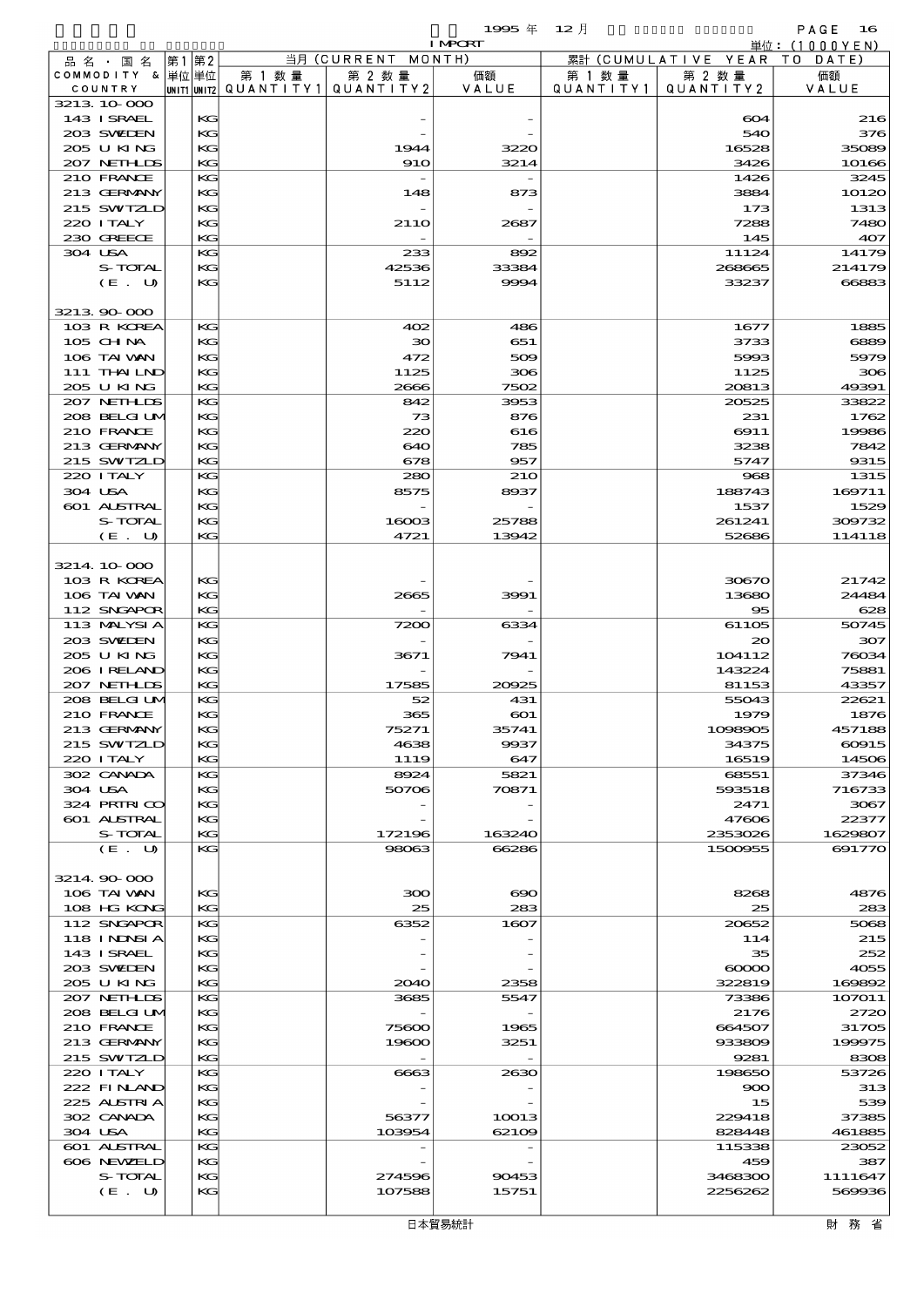$1995 \text{ } \#$   $12 \text{ } \frac{1}{2}$  PAGE 16

|         |                            |          |        |                                       | <b>I MPCRT</b>  |                   |                              | 単位: <u>(1000YEN)</u> |
|---------|----------------------------|----------|--------|---------------------------------------|-----------------|-------------------|------------------------------|----------------------|
|         | 品名・国名                      | 第1 第2    |        | 当月 (CURRENT MONTH)                    |                 |                   | 累計 (CUMULATIVE YEAR TO DATE) |                      |
|         | COMMODITY & 単位単位           |          | 第 1 数量 | 第 2 数量                                | 価額              | 第 1 数 量           | 第 2 数量                       | 価額                   |
|         | COUNTRY                    |          |        | UNIT1 UNIT2  QUANT   TY1  QUANT   TY2 | VALUE           | Q U A N T I T Y 1 | QUANTITY 2                   | VALUE                |
|         | 3213 10 000<br>143 ISRAEL  | KC       |        |                                       |                 |                   | 604                          | 216                  |
|         | 203 SWIDEN                 | KG       |        |                                       |                 |                   | 540                          | 376                  |
|         | 205 U KING                 | KG       |        | 1944                                  | 3220            |                   | 16528                        | 35089                |
|         | 207 NETHLIS                | KG       |        | <b>910</b>                            | 3214            |                   | 3426                         | 10166                |
|         | 210 FRANCE                 | KG       |        |                                       |                 |                   | 1426                         | 3245                 |
|         | 213 GERMANY                | KG       |        | 148                                   | 873             |                   | 3884                         | 1012C                |
|         | 215 SWIZLD                 | KG       |        |                                       |                 |                   | 173                          | 1313                 |
|         | 220 ITALY                  | KG       |        | 21 <sub>10</sub>                      | 2687            |                   | 7288                         | <b>748C</b>          |
|         | 230 GREECE                 | KG       |        |                                       |                 |                   | 145                          | 407                  |
| 304 USA | S-TOTAL                    | KG<br>КG |        | 233<br>42536                          | 892<br>33384    |                   | 11124<br>268665              | 14179<br>214179      |
|         | (E. U)                     | KG       |        | 5112                                  | 9994            |                   | 33237                        | 66883                |
|         |                            |          |        |                                       |                 |                   |                              |                      |
|         | 3213 90 000                |          |        |                                       |                 |                   |                              |                      |
|         | 103 R KOREA                | KG       |        | 402                                   | 486             |                   | 1677                         | 1885                 |
|         | 105 CH NA                  | KG       |        | $30^{\circ}$                          | 651             |                   | 3733                         | 6889                 |
|         | 106 TAI VAN                | KG       |        | 472                                   | 509             |                   | 5993                         | 5979                 |
|         | 111 THAILND                | KG       |        | 1125                                  | 306             |                   | 1125                         | 300                  |
|         | 205 U KING<br>207 NETHLIS  | KG<br>KG |        | 2666<br>842                           | 7502<br>3953    |                   | 20813<br>20525               | 49391<br>33822       |
|         | 208 BELGI UM               | KG       |        | 73                                    | 876             |                   | 231                          | 1762                 |
|         | 210 FRANCE                 | KG       |        | 220                                   | 616             |                   | 6911                         | 19986                |
|         | 213 GERMANY                | KG       |        | 640                                   | 785             |                   | 3238                         | 7842                 |
|         | 215 SWIZLD                 | KG       |        | 678                                   | 957             |                   | 5747                         | 9315                 |
|         | 220 I TALY                 | KG       |        | 280                                   | <b>210</b>      |                   | 968                          | 1315                 |
| 304 USA |                            | KG       |        | 8575                                  | 8937            |                   | 188743                       | 169711               |
|         | 601 ALSTRAL                | KG       |        |                                       |                 |                   | 1537                         | 1529                 |
|         | S-TOTAL<br>(E. U)          | KG<br>KG |        | 16003<br>4721                         | 25788<br>13942  |                   | 261241<br>52686              | 309732<br>114118     |
|         |                            |          |        |                                       |                 |                   |                              |                      |
|         | 3214 10 000                |          |        |                                       |                 |                   |                              |                      |
|         | 103 R KOREA                | KG       |        |                                       |                 |                   | 30670                        | 21742                |
|         | 106 TAI VAN                | KG       |        | 2665                                  | 3991            |                   | 13680                        | 24484                |
|         | 112 SNGAPOR                | KG       |        |                                       |                 |                   | 95                           | 628                  |
|         | 113 MALYSIA                | KG       |        | 7200                                  | 6334            |                   | 61105                        | 50745                |
|         | 203 SVELEN<br>205 U KING   | KG       |        |                                       |                 |                   | $_{\infty}$<br>104112        | 307                  |
|         | 206 IRELAND                | KG<br>KG |        | 3671                                  | 7941            |                   | 143224                       | 76034<br>75881       |
|         | 207 NETHLIS                | KG       |        | 17585                                 | 20925           |                   | 81153                        | 43357                |
|         | 208 BELGI UM               | KG       |        | 52                                    | 431             |                   | 55043                        | 22621                |
|         | 210 FRANCE                 | KG       |        | 365                                   | $\infty$        |                   | 1979                         | 1876                 |
|         | 213 GERMANY                | KG       |        | 75271                                 | 35741           |                   | 1098905                      | 457188               |
|         | 215 SWIZLD                 | КG       |        | 4638                                  | 9937            |                   | 34375                        | 60915                |
|         | 220 I TALY                 | KG       |        | 1119                                  | 647             |                   | 16519                        | 14506                |
| 304 USA | 302 CANADA                 | KG<br>KG |        | 8924<br>50706                         | 5821<br>70871   |                   | 68551<br>593518              | 37346<br>716733      |
|         | 324 PRIRICO                | KG       |        |                                       |                 |                   | 2471                         | 3067                 |
|         | 601 ALSTRAL                | КG       |        |                                       |                 |                   | 47606                        | 22377                |
|         | S-TOTAL                    | KG       |        | 172196                                | 163240          |                   | 2353026                      | 1629807              |
|         | (E. U)                     | KG       |        | 98063                                 | 66286           |                   | 1500955                      | 69177C               |
|         |                            |          |        |                                       |                 |                   |                              |                      |
|         | 3214 90 000                |          |        |                                       |                 |                   |                              |                      |
|         | 106 TAI VAN<br>108 HG KONG | KG<br>KG |        | 300<br>25                             | $\infty$<br>283 |                   | 8268<br>25                   | 4876<br>283          |
|         | 112 SNGAPOR                | KG       |        | 6352                                  | 1607            |                   | 20652                        | 5068                 |
|         | 118 I NDSI A               | KG       |        |                                       |                 |                   | 114                          | 215                  |
|         | 143 ISRAEL                 | KG       |        |                                       |                 |                   | 35                           | 252                  |
|         | 203 SWIDEN                 | КG       |        |                                       |                 |                   | $\infty$                     | 4055                 |
|         | 205 U KING                 | KG       |        | 2040                                  | 2358            |                   | 322819                       | 169892               |
|         | 207 NETHLIS                | KG       |        | 3685                                  | 5547            |                   | 73386                        | 107011               |
|         | 208 BELGI UM               | KG       |        |                                       |                 |                   | 2176                         | 272C                 |
|         | 210 FRANCE<br>213 GERMANY  | KG<br>KG |        | 75600<br>19600                        | 1965<br>3251    |                   | 664507<br>933809             | 31705<br>199975      |
|         | 215 SWIZLD                 | KG       |        |                                       |                 |                   | 9281                         | 8308                 |
|         | 220 I TALY                 | KG       |        | 6663                                  | 2630            |                   | 198650                       | 53726                |
|         | 222 FINAND                 | KG       |        |                                       |                 |                   | $\infty$                     | 313                  |
|         | 225 ALSTRIA                | KG       |        |                                       |                 |                   | 15                           | 539                  |
|         | 302 CANADA                 | КG       |        | 56377                                 | 10013           |                   | 229418                       | 37385                |
| 304 USA |                            | KG       |        | 103954                                | 62109           |                   | 828448                       | 461885               |
|         | <b>601 ALSTRAL</b>         | KG       |        |                                       |                 |                   | 115338                       | 23052<br>387         |
|         | 606 NEWELD<br>S-TOTAL      | KG<br>KG |        | 274596                                | 90453           |                   | 459<br>3468300               | 1111647              |
|         | (E. U)                     | KG       |        | 107588                                | 15751           |                   | 2256262                      | 569936               |
|         |                            |          |        |                                       |                 |                   |                              |                      |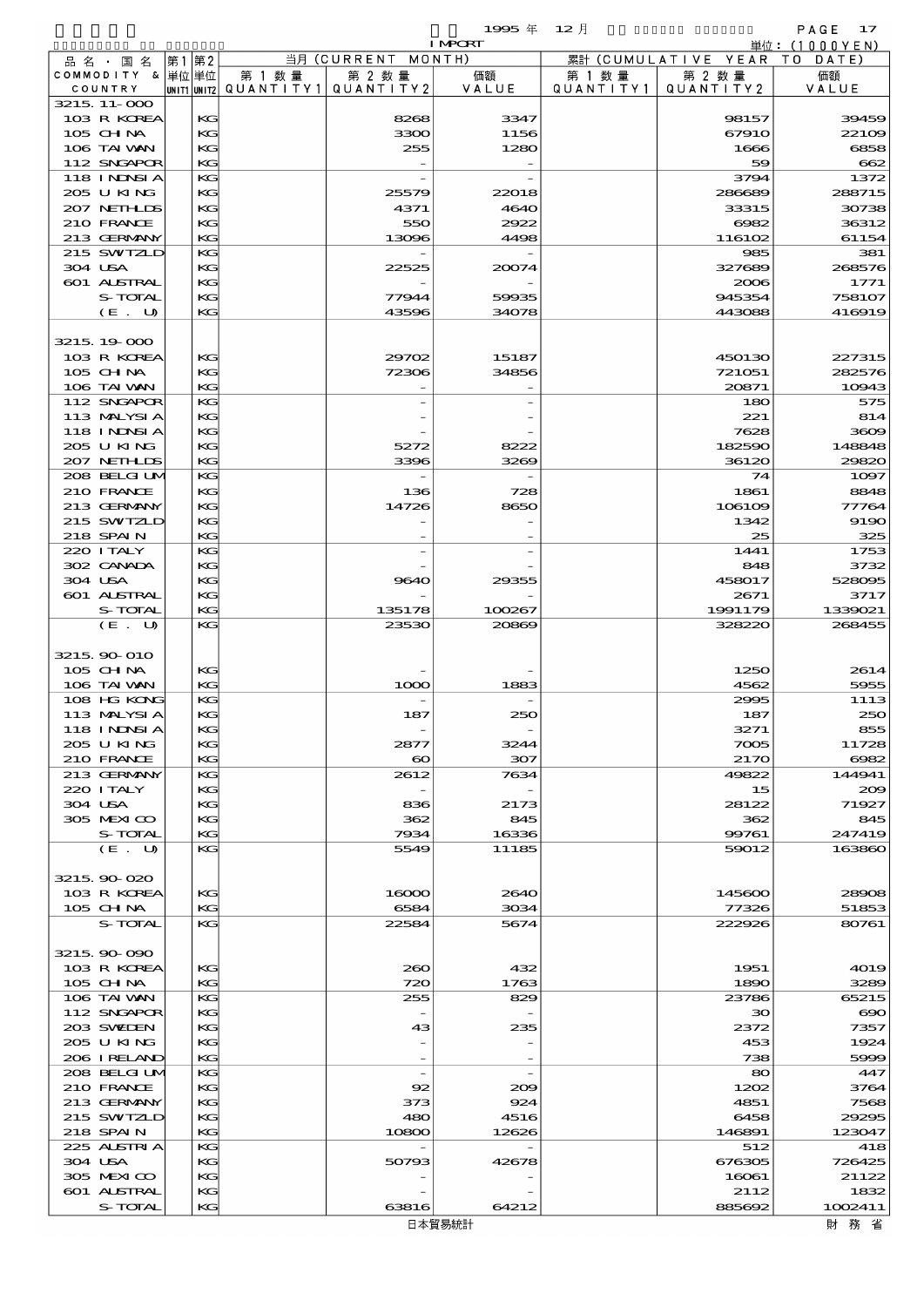$1995 \# 12 \nparallel$  PAGE 17

|                             |    |          |                                       |                          | <b>I MPORT</b> |           |                              | 単位:(1000YEN)       |
|-----------------------------|----|----------|---------------------------------------|--------------------------|----------------|-----------|------------------------------|--------------------|
| 品名・国名                       | 第1 | 第2       |                                       | 当月(CURRENT               | MONTH)         |           | 累計 (CUMULATIVE YEAR TO DATE) |                    |
| COMMODITY & 単位単位            |    |          | 第 1 数量                                | 第 2 数量                   | 価額             | 第 1 数 量   | 第 2 数量                       | 価額                 |
| COUNTRY<br>3215 11-000      |    |          | UNIT1 UNIT2  QUANT   TY1  QUANT   TY2 |                          | VALUE          | QUANTITY1 | QUANTITY 2                   | VALUE              |
| 103 R KOREA                 |    | KG       |                                       | 8268                     | 3347           |           | 98157                        | 3945C              |
| 105 CHNA                    |    | KG       |                                       | 3300                     | 1156           |           | 67910                        | 22100              |
| 106 TAI VAN                 |    | KG       |                                       | 255                      | 1280           |           | 1666                         | 6858               |
| 112 SNGAPOR                 |    | KG       |                                       |                          |                |           | 59                           | 662                |
| 118 I NJNSI A               |    | KG       |                                       |                          |                |           | 3794                         | 1372               |
| 205 U KING                  |    | KG       |                                       | 25579                    | 22018          |           | 286689                       | 288715             |
| 207 NETHLIS                 |    | KG       |                                       | 4371                     | 4640           |           | 33315                        | 30738              |
| 210 FRANCE                  |    | KG<br>KG |                                       | 550                      | 2922           |           | 6082                         | 36312<br>61154     |
| 213 GERMANY<br>215 SWIZLD   |    | KG       |                                       | 13096                    | 4498           |           | 116102<br>985                | 381                |
| 304 USA                     |    | KG       |                                       | 22525                    | 20074          |           | 327689                       | 268576             |
| 601 ALSTRAL                 |    | KG       |                                       |                          |                |           | 2006                         | 1771               |
| S-TOTAL                     |    | KG       |                                       | 77944                    | 59935          |           | 945354                       | 758107             |
| (E. U)                      |    | KG       |                                       | 43596                    | 34078          |           | 443088                       | 416919             |
|                             |    |          |                                       |                          |                |           |                              |                    |
| 3215 19 000                 |    |          |                                       |                          |                |           |                              |                    |
| 103 R KOREA                 |    | KG       |                                       | 29702                    | 15187          |           | 450130                       | 227315             |
| 105 CHNA<br>106 TAI VAN     |    | KG<br>KG |                                       | 72306                    | 34856          |           | 721051<br>20871              | 282576<br>10943    |
| 112 SNGAPOR                 |    | KG       |                                       |                          |                |           | 180                          | 575                |
| 113 MALYSIA                 |    | KG       |                                       |                          |                |           | 221                          | 814                |
| 118 I NJNSI A               |    | KG       |                                       |                          |                |           | 7628                         | 3609               |
| 205 U KING                  |    | KG       |                                       | 5272                     | 8222           |           | 182590                       | 148848             |
| 207 NETHLIS                 |    | KG       |                                       | 3396                     | 3269           |           | 36120                        | <b>29820</b>       |
| 208 BELGI UM                |    | KG       |                                       |                          |                |           | 74                           | 1097               |
| 210 FRANCE                  |    | KG       |                                       | 136                      | 728            |           | 1861                         | 8848               |
| 213 GERMANY                 |    | KG<br>KG |                                       | 14726                    | 8650           |           | 106109                       | 77764              |
| 215 SWIZLD<br>218 SPAIN     |    | KG       |                                       |                          |                |           | 1342<br>25                   | <b>9190</b><br>325 |
| 220 I TALY                  |    | KG       |                                       |                          |                |           | 1441                         | 1753               |
| 302 CANADA                  |    | KG       |                                       |                          |                |           | 848                          | 3732               |
| 304 USA                     |    | KG       |                                       | 9640                     | 29355          |           | 458017                       | 528095             |
| 601 ALSTRAL                 |    | KG       |                                       |                          |                |           | 2671                         | 3717               |
| S-TOTAL                     |    | KG       |                                       | 135178                   | 100267         |           | 1991179                      | 1339021            |
| (E. U)                      |    | KG       |                                       | 23530                    | 20869          |           | 328220                       | 268455             |
| 3215 90 010                 |    |          |                                       |                          |                |           |                              |                    |
| 105 CHNA                    |    | KG       |                                       |                          |                |           | 1250                         | 2614               |
| 106 TAI VAN                 |    | KG       |                                       | 1000                     | 1883           |           | 4562                         | 5955               |
| 108 HG KONG                 |    | KG       |                                       |                          |                |           | 2995                         | 1113               |
| 113 MALYSIA                 |    | KG       |                                       | 187                      | 250            |           | 187                          | 25C                |
| 118 INNSIA                  |    | KG       |                                       |                          |                |           | 3271                         | 855                |
| 205 U KING                  |    | KG       |                                       | 2877                     | 3244           |           | 7005                         | 11728              |
| 210 FRANCE                  |    | KG       |                                       | $\boldsymbol{\infty}$    | 307            |           | 2170                         | 6082               |
| 213 GERMANY<br>220 I TALY   |    | KG<br>KG |                                       | 2612                     | 7634           |           | 49822<br>15                  | 144941<br>200      |
| 304 USA                     |    | KG       |                                       | 836                      | 2173           |           | 28122                        | 71927              |
| 305 MEXICO                  |    | KG       |                                       | 362                      | 845            |           | 362                          | 845                |
| S-TOTAL                     |    | KG       |                                       | 7934                     | 16336          |           | 99761                        | 247419             |
| (E. U)                      |    | KG       |                                       | 5549                     | 11185          |           | 59012                        | 163860             |
|                             |    |          |                                       |                          |                |           |                              |                    |
| 3215 90 020                 |    |          |                                       |                          |                |           |                              |                    |
| 103 R KOREA                 |    | KG       |                                       | 16000                    | 2640           |           | 145600                       | 28908              |
| 105 CHNA<br>S-TOTAL         |    | KG       |                                       | 6584                     | 3034           |           | 77326                        | 51853              |
|                             |    | KG       |                                       | 22584                    | 5674           |           | 222926                       | 80761              |
| 3215 90 090                 |    |          |                                       |                          |                |           |                              |                    |
| 103 R KOREA                 |    | KG       |                                       | 200                      | 432            |           | 1951                         | 4019               |
| 105 CHNA                    |    | KG       |                                       | 720                      | 1763           |           | 1890                         | 3289               |
| 106 TAI VAN                 |    | KG       |                                       | 255                      | 829            |           | 23786                        | 65215              |
| 112 SNGAPOR                 |    | KG       |                                       |                          |                |           | 30 <sup>°</sup>              | $\rm \epsilon$     |
| 203 SWILEN                  |    | KG       |                                       | 43                       | 235            |           | 2372                         | 7357               |
| 205 U KING                  |    | KG       |                                       |                          |                |           | 453                          | 1924               |
| 206 IRELAND<br>208 BELGI UM |    | KG<br>KG |                                       | $\overline{\phantom{a}}$ |                |           | 738<br>80                    | 5999<br>447        |
| 210 FRANCE                  |    | KG       |                                       | 92                       | 209            |           | 1202                         | 3764               |
| 213 GERMANY                 |    | KG       |                                       | 373                      | 924            |           | 4851                         | 7568               |
| 215 SWIZLD                  |    | KC       |                                       | 480                      | 4516           |           | 6458                         | 29295              |
| 218 SPAIN                   |    | KG       |                                       | 10800                    | 12626          |           | 146891                       | 123047             |
| 225 ALSTRIA                 |    | KG       |                                       |                          |                |           | 512                          | 418                |
| 304 USA                     |    | KG       |                                       | 50793                    | 42678          |           | 676305                       | 726425             |
| 305 MEXICO                  |    | KG       |                                       |                          |                |           | 16061                        | 21122              |
| 601 ALSTRAL<br>S-TOTAL      |    | KG<br>KG |                                       | 63816                    | 64212          |           | 2112<br>885692               | 1832<br>1002411    |
|                             |    |          |                                       |                          |                |           |                              |                    |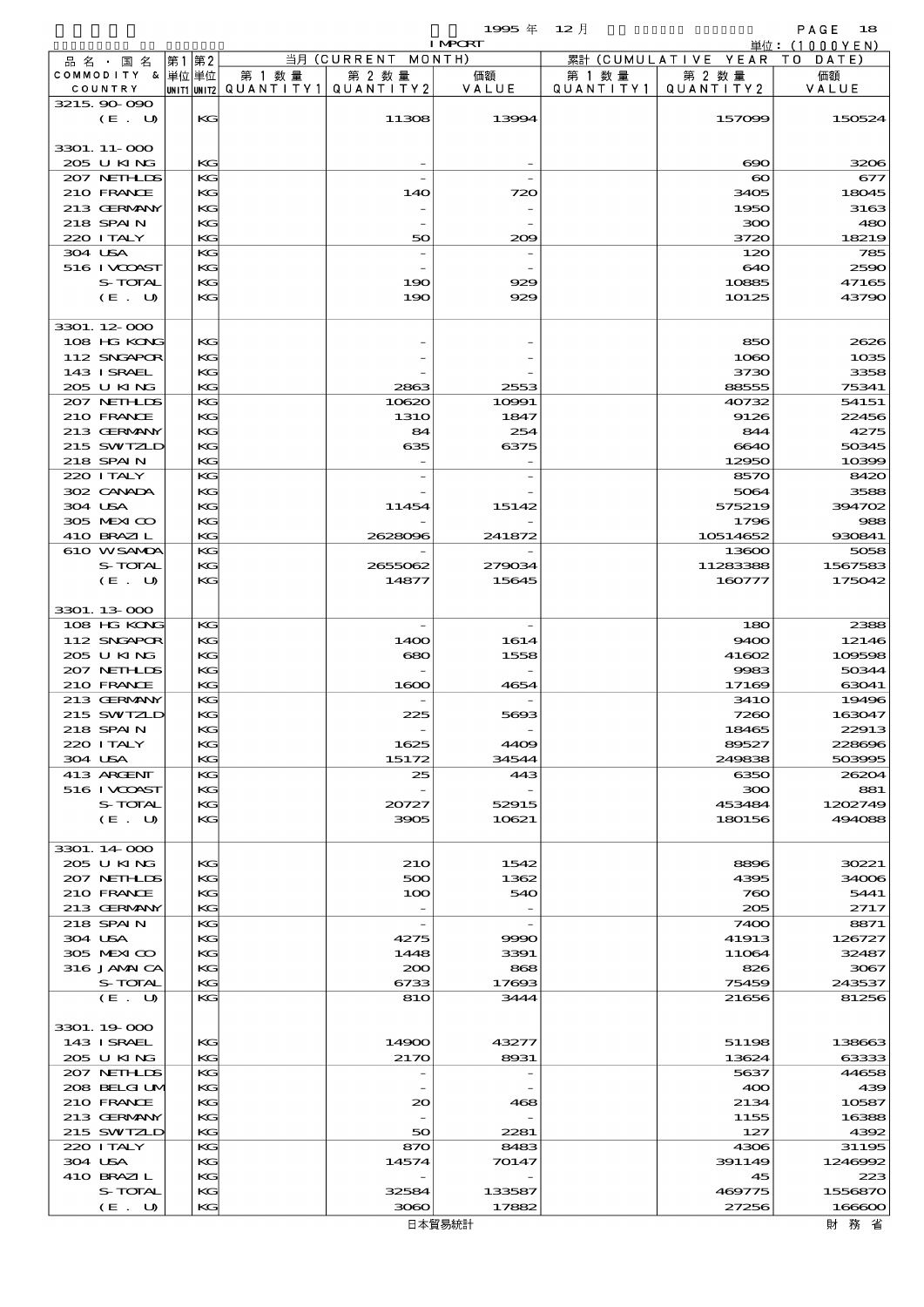$1995 \frac{4}{3}$   $12 \frac{1}{3}$   $18$ 

|                             |      |          |                                                  |                          | <b>I MPORT</b>           |                      |                              | 単位: <u>(1000YEN)</u> |
|-----------------------------|------|----------|--------------------------------------------------|--------------------------|--------------------------|----------------------|------------------------------|----------------------|
| 品名・国名                       | 第1第2 |          |                                                  | 当月 (CURRENT MONTH)       |                          |                      | 累計 (CUMULATIVE YEAR TO DATE) |                      |
| COMMODITY & 単位単位<br>COUNTRY |      |          | 第 1 数量<br> UNIT1 UNIT2  QUANT I TY1  QUANT I TY2 | 第 2 数量                   | 価額<br>VALUE              | 第 1 数 量<br>QUANTITY1 | 第 2 数量<br>QUANTITY 2         | 価額<br>VALUE          |
| 3215 90 090<br>(E. U)       |      | KG       |                                                  | 11308                    | 13994                    |                      | 157099                       | 150524               |
| 3301. 11-000<br>205 U KING  |      | KG       |                                                  |                          |                          |                      | $\infty$                     | 3200                 |
| 207 NETHLIS                 |      | KG       |                                                  |                          |                          |                      | $\boldsymbol{\infty}$        | 677                  |
| 210 FRANCE                  |      | KG       |                                                  | 140                      | 720                      |                      | 3405                         | 18045                |
| 213 GERMANY                 |      | KG       |                                                  |                          |                          |                      | 1950                         | 3163                 |
| 218 SPAIN                   |      | KG       |                                                  |                          |                          |                      | 300                          | 480                  |
| 220 I TALY                  |      | KG       |                                                  | 50                       | 200                      |                      | 3720                         | 18219                |
| 304 USA                     |      | KG       |                                                  | $\overline{\phantom{0}}$ |                          |                      | 120                          | <b>785</b>           |
| 516 I VCOAST<br>S-TOTAL     |      | KG<br>KG |                                                  | 190                      | 929                      |                      | 640<br>10885                 | 2590<br>47165        |
| (E. U)                      |      | KG       |                                                  | 190                      | 929                      |                      | 10125                        | 43790                |
|                             |      |          |                                                  |                          |                          |                      |                              |                      |
| 3301.12-000<br>108 HG KONG  |      | KG       |                                                  |                          |                          |                      | 850                          | 2620                 |
| 112 SNGAPOR                 |      | KG       |                                                  |                          |                          |                      | 1060                         | 1035                 |
| 143 ISRAEL                  |      | KG       |                                                  |                          |                          |                      | 3730                         | 3358                 |
| 205 U KING                  |      | KG       |                                                  | 2863                     | 2553                     |                      | 88555                        | 75341                |
| 207 NETHLIS                 |      | KG       |                                                  | 10620                    | 10991                    |                      | 40732                        | 54151                |
| 210 FRANCE                  |      | KG       |                                                  | <b>1310</b>              | 1847                     |                      | 9126                         | 22456                |
| 213 GERMANY                 |      | KG       |                                                  | 84                       | 254                      |                      | 844                          | 4275                 |
| 215 SWIZLD                  |      | KG       |                                                  | 635                      | 6375                     |                      | 6640                         | 50345                |
| 218 SPAIN                   |      | KG       |                                                  |                          |                          |                      | 12950                        | 10396                |
| 220 I TALY<br>302 CANADA    |      | KG       |                                                  |                          |                          |                      | 8570                         | 8420                 |
| 304 USA                     |      | KG<br>KG |                                                  | 11454                    | 15142                    |                      | 5064<br>575219               | 358<br>394702        |
| 305 MEXICO                  |      | KG       |                                                  |                          |                          |                      | 1796                         | 985                  |
| 410 BRAZIL                  |      | KG       |                                                  | 2628096                  | 241872                   |                      | 10514652                     | 930841               |
| 610 WSAMA                   |      | KG       |                                                  |                          |                          |                      | 13600                        | 5058                 |
| S-TOTAL                     |      | KG       |                                                  | 2655062                  | 279034                   |                      | 11283388                     | 1567583              |
| (E. U)                      |      | KG       |                                                  | 14877                    | 15645                    |                      | 160777                       | 175042               |
| 3301.13-000                 |      |          |                                                  |                          |                          |                      |                              |                      |
| 108 HG KONG                 |      | KG       |                                                  |                          |                          |                      | 180                          | 2388                 |
| 112 SNGAPOR                 |      | KG       |                                                  | 1400                     | 1614                     |                      | 9400                         | 12146                |
| 205 U KING                  |      | KG       |                                                  | 680                      | 1558                     |                      | 41602                        | 109596               |
| 207 NETHLIS                 |      | KG<br>KG |                                                  |                          |                          |                      | 9983<br>17169                | 50344                |
| 210 FRANCE<br>213 GERMANY   |      | KG       |                                                  | 1600                     | 4654                     |                      | <b>3410</b>                  | 63041<br>19496       |
| 215 SWIZLD                  |      | KG       |                                                  | 225                      | 5693                     |                      | 7260                         | 163047               |
| 218 SPAIN                   |      | KG       |                                                  |                          |                          |                      | 18465                        | 22913                |
| 220 I TALY                  |      | KG       |                                                  | 1625                     | 4409                     |                      | 89527                        | 228690               |
| 304 USA                     |      | KG       |                                                  | 15172                    | 34544                    |                      | 249838                       | 503996               |
| 413 ARGENT                  |      | KG       |                                                  | 25                       | 443                      |                      | 6350                         | 2620                 |
| 516 I VOOAST                |      | KG       |                                                  |                          |                          |                      | 300                          | 881                  |
| S-TOTAL                     |      | KG       |                                                  | 20727                    | 52915                    |                      | 453484                       | 1202749              |
| (E. U)                      |      | KG       |                                                  | 3905                     | 10621                    |                      | 180156                       | 494088               |
| 3301.14000                  |      |          |                                                  |                          |                          |                      |                              |                      |
| 205 U KING                  |      | KG       |                                                  | 210                      | 1542                     |                      | 8896                         | 30221                |
| 207 NETHLIS<br>210 FRANCE   |      | KG<br>KG |                                                  | 500<br>100               | 1362<br>540              |                      | 4395<br>760                  | 34000<br>5441        |
| 213 GERMANY                 |      | KG       |                                                  |                          |                          |                      | 205                          | 2717                 |
| 218 SPAIN                   |      | KG       |                                                  | $\overline{\phantom{a}}$ | $\overline{\phantom{a}}$ |                      | 7400                         | 8871                 |
| 304 USA                     |      | KG       |                                                  | 4275                     | 9990                     |                      | 41913                        | 126727               |
| 305 MEXICO                  |      | KG       |                                                  | 1448                     | 3391                     |                      | 11064                        | 32487                |
| 316 JAMAICA                 |      | KG       |                                                  | 200                      | 868                      |                      | 826                          | 3067                 |
| S-TOTAL                     |      | KG       |                                                  | 6733                     | 17693                    |                      | 75459                        | 243537               |
| (E. U)                      |      | KG       |                                                  | 810                      | 3444                     |                      | 21656                        | 81256                |
| 3301.19000                  |      |          |                                                  |                          |                          |                      |                              |                      |
| 143 ISRAEL                  |      | KС       |                                                  | 14900                    | 43277                    |                      | 51198                        | 138663               |
| 205 U KING                  |      | KG       |                                                  | 2170                     | 8931                     |                      | 13624                        | 63333                |
| 207 NETHLIS                 |      | KG       |                                                  |                          |                          |                      | 5637                         | 44658                |
| 208 BELGI UM<br>210 FRANCE  |      | KG<br>KG |                                                  | $_{\infty}$              | 468                      |                      | 400<br>2134                  | 435<br>10587         |
| 213 GERMANY                 |      | KG       |                                                  |                          |                          |                      | 1155                         | 16388                |
| 215 SWIZLD                  |      | KG       |                                                  | 50                       | 2281                     |                      | 127                          | 4392                 |
| 220 I TALY                  |      | KG       |                                                  | 870                      | 8483                     |                      | 4306                         | 31195                |
| 304 USA                     |      | KG       |                                                  | 14574                    | 70147                    |                      | 391149                       | 1246992              |
| 410 BRAZIL                  |      | KG       |                                                  |                          |                          |                      | 45                           | 223                  |
| S-TOTAL                     |      | KG       |                                                  | 32584                    | 133587                   |                      | 469775                       | 1556870              |

 $(E. U)$  KG 3060 17882 27256 166600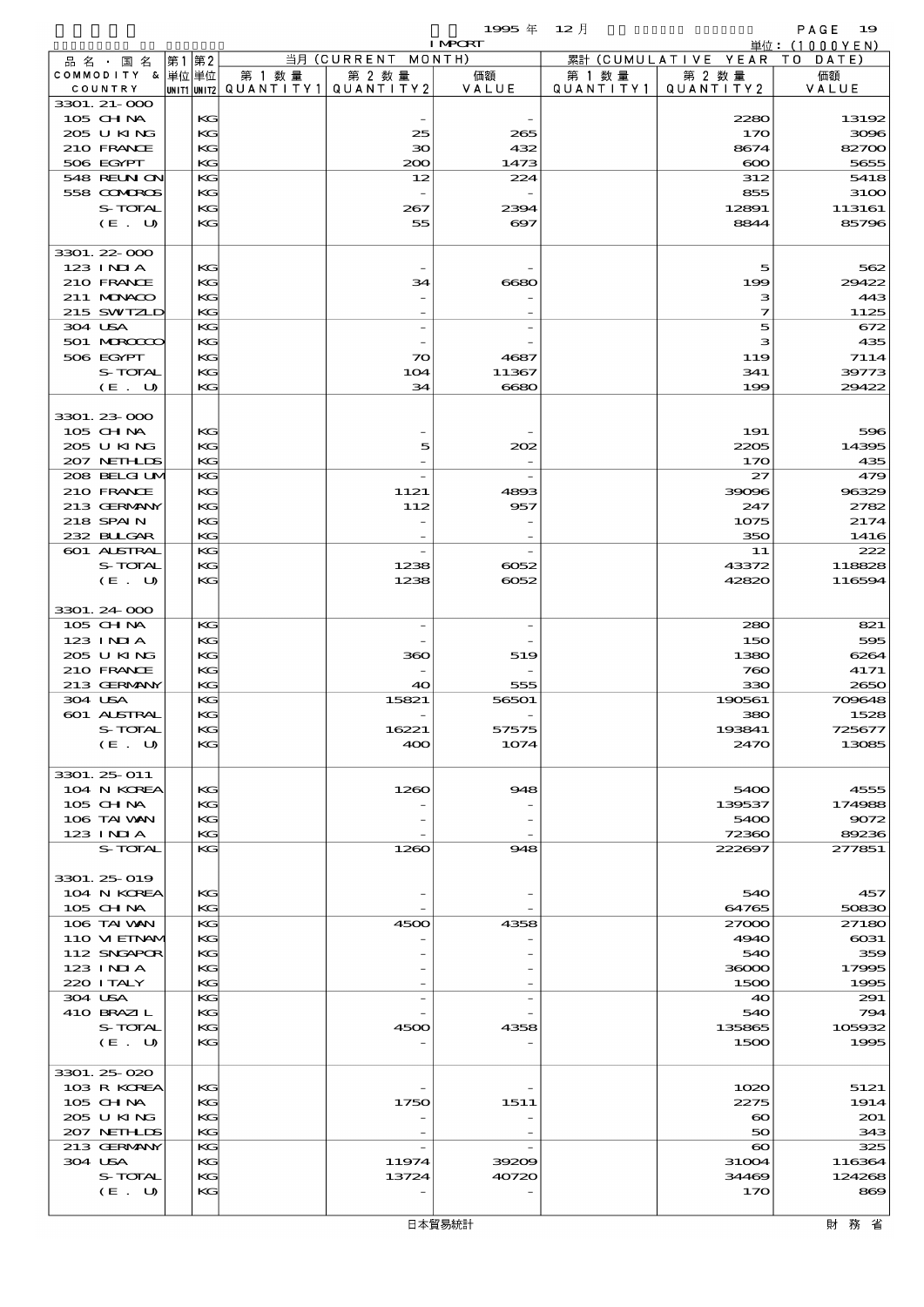$1995 \nrightarrow \text{ } 12 \text{ } \frac{1}{2}$ 

|                            |          |        |                                       | <b>I MPCRT</b>        |           |                              | 単位: (1000YEN)   |
|----------------------------|----------|--------|---------------------------------------|-----------------------|-----------|------------------------------|-----------------|
| 品名・国名                      | 第1第2     |        | 当月 (CURRENT MONTH)                    |                       |           | 累計 (CUMULATIVE YEAR TO DATE) |                 |
| COMMODITY & 単位単位           |          | 第 1 数量 | 第 2 数量                                | 価額                    | 第 1 数 量   | 第 2 数量                       | 価額              |
| COUNTRY<br>3301. 21-000    |          |        | UNIT1 UNIT2  QUANT   TY1  QUANT   TY2 | VALUE                 | QUANTITY1 | QUANTITY 2                   | VALUE           |
| 105 CH NA                  | KG       |        |                                       |                       |           | 2280                         | 13192           |
| 205 U KING                 | KG       |        | 25                                    | 265                   |           | 170                          | 3096            |
| 210 FRANCE                 | KG       |        | $30^{\circ}$                          | 432                   |           | 8674                         | 82700           |
| 506 EGYPT                  | KG       |        | 200                                   | 1473                  |           | $\infty$                     | 5655            |
| <b>548 REUN ON</b>         | KG       |        | 12                                    | 224                   |           | 312                          | 5418            |
| 558 COMBOS                 | KG       |        |                                       |                       |           | 855                          | 3100            |
| S-TOTAL                    | KG       |        | 267                                   | 2394                  |           | 12891                        | 113161          |
| (E. U)                     | KG       |        | 55                                    | $\boldsymbol{\alpha}$ |           | 8844                         | 85796           |
| 3301.22-000                |          |        |                                       |                       |           |                              |                 |
| 123 INIA                   | KG       |        |                                       |                       |           | 5                            | 562             |
| 210 FRANCE                 | KG       |        | 34                                    | 6680                  |           | 199                          | 29422           |
| 211 MUNKOO                 | KG       |        |                                       |                       |           | з                            | 443             |
| 215 SWIZLD                 | KG       |        |                                       |                       |           | 7                            | 1125            |
| 304 USA                    | KG       |        | $\overline{a}$                        |                       |           | 5                            | 672             |
| 501 MROCCO                 | KG       |        |                                       |                       |           | з                            | 435             |
| 506 EGYPT                  | KG       |        | $\infty$                              | 4687                  |           | 119                          | 7114            |
| S-TOTAL<br>(E. U)          | KG<br>KG |        | 104<br>34                             | 11367<br>6680         |           | 341<br>199                   | 39773<br>29422  |
|                            |          |        |                                       |                       |           |                              |                 |
| 3301.23-000                |          |        |                                       |                       |           |                              |                 |
| 105 CH NA                  | KG       |        |                                       |                       |           | 191                          | 596             |
| 205 U KING                 | KG       |        | 5                                     | 202                   |           | 2205                         | 14395           |
| 207 NETHLIS                | KG       |        |                                       |                       |           | 170                          | 435             |
| 208 BELGI UM               | KG       |        | $\overline{a}$                        |                       |           | 27                           | 479             |
| 210 FRANCE                 | KG       |        | 1121                                  | 4893                  |           | 39096                        | 96329           |
| 213 GERMANY                | KG       |        | 112                                   | 957                   |           | 247                          | 2782            |
| 218 SPAIN<br>232 BULGAR    | KG<br>KG |        |                                       |                       |           | 1075<br>350                  | 2174<br>1416    |
| 601 ALSTRAL                | KG       |        | $\overline{\phantom{a}}$              |                       |           | 11                           | 222             |
| S-TOTAL                    | KG       |        | 1238                                  | $-0052$               |           | 43372                        | 118828          |
| (E. U)                     | KG       |        | 1238                                  | $-0052$               |           | 42820                        | 116594          |
|                            |          |        |                                       |                       |           |                              |                 |
| 3301.24 000                |          |        |                                       |                       |           |                              |                 |
| 105 CH NA                  | KG       |        | $\overline{a}$                        |                       |           | 280                          | 821             |
| 123 INIA                   | KG       |        |                                       |                       |           | 150                          | 595             |
| 205 U KING                 | KG       |        | 360                                   | 519                   |           | 1380                         | 6264            |
| 210 FRANCE<br>213 GERMANY  | KG<br>KG |        | 40                                    | 555                   |           | 760<br>330                   | 4171<br>2650    |
| 304 USA                    | KG       |        | 15821                                 | 56501                 |           | 190561                       | 709648          |
| 601 ALSTRAL                | KG       |        |                                       |                       |           | 380                          | 1528            |
| S-TOTAL                    | KG       |        | 16221                                 | 57575                 |           | 193841                       | 725677          |
| (E. U)                     | КG       |        | 400                                   | 1074                  |           | 2470                         | 13085           |
|                            |          |        |                                       |                       |           |                              |                 |
| 3301. 25-011               |          |        |                                       |                       |           |                              |                 |
| 104 N KOREA                | KG       |        | 1260                                  | 948                   |           | 5400                         | 4555            |
| 105 CH NA<br>106 TAI VAN   | KG<br>KG |        |                                       |                       |           | 139537<br>5400               | 174988<br>9072  |
| 123 INIA                   | KG       |        |                                       |                       |           | 72360                        | 89236           |
| S-TOTAL                    | KG       |        | 1260                                  | 948                   |           | 222697                       | 277851          |
|                            |          |        |                                       |                       |           |                              |                 |
| 3301. 25-019               |          |        |                                       |                       |           |                              |                 |
| 104 N KOREA                | KG       |        |                                       |                       |           | 540                          | 457             |
| 105 CH NA                  | KG       |        |                                       |                       |           | 64765                        | 50830           |
| 106 TAI VAN                | KG       |        | 4500                                  | 4358                  |           | 27000                        | 27180           |
| 110 VIEINAM<br>112 SNGAPOR | KG<br>KG |        |                                       |                       |           | 4940<br>540                  | $\cos 1$<br>359 |
| 123 INIA                   | KG       |        |                                       |                       |           | 36000                        | 17995           |
| 220 I TALY                 | KG       |        |                                       |                       |           | 1500                         | 1995            |
| 304 USA                    | KG       |        |                                       |                       |           | 40                           | 291             |
| 410 BRAZIL                 | KG       |        |                                       |                       |           | 540                          | 794             |
| S-TOTAL                    | KG       |        | 4500                                  | 4358                  |           | 135865                       | 105932          |
| (E. U)                     | KG       |        |                                       |                       |           | 1500                         | 1995            |
|                            |          |        |                                       |                       |           |                              |                 |
| 3301.25 020<br>103 R KOREA | KG       |        |                                       |                       |           | 1020                         | 5121            |
| 105 CH NA                  | KG       |        | 1750                                  | 1511                  |           | 2275                         | 1914            |
| 2005 U KING                | KG       |        |                                       |                       |           | $\boldsymbol{\infty}$        | 201             |
| 207 NETHLIS                | KG       |        |                                       |                       |           | 50                           | 343             |
| 213 GERMANY                | KG       |        |                                       |                       |           | $\boldsymbol{\infty}$        | 325             |
| 304 USA                    | KG       |        | 11974                                 | 39209                 |           | 31004                        | 116364          |
| S-TOTAL                    | KG       |        | 13724                                 | 40720                 |           | 34469                        | 124268          |
| (E. U)                     | KG       |        |                                       |                       |           | 170                          | 869             |
|                            |          |        |                                       |                       |           |                              |                 |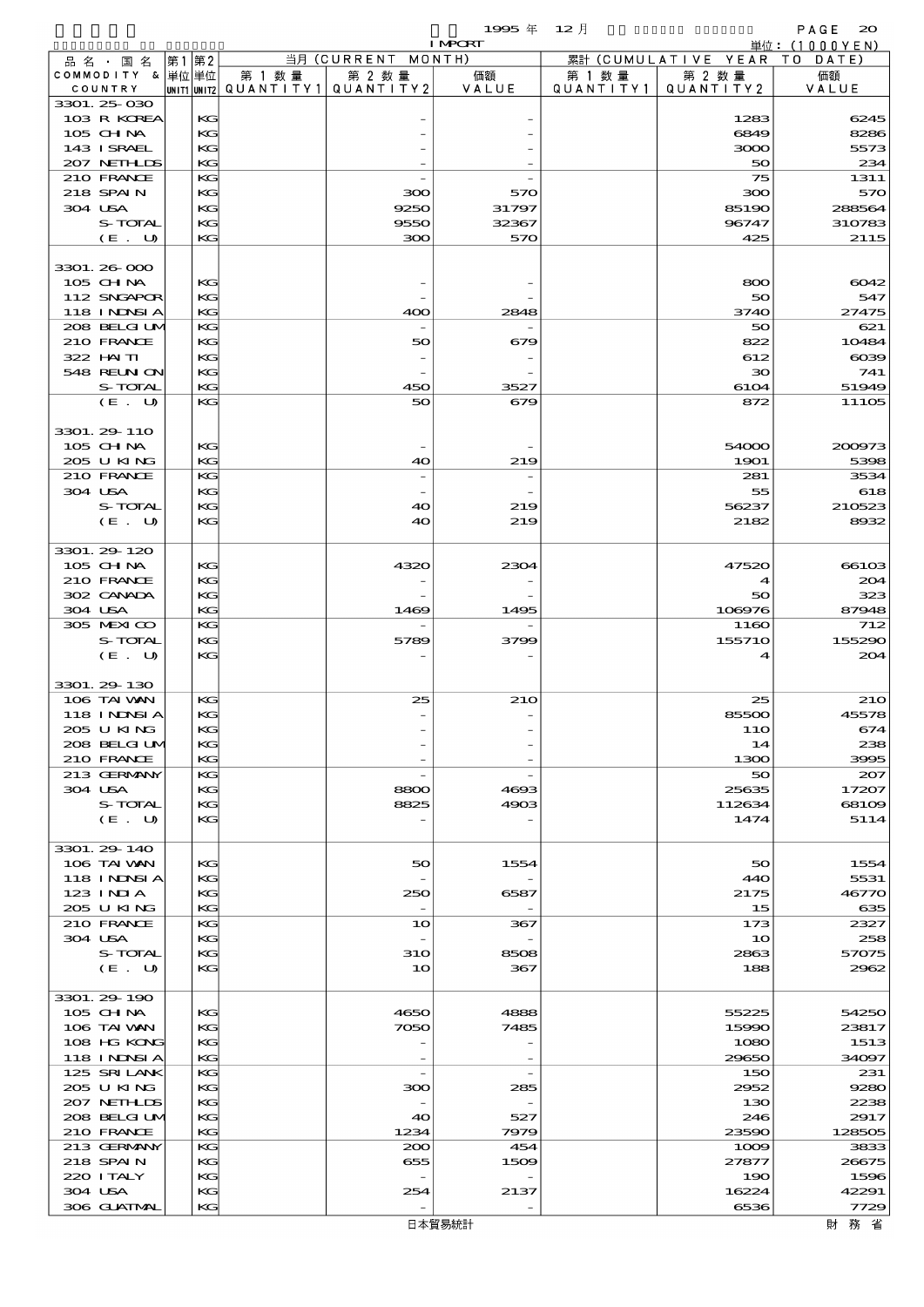|                             |             |          |                      |                                                      | 1995 $#$       | $12$ 月               |                      | PAGE<br>$\infty$ |
|-----------------------------|-------------|----------|----------------------|------------------------------------------------------|----------------|----------------------|----------------------|------------------|
|                             |             |          |                      |                                                      | <b>I MPCRT</b> |                      |                      | 単位:(1000YEN)     |
| 品名・国名                       | 第1          | 第2       |                      | 当月 (CURRENT MONTH)                                   |                |                      | 累計 (CUMULATIVE YEAR) | DATE<br>T O      |
| COMMODITY & 単位単位<br>COUNTRY | UNIT1 UNIT2 |          | 第 1 数 量<br>QUANTITY1 | 第 2 数 量<br>QUANTITY 2                                | 価額<br>VALUE    | 第 1 数 量<br>QUANTITY1 | 第 2 数量<br>QUANTITY2  | 価額<br>VALUE      |
| 3301.25 030                 |             |          |                      |                                                      |                |                      |                      |                  |
| 103 R KOREA                 |             | KG       |                      |                                                      |                |                      | 1283                 | 6245             |
| 105 CHNA                    |             | KG       |                      |                                                      |                |                      | 6849                 | 8286             |
| 143 I SRAEL                 |             | KG       |                      |                                                      |                |                      | 3000                 | 5573             |
| 207 NETH LIS                |             | KG       |                      |                                                      |                |                      | 50                   | 234              |
| 210 FRANCE                  |             | KG       |                      |                                                      |                |                      | 75                   | 1311             |
| 218 SPAIN                   |             | KG       |                      | ဆဝ                                                   | 570            |                      | 300                  | 570              |
| 304 USA<br>S-TOTAL          |             | KG<br>KG |                      | 9250<br>9550                                         | 31797<br>32367 |                      | 85190<br>96747       | 288564<br>310783 |
| (E. U)                      |             | KG       |                      | 300                                                  | 570            |                      | 425                  | 2115             |
|                             |             |          |                      |                                                      |                |                      |                      |                  |
| 3301.26-000                 |             |          |                      |                                                      |                |                      |                      |                  |
| 105 CHNA                    |             | KG       |                      |                                                      |                |                      | 800                  | 6042             |
| 112 SNGAPOR                 |             | KG       |                      |                                                      |                |                      | 50                   | 547              |
| 118 I NJNSI A               |             | KG       |                      | 400                                                  | 2848           |                      | 3740                 | 27475            |
| 208 BELGI UM                |             | KG       |                      |                                                      |                |                      | 50                   | 621              |
| 210 FRANCE<br>$322$ HN TI   |             | KG       |                      | 50                                                   | 679            |                      | 822                  | 10484            |
| 548 REUN ON                 |             | KG<br>KG |                      | $\overline{\phantom{a}}$<br>$\overline{\phantom{0}}$ |                |                      | 612<br>$30^{\circ}$  | $\alpha$<br>741  |
| S-TOTAL                     |             | KG       |                      | 450                                                  | 3527           |                      | 6104                 | 51949            |
| (E. U)                      |             | KG       |                      | 50                                                   | 679            |                      | 872                  | 11105            |
|                             |             |          |                      |                                                      |                |                      |                      |                  |
| 3301. 29-110                |             |          |                      |                                                      |                |                      |                      |                  |
| 105 CH NA                   |             | KG       |                      |                                                      |                |                      | 54000                | 200973           |
| 205 U KING                  |             | KG       |                      | 40                                                   | 219            |                      | 1901                 | 5398             |
| 210 FRANCE                  |             | KG       |                      | $\overline{\phantom{a}}$                             |                |                      | 281                  | 3534             |
| 304 USA                     |             | KG       |                      |                                                      |                |                      | 55                   | 618              |
| S-TOTAL                     |             | KG       |                      | 40                                                   | 219            |                      | 56237                | 210523           |
| (E. U)                      |             | KG       |                      | 40                                                   | 219            |                      | 2182                 | 8932             |
| 3301.29-120                 |             |          |                      |                                                      |                |                      |                      |                  |
| 105 CH NA                   |             | KG       |                      | 4320                                                 | 2304           |                      | 47520                | 66103            |
| 210 FRANCE                  |             | KG       |                      |                                                      |                |                      | 4                    | 204              |
| 302 CANADA                  |             | KG       |                      |                                                      |                |                      | 50                   | 323              |
| 304 USA                     |             | KG       |                      | 1469                                                 | 1495           |                      | 108976               | 87948            |
| 305 MEXICO                  |             | KG       |                      |                                                      |                |                      | 1160                 | 712              |
| S-TOTAL                     |             | KG       |                      | 5789                                                 | 3799           |                      | 155710               | 155290           |
| (E. U)                      |             | KG       |                      |                                                      |                |                      | 4                    | 204              |
|                             |             |          |                      |                                                      |                |                      |                      |                  |
| 3301.29 130<br>106 TAI VAN  |             | KG       |                      | 25                                                   | 210            |                      | 25                   | <b>210</b>       |
| 118 INNSIA                  |             | KG       |                      |                                                      |                |                      | 85500                | 45578            |
| 205 U KING                  |             | KG       |                      |                                                      |                |                      | 11O                  | 674              |
| 208 BELGI UM                |             | KG       |                      |                                                      |                |                      | 14                   | 238              |
| 210 FRANCE                  |             | KG       |                      |                                                      |                |                      | 1300                 | 3995             |
| 213 GERMANY                 |             | KG       |                      |                                                      |                |                      | 50                   | 207              |
| 304 USA                     |             | KG       |                      | 8800                                                 | 4693           |                      | 25635                | 17207            |
| S-TOTAL                     |             | KG       |                      | 8825                                                 | 4903           |                      | 112634               | 68109            |
| (E. U)                      |             | KG       |                      |                                                      |                |                      | 1474                 | 5114             |
| 3301.29 140                 |             |          |                      |                                                      |                |                      |                      |                  |
| 106 TAI VAN                 |             | KG       |                      | 50                                                   | 1554           |                      | 50                   | 1554             |
| <b>118 INNSIA</b>           |             | KG       |                      |                                                      |                |                      | 440                  | 5531             |
| $123$ INIA                  |             | KG       |                      | 250                                                  | 6587           |                      | 2175                 | 46770            |
| 205 U KING                  |             | KG       |                      | $\overline{\phantom{a}}$                             |                |                      | 15                   | 635              |
| 210 FRANCE                  |             | KG       |                      | 10                                                   | 367            |                      | 173                  | 2327             |
| 304 USA                     |             | KG       |                      |                                                      |                |                      | 10                   | 258              |
| S-TOTAL                     |             | KG       |                      | 31O                                                  | 8508           |                      | 2863                 | 57075            |
| (E. U)                      |             | KG       |                      | 10                                                   | 367            |                      | 188                  | 2962             |
|                             |             |          |                      |                                                      |                |                      |                      |                  |
| 3301. 29 190                |             |          |                      |                                                      |                |                      |                      |                  |
| 105 CHNA<br>106 TAI VAN     |             | KC<br>KG |                      | 4650<br>7050                                         | 4888<br>7485   |                      | 55225<br>15990       | 54250<br>23817   |
| 108 HG KONG                 |             | KG       |                      |                                                      |                |                      | 1080                 | 1513             |
| 118 I NJNSI A               |             | KG       |                      |                                                      |                |                      | 29650                | 34097            |
| 125 SRILANK                 |             | KG       |                      | $\overline{\phantom{a}}$                             |                |                      | 150                  | 231              |
| 205 U KING                  |             | KG       |                      | 300                                                  | 285            |                      | 2952                 | 9280             |
| 207 NETHLIS                 |             | KG       |                      |                                                      |                |                      | 130                  | 2238             |
| 208 BELGIUM                 |             | KG       |                      | 40                                                   | 527            |                      | 246                  | 2917             |
| 210 FRANCE                  |             | KG       |                      | 1234                                                 | 7979           |                      | 23590                | 128505           |
| 213 GERMANY                 |             | KG       |                      | 200                                                  | 454            |                      | 1009                 | 3833             |
| 218 SPAIN                   |             | KG       |                      | 655                                                  | 1509           |                      | 27877                | 26675            |
| 220 I TALY<br>304 USA       |             | KG<br>KG |                      | 254                                                  |                |                      | 190<br>16224         | 1596<br>42291    |
| 306 GUATMAL                 |             | KG       |                      |                                                      | 2137           |                      | 6536                 | 7729             |

財務省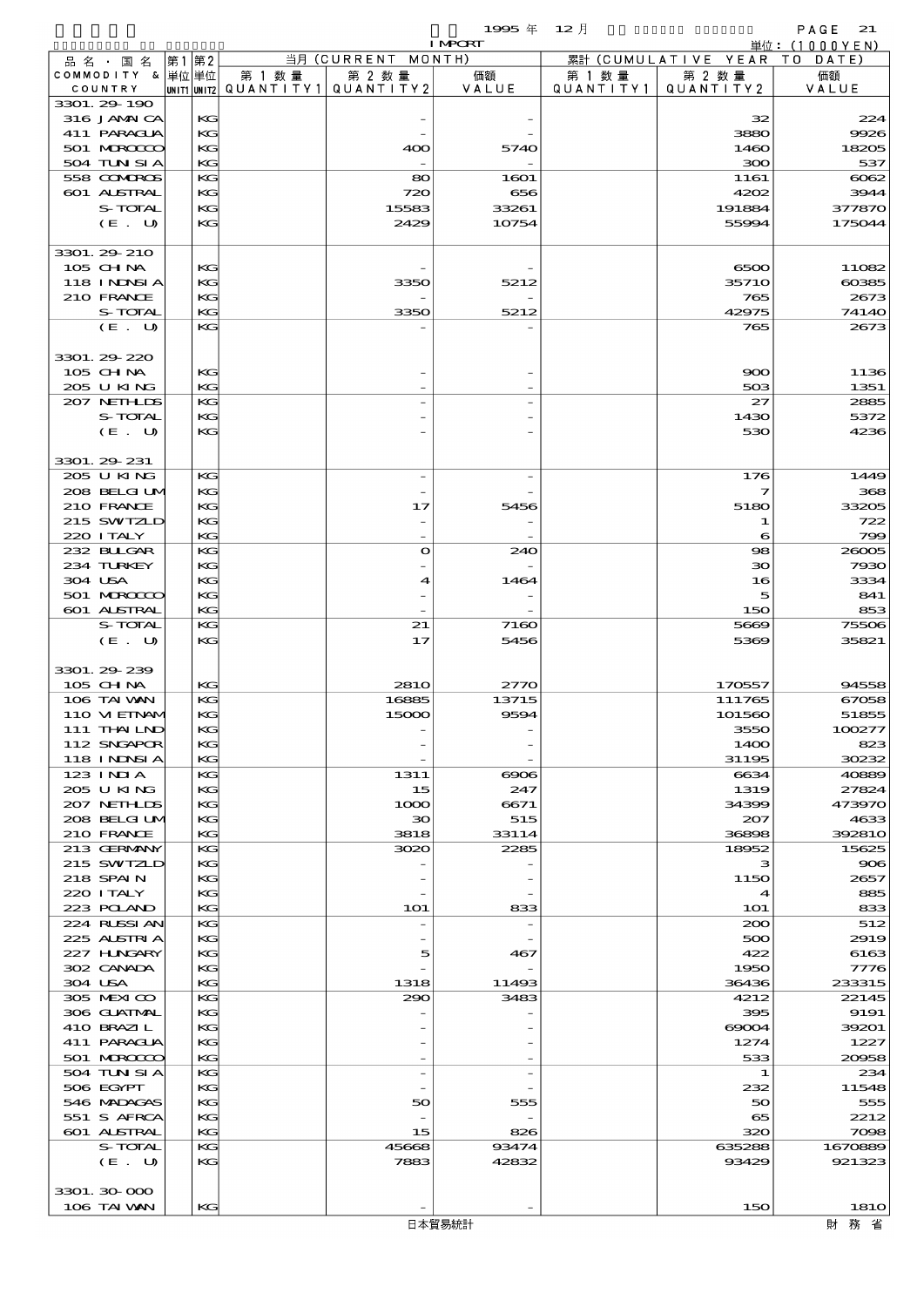$1995 \# 12$   $\frac{1}{2}$   $1 \text{ MRT}$   $\frac{1}{2}$   $\frac{1}{2}$   $\frac{1}{2}$   $\frac{1}{2}$   $\frac{1}{2}$   $\frac{1}{2}$   $\frac{1}{2}$   $\frac{1}{2}$   $\frac{1}{2}$   $\frac{1}{2}$   $\frac{1}{2}$   $\frac{1}{2}$   $\frac{1}{2}$   $\frac{1}{2}$   $\frac{1}{2}$   $\frac{1}{2}$   $\frac{1}{2}$   $\frac{1}{2}$   $\frac{1}{2}$ 

|                            |          |                                       |                          | <b>I MPORT</b> |           |                              | 単位: (1000YEN)  |
|----------------------------|----------|---------------------------------------|--------------------------|----------------|-----------|------------------------------|----------------|
| 品名・国名                      | 第1 第2    |                                       | 当月 (CURRENT MONTH)       |                |           | 累計 (CUMULATIVE YEAR TO DATE) |                |
| COMMODITY & 単位単位           |          | 第 1 数量                                | 第 2 数量                   | 価額             | 第 1 数 量   | 第 2 数量                       | 価額             |
| COUNTRY                    |          | UNIT1 UNIT2  QUANT   TY1  QUANT   TY2 |                          | VALUE          | QUANTITY1 | QUANTITY2                    | VALUE          |
| 3301.29-190<br>316 JAMAICA | KG       |                                       |                          |                |           | 32                           | 224            |
| 411 PARACLIA               | KG       |                                       |                          |                |           | 3880                         | 9926           |
| 501 MRODOC                 | KG       |                                       | 400                      | 5740           |           | 1460                         | 18205          |
| 504 TUN SI A               | KG       |                                       |                          |                |           | 300                          | 537            |
| 558 COMBOS                 | KG       |                                       | 80                       | 1601           |           | 1161                         | $\cos z$       |
| 601 ALSTRAL                | KG       |                                       | 720                      | 656            |           | 4202                         | 3944           |
| S-TOTAL                    | KG       |                                       | 15583                    | 33261          |           | 191884                       | 377870         |
| $(E_U U)$                  | KG       |                                       | 2429                     | 10754          |           | 55994                        | 175044         |
|                            |          |                                       |                          |                |           |                              |                |
| 3301. 29 210               |          |                                       |                          |                |           |                              |                |
| $105$ CHNA                 | KG       |                                       |                          |                |           | 6500                         | 11082          |
| 118 I NDSI A<br>210 FRANCE | KG<br>KG |                                       | 3350                     | 5212           |           | 3571O<br>765                 | 60385<br>2673  |
| S-TOTAL                    | KG       |                                       | 3350                     | 5212           |           | 42975                        | 74140          |
| (E. U)                     | KG       |                                       |                          |                |           | 765                          | 2673           |
|                            |          |                                       |                          |                |           |                              |                |
| 3301.29-220                |          |                                       |                          |                |           |                              |                |
| 105 CH NA                  | KG       |                                       |                          |                |           | 900                          | 1136           |
| 205 U KING                 | KG       |                                       |                          |                |           | 503                          | 1351           |
| 207 NETHLIS                | KG       |                                       |                          |                |           | 27                           | 2885           |
| S-TOTAL                    | KG       |                                       |                          |                |           | 1430                         | 5372           |
| (E. U)                     | KG       |                                       |                          |                |           | 530                          | 4236           |
|                            |          |                                       |                          |                |           |                              |                |
| 3301. 29 231               |          |                                       |                          |                |           |                              |                |
| 205 U KING<br>208 BELGI UM | KG<br>KG |                                       | $\overline{\phantom{a}}$ |                |           | 176<br>7                     | 1449<br>368    |
| 210 FRANCE                 | KG       |                                       | 17                       | 5456           |           | 5180                         | 33205          |
| 215 SWIZLD                 | KG       |                                       |                          |                |           | 1                            | 722            |
| 220 I TALY                 | KG       |                                       |                          |                |           | 6                            | 799            |
| 232 BULGAR                 | KG       |                                       | $\bullet$                | 240            |           | 98                           | 26005          |
| 234 TURKEY                 | KG       |                                       |                          |                |           | 30                           | 7930           |
| 304 USA                    | KG       |                                       | 4                        | 1464           |           | 16                           | 3334           |
| 501 MERCECO                | KG       |                                       |                          |                |           | 5                            | 841            |
| 601 ALSTRAL                | KG       |                                       |                          |                |           | 150                          | 853            |
| S-TOTAL                    | KG       |                                       | 21                       | 7160           |           | 5669                         | 75506          |
| (E. U)                     | KG       |                                       | 17                       | 5456           |           | 5369                         | 35821          |
|                            |          |                                       |                          |                |           |                              |                |
| 3301.29-239                |          |                                       |                          |                |           |                              |                |
| 105 CH NA<br>106 TAI VAN   | KG<br>KG |                                       | <b>2810</b><br>16885     | 2770<br>13715  |           | 170557<br>111765             | 94558<br>67058 |
| 110 VI EINAM               | KG       |                                       | 15000                    | 9594           |           | 101560                       | 51855          |
| 111 THAIND                 | KG       |                                       |                          |                |           | 355C                         | 100277         |
| 112 SNGAPOR                | KG       |                                       |                          |                |           | 1400                         | 823            |
| 118 INNSI A                | KG       |                                       |                          |                |           | 31195                        | 30232          |
| 123 INIA                   | KG       |                                       | 1311                     | $\infty$       |           | 6634                         | 40889          |
| 205 U KING                 | KG       |                                       | 15                       | 247            |           | 1319                         | 27824          |
| 207 NETHLIS                | KG       |                                       | 1000                     | 6671           |           | 34399                        | 473970         |
| 208 BELGI UM               | KG       |                                       | $\infty$                 | 515            |           | 207                          | 4633           |
| 210 FRANCE                 | KG       |                                       | 3818                     | 33114          |           | 36898                        | 392810         |
| 213 GERMANY                | KG       |                                       | 3020                     | 2285           |           | 18952                        | 15625          |
| 215 SWIZLD                 | KG       |                                       |                          |                |           | з                            | 906            |
| 218 SPAIN<br>220 I TALY    | KG<br>KG |                                       |                          |                |           | 1150<br>$\boldsymbol{4}$     | 2657<br>885    |
| 223 POLAND                 | KG       |                                       | <b>1O1</b>               | 833            |           | <b>1O1</b>                   | 833            |
| 224 RUSSI AN               | KG       |                                       |                          |                |           | 200                          | 512            |
| 225 ALSTRIA                | KG       |                                       |                          |                |           | 500                          | 2919           |
| 227 H.NGARY                | KG       |                                       | 5                        | 467            |           | 422                          | 6163           |
| 302 CANADA                 | КG       |                                       |                          |                |           | 1950                         | 7776           |
| 304 USA                    | KG       |                                       | 1318                     | 11493          |           | 36436                        | 233315         |
| 305 MEXICO                 | KG       |                                       | 290                      | 3483           |           | 4212                         | 22145          |
| 306 GUATMAL                | KG       |                                       |                          |                |           | 395                          | 9191           |
| 410 BRAZIL                 | KG       |                                       |                          |                |           | $\infty$                     | 39201          |
| 411 PARAGUA                | KG       |                                       |                          |                |           | 1274                         | 1227           |
| 501 MERCECO                | KG       |                                       |                          |                |           | 533                          | 20058          |
| 504 TUN SI A<br>506 EGYPT  | KG<br>KG |                                       | $\overline{\phantom{a}}$ |                |           | 1<br>232                     | 234<br>11548   |
| 546 MADACAS                | KG       |                                       | 50                       | 555            |           | 50                           | 555            |
| 551 S AFRCA                | KG       |                                       |                          |                |           | 65                           | 2212           |
| 601 ALSTRAL                | KG       |                                       | 15                       | 826            |           | 320                          | 7098           |
| S-TOTAL                    | KG       |                                       | 45668                    | 93474          |           | 635288                       | 1670889        |
| (E. U)                     | KG       |                                       | 7883                     | 42832          |           | 93429                        | 921323         |
|                            |          |                                       |                          |                |           |                              |                |
| 3301.30-000                |          |                                       |                          |                |           |                              |                |
| 106 TAI VAN                | KG       |                                       |                          |                |           | 150                          | <b>1810</b>    |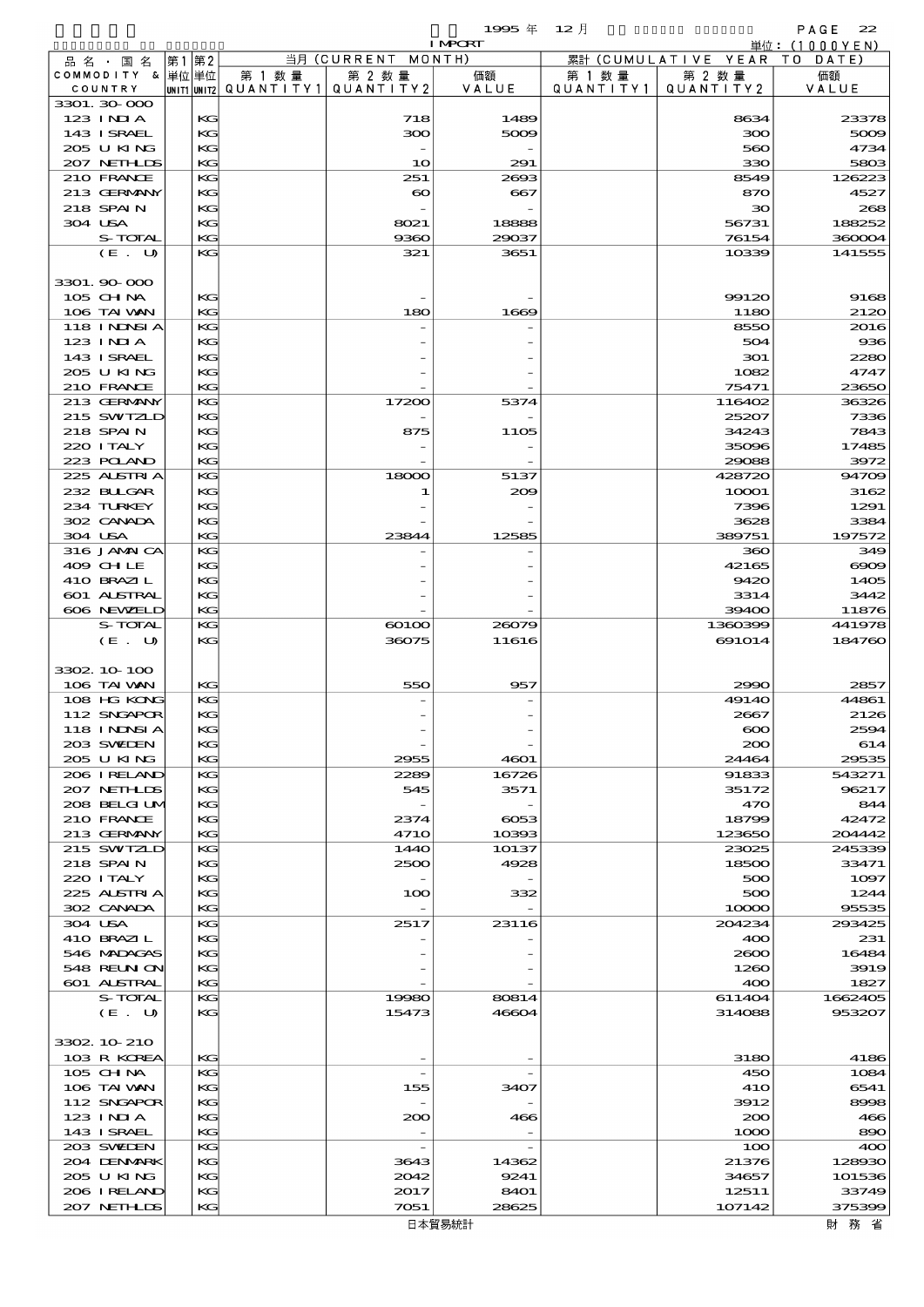|                               |             |           |                       | 1995 $#$                 | $12$ 月    |                     | PAGE<br>22             |
|-------------------------------|-------------|-----------|-----------------------|--------------------------|-----------|---------------------|------------------------|
|                               |             |           | 当月 (CURRENT           | <b>I MPCRT</b><br>MONTH) |           | 累計 (CUMULATIVE YEAR | 単位: $(1000YEN)$<br>T O |
| 品 名 ・ 国 名<br>COMMODITY & 単位単位 | 第1 第2       | 第 1 数 量   | 第 2 数量                | 価額                       | 第 1 数 量   | 第 2 数量              | DATE<br>価額             |
| COUNTRY                       | UNIT1 UNIT2 | QUANTITY1 | QUANTITY2             | VALUE                    | QUANTITY1 | QUANTITY2           | VALUE                  |
| 3301.30 000                   |             |           |                       |                          |           |                     |                        |
| 123 INIA<br>143 I SRAEL       | KG<br>KG    |           | 718<br>300            | 1489<br>5009             |           | 8634<br>300         | 23378<br>5009          |
| 205 U KING                    | KG          |           |                       |                          |           | 560                 | 4734                   |
| 207 NETHLIS                   | KG          |           | 10                    | 291                      |           | 330                 | 5803                   |
| 210 FRANCE                    | KG          |           | 251                   | 2693                     |           | 8549                | 126223                 |
| 213 GERMANY<br>218 SPAIN      | KG<br>KG    |           | $\boldsymbol{\infty}$ | 667                      |           | 870<br>$30^{\circ}$ | 4527<br>268            |
| 304 USA                       | KG          |           | 8021                  | 18888                    |           | 56731               | 188252                 |
| S-TOTAL                       | KG          |           | 9360                  | 29037                    |           | 76154               | 360004                 |
| (E. U)                        | KG          |           | 321                   | 3651                     |           | 10339               | 141555                 |
|                               |             |           |                       |                          |           |                     |                        |
| 3301.90 000<br>105 CHNA       | KG          |           |                       |                          |           | 99120               | 9168                   |
| 106 TAI VAN                   | KG          |           | 180                   | 1669                     |           | 1180                | 2120                   |
| 118 I NDSI A                  | KG          |           |                       |                          |           | 8550                | 2016                   |
| 123 INIA                      | KG          |           |                       |                          |           | 504                 | 936                    |
| 143 I SRAEL                   | KG          |           |                       |                          |           | 301                 | 2280                   |
| 205 U KING<br>210 FRANCE      | KG<br>KG    |           |                       |                          |           | 1082<br>75471       | 4747<br>23650          |
| 213 GERMANY                   | KG          |           | 17200                 | 5374                     |           | 116402              | 36326                  |
| 215 SWIZLD                    | KG          |           |                       |                          |           | 25207               | 7336                   |
| 218 SPAIN                     | KG          |           | 875                   | <b>1105</b>              |           | 34243               | 7843                   |
| 220 I TALY                    | KG          |           |                       |                          |           | 35096               | 17485                  |
| 223 POLAND<br>225 ALSTRIA     | KG<br>KG    |           | 18000                 | 5137                     |           | 29088<br>428720     | 3972<br>94709          |
| 232 BLLGAR                    | KG          |           | 1                     | 209                      |           | 10001               | 3162                   |
| 234 TURKEY                    | KG          |           |                       |                          |           | 7396                | 1291                   |
| 302 CANADA                    | KG          |           |                       |                          |           | 3628                | 3384                   |
| 304 USA                       | KG          |           | 23844                 | 12585                    |           | 389751              | 197572                 |
| 316 JAMAICA<br>409 CHLE       | KG<br>KG    |           |                       |                          |           | 360<br>42165        | 349<br>$\infty$        |
| 410 BRAZIL                    | KG          |           |                       |                          |           | 9420                | 1405                   |
| 601 ALSTRAL                   | KG          |           |                       |                          |           | 3314                | 3442                   |
| 606 NEWELD                    | KG          |           |                       |                          |           | 39400               | 11876                  |
| S-TOTAL<br>(E. U)             | KG<br>KG    |           | 60100<br>36075        | 26079<br>11616           |           | 1360399<br>691014   | 441978<br>184760       |
|                               |             |           |                       |                          |           |                     |                        |
| 3302 10 100                   |             |           |                       |                          |           |                     |                        |
| 106 TAI VAN                   | КG          |           | 550                   | 957                      |           | 2990                | 2857                   |
| 108 HG KONG                   | KG          |           |                       |                          |           | 4914O               | 44861                  |
| 112 SNGAPOR<br>118 I NINSI A  | KG<br>KG    |           |                       |                          |           | 2667<br>$\infty$    | 2126<br>2594           |
| 203 SWIEN                     | KC          |           |                       |                          |           | 200                 | 614                    |
| 205 U KING                    | KC          |           | 2955                  | 4601                     |           | 24464               | 29535                  |
| 206 I RELAND                  | KG          |           | 2289                  | 16726                    |           | 91833               | 543271                 |
| 207 NETHLIS<br>208 BELGI UM   | KG<br>KG    |           | 545                   | 3571                     |           | 35172<br>470        | 96217<br>844           |
| 210 FRANCE                    | KG          |           | 2374                  | $\cos$                   |           | 18799               | 42472                  |
| 213 GERMANY                   | KC          |           | 4710                  | 10393                    |           | 123650              | 204442                 |
| 215 SWIZLD                    | KC          |           | 1440                  | 10137                    |           | 23025               | 245339                 |
| 218 SPAIN                     | KC          |           | 2500                  | 4928                     |           | 18500               | 33471                  |
| 220 I TALY<br>225 ALSTRIA     | KG<br>KC    |           | 100                   | 332                      |           | 500<br>500          | 1097<br>1244           |
| 302 CANADA                    | KG          |           |                       |                          |           | 10000               | 95535                  |
| 304 USA                       | KC          |           | 2517                  | 23116                    |           | 204234              | 293425                 |
| 410 BRAZIL                    | KG          |           |                       |                          |           | 400                 | 231                    |
| 546 MADAGAS                   | KG          |           |                       |                          |           | 2000                | 16484                  |
| 548 REUN ON<br>601 ALSTRAL    | KC<br>KG    |           |                       |                          |           | 1260<br>400         | 3919<br>1827           |
| S-TOTAL                       | KC          |           | 19980                 | 80814                    |           | 611404              | 1662405                |
| (E. U)                        | KG          |           | 15473                 | 46604                    |           | 314088              | 953207                 |
|                               |             |           |                       |                          |           |                     |                        |
| 3302 10 210<br>103 R KOREA    | KG          |           |                       |                          |           | 3180                | 4186                   |
| 105 CHNA                      | KC          |           |                       |                          |           | 450                 | 1084                   |
| 106 TAI VAN                   | KC          |           | 155                   | 3407                     |           | 41O                 | 6541                   |
| 112 SNGAPOR                   | KG          |           |                       |                          |           | 3912                | 8998                   |
| 123 INIA                      | KC          |           | 200                   | 466                      |           | 200                 | 466                    |
| 143 ISRAEL<br>203 SWIDEN      | KC<br>KC    |           |                       |                          |           | 1000<br>100         | 890<br>400             |
| 204 DENMARK                   | KC          |           | 3643                  | 14362                    |           | 21376               | 128930                 |
| 205 U KING                    | KG          |           | 2012                  | 9241                     |           | 34657               | 101536                 |
| 206 IRELAND                   | KG          |           | 2017                  | <b>8401</b>              |           | 12511               | 33749                  |
| 207 NETHLIS                   | KG          |           | 7051                  | 28625                    |           | 107142              | 375399                 |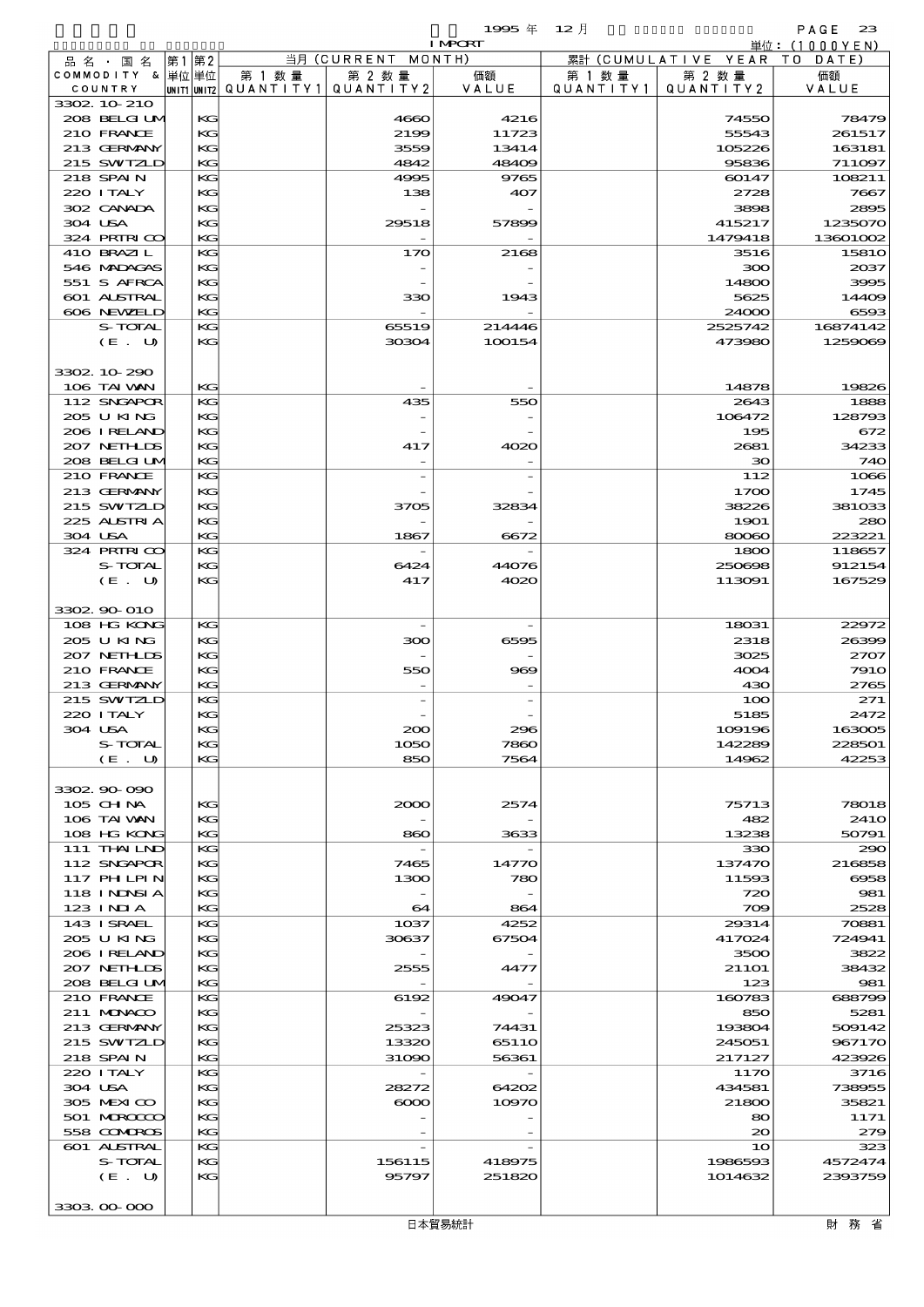$1995 \n& 12 \nparallel$  PAGE 23

|                            |          |        |                                   | <b>I MPORT</b> |                   |                              | 単位:(1000YEN)     |
|----------------------------|----------|--------|-----------------------------------|----------------|-------------------|------------------------------|------------------|
| 品 名 ・ 国 名                  | 第1第2     |        | 当月 (CURRENT MONTH)                |                |                   | 累計 (CUMULATIVE YEAR TO DATE) |                  |
| COMMODITY & 単位単位           |          | 第 1 数量 | 第 2 数量                            | 価額             | 第 1 数 量           | 第 2 数量                       | 価額               |
| COUNTRY                    |          |        | UNIT1 UNIT2 QUANTITY 1 QUANTITY 2 | VALUE          | Q U A N T I T Y 1 | QUANTITY2                    | VALUE            |
| 3302 10 210                |          |        |                                   |                |                   |                              |                  |
| 208 BELGI UM               | KG       |        | 4660                              | 4216           |                   | 74550                        | 78479            |
| 210 FRANCE                 | KG       |        | 2199                              | 11723          |                   | 55543                        | 261517           |
| 213 GERMANY                | KG       |        | 3559                              | 13414          |                   | 105226                       | 163181           |
| 215 SWIZLD                 | KG       |        | 4842                              | 48409          |                   | 95836                        | 711097           |
| 218 SPAIN                  | KG       |        | 4995                              | 9765           |                   | 60147                        | 108211           |
| 220 I TALY                 | KG       |        | 138                               | 407            |                   | 2728                         | 7667             |
| 302 CANADA<br>304 USA      | KG       |        |                                   |                |                   | 3898                         | 2895             |
|                            | KG       |        | 29518                             | 57899          |                   | 415217                       | 1235070          |
| 324 PRIRICO                | KG       |        |                                   |                |                   | 1479418                      | 13601002         |
| 410 BRAZIL                 | KG<br>KG |        | 170                               | 2168           |                   | 3516                         | 1581C<br>2037    |
| 546 MADACAS                |          |        |                                   |                |                   | 300                          |                  |
| 551 S AFRCA<br>601 ALSTRAL | KG       |        |                                   |                |                   | 14800<br>5625                | 3995             |
| 606 NEWELD                 | KG<br>KG |        | 330                               | 1943           |                   | 24000                        | 14409<br>6593    |
| S-TOTAL                    | KG       |        | 65519                             | 214446         |                   | 2525742                      | 16874142         |
| (E. U)                     | KG       |        | 30304                             | 100154         |                   | 473980                       | 1259069          |
|                            |          |        |                                   |                |                   |                              |                  |
| 3302 10 290                |          |        |                                   |                |                   |                              |                  |
| 106 TAI VAN                | KG       |        |                                   |                |                   | 14878                        | 19826            |
| 112 SNGAPOR                | KG       |        | 435                               | 550            |                   | 2643                         | 1888             |
| 205 U KING                 | KG       |        |                                   |                |                   | 106472                       | 128793           |
| 206 IRELAND                | KG       |        |                                   |                |                   | 195                          | 672              |
| 207 NETHLIS                | KG       |        | 417                               | 4020           |                   | 2681                         | 34233            |
| 208 BELGI UM               | KG       |        |                                   |                |                   | $\infty$                     | 740              |
| 210 FRANCE                 | KG       |        |                                   |                |                   | 112                          | 1066             |
| 213 GERMANY                | KG       |        |                                   |                |                   | 1700                         | 1745             |
| 215 SWIZLD                 | KG       |        | 3705                              | 32834          |                   | 38226                        | 381033           |
| 225 ALSTRIA                | KG       |        |                                   |                |                   | 1901                         | 280              |
| 304 USA                    | KG       |        | 1867                              | 6672           |                   | 80060                        | 223221           |
| 324 PRIRICO                | KG       |        |                                   |                |                   | 1800                         | 118657           |
| S-TOTAL                    | KG       |        | 6424                              | 44076          |                   | 250698                       | 912154           |
| (E. U)                     | KG       |        | 417                               | 4020           |                   | 113091                       | 167529           |
|                            |          |        |                                   |                |                   |                              |                  |
| 3302 90 010                |          |        |                                   |                |                   |                              |                  |
| 108 HG KONG                | KG       |        |                                   |                |                   | 18031                        | 22972            |
| 205 U KING                 | KG       |        | 300                               | 6595           |                   | 2318                         | 26399            |
| 207 NETHLIS                | KG       |        |                                   |                |                   | 3025                         | 2707             |
| 210 FRANCE                 | KG       |        | 550                               | 969            |                   | 4004                         | <b>7910</b>      |
| 213 GERMANY                | KG       |        |                                   |                |                   | 430                          | 2765             |
| 215 SWIZLD                 | KG       |        |                                   |                |                   | 100                          | 271              |
| 220 I TALY                 | KG       |        |                                   |                |                   | 5185                         | 2472             |
| 304 USA                    | KG       |        | $\alpha$                          | 230            |                   | 109196                       | 163005           |
| S-TOTAL                    | KG       |        | 1050                              | 7860           |                   | 142289                       | 228501           |
| (E. U)                     | КG       |        | 850                               | 7564           |                   | 14962                        | 42253            |
|                            |          |        |                                   |                |                   |                              |                  |
| 3302 90 090                |          |        |                                   |                |                   |                              |                  |
| $105$ CHNA                 | KG       |        | 2000                              | 2574           |                   | 75713                        | 78018            |
| 106 TAI VAN                | KG       |        |                                   |                |                   | 482                          | 241 <sub>O</sub> |
| 108 HG KONG                | KG       |        | 860                               | 3633           |                   | 13238                        | 50791            |
| 111 THAILND                | KG       |        |                                   |                |                   | 330                          | 290              |
| 112 SNGAPOR                | KG       |        | 7465                              | 14770          |                   | 137470                       | 216858           |
| 117 PH LPIN                | KG       |        | 1300                              | 780            |                   | 11593                        | 6958             |
| 118 I NDSI A               | KG       |        |                                   |                |                   | 720                          | 981              |
| 123 INIA                   | KG       |        | 64                                | 864            |                   | 709                          | 2528             |
| 143 ISRAEL                 | КC       |        | 1 <sub>0</sub> 37                 | 4252           |                   | 29314                        | 70881            |
| 205 U KING                 | KG       |        | 30637                             | 67504          |                   | 417024                       | 724941           |
| 206 IRELAND                | KG       |        |                                   |                |                   | 3500                         | 3822             |
| 207 NETHLIS                | KG       |        | 2555                              | 4477           |                   | 211O1                        | 38432            |
| 208 BELGI UM               | КG       |        |                                   |                |                   | 123                          | 981              |
| 210 FRANCE                 | КC       |        | 6192                              | 49047          |                   | 160783                       | 688799           |
| 211 MUNACO                 | KG       |        |                                   |                |                   | 850                          | 5281             |
| 213 GERMANY                | KG       |        | 25323                             | 74431          |                   | 193804                       | 509142           |
| 215 SWIZLD                 | KG       |        | 13320                             | 6511O          |                   | 245051                       | 967170           |
| 218 SPAIN                  | KG       |        | 31090                             | 56361          |                   | 217127                       | 423926           |
| 220 I TALY                 | KG       |        |                                   |                |                   | 1170                         | 3716             |
| 304 USA                    | KG       |        | 28272                             | 64202          |                   | 434581                       | 738955           |
| 305 MEXICO                 | KG       |        | $\infty$                          | 10970          |                   | 21800                        | 35821            |
| 501 MRODO                  | KG       |        |                                   |                |                   | 80                           | 1171             |
| 558 COMBOS                 | КG       |        |                                   |                |                   | $\infty$                     | 279              |
| <b>601 ALSTRAL</b>         | КC       |        |                                   |                |                   | 10                           | 323              |
| S-TOTAL                    | KG       |        | 156115                            | 418975         |                   | 1986593                      | 4572474          |
| (E. U)                     | KG       |        | 95797                             | 251820         |                   | 1014632                      | 2393759          |
|                            |          |        |                                   |                |                   |                              |                  |
| 3303 00 000                |          |        |                                   |                |                   |                              |                  |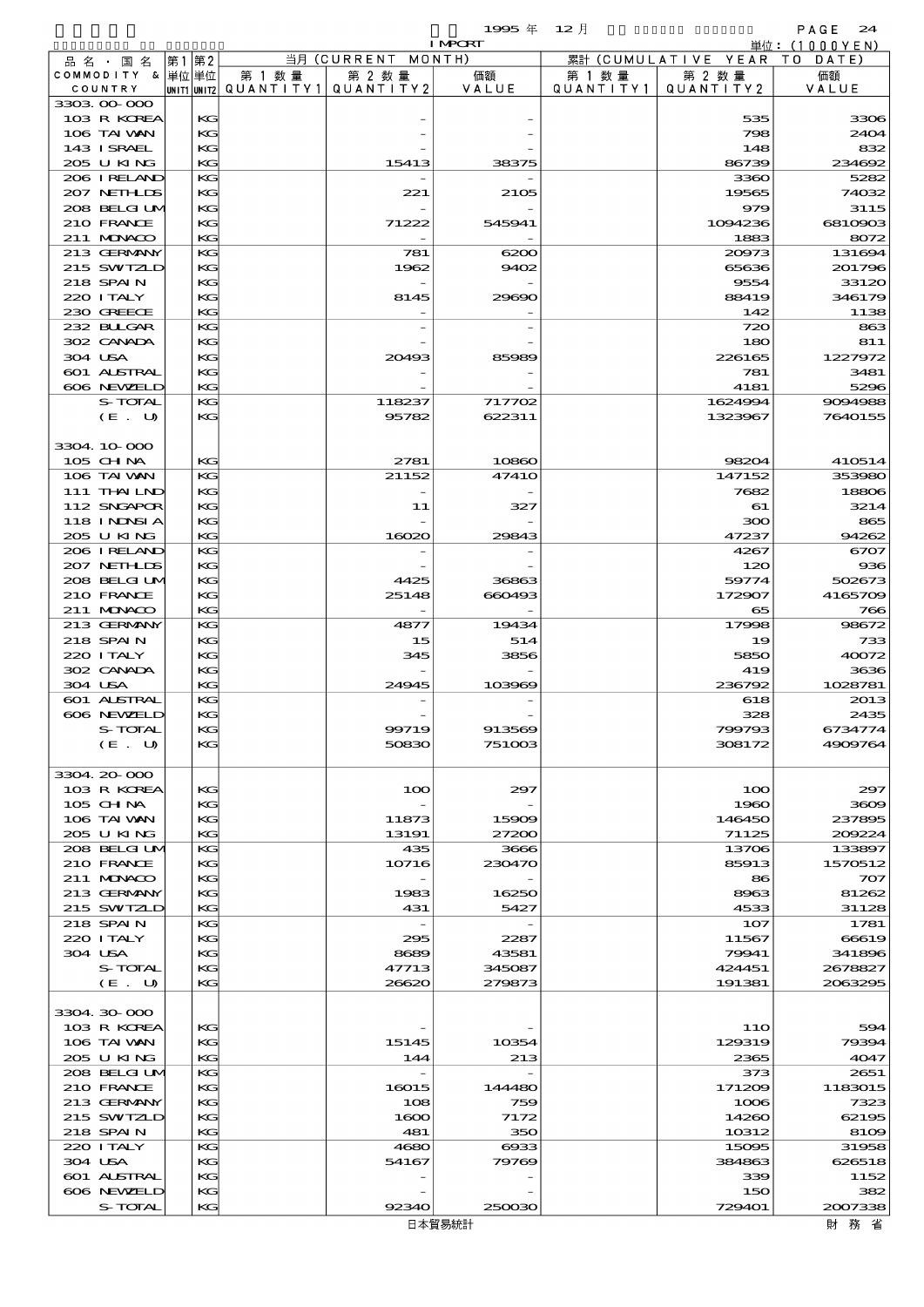|                             |             |                      |                                                         | 1995 $#$<br><b>I MPORT</b> | $12$ 月                       |                      | PAGE<br>24<br>単位:(1000YEN) |
|-----------------------------|-------------|----------------------|---------------------------------------------------------|----------------------------|------------------------------|----------------------|----------------------------|
| 品 名 ・ 国 名                   | 第2<br>第1    |                      | $\overline{\mathbb{H}}\overline{\mathfrak{H}}$ (CURRENT | MONTH)                     | 累計                           | (CUMULATIVE YEAR TO  | DATE                       |
| COMMODITY & 单位单位<br>COUNTRY | UNIT1 UNIT2 | 第 1 数 量<br>QUANTITY1 | 第 2 数量<br>QUANTITY 2                                    | 価額<br>VALUE                | 第 1 数 量<br>Q U A N T I T Y 1 | 第 2 数量<br>QUANTITY 2 | 価額<br>VALUE                |
| 3303.00.000                 |             |                      |                                                         |                            |                              |                      |                            |
| 103 R KOREA                 | KG          |                      |                                                         |                            |                              | 535                  | 3306                       |
| 106 TAI WAN                 | KG          |                      |                                                         |                            |                              | 798                  | 2404                       |
| 143 ISRAEL<br>205 U KING    | KG<br>KG    |                      | 15413                                                   | 38375                      |                              | 148<br>86739         | 832<br>234692              |
| 206 I RELAND                | KG          |                      |                                                         |                            |                              | 3360                 | 5282                       |
| 207 NETHLIS                 | KG          |                      | 221                                                     | 2105                       |                              | 19565                | 74032                      |
| 208 BELGI UM                | KG          |                      |                                                         |                            |                              | 979                  | 3115                       |
| 210 FRANCE                  | KG          |                      | 71222                                                   | 545941                     |                              | 1094236              | 6810903                    |
| 211 MUNKOO                  | KG          |                      |                                                         |                            |                              | 1883                 | 8072                       |
| 213 GERMANY<br>215 SWIZLD   | KG<br>KG    |                      | 781<br>1962                                             | 6200<br>9402               |                              | 20973<br>65636       | 131694<br>201796           |
| 218 SPAIN                   | KG          |                      |                                                         |                            |                              | 9554                 | 33120                      |
| 220 I TALY                  | KG          |                      | 8145                                                    | 29690                      |                              | 88419                | 346179                     |
| 230 GREECE                  | KG          |                      |                                                         |                            |                              | 142                  | 1138                       |
| 232 BULGAR                  | KG          |                      |                                                         |                            |                              | 720                  | 863                        |
| 302 CANADA                  | KG          |                      |                                                         |                            |                              | 180                  | 811                        |
| 304 USA                     | КG          |                      | 20493                                                   | 85989                      |                              | 226165               | 1227972                    |
| 601 ALSTRAL<br>606 NEWELD   | KG<br>KG    |                      |                                                         |                            |                              | 781<br>4181          | 3481<br>5296               |
| <b>S-TOTAL</b>              | KG          |                      | 118237                                                  | 717702                     |                              | 1624994              | 9094988                    |
| (E. U)                      | KG          |                      | 95782                                                   | 622311                     |                              | 1323967              | 7640155                    |
|                             |             |                      |                                                         |                            |                              |                      |                            |
| 3304 10 000                 |             |                      |                                                         |                            |                              |                      |                            |
| 105 CHNA                    | KG          |                      | 2781                                                    | 10860                      |                              | 98204                | 410514                     |
| 106 TAI VAN<br>111 THAILND  | KG<br>KС    |                      | 21152                                                   | 4741O                      |                              | 147152<br>7682       | 353980<br>18806            |
| 112 SNGAPOR                 | KG          |                      | 11                                                      | 327                        |                              | 61                   | 3214                       |
| <b>118 INNSIA</b>           | KG          |                      |                                                         |                            |                              | 300                  | 865                        |
| 205 U KING                  | KG          |                      | 16020                                                   | 29843                      |                              | 47237                | 94262                      |
| 206 I RELAND                | KG          |                      |                                                         |                            |                              | 4267                 | 6707                       |
| 207 NETHLIS                 | KG          |                      |                                                         |                            |                              | 120                  | 936                        |
| 208 BELGI UM<br>210 FRANCE  | KG<br>KG    |                      | 4425<br>25148                                           | 36863<br>660493            |                              | 59774<br>172907      | 502673<br>4165709          |
| 211 MUNACO                  | KG          |                      |                                                         |                            |                              | 65                   | 766                        |
| 213 GERMANY                 | KG          |                      | 4877                                                    | 19434                      |                              | 17998                | 98672                      |
| 218 SPAIN                   | КG          |                      | 15                                                      | 514                        |                              | 19                   | 733                        |
| 220 I TALY                  | KG          |                      | 345                                                     | 3856                       |                              | 5850                 | 40072                      |
| 302 CANADA                  | KG          |                      |                                                         |                            |                              | 419                  | 3636                       |
| 304 USA<br>601 ALSTRAL      | KG<br>KG    |                      | 24945                                                   | 103969                     |                              | 236792<br>618        | 1028781<br>2013            |
| 606 NEWELD                  | KG          |                      |                                                         |                            |                              | 328                  | 2435                       |
| S-TOTAL                     | KG          |                      | 99719                                                   | 913569                     |                              | 799793               | 6734774                    |
| (E. U)                      | KG          |                      | 50830                                                   | 751003                     |                              | 308172               | 4909764                    |
|                             |             |                      |                                                         |                            |                              |                      |                            |
| 3304.20-000                 |             |                      |                                                         |                            |                              |                      |                            |
| 103 R KOREA<br>105 CH NA    | KG<br>KG    |                      | 100                                                     | 297                        |                              | 100<br>1960          | 297<br>3609                |
| 106 TAI VAN                 | KG          |                      | 11873                                                   | 15909                      |                              | 146450               | 237895                     |
| 205 U KING                  | KG          |                      | 13191                                                   | 27200                      |                              | 71125                | 200224                     |
| 208 BELGI UM                | KG          |                      | 435                                                     | 3666                       |                              | 13706                | 133897                     |
| 210 FRANCE                  | KG          |                      | 10716                                                   | 230470                     |                              | 85913                | 1570512                    |
| 211 MUNACO                  | KG          |                      |                                                         |                            |                              | 86                   | 707                        |
| 213 GERMANY<br>215 SWIZLD   | KG<br>KG    |                      | 1983<br>431                                             | 16250<br>5427              |                              | 8963<br>4533         | 81262<br>31128             |
| 218 SPAIN                   | KG          |                      |                                                         |                            |                              | 107                  | 1781                       |
| 220 I TALY                  | KG          |                      | 295                                                     | 2287                       |                              | 11567                | 66619                      |
| 304 USA                     | KG          |                      | 8689                                                    | 43581                      |                              | 79941                | 341896                     |
| S-TOTAL                     | KG          |                      | 47713                                                   | 345087                     |                              | 424451               | 2678827                    |
| (E. U)                      | KG          |                      | 26620                                                   | 279873                     |                              | 191381               | 2063295                    |
| 3304 30 000                 |             |                      |                                                         |                            |                              |                      |                            |
| 103 R KOREA                 | KG          |                      |                                                         |                            |                              | 11O                  | 594                        |
| 106 TAI VAN                 | KG          |                      | 15145                                                   | 10354                      |                              | 129319               | 79394                      |
| 205 U KING                  | KG          |                      | 144                                                     | 213                        |                              | 2365                 | 4047                       |
| 208 BELGI UM                | KG          |                      |                                                         |                            |                              | 373                  | 2651                       |
| 210 FRANCE                  | KG          |                      | 16015                                                   | 144480                     |                              | 171209               | 1183015                    |
| 213 GERMANY<br>215 SWIZLD   | KG<br>KG    |                      | 108<br>1600                                             | 759<br>7172                |                              | 1006<br>14260        | 7323<br>62195              |
| 218 SPAIN                   | KG          |                      | 481                                                     | 350                        |                              | 10312                | 8109                       |
| 220 I TALY                  | KG          |                      | 4680                                                    | $\cos$                     |                              | 15095                | 31958                      |

 304 USA KG 54167 79769 384863 626518  $\begin{array}{|l|c|c|c|c|c|}\n\hline\n\text{SO1} & \text{LSTRA} & \text{KGC} & & & & & \\
\hline\n\text{SO1} & \text{AJSTRA} & & & & & \\
\hline\n\text{SO1} & \text{AJSTRA} & & & & & \\
\hline\n\end{array}$  606 NEWZELD KG - - 150 382 S-TOTAL KG 92340 250030 729401 2007338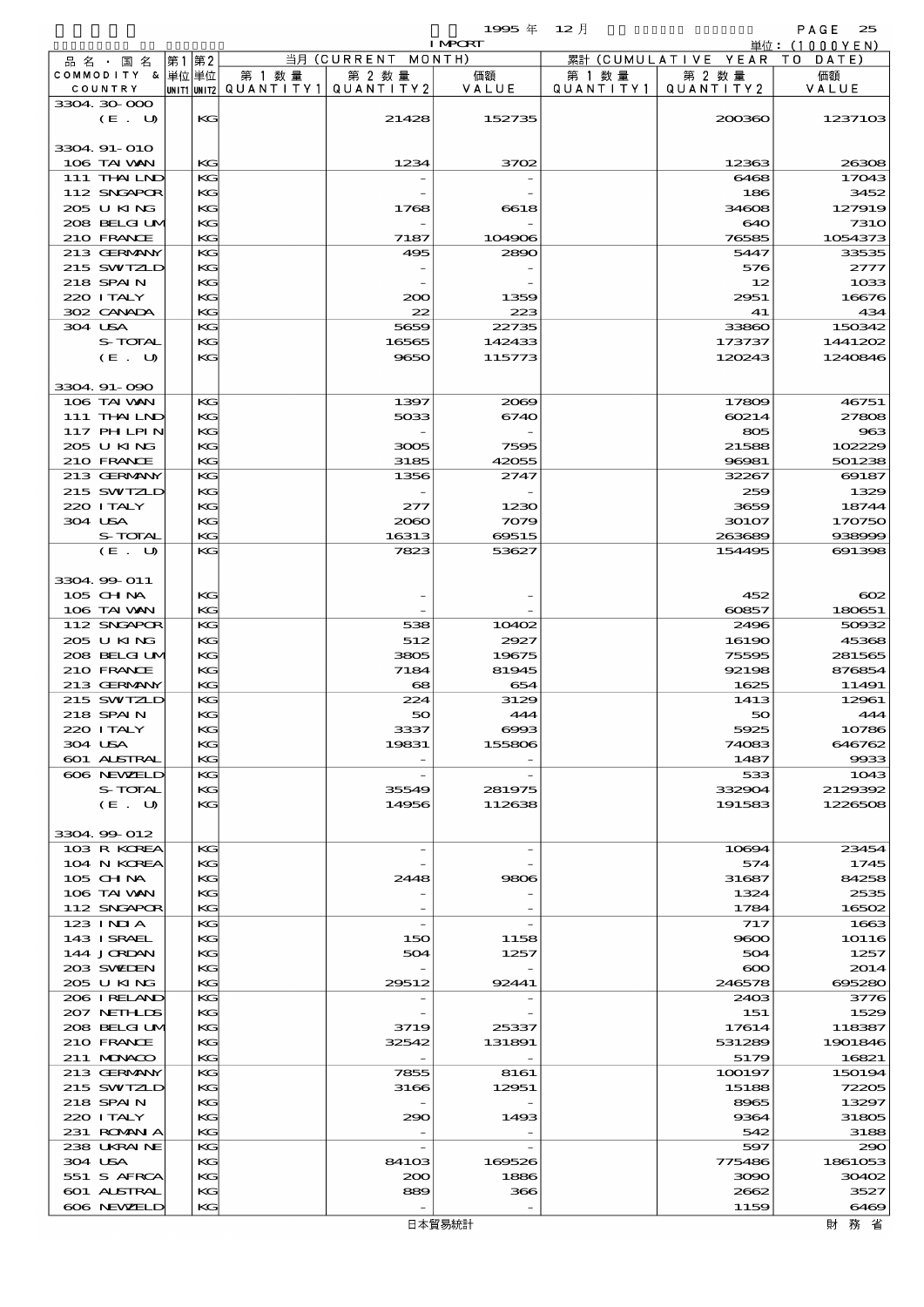|                         |                               |           |                                      |                     | 1995年          | $12$ 月              |                       | PAGE<br>25                     |
|-------------------------|-------------------------------|-----------|--------------------------------------|---------------------|----------------|---------------------|-----------------------|--------------------------------|
|                         |                               |           |                                      | 当月 (CURRENT MONTH)  | <b>I MPORT</b> |                     | 累計 (CUMULATIVE YEAR)  | 単位: $(1000YEN)$<br>T O<br>DATE |
| COUNTRY                 | 品 名 ・ 国 名<br>COMMODITY & 単位単位 | 第2<br> 第1 | 第 1 数 量<br> unit1 unit2  Q∪ANT   TY1 | 第 2 数量<br>QUANTITY2 | 価額<br>VALUE    | 第 1 数量<br>QUANTITY1 | 第 2 数 量<br>QUANTITY 2 | 価額<br>VALUE                    |
| 3304 30 000             | (E. U)                        | KG        |                                      | 21428               | 152735         |                     | 200360                | 1237103                        |
| 3304 91-010             | 106 TAI VAN                   | KG        |                                      | 1234                | 3702           |                     | 12363                 | 26308                          |
|                         | 111 THAILND                   | KG        |                                      |                     |                |                     | 6468                  | 17043                          |
|                         | 112 SNGAPOR                   | KG        |                                      |                     |                |                     | 186                   | 3452                           |
|                         | 205 U KING<br>208 BELGI UM    | KG<br>KG  |                                      | 1768                | 6618           |                     | 34608<br>640          | 127919<br><b>7310</b>          |
|                         | 210 FRANCE                    | KG        |                                      | 7187                | 104906         |                     | 76585                 | 1054373                        |
|                         | 213 GERMANY                   | KG        |                                      | 495                 | 2890           |                     | 5447                  | 33535                          |
|                         | 215 SWIZLD                    | KG        |                                      |                     |                |                     | 576                   | 2777                           |
| 218 SPAIN<br>220 I TALY |                               | KG<br>KG  |                                      | 200                 | 1359           |                     | 12<br>2951            | 1033<br>16676                  |
|                         | 302 CANADA                    | KG        |                                      | 22                  | 223            |                     | 41                    | 434                            |
| 304 USA                 |                               | KG        |                                      | 5659                | 22735          |                     | 33860                 | 150342                         |
|                         | S-TOTAL                       | KG        |                                      | 16565               | 142433         |                     | 173737                | 1441202                        |
|                         | (E. U)                        | $K$ $G$   |                                      | 9650                | 115773         |                     | 120243                | 1240846                        |
| 3304 91-090             |                               |           |                                      |                     |                |                     |                       |                                |
|                         | 106 TAI VAN<br>111 THAILND    | KG<br>KG  |                                      | 1397<br>5033        | 2069<br>6740   |                     | 17809<br>60214        | 46751<br>27808                 |
|                         | 117 PHLPIN                    | KG        |                                      |                     |                |                     | 805                   | 963                            |
|                         | 205 U KING                    | KG        |                                      | 3005                | 7595           |                     | 21588                 | 102229                         |
|                         | 210 FRANCE                    | KG        |                                      | 3185                | 42055          |                     | 96981                 | 501238                         |
|                         | 213 GERMANY                   | KG        |                                      | 1356                | 2747           |                     | 32267                 | 69187                          |
| 220 I TALY              | 215 SWIZLD                    | KG<br>KG  |                                      | 277                 | 1230           |                     | 259<br>3659           | 1329<br>18744                  |
| 304 USA                 |                               | KG        |                                      | 2060                | 7079           |                     | 30107                 | 170750                         |
|                         | S-TOTAL                       | KG        |                                      | 16313               | 69515          |                     | 263689                | 938999                         |
|                         | (E. U)                        | KG        |                                      | 7823                | 53627          |                     | 154495                | 691398                         |
| 3304 99 011             |                               |           |                                      |                     |                |                     |                       |                                |
| 105 CH NA               |                               | KG<br>KG  |                                      |                     |                |                     | 452<br>60857          | $\infty$<br>180651             |
|                         | 106 TAI VAN<br>112 SNGAPOR    | KG        |                                      | 538                 | 10402          |                     | 2496                  | 50932                          |
|                         | 205 U KING                    | KG        |                                      | 512                 | 2927           |                     | 16190                 | 45368                          |
|                         | 208 BELGI UM                  | KG        |                                      | 3805                | 19675          |                     | 75595                 | 281565                         |
|                         | 210 FRANCE                    | KG        |                                      | 7184                | 81945          |                     | 92198                 | 876854                         |
|                         | 213 GERMANY<br>215 SWIZLD     | КG<br>KG  |                                      | 68<br>224           | 654<br>3129    |                     | 1625<br>1413          | 11491<br>12961                 |
| 218 SPAIN               |                               | KG        |                                      | 50                  | 444            |                     | 5C                    | 444                            |
| 220 I TALY              |                               | $K$ $G$   |                                      | 3337                | $\cos$         |                     | 5925                  | 10786                          |
| 304 USA                 |                               | KG        |                                      | 19831               | 155806         |                     | 74083                 | 646762                         |
|                         | 601 ALSTRAL<br>606 NEWELD     | KG<br>KG  |                                      |                     |                |                     | 1487<br>533           | 9933<br>1043                   |
|                         | S-TOTAL                       | KG        |                                      | 35549               | 281975         |                     | 332904                | 2129392                        |
|                         | (E. U)                        | KG        |                                      | 14956               | 112638         |                     | 191583                | 1226508                        |
| 3304 99 012             |                               |           |                                      |                     |                |                     |                       |                                |
|                         | 103 R KOREA                   | KG        |                                      |                     |                |                     | 10694                 | 23454                          |
|                         | 104 N KOREA                   | KG        |                                      |                     |                |                     | 574                   | 1745                           |
| $105$ CHNA              | 106 TAI VAN                   | KG<br>KG  |                                      | 2448                | 9806           |                     | 31687<br>1324         | 84258<br>2535                  |
|                         | 112 SNGAPOR                   | KG        |                                      |                     |                |                     | 1784                  | 16502                          |
| 123 INIA                |                               | KG        |                                      |                     |                |                     | 717                   | 1663                           |
|                         | 143 ISRAEL                    | KG        |                                      | 150                 | 1158           |                     | 9600                  | 10116                          |
|                         | 144 JORDAN<br>203 SWIDEN      | KG<br>KG  |                                      | 504                 | 1257           |                     | 504<br>$\infty$       | 1257<br>2014                   |
|                         | 205 U KING                    | KG        |                                      | 29512               | 92441          |                     | 246578                | 695280                         |
|                         | 206 IRELAND                   | KG        |                                      |                     |                |                     | 2403                  | 3776                           |
|                         | 207 NETHLIDS                  | KG        |                                      |                     |                |                     | 151                   | 1529                           |
|                         | 208 BELGI UM                  | KG        |                                      | 3719                | 25337          |                     | 17614                 | 118387                         |
|                         | 210 FRANCE<br>211 MUNACO      | КG<br>KG  |                                      | 32542               | 131891         |                     | 531289<br>5179        | 1901846<br>16821               |
|                         | 213 GERMANY                   | KG        |                                      | 7855                | 8161           |                     | 100197                | 150194                         |
|                         | 215 SWIZLD                    | KG        |                                      | 3166                | 12951          |                     | 15188                 | 72205                          |
| 218 SPAIN               |                               | KG        |                                      |                     |                |                     | 8965                  | 13297                          |
| 220 I TALY              | 231 ROMAN A                   | KG<br>KG  |                                      | 290                 | 1493           |                     | 9364<br>542           | 31805<br>3188                  |
|                         | 238 UKRAINE                   | KG        |                                      |                     |                |                     | 597                   | 290                            |
| 304 USA                 |                               | KG        |                                      | 84103               | 169526         |                     | 775486                | 1861053                        |
|                         | 551 S AFRCA                   | KG        |                                      | 200                 | 1886           |                     | 3090                  | 30402                          |
|                         | 601 ALSTRAL<br>606 NEWELD     | KG<br>KG  |                                      | 889                 | 366            |                     | 2662<br>1159          | 3527<br>6469                   |
|                         |                               |           |                                      |                     |                |                     |                       |                                |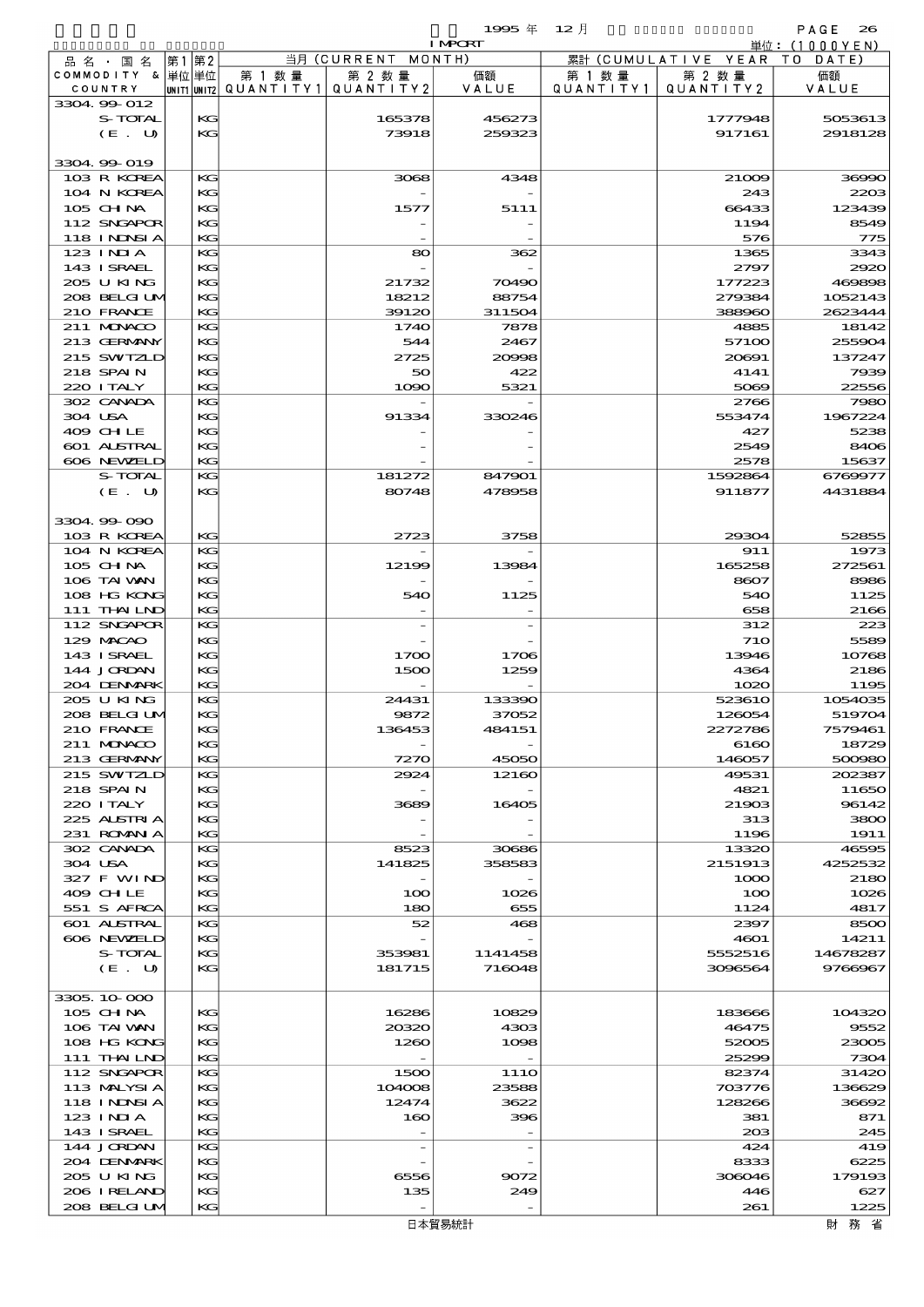$1$ 995  $\#$  12  $\bar{e}$  and  $\bar{e}$  and  $\bar{e}$  and  $\bar{e}$  and  $\bar{e}$  and  $\bar{e}$  and  $\bar{e}$  and  $\bar{e}$  and  $\bar{e}$  and  $\bar{e}$  and  $\bar{e}$  and  $\bar{e}$  and  $\bar{e}$  and  $\bar{e}$  and  $\bar{e}$  and  $\bar{e}$  and  $\bar{e}$  and  $\$ 

|         |                           |    |          |                                 |                          | <b>I MPORT</b> |                   |                              | 単位: (1000 Y E N) |
|---------|---------------------------|----|----------|---------------------------------|--------------------------|----------------|-------------------|------------------------------|------------------|
|         | 品名・国名                     | 第1 | 第2       |                                 | 当月 (CURRENT              | MONTH)         |                   | 累計 (CUMULATIVE YEAR TO DATE) |                  |
|         | COMMODITY & 単位単位          |    |          | 第 1 数量                          | 第 2 数量                   | 価額             | 第 1 数 量           | 第 2 数量                       | 価額               |
|         | COUNTRY                   |    |          | UNIT1 UNIT2 QUANTITY1 QUANTITY2 |                          | VALUE          | Q U A N T I T Y 1 | QUANTITY2                    | VALUE            |
|         | 3304.99-012               |    |          |                                 |                          |                |                   |                              |                  |
|         | S-TOTAL                   |    | KС       |                                 | 165378                   | 456273         |                   | 1777948                      | 5053613          |
|         | (E. U)                    |    | KG       |                                 | 73918                    | 259323         |                   | 917161                       | 2918128          |
|         | 3304 99 019               |    |          |                                 |                          |                |                   |                              |                  |
|         | 103 R KOREA               |    | KG       |                                 | 3068                     | 4348           |                   | 21009                        | 36990            |
|         | 104 N KOREA               |    | KG       |                                 |                          |                |                   | 243                          | 2203             |
|         | 105 CHNA                  |    | KG       |                                 | 1577                     | 5111           |                   | 66433                        | 123439           |
|         | 112 SNGAPOR               |    | KG       |                                 |                          |                |                   | 1194                         | 8549             |
|         | <b>118 INNSIA</b>         |    | KG       |                                 |                          |                |                   | 576                          | 775              |
|         | $123$ INIA                |    | KG       |                                 | 80                       | 362            |                   | 1365                         | 3343             |
|         | 143 ISRAEL                |    | KG       |                                 |                          |                |                   | 2797                         | 2920             |
|         | 205 U KING                |    | KG       |                                 | 21732                    | 70490          |                   | 177223                       | 469898           |
|         | 208 BELGI UM              |    | KG       |                                 | 18212                    | 88754          |                   | 279384                       | 1052143          |
|         | 210 FRANCE                |    | KG       |                                 | 39120                    | 311504         |                   | 388960                       | 2623444          |
|         | 211 MUNKOO                |    | KG       |                                 | 1740                     | 7878           |                   | 4885                         | 18142            |
|         | 213 GERMANY               |    | KG       |                                 | 544                      | 2467           |                   | 57100                        | 255904           |
|         | 215 SWIZLD                |    | KG       |                                 | 2725                     | 20998          |                   | 20691                        | 137247           |
|         | 218 SPAIN                 |    | KG       |                                 | 50                       | 422            |                   | 4141                         | 7939             |
|         | 220 I TALY                |    | KG       |                                 | 1090                     | 5321           |                   | 5069                         | 22556            |
|         | 302 CANADA                |    | KG       |                                 |                          |                |                   | 2766                         | 7980             |
| 304 USA | 409 CHLE                  |    | KG       |                                 | 91334                    | 330246         |                   | 553474<br>427                | 1967224<br>5238  |
|         | 601 ALSTRAL               |    | KG<br>KG |                                 |                          |                |                   | 2549                         | 8406             |
|         | 606 NEWELD                |    | KG       |                                 |                          |                |                   | 2578                         | 15637            |
|         | S-TOTAL                   |    | KG       |                                 | 181272                   | 847901         |                   | 1592864                      | 6769977          |
|         | (E. U)                    |    | KG       |                                 | 80748                    | 478958         |                   | 911877                       | 4431884          |
|         |                           |    |          |                                 |                          |                |                   |                              |                  |
|         | 3304.99.090               |    |          |                                 |                          |                |                   |                              |                  |
|         | 103 R KOREA               |    | KG       |                                 | 2723                     | 3758           |                   | 29304                        | 52855            |
|         | 104 N KOREA               |    | KG       |                                 |                          |                |                   | 911                          | 1973             |
|         | 105 CH NA                 |    | KG       |                                 | 12199                    | 13984          |                   | 165258                       | 272561           |
|         | 106 TAI VAN               |    | KG       |                                 |                          |                |                   | 8607                         | 8986             |
|         | 108 HG KONG               |    | KG       |                                 | 540                      | 1125           |                   | 540                          | 1125             |
|         | 111 THAILND               |    | KG       |                                 |                          |                |                   | 658                          | 2166             |
|         | 112 SNGAPOR               |    | KG       |                                 |                          |                |                   | 312                          | 223              |
|         | 129 MACAO                 |    | KG       |                                 |                          |                |                   | <b>710</b>                   | 5589             |
|         | 143 ISRAEL                |    | KG       |                                 | 1700                     | 1706           |                   | 13946                        | 10768            |
|         | 144 JORDAN                |    | KG       |                                 | 1500                     | 1259           |                   | 4364                         | 2186             |
|         | 204 DENMARK               |    | KG       |                                 |                          |                |                   | 1020                         | 1195             |
|         | 205 U KING                |    | KG       |                                 | 24431                    | 133390         |                   | 523610                       | 1054035          |
|         | 208 BELGI UM              |    | KG       |                                 | 9872                     | 37052          |                   | 126054                       | 519704           |
|         | 210 FRANCE                |    | KG       |                                 | 136453                   | 484151         |                   | 2272786                      | 7579461          |
|         | 211 MUNACO<br>213 GERMANY |    | KG<br>KG |                                 | 7270                     | 45050          |                   | 6160<br>146057               | 18729<br>500980  |
|         | 215 SWIZLD                |    | KG       |                                 | 2924                     | 12160          |                   | 49531                        | 202387           |
|         | 218 SPAIN                 |    | KG       |                                 |                          |                |                   | 4821                         | 11650            |
|         | 220 I TALY                |    | KС       |                                 | 3689                     | 16405          |                   | 21903                        | 96142            |
|         | 225 ALSTRIA               |    | KG       |                                 |                          |                |                   | 313                          | 3800             |
|         | 231 ROMAN A               |    | KG       |                                 |                          |                |                   | 1196                         | 1911             |
|         | 302 CANADA                |    | KG       |                                 | 8523                     | 30686          |                   | 13320                        | 46595            |
|         | 304 USA                   |    | KG       |                                 | 141825                   | 358583         |                   | 2151913                      | 4252532          |
|         | 327 F WIND                |    | KG       |                                 |                          |                |                   | 1000                         | 2180             |
|         | 409 CHLE                  |    | KG       |                                 | 100                      | 1026           |                   | 100                          | 1026             |
|         | 551 S AFRCA               |    | KG       |                                 | 180                      | 655            |                   | 1124                         | 4817             |
|         | <b>601 ALSTRAL</b>        |    | KG       |                                 | 52                       | 468            |                   | 2397                         | 8500             |
|         | 606 NEWELD                |    | KG       |                                 |                          |                |                   | 4601                         | 14211            |
|         | S-TOTAL                   |    | KG       |                                 | 353981                   | 1141458        |                   | 5552516                      | 14678287         |
|         | (E. U)                    |    | KG       |                                 | 181715                   | 716048         |                   | 3096564                      | 9766967          |
|         | 3305, 10,000              |    |          |                                 |                          |                |                   |                              |                  |
|         | 105 CH NA                 |    | KG       |                                 | 16286                    | 10829          |                   | 183666                       | 104320           |
|         | 106 TAI VAN               |    | KC       |                                 | 20320                    | 4303           |                   | 46475                        | 9552             |
|         | 108 HG KONG               |    | KG       |                                 | 1260                     | 1098           |                   | 52005                        | 23005            |
|         | 111 THAILND               |    | KG       |                                 |                          |                |                   | 25299                        | 7304             |
|         | 112 SNGAPOR               |    | KG       |                                 | 1500                     | 111O           |                   | 82374                        | 31420            |
|         | 113 MALYSIA               |    | KG       |                                 | 104008                   | 23588          |                   | 703776                       | 136629           |
|         | 118 I NDSI A              |    | KG       |                                 | 12474                    | 3622           |                   | 128266                       | 36692            |
|         | 123 INIA                  |    | KG       |                                 | 160                      | 396            |                   | 381                          | 871              |
|         | 143 ISRAEL                |    | KG       |                                 |                          |                |                   | 20B                          | 245              |
|         | 144 JORDAN                |    | KG       |                                 | $\overline{\phantom{a}}$ |                |                   | 424                          | 419              |
|         | 204 DENMARK               |    | KG       |                                 |                          |                |                   | 8333                         | 6225             |
|         | 205 U KING                |    | KС       |                                 | 6556                     | 9072           |                   | 306046                       | 179193           |
|         | 206 I RELAND              |    | KG       |                                 | 135                      | 249            |                   | 446                          | 627              |
|         | 208 BELGI UM              |    | KG       |                                 |                          |                |                   | 261                          | 1225             |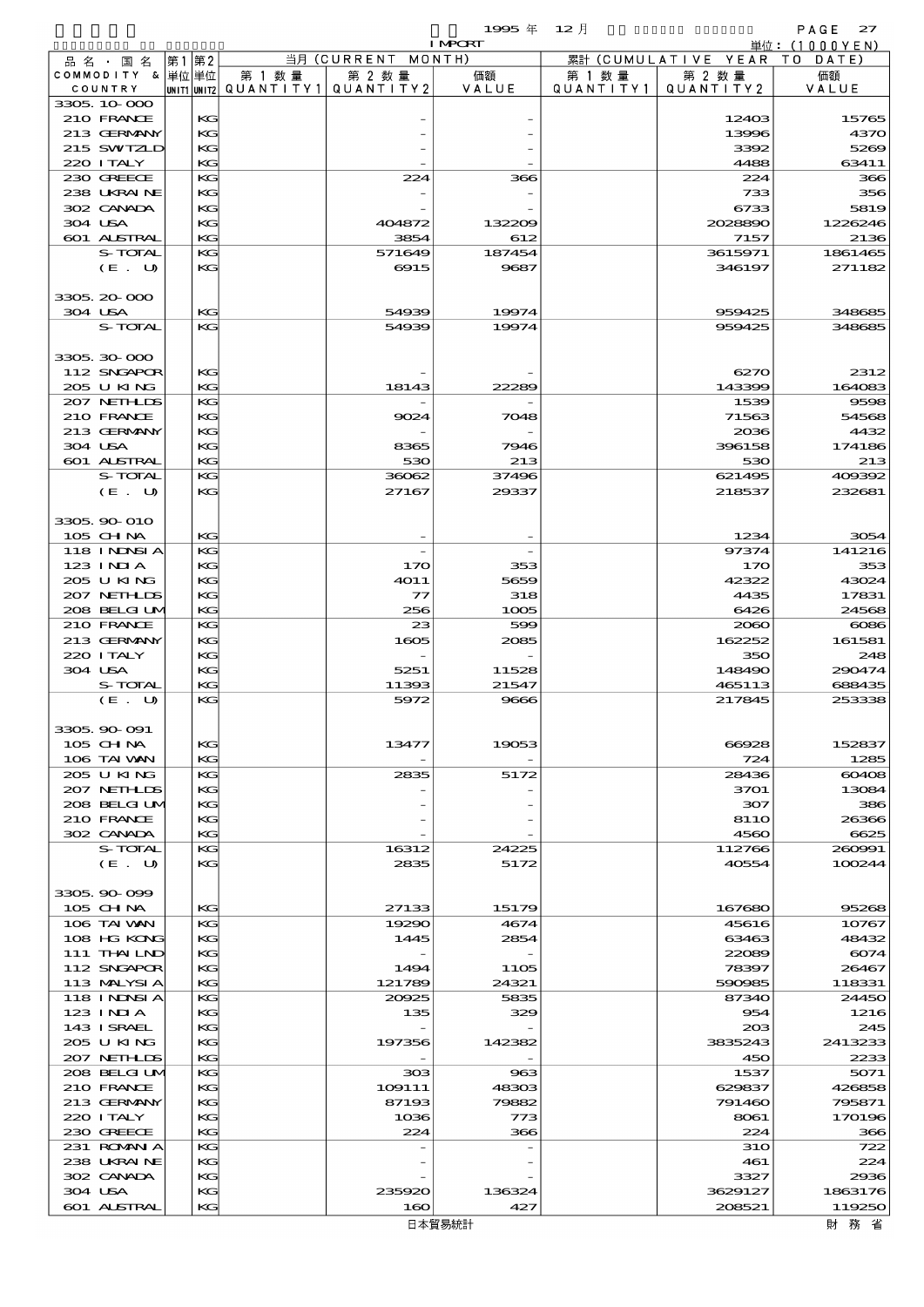$1995 \# 12$   $\parallel$  PAGE 27

|         |                                  |    |          |                                       |                    | <b>I MPORT</b> |           |                              | 単位: (1000YEN)     |
|---------|----------------------------------|----|----------|---------------------------------------|--------------------|----------------|-----------|------------------------------|-------------------|
|         | 品 名 ・ 国 名                        | 第1 | 第2       |                                       | 当月 (CURRENT MONTH) |                |           | 累計 (CUMULATIVE YEAR TO DATE) |                   |
|         | COMMODITY & 単位単位                 |    |          | 第 1 数 量                               | 第 2 数量             | 価額             | 第 1 数 量   | 第 2 数量                       | 価額                |
|         | COUNTRY                          |    |          | unit1 unit2  QUANT   TY1  QUANT   TY2 |                    | VALUE          | QUANTITY1 | QUANTITY 2                   | VALUE             |
|         | 3305, 10-000                     |    |          |                                       |                    |                |           |                              |                   |
|         | 210 FRANCE<br>213 GERMANY        |    | KG<br>KG |                                       |                    |                |           | 12403<br>13996               | 15765<br>4370     |
|         | 215 SWIZLD                       |    | KG       |                                       |                    |                |           | 3392                         | 5269              |
|         | 220 I TALY                       |    | KG       |                                       |                    |                |           | 4488                         | 63411             |
|         | 230 GREECE                       |    | KG       |                                       | 224                | 366            |           | 224                          | 366               |
|         | 238 UKRAINE                      |    | KG       |                                       |                    |                |           | 733                          | 356               |
|         | 302 CANADA                       |    | KG       |                                       |                    |                |           | 6733                         | 5819              |
| 304 USA |                                  |    | KG       |                                       | 404872             | 132209         |           | 2028890                      | 1226246           |
|         | 601 ALSTRAL                      |    | KG       |                                       | 3854               | 612            |           | 7157                         | 2136              |
|         | S-TOTAL                          |    | KG<br>KG |                                       | 571649<br>6915     | 187454<br>9687 |           | 3615971<br>346197            | 1861465<br>271182 |
|         | (E. U)                           |    |          |                                       |                    |                |           |                              |                   |
|         | 3305, 20-000                     |    |          |                                       |                    |                |           |                              |                   |
| 304 USA |                                  |    | KG       |                                       | 54939              | 19974          |           | 959425                       | 348685            |
|         | S-TOTAL                          |    | KG       |                                       | 54939              | 19974          |           | 959425                       | 348685            |
|         |                                  |    |          |                                       |                    |                |           |                              |                   |
|         | 3305 30 000                      |    |          |                                       |                    |                |           |                              |                   |
|         | 112 SNGAPOR                      |    | KG       |                                       |                    |                |           | 6270                         | 2312              |
|         | 205 U KING                       |    | KG       |                                       | 18143              | 22289          |           | 143399                       | 164083            |
|         | 207 NETH IDS<br>210 FRANCE       |    | KG<br>KG |                                       |                    |                |           | 1539<br>71563                | 9598              |
|         | 213 GERMANY                      |    | KG       |                                       | 9024               | 7048           |           | 2036                         | 54568<br>4432     |
| 304 USA |                                  |    | KG       |                                       | 8365               | 7946           |           | 396158                       | 174186            |
|         | 601 ALSTRAL                      |    | KG       |                                       | 530                | 213            |           | 530                          | 213               |
|         | S-TOTAL                          |    | KG       |                                       | 36062              | 37496          |           | 621495                       | 409392            |
|         | (E. U)                           |    | KG       |                                       | 27167              | 29337          |           | 218537                       | 232681            |
|         |                                  |    |          |                                       |                    |                |           |                              |                   |
|         | 3305 90 010                      |    |          |                                       |                    |                |           |                              |                   |
|         | 105 CH NA                        |    | KG       |                                       |                    |                |           | 1234                         | 3054              |
|         | <b>118 INDSIA</b>                |    | KG       |                                       |                    |                |           | 97374                        | 141216            |
|         | 123 INIA<br>205 U KING           |    | KG<br>KG |                                       | 170<br>4O1 1       | 353<br>5659    |           | 170<br>42322                 | 353<br>43024      |
|         | 207 NETHLIS                      |    | KG       |                                       | $\tau$             | 318            |           | 4435                         | 17831             |
|         | 208 BELGIUM                      |    | KG       |                                       | 256                | 1005           |           | 6426                         | 24568             |
|         | 210 FRANCE                       |    | KG       |                                       | 23                 | 599            |           | 2060                         | $\cos$            |
|         | 213 GERMANY                      |    | KG       |                                       | 1605               | 2085           |           | 162252                       | 161581            |
|         | 220 I TALY                       |    | KG       |                                       |                    |                |           | 350                          | 248               |
| 304 USA |                                  |    | KG       |                                       | 5251               | 11528          |           | 148490                       | 290474            |
|         | S-TOTAL                          |    | KG       |                                       | 11393              | 21547          |           | 465113                       | 688435            |
|         | (E. U)                           |    | KG       |                                       | 5972               | 9666           |           | 217845                       | 253338            |
|         | 3305.90-091                      |    |          |                                       |                    |                |           |                              |                   |
|         | 105 CH NA                        |    | KG       |                                       | 13477              | 19053          |           | 66928                        | 152837            |
|         | 106 TAI WAN                      |    | KG       |                                       |                    |                |           | 724                          | 1285              |
|         | 205 U KING                       |    | KG       |                                       | 2835               | 5172           |           | 28436                        | 60408             |
|         | 207 NETHLIS                      |    | KG       |                                       |                    |                |           | 3701                         | 13084             |
|         | 208 BELGI UM                     |    | KG       |                                       |                    |                |           | 307                          | 386               |
|         | 210 FRANCE                       |    | KG       |                                       |                    |                |           | 8110                         | 26366             |
|         | 302 CANADA                       |    | KG       |                                       |                    |                |           | 4560                         | 6625              |
|         | S-TOTAL<br>(E. U)                |    | KG<br>KG |                                       | 16312<br>2835      | 24225<br>5172  |           | 112766<br>40554              | 260991<br>100244  |
|         |                                  |    |          |                                       |                    |                |           |                              |                   |
|         | 3305, 90-099                     |    |          |                                       |                    |                |           |                              |                   |
|         | 105 CH NA                        |    | KС       |                                       | 27133              | 15179          |           | 167680                       | 95268             |
|         | 106 TAI VAN                      |    | KG       |                                       | 19290              | 4674           |           | 45616                        | 10767             |
|         | 108 HG KONG                      |    | KG       |                                       | 1445               | 2854           |           | 63463                        | 48432             |
|         | 111 THAILND                      |    | KG       |                                       |                    |                |           | 22089                        | 6074              |
|         | 112 SNGAPOR                      |    | KG       |                                       | 1494               | 1105           |           | 78397                        | 26467             |
|         | 113 MALYSIA<br><b>118 INNSIA</b> |    | KG<br>KG |                                       | 121789<br>20925    | 24321<br>5835  |           | 590985<br>87340              | 118331<br>24450   |
|         | 123 INIA                         |    | KG       |                                       | 135                | 329            |           | 954                          | 1216              |
|         | 143 ISRAEL                       |    | KG       |                                       |                    |                |           | 20B                          | 245               |
|         | 205 U KING                       |    | КG       |                                       | 197356             | 142382         |           | 3835243                      | 2413233           |
|         | 207 NETHLIS                      |    | KG       |                                       |                    |                |           | 450                          | 2233              |
|         | 208 BELGI UM                     |    | KG       |                                       | 308                | 963            |           | 1537                         | 5071              |
|         | 210 FRANCE                       |    | KG       |                                       | 109111             | 48303          |           | 629837                       | 426858            |
|         | 213 GERMANY                      |    | KG       |                                       | 87193              | 79882          |           | 791460                       | 795871            |
|         | 220 I TALY                       |    | KG       |                                       | 1036               | 773            |           | 8061                         | 170196            |
|         | 230 GREECE<br>231 ROMANIA        |    | KG<br>KG |                                       | 224                | 366            |           | 224<br><b>31O</b>            | 366<br>722        |
|         | 238 UKRAINE                      |    | KG       |                                       |                    |                |           | 461                          | 224               |
|         | 302 CANADA                       |    | KG       |                                       |                    |                |           | 3327                         | 2936              |
| 304 USA |                                  |    | KG       |                                       | 235920             | 136324         |           | 3629127                      | 1863176           |
|         | <b>601 ALSTRAL</b>               |    | KG       |                                       | 160                | 427            |           | 208521                       | 119250            |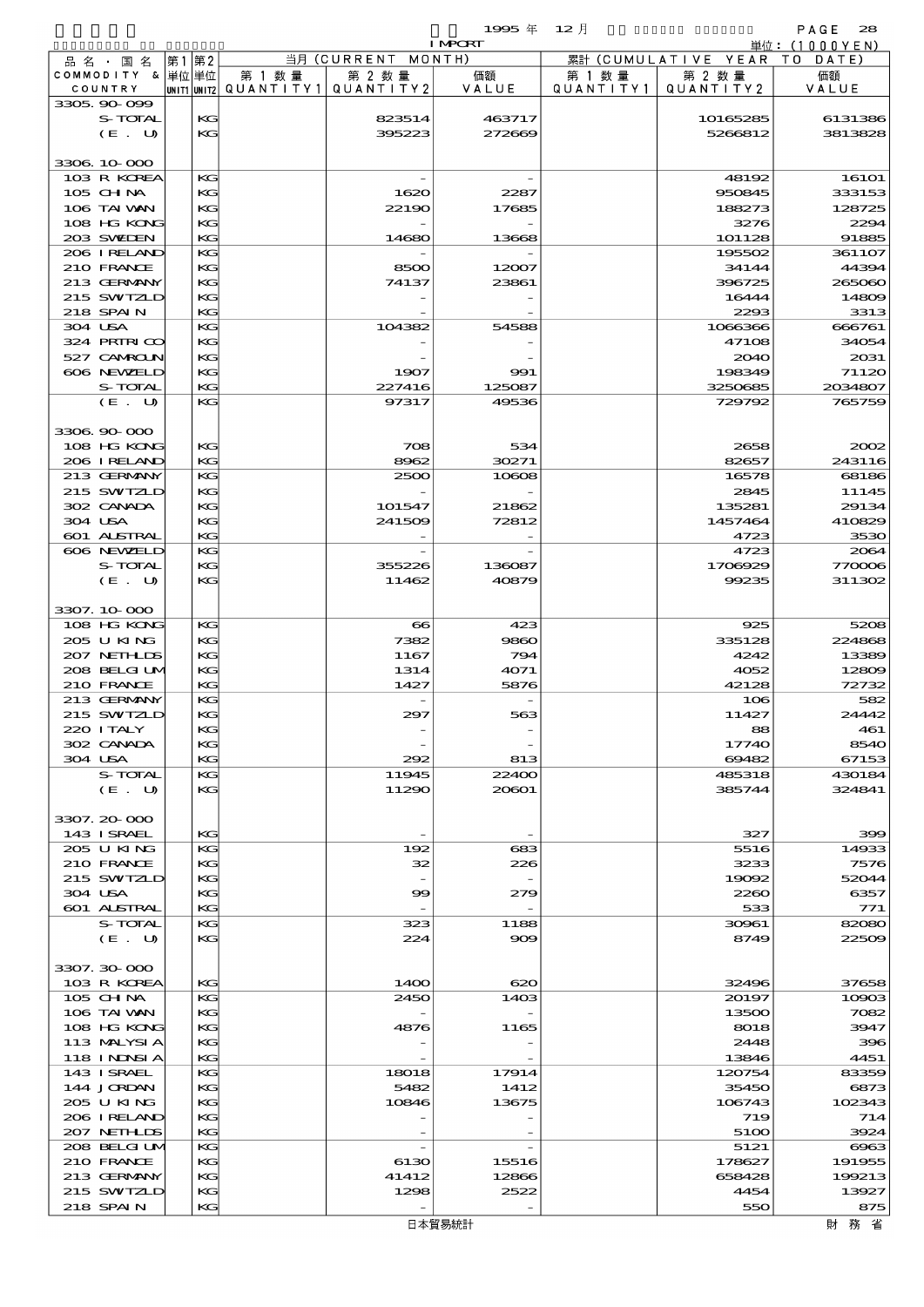|                            |       |          |                                       |                    | <b>I MPORT</b>   |           |                              | 単位: (1000YEN)      |
|----------------------------|-------|----------|---------------------------------------|--------------------|------------------|-----------|------------------------------|--------------------|
| 品名・国名                      | 第1 第2 |          |                                       | 当月 (CURRENT MONTH) |                  |           | 累計 (CUMULATIVE YEAR TO DATE) |                    |
| COMMODITY & 単位 単位          |       |          | 第 1 数量                                | 第 2 数量             | 価額               | 第 1 数 量   | 第 2 数量                       | 価額                 |
| COUNTRY                    |       |          | UNIT1 UNIT2  QUANT I TY1  QUANT I TY2 |                    | VALUE            | QUANTITY1 | QUANTITY 2                   | VALUE              |
| 3305.90-099                |       |          |                                       |                    |                  |           |                              |                    |
| S-TOTAL<br>(E. U)          |       | KG<br>KG |                                       | 823514<br>395223   | 463717<br>272669 |           | 10165285<br>5266812          | 6131386<br>3813828 |
|                            |       |          |                                       |                    |                  |           |                              |                    |
| 3306 10 000                |       |          |                                       |                    |                  |           |                              |                    |
| 103 R KOREA                |       | KG       |                                       |                    |                  |           | 48192                        | <b>16101</b>       |
| 105 CHNA                   |       | KG       |                                       | 1620               | 2287             |           | 950845                       | 333153             |
| 106 TAI VAN                |       | KG       |                                       | 22190              | 17685            |           | 188273                       | 128725             |
| 108 HG KONG                |       | KG       |                                       |                    |                  |           | 3276                         | 2294               |
| 203 SWIEN                  |       | KG       |                                       | 14680              | 13668            |           | 101128                       | 91885              |
| 206 IRELAND                |       | KG       |                                       |                    |                  |           | 195502                       | 3611O7             |
| 210 FRANCE                 |       | KG       |                                       | 8500               | 12007            |           | 34144                        | 44394              |
| 213 GERMANY                |       | KG       |                                       | 74137              | 23861            |           | 396725                       | 265060             |
| 215 SWIZLD                 |       | KG       |                                       |                    |                  |           | 16444                        | 14809              |
| 218 SPAIN                  |       | KG       |                                       |                    |                  |           | 2293                         | 3313               |
| 304 USA<br>324 PRIRICO     |       | KG<br>KС |                                       | 104382             | 54588            |           | 1066366<br>47108             | 666761<br>34054    |
| 527 CAMROLN                |       | KG       |                                       |                    |                  |           | 2040                         | 2031               |
| 606 NEWELD                 |       | KG       |                                       | 1907               | 991              |           | 198349                       | 71120              |
| S-TOTAL                    |       | KG       |                                       | 227416             | 125087           |           | 3250685                      | 2034807            |
| (E. U)                     |       | KG       |                                       | 97317              | 49536            |           | 729792                       | 765759             |
|                            |       |          |                                       |                    |                  |           |                              |                    |
| 3306.90-000                |       |          |                                       |                    |                  |           |                              |                    |
| 108 HG KONG                |       | KG       |                                       | 708                | 534              |           | 2658                         | 2002               |
| 206 I RELAND               |       | KG       |                                       | 8962               | 30271            |           | 82657                        | 243116             |
| 213 GERMANY                |       | KG       |                                       | 2500               | 10608            |           | 16578                        | 68186              |
| 215 SWIZLD                 |       | KG       |                                       |                    |                  |           | 2845                         | 11145              |
| 302 CANADA                 |       | KG       |                                       | 101547             | 21862            |           | 135281                       | 29134              |
| 304 USA                    |       | KG       |                                       | 241509             | 72812            |           | 1457464                      | 410829             |
| 601 ALSTRAL                |       | KG       |                                       |                    |                  |           | 4723                         | 3530               |
| 606 NEWELD                 |       | KG       |                                       |                    |                  |           | 4723                         | 2064               |
| S-TOTAL                    |       | KG       |                                       | 355226             | 136087           |           | 1706929                      | 770006             |
| (E. U)                     |       | KG       |                                       | 11462              | 40879            |           | 99235                        | 311302             |
| 3307.10.000                |       |          |                                       |                    |                  |           |                              |                    |
| 108 HG KONG                |       | KG       |                                       | $\bf{8}$           | 423              |           | 925                          | 5208               |
| 205 U KING                 |       | KG       |                                       | 7382               | 9860             |           | 335128                       | 224868             |
| 207 NETHLIS                |       | KG       |                                       | 1167               | 794              |           | 4242                         | 13389              |
| 208 BELGI UM               |       | KG       |                                       | 1314               | 4071             |           | 4052                         | 12809              |
| 210 FRANCE                 |       | KG       |                                       | 1427               | 5876             |           | 42128                        | 72732              |
| 213 GERMANY                |       | KG       |                                       |                    |                  |           | 106                          | 582                |
| 215 SWIZLD                 |       | KG       |                                       | 297                | 563              |           | 11427                        | 24442              |
| 220 I TALY                 |       | KG       |                                       |                    |                  |           | 88                           | 461                |
| 302 CANADA                 |       | KС       |                                       |                    |                  |           | 17740                        | 8540               |
| 304 USA                    |       | KG       |                                       | 292                | 813              |           | 69482                        | 67153              |
| S-TOTAL                    |       | KG       |                                       | 11945              | 22400            |           | 485318                       | 430184             |
| (E. U)                     |       | KG       |                                       | 11290              | 20601            |           | 385744                       | 324841             |
|                            |       |          |                                       |                    |                  |           |                              |                    |
| 3307.20-000<br>143 ISRAEL  |       | KG       |                                       |                    |                  |           | 327                          | 399                |
| 205 U KING                 |       | KG       |                                       | 192                | 683              |           | 5516                         | 14933              |
| 210 FRANCE                 |       | KG       |                                       | 32                 | 226              |           | 3233                         | 7576               |
| 215 SWIZLD                 |       | KG       |                                       |                    |                  |           | 19092                        | 52044              |
| 304 USA                    |       | KС       |                                       | 99                 | 279              |           | 2260                         | 6357               |
| 601 ALSTRAL                |       | KG       |                                       |                    |                  |           | 533                          | 771                |
| S-TOTAL                    |       | KG       |                                       | 323                | 1188             |           | 30961                        | 82080              |
| (E. U)                     |       | KG       |                                       | 224                | $\infty$         |           | 8749                         | 22509              |
|                            |       |          |                                       |                    |                  |           |                              |                    |
| 3307.30-000                |       |          |                                       |                    |                  |           |                              |                    |
| 103 R KOREA                |       | KG       |                                       | 14OO               | 620              |           | 32496                        | 37658              |
| $105$ CHNA                 |       | KG       |                                       | 2450               | 1403             |           | 20197                        | 10003              |
| 106 TAI VAN<br>108 HG KONG |       | KG<br>KG |                                       | 4876               | 1165             |           | 13500<br>8018                | 7082<br>3947       |
| 113 MALYSIA                |       | KG       |                                       |                    |                  |           | 2448                         | 396                |
| 118 I NDSI A               |       | KG       |                                       |                    |                  |           | 13846                        | 4451               |
| 143 ISRAEL                 |       | KG       |                                       | 18018              | 17914            |           | 120754                       | 83359              |
| 144 JORDAN                 |       | KG       |                                       | 5482               | 1412             |           | 35450                        | 6873               |
| 205 U KING                 |       | KG       |                                       | 10846              | 13675            |           | 106743                       | 102343             |
| 206 IRELAND                |       | KG       |                                       |                    |                  |           | 719                          | 714                |
| 207 NETHLIDS               |       | KG       |                                       |                    |                  |           | 5100                         | 3924               |
| 208 BELGI UM               |       | KG       |                                       |                    |                  |           | 5121                         | $\cos$             |
| 210 FRANCE                 |       | KG       |                                       | 6130               | 15516            |           | 178627                       | 191955             |
| 213 GERMANY                |       | KG       |                                       | 41412              | 12866            |           | 658428                       | 199213             |
| 215 SWIZLD                 |       | KG       |                                       | 1298               | 2522             |           | 4454                         | 13927              |
| 218 SPAIN                  |       | KG       |                                       |                    |                  |           | 550                          | 875                |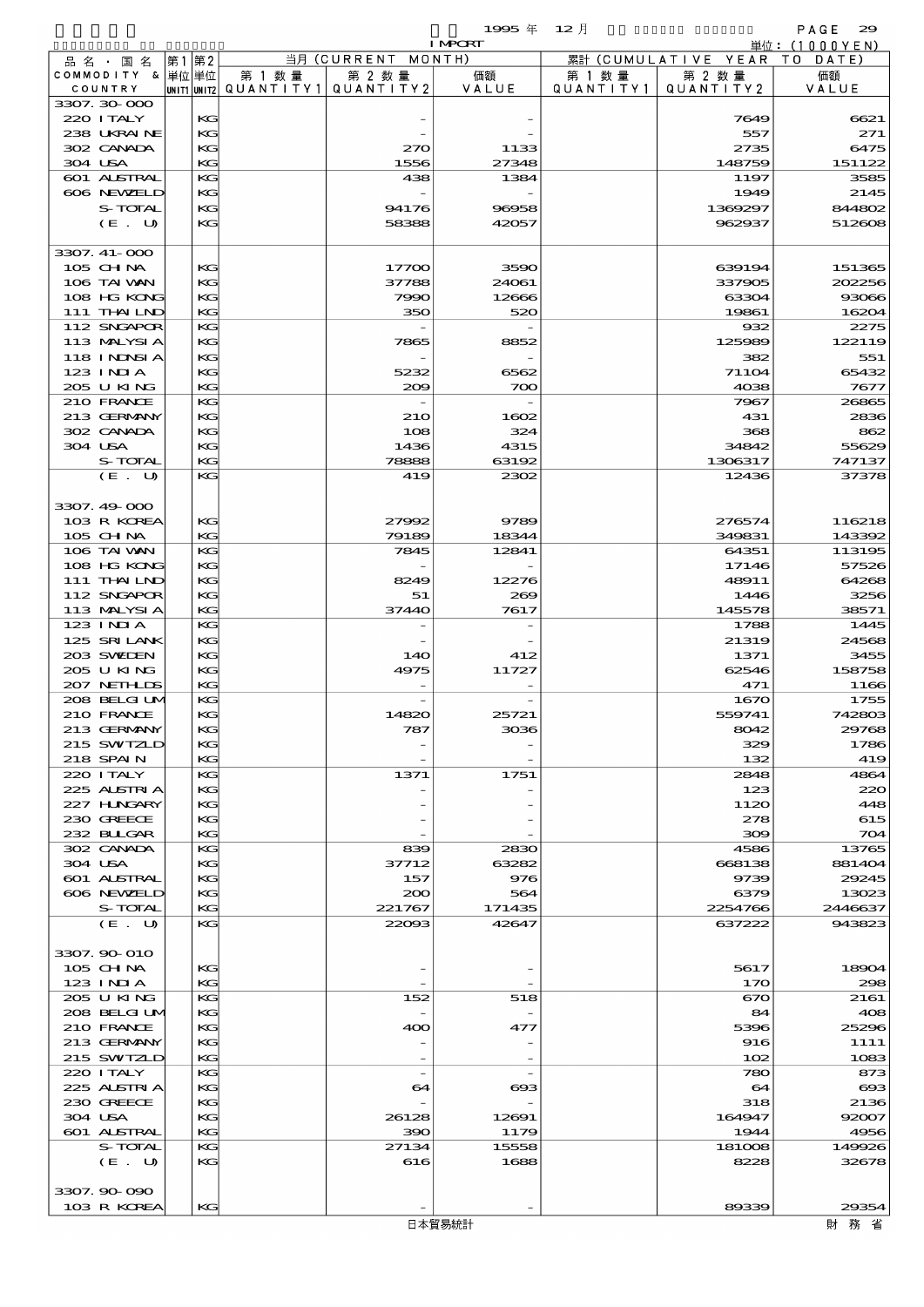$1995 \n& 12 \nparallel$  PAGE 29

|         |                           |          |                                       |                          | <b>I MPORT</b>  |           |                              | 単位: (1000YEN)         |
|---------|---------------------------|----------|---------------------------------------|--------------------------|-----------------|-----------|------------------------------|-----------------------|
|         | 品名・国名                     | 第1第2     |                                       | 当月 (CURRENT MONTH)       |                 |           | 累計 (CUMULATIVE YEAR TO DATE) |                       |
|         | COMMODITY & 単位単位          |          | 第 1 数量                                | 第 2 数量                   | 価額              | 第 1 数 量   | 第 2 数量                       | 価額                    |
|         | COUNTRY                   |          | unit1 unit2  QUANT   TY1  QUANT   TY2 |                          | VALUE           | QUANTITY1 | QUANTITY 2                   | VALUE                 |
|         | 3307.30-000               |          |                                       |                          |                 |           |                              |                       |
|         | 220 I TALY<br>238 UKRAINE | KG<br>KG |                                       |                          |                 |           | 7649<br>557                  | 6621<br>271           |
|         | 302 CANADA                | KG       |                                       | 270                      | 1133            |           | 2735                         | 6475                  |
| 304 USA |                           | KG       |                                       | 1556                     | 27348           |           | 148759                       | 151122                |
|         | 601 ALSTRAL               | KG       |                                       | 438                      | 1384            |           | 1197                         | 3585                  |
|         | 606 NEWELD                | KG       |                                       |                          |                 |           | 1949                         | 2145                  |
|         | S-TOTAL                   | KG       |                                       | 94176                    | 96958           |           | 1369297                      | 844802                |
|         | (E. U)                    | KG       |                                       | 58388                    | 42057           |           | 962937                       | 512608                |
|         |                           |          |                                       |                          |                 |           |                              |                       |
|         | 3307. 41-000              |          |                                       |                          |                 |           |                              |                       |
|         | 105 CHNA                  | KG       |                                       | 17700                    | 3590            |           | 639194                       | 151365                |
|         | 106 TAI VAN               | KG       |                                       | 37788                    | 24061           |           | 337905                       | 202256                |
|         | 108 HG KONG               | KG       |                                       | 7990                     | 12666           |           | 63304                        | 93066                 |
|         | 111 THAILND               | KG.      |                                       | 350                      | 520             |           | 19861                        | 16204                 |
|         | 112 SNGAPOR               | KG       |                                       |                          |                 |           | 932                          | 2275                  |
|         | 113 MALYSIA               | KG       |                                       | 7865                     | 8852            |           | 125989                       | 122119                |
|         | 118 INNSI A<br>$123$ INIA | KG<br>KG |                                       | 5232                     | 6562            |           | 382<br>71104                 | 551<br>65432          |
|         | 205 U KING                | KG.      |                                       | 200                      | 700             |           | 4038                         | 7677                  |
|         | 210 FRANCE                | KG       |                                       |                          |                 |           | 7967                         | 26865                 |
|         | 213 GERMANY               | KG       |                                       | 210                      | 1602            |           | 431                          | 2836                  |
|         | 302 CANADA                | KG       |                                       | 108                      | 324             |           | 368                          | 862                   |
| 304 USA |                           | KG       |                                       | 1436                     | 4315            |           | 34842                        | 55629                 |
|         | S-TOTAL                   | КG       |                                       | 78888                    | 63192           |           | 1306317                      | 747137                |
|         | (E. U)                    | KG       |                                       | 419                      | 2302            |           | 12436                        | 37378                 |
|         |                           |          |                                       |                          |                 |           |                              |                       |
|         | 3307.49-000               |          |                                       |                          |                 |           |                              |                       |
|         | 103 R KOREA               | KG       |                                       | 27992                    | 9789            |           | 276574                       | 116218                |
|         | 105 CHNA                  | KG.      |                                       | 79189                    | 18344           |           | 349831                       | 143392                |
|         | 106 TAI VAN               | KG       |                                       | 7845                     | 12841           |           | 64351                        | 113195                |
|         | 108 HG KONG               | KG       |                                       |                          |                 |           | 17146                        | 57526                 |
|         | 111 THAILND               | KG       |                                       | 8249                     | 12276           |           | 48911                        | 64268                 |
|         | 112 SNGAPOR               | KG       |                                       | 51                       | 269             |           | 1446                         | 3256                  |
|         | 113 MALYSIA               | KG       |                                       | 37440                    | 7617            |           | 145578                       | 38571                 |
|         | 123 INIA<br>125 SRILANK   | KG       |                                       |                          |                 |           | 1788                         | 1445                  |
|         | 203 SWIEN                 | KG<br>KG |                                       | 14O                      | 412             |           | 21319<br>1371                | 24568<br>3455         |
|         | 205 U KING                | KG       |                                       | 4975                     | 11727           |           | 62546                        | 158758                |
|         | 207 NETHLIS               | KG       |                                       |                          |                 |           | 471                          | 1166                  |
|         | 208 BELGI UM              | KG       |                                       |                          |                 |           | 1670                         | 1755                  |
|         | 210 FRANCE                | KG       |                                       | 14820                    | 25721           |           | 559741                       | 742803                |
|         | 213 GERMANY               | KG       |                                       | 787                      | 3036            |           | 8042                         | 29768                 |
|         | 215 SWIZLD                | КG       |                                       |                          |                 |           | 329                          | 1786                  |
|         | 218 SPAIN                 | KG       |                                       |                          |                 |           | 132                          | 419                   |
|         | 220 I TALY                | KG       |                                       | 1371                     | 1751            |           | 2848                         | 4864                  |
|         | 225 ALSTRIA               | KG       |                                       |                          |                 |           | 123                          | 220                   |
|         | 227 H.NGARY               | KG       |                                       |                          |                 |           | 1120                         | 448                   |
|         | 230 GREECE                | KG       |                                       |                          |                 |           | 278                          | 615                   |
|         | 232 BULGAR                | KG       |                                       |                          |                 |           | 300                          | 704                   |
|         | 302 CANADA                | KG       |                                       | 839                      | 2830            |           | 4586                         | 13765                 |
| 304 USA |                           | KG       |                                       | 37712                    | 63282           |           | 668138                       | 881404                |
|         | 601 ALSTRAL<br>606 NEWELD | KG       |                                       | 157                      | 976             |           | 9739                         | 29245                 |
|         | S-TOTAL                   | KG<br>KG |                                       | 200                      | 564             |           | 6379                         | 13023                 |
|         | (E. U)                    | KG       |                                       | 221767<br>22093          | 171435<br>42647 |           | 2254766<br>637222            | 2446637<br>943823     |
|         |                           |          |                                       |                          |                 |           |                              |                       |
|         | 3307.90 010               |          |                                       |                          |                 |           |                              |                       |
|         | $105$ CHNA                | KG       |                                       |                          |                 |           | 5617                         | 18904                 |
|         | 123 INIA                  | KG       |                                       |                          |                 |           | 170                          | 298                   |
|         | 205 U KING                | KG       |                                       | 152                      | 518             |           | 670                          | 2161                  |
|         | 208 BELGI UM              | KG       |                                       |                          |                 |           | 84                           | 408                   |
|         | 210 FRANCE                | KG       |                                       | 400                      | 477             |           | 5396                         | 25296                 |
|         | 213 GERMANY               | KG       |                                       |                          |                 |           | 916                          | 1111                  |
|         | 215 SWIZLD                | KG       |                                       |                          |                 |           | 102                          | 1083                  |
|         | 220 I TALY                | KG       |                                       | $\overline{\phantom{a}}$ |                 |           | 780                          | 873                   |
|         | 225 ALSTRIA               | KG       |                                       | 64                       | ങ്ങ             |           | 64                           | $\boldsymbol{\alpha}$ |
|         | 230 GREECE                | KG       |                                       |                          |                 |           | 318                          | 2136                  |
| 304 USA |                           | KG       |                                       | 26128                    | 12691           |           | 164947                       | 92007                 |
|         | 601 ALSTRAL               | KG       |                                       | 390                      | 1179            |           | 1944                         | 4956                  |
|         | S-TOTAL                   | KG<br>KG |                                       | 27134                    | 15558           |           | 181008<br>8228               | 149926                |
|         | (E. U)                    |          |                                       | 616                      | 1688            |           |                              | 32678                 |
|         | 3307.90-090               |          |                                       |                          |                 |           |                              |                       |
|         | 103 R KOREA               | KG       |                                       |                          |                 |           | 89339                        | 29354                 |
|         |                           |          |                                       |                          |                 |           |                              |                       |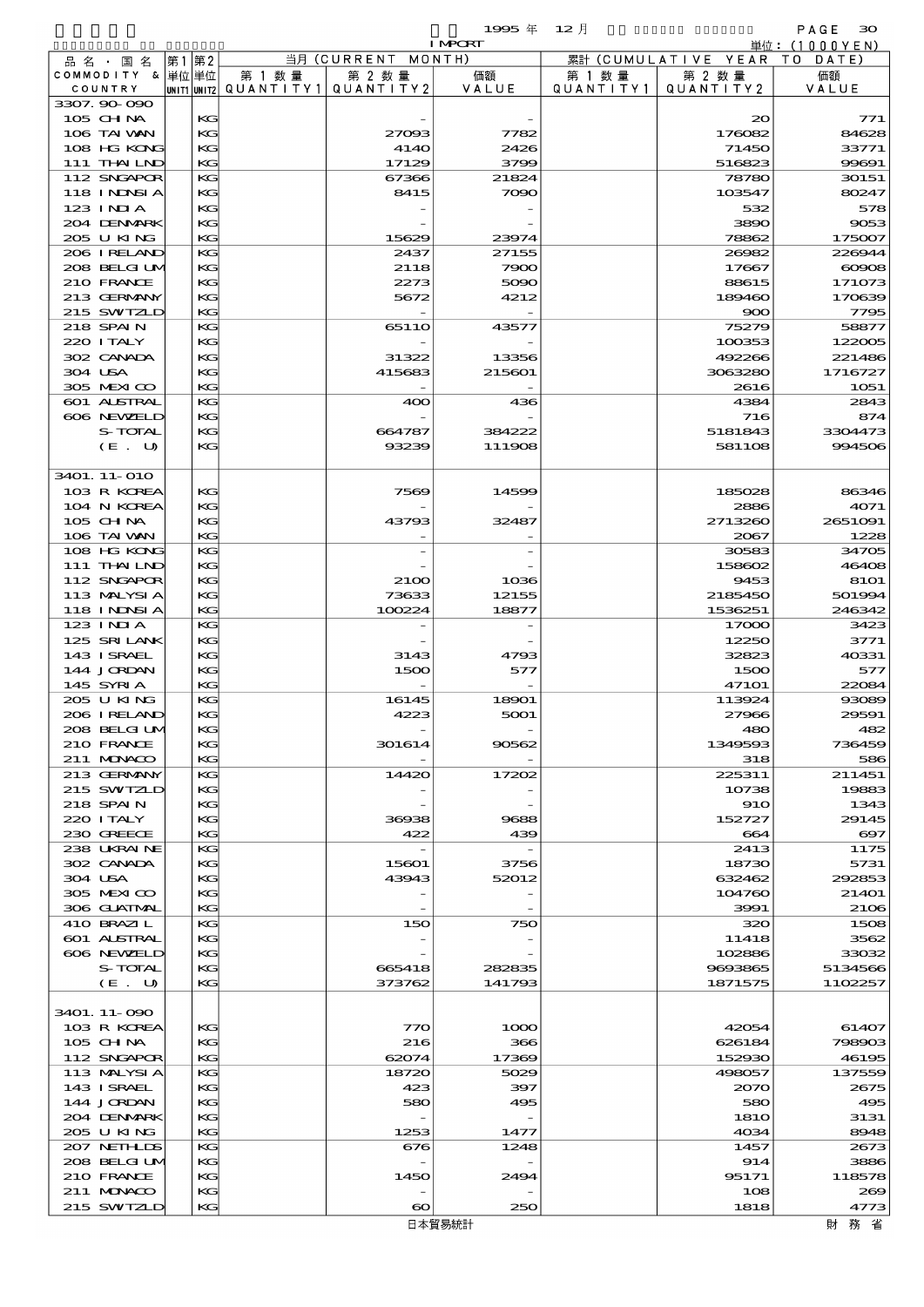|                               |      |          |                                       |                              | 1995年            | $12$ 月    |                                | PAGE<br>30                     |
|-------------------------------|------|----------|---------------------------------------|------------------------------|------------------|-----------|--------------------------------|--------------------------------|
|                               |      |          |                                       |                              | <b>I MPORT</b>   |           |                                | 単位:(1000YEN)                   |
| 品 名 ・ 国 名<br>COMMODITY & 単位単位 | 第1第2 |          | 第 1 数量                                | 当月 (CURRENT MONTH)<br>第 2 数量 | 価額               | 第 1 数 量   | 累計 (CUMULATIVE YEAR)<br>第 2 数量 | DATE<br>T O<br>価額              |
| COUNTRY                       |      |          | unit1 unit2  QUANT   TY1  QUANT   TY2 |                              | VALUE            | QUANTITY1 | QUANTITY2                      | VALUE                          |
| 3307.90-090                   |      |          |                                       |                              |                  |           |                                |                                |
| $105$ CHNA                    |      | KG       |                                       |                              |                  |           | $\infty$                       | 771                            |
| 106 TAI VAN<br>108 HG KONG    |      | KG<br>KG |                                       | 27093<br>4140                | 7782<br>2426     |           | 176082<br>71450                | 84628<br>33771                 |
| 111 THAILND                   |      | KG       |                                       | 17129                        | 3799             |           | 516823                         | 99691                          |
| 112 SNGAPOR                   |      | KG       |                                       | 67366                        | 21824            |           | 78780                          | 30151                          |
| <b>118 INNSIA</b>             |      | KG       |                                       | 8415                         | 7090             |           | 103547                         | 80247                          |
| $123$ $1$ NIA                 |      | KG       |                                       |                              |                  |           | 532                            | 578                            |
| 204 DENMARK                   |      | KG       |                                       |                              |                  |           | 3890                           | 9053                           |
| 205 U KING<br>206 I RELAND    |      | KG<br>KG |                                       | 15629<br>2437                | 23974<br>27155   |           | 78862<br>26982                 | 175007<br>226944               |
| 208 BELGI UM                  |      | KG       |                                       | 2118                         | 7900             |           | 17667                          | 60908                          |
| 210 FRANCE                    |      | KG       |                                       | 2273                         | 5090             |           | 88615                          | 171073                         |
| 213 GERMANY                   |      | KG       |                                       | 5672                         | 4212             |           | 189460                         | 170639                         |
| 215 SWIZLD                    |      | KG       |                                       |                              |                  |           | 900                            | 7795                           |
| 218 SPAIN<br>220 I TALY       |      | KG<br>KG |                                       | 6511O                        | 43577            |           | 75279<br>100353                | 58877<br>122005                |
| 302 CANADA                    |      | KG       |                                       | 31322                        | 13356            |           | 492266                         | 221486                         |
| 304 USA                       |      | KG       |                                       | 415683                       | 215601           |           | 3063280                        | 1716727                        |
| 305 MEXICO                    |      | KG       |                                       |                              |                  |           | 2616                           | 1051                           |
| 601 ALSTRAL                   |      | KG       |                                       | 400                          | 436              |           | 4384                           | 2843                           |
| 606 NEWELD                    |      | KG       |                                       |                              |                  |           | 716                            | 874                            |
| S-TOTAL<br>(E. U)             |      | KG<br>KG |                                       | 664787<br>93239              | 384222<br>111908 |           | 5181843<br>581108              | 3304473<br>994506              |
|                               |      |          |                                       |                              |                  |           |                                |                                |
| 3401. 11-010                  |      |          |                                       |                              |                  |           |                                |                                |
| 103 R KOREA                   |      | KG       |                                       | 7569                         | 14599            |           | 185028                         | 86346                          |
| 104 N KOREA                   |      | KG       |                                       |                              |                  |           | 2886                           | 4071                           |
| 105 CH NA<br>106 TAI VAN      |      | KG<br>KG |                                       | 43793                        | 32487            |           | 2713260<br>2067                | 2651091                        |
| 108 HG KONG                   |      | KG       |                                       |                              |                  |           | 30583                          | 1228<br>34705                  |
| 111 THAILND                   |      | KG       |                                       |                              |                  |           | 158602                         | 46408                          |
| 112 SNGAPOR                   |      | KG       |                                       | 2100                         | 1036             |           | 9453                           | 8101                           |
| 113 MALYSIA                   |      | KG       |                                       | 73633                        | 12155            |           | 2185450                        | 501994                         |
| 118 INNSI A                   |      | KG       |                                       | 100224                       | 18877            |           | 1536251                        | 246342                         |
| $123$ INIA<br>125 SRILANK     |      | KG<br>KG |                                       |                              |                  |           | 17000<br>12250                 | 3423<br>3771                   |
| 143 I SRAEL                   |      | KG       |                                       | 3143                         | 4793             |           | 32823                          | 40331                          |
| 144 JORDAN                    |      | KG       |                                       | 1500                         | 577              |           | 1500                           | 577                            |
| 145 SYRIA                     |      | KG       |                                       |                              |                  |           | <b>47101</b>                   | 22084                          |
| 205 U KING                    |      | KG       |                                       | 16145                        | 18901            |           | 113924                         | 93089                          |
| 206 I RELAND<br>208 BELGI UM  |      | KG<br>KG |                                       | 4223                         | 5001             |           | 27966<br>480                   | 29591<br>482                   |
| 210 FRANCE                    |      | KC       |                                       | 301614                       | 90562            |           | 1349593                        | 736459                         |
| 211 MUNACO                    |      | KG       |                                       |                              |                  |           | 318                            | 586                            |
| 213 GERMANY                   |      | KG       |                                       | 14420                        | 17202            |           | 225311                         | 211451                         |
| 215 SWIZLD                    |      | KG       |                                       |                              |                  |           | 10738                          | 19883                          |
| 218 SPAIN                     |      | KG       |                                       |                              |                  |           | 910                            | 1343                           |
| 220 I TALY<br>230 GREECE      |      | KG<br>KG |                                       | 36938<br>422                 | 9688<br>439      |           | 152727<br>664                  | 29145<br>$\boldsymbol{\alpha}$ |
| 238 UKRAINE                   |      | KG       |                                       |                              |                  |           | 2413                           | 1175                           |
| 302 CANADA                    |      | KG       |                                       | 15601                        | 3756             |           | 18730                          | 5731                           |
| 304 USA                       |      | KG       |                                       | 43943                        | 52012            |           | 632462                         | 292853                         |
| 305 MEXICO                    |      | KG       |                                       |                              |                  |           | 104760                         | 21401                          |
| 306 GUATMAL<br>410 BRAZIL     |      | KG<br>КG |                                       | 150                          | 750              |           | 3991<br>320                    | 2106<br>1508                   |
| 601 ALSTRAL                   |      | KG       |                                       |                              |                  |           | 11418                          | 3562                           |
| 606 NEWELD                    |      | KG       |                                       |                              |                  |           | 102886                         | 33032                          |
| S-TOTAL                       |      | KG       |                                       | 665418                       | 282835           |           | 9693865                        | 5134566                        |
| (E. U)                        |      | KG       |                                       | 373762                       | 141793           |           | 1871575                        | 1102257                        |
|                               |      |          |                                       |                              |                  |           |                                |                                |
| 3401. 11-090<br>103 R KOREA   |      | КG       |                                       | 770                          | 1000             |           | 42054                          | 61407                          |
| 105 CH NA                     |      | KC       |                                       | 216                          | 366              |           | 626184                         | 798903                         |
| 112 SNGAPOR                   |      | KG       |                                       | 62074                        | 17369            |           | 152930                         | 46195                          |
| 113 MALYSIA                   |      | КG       |                                       | 18720                        | 5029             |           | 498057                         | 137559                         |
| 143 ISRAEL                    |      | KG       |                                       | 423                          | 397              |           | 2070                           | 2675                           |
| 144 JORDAN<br>204 DENMARK     |      | KG<br>KG |                                       | 580                          | 495              |           | 580<br><b>1810</b>             | 495<br>3131                    |
| 205 U KING                    |      | KG       |                                       | 1253                         | 1477             |           | 4034                           | 8948                           |
| 207 NETHLIDS                  |      | KG       |                                       | 676                          | 1248             |           | 1457                           | 2673                           |
| 208 BELGI UM                  |      | KG       |                                       |                              |                  |           | 914                            | 3886                           |
| 210 FRANCE                    |      | KG       |                                       | 1450                         | 2494             |           | 95171                          | 118578                         |
| 211 MUNACO                    |      | KG       |                                       |                              |                  |           | 108                            | 269                            |
| 215 SWIZLD                    |      | KG       |                                       | $\boldsymbol{\infty}$        | 250              |           | 1818                           | 4773                           |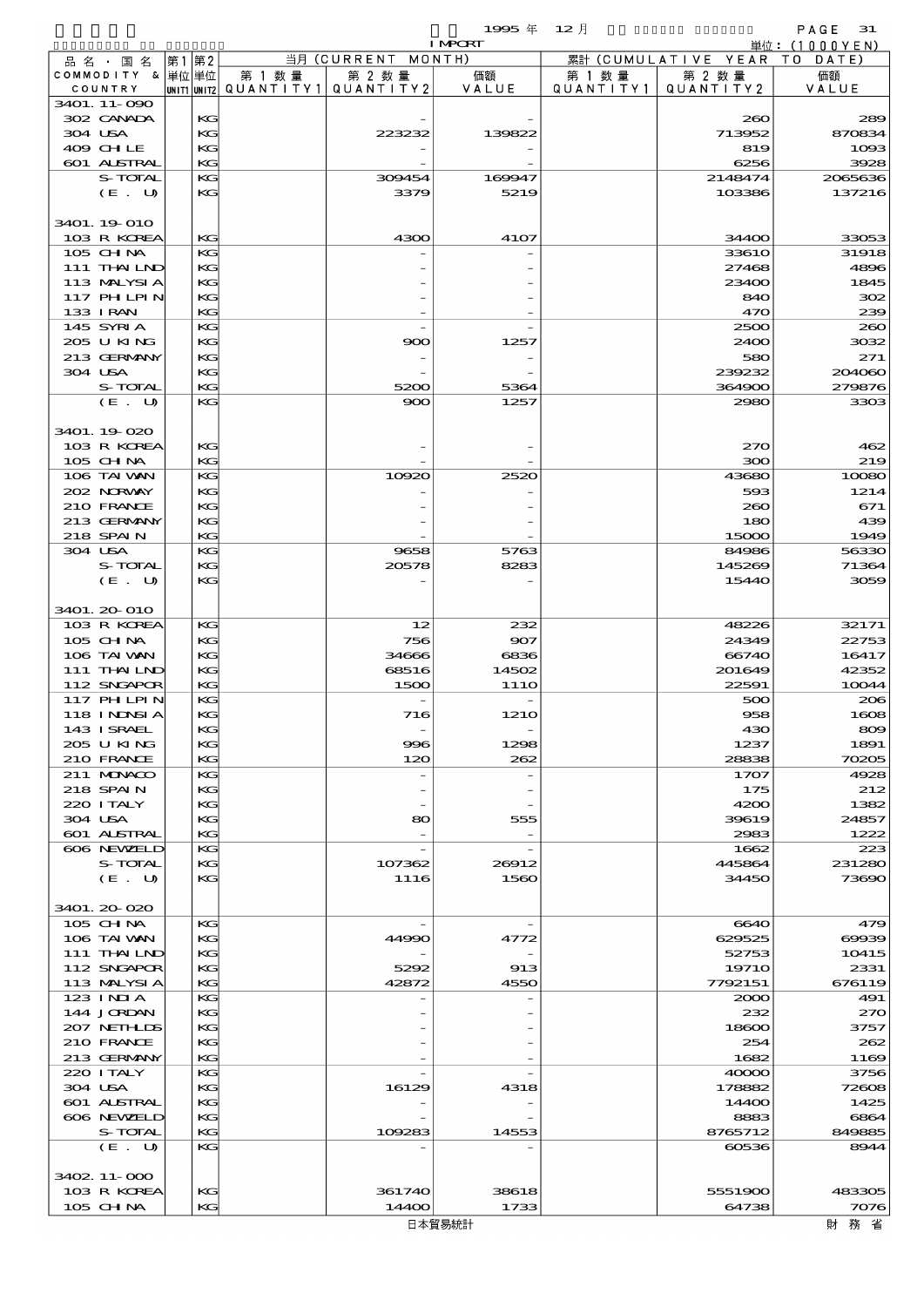- 1999年 12月 - PAGE 31<br>Transisted Annual (Fixed Annual) 31<br>単位:(1000YEN)

|         |                             |      |          |                                       |                          | <b>I MPCRT</b>   |           |                         | 単位: (1000YEN)  |
|---------|-----------------------------|------|----------|---------------------------------------|--------------------------|------------------|-----------|-------------------------|----------------|
|         | 品 名 ・ 国 名                   | 第1第2 |          |                                       | 当月 (CURRENT              | MONTH)           |           | 累計 (CUMULATIVE YEAR     | DATE<br>T O    |
|         | COMMODITY & 単位単位            |      |          | 第 1 数量                                | 第 2 数量                   | 価額               | 第 1 数 量   | 第 2 数量                  | 価額             |
|         | COUNTRY                     |      |          | unit1 unit2  Q∪ANT   TY1  Q∪ANT   TY2 |                          | VALUE            | QUANTITY1 | QUANTITY2               | VALUE          |
|         | 3401. 11-090<br>302 CANADA  |      | KG       |                                       |                          |                  |           | 260                     | 289            |
| 304 USA |                             |      | KG       |                                       | 223232                   | 139822           |           | 713952                  | 870834         |
|         | 409 CHLE                    |      | KG       |                                       |                          |                  |           | 819                     | 1093           |
|         | 601 ALSTRAL                 |      | KG       |                                       |                          |                  |           | 6256                    | 3928           |
|         | S-TOTAL                     |      | KG       |                                       | 309454                   | 169947           |           | 2148474                 | 2065636        |
|         | (E. U)                      |      | KG       |                                       | 3379                     | 5219             |           | 103386                  | 137216         |
|         |                             |      |          |                                       |                          |                  |           |                         |                |
|         | 3401. 19 010                |      |          |                                       |                          |                  |           |                         |                |
|         | 103 R KOREA                 |      | KG       |                                       | 4300                     | 4107             |           | 34400                   | 33053          |
|         | 105 CHNA<br>111 THAILND     |      | KG<br>KG |                                       |                          |                  |           | <b>33610</b><br>27468   | 31918<br>4896  |
|         | 113 MALYSIA                 |      | KG       |                                       |                          |                  |           | 23400                   | 1845           |
|         | 117 PHLPIN                  |      | KG       |                                       |                          |                  |           | 840                     | 302            |
|         | 133 I RAN                   |      | KG       |                                       |                          |                  |           | 470                     | 239            |
|         | 145 SYRIA                   |      | KG       |                                       |                          |                  |           | 2500                    | 260            |
|         | 205 U KING                  |      | KG       |                                       | 900                      | 1257             |           | 2400                    | 3032           |
|         | 213 GERMANY                 |      | KG       |                                       |                          |                  |           | 580                     | 271            |
| 304 USA |                             |      | KG       |                                       |                          |                  |           | 239232                  | 204060         |
|         | S-TOTAL                     |      | KG       |                                       | 5200                     | 5364             |           | 364900                  | 279876         |
|         | (E. U)                      |      | KG       |                                       | 900                      | 1257             |           | 2980                    | 3303           |
|         |                             |      |          |                                       |                          |                  |           |                         |                |
|         | 3401.19-020<br>103 R KOREA  |      |          |                                       |                          |                  |           |                         |                |
|         | $105$ CHNA                  |      | KG<br>KG |                                       |                          |                  |           | 270<br>300              | 462<br>219     |
|         | 106 TAI VAN                 |      | KG       |                                       | 10920                    | 2520             |           | 43680                   | 10080          |
|         | 202 NORWAY                  |      | KG       |                                       |                          |                  |           | 593                     | 1214           |
|         | 210 FRANCE                  |      | KG       |                                       |                          |                  |           | 260                     | 671            |
|         | 213 GERMANY                 |      | KG       |                                       |                          |                  |           | 180                     | 439            |
|         | 218 SPAIN                   |      | KG       |                                       |                          |                  |           | 15000                   | 1949           |
| 304 USA |                             |      | KG       |                                       | 9658                     | 5763             |           | 84986                   | 56330          |
|         | S-TOTAL                     |      | KG       |                                       | 20578                    | 8283             |           | 145269                  | 71364          |
|         | (E. U)                      |      | KG       |                                       |                          |                  |           | 15440                   | 3059           |
|         |                             |      |          |                                       |                          |                  |           |                         |                |
|         | 3401. 20 010<br>103 R KOREA |      | KG       |                                       | 12                       | 232              |           | 48226                   | 32171          |
|         | 105 CHNA                    |      | KG       |                                       | 756                      | 907              |           | 24349                   | 22753          |
|         | 106 TAI VAN                 |      | KG       |                                       | 34666                    | 6836             |           | 66740                   | 16417          |
|         | 111 THAILND                 |      | KG       |                                       | 68516                    | 14502            |           | 201649                  | 42352          |
|         | 112 SNGAPOR                 |      | KG       |                                       | 1500                     | 11 <sub>10</sub> |           | 22591                   | 10044          |
|         | 117 PHLPIN                  |      | KG       |                                       |                          |                  |           | 500                     | 206            |
|         | 118 INNSI A                 |      | KG       |                                       | 716                      | <b>1210</b>      |           | 958                     | 1608           |
|         | 143 ISRAEL                  |      | КG       |                                       |                          |                  |           | 430                     | 809            |
|         | 205 U KING                  |      | KG       |                                       | 996                      | 1298             |           | 1237                    | 1891           |
|         | 210 FRANCE                  |      | KG       |                                       | 120                      | 262              |           | 28838                   | 70205          |
|         | 211 MUNACO<br>218 SPAIN     |      | KG       |                                       |                          |                  |           | 1707                    | 4928           |
|         | 220 I TALY                  |      | KG<br>KG |                                       |                          |                  |           | 175<br>4200             | 212<br>1382    |
| 304 USA |                             |      | KG       |                                       | 80                       | 555              |           | 39619                   | 24857          |
|         | 601 ALSTRAL                 |      | KG       |                                       |                          |                  |           | 2983                    | 1222           |
|         | 606 NEWELD                  |      | KG       |                                       | $\overline{\phantom{a}}$ |                  |           | 1662                    | 223            |
|         | S-TOTAL                     |      | KG       |                                       | 107362                   | 26912            |           | 445864                  | 231280         |
|         | (E. U)                      |      | KG       |                                       | 1116                     | 1560             |           | 34450                   | 73690          |
|         |                             |      |          |                                       |                          |                  |           |                         |                |
|         | 3401.20-020                 |      |          |                                       |                          |                  |           |                         |                |
|         | 105 CHNA                    |      | KG       |                                       |                          |                  |           | 6640                    | 479            |
|         | 106 TAI VAN                 |      | KG       |                                       | 44990                    | 4772             |           | 629525                  | 00039          |
|         | 111 THAILND                 |      | KG       |                                       |                          |                  |           | 52753                   | 10415          |
|         | 112 SNGAPOR<br>113 MALYSIA  |      | KG<br>KG |                                       | 5292<br>42872            | 913<br>4550      |           | <b>19710</b><br>7792151 | 2331<br>676119 |
|         | 123 INIA                    |      | KG       |                                       |                          |                  |           | 2000                    | 491            |
|         | 144 JORDAN                  |      | KG       |                                       |                          |                  |           | 232                     | 270            |
|         | 207 NETHLIS                 |      | KG       |                                       |                          |                  |           | 18600                   | 3757           |
|         | 210 FRANCE                  |      | KG       |                                       |                          |                  |           | 254                     | 262            |
|         | 213 GERMANY                 |      | KG       |                                       |                          |                  |           | 1682                    | 1169           |
|         | 220 I TALY                  |      | KG       |                                       |                          |                  |           | 40000                   | 3756           |
| 304 USA |                             |      | KG       |                                       | 16129                    | 4318             |           | 178882                  | 72608          |
|         | 601 ALSTRAL                 |      | KG       |                                       |                          |                  |           | 14400                   | 1425           |
|         | 606 NEWELD                  |      | KG       |                                       |                          |                  |           | 8883                    | 6864           |
|         | S-TOTAL                     |      | KG       |                                       | 109283                   | 14553            |           | 8765712                 | 849885         |
|         | (E. U)                      |      | KG       |                                       |                          |                  |           | 60536                   | 8944           |
|         | 3402. 11-000                |      |          |                                       |                          |                  |           |                         |                |
|         | 103 R KOREA                 |      | KG       |                                       | 361740                   | 38618            |           | 5551900                 | 483305         |
|         | $105$ CHNA                  |      | KG       |                                       | 14400                    | 1733             |           | 64738                   | 7076           |
|         |                             |      |          |                                       |                          |                  |           |                         |                |

財務省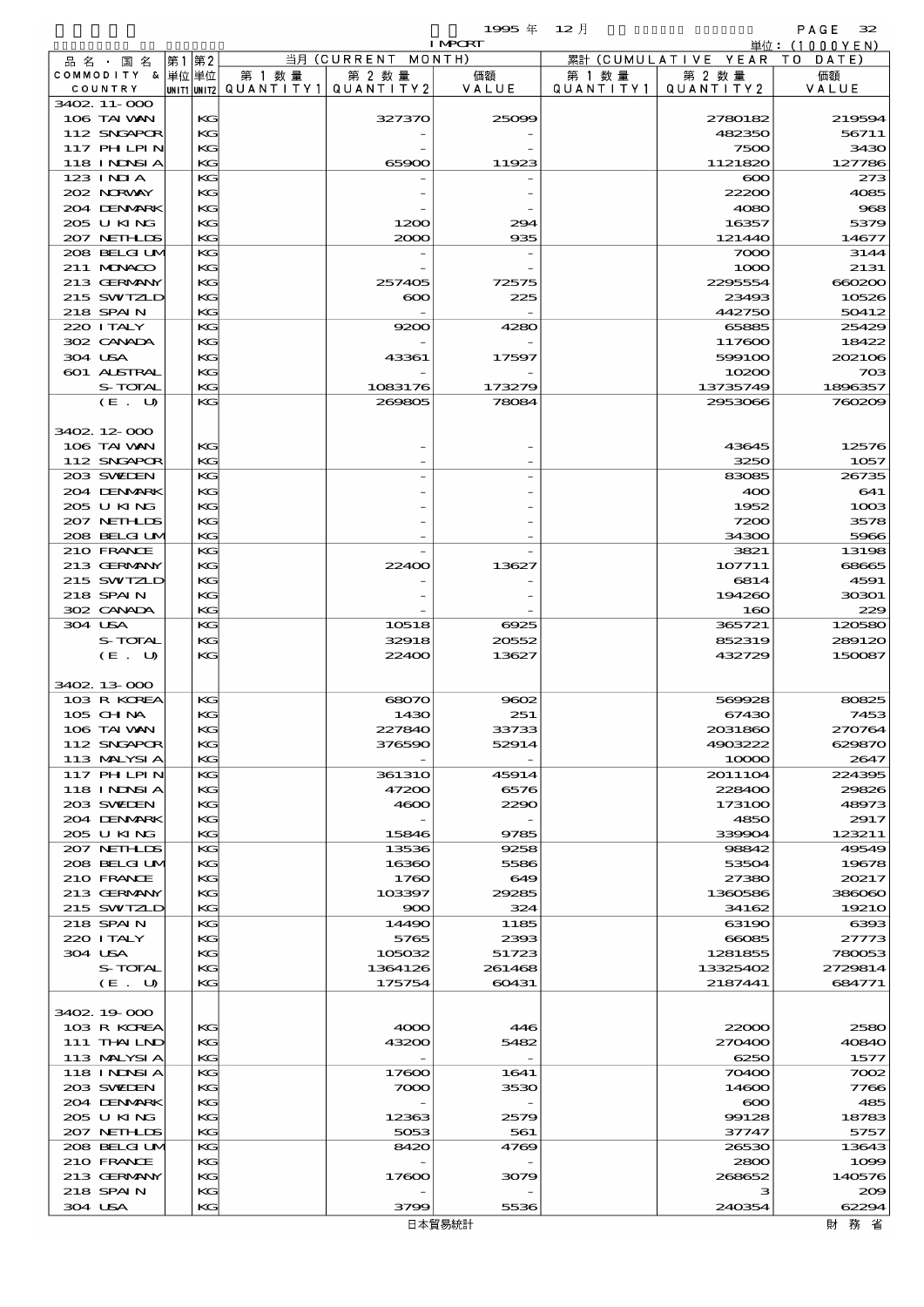|                             |      |          |                          |                   | 1995年           | $12$ 月    |                      | PAGE<br>32        |
|-----------------------------|------|----------|--------------------------|-------------------|-----------------|-----------|----------------------|-------------------|
|                             |      |          |                          |                   | <b>I MPORT</b>  |           |                      | 単位:(1000YEN)      |
| 品 名 ・ 国 名                   | 第1第2 |          |                          | 当月 (CURRENT       | MONTH)          |           | 累計 (CUMULATIVE YEAR) | TO DATE)          |
| COMMODITY & 単位単位            |      |          | 第 1 数 量                  | 第 2 数 量           | 価額              | 第 1 数 量   | 第 2 数量               | 価額                |
| COUNTRY                     |      |          | unit1 unit2  Q∪ANT   TY1 | QUANTITY2         | VALUE           | QUANTITY1 | QUANTITY2            | VALUE             |
| 3402.11-000<br>106 TAI VAN  |      | KG       |                          | 327370            | 25099           |           | 2780182              | 219594            |
| 112 SNGAPOR                 |      | KG       |                          |                   |                 |           | 482350               | 56711             |
| 117 PHLPIN                  |      | KG       |                          |                   |                 |           | 7500                 | 3430              |
| <b>118 INDSIA</b>           |      | KG       |                          | 65900             | 11923           |           | 1121820              | 127786            |
| 123 INIA                    |      | KG       |                          |                   |                 |           | $\infty$             | 273               |
| 202 NORWAY                  |      | KG       |                          |                   |                 |           | 22200                | 4085              |
| 204 DENMARK                 |      | KG       |                          |                   |                 |           | 4080                 | 968               |
| 205 U KING                  |      | KG       |                          | 1200              | 294             |           | 16357                | 5379              |
| 207 NETHLIS<br>208 BELGI UM |      | KG<br>KG |                          | 2000              | 935             |           | 121440<br>7000       | 14677<br>3144     |
| 211 MUNACO                  |      | KG       |                          |                   |                 |           | 1000                 | 2131              |
| 213 GERMANY                 |      | KG       |                          | 257405            | 72575           |           | 2295554              | 660200            |
| 215 SWIZLD                  |      | KG       |                          | $\infty$          | 225             |           | 23493                | 10526             |
| 218 SPAIN                   |      | KG       |                          |                   |                 |           | 442750               | 50412             |
| 220 I TALY                  |      | KG       |                          | 9200              | 4280            |           | 65885                | 25429             |
| 302 CANADA                  |      | KG       |                          |                   |                 |           | 117600               | 18422             |
| 304 USA                     |      | KG       |                          | 43361             | 17597           |           | 599100               | 202106            |
| 601 ALSTRAL                 |      | KG       |                          |                   |                 |           | 10200                | 703               |
| S-TOTAL<br>(E. U)           |      | KG<br>KG |                          | 1083176<br>269805 | 173279<br>78084 |           | 13735749<br>2953066  | 1896357<br>760209 |
|                             |      |          |                          |                   |                 |           |                      |                   |
| 3402 12 000                 |      |          |                          |                   |                 |           |                      |                   |
| 106 TAI VAN                 |      | KG       |                          |                   |                 |           | 43645                | 12576             |
| 112 SNGAPOR                 |      | KG       |                          |                   |                 |           | 3250                 | 1057              |
| 203 SWIDEN                  |      | KG       |                          |                   |                 |           | 83085                | 26735             |
| 204 DENMARK                 |      | KG       |                          |                   |                 |           | 400                  | 641               |
| 205 U KING                  |      | KG       |                          |                   |                 |           | 1952                 | 1003              |
| 207 NETHLIS                 |      | KG       |                          |                   |                 |           | 7200                 | 3578              |
| 208 BELGI UM<br>210 FRANCE  |      | KG<br>KG |                          |                   |                 |           | 34300<br>3821        | 5966<br>13198     |
| 213 GERMANY                 |      | KG       |                          | 22400             | 13627           |           | 107711               | 68665             |
| 215 SWIZLD                  |      | KG       |                          |                   |                 |           | 6814                 | 4591              |
| 218 SPAIN                   |      | KG       |                          |                   |                 |           | 194260               | 30301             |
| 302 CANADA                  |      | KG       |                          |                   |                 |           | 160                  | 229               |
| 304 USA                     |      | KG       |                          | 10518             | 6925            |           | 365721               | 120580            |
| S-TOTAL                     |      | KG       |                          | 32918             | 20552           |           | 852319               | 289120            |
| (E. U)                      |      | KG       |                          | 22400             | 13627           |           | 432729               | 150087            |
|                             |      |          |                          |                   |                 |           |                      |                   |
| 3402 13 000<br>103 R KOREA  |      | KG       |                          | 68070             | 9602            |           | 569928               | 80825             |
| 105 CH NA                   |      | KG       |                          | 1430              | 251             |           | 67430                | 7453              |
| 106 TAI VAN                 |      | KG       |                          | 227840            | 33733           |           | 2031860              | 270764            |
| 112 SNGAPOR                 |      | KC       |                          | 376590            | 52914           |           | 4903222              | 629870            |
| 113 MALYSIA                 |      | KC       |                          |                   |                 |           | 10000                | 2647              |
| 117 PHLPIN                  |      | KG       |                          | <b>361310</b>     | 45914           |           | 2011104              | 224395            |
| 118 I NDSI A                |      | KG       |                          | 47200             | 6576            |           | 228400               | 29826             |
| 203 SWIDEN                  |      | KG       |                          | 4600              | 2290            |           | 173100               | 48973             |
| 204 DENMARK<br>205 U KING   |      | KC       |                          |                   | 9785            |           | 4850<br>339904       | 2917              |
| 207 NETHLIS                 |      | KG<br>KG |                          | 15846<br>13536    | 9258            |           | 98842                | 123211<br>49549   |
| 208 BELGI UM                |      | KG       |                          | 16360             | 5586            |           | 53504                | 19678             |
| 210 FRANCE                  |      | KG       |                          | 1760              | 649             |           | 27380                | 20217             |
| 213 GERMANY                 |      | KC       |                          | 103397            | 29285           |           | 1360586              | 386060            |
| 215 SWIZLD                  |      | KG       |                          | 900               | 324             |           | 34162                | 19210             |
| 218 SPAIN                   |      | KG       |                          | 14490             | 1185            |           | 63190                | 6393              |
| 220 I TALY                  |      | KG       |                          | 5765              | 2393            |           | 66085                | 27773             |
| 304 USA<br>S-TOTAL          |      | KG       |                          | 105032            | 51723           |           | 1281855              | 780053            |
| (E. U)                      |      | KC<br>KG |                          | 1364126<br>175754 | 261468<br>60431 |           | 13325402<br>2187441  | 2729814<br>684771 |
|                             |      |          |                          |                   |                 |           |                      |                   |
| 3402 19 000                 |      |          |                          |                   |                 |           |                      |                   |
| 103 R KOREA                 |      | KG       |                          | 4000              | 446             |           | 22000                | 2580              |
| 111 THAILND                 |      | KC       |                          | 43200             | 5482            |           | 270400               | 40840             |
| 113 MALYSIA                 |      | KG       |                          |                   |                 |           | 6250                 | 1577              |
| 118 I NDSI A                |      | KG       |                          | 17600             | 1641            |           | 70400                | 7002              |
| 203 SWIDEN                  |      | KG       |                          | 7000              | 3530            |           | 14600                | 7766              |
| 204 DENMARK<br>205 U KING   |      | KC<br>KC |                          | 12363             | 2579            |           | $\infty$<br>99128    | 485<br>18783      |
| 207 NETHLIS                 |      | KG       |                          | 5053              | 561             |           | 37747                | 5757              |
| 208 BELGI UM                |      | KC       |                          | 8420              | 4769            |           | 26530                | 13643             |
| 210 FRANCE                  |      | KC       |                          |                   |                 |           | 2800                 | 1099              |
| 213 GERMANY                 |      | KG       |                          | 17600             | 3079            |           | 268652               | 140576            |
| 218 SPAIN                   |      | KG       |                          |                   |                 |           | з                    | 209               |

304 USA KG 3799 5536 240354 62294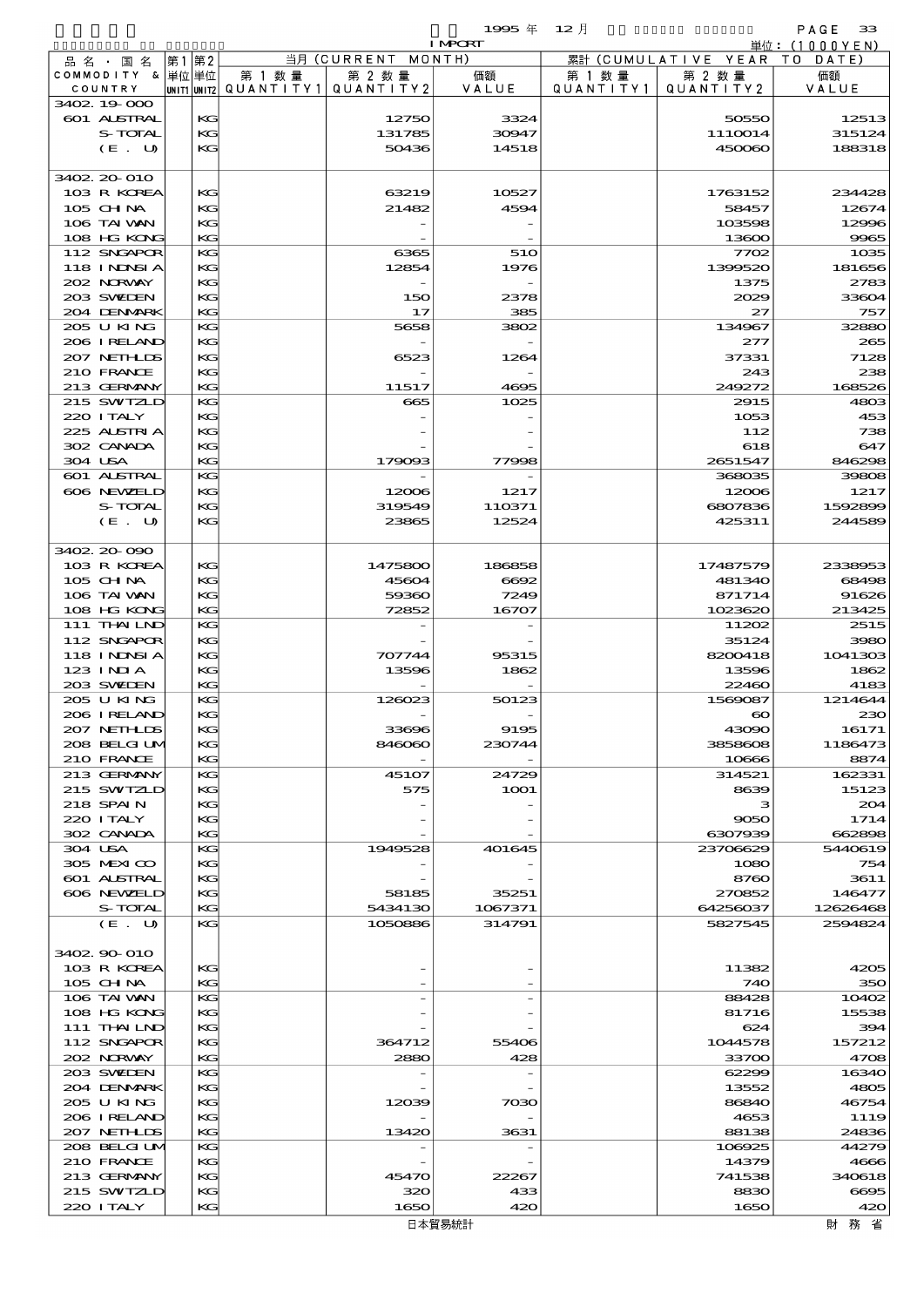$1995 \nless 12 \nless 12 \nless 12$ 

| .<br>.,<br>. .<br>n an | $   -$ |
|------------------------|--------|
| ⋝                      |        |

|         |                             |          |                                       |                    | <b>I MPORT</b> |                   |                              | 単位: (1000 Y E N) |
|---------|-----------------------------|----------|---------------------------------------|--------------------|----------------|-------------------|------------------------------|------------------|
|         | 品名・国名                       | 第1 第2    |                                       | 当月 (CURRENT MONTH) |                |                   | 累計 (CUMULATIVE YEAR TO DATE) |                  |
|         | COMMODITY & 単位単位            |          | 第 1 数量                                | 第 2 数量             | 価額<br>VALUE    | 第 1 数 量           | 第 2 数量                       | 価額               |
|         | COUNTRY<br>3402 19 000      |          | unit1 unit2  QUANT   TY1  QUANT   TY2 |                    |                | Q U A N T I T Y 1 | QUANTITY 2                   | VALUE            |
|         | 601 ALSTRAL                 | KG       |                                       | 12750              | 3324           |                   | 50550                        | 12513            |
|         | S-TOTAL                     | KG       |                                       | 131785             | 30947          |                   | 1110014                      | 315124           |
|         | (E. U)                      | KG       |                                       | 50436              | 14518          |                   | 450060                       | 188318           |
|         |                             |          |                                       |                    |                |                   |                              |                  |
|         | 3402 20 010                 |          |                                       |                    |                |                   |                              |                  |
|         | 103 R KOREA                 | КG       |                                       | 63219              | 10527          |                   | 1763152                      | 234428           |
|         | 105 CHNA                    | KG       |                                       | 21482              | 4594           |                   | 58457                        | 12674            |
|         | 106 TAI VAN<br>108 HG KONG  | KG<br>KG |                                       |                    |                |                   | 103598<br>13600              | 12996<br>9965    |
|         | 112 SNGAPOR                 | KG       |                                       | 6365               | 510            |                   | 7702                         | 1035             |
|         | <b>118 INNSIA</b>           | KG       |                                       | 12854              | 1976           |                   | 1399520                      | 181656           |
|         | 202 NRWAY                   | KG       |                                       |                    |                |                   | 1375                         | 2783             |
|         | 203 SWIJEN                  | KG       |                                       | 150                | 2378           |                   | 2029                         | 33604            |
|         | 204 DENMARK                 | KG       |                                       | 17                 | 385            |                   | 27                           | 757              |
|         | 205 U KING                  | KG       |                                       | 5658               | 3802           |                   | 134967                       | 32880            |
|         | 206 I RELAND<br>207 NETHLIS | KG<br>KG |                                       | 6523               | 1264           |                   | 277<br>37331                 | 265<br>7128      |
|         | 210 FRANCE                  | KG       |                                       |                    |                |                   | 243                          | 238              |
|         | 213 GERMANY                 | KG       |                                       | 11517              | 4695           |                   | 249272                       | 168526           |
|         | 215 SWIZLD                  | KG       |                                       | 665                | 1025           |                   | 2915                         | 4803             |
|         | 220 I TALY                  | KG       |                                       |                    |                |                   | 1053                         | 453              |
|         | 225 ALSTRIA                 | KG       |                                       |                    |                |                   | 112                          | 738              |
|         | 302 CANADA                  | KG       |                                       |                    |                |                   | 618                          | 647              |
| 304 USA |                             | KG       |                                       | 179093             | 77998          |                   | 2651547                      | 846298           |
|         | 601 ALSTRAL<br>606 NEWELD   | KG<br>KG |                                       | 12006              | 1217           |                   | 368035<br>12006              | 39808<br>1217    |
|         | S-TOTAL                     | KG       |                                       | 319549             | 110371         |                   | 6807836                      | 1592899          |
|         | (E. U)                      | KG       |                                       | 23865              | 12524          |                   | 425311                       | 244589           |
|         |                             |          |                                       |                    |                |                   |                              |                  |
|         | 3402 20 090                 |          |                                       |                    |                |                   |                              |                  |
|         | 103 R KOREA                 | KG       |                                       | 1475800            | 186858         |                   | 17487579                     | 2338953          |
|         | 105 CH NA                   | KG       |                                       | 45604              | 6692           |                   | 481340                       | 68498            |
|         | 106 TAI VAN                 | KG       |                                       | 59360              | 7249           |                   | 871714                       | 91626            |
|         | 108 HG KONG<br>111 THAILND  | KG<br>KG |                                       | 72852              | 16707          |                   | 1023620<br>11202             | 213425<br>2515   |
|         | 112 SNGAPOR                 | KG       |                                       |                    |                |                   | 35124                        | 3980             |
|         | 118 INNSI A                 | KG       |                                       | 707744             | 95315          |                   | 8200418                      | 1041303          |
|         | 123 INIA                    | KG       |                                       | 13596              | 1862           |                   | 13596                        | 1862             |
|         | 203 SWIEN                   | KG       |                                       |                    |                |                   | 22460                        | 4183             |
|         | 205 U KING                  | KG       |                                       | 126023             | 50123          |                   | 1569087                      | 1214644          |
|         | 206 IRELAND                 | KG       |                                       |                    |                |                   | $\boldsymbol{\infty}$        | 230              |
|         | 207 NETHLIS                 | KG       |                                       | 33696              | 9195           |                   | 43090                        | 16171            |
|         | 208 BELGI UM<br>210 FRANCE  | KG<br>KG |                                       | 846060             | 230744         |                   | 3858608<br>10666             | 1186473<br>8874  |
|         | 213 GERMANY                 | KG       |                                       | 45107              | 24729          |                   | 314521                       | 162331           |
|         | 215 SWIZLD                  | KG       |                                       | 575                | 1 <b>001</b>   |                   | 8639                         | 15123            |
|         | 218 SPAIN                   | KG       |                                       |                    |                |                   | з                            | 204              |
|         | 220 I TALY                  | KG       |                                       |                    |                |                   | 9050                         | 1714             |
|         | 302 CANADA                  | KG       |                                       |                    |                |                   | 6307939                      | 662898           |
| 304 USA |                             | KG       |                                       | 1949528            | 401645         |                   | 23706629                     | 5440619          |
|         | 305 MEXICO                  | KG       |                                       |                    |                |                   | 1080                         | 754<br>3611      |
|         | 601 ALSTRAL<br>606 NEWELD   | KG<br>KG |                                       | 58185              | 35251          |                   | 8760<br>270852               | 146477           |
|         | S-TOTAL                     | KG       |                                       | 5434130            | 1067371        |                   | 64256037                     | 12626468         |
|         | (E. U)                      | KG       |                                       | 1050886            | 314791         |                   | 5827545                      | 2594824          |
|         |                             |          |                                       |                    |                |                   |                              |                  |
|         | 3402 90 010                 |          |                                       |                    |                |                   |                              |                  |
|         | 103 R KOREA                 | KG       |                                       |                    |                |                   | 11382                        | 4205             |
|         | $105$ CHNA                  | KG       |                                       |                    |                |                   | 740                          | 350              |
|         | 106 TAI VAN<br>108 HG KONG  | KG<br>KG |                                       |                    |                |                   | 88428<br>81716               | 10402            |
|         | 111 THAILND                 | KG       |                                       |                    |                |                   | 624                          | 15538<br>394     |
|         | 112 SNGAPOR                 | KG       |                                       | 364712             | 55406          |                   | 1044578                      | 157212           |
|         | 202 NORVAY                  | KG       |                                       | 2880               | 428            |                   | 33700                        | 4708             |
|         | 203 SWIDEN                  | KG       |                                       |                    |                |                   | 62299                        | 16340            |
|         | 204 DENMARK                 | KG       |                                       |                    |                |                   | 13552                        | 4805             |
|         | 2005 U KING                 | KG       |                                       | 12039              | 7030           |                   | 86840                        | 46754            |
|         | 206 I RELAND                | KG       |                                       |                    |                |                   | 4653                         | 1119             |
|         | 207 NETHLIS                 | KG       |                                       | 13420              | 3631           |                   | 88138                        | 24836            |
|         | 208 BELGI UM<br>210 FRANCE  | KG<br>KG |                                       |                    |                |                   | 106925<br>14379              | 44279<br>4666    |
|         | 213 GERMANY                 | KG       |                                       | 45470              | 22267          |                   | 741538                       | 340618           |
|         | 215 SWTZLD                  | KG       |                                       | 320                | 433            |                   | 8830                         | 6695             |
|         | 220 I TALY                  | KG       |                                       | 1650               | 420            |                   | 1650                         | 420              |
|         |                             |          |                                       |                    |                |                   |                              |                  |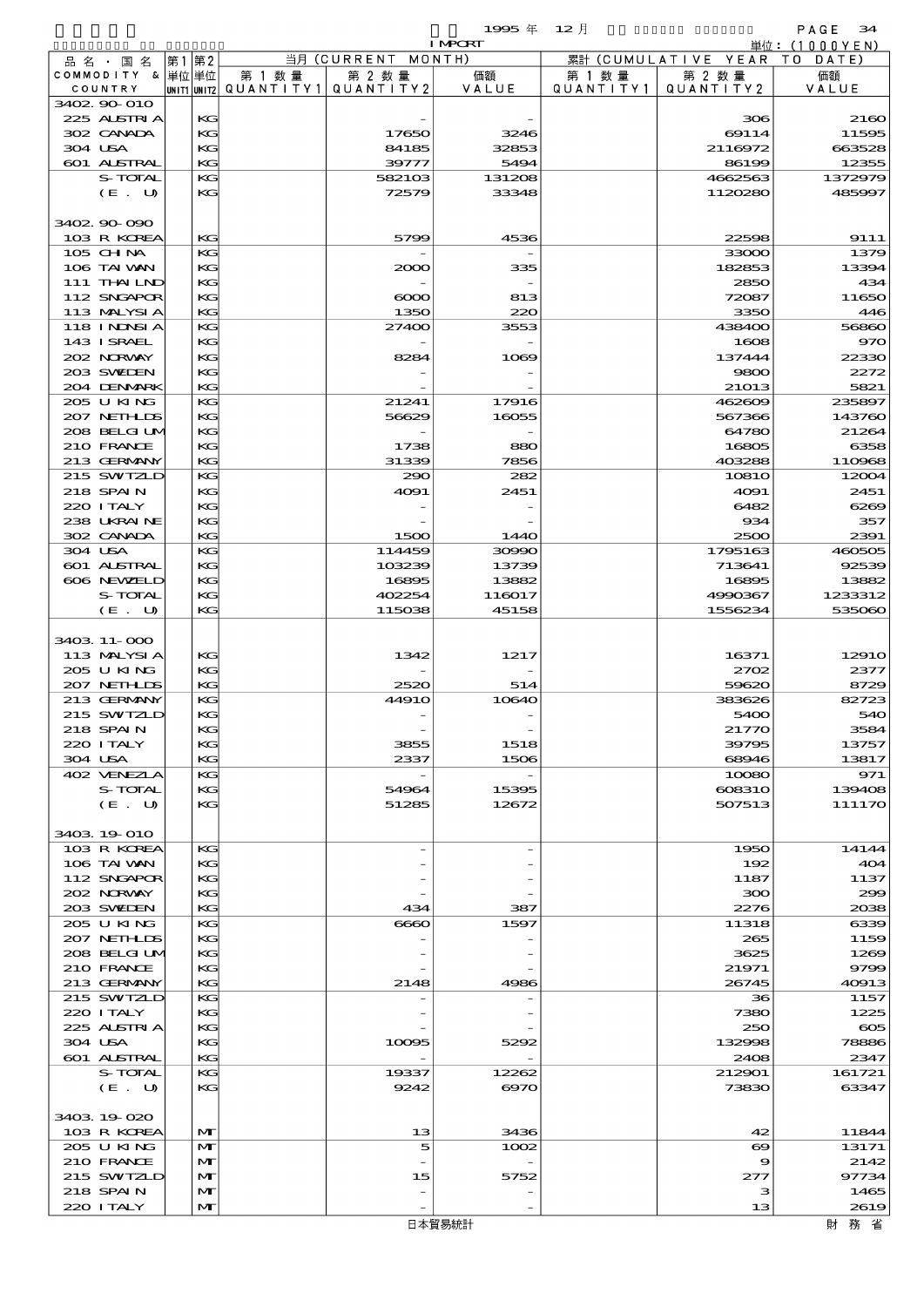|         |                             |             |          |                      |                     | 1995 $#$        | $12$ 月               |                      | PAGE<br>34        |
|---------|-----------------------------|-------------|----------|----------------------|---------------------|-----------------|----------------------|----------------------|-------------------|
|         |                             |             |          |                      |                     | <b>I MPCRT</b>  |                      |                      | 単位:(1000YEN)      |
|         | 品名・国名                       | 第1 第2       |          |                      | 当月 (CURRENT         | MONTH)          |                      | 累計 (CUMULATIVE YEAR) | TO DATE)          |
|         | COMMODITY & 単位単位<br>COUNTRY | UNIT1 UNIT2 |          | 第 1 数 量<br>QUANTITY1 | 第 2 数量<br>QUANTITY2 | 価額<br>VALUE     | 第 1 数 量<br>QUANTITY1 | 第 2 数量<br>QUANTITY2  | 価額<br>VALUE       |
|         | 3402 90 010                 |             |          |                      |                     |                 |                      |                      |                   |
|         | 225 ALSTRIA                 |             | KG       |                      |                     |                 |                      | 306                  | 2160              |
|         | 302 CANADA                  |             | KG       |                      | 17650               | 3246            |                      | 69114                | 11595             |
| 304 USA |                             |             | KG       |                      | 84185               | 32853           |                      | 2116972              | 663528            |
|         | <b>601 ALSTRAL</b>          |             | KG       |                      | 39777               | 5494            |                      | 86199                | 12355             |
|         | <b>S-TOTAL</b>              |             | KG       |                      | 582103              | 131208          |                      | 4662563              | 1372979           |
|         | (E. U)                      |             | KG       |                      | 72579               | 33348           |                      | 1120280              | 485997            |
|         |                             |             |          |                      |                     |                 |                      |                      |                   |
|         | 3402 90 090<br>103 R KOREA  |             | KG       |                      | 5799                | 4536            |                      | 22598                | 9111              |
|         | 105 CH NA                   |             | KG       |                      |                     |                 |                      | 33000                | 1379              |
|         | 106 TAI VAN                 |             | KG       |                      | 2000                | 335             |                      | 182853               | 13394             |
|         | 111 THAILND                 |             | KG       |                      |                     |                 |                      | 2850                 | 434               |
|         | 112 SNGAPOR                 |             | KG       |                      | $\infty$            | 813             |                      | 72087                | 11650             |
|         | 113 MALYSIA                 |             | KG       |                      | 1350                | 220             |                      | 3350                 | 446               |
|         | <b>118 INDNELA</b>          |             | KG       |                      | 27400               | 3553            |                      | 438400               | 56860             |
|         | 143 I SRAEL                 |             | KG       |                      |                     |                 |                      | 1608                 | 970               |
|         | 202 NORWAY                  |             | KG       |                      | 8284                | 1069            |                      | 137444               | 22330             |
|         | 203 SWIEN                   |             | KG       |                      |                     |                 |                      | 9800                 | 2272              |
|         | 204 DENMARK<br>205 U KING   |             | KG<br>KG |                      | 21241               | 17916           |                      | 21013                | 5821<br>235897    |
|         | 207 NETHLIS                 |             | KG       |                      | 56629               | 16055           |                      | 462609<br>567366     | 143760            |
|         | 208 BELGI UM                |             | KG       |                      |                     |                 |                      | 64780                | 21264             |
|         | 210 FRANCE                  |             | KG       |                      | 1738                | 880             |                      | 16805                | 6358              |
|         | 213 GERMANY                 |             | KG       |                      | 31339               | 7856            |                      | 403288               | 110968            |
|         | 215 SWIZLD                  |             | KG       |                      | 290                 | 282             |                      | <b>10810</b>         | 12004             |
|         | 218 SPAIN                   |             | KG       |                      | 4091                | 2451            |                      | 4091                 | 2451              |
|         | 220 I TALY                  |             | KG       |                      |                     |                 |                      | 6482                 | 6269              |
|         | 238 UKRAINE                 |             | KG       |                      |                     |                 |                      | 934                  | 357               |
|         | 302 CANADA                  |             | KG       |                      | 1500                | 1440            |                      | 2500                 | 2391              |
| 304 USA |                             |             | KG       |                      | 114459              | 30990           |                      | 1795163              | 460505            |
|         | 601 ALSTRAL                 |             | KG       |                      | 103239              | 13739           |                      | 713641               | 92539             |
|         | 606 NEWELD<br>S-TOTAL       |             | KG<br>KG |                      | 16895<br>402254     | 13882<br>116017 |                      | 16895<br>4990367     | 13882<br>1233312  |
|         | (E. U)                      |             | KG       |                      | 115038              | 45158           |                      | 1556234              | 535060            |
|         |                             |             |          |                      |                     |                 |                      |                      |                   |
|         | 3403 11-000                 |             |          |                      |                     |                 |                      |                      |                   |
|         | 113 MALYSIA                 |             | KС       |                      | 1342                | 1217            |                      | 16371                | 1291 <sub>O</sub> |
|         | 205 U KING                  |             | KG       |                      |                     |                 |                      | 2702                 | 2377              |
|         | 207 NETHLIS                 |             | KG       |                      | 2520                | 514             |                      | 59620                | 8729              |
|         | 213 GERMANY                 |             | KG       |                      | <b>44910</b>        | 10640           |                      | 383626               | 82723             |
|         | 215 SWIZLE                  |             | KG       |                      |                     |                 |                      | 5400                 | 540               |
|         | 218 SPAIN                   |             | KG       |                      |                     |                 |                      | 21770                | 3584              |
|         | 220 I TALY                  |             | KG<br>KG |                      | 3855                | 1518<br>1506    |                      | 39795<br>68946       | 13757             |
| 304 USA | 402 VENEZIA                 |             | KG       |                      | 2337                |                 |                      | 10080                | 13817<br>971      |
|         | S-TOTAL                     |             | KG       |                      | 54964               | 15395           |                      | 608310               | 139408            |
|         | (E. U)                      |             | KG       |                      | 51285               | 12672           |                      | 507513               | 111170            |
|         |                             |             |          |                      |                     |                 |                      |                      |                   |
|         | 3403 19 010                 |             |          |                      |                     |                 |                      |                      |                   |
|         | 103 R KOREA                 |             | KG       |                      |                     |                 |                      | 1950                 | 14144             |
|         | 106 TAI VAN                 |             | KG       |                      |                     |                 |                      | 192                  | 404               |
|         | 112 SNGAPOR                 |             | KG       |                      |                     |                 |                      | 1187                 | 1137              |
|         | 202 NORWAY                  |             | KG       |                      |                     |                 |                      | 300                  | 299               |
|         | 203 SWIDEN                  |             | KG       |                      | 434                 | 387             |                      | 2276                 | 2038              |
|         | 205 U KING<br>207 NETHLIS   |             | KG<br>KG |                      | 6660                | 1597            |                      | 11318                | 6339              |
|         | 208 BELGI UM                |             | KG       |                      |                     |                 |                      | 265<br>3625          | 1159<br>1269      |
|         | 210 FRANCE                  |             | KG       |                      |                     |                 |                      | 21971                | 9799              |
|         | 213 GERMANY                 |             | KG       |                      | 2148                | 4986            |                      | 26745                | 40913             |
|         | 215 SWIZLD                  |             | KG       |                      |                     |                 |                      | 36                   | 1157              |
|         | 220 I TALY                  |             | KG       |                      |                     |                 |                      | 7380                 | 1225              |
|         | 225 ALSTRIA                 |             | KG       |                      |                     |                 |                      | 250                  | $\infty$          |
| 304 USA |                             |             | KG       |                      | 10095               | 5292            |                      | 132998               | 78886             |
|         | <b>601 ALSTRAL</b>          |             | KG       |                      |                     |                 |                      | 2408                 | 2347              |
|         | S-TOTAL                     |             | KG       |                      | 19337               | 12262           |                      | 212901               | 161721            |
|         | (E. U)                      |             | KG       |                      | 9242                | $\Theta$ 70     |                      | 73830                | 63347             |
|         |                             |             |          |                      |                     |                 |                      |                      |                   |
|         | 3403 19 020<br>103 R KOREA  |             | M        |                      | 13                  | 3436            |                      | 42                   | 11844             |
|         | 205 U KING                  |             | M        |                      | 5                   | 1002            |                      | $\infty$             | 13171             |
|         | 210 FRANCE                  |             | M        |                      |                     |                 |                      | 9                    | 2142              |
|         | 215 SWIZLD                  |             | M        |                      | 15                  | 5752            |                      | 277                  | 97734             |
|         | 218 SPAIN                   |             | M        |                      |                     |                 |                      | з                    | 1465              |

220 ITALY  $\left|\begin{array}{ccc} \mathbf{M} \end{array}\right|$  -  $\left|\begin{array}{ccc} \mathbf{M} \end{array}\right|$  13 2619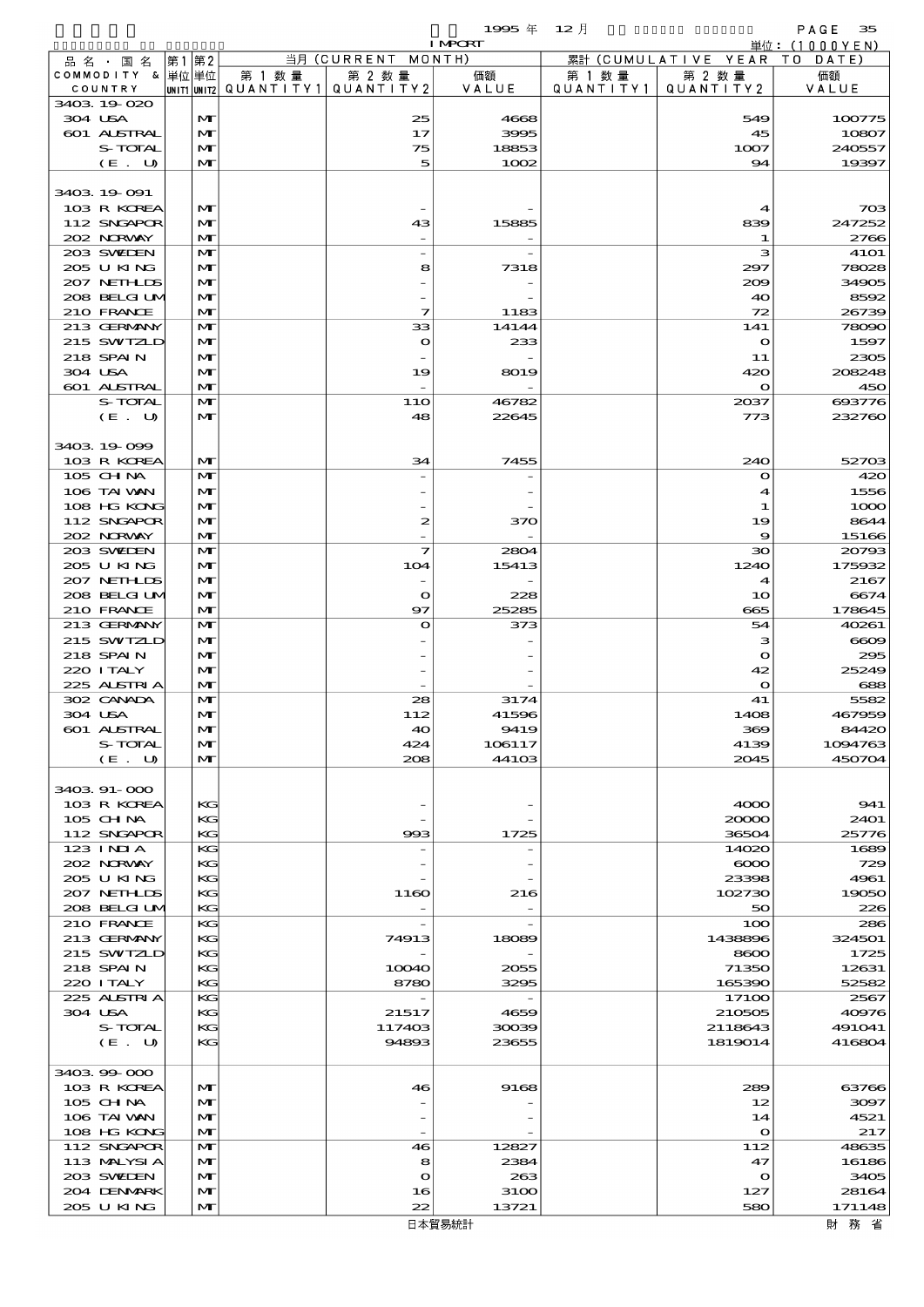|                            |       |                              |                                 |                          | 1995 $#$       | $12$ 月    |                         | PAGE<br>35                  |
|----------------------------|-------|------------------------------|---------------------------------|--------------------------|----------------|-----------|-------------------------|-----------------------------|
| 品名・国名                      | 第1 第2 |                              |                                 | 当月 (CURRENT MONTH)       | <b>I MPORT</b> |           | 累計 (CUMULATIVE YEAR)    | 単位:(1000YEN)<br>T O<br>DATE |
| COMMODITY & 単位単位           |       |                              | 第 1 数 量                         | 第 2 数量                   | 価額             | 第 1 数 量   | 第 2 数量                  | 価額                          |
| COUNTRY                    |       |                              | UNIT1 UNIT2   Q U A N T I T Y 1 | QUANTITY2                | VALUE          | QUANTITY1 | QUANTITY2               | VALUE                       |
| 3403 19 020                |       |                              |                                 |                          |                |           |                         |                             |
| 304 USA<br>601 ALSTRAL     |       | M<br>$\mathbf{M}$            |                                 | 25<br>17                 | 4668<br>3995   |           | 549<br>45               | 100775<br>10807             |
| S-TOTAL                    |       | M                            |                                 | 75                       | 18853          |           | 1007                    | 240557                      |
| (E. U)                     |       | M                            |                                 | 5                        | 1002           |           | 94                      | 19397                       |
|                            |       |                              |                                 |                          |                |           |                         |                             |
| 3403 19 091                |       |                              |                                 |                          |                |           |                         |                             |
| 103 R KOREA                |       | $\mathbf{M}$                 |                                 |                          |                |           | $\blacktriangleleft$    | 703                         |
| 112 SNGAPOR<br>202 NORWAY  |       | $\mathbf{M}$<br>M            |                                 | 43                       | 15885          |           | 839<br>1                | 247252<br>2766              |
| 203 SWIEN                  |       | $\mathbf{M}$                 |                                 | $\overline{\phantom{m}}$ |                |           | з                       | <b>41O1</b>                 |
| 205 U KING                 |       | M                            |                                 | 8                        | 7318           |           | 297                     | 78028                       |
| 207 NETH IDS               |       | $\mathbf{M}$                 |                                 |                          |                |           | 200                     | 34905                       |
| 208 BELGI UM               |       | M                            |                                 |                          |                |           | 40                      | 8592                        |
| 210 FRANCE                 |       | $\mathbf{M}$                 |                                 | 7                        | 1183           |           | 72                      | 26739                       |
| 213 GERMANY<br>215 SWIZLD  |       | $\mathbf{M}$                 |                                 | 33                       | 14144          |           | 141                     | 78090                       |
| 218 SPAIN                  |       | $\mathbf{M}$<br>$\mathbf{M}$ |                                 | $\bullet$                | 233            |           | $\mathbf{\Omega}$<br>11 | 1597<br>2305                |
| 304 USA                    |       | M                            |                                 | 19                       | 8019           |           | 420                     | 208248                      |
| 601 ALSTRAL                |       | M                            |                                 |                          |                |           | $\mathbf o$             | 450                         |
| S-TOTAL                    |       | $\mathbf{M}$                 |                                 | <b>11O</b>               | 46782          |           | 2037                    | 693776                      |
| (E. U)                     |       | $\mathbf{M}$                 |                                 | 48                       | 22645          |           | 773                     | 232760                      |
|                            |       |                              |                                 |                          |                |           |                         |                             |
| 3403 19 099                |       |                              |                                 |                          |                |           |                         |                             |
| 103 R KOREA<br>105 CHNA    |       | $\mathbf{M}$<br>$\mathbf{M}$ |                                 | 34                       | 7455           |           | 240<br>$\bullet$        | 52703<br>420                |
| 106 TAI VAN                |       | $\mathbf{M}$                 |                                 |                          |                |           | 4                       | 1556                        |
| 108 HG KONG                |       | $\mathbf{M}$                 |                                 |                          |                |           | 1                       | 1000                        |
| 112 SNGAPOR                |       | M                            |                                 | 2                        | 370            |           | 19                      | 8644                        |
| 202 NORWAY                 |       | $\mathbf{M}$                 |                                 |                          |                |           | 9                       | 15166                       |
| 203 SWIEN                  |       | $\mathbf{M}$                 |                                 | $\overline{\mathbf{z}}$  | 2804           |           | $\infty$                | 20793                       |
| 205 U KING                 |       | M                            |                                 | 104                      | 15413          |           | 1240                    | 175932                      |
| 207 NETH IDS               |       | M                            |                                 | $\overline{\phantom{a}}$ |                |           | 4                       | 2167                        |
| 208 BELGI UM<br>210 FRANCE |       | $\mathbf{M}$<br>M            |                                 | $\mathbf o$<br>97        | 228<br>25285   |           | 10<br>665               | 6674<br>178645              |
| 213 GERMANY                |       | $\mathbf{M}$                 |                                 | $\bullet$                | 373            |           | 54                      | 40261                       |
| 215 SWIZLD                 |       | M                            |                                 |                          |                |           | з                       | $\bf{6009}$                 |
| 218 SPAIN                  |       | $\mathbf{M}$                 |                                 |                          |                |           | $\mathbf o$             | 295                         |
| 220 I TALY                 |       | M                            |                                 |                          |                |           | 42                      | 25249                       |
| 225 ALSTRIA                |       | м                            |                                 |                          |                |           | $\mathbf o$             | 688                         |
| 302 CANADA                 |       | M                            |                                 | 28                       | 3174           |           | 41                      | 5582                        |
| 304 USA<br>601 ALSTRAL     |       | $\mathbf{M}$<br>$\mathbf{M}$ |                                 | 112<br>40                | 41596<br>9419  |           | 1408<br>369             | 467959<br>84420             |
| S-TOTAL                    |       | M                            |                                 | 424                      | 106117         |           | 4139                    | 1094763                     |
| (E. U)                     |       | $\mathbf{M}$                 |                                 | 208                      | 44103          |           | 2045                    | 450704                      |
|                            |       |                              |                                 |                          |                |           |                         |                             |
| 3403 91-000                |       |                              |                                 |                          |                |           |                         |                             |
| 103 R KOREA                |       | KG                           |                                 |                          |                |           | 4000                    | 941                         |
| 105 CH NA                  |       | KG                           |                                 |                          |                |           | 20000                   | 2401                        |
| 112 SNGAPOR<br>123 INIA    |       | KG<br>KG                     |                                 | 993                      | 1725           |           | 36504<br>14020          | 25776<br>1689               |
| 202 NORVAY                 |       | KC                           |                                 |                          |                |           | $\infty$                | 729                         |
| 205 U KING                 |       | KG                           |                                 |                          |                |           | 23398                   | 4961                        |
| 207 NETHLIS                |       | KC                           |                                 | 1160                     | 216            |           | 102730                  | 19050                       |
| 208 BELGI UM               |       | KG                           |                                 |                          |                |           | 50                      | 226                         |
| 210 FRANCE                 |       | KG                           |                                 |                          |                |           | 100                     | 286                         |
| 213 GERMANY                |       | KC                           |                                 | 74913                    | 18089          |           | 1438896                 | 324501                      |
| 215 SWIZLD<br>218 SPAIN    |       | KC<br>KG                     |                                 | 10040                    | 2055           |           | 8600<br>71350           | 1725<br>12631               |
| 220 I TALY                 |       | KG                           |                                 | 8780                     | 3295           |           | 165390                  | 52582                       |
| 225 ALSTRIA                |       | KG                           |                                 |                          |                |           | 17100                   | 2567                        |
| 304 USA                    |       | KC                           |                                 | 21517                    | 4659           |           | 210505                  | 40976                       |
| S-TOTAL                    |       | KC                           |                                 | 117403                   | 30039          |           | 2118643                 | 491041                      |
| (E. U)                     |       | KG                           |                                 | 94893                    | 23655          |           | 1819014                 | 416804                      |
|                            |       |                              |                                 |                          |                |           |                         |                             |
| 3403 99 000<br>103 R KOREA |       | M                            |                                 | 46                       | 9168           |           | 289                     | 63766                       |
| 105 CH NA                  |       | M                            |                                 |                          |                |           | 12                      | 3097                        |
| 106 TAI VAN                |       | M                            |                                 |                          |                |           | 14                      | 4521                        |
| 108 HG KONG                |       | $\mathbf{M}$                 |                                 |                          |                |           | $\mathbf{o}$            | 217                         |
| 112 SNGAPOR                |       | $\mathbf{M}$                 |                                 | 46                       | 12827          |           | 112                     | 48635                       |
| 113 MALYSIA                |       | M                            |                                 | 8                        | 2384           |           | 47                      | 16186                       |
| 203 SWIDEN                 |       | M                            |                                 | $\bullet$                | 263            |           | $\bullet$               | 3405                        |
| 204 DENMARK<br>205 U KING  |       | M<br>M                       |                                 | 16<br>22                 | 3100<br>13721  |           | 127<br>580              | 28164<br>171148             |
|                            |       |                              |                                 |                          |                |           |                         |                             |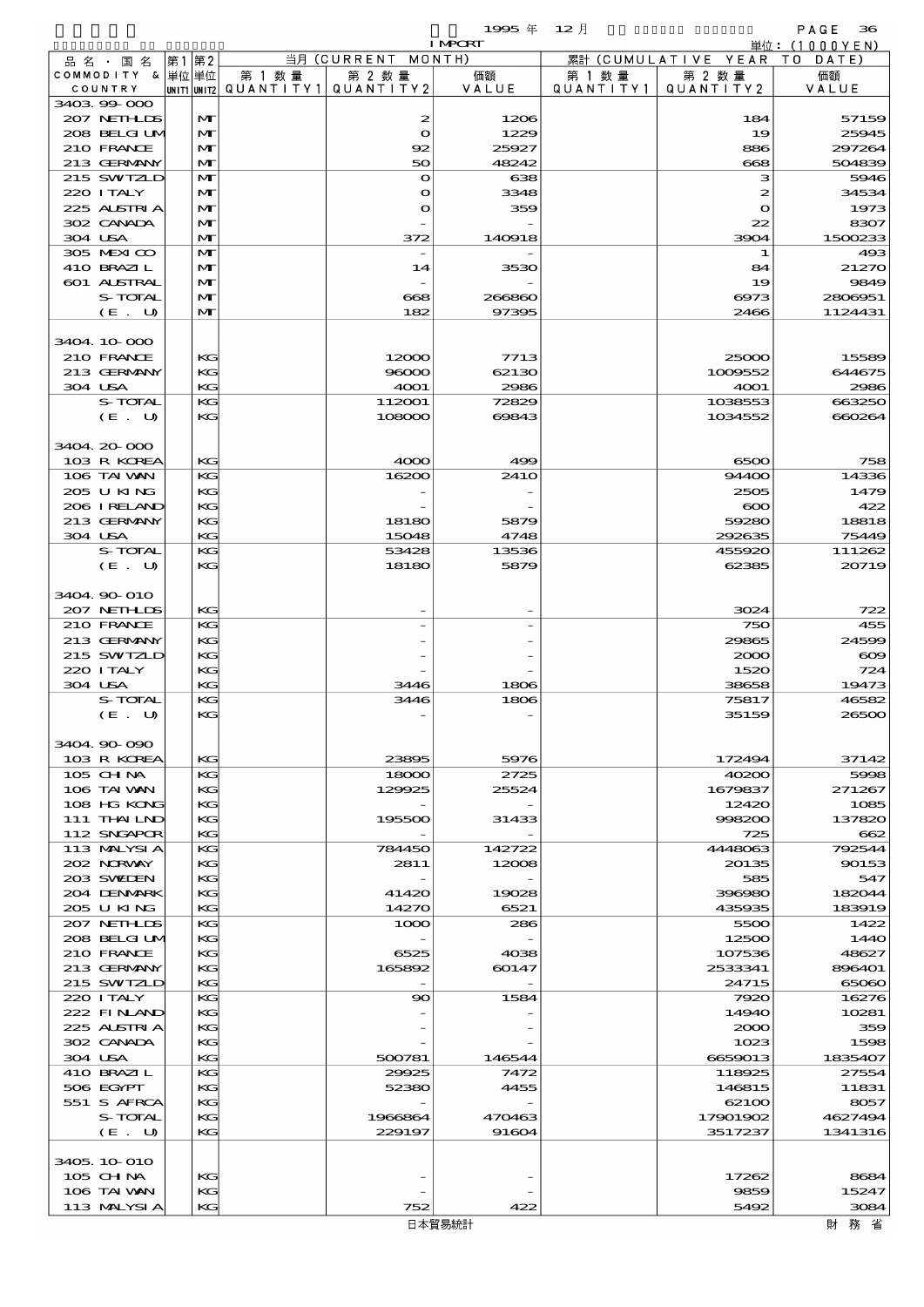$1995 \nless 12 \nless 12$ 

|                            |    |                   |                                                  |                    | <b>I MPORT</b>  |                      |                              | 単位: (1000YEN)     |
|----------------------------|----|-------------------|--------------------------------------------------|--------------------|-----------------|----------------------|------------------------------|-------------------|
| 品名・国名                      | 第1 | 第2                |                                                  | 当月 (CURRENT MONTH) |                 |                      | 累計 (CUMULATIVE YEAR TO DATE) |                   |
| COMMODITY & 単位単位           |    |                   | 第 1 数量<br> unit1 unit2  QUANT   TY1  QUANT   TY2 | 第 2 数量             | 価額<br>VALUE     | 第 1 数 量<br>QUANTITY1 | 第 2 数量<br>QUANTITY 2         | 価額<br>VALUE       |
| COUNTRY<br>3403 99 000     |    |                   |                                                  |                    |                 |                      |                              |                   |
| 207 NETHLIS                |    | $\mathbf{M}$      |                                                  | 2                  | 1206            |                      | 184                          | 57159             |
| 208 BELGI UM               |    | M                 |                                                  | $\bullet$          | 1229            |                      | 19                           | 25945             |
| 210 FRANCE                 |    | M                 |                                                  | 92                 | 25927           |                      | 886                          | 297264            |
| 213 GERMANY                |    | $\mathbf{M}$      |                                                  | 50                 | 48242           |                      | 668                          | 504839            |
| 215 SWIZLD                 |    | M                 |                                                  | $\mathbf{o}$       | 638             |                      | з                            | 5946              |
| 220 I TALY                 |    | M                 |                                                  | $\mathbf o$        | 3348            |                      | 2                            | 34534             |
| 225 ALSTRIA                |    | $\mathbf{M}$      |                                                  | $\mathbf o$        | 359             |                      | $\bullet$                    | 1973              |
| 302 CANADA<br>304 USA      |    | M<br>$\mathbf{M}$ |                                                  |                    | 140918          |                      | 22<br>3904                   | 8307<br>1500233   |
| 305 MEXICO                 |    | $\mathbf{M}$      |                                                  | 372                |                 |                      | 1                            | 493               |
| 410 BRAZIL                 |    | M                 |                                                  | 14                 | 3530            |                      | 84                           | 21270             |
| 601 ALSTRAL                |    | M                 |                                                  |                    |                 |                      | 19                           | 9849              |
| S-TOTAL                    |    | M                 |                                                  | 668                | 266860          |                      | 6973                         | 2806951           |
| (E. U)                     |    | $\mathbf{M}$      |                                                  | 182                | 97395           |                      | 2466                         | 1124431           |
|                            |    |                   |                                                  |                    |                 |                      |                              |                   |
| 3404.10.000                |    |                   |                                                  |                    |                 |                      |                              |                   |
| 210 FRANCE                 |    | KG                |                                                  | 12000              | 7713            |                      | 25000                        | 15589             |
| 213 GERMANY                |    | KG                |                                                  | 96000              | 62130           |                      | 1009552                      | 644675            |
| 304 USA                    |    | KG                |                                                  | 4001               | 2986            |                      | 4001                         | 2986              |
| S-TOTAL                    |    | KG                |                                                  | 112001             | 72829           |                      | 1038553                      | 663250            |
| (E. U)                     |    | KG                |                                                  | 108000             | 69843           |                      | 1034552                      | 660264            |
|                            |    |                   |                                                  |                    |                 |                      |                              |                   |
| 3404 20 000<br>103 R KOREA |    | KG                |                                                  | 4000               | 499             |                      | 6500                         | 758               |
| 106 TAI VAN                |    | KG                |                                                  | 16200              | 241O            |                      | 94400                        | 14336             |
| 205 U KING                 |    | KG                |                                                  |                    |                 |                      | 2505                         | 1479              |
| 206 IRELAND                |    | KG                |                                                  |                    |                 |                      | $\infty$                     | 422               |
| 213 GERMANY                |    | KG                |                                                  | 18180              | 5879            |                      | 59280                        | 18818             |
| 304 USA                    |    | KG                |                                                  | 15048              | 4748            |                      | 292635                       | 75449             |
| S-TOTAL                    |    | KG                |                                                  | 53428              | 13536           |                      | 455920                       | 111262            |
| (E. U)                     |    | KG                |                                                  | 18180              | 5879            |                      | 62385                        | 20719             |
|                            |    |                   |                                                  |                    |                 |                      |                              |                   |
| 3404 90 010                |    |                   |                                                  |                    |                 |                      |                              |                   |
| 207 NETHLIS                |    | KG                |                                                  |                    |                 |                      | 3024                         | 722               |
| 210 FRANCE                 |    | KG                |                                                  |                    |                 |                      | 750                          | 455               |
| 213 GERMANY<br>215 SWIZLD  |    | KG<br>KG          |                                                  |                    |                 |                      | 29865<br>2000                | 24599<br>$\infty$ |
| 220 I TALY                 |    | KG                |                                                  |                    |                 |                      | 1520                         | 724               |
| 304 USA                    |    | KG                |                                                  | 3446               | 1806            |                      | 38658                        | 19473             |
| S-TOTAL                    |    | KG                |                                                  | 3446               | 1806            |                      | 75817                        | 46582             |
| (E. U)                     |    | KG.               |                                                  |                    |                 |                      | 35159                        | 26500             |
|                            |    |                   |                                                  |                    |                 |                      |                              |                   |
| 3404.90-090                |    |                   |                                                  |                    |                 |                      |                              |                   |
| 103 R KOREA                |    | KG                |                                                  | 23895              | 5976            |                      | 172494                       | 37142             |
| 105 CH NA                  |    | KG                |                                                  | 18000              | 2725            |                      | 40200                        | 5998              |
| 106 TAI WAN                |    | $K$ $G$           |                                                  | 129925             | 25524           |                      | 1679837                      | 271267            |
| 108 HG KONG                |    | KG                |                                                  |                    |                 |                      | 12420                        | 1085              |
| 111 THAILND                |    | KG                |                                                  | 195500             | 31433           |                      | 998200                       | 137820            |
| 112 SNGAPOR<br>113 MALYSIA |    | KG<br>KG          |                                                  | 784450             |                 |                      | 725<br>4448063               | 662<br>792544     |
| 202 N.R.WAY                |    | KG                |                                                  | 2811               | 142722<br>12008 |                      | 20135                        | 90153             |
| 203 SWIDEN                 |    | KG                |                                                  |                    |                 |                      | 585                          | 547               |
| 204 DENMARK                |    | KG                |                                                  | 41420              | 19028           |                      | 396980                       | 182044            |
| 205 U KING                 |    | KG                |                                                  | 14270              | 6521            |                      | 435935                       | 183919            |
| 207 NETHLIS                |    | KG                |                                                  | 1000               | 286             |                      | 5500                         | 1422              |
| 208 BELGI UM               |    | KG                |                                                  |                    |                 |                      | 12500                        | 1440              |
| 210 FRANCE                 |    | KG                |                                                  | 6525               | 4038            |                      | 107536                       | 48627             |
| 213 GERMANY                |    | KG                |                                                  | 165892             | 60147           |                      | 2533341                      | 896401            |
| 215 SWIZLD                 |    | KG                |                                                  |                    |                 |                      | 24715                        | 65060             |
| 220 I TALY                 |    | KG                |                                                  | 90                 | 1584            |                      | 7920                         | 16276             |
| 222 FINAND                 |    | KG                |                                                  |                    |                 |                      | 14940                        | 10281             |
| 225 ALSTRIA<br>302 CANADA  |    | KG<br>KG          |                                                  |                    |                 |                      | 2000                         | 359<br>1598       |
| 304 USA                    |    | KG                |                                                  | 500781             | 146544          |                      | 1023<br>6659013              | 1835407           |
| 410 BRAZIL                 |    | KG                |                                                  | 29925              | 7472            |                      | 118925                       | 27554             |
| 506 EGYPT                  |    | KG                |                                                  | 52380              | 4455            |                      | 146815                       | 11831             |
| 551 S AFRCA                |    | KG                |                                                  |                    |                 |                      | 62100                        | 8057              |
| S-TOTAL                    |    | KG                |                                                  | 1966864            | 470463          |                      | 17901902                     | 4627494           |
| (E. U)                     |    | KG                |                                                  | 229197             | 91604           |                      | 3517237                      | 1341316           |
|                            |    |                   |                                                  |                    |                 |                      |                              |                   |
| 3405, 10 010               |    |                   |                                                  |                    |                 |                      |                              |                   |
| 105 CH NA                  |    | KG                |                                                  |                    |                 |                      | 17262                        | 8684              |
| 106 TAI VAN                |    | KG                |                                                  |                    |                 |                      | 9859                         | 15247             |
| 113 MALYSIA                |    | KG                |                                                  | 752                | 422             |                      | 5492                         | 3084              |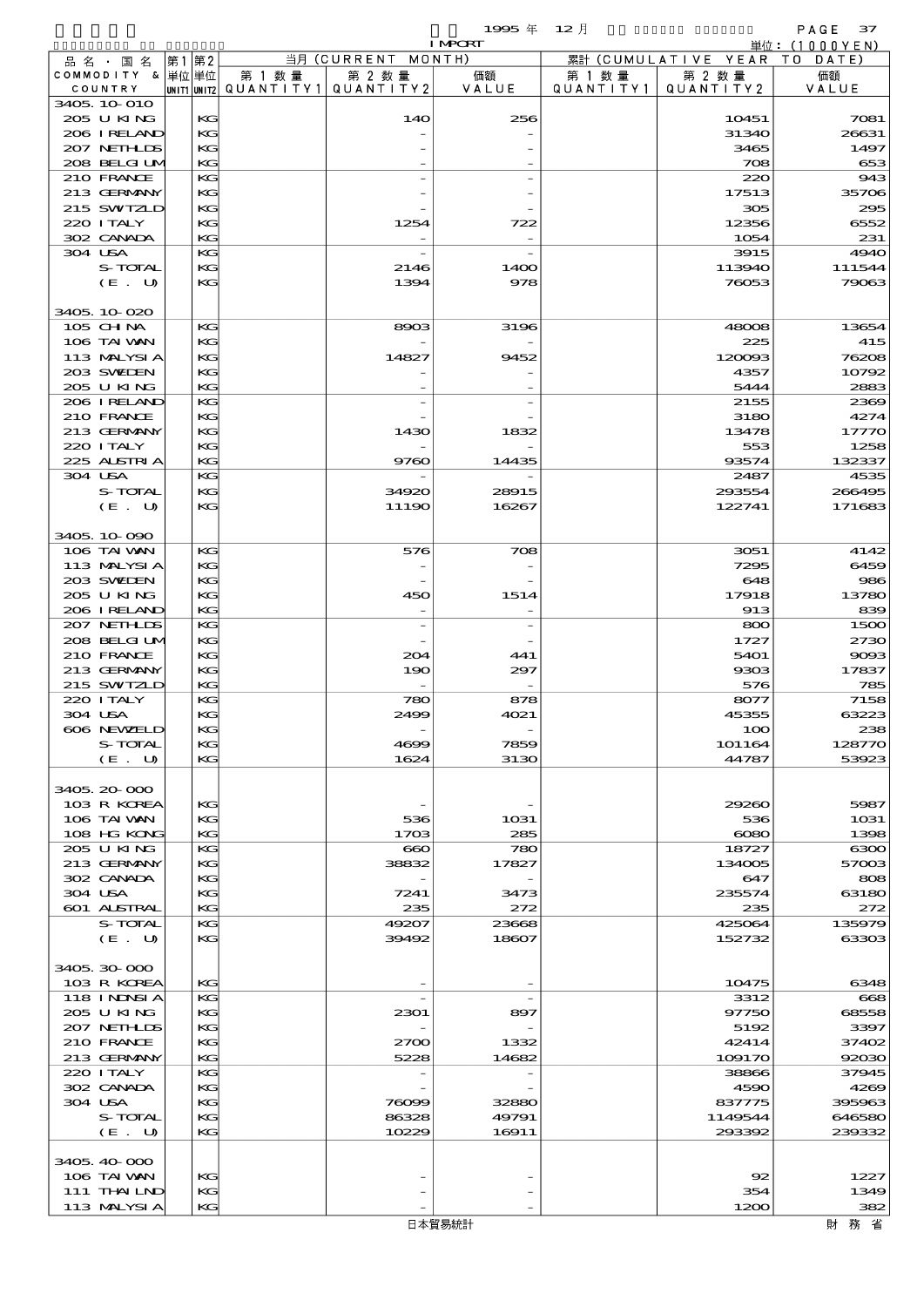|         |                             |          |                                                   |                          | 1995年          | $12$ 月               |                      | PAGE 37          |
|---------|-----------------------------|----------|---------------------------------------------------|--------------------------|----------------|----------------------|----------------------|------------------|
|         |                             |          |                                                   |                          | <b>I MPORT</b> |                      |                      | 単位: (1000YEN)    |
|         | 品 名 ・ 国 名                   | 第1第2     |                                                   | 当月 (CURRENT MONTH)       |                |                      | 累計 (CUMULATIVE YEAR  | TO DATE)         |
|         | COMMODITY & 単位単位<br>COUNTRY |          | 第 1 数量<br>UNIT1 UNIT2   QUANT   TY1   QUANT   TY2 | 第 2 数量                   | 価額<br>VALUE    | 第 1 数 量<br>QUANTITY1 | 第 2 数量<br>QUANTITY 2 | 価額<br>VALUE      |
|         | 3405 10 010                 |          |                                                   |                          |                |                      |                      |                  |
|         | 205 U KING                  | KG       |                                                   | 14O                      | 256            |                      | 10451                | 7081             |
|         | 206 I RELAND                | KG       |                                                   |                          |                |                      | 31340                | 26631            |
|         | 207 NETHLIS                 | KG       |                                                   |                          |                |                      | 3465                 | 1497             |
|         | 208 BELGI UM                | KG       |                                                   |                          |                |                      | 708                  | 653              |
|         | 210 FRANCE                  | KG       |                                                   |                          |                |                      | 220<br>17513         | 943              |
|         | 213 GERMANY<br>215 SWIZLD   | KC<br>KG |                                                   |                          |                |                      | 305                  | 35706<br>295     |
|         | 220 I TALY                  | KС       |                                                   | 1254                     | 722            |                      | 12356                | 6552             |
|         | 302 CANADA                  | KG       |                                                   |                          |                |                      | 1054                 | 231              |
|         | 304 USA                     | KG       |                                                   |                          |                |                      | 3915                 | <b>4940</b>      |
|         | S-TOTAL                     | KG       |                                                   | 2146                     | 1400           |                      | 113940               | 111544           |
|         | (E. U)                      | KС       |                                                   | 1394                     | 978            |                      | 76053                | 79063            |
|         |                             |          |                                                   |                          |                |                      |                      |                  |
|         | 3405 10 020                 |          |                                                   |                          |                |                      |                      |                  |
|         | 105 CH NA<br>106 TAI VAN    | КG<br>KC |                                                   | 8903                     | 3196           |                      | 48008<br>225         | 13654<br>415     |
|         | 113 MALYSIA                 | KG       |                                                   | 14827                    | 9452           |                      | 120003               | 76208            |
|         | 203 SWIDEN                  | KС       |                                                   |                          |                |                      | 4357                 | 10792            |
|         | 205 U KING                  | KG       |                                                   |                          |                |                      | 5444                 | 2883             |
|         | 206 I RELAND                | КG       |                                                   |                          |                |                      | 2155                 | 2369             |
|         | 210 FRANCE                  | KC       |                                                   |                          |                |                      | 3180                 | 4274             |
|         | 213 GERMANY                 | KG       |                                                   | 1430                     | 1832           |                      | 13478                | 17770            |
|         | 220 I TALY                  | KG       |                                                   |                          |                |                      | 553                  | 1258             |
|         | 225 ALSTRIA                 | KG       |                                                   | 9760                     | 14435          |                      | 93574                | 132337           |
| 304 USA |                             | KG       |                                                   |                          |                |                      | 2487                 | 4535             |
|         | S-TOTAL<br>(E. U)           | KС<br>KG |                                                   | 34920<br>11190           | 28915<br>16267 |                      | 293554<br>122741     | 266495<br>171683 |
|         |                             |          |                                                   |                          |                |                      |                      |                  |
|         | 3405, 10-090                |          |                                                   |                          |                |                      |                      |                  |
|         | 106 TAI VAN                 | КG       |                                                   | 576                      | 708            |                      | 3051                 | 4142             |
|         | 113 MALYSIA                 | KС       |                                                   |                          |                |                      | 7295                 | 6459             |
|         | 203 SWIEN                   | KG       |                                                   |                          |                |                      | 648                  | 986              |
|         | 205 U KING                  | KC       |                                                   | 450                      | 1514           |                      | 17918                | 13780            |
|         | 206 I RELAND                | KG       |                                                   | $\overline{\phantom{m}}$ |                |                      | 913                  | 839              |
|         | 207 NETHLIS                 | KG       |                                                   |                          |                |                      | 800                  | 1500             |
|         | 208 BELGI UM                | KG       |                                                   |                          |                |                      | 1727                 | 2730             |
|         | 210 FRANCE<br>213 GERMANY   | KG       |                                                   | 204<br>190               | 441            |                      | 5401<br>9303         | 9003<br>17837    |
|         | 215 SWIZLD                  | KC<br>KG |                                                   |                          | 297            |                      | 576                  | 785              |
|         | 220 I TALY                  | КG       |                                                   | 780                      | 878            |                      | 8077                 | 7158             |
|         | 304 USA                     | KG       |                                                   | 2499                     | 4021           |                      | 45355                | 63223            |
|         | 606 NEWELD                  | KG       |                                                   |                          |                |                      | 100                  | 238              |
|         | S-TOTAL                     | KC       |                                                   | 4699                     | 7859           |                      | 101164               | 128770           |
|         | (E. U)                      | KG       |                                                   | 1624                     | 3130           |                      | 44787                | 53923            |
|         |                             |          |                                                   |                          |                |                      |                      |                  |
|         | 3405, 20-000                |          |                                                   |                          |                |                      |                      |                  |
|         | 103 R KOREA<br>106 TAI WAN  | KG<br>KC |                                                   | 536                      | 1031           |                      | 29260<br>536         | 5987<br>1031     |
|         | 108 HG KONG                 | KC       |                                                   | 1703                     | 285            |                      | $\infty$             | 1398             |
|         | 205 U KING                  | КC       |                                                   | $\infty$                 | 780            |                      | 18727                | 6300             |
|         | 213 GERMANY                 | KC       |                                                   | 38832                    | 17827          |                      | 134005               | 57003            |
|         | 302 CANADA                  | KС       |                                                   |                          |                |                      | 647                  | 808              |
|         | 304 USA                     | KC       |                                                   | 7241                     | 3473           |                      | 235574               | 63180            |
|         | 601 ALSTRAL                 | KG       |                                                   | 235                      | 272            |                      | 235                  | 272              |
|         | S-TOTAL                     | KС       |                                                   | 49207                    | 23668          |                      | 425064               | 135979           |
|         | (E. U)                      | KC       |                                                   | 39492                    | 18607          |                      | 152732               | 63303            |
|         | 3405, 30, 000               |          |                                                   |                          |                |                      |                      |                  |
|         | 103 R KOREA                 | KG       |                                                   |                          |                |                      | 10475                | 6348             |
|         | 118 I NDSI A                | KС       |                                                   |                          |                |                      | 3312                 | 668              |
|         | 205 U KING                  | KC       |                                                   | 2301                     | 897            |                      | 97750                | 68558            |
|         | 207 NETHLIS                 | KG       |                                                   |                          |                |                      | 5192                 | 3397             |
|         | 210 FRANCE                  | KC       |                                                   | 2700                     | 1332           |                      | 42414                | 37402            |
|         | 213 GERMANY                 | KG       |                                                   | 5228                     | 14682          |                      | 109170               | 92030            |
|         | 220 I TALY                  | KС       |                                                   |                          |                |                      | 38866                | 37945            |
|         | 302 CANADA                  | KC       |                                                   |                          |                |                      | 4590                 | 4269             |
|         | 304 USA                     | KG       |                                                   | 76099<br>86328           | 32880          |                      | 837775               | 395963           |
|         | S-TOTAL<br>(E. U)           | KC<br>KG |                                                   | 10229                    | 49791<br>16911 |                      | 1149544<br>293392    | 646580<br>239332 |
|         |                             |          |                                                   |                          |                |                      |                      |                  |
|         | 3405, 40-000                |          |                                                   |                          |                |                      |                      |                  |
|         | 106 TAI VAN                 | KC       |                                                   |                          |                |                      | 92                   | 1227             |
|         | 111 THAILND                 | KC       |                                                   |                          |                |                      | 354                  | 1349             |
|         | 113 MALYSIA                 | KG       |                                                   |                          |                |                      | 1200                 | 382              |

財務省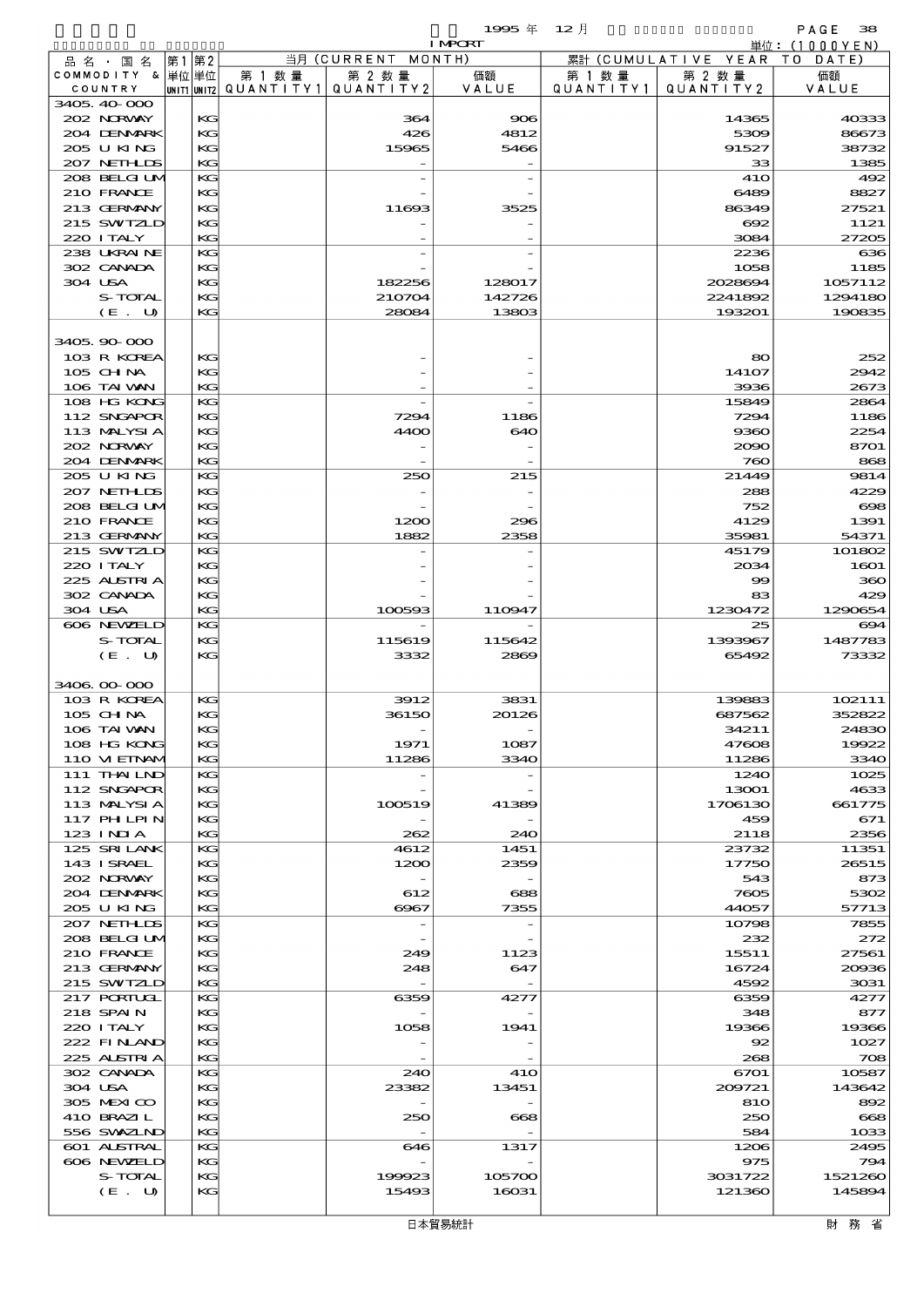|                               |               |                                      |                            | $19905 \text{ } \#$      | $12$ 月               |                      | PAGE<br>38        |
|-------------------------------|---------------|--------------------------------------|----------------------------|--------------------------|----------------------|----------------------|-------------------|
|                               |               |                                      |                            | <b>I MPORT</b>           |                      |                      | 単位: (1000YEN)     |
| 品 名 ・ 国 名<br>COMMODITY & 単位単位 | 第2<br> 第1     |                                      | 当月 (CURRENT MONTH)         |                          |                      | 累計 (CUMULATIVE YEAR) | TO DATE)          |
| COUNTRY                       |               | 第 1 数 量<br> unit1 unit2  Q∪ANT   TY1 | 第 2 数量<br>QUANTITY 2       | 価額<br>VALUE              | 第 1 数 量<br>QUANTITY1 | 第 2 数 量<br>QUANTITY2 | 価額<br>VALUE       |
| 3405, 40, 000                 |               |                                      |                            |                          |                      |                      |                   |
| 202 NORWAY                    | KG            |                                      | 364                        | 906                      |                      | 14365                | 40333             |
| 204 DENMARK                   | KG            |                                      | 426                        | 4812                     |                      | 5309                 | 86673             |
| 205 U KING                    | KG            |                                      | 15965                      | 5466                     |                      | 91527                | 38732             |
| 207 NETHLIS                   | KG            |                                      |                            |                          |                      | 33                   | 1385              |
| 208 BELGI UM<br>210 FRANCE    | KG<br>KG      |                                      |                            |                          |                      | <b>41O</b><br>6489   | 492<br>8827       |
| 213 GERMANY                   | KG            |                                      | 11693                      | 3525                     |                      | 86349                | 27521             |
| 215 SWIZLD                    | KG            |                                      |                            |                          |                      | 692                  | 1121              |
| 220 I TALY                    | KG            |                                      |                            |                          |                      | 3084                 | 27205             |
| 238 UKRAINE                   | KG            |                                      |                            |                          |                      | 2236                 | 636               |
| 302 CANADA                    | KG            |                                      |                            |                          |                      | 1058                 | 1185              |
| 304 USA                       | KG            |                                      | 182256                     | 128017                   |                      | 2028694              | 1057112           |
| S-TOTAL<br>(E. U)             | KС<br>KG      |                                      | 210704<br>28084            | 142726<br>13803          |                      | 2241892<br>193201    | 1294180<br>190835 |
|                               |               |                                      |                            |                          |                      |                      |                   |
| 3405, 90, 000                 |               |                                      |                            |                          |                      |                      |                   |
| 103 R KOREA                   | KG            |                                      |                            |                          |                      | 80                   | 252               |
| $105$ CHNA                    | KG            |                                      |                            |                          |                      | 141O7                | 2942              |
| 106 TAI WAN                   | KG            |                                      |                            |                          |                      | 3936                 | 2673              |
| 108 HG KONG                   | KG            |                                      |                            |                          |                      | 15849                | 2864              |
| 112 SNGAPOR                   | KG<br>KG      |                                      | 7294                       | 1186                     |                      | 7294                 | 1186              |
| 113 MALYSIA<br>202 NRWAY      | KG            |                                      | 4400                       | 640                      |                      | 9360<br>2090         | 2254<br>8701      |
| 204 DENMARK                   | KG            |                                      |                            |                          |                      | 760                  | 868               |
| 205 U KING                    | KG            |                                      | 250                        | 215                      |                      | 21449                | 9814              |
| 207 NETHLIS                   | КG            |                                      |                            |                          |                      | 288                  | 4229              |
| 208 BELGI UM                  | KG            |                                      |                            |                          |                      | 752                  | $\infty$          |
| 210 FRANCE                    | KG            |                                      | 1200                       | 296                      |                      | 4129                 | 1391              |
| 213 GERMANY                   | KG            |                                      | 1882                       | 2358                     |                      | 35981                | 54371             |
| 215 SWIZLD                    | KG            |                                      |                            |                          |                      | 45179                | 101802            |
| 220 I TALY<br>225 ALSTRIA     | KG<br>KG      |                                      |                            |                          |                      | 2034<br>99           | 1601<br>360       |
| 302 CANADA                    | KG            |                                      |                            |                          |                      | 83                   | 429               |
| 304 USA                       | KG            |                                      | 100593                     | 110947                   |                      | 1230472              | 1290654           |
| 606 NEWELD                    | KG            |                                      |                            |                          |                      | 25                   | 694               |
| S-TOTAL                       | KG            |                                      | 115619                     | 115642                   |                      | 1393967              | 1487783           |
| (E. U)                        | $K$ $G$       |                                      | 3332                       | 2869                     |                      | 65492                | 73332             |
|                               |               |                                      |                            |                          |                      |                      |                   |
| 3406 00 000<br>103 R KOREA    | КG            |                                      | 3912                       | 3831                     |                      | 139883               | 102111            |
| 105 CH NA                     | KG            |                                      | 36150                      | 20126                    |                      | 687562               | 352822            |
| 106 TAI VAN                   | $K$ $G$       |                                      |                            |                          |                      | 34211                | 24830             |
| 108 HG KONG                   | KG            |                                      | 1971                       | 1087                     |                      | 47608                | 19922             |
| 110 VIEINAM                   | KG            |                                      | 11286                      | 3340                     |                      | 11286                | 3340              |
| 111 THAILND                   | KG            |                                      |                            |                          |                      | 1240                 | 1025              |
| 112 SNGAPOR                   | КG            |                                      |                            |                          |                      | 13001                | 4633              |
| 113 MALYSIA<br>117 PHLPIN     | KG<br>KG      |                                      | 100519                     | 41389                    |                      | 1706130<br>459       | 661775<br>671     |
| 123 INIA                      | KG            |                                      | 262                        | 240                      |                      | 2118                 | 2356              |
| 125 SRILANK                   | KG            |                                      | 4612                       | 1451                     |                      | 23732                | 11351             |
| 143 ISRAEL                    | KG            |                                      | 1200                       | 2359                     |                      | 17750                | 26515             |
| 202 NRWAY                     | KG            |                                      |                            |                          |                      | 543                  | 873               |
| 204 DENMARK                   | КG            |                                      | 612                        | 688                      |                      | 7605                 | 5302              |
| 205 U KING                    | KG            |                                      | $\Theta$ $\Theta$ $\sigma$ | 7355                     |                      | 44057                | 57713             |
| 207 NETHLIS<br>208 BELGI UM   | KG<br>KG      |                                      |                            |                          |                      | 10798<br>232         | 7855              |
| 210 FRANCE                    | KG            |                                      | 249                        | 1123                     |                      | 15511                | 272<br>27561      |
| 213 GERMANY                   | KG            |                                      | 248                        | 647                      |                      | 16724                | 20036             |
| 215 SWIZLD                    | $K$ $G$       |                                      |                            | $\overline{\phantom{a}}$ |                      | 4592                 | 3031              |
| 217 PORTUGL                   | KG            |                                      | 6359                       | 4277                     |                      | 6359                 | 4277              |
| 218 SPAIN                     | KG            |                                      |                            |                          |                      | 348                  | 877               |
| 220 I TALY                    | KG            |                                      | 1058                       | 1941                     |                      | 19366                | 19366             |
| 222 FINAND                    | КG            |                                      |                            |                          |                      | 92                   | 1027              |
| 225 ALSTRIA<br>302 CANADA     | $K$ $G$<br>KG |                                      | 240                        | 41O                      |                      | 268<br>6701          | 708<br>10587      |
| 304 USA                       | KG            |                                      | 23382                      | 13451                    |                      | 209721               | 143642            |
| 305 MEXICO                    | KG            |                                      |                            |                          |                      | 810                  | 892               |
| 410 BRAZIL                    | KG            |                                      | 250                        | 668                      |                      | 250                  | 668               |
| 556 SWXZIND                   | KG            |                                      |                            |                          |                      | 584                  | 1033              |
| 601 ALSTRAL                   | KG            |                                      | 646                        | 1317                     |                      | 1206                 | 2495              |

606 NEWZELD KG - - 975 794  $S$ -TOTAL KG 199923 105700 3031722 1521260  $(E. U)$  KG 15493 16031 121360 121360 145894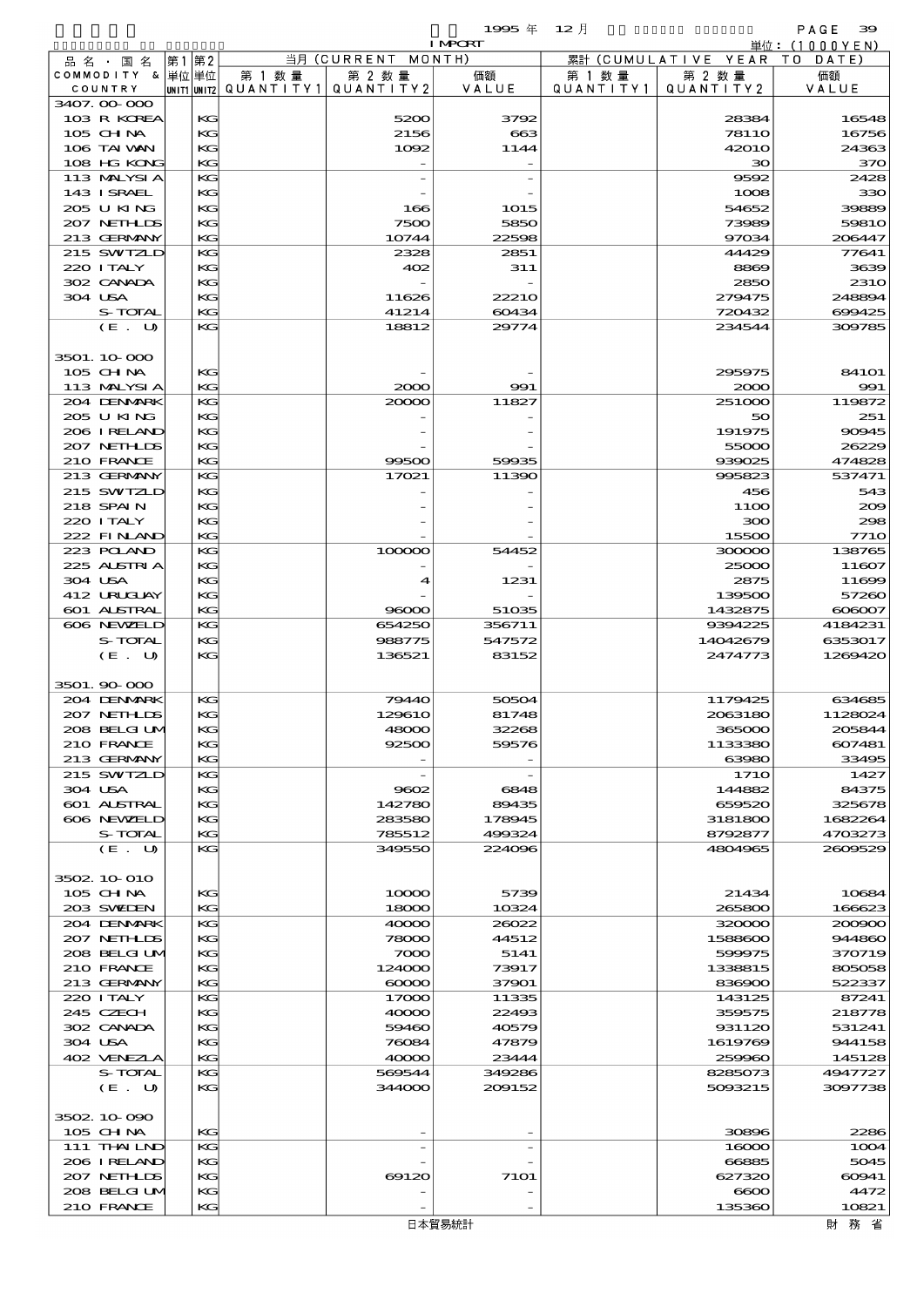|                              |    |          |                          |                    | 1995年           | $12$ 月    |                              | PAGE<br>39                   |
|------------------------------|----|----------|--------------------------|--------------------|-----------------|-----------|------------------------------|------------------------------|
|                              | 第1 | 第2       |                          | 当月 (CURRENT MONTH) | <b>I MPORT</b>  |           | 累計 (CUMULATIVE YEAR TO DATE) | 単位:(1000YEN)                 |
| 品名・国名<br>COMMODITY & 単位単位    |    |          | 第 1 数量                   | 第 2 数量             | 価額              | 第 1 数 量   | 第 2 数量                       | 価額                           |
| COUNTRY                      |    |          | unit1 unit2  Q∪ANT   TY1 | QUANTITY 2         | VALUE           | QUANTITY1 | QUANTITY 2                   | VALUE                        |
| 3407.00.000                  |    |          |                          |                    |                 |           |                              | 16548                        |
| 103 R KOREA<br>$105$ CHNA    |    | KG<br>KG |                          | 5200<br>2156       | 3792<br>663     |           | 28384<br><b>78110</b>        | 16756                        |
| 106 TAI WAN                  |    | KG       |                          | 1092               | 1144            |           | <b>42010</b>                 | 24363                        |
| 108 HG KONG                  |    | KG       |                          |                    |                 |           | 30                           | 370                          |
| 113 MALYSIA                  |    | KG       |                          |                    |                 |           | 9592                         | 2428                         |
| 143 I SRAEL<br>205 U KING    |    | KG<br>KG |                          | 166                | 1015            |           | 1008<br>54652                | 330<br>39889                 |
| 207 NETHLIS                  |    | KG       |                          | 7500               | 5850            |           | 73989                        | 5981O                        |
| 213 GERMANY                  |    | KG       |                          | 10744              | 22598           |           | 97034                        | 206447                       |
| 215 SWIZLD                   |    | KG       |                          | 2328               | 2851            |           | 44429                        | 77641                        |
| 220 I TALY                   |    | KG       |                          | 402                | 311             |           | 8869                         | 3639                         |
| 302 CANADA<br>304 USA        |    | KG<br>KG |                          | 11626              | 22210           |           | 2850<br>279475               | <b>2310</b><br>248894        |
| S-TOTAL                      |    | KG       |                          | 41214              | 60434           |           | 720432                       | 699425                       |
| (E. U)                       |    | KG       |                          | 18812              | 29774           |           | 234544                       | 309785                       |
|                              |    |          |                          |                    |                 |           |                              |                              |
| 3501.10000<br>$105$ CHNA     |    | KG       |                          |                    |                 |           | 295975                       | 84101                        |
| 113 MALYSIA                  |    | KG       |                          | 2000               | 991             |           | 2000                         | 991                          |
| 204 DENMARK                  |    | KG       |                          | 20000              | 11827           |           | 251000                       | 119872                       |
| 205 U KING                   |    | KG       |                          |                    |                 |           | 50                           | 251                          |
| 206 IRELAND                  |    | KG       |                          |                    |                 |           | 191975                       | 90945                        |
| 207 NETHLIS<br>210 FRANCE    |    | KG<br>KG |                          | 99500              | 59935           |           | 55000<br>939025              | 26229<br>474828              |
| 213 GERMANY                  |    | KG       |                          | 17021              | 11390           |           | 995823                       | 537471                       |
| 215 SWIZLD                   |    | KG       |                          |                    |                 |           | 456                          | 543                          |
| 218 SPAIN                    |    | KG       |                          |                    |                 |           | 11OO                         | 200                          |
| 220 I TALY                   |    | KG       |                          |                    |                 |           | 300                          | 298                          |
| 222 FINAND<br>223 POLAND     |    | KG<br>KG |                          | 100000             | 54452           |           | 15500<br>300000              | <b>7710</b><br>138765        |
| 225 ALSTRIA                  |    | KG       |                          |                    |                 |           | 25000                        | 11607                        |
| 304 USA                      |    | KG       |                          | 4                  | 1231            |           | 2875                         | 11699                        |
| 412 URUCUAY                  |    | KG       |                          |                    |                 |           | 139500                       | 57260                        |
| 601 ALSTRAL<br>606 NEWELD    |    | KG<br>KG |                          | 96000<br>654250    | 51035<br>356711 |           | 1432875<br>9394225           | $\infty$ $\infty$<br>4184231 |
| S-TOTAL                      |    | KG       |                          | 988775             | 547572          |           | 14042679                     | 6353017                      |
| (E. U)                       |    | KG       |                          | 136521             | 83152           |           | 2474773                      | 1269420                      |
|                              |    |          |                          |                    |                 |           |                              |                              |
| 3501.90 000                  |    |          |                          |                    |                 |           |                              |                              |
| 204 DENMARK<br>207 NETHLIS   |    | КG<br>KG |                          | 79440<br>129610    | 50504<br>81748  |           | 1179425<br>2063180           | 634685<br>1128024            |
| 208 BELGI UM                 |    | KG       |                          | 48000              | 32268           |           | 365000                       | 205844                       |
| 210 FRANCE                   |    | KG       |                          | 92500              | 59576           |           | 1133380                      | 607481                       |
| 213 GERMANY                  |    | KG       |                          |                    |                 |           | 63980                        | 33495                        |
| 215 SWIZLD<br>304 USA        |    | KG<br>KG |                          | 9602               | 6848            |           | <b>1710</b><br>144882        | 1427<br>84375                |
| <b>601 ALSTRAL</b>           |    | KG       |                          | 142780             | 89435           |           | 659520                       | 325678                       |
| 606 NEWELD                   |    | KG       |                          | 283580             | 178945          |           | 3181800                      | 1682264                      |
| S-TOTAL                      |    | KG       |                          | 785512             | 499324          |           | 8792877                      | 4703273                      |
| (E. U)                       |    | KG       |                          | 349550             | 224096          |           | 4804965                      | 2609529                      |
| 3502 10 010                  |    |          |                          |                    |                 |           |                              |                              |
| 105 CHNA                     |    | KG       |                          | 10000              | 5739            |           | 21434                        | 10684                        |
| 203 SWIDEN                   |    | KG       |                          | 18000              | 10324           |           | 265800                       | 166623                       |
| 204 DENMARK                  |    | KG       |                          | 40000              | 26022           |           | 320000                       | 200900                       |
| 207 NETHLIDS<br>208 BELGI UM |    | KG<br>KG |                          | 78000<br>7000      | 44512<br>5141   |           | 1588600<br>599975            | 944860<br>370719             |
| 210 FRANCE                   |    | KG       |                          | 124000             | 73917           |           | 1338815                      | 805058                       |
| 213 GERMANY                  |    | KG       |                          | $\infty$           | 37901           |           | 836900                       | 522337                       |
| 220 I TALY                   |    | KG       |                          | 17000              | 11335           |           | 143125                       | 87241                        |
| 245 CZECH                    |    | KG       |                          | 40000              | 22493           |           | 359575                       | 218778                       |
| 302 CANADA<br>304 USA        |    | KG<br>KG |                          | 59460<br>76084     | 40579<br>47879  |           | 931120<br>1619769            | 531241<br>944158             |
| 402 VENEZIA                  |    | KG       |                          | 40000              | 23444           |           | 259960                       | 145128                       |
| S-TOTAL                      |    | KG       |                          | 569544             | 349286          |           | 8285073                      | 4947727                      |
| (E. U)                       |    | KG       |                          | 344000             | 209152          |           | 5093215                      | 3097738                      |
| 3502 10 090                  |    |          |                          |                    |                 |           |                              |                              |
| 105 CH NA                    |    | KG       |                          |                    |                 |           | 30896                        | 2286                         |
| $111$ THAILND                |    | KG       |                          |                    |                 |           | 16000                        | 1004                         |
| 206 IRELAND                  |    | KG       |                          |                    |                 |           | 66885                        | 5045                         |
| 207 NETHLIS<br>208 BELGI UM  |    | KG<br>KG |                          | 69120              | 7101            |           | 627320<br>$\infty$           | 60941<br>4472                |
| 210 FRANCE                   |    | KG       |                          |                    |                 |           | 135360                       | 10821                        |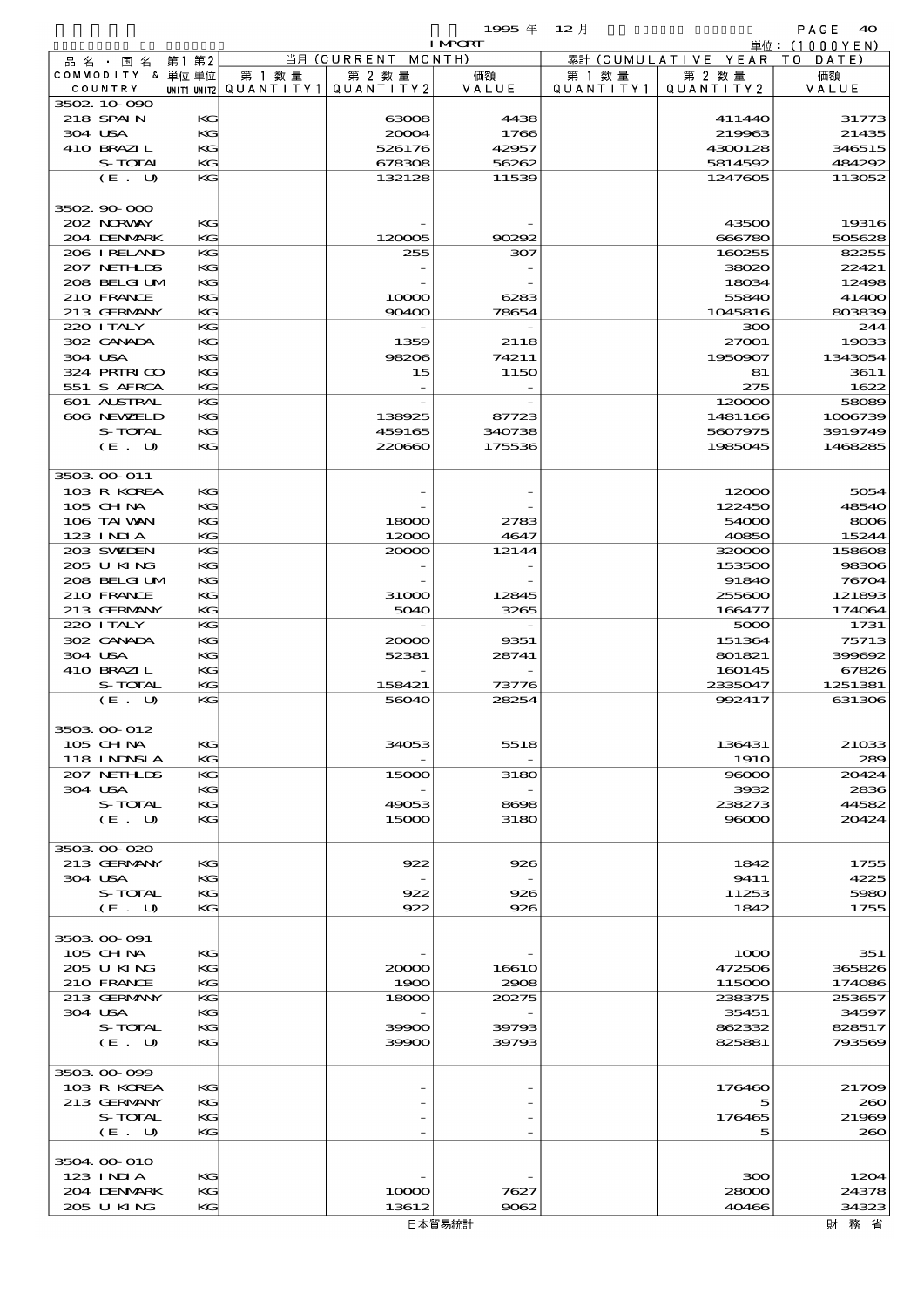$1995 \nsubseteq 12 \nexists$ 

|                            |    |          |                                       |                    | <b>I MPORT</b> |           |                              | 単位: (1000YEN)    |
|----------------------------|----|----------|---------------------------------------|--------------------|----------------|-----------|------------------------------|------------------|
| 品 名 ・ 国 名                  | 第1 | 第2       |                                       | 当月 (CURRENT MONTH) |                |           | 累計 (CUMULATIVE YEAR TO DATE) |                  |
| COMMODITY & 単位単位           |    |          | 第 1 数量                                | 第 2 数量             | 価額             | 第 1 数 量   | 第 2 数量                       | 価額               |
| COUNTRY<br>3502 10 090     |    |          | unit1 unit2  QUANT   TY1  QUANT   TY2 |                    | VALUE          | QUANTITY1 | QUANTITY 2                   | VALUE            |
| 218 SPAIN                  |    | KG       |                                       | 63008              | 4438           |           | 411440                       | 31773            |
| 304 USA                    |    | KG       |                                       | 20004              | 1766           |           | 219963                       | 21435            |
| 410 BRAZIL                 |    | KG       |                                       | 526176             | 42957          |           | 4300128                      | 346515           |
| S-TOTAL                    |    | KG       |                                       | 678308             | 56262          |           | 5814592                      | 484292           |
| (E. U)                     |    | KG       |                                       | 132128             | 11539          |           | 1247605                      | 113052           |
|                            |    |          |                                       |                    |                |           |                              |                  |
| 3502 90 000                |    |          |                                       |                    |                |           |                              |                  |
| 202 NORWAY                 |    | KG       |                                       |                    |                |           | 43500                        | 19316            |
| 204 DENMARK                |    | KG       |                                       | 120005             | 90292          |           | 666780                       | 505628           |
| 206 IRELAND<br>207 NETHLIS |    | KG<br>KG |                                       | 255                | 307            |           | 160255<br>38020              | 82255<br>22421   |
| 208 BELGIUM                |    | KG       |                                       |                    |                |           | 18034                        | 12498            |
| 210 FRANCE                 |    | KG       |                                       | 10000              | 6283           |           | 55840                        | 41400            |
| 213 GERMANY                |    | KG       |                                       | 90400              | 78654          |           | 1045816                      | 803839           |
| 220 I TALY                 |    | KG       |                                       |                    |                |           | 300                          | 244              |
| 302 CANADA                 |    | KG       |                                       | 1359               | 2118           |           | 27001                        | 19033            |
| 304 USA                    |    | KG       |                                       | 98206              | 74211          |           | 1950907                      | 1343054          |
| 324 PRIRICO                |    | KG       |                                       | 15                 | 1150           |           | 81                           | 3611             |
| 551 S AFRCA                |    | KG       |                                       |                    |                |           | 275                          | 1622             |
| 601 ALSTRAL<br>606 NEWELD  |    | KG<br>KG |                                       | 138925             | 87723          |           | 120000<br>1481166            | 58089<br>1006739 |
| S-TOTAL                    |    | KG       |                                       | 459165             | 340738         |           | 5607975                      | 3919749          |
| (E. U)                     |    | KG       |                                       | 220660             | 175536         |           | 1985045                      | 1468285          |
|                            |    |          |                                       |                    |                |           |                              |                  |
| 3503 00 011                |    |          |                                       |                    |                |           |                              |                  |
| 103 R KOREA                |    | KG       |                                       |                    |                |           | 12000                        | 5054             |
| 105 CH NA                  |    | KG       |                                       |                    |                |           | 122450                       | 48540            |
| 106 TAI VAN                |    | KG       |                                       | 18000              | 2783           |           | 54000                        | 8006             |
| $123$ INIA                 |    | KG       |                                       | 12000              | 4647           |           | 40850                        | 15244            |
| 203 SWIEN                  |    | KG       |                                       | 20000              | 12144          |           | 320000                       | 158608           |
| 205 U KING<br>208 BELGIUM  |    | KG<br>KG |                                       |                    |                |           | 153500<br>91840              | 98306<br>76704   |
| 210 FRANCE                 |    | KG       |                                       | 31000              | 12845          |           | 255600                       | 121893           |
| 213 GERMANY                |    | KG       |                                       | 5040               | 3265           |           | 166477                       | 174064           |
| 220 I TALY                 |    | KG       |                                       |                    |                |           | 5000                         | 1731             |
| 302 CANADA                 |    | KG       |                                       | 20000              | 9351           |           | 151364                       | 75713            |
| 304 USA                    |    | KG       |                                       | 52381              | 28741          |           | 801821                       | 399692           |
| 410 BRAZIL                 |    | KG       |                                       |                    |                |           | 160145                       | 67826            |
| S-TOTAL                    |    | KG       |                                       | 158421             | 73776          |           | 2335047                      | 1251381          |
| (E. U)                     |    | KG       |                                       | 56040              | 28254          |           | 992417                       | 631306           |
|                            |    |          |                                       |                    |                |           |                              |                  |
| 3503 00 012<br>$105$ CHNA  |    | KG       |                                       | 34053              | 5518           |           | 136431                       |                  |
| <b>118 INNSI A</b>         |    | KG       |                                       |                    |                |           | <b>1910</b>                  | 21033<br>289     |
| 207 NETHLIS                |    | KG       |                                       | 15000              | 3180           |           | 96000                        | 20424            |
| 304 USA                    |    | KG       |                                       |                    |                |           | 3932                         | 2836             |
| S-TOTAL                    |    | KG       |                                       | 49053              | 8698           |           | 238273                       | 44582            |
| (E. U)                     |    | KG       |                                       | 15000              | 3180           |           | 98000                        | 20424            |
|                            |    |          |                                       |                    |                |           |                              |                  |
| 3503 00 020                |    |          |                                       |                    |                |           |                              |                  |
| 213 GERMANY                |    | KG       |                                       | 922                | 926            |           | 1842                         | 1755             |
| 304 USA<br>S-TOTAL         |    | KG<br>KG |                                       | 922                | 926            |           | 9411<br>11253                | 4225<br>5980     |
| (E U)                      |    | KG       |                                       | 922                | 926            |           | 1842                         | 1755             |
|                            |    |          |                                       |                    |                |           |                              |                  |
| 3503 00 091                |    |          |                                       |                    |                |           |                              |                  |
| 105 CHNA                   |    | KG       |                                       |                    |                |           | 1000                         | 351              |
| 205 U KING                 |    | KG       |                                       | 20000              | 16610          |           | 472506                       | 365826           |
| 210 FRANCE                 |    | KG       |                                       | 1900               | 2908           |           | 115000                       | 174086           |
| 213 GERMANY                |    | KG       |                                       | 18000              | 20275          |           | 238375                       | 253657           |
| 304 USA                    |    | KG       |                                       |                    |                |           | 35451                        | 34597            |
| S-TOTAL                    |    | KG       |                                       | 39900              | 39793          |           | 862332                       | 828517           |
| (E. U)                     |    | KG       |                                       | 39900              | 39793          |           | 825881                       | 793569           |
| 3503 00 099                |    |          |                                       |                    |                |           |                              |                  |
| 103 R KOREA                |    | KG       |                                       |                    |                |           | 176460                       | 21709            |
| 213 GERMANY                |    | KG       |                                       |                    |                |           | 5                            | 200              |
| S-TOTAL                    |    | KG       |                                       |                    |                |           | 176465                       | 21969            |
| (E. U)                     |    | KG       |                                       |                    |                |           | 5                            | 200              |
|                            |    |          |                                       |                    |                |           |                              |                  |
| 3504 00 010                |    |          |                                       |                    |                |           |                              |                  |
| 123 INIA                   |    | KG       |                                       |                    |                |           | 300                          | 1204             |
| 204 DENMARK                |    | KG       |                                       | 10000              | 7627           |           | 28000                        | 24378            |
| 205 U KING                 |    | KG       |                                       | 13612              | 9062           |           | 40466                        | 34323            |

財務省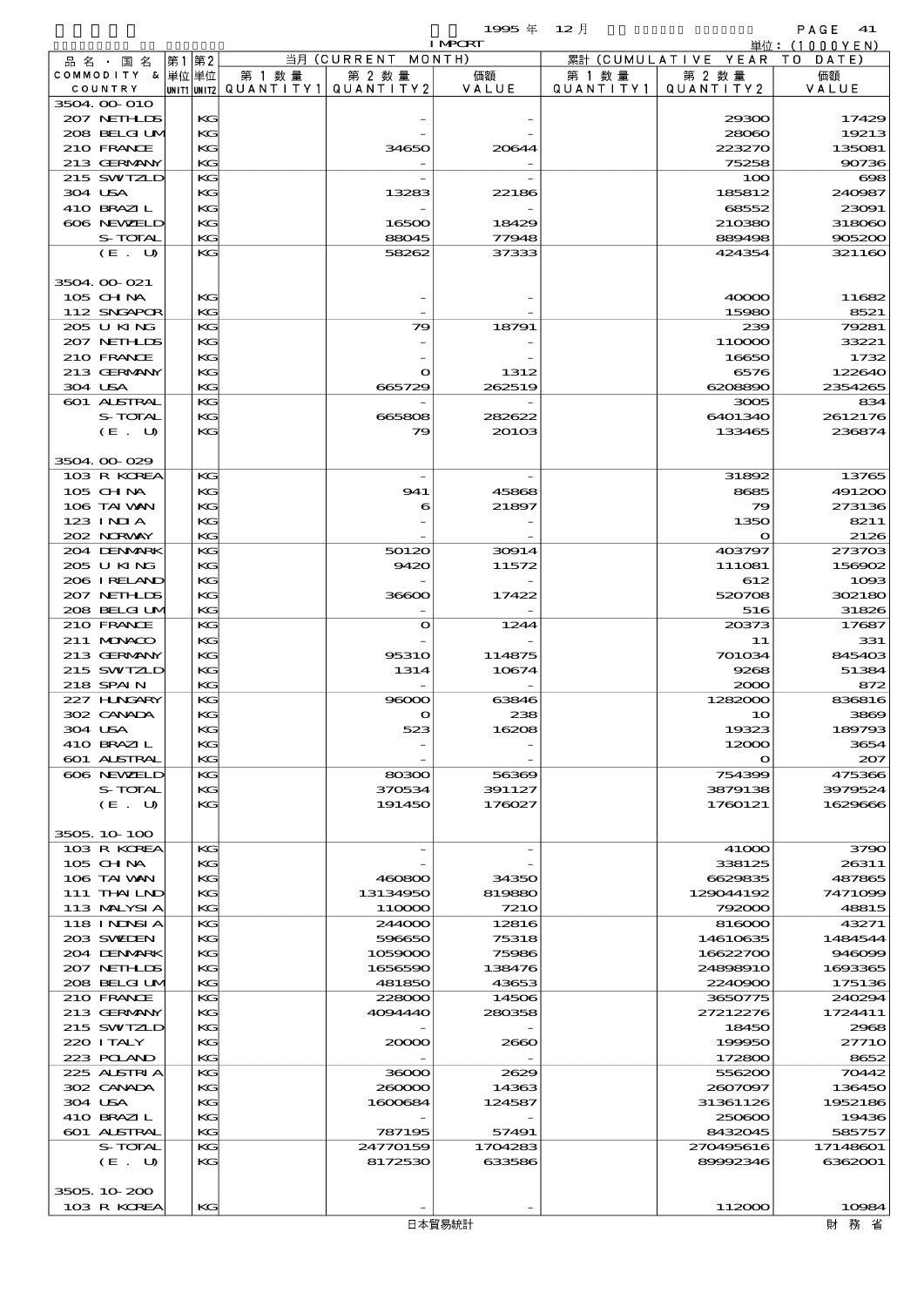|                             |          |                          |                   | 1995年<br><b>I MPORT</b> | $12$ 月    |                      | PAGE<br>-41                    |
|-----------------------------|----------|--------------------------|-------------------|-------------------------|-----------|----------------------|--------------------------------|
| 品名・国名                       | 第1 第2    |                          | 当月(CURRENT        | MONTH)                  |           | 累計 (CUMULATIVE YEAR) | 単位: $(1000YEN)$<br>DATE<br>T O |
| COMMODITY & 単位単位            |          | 第 1 数 量                  | 第 2 数量            | 価額                      | 第 1 数 量   | 第 2 数量               | 価額                             |
| COUNTRY                     |          | unit1 unit2  Q∪ANT   TY1 | QUANTITY 2        | VALUE                   | QUANTITY1 | QUANTITY 2           | VALUE                          |
| 3504 00 010                 |          |                          |                   |                         |           |                      |                                |
| 207 NETHLIS<br>208 BELGI UM | KG<br>KG |                          |                   |                         |           | 29300<br>28060       | 17429<br>19213                 |
| 210 FRANCE                  | $K$ $G$  |                          | 34650             | 20644                   |           | 223270               | 135081                         |
| 213 GERMANY                 | KG       |                          |                   |                         |           | 75258                | 90736                          |
| 215 SWIZLD                  | KG       |                          |                   |                         |           | 100                  | $\bf{608}$                     |
| 304 USA                     | KG       |                          | 13283             | 22186                   |           | 185812               | 240987                         |
| 410 BRAZIL                  | KG       |                          |                   |                         |           | 68552                | 23091                          |
| 606 NEWELD                  | KG       |                          | 16500             | 18429                   |           | 210380               | 318060                         |
| S-TOTAL                     | KG       |                          | 88045             | 77948                   |           | 889498               | 905200                         |
| (E. U)                      | $K$ $G$  |                          | 58262             | 37333                   |           | 424354               | 321160                         |
| 3504 OO O21                 |          |                          |                   |                         |           |                      |                                |
| 105 CH NA                   | KG       |                          |                   |                         |           | 40000                | 11682                          |
| 112 SNGAPOR                 | KG       |                          |                   |                         |           | 15980                | 8521                           |
| 205 U KING                  | KG       |                          | 79                | 18791                   |           | 239                  | 79281                          |
| 207 NETHLIS                 | KG       |                          |                   |                         |           | 110000               | 33221                          |
| 210 FRANCE                  | KG       |                          |                   |                         |           | 16650                | 1732                           |
| 213 GERMANY                 | KG       |                          | O                 | 1312                    |           | 6576                 | 122640                         |
| 304 USA                     | KG       |                          | 665729            | 262519                  |           | 6208890              | 2354265                        |
| 601 ALSTRAL<br>S-TOTAL      | KG<br>KG |                          | 665808            | 282622                  |           | 3005<br>6401340      | 834<br>2612176                 |
| (E. U)                      | KG       |                          | 79                | 20103                   |           | 133465               | 236874                         |
|                             |          |                          |                   |                         |           |                      |                                |
| 3504 00 029                 |          |                          |                   |                         |           |                      |                                |
| 103 R KOREA                 | $K$ $G$  |                          |                   |                         |           | 31892                | 13765                          |
| $105$ CHNA                  | KG       |                          | 941               | 45868                   |           | 8685                 | 491200                         |
| 106 TAI WAN                 | KG       |                          | 6                 | 21897                   |           | 79                   | 273136                         |
| $123$ INIA                  | KG       |                          |                   |                         |           | 1350                 | 8211                           |
| 202 NORWAY<br>204 DENMARK   | KG<br>KG |                          | 50120             |                         |           | O<br>403797          | 2126<br>273703                 |
| 205 U KING                  | KG       |                          | 9420              | 30914<br>11572          |           | 111081               | 156902                         |
| 206 I RELAND                | KG       |                          |                   |                         |           | 612                  | 1093                           |
| 207 NETHLIS                 | KG       |                          | 36600             | 17422                   |           | 520708               | 302180                         |
| 208 BELGI UM                | KG       |                          |                   |                         |           | 516                  | 31826                          |
| 210 FRANCE                  | KG       |                          | $\mathbf o$       | 1244                    |           | 20373                | 17687                          |
| 211 MONACO                  | KG       |                          |                   |                         |           | 11                   | 331                            |
| 213 GERMANY                 | KG       |                          | <b>95310</b>      | 114875                  |           | 701034               | 845403                         |
| 215 SWIZLD<br>218 SPAIN     | KG<br>KG |                          | 1314              | 10674                   |           | 9268<br>2000         | 51384<br>872                   |
| 227 HNGARY                  | KG       |                          | 96000             | 63846                   |           | 1282000              | 836816                         |
| 302 CANADA                  | KG       |                          |                   | 238                     |           | 1 <sup>C</sup>       | 3869                           |
| 304 USA                     | КG       |                          | 523               | 16208                   |           | 19323                | 189793                         |
| 410 BRAZIL                  | KG       |                          |                   |                         |           | 12000                | 3654                           |
| 601 ALSTRAL                 | KG       |                          |                   |                         |           | $\mathbf{\Omega}$    | 207                            |
| 606 NEWELD                  | KG       |                          | 80300             | 56369                   |           | 754399               | 475366                         |
| S-TOTAL                     | KG       |                          | 370534            | 391127                  |           | 3879138              | 3979524                        |
| (E. U)                      | KG       |                          | 191450            | 176027                  |           | 1760121              | 1629666                        |
| 3505, 10 100                |          |                          |                   |                         |           |                      |                                |
| 103 R KOREA                 | КG       |                          |                   |                         |           | 41000                | 3790                           |
| 105 CH NA                   | KG       |                          |                   |                         |           | 338125               | 26311                          |
| 106 TAI VAN                 | KG       |                          | 460800            | 34350                   |           | 6629835              | 487865                         |
| 111 THAILND                 | KG       |                          | 13134950          | 819880                  |           | 129044192            | 7471099                        |
| 113 MALYSIA                 | KG       |                          | 110000            | <b>7210</b>             |           | 792000               | 48815                          |
| 118 I NDSI A                | KG       |                          | 244000            | 12816                   |           | 816000               | 43271                          |
| 203 SWIDEN<br>204 DENMARK   | KG<br>КG |                          | 596650<br>1059000 | 75318<br>75986          |           | 14610635<br>16622700 | 1484544<br>946099              |
| 207 NETHLIDS                | KG       |                          | 1656590           | 138476                  |           | 24898910             | 1693365                        |
| 208 BELGI UM                | KG       |                          | 481850            | 43653                   |           | 2240900              | 175136                         |
| 210 FRANCE                  | KG       |                          | 228000            | 14506                   |           | 3650775              | 240294                         |
| 213 GERMANY                 | KG       |                          | 4094440           | 280358                  |           | 27212276             | 1724411                        |
| 215 SWIZLD                  | $K$ $G$  |                          |                   |                         |           | 18450                | 2968                           |
| 220 I TALY                  | KG       |                          | 20000             | 2660                    |           | 199950               | 27710                          |
| 223 POLAND                  | KG       |                          |                   |                         |           | 172800               | 8652                           |
| 225 ALSTRIA<br>302 CANADA   | KG<br>KG |                          | 36000<br>260000   | 2629<br>14363           |           | 556200<br>2607097    | 70442<br>136450                |
| 304 USA                     | KG       |                          | 1600684           | 124587                  |           | 31361126             | 1952186                        |
| 410 BRAZIL                  | KG       |                          |                   |                         |           | 250600               | 19436                          |
| 601 ALSTRAL                 | KG       |                          | 787195            | 57491                   |           | 8432045              | 585757                         |
| S-TOTAL                     | КG       |                          | 24770159          | 1704283                 |           | 270495616            | 17148601                       |
| (E. U)                      | KG       |                          | 8172530           | 633586                  |           | 89992346             | 6362001                        |
|                             |          |                          |                   |                         |           |                      |                                |
| 3505 10 200                 |          |                          |                   |                         |           |                      |                                |
| 103 R KOREA                 | KG       |                          |                   |                         |           | 112000               | 10984                          |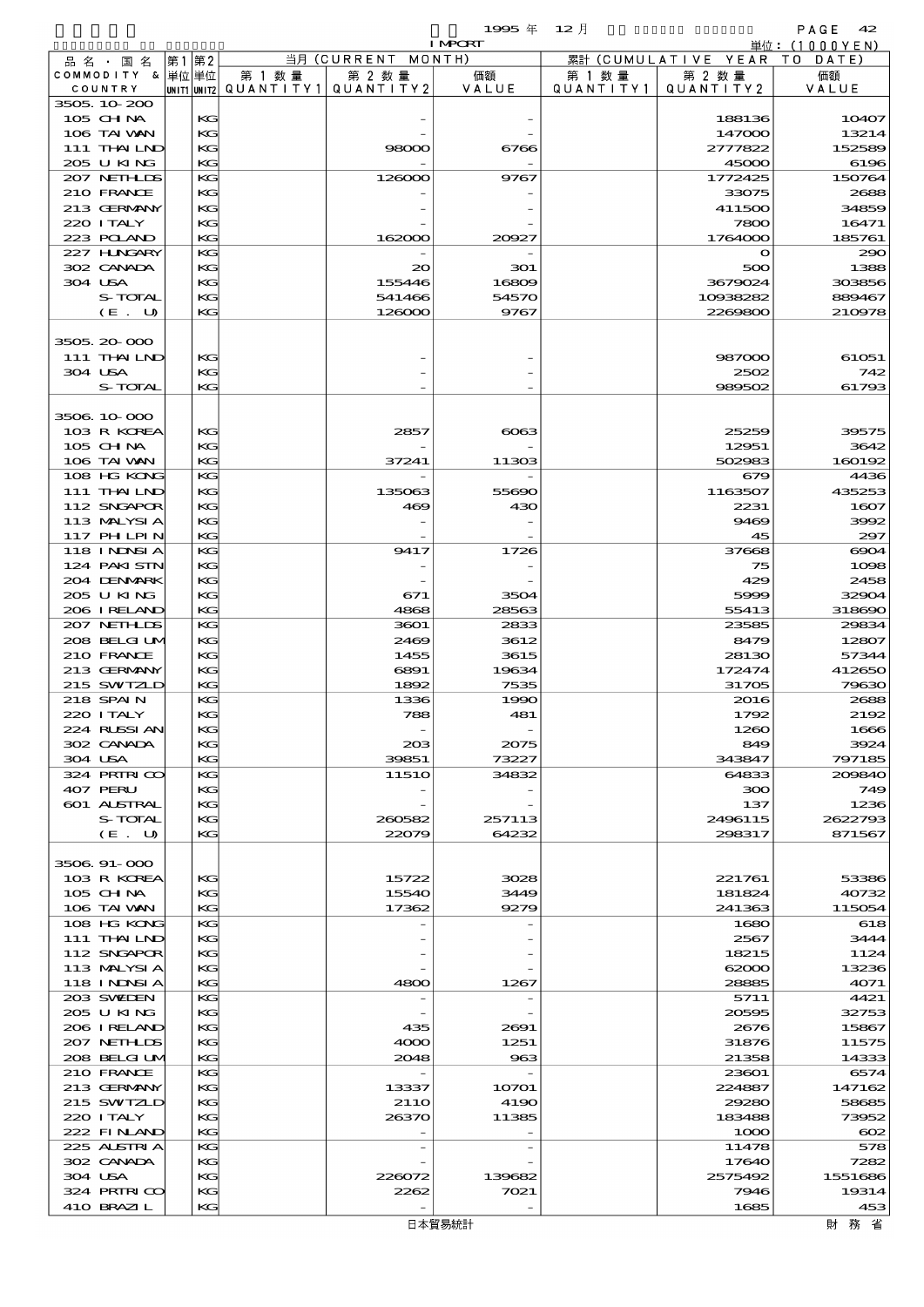$1995 \# 12$   $\sharp$ 

| 当月 (CURRENT MONTH)<br>累計 (CUMULATIVE YEAR TO DATE)<br> 第1 第2 <br>品 名 ・ 国 名<br>COMMODITY & 単位単位<br>第 1 数量<br>価額<br>第 1 数 量<br>第 2 数量<br>価額<br>第 2 数量<br> unit1 unit2  Q∪ANT   TY1 <br>QUANTITY2<br>VALUE<br>QUANTITY 2<br>COUNTRY<br>Q U A N T I T Y 1<br>VALUE<br>3505 10 200<br>105 CHNA<br>KG<br>10407<br>188136<br>106 TAI VAN<br>KG<br>147000<br>13214<br>111 THAILND<br>KG<br>98000<br>6766<br>2777822<br>152589<br>205 U KING<br>KG<br>45000<br>6196<br>207 NETHLIS<br>KG<br>126000<br>9767<br>1772425<br>150764<br>210 FRANCE<br>KG<br>33075<br>2688<br>213 GERMANY<br>KG<br>411500<br>34859<br>220 I TALY<br>KС<br>7800<br>16471<br>223 POLAND<br>162000<br>1764000<br>185761<br>КG<br>20027<br>227 H.NGARY<br>KG<br>$\mathbf{o}$<br>290<br>302 CANADA<br>KG<br>20<br>500<br>1388<br>301<br>304 USA<br>KG<br>155446<br>3679024<br>303856<br>16809<br>S-TOTAL<br>54570<br>10938282<br>KG<br>541466<br>889467<br>9767<br>(E. U)<br>126000<br>2269800<br>210978<br>КG<br>3505 20 000<br>111 THAILND<br>KG<br>61051<br>987000<br>304 USA<br>КG<br>2502<br>742<br>S-TOTAL<br>KG<br>989502<br>61793<br>3506 10 000<br>103 R KOREA<br>KG<br>2857<br>25259<br>6063<br>39575<br>105 CHNA<br>KG<br>12951<br>3642<br>106 TAI VAN<br>37241<br>502983<br>160192<br>КG<br>11303<br>108 HG KONG<br>KG<br>679<br>4436<br>111 THAILND<br>KG<br>435253<br>135063<br>55690<br>1163507<br>112 SNGAPOR<br>KG<br>430<br>2231<br>1607<br>469<br>113 MALYSIA<br>KС<br>9469<br>3992<br><b>117 PHLPIN</b><br>45<br>КG<br>297<br><b>118 INNSIA</b><br>KG<br>9417<br>1726<br>37668<br>6904<br>124 PAKI STN<br>KG<br>75<br>1098<br>204 DENMARK<br>KG<br>429<br>2458<br>205 U KING<br>KG<br>671<br>3504<br>5999<br>32904<br>206 I RELAND<br>4868<br>28563<br>55413<br>318690<br>КG<br>207 NETHLIS<br>KG<br>3601<br>2833<br>23585<br>29834<br>208 BELGI UM<br>KG<br>2469<br>3612<br>8479<br>12807<br>210 FRANCE<br>KG<br>1455<br>3615<br>28130<br>57344<br>213 GERMANY<br>KG<br>6891<br>19634<br>172474<br>412650<br>215 SWIZLD<br>1892<br>7535<br>31705<br>79630<br>КG<br>218 SPAIN<br>KG<br>1336<br>1990<br>2016<br>2688<br>220 I TALY<br>KG<br>788<br>481<br>2192<br>1792<br>KG<br>224 RUSSIAN<br>1666<br>1260<br>302 CANADA<br>KС<br>203<br>2075<br>3924<br>849<br>304 USA<br>73227<br>КG<br>39851<br>343847<br>797185<br>324 PRIRICO<br>KG<br>1151O<br>34832<br>64833<br>209840<br>407 PERU<br>KG<br>300<br>749<br>601 ALSTRAL<br>1236<br>КG<br>137<br>S-TOTAL<br>KС<br>257113<br>2496115<br>2622793<br>260582<br>(E. U)<br>22079<br>64232<br>298317<br>871567<br>КG<br>3506 91-000<br>103 R KOREA<br>КG<br>15722<br>3028<br>221761<br>53386<br>105 CH NA<br>KG<br>15540<br>3449<br>181824<br>40732<br>106 TAI WAN<br>9279<br>КG<br>17362<br>241363<br>115054<br>108 HG KONG<br>KG<br>1680<br>618<br>111 THAILND<br>KG<br>2567<br>3444<br>112 SNGAPOR<br>KG<br>18215<br>1124<br>113 MALYSIA<br>KС<br>62000<br>13236<br>118 I NDSI A<br>4071<br>КG<br>4800<br>1267<br>28885<br>203 SWIDEN<br>KG<br>5711<br>4421<br>205 U KING<br>KG<br>32753<br>20595<br>206 I RELAND<br>KG<br>435<br>2691<br>2676<br>15867<br>207 NETHLIS<br>KС<br>4000<br>1251<br>31876<br>11575<br>208 BELGI UM<br>КG<br>2048<br>963<br>21358<br>14333<br>210 FRANCE<br>KG<br>23601<br>6574<br>213 GERMANY<br>224887<br>КG<br>13337<br>10701<br>147162<br>215 SWIZLD<br>KG<br><b>2110</b><br>4190<br>29280<br>58685<br>220 I TALY<br>KG<br>26370<br>11385<br>183488<br>73952<br>222 FINLAND<br>КG<br>1000<br>$\infty$<br>225 ALSTRIA<br>KG<br>11478<br>578<br>302 CANADA<br>KG<br>17640<br>7282<br>304 USA<br>KG<br>226072<br>2575492<br>1551686<br>139682<br>324 PRIRICO<br>KG<br>2262<br>7021<br>7946<br>19314<br>410 BRAZIL<br>KG<br>1685<br>453<br>日本貿易統計 |  |  | <b>I MPORT</b> |  | 単位: (1000YEN) |
|---------------------------------------------------------------------------------------------------------------------------------------------------------------------------------------------------------------------------------------------------------------------------------------------------------------------------------------------------------------------------------------------------------------------------------------------------------------------------------------------------------------------------------------------------------------------------------------------------------------------------------------------------------------------------------------------------------------------------------------------------------------------------------------------------------------------------------------------------------------------------------------------------------------------------------------------------------------------------------------------------------------------------------------------------------------------------------------------------------------------------------------------------------------------------------------------------------------------------------------------------------------------------------------------------------------------------------------------------------------------------------------------------------------------------------------------------------------------------------------------------------------------------------------------------------------------------------------------------------------------------------------------------------------------------------------------------------------------------------------------------------------------------------------------------------------------------------------------------------------------------------------------------------------------------------------------------------------------------------------------------------------------------------------------------------------------------------------------------------------------------------------------------------------------------------------------------------------------------------------------------------------------------------------------------------------------------------------------------------------------------------------------------------------------------------------------------------------------------------------------------------------------------------------------------------------------------------------------------------------------------------------------------------------------------------------------------------------------------------------------------------------------------------------------------------------------------------------------------------------------------------------------------------------------------------------------------------------------------------------------------------------------------------------------------------------------------------------------------------------------------------------------------------------------------------------------------------------------------------------------------------------------------------------------------------------------------------------------------------------------------------------------------------------------------------------------------------------------------------------------------------------------------------------------------------------------------------------------------------------------------------------------------------------------------------------------------------------|--|--|----------------|--|---------------|
|                                                                                                                                                                                                                                                                                                                                                                                                                                                                                                                                                                                                                                                                                                                                                                                                                                                                                                                                                                                                                                                                                                                                                                                                                                                                                                                                                                                                                                                                                                                                                                                                                                                                                                                                                                                                                                                                                                                                                                                                                                                                                                                                                                                                                                                                                                                                                                                                                                                                                                                                                                                                                                                                                                                                                                                                                                                                                                                                                                                                                                                                                                                                                                                                                                                                                                                                                                                                                                                                                                                                                                                                                                                                                                               |  |  |                |  |               |
|                                                                                                                                                                                                                                                                                                                                                                                                                                                                                                                                                                                                                                                                                                                                                                                                                                                                                                                                                                                                                                                                                                                                                                                                                                                                                                                                                                                                                                                                                                                                                                                                                                                                                                                                                                                                                                                                                                                                                                                                                                                                                                                                                                                                                                                                                                                                                                                                                                                                                                                                                                                                                                                                                                                                                                                                                                                                                                                                                                                                                                                                                                                                                                                                                                                                                                                                                                                                                                                                                                                                                                                                                                                                                                               |  |  |                |  |               |
|                                                                                                                                                                                                                                                                                                                                                                                                                                                                                                                                                                                                                                                                                                                                                                                                                                                                                                                                                                                                                                                                                                                                                                                                                                                                                                                                                                                                                                                                                                                                                                                                                                                                                                                                                                                                                                                                                                                                                                                                                                                                                                                                                                                                                                                                                                                                                                                                                                                                                                                                                                                                                                                                                                                                                                                                                                                                                                                                                                                                                                                                                                                                                                                                                                                                                                                                                                                                                                                                                                                                                                                                                                                                                                               |  |  |                |  |               |
|                                                                                                                                                                                                                                                                                                                                                                                                                                                                                                                                                                                                                                                                                                                                                                                                                                                                                                                                                                                                                                                                                                                                                                                                                                                                                                                                                                                                                                                                                                                                                                                                                                                                                                                                                                                                                                                                                                                                                                                                                                                                                                                                                                                                                                                                                                                                                                                                                                                                                                                                                                                                                                                                                                                                                                                                                                                                                                                                                                                                                                                                                                                                                                                                                                                                                                                                                                                                                                                                                                                                                                                                                                                                                                               |  |  |                |  |               |
|                                                                                                                                                                                                                                                                                                                                                                                                                                                                                                                                                                                                                                                                                                                                                                                                                                                                                                                                                                                                                                                                                                                                                                                                                                                                                                                                                                                                                                                                                                                                                                                                                                                                                                                                                                                                                                                                                                                                                                                                                                                                                                                                                                                                                                                                                                                                                                                                                                                                                                                                                                                                                                                                                                                                                                                                                                                                                                                                                                                                                                                                                                                                                                                                                                                                                                                                                                                                                                                                                                                                                                                                                                                                                                               |  |  |                |  |               |
|                                                                                                                                                                                                                                                                                                                                                                                                                                                                                                                                                                                                                                                                                                                                                                                                                                                                                                                                                                                                                                                                                                                                                                                                                                                                                                                                                                                                                                                                                                                                                                                                                                                                                                                                                                                                                                                                                                                                                                                                                                                                                                                                                                                                                                                                                                                                                                                                                                                                                                                                                                                                                                                                                                                                                                                                                                                                                                                                                                                                                                                                                                                                                                                                                                                                                                                                                                                                                                                                                                                                                                                                                                                                                                               |  |  |                |  |               |
|                                                                                                                                                                                                                                                                                                                                                                                                                                                                                                                                                                                                                                                                                                                                                                                                                                                                                                                                                                                                                                                                                                                                                                                                                                                                                                                                                                                                                                                                                                                                                                                                                                                                                                                                                                                                                                                                                                                                                                                                                                                                                                                                                                                                                                                                                                                                                                                                                                                                                                                                                                                                                                                                                                                                                                                                                                                                                                                                                                                                                                                                                                                                                                                                                                                                                                                                                                                                                                                                                                                                                                                                                                                                                                               |  |  |                |  |               |
|                                                                                                                                                                                                                                                                                                                                                                                                                                                                                                                                                                                                                                                                                                                                                                                                                                                                                                                                                                                                                                                                                                                                                                                                                                                                                                                                                                                                                                                                                                                                                                                                                                                                                                                                                                                                                                                                                                                                                                                                                                                                                                                                                                                                                                                                                                                                                                                                                                                                                                                                                                                                                                                                                                                                                                                                                                                                                                                                                                                                                                                                                                                                                                                                                                                                                                                                                                                                                                                                                                                                                                                                                                                                                                               |  |  |                |  |               |
|                                                                                                                                                                                                                                                                                                                                                                                                                                                                                                                                                                                                                                                                                                                                                                                                                                                                                                                                                                                                                                                                                                                                                                                                                                                                                                                                                                                                                                                                                                                                                                                                                                                                                                                                                                                                                                                                                                                                                                                                                                                                                                                                                                                                                                                                                                                                                                                                                                                                                                                                                                                                                                                                                                                                                                                                                                                                                                                                                                                                                                                                                                                                                                                                                                                                                                                                                                                                                                                                                                                                                                                                                                                                                                               |  |  |                |  |               |
|                                                                                                                                                                                                                                                                                                                                                                                                                                                                                                                                                                                                                                                                                                                                                                                                                                                                                                                                                                                                                                                                                                                                                                                                                                                                                                                                                                                                                                                                                                                                                                                                                                                                                                                                                                                                                                                                                                                                                                                                                                                                                                                                                                                                                                                                                                                                                                                                                                                                                                                                                                                                                                                                                                                                                                                                                                                                                                                                                                                                                                                                                                                                                                                                                                                                                                                                                                                                                                                                                                                                                                                                                                                                                                               |  |  |                |  |               |
|                                                                                                                                                                                                                                                                                                                                                                                                                                                                                                                                                                                                                                                                                                                                                                                                                                                                                                                                                                                                                                                                                                                                                                                                                                                                                                                                                                                                                                                                                                                                                                                                                                                                                                                                                                                                                                                                                                                                                                                                                                                                                                                                                                                                                                                                                                                                                                                                                                                                                                                                                                                                                                                                                                                                                                                                                                                                                                                                                                                                                                                                                                                                                                                                                                                                                                                                                                                                                                                                                                                                                                                                                                                                                                               |  |  |                |  |               |
|                                                                                                                                                                                                                                                                                                                                                                                                                                                                                                                                                                                                                                                                                                                                                                                                                                                                                                                                                                                                                                                                                                                                                                                                                                                                                                                                                                                                                                                                                                                                                                                                                                                                                                                                                                                                                                                                                                                                                                                                                                                                                                                                                                                                                                                                                                                                                                                                                                                                                                                                                                                                                                                                                                                                                                                                                                                                                                                                                                                                                                                                                                                                                                                                                                                                                                                                                                                                                                                                                                                                                                                                                                                                                                               |  |  |                |  |               |
|                                                                                                                                                                                                                                                                                                                                                                                                                                                                                                                                                                                                                                                                                                                                                                                                                                                                                                                                                                                                                                                                                                                                                                                                                                                                                                                                                                                                                                                                                                                                                                                                                                                                                                                                                                                                                                                                                                                                                                                                                                                                                                                                                                                                                                                                                                                                                                                                                                                                                                                                                                                                                                                                                                                                                                                                                                                                                                                                                                                                                                                                                                                                                                                                                                                                                                                                                                                                                                                                                                                                                                                                                                                                                                               |  |  |                |  |               |
|                                                                                                                                                                                                                                                                                                                                                                                                                                                                                                                                                                                                                                                                                                                                                                                                                                                                                                                                                                                                                                                                                                                                                                                                                                                                                                                                                                                                                                                                                                                                                                                                                                                                                                                                                                                                                                                                                                                                                                                                                                                                                                                                                                                                                                                                                                                                                                                                                                                                                                                                                                                                                                                                                                                                                                                                                                                                                                                                                                                                                                                                                                                                                                                                                                                                                                                                                                                                                                                                                                                                                                                                                                                                                                               |  |  |                |  |               |
|                                                                                                                                                                                                                                                                                                                                                                                                                                                                                                                                                                                                                                                                                                                                                                                                                                                                                                                                                                                                                                                                                                                                                                                                                                                                                                                                                                                                                                                                                                                                                                                                                                                                                                                                                                                                                                                                                                                                                                                                                                                                                                                                                                                                                                                                                                                                                                                                                                                                                                                                                                                                                                                                                                                                                                                                                                                                                                                                                                                                                                                                                                                                                                                                                                                                                                                                                                                                                                                                                                                                                                                                                                                                                                               |  |  |                |  |               |
|                                                                                                                                                                                                                                                                                                                                                                                                                                                                                                                                                                                                                                                                                                                                                                                                                                                                                                                                                                                                                                                                                                                                                                                                                                                                                                                                                                                                                                                                                                                                                                                                                                                                                                                                                                                                                                                                                                                                                                                                                                                                                                                                                                                                                                                                                                                                                                                                                                                                                                                                                                                                                                                                                                                                                                                                                                                                                                                                                                                                                                                                                                                                                                                                                                                                                                                                                                                                                                                                                                                                                                                                                                                                                                               |  |  |                |  |               |
|                                                                                                                                                                                                                                                                                                                                                                                                                                                                                                                                                                                                                                                                                                                                                                                                                                                                                                                                                                                                                                                                                                                                                                                                                                                                                                                                                                                                                                                                                                                                                                                                                                                                                                                                                                                                                                                                                                                                                                                                                                                                                                                                                                                                                                                                                                                                                                                                                                                                                                                                                                                                                                                                                                                                                                                                                                                                                                                                                                                                                                                                                                                                                                                                                                                                                                                                                                                                                                                                                                                                                                                                                                                                                                               |  |  |                |  |               |
|                                                                                                                                                                                                                                                                                                                                                                                                                                                                                                                                                                                                                                                                                                                                                                                                                                                                                                                                                                                                                                                                                                                                                                                                                                                                                                                                                                                                                                                                                                                                                                                                                                                                                                                                                                                                                                                                                                                                                                                                                                                                                                                                                                                                                                                                                                                                                                                                                                                                                                                                                                                                                                                                                                                                                                                                                                                                                                                                                                                                                                                                                                                                                                                                                                                                                                                                                                                                                                                                                                                                                                                                                                                                                                               |  |  |                |  |               |
|                                                                                                                                                                                                                                                                                                                                                                                                                                                                                                                                                                                                                                                                                                                                                                                                                                                                                                                                                                                                                                                                                                                                                                                                                                                                                                                                                                                                                                                                                                                                                                                                                                                                                                                                                                                                                                                                                                                                                                                                                                                                                                                                                                                                                                                                                                                                                                                                                                                                                                                                                                                                                                                                                                                                                                                                                                                                                                                                                                                                                                                                                                                                                                                                                                                                                                                                                                                                                                                                                                                                                                                                                                                                                                               |  |  |                |  |               |
|                                                                                                                                                                                                                                                                                                                                                                                                                                                                                                                                                                                                                                                                                                                                                                                                                                                                                                                                                                                                                                                                                                                                                                                                                                                                                                                                                                                                                                                                                                                                                                                                                                                                                                                                                                                                                                                                                                                                                                                                                                                                                                                                                                                                                                                                                                                                                                                                                                                                                                                                                                                                                                                                                                                                                                                                                                                                                                                                                                                                                                                                                                                                                                                                                                                                                                                                                                                                                                                                                                                                                                                                                                                                                                               |  |  |                |  |               |
|                                                                                                                                                                                                                                                                                                                                                                                                                                                                                                                                                                                                                                                                                                                                                                                                                                                                                                                                                                                                                                                                                                                                                                                                                                                                                                                                                                                                                                                                                                                                                                                                                                                                                                                                                                                                                                                                                                                                                                                                                                                                                                                                                                                                                                                                                                                                                                                                                                                                                                                                                                                                                                                                                                                                                                                                                                                                                                                                                                                                                                                                                                                                                                                                                                                                                                                                                                                                                                                                                                                                                                                                                                                                                                               |  |  |                |  |               |
|                                                                                                                                                                                                                                                                                                                                                                                                                                                                                                                                                                                                                                                                                                                                                                                                                                                                                                                                                                                                                                                                                                                                                                                                                                                                                                                                                                                                                                                                                                                                                                                                                                                                                                                                                                                                                                                                                                                                                                                                                                                                                                                                                                                                                                                                                                                                                                                                                                                                                                                                                                                                                                                                                                                                                                                                                                                                                                                                                                                                                                                                                                                                                                                                                                                                                                                                                                                                                                                                                                                                                                                                                                                                                                               |  |  |                |  |               |
|                                                                                                                                                                                                                                                                                                                                                                                                                                                                                                                                                                                                                                                                                                                                                                                                                                                                                                                                                                                                                                                                                                                                                                                                                                                                                                                                                                                                                                                                                                                                                                                                                                                                                                                                                                                                                                                                                                                                                                                                                                                                                                                                                                                                                                                                                                                                                                                                                                                                                                                                                                                                                                                                                                                                                                                                                                                                                                                                                                                                                                                                                                                                                                                                                                                                                                                                                                                                                                                                                                                                                                                                                                                                                                               |  |  |                |  |               |
|                                                                                                                                                                                                                                                                                                                                                                                                                                                                                                                                                                                                                                                                                                                                                                                                                                                                                                                                                                                                                                                                                                                                                                                                                                                                                                                                                                                                                                                                                                                                                                                                                                                                                                                                                                                                                                                                                                                                                                                                                                                                                                                                                                                                                                                                                                                                                                                                                                                                                                                                                                                                                                                                                                                                                                                                                                                                                                                                                                                                                                                                                                                                                                                                                                                                                                                                                                                                                                                                                                                                                                                                                                                                                                               |  |  |                |  |               |
|                                                                                                                                                                                                                                                                                                                                                                                                                                                                                                                                                                                                                                                                                                                                                                                                                                                                                                                                                                                                                                                                                                                                                                                                                                                                                                                                                                                                                                                                                                                                                                                                                                                                                                                                                                                                                                                                                                                                                                                                                                                                                                                                                                                                                                                                                                                                                                                                                                                                                                                                                                                                                                                                                                                                                                                                                                                                                                                                                                                                                                                                                                                                                                                                                                                                                                                                                                                                                                                                                                                                                                                                                                                                                                               |  |  |                |  |               |
|                                                                                                                                                                                                                                                                                                                                                                                                                                                                                                                                                                                                                                                                                                                                                                                                                                                                                                                                                                                                                                                                                                                                                                                                                                                                                                                                                                                                                                                                                                                                                                                                                                                                                                                                                                                                                                                                                                                                                                                                                                                                                                                                                                                                                                                                                                                                                                                                                                                                                                                                                                                                                                                                                                                                                                                                                                                                                                                                                                                                                                                                                                                                                                                                                                                                                                                                                                                                                                                                                                                                                                                                                                                                                                               |  |  |                |  |               |
|                                                                                                                                                                                                                                                                                                                                                                                                                                                                                                                                                                                                                                                                                                                                                                                                                                                                                                                                                                                                                                                                                                                                                                                                                                                                                                                                                                                                                                                                                                                                                                                                                                                                                                                                                                                                                                                                                                                                                                                                                                                                                                                                                                                                                                                                                                                                                                                                                                                                                                                                                                                                                                                                                                                                                                                                                                                                                                                                                                                                                                                                                                                                                                                                                                                                                                                                                                                                                                                                                                                                                                                                                                                                                                               |  |  |                |  |               |
|                                                                                                                                                                                                                                                                                                                                                                                                                                                                                                                                                                                                                                                                                                                                                                                                                                                                                                                                                                                                                                                                                                                                                                                                                                                                                                                                                                                                                                                                                                                                                                                                                                                                                                                                                                                                                                                                                                                                                                                                                                                                                                                                                                                                                                                                                                                                                                                                                                                                                                                                                                                                                                                                                                                                                                                                                                                                                                                                                                                                                                                                                                                                                                                                                                                                                                                                                                                                                                                                                                                                                                                                                                                                                                               |  |  |                |  |               |
|                                                                                                                                                                                                                                                                                                                                                                                                                                                                                                                                                                                                                                                                                                                                                                                                                                                                                                                                                                                                                                                                                                                                                                                                                                                                                                                                                                                                                                                                                                                                                                                                                                                                                                                                                                                                                                                                                                                                                                                                                                                                                                                                                                                                                                                                                                                                                                                                                                                                                                                                                                                                                                                                                                                                                                                                                                                                                                                                                                                                                                                                                                                                                                                                                                                                                                                                                                                                                                                                                                                                                                                                                                                                                                               |  |  |                |  |               |
|                                                                                                                                                                                                                                                                                                                                                                                                                                                                                                                                                                                                                                                                                                                                                                                                                                                                                                                                                                                                                                                                                                                                                                                                                                                                                                                                                                                                                                                                                                                                                                                                                                                                                                                                                                                                                                                                                                                                                                                                                                                                                                                                                                                                                                                                                                                                                                                                                                                                                                                                                                                                                                                                                                                                                                                                                                                                                                                                                                                                                                                                                                                                                                                                                                                                                                                                                                                                                                                                                                                                                                                                                                                                                                               |  |  |                |  |               |
|                                                                                                                                                                                                                                                                                                                                                                                                                                                                                                                                                                                                                                                                                                                                                                                                                                                                                                                                                                                                                                                                                                                                                                                                                                                                                                                                                                                                                                                                                                                                                                                                                                                                                                                                                                                                                                                                                                                                                                                                                                                                                                                                                                                                                                                                                                                                                                                                                                                                                                                                                                                                                                                                                                                                                                                                                                                                                                                                                                                                                                                                                                                                                                                                                                                                                                                                                                                                                                                                                                                                                                                                                                                                                                               |  |  |                |  |               |
|                                                                                                                                                                                                                                                                                                                                                                                                                                                                                                                                                                                                                                                                                                                                                                                                                                                                                                                                                                                                                                                                                                                                                                                                                                                                                                                                                                                                                                                                                                                                                                                                                                                                                                                                                                                                                                                                                                                                                                                                                                                                                                                                                                                                                                                                                                                                                                                                                                                                                                                                                                                                                                                                                                                                                                                                                                                                                                                                                                                                                                                                                                                                                                                                                                                                                                                                                                                                                                                                                                                                                                                                                                                                                                               |  |  |                |  |               |
|                                                                                                                                                                                                                                                                                                                                                                                                                                                                                                                                                                                                                                                                                                                                                                                                                                                                                                                                                                                                                                                                                                                                                                                                                                                                                                                                                                                                                                                                                                                                                                                                                                                                                                                                                                                                                                                                                                                                                                                                                                                                                                                                                                                                                                                                                                                                                                                                                                                                                                                                                                                                                                                                                                                                                                                                                                                                                                                                                                                                                                                                                                                                                                                                                                                                                                                                                                                                                                                                                                                                                                                                                                                                                                               |  |  |                |  |               |
|                                                                                                                                                                                                                                                                                                                                                                                                                                                                                                                                                                                                                                                                                                                                                                                                                                                                                                                                                                                                                                                                                                                                                                                                                                                                                                                                                                                                                                                                                                                                                                                                                                                                                                                                                                                                                                                                                                                                                                                                                                                                                                                                                                                                                                                                                                                                                                                                                                                                                                                                                                                                                                                                                                                                                                                                                                                                                                                                                                                                                                                                                                                                                                                                                                                                                                                                                                                                                                                                                                                                                                                                                                                                                                               |  |  |                |  |               |
|                                                                                                                                                                                                                                                                                                                                                                                                                                                                                                                                                                                                                                                                                                                                                                                                                                                                                                                                                                                                                                                                                                                                                                                                                                                                                                                                                                                                                                                                                                                                                                                                                                                                                                                                                                                                                                                                                                                                                                                                                                                                                                                                                                                                                                                                                                                                                                                                                                                                                                                                                                                                                                                                                                                                                                                                                                                                                                                                                                                                                                                                                                                                                                                                                                                                                                                                                                                                                                                                                                                                                                                                                                                                                                               |  |  |                |  |               |
|                                                                                                                                                                                                                                                                                                                                                                                                                                                                                                                                                                                                                                                                                                                                                                                                                                                                                                                                                                                                                                                                                                                                                                                                                                                                                                                                                                                                                                                                                                                                                                                                                                                                                                                                                                                                                                                                                                                                                                                                                                                                                                                                                                                                                                                                                                                                                                                                                                                                                                                                                                                                                                                                                                                                                                                                                                                                                                                                                                                                                                                                                                                                                                                                                                                                                                                                                                                                                                                                                                                                                                                                                                                                                                               |  |  |                |  |               |
|                                                                                                                                                                                                                                                                                                                                                                                                                                                                                                                                                                                                                                                                                                                                                                                                                                                                                                                                                                                                                                                                                                                                                                                                                                                                                                                                                                                                                                                                                                                                                                                                                                                                                                                                                                                                                                                                                                                                                                                                                                                                                                                                                                                                                                                                                                                                                                                                                                                                                                                                                                                                                                                                                                                                                                                                                                                                                                                                                                                                                                                                                                                                                                                                                                                                                                                                                                                                                                                                                                                                                                                                                                                                                                               |  |  |                |  |               |
|                                                                                                                                                                                                                                                                                                                                                                                                                                                                                                                                                                                                                                                                                                                                                                                                                                                                                                                                                                                                                                                                                                                                                                                                                                                                                                                                                                                                                                                                                                                                                                                                                                                                                                                                                                                                                                                                                                                                                                                                                                                                                                                                                                                                                                                                                                                                                                                                                                                                                                                                                                                                                                                                                                                                                                                                                                                                                                                                                                                                                                                                                                                                                                                                                                                                                                                                                                                                                                                                                                                                                                                                                                                                                                               |  |  |                |  |               |
|                                                                                                                                                                                                                                                                                                                                                                                                                                                                                                                                                                                                                                                                                                                                                                                                                                                                                                                                                                                                                                                                                                                                                                                                                                                                                                                                                                                                                                                                                                                                                                                                                                                                                                                                                                                                                                                                                                                                                                                                                                                                                                                                                                                                                                                                                                                                                                                                                                                                                                                                                                                                                                                                                                                                                                                                                                                                                                                                                                                                                                                                                                                                                                                                                                                                                                                                                                                                                                                                                                                                                                                                                                                                                                               |  |  |                |  |               |
|                                                                                                                                                                                                                                                                                                                                                                                                                                                                                                                                                                                                                                                                                                                                                                                                                                                                                                                                                                                                                                                                                                                                                                                                                                                                                                                                                                                                                                                                                                                                                                                                                                                                                                                                                                                                                                                                                                                                                                                                                                                                                                                                                                                                                                                                                                                                                                                                                                                                                                                                                                                                                                                                                                                                                                                                                                                                                                                                                                                                                                                                                                                                                                                                                                                                                                                                                                                                                                                                                                                                                                                                                                                                                                               |  |  |                |  |               |
|                                                                                                                                                                                                                                                                                                                                                                                                                                                                                                                                                                                                                                                                                                                                                                                                                                                                                                                                                                                                                                                                                                                                                                                                                                                                                                                                                                                                                                                                                                                                                                                                                                                                                                                                                                                                                                                                                                                                                                                                                                                                                                                                                                                                                                                                                                                                                                                                                                                                                                                                                                                                                                                                                                                                                                                                                                                                                                                                                                                                                                                                                                                                                                                                                                                                                                                                                                                                                                                                                                                                                                                                                                                                                                               |  |  |                |  |               |
|                                                                                                                                                                                                                                                                                                                                                                                                                                                                                                                                                                                                                                                                                                                                                                                                                                                                                                                                                                                                                                                                                                                                                                                                                                                                                                                                                                                                                                                                                                                                                                                                                                                                                                                                                                                                                                                                                                                                                                                                                                                                                                                                                                                                                                                                                                                                                                                                                                                                                                                                                                                                                                                                                                                                                                                                                                                                                                                                                                                                                                                                                                                                                                                                                                                                                                                                                                                                                                                                                                                                                                                                                                                                                                               |  |  |                |  |               |
|                                                                                                                                                                                                                                                                                                                                                                                                                                                                                                                                                                                                                                                                                                                                                                                                                                                                                                                                                                                                                                                                                                                                                                                                                                                                                                                                                                                                                                                                                                                                                                                                                                                                                                                                                                                                                                                                                                                                                                                                                                                                                                                                                                                                                                                                                                                                                                                                                                                                                                                                                                                                                                                                                                                                                                                                                                                                                                                                                                                                                                                                                                                                                                                                                                                                                                                                                                                                                                                                                                                                                                                                                                                                                                               |  |  |                |  |               |
|                                                                                                                                                                                                                                                                                                                                                                                                                                                                                                                                                                                                                                                                                                                                                                                                                                                                                                                                                                                                                                                                                                                                                                                                                                                                                                                                                                                                                                                                                                                                                                                                                                                                                                                                                                                                                                                                                                                                                                                                                                                                                                                                                                                                                                                                                                                                                                                                                                                                                                                                                                                                                                                                                                                                                                                                                                                                                                                                                                                                                                                                                                                                                                                                                                                                                                                                                                                                                                                                                                                                                                                                                                                                                                               |  |  |                |  |               |
|                                                                                                                                                                                                                                                                                                                                                                                                                                                                                                                                                                                                                                                                                                                                                                                                                                                                                                                                                                                                                                                                                                                                                                                                                                                                                                                                                                                                                                                                                                                                                                                                                                                                                                                                                                                                                                                                                                                                                                                                                                                                                                                                                                                                                                                                                                                                                                                                                                                                                                                                                                                                                                                                                                                                                                                                                                                                                                                                                                                                                                                                                                                                                                                                                                                                                                                                                                                                                                                                                                                                                                                                                                                                                                               |  |  |                |  |               |
|                                                                                                                                                                                                                                                                                                                                                                                                                                                                                                                                                                                                                                                                                                                                                                                                                                                                                                                                                                                                                                                                                                                                                                                                                                                                                                                                                                                                                                                                                                                                                                                                                                                                                                                                                                                                                                                                                                                                                                                                                                                                                                                                                                                                                                                                                                                                                                                                                                                                                                                                                                                                                                                                                                                                                                                                                                                                                                                                                                                                                                                                                                                                                                                                                                                                                                                                                                                                                                                                                                                                                                                                                                                                                                               |  |  |                |  |               |
|                                                                                                                                                                                                                                                                                                                                                                                                                                                                                                                                                                                                                                                                                                                                                                                                                                                                                                                                                                                                                                                                                                                                                                                                                                                                                                                                                                                                                                                                                                                                                                                                                                                                                                                                                                                                                                                                                                                                                                                                                                                                                                                                                                                                                                                                                                                                                                                                                                                                                                                                                                                                                                                                                                                                                                                                                                                                                                                                                                                                                                                                                                                                                                                                                                                                                                                                                                                                                                                                                                                                                                                                                                                                                                               |  |  |                |  |               |
|                                                                                                                                                                                                                                                                                                                                                                                                                                                                                                                                                                                                                                                                                                                                                                                                                                                                                                                                                                                                                                                                                                                                                                                                                                                                                                                                                                                                                                                                                                                                                                                                                                                                                                                                                                                                                                                                                                                                                                                                                                                                                                                                                                                                                                                                                                                                                                                                                                                                                                                                                                                                                                                                                                                                                                                                                                                                                                                                                                                                                                                                                                                                                                                                                                                                                                                                                                                                                                                                                                                                                                                                                                                                                                               |  |  |                |  |               |
|                                                                                                                                                                                                                                                                                                                                                                                                                                                                                                                                                                                                                                                                                                                                                                                                                                                                                                                                                                                                                                                                                                                                                                                                                                                                                                                                                                                                                                                                                                                                                                                                                                                                                                                                                                                                                                                                                                                                                                                                                                                                                                                                                                                                                                                                                                                                                                                                                                                                                                                                                                                                                                                                                                                                                                                                                                                                                                                                                                                                                                                                                                                                                                                                                                                                                                                                                                                                                                                                                                                                                                                                                                                                                                               |  |  |                |  |               |
|                                                                                                                                                                                                                                                                                                                                                                                                                                                                                                                                                                                                                                                                                                                                                                                                                                                                                                                                                                                                                                                                                                                                                                                                                                                                                                                                                                                                                                                                                                                                                                                                                                                                                                                                                                                                                                                                                                                                                                                                                                                                                                                                                                                                                                                                                                                                                                                                                                                                                                                                                                                                                                                                                                                                                                                                                                                                                                                                                                                                                                                                                                                                                                                                                                                                                                                                                                                                                                                                                                                                                                                                                                                                                                               |  |  |                |  |               |
|                                                                                                                                                                                                                                                                                                                                                                                                                                                                                                                                                                                                                                                                                                                                                                                                                                                                                                                                                                                                                                                                                                                                                                                                                                                                                                                                                                                                                                                                                                                                                                                                                                                                                                                                                                                                                                                                                                                                                                                                                                                                                                                                                                                                                                                                                                                                                                                                                                                                                                                                                                                                                                                                                                                                                                                                                                                                                                                                                                                                                                                                                                                                                                                                                                                                                                                                                                                                                                                                                                                                                                                                                                                                                                               |  |  |                |  |               |
|                                                                                                                                                                                                                                                                                                                                                                                                                                                                                                                                                                                                                                                                                                                                                                                                                                                                                                                                                                                                                                                                                                                                                                                                                                                                                                                                                                                                                                                                                                                                                                                                                                                                                                                                                                                                                                                                                                                                                                                                                                                                                                                                                                                                                                                                                                                                                                                                                                                                                                                                                                                                                                                                                                                                                                                                                                                                                                                                                                                                                                                                                                                                                                                                                                                                                                                                                                                                                                                                                                                                                                                                                                                                                                               |  |  |                |  |               |
|                                                                                                                                                                                                                                                                                                                                                                                                                                                                                                                                                                                                                                                                                                                                                                                                                                                                                                                                                                                                                                                                                                                                                                                                                                                                                                                                                                                                                                                                                                                                                                                                                                                                                                                                                                                                                                                                                                                                                                                                                                                                                                                                                                                                                                                                                                                                                                                                                                                                                                                                                                                                                                                                                                                                                                                                                                                                                                                                                                                                                                                                                                                                                                                                                                                                                                                                                                                                                                                                                                                                                                                                                                                                                                               |  |  |                |  |               |
|                                                                                                                                                                                                                                                                                                                                                                                                                                                                                                                                                                                                                                                                                                                                                                                                                                                                                                                                                                                                                                                                                                                                                                                                                                                                                                                                                                                                                                                                                                                                                                                                                                                                                                                                                                                                                                                                                                                                                                                                                                                                                                                                                                                                                                                                                                                                                                                                                                                                                                                                                                                                                                                                                                                                                                                                                                                                                                                                                                                                                                                                                                                                                                                                                                                                                                                                                                                                                                                                                                                                                                                                                                                                                                               |  |  |                |  |               |
|                                                                                                                                                                                                                                                                                                                                                                                                                                                                                                                                                                                                                                                                                                                                                                                                                                                                                                                                                                                                                                                                                                                                                                                                                                                                                                                                                                                                                                                                                                                                                                                                                                                                                                                                                                                                                                                                                                                                                                                                                                                                                                                                                                                                                                                                                                                                                                                                                                                                                                                                                                                                                                                                                                                                                                                                                                                                                                                                                                                                                                                                                                                                                                                                                                                                                                                                                                                                                                                                                                                                                                                                                                                                                                               |  |  |                |  |               |
|                                                                                                                                                                                                                                                                                                                                                                                                                                                                                                                                                                                                                                                                                                                                                                                                                                                                                                                                                                                                                                                                                                                                                                                                                                                                                                                                                                                                                                                                                                                                                                                                                                                                                                                                                                                                                                                                                                                                                                                                                                                                                                                                                                                                                                                                                                                                                                                                                                                                                                                                                                                                                                                                                                                                                                                                                                                                                                                                                                                                                                                                                                                                                                                                                                                                                                                                                                                                                                                                                                                                                                                                                                                                                                               |  |  |                |  |               |
|                                                                                                                                                                                                                                                                                                                                                                                                                                                                                                                                                                                                                                                                                                                                                                                                                                                                                                                                                                                                                                                                                                                                                                                                                                                                                                                                                                                                                                                                                                                                                                                                                                                                                                                                                                                                                                                                                                                                                                                                                                                                                                                                                                                                                                                                                                                                                                                                                                                                                                                                                                                                                                                                                                                                                                                                                                                                                                                                                                                                                                                                                                                                                                                                                                                                                                                                                                                                                                                                                                                                                                                                                                                                                                               |  |  |                |  |               |
|                                                                                                                                                                                                                                                                                                                                                                                                                                                                                                                                                                                                                                                                                                                                                                                                                                                                                                                                                                                                                                                                                                                                                                                                                                                                                                                                                                                                                                                                                                                                                                                                                                                                                                                                                                                                                                                                                                                                                                                                                                                                                                                                                                                                                                                                                                                                                                                                                                                                                                                                                                                                                                                                                                                                                                                                                                                                                                                                                                                                                                                                                                                                                                                                                                                                                                                                                                                                                                                                                                                                                                                                                                                                                                               |  |  |                |  |               |
|                                                                                                                                                                                                                                                                                                                                                                                                                                                                                                                                                                                                                                                                                                                                                                                                                                                                                                                                                                                                                                                                                                                                                                                                                                                                                                                                                                                                                                                                                                                                                                                                                                                                                                                                                                                                                                                                                                                                                                                                                                                                                                                                                                                                                                                                                                                                                                                                                                                                                                                                                                                                                                                                                                                                                                                                                                                                                                                                                                                                                                                                                                                                                                                                                                                                                                                                                                                                                                                                                                                                                                                                                                                                                                               |  |  |                |  |               |
|                                                                                                                                                                                                                                                                                                                                                                                                                                                                                                                                                                                                                                                                                                                                                                                                                                                                                                                                                                                                                                                                                                                                                                                                                                                                                                                                                                                                                                                                                                                                                                                                                                                                                                                                                                                                                                                                                                                                                                                                                                                                                                                                                                                                                                                                                                                                                                                                                                                                                                                                                                                                                                                                                                                                                                                                                                                                                                                                                                                                                                                                                                                                                                                                                                                                                                                                                                                                                                                                                                                                                                                                                                                                                                               |  |  |                |  |               |
|                                                                                                                                                                                                                                                                                                                                                                                                                                                                                                                                                                                                                                                                                                                                                                                                                                                                                                                                                                                                                                                                                                                                                                                                                                                                                                                                                                                                                                                                                                                                                                                                                                                                                                                                                                                                                                                                                                                                                                                                                                                                                                                                                                                                                                                                                                                                                                                                                                                                                                                                                                                                                                                                                                                                                                                                                                                                                                                                                                                                                                                                                                                                                                                                                                                                                                                                                                                                                                                                                                                                                                                                                                                                                                               |  |  |                |  |               |
|                                                                                                                                                                                                                                                                                                                                                                                                                                                                                                                                                                                                                                                                                                                                                                                                                                                                                                                                                                                                                                                                                                                                                                                                                                                                                                                                                                                                                                                                                                                                                                                                                                                                                                                                                                                                                                                                                                                                                                                                                                                                                                                                                                                                                                                                                                                                                                                                                                                                                                                                                                                                                                                                                                                                                                                                                                                                                                                                                                                                                                                                                                                                                                                                                                                                                                                                                                                                                                                                                                                                                                                                                                                                                                               |  |  |                |  |               |
|                                                                                                                                                                                                                                                                                                                                                                                                                                                                                                                                                                                                                                                                                                                                                                                                                                                                                                                                                                                                                                                                                                                                                                                                                                                                                                                                                                                                                                                                                                                                                                                                                                                                                                                                                                                                                                                                                                                                                                                                                                                                                                                                                                                                                                                                                                                                                                                                                                                                                                                                                                                                                                                                                                                                                                                                                                                                                                                                                                                                                                                                                                                                                                                                                                                                                                                                                                                                                                                                                                                                                                                                                                                                                                               |  |  |                |  |               |
|                                                                                                                                                                                                                                                                                                                                                                                                                                                                                                                                                                                                                                                                                                                                                                                                                                                                                                                                                                                                                                                                                                                                                                                                                                                                                                                                                                                                                                                                                                                                                                                                                                                                                                                                                                                                                                                                                                                                                                                                                                                                                                                                                                                                                                                                                                                                                                                                                                                                                                                                                                                                                                                                                                                                                                                                                                                                                                                                                                                                                                                                                                                                                                                                                                                                                                                                                                                                                                                                                                                                                                                                                                                                                                               |  |  |                |  |               |
|                                                                                                                                                                                                                                                                                                                                                                                                                                                                                                                                                                                                                                                                                                                                                                                                                                                                                                                                                                                                                                                                                                                                                                                                                                                                                                                                                                                                                                                                                                                                                                                                                                                                                                                                                                                                                                                                                                                                                                                                                                                                                                                                                                                                                                                                                                                                                                                                                                                                                                                                                                                                                                                                                                                                                                                                                                                                                                                                                                                                                                                                                                                                                                                                                                                                                                                                                                                                                                                                                                                                                                                                                                                                                                               |  |  |                |  |               |
|                                                                                                                                                                                                                                                                                                                                                                                                                                                                                                                                                                                                                                                                                                                                                                                                                                                                                                                                                                                                                                                                                                                                                                                                                                                                                                                                                                                                                                                                                                                                                                                                                                                                                                                                                                                                                                                                                                                                                                                                                                                                                                                                                                                                                                                                                                                                                                                                                                                                                                                                                                                                                                                                                                                                                                                                                                                                                                                                                                                                                                                                                                                                                                                                                                                                                                                                                                                                                                                                                                                                                                                                                                                                                                               |  |  |                |  |               |
|                                                                                                                                                                                                                                                                                                                                                                                                                                                                                                                                                                                                                                                                                                                                                                                                                                                                                                                                                                                                                                                                                                                                                                                                                                                                                                                                                                                                                                                                                                                                                                                                                                                                                                                                                                                                                                                                                                                                                                                                                                                                                                                                                                                                                                                                                                                                                                                                                                                                                                                                                                                                                                                                                                                                                                                                                                                                                                                                                                                                                                                                                                                                                                                                                                                                                                                                                                                                                                                                                                                                                                                                                                                                                                               |  |  |                |  |               |
|                                                                                                                                                                                                                                                                                                                                                                                                                                                                                                                                                                                                                                                                                                                                                                                                                                                                                                                                                                                                                                                                                                                                                                                                                                                                                                                                                                                                                                                                                                                                                                                                                                                                                                                                                                                                                                                                                                                                                                                                                                                                                                                                                                                                                                                                                                                                                                                                                                                                                                                                                                                                                                                                                                                                                                                                                                                                                                                                                                                                                                                                                                                                                                                                                                                                                                                                                                                                                                                                                                                                                                                                                                                                                                               |  |  |                |  |               |
|                                                                                                                                                                                                                                                                                                                                                                                                                                                                                                                                                                                                                                                                                                                                                                                                                                                                                                                                                                                                                                                                                                                                                                                                                                                                                                                                                                                                                                                                                                                                                                                                                                                                                                                                                                                                                                                                                                                                                                                                                                                                                                                                                                                                                                                                                                                                                                                                                                                                                                                                                                                                                                                                                                                                                                                                                                                                                                                                                                                                                                                                                                                                                                                                                                                                                                                                                                                                                                                                                                                                                                                                                                                                                                               |  |  |                |  | 財務省           |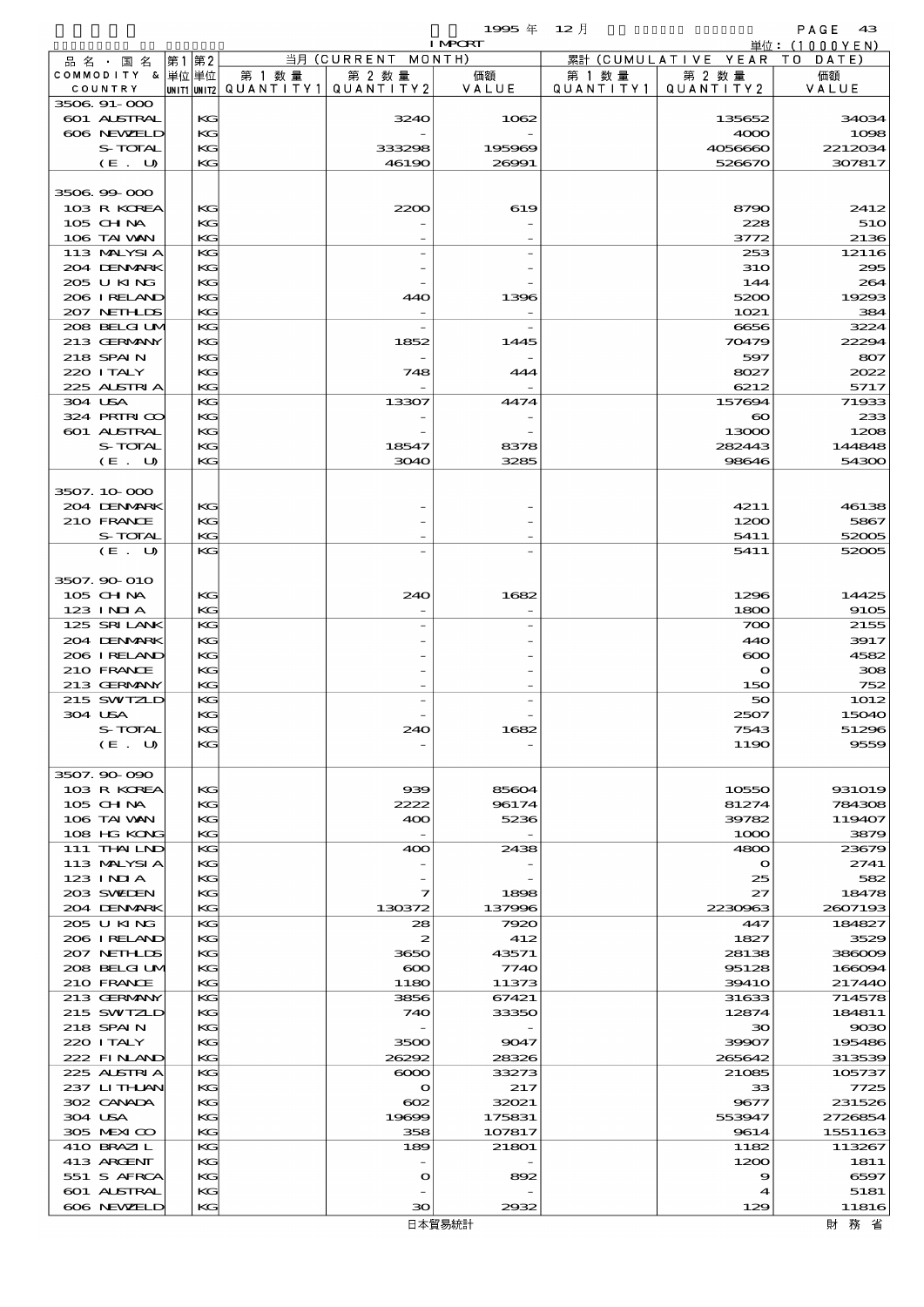- 1999年 12月 - PAGE 43<br>Training - 単位:(1000YEN)

|                            |              |                                       |                       | <b>I MPORT</b> |           |                        | 単位: (1000YEN)    |
|----------------------------|--------------|---------------------------------------|-----------------------|----------------|-----------|------------------------|------------------|
| 品名・国名                      | 第2<br>第1     |                                       | 当月 (CURRENT           | MONTH)         |           | 累計 (CUMULATIVE YEAR TO | DATE             |
| COMMODITY & 単位単位           |              | 第 1 数 量                               | 第 2 数量                | 価額             | 第 1 数 量   | 第 2 数量                 | 価額               |
| COUNTRY                    |              | unit1 unit2  QUANT   TY1  QUANT   TY2 |                       | VALUE          | QUANTITY1 | QUANTITY 2             | VALUE            |
| 3506.91-000<br>601 ALSTRAL | KG           |                                       | 3240                  | 1062           |           | 135652                 | 34034            |
| 606 NEWELD                 | KG           |                                       |                       |                |           | 4000                   | 1098             |
| S-TOTAL                    | KG           |                                       | 333298                | 195969         |           | 4056660                | 2212034          |
| (E. U)                     | KG           |                                       | 46190                 | 26991          |           | 526670                 | 307817           |
|                            |              |                                       |                       |                |           |                        |                  |
| 3506.99-000                |              |                                       |                       |                |           |                        |                  |
| 103 R KOREA                | KG           |                                       | 2200                  | 619            |           | 8790                   | 2412             |
| 105 CH NA                  | KG           |                                       |                       |                |           | 228                    | 51O              |
| 106 TAI WAN<br>113 MALYSIA | KG<br>KG     |                                       |                       |                |           | 3772<br>253            | 2136<br>12116    |
| 204 DENMARK                | KG           |                                       |                       |                |           | <b>31O</b>             | 295              |
| 205 U KING                 | KG           |                                       |                       |                |           | 144                    | 264              |
| 206 IRELAND                | KG           |                                       | 440                   | 1396           |           | 5200                   | 19293            |
| 207 NETHLIS                | KG           |                                       |                       |                |           | 1021                   | 384              |
| 208 BELGI UM               | KG           |                                       |                       |                |           | 6656                   | 3224             |
| 213 GERMANY                | KG           |                                       | 1852                  | 1445           |           | 70479                  | 22294            |
| 218 SPAIN                  | KG           |                                       |                       |                |           | 597                    | 807              |
| 220 I TALY<br>225 ALSTRIA  | KG<br>KG     |                                       | 748                   | 444            |           | 8027<br>6212           | 2022<br>5717     |
| 304 USA                    | KG           |                                       | 13307                 | 4474           |           | 157694                 | 71933            |
| 324 PRIRICO                | KG           |                                       |                       |                |           | $\boldsymbol{\infty}$  | 233              |
| 601 ALSTRAL                | KG           |                                       |                       |                |           | 13000                  | 1208             |
| S-TOTAL                    | KG           |                                       | 18547                 | 8378           |           | 282443                 | 144848           |
| (E. U)                     | KG           |                                       | 3040                  | 3285           |           | 98646                  | 54300            |
|                            |              |                                       |                       |                |           |                        |                  |
| 3507.10-000                |              |                                       |                       |                |           |                        |                  |
| 204 DENMARK<br>210 FRANCE  | KG<br>KG     |                                       |                       |                |           | 4211<br>1200           | 46138<br>5867    |
| S-TOTAL                    | KG           |                                       |                       |                |           | 5411                   | 52005            |
| (E. U)                     | KG           |                                       |                       |                |           | 5411                   | 52005            |
|                            |              |                                       |                       |                |           |                        |                  |
| 3507.90 010                |              |                                       |                       |                |           |                        |                  |
| 105 CH NA                  | KG           |                                       | 240                   | 1682           |           | 1296                   | 14425            |
| $123$ INJA                 | KG           |                                       |                       |                |           | 1800                   | 9105             |
| 125 SRILANK                | KG           |                                       |                       |                |           | 700                    | 2155             |
| 204 DENMARK<br>206 IRELAND | KG<br>KG     |                                       |                       |                |           | 440<br>$\infty$        | 3917<br>4582     |
| 210 FRANCE                 | KG           |                                       |                       |                |           | $\mathbf o$            | 308              |
| 213 GERMANY                | KG           |                                       |                       |                |           | 150                    | 752              |
| 215 SWIZLD                 | KG           |                                       |                       |                |           | 50                     | 1012             |
| 304 USA                    | KG           |                                       |                       |                |           | 2507                   | 15040            |
| S-TOTAL                    | $\mathbf{K}$ |                                       | 240                   | 1682           |           | 7543                   | 51296            |
| (E. U)                     | KG           |                                       |                       |                |           | 1190                   | 9559             |
| 3507.90.090                |              |                                       |                       |                |           |                        |                  |
| 103 R KOREA                | KG           |                                       | $\infty$              | 85604          |           | 10550                  | 931019           |
| 105 CH NA                  | KG           |                                       | 2222                  | 96174          |           | 81274                  | 784308           |
| 106 TAI VAN                | KG           |                                       | 400                   | 5236           |           | 39782                  | 119407           |
| 108 HG KONG                | KG           |                                       |                       |                |           | 1000                   | 3879             |
| 111 THAILND                | KG           |                                       | 400                   | 2438           |           | 4800                   | 23679            |
| 113 MALYSIA                | КG           |                                       |                       |                |           | $\mathbf o$            | 2741             |
| $123$ INIA                 | KG           |                                       |                       |                |           | 25                     | 582              |
| 203 SWIEN<br>204 DENMARK   | KG<br>KG     |                                       | 7<br>130372           | 1898<br>137996 |           | 27<br>2230963          | 18478<br>2607193 |
| 205 U KING                 | KG           |                                       | 28                    | 7920           |           | 447                    | 184827           |
| 206 IRELAND                | КG           |                                       | 2                     | 412            |           | 1827                   | 3529             |
| 207 NETHLIS                | KG           |                                       | 3650                  | 43571          |           | 28138                  | 386009           |
| 208 BELGI UM               | KG           |                                       | $\boldsymbol{\infty}$ | 7740           |           | 95128                  | 166094           |
| 210 FRANCE                 | KG           |                                       | 1180                  | 11373          |           | 3941O                  | 217440           |
| 213 GERMANY                | KG           |                                       | 3856                  | 67421          |           | 31633                  | 714578           |
| 215 SWIZLD                 | КG           |                                       | 740                   | 33350          |           | 12874                  | 184811           |
| 218 SPAIN<br>220 I TALY    | KG<br>KG     |                                       | 3500                  | 9047           |           | 30<br>39907            | 9030<br>195486   |
| 222 FINAND                 | KG           |                                       | 26292                 | 28326          |           | 265642                 | 313539           |
| 225 ALSTRIA                | KG           |                                       | $\infty$              | 33273          |           | 21085                  | 105737           |
| 237 LITHLAN                | КG           |                                       | $\mathbf o$           | 217            |           | 33                     | 7725             |
| 302 CANADA                 | KG           |                                       | $\infty$              | 32021          |           | 9677                   | 231526           |
| 304 USA                    | KG           |                                       | 19699                 | 175831         |           | 553947                 | 2726854          |
| 305 MEXICO                 | KG           |                                       | 358                   | 107817         |           | 9614                   | 1551163          |
| 410 BRAZIL                 | KG           |                                       | 189                   | 21801          |           | 1182                   | 113267           |
| 413 ARGENT<br>551 S AFRCA  | КG<br>KG     |                                       | $\mathbf o$           |                |           | 1200<br>9              | 1811<br>6597     |
| 601 ALSTRAL                | KG           |                                       |                       | 892            |           | 4                      | 5181             |
| 606 NEWELD                 | KG           |                                       | 30                    | 2932           |           | 129                    | 11816            |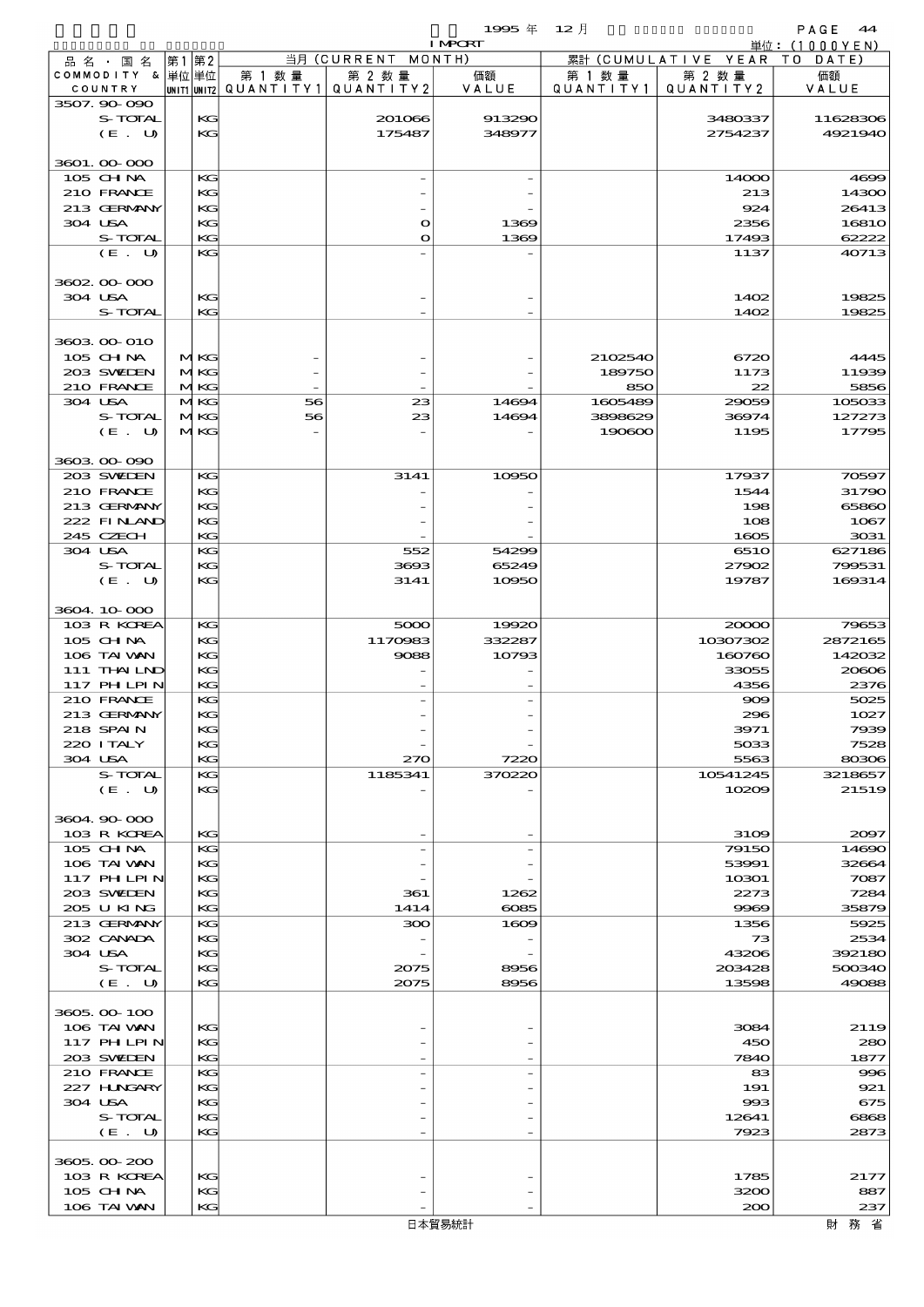|                               |            |                          |                              | 1995 $#$       | $12$ 月    |                               | PAGE 44         |
|-------------------------------|------------|--------------------------|------------------------------|----------------|-----------|-------------------------------|-----------------|
|                               |            |                          |                              | <b>I MPORT</b> |           |                               | 単位: $(1000YEN)$ |
| 品 名 ・ 国 名<br>COMMODITY & 単位単位 | 第1 第2      | 第 1 数量                   | 当月 (CURRENT MONTH)<br>第 2 数量 | 価額             | 第 1 数 量   | 累計 (CUMULATIVE YEAR<br>第 2 数量 | TO DATE)<br>価額  |
| COUNTRY                       |            | UNIT1 UNIT2  Q∪ANT   TY1 | QUANTITY 2                   | VALUE          | QUANTITY1 | QUANTITY 2                    | VALUE           |
| 3507.90-090                   |            |                          |                              |                |           |                               |                 |
| <b>S-TOTAL</b>                | KG         |                          | 201066                       | 913290         |           | 3480337                       | 11628306        |
| (E. U)                        | KG         |                          | 175487                       | 348977         |           | 2754237                       | 4921940         |
|                               |            |                          |                              |                |           |                               |                 |
| 3601.00.000                   |            |                          |                              |                |           |                               |                 |
| $105$ CHNA<br>210 FRANCE      | KG<br>KG   |                          |                              |                |           | 14000<br>213                  | 4699<br>14300   |
| 213 GERMANY                   | KG         |                          |                              |                |           | 924                           | 26413           |
| 304 USA                       | KG         |                          | O                            | 1369           |           | 2356                          | 16810           |
| S-TOTAL                       | KG         |                          | O                            | 1369           |           | 17493                         | 62222           |
| (E. U)                        | KG         |                          |                              |                |           | 1137                          | 40713           |
|                               |            |                          |                              |                |           |                               |                 |
| 3602 00 000                   |            |                          |                              |                |           |                               |                 |
| 304 USA                       | KG         |                          |                              |                |           | 1402                          | 19825           |
| S-TOTAL                       | KG         |                          |                              |                |           | 1402                          | 19825           |
| 3603 00 010                   |            |                          |                              |                |           |                               |                 |
| 105 CHNA                      | MKG        |                          |                              |                | 2102540   | 6720                          | 4445            |
| 203 SWIDEN                    | <b>MKG</b> |                          |                              |                | 189750    | 1173                          | 11939           |
| 210 FRANCE                    | MKG        |                          |                              |                | 850       | 22                            | 5856            |
| 304 USA                       | MKG        | 56                       | 23                           | 14694          | 1605489   | 29059                         | 105033          |
| S-TOTAL                       | MKG        | 56                       | 23                           | 14694          | 3898629   | 36974                         | 127273          |
| (E. U)                        | MKG        |                          |                              |                | 190600    | 1195                          | 17795           |
|                               |            |                          |                              |                |           |                               |                 |
| 3603 00 090                   |            |                          |                              |                |           |                               |                 |
| 203 SWEDEN                    | KG         |                          | 3141                         | 10950          |           | 17937                         | 70597           |
| 210 FRANCE<br>213 GERMANY     | KG<br>KG   |                          |                              |                |           | 1544<br>198                   | 31790<br>65860  |
| 222 FINAND                    | KG         |                          |                              |                |           | 108                           | 1067            |
| 245 CZECH                     | KG         |                          |                              |                |           | 1605                          | 3031            |
| 304 USA                       | KG         |                          | 552                          | 54299          |           | 651O                          | 627186          |
| S-TOTAL                       | KG         |                          | 3693                         | 65249          |           | 27902                         | 799531          |
| (E. U)                        | KG         |                          | 3141                         | 10950          |           | 19787                         | 169314          |
|                               |            |                          |                              |                |           |                               |                 |
| 3604 10 000                   |            |                          |                              |                |           |                               |                 |
| 103 R KOREA                   | KG         |                          | 5000                         | 19920          |           | 20000                         | 79653           |
| 105 CHNA                      | KG         |                          | 1170983                      | 332287         |           | 10307302                      | 2872165         |
| 106 TAI VAN<br>111 THAILND    | KG<br>KG   |                          | 9088                         | 10793          |           | 160760<br>33055               | 142032<br>20606 |
| 117 PHLPIN                    | KG         |                          |                              |                |           | 4356                          | 2376            |
| 210 FRANCE                    | KG         |                          |                              |                |           | $\infty$                      | 5025            |
| 213 GERMANY                   | KG         |                          |                              |                |           | 296                           | 1027            |
| 218 SPAIN                     | KG         |                          |                              |                |           | 3971                          | 7939            |
| 220 I TALY                    | KG         |                          |                              |                |           | 5033                          | 7528            |
| 304 USA                       | KG         |                          | 270                          | 7220           |           | 5563                          | 80306           |
| S-TOTAL                       | КC         |                          | 1185341                      | 370220         |           | 10541245                      | 3218657         |
| (E. U)                        | KG         |                          |                              |                |           | 10209                         | 21519           |
|                               |            |                          |                              |                |           |                               |                 |
| 3604 90 000                   |            |                          |                              |                |           |                               |                 |
| 103 R KOREA<br>105 CHNA       | KG<br>КC   |                          |                              |                |           | 3109<br>79150                 | 2097<br>14690   |
| 106 TAI VAN                   | KG         |                          |                              |                |           | 53991                         | 32664           |
| 117 PHLPIN                    | KG         |                          |                              |                |           | 10301                         | 7087            |
| 203 SWIDEN                    | KG         |                          | 361                          | 1262           |           | 2273                          | 7284            |
| 205 U KING                    | KG         |                          | 1414                         | $\cos 5$       |           | 9969                          | 35879           |
| 213 GERMANY                   | КC         |                          | 300                          | 1609           |           | 1356                          | 5925            |
| 302 CANADA                    | KG         |                          |                              |                |           | 73                            | 2534            |
| 304 USA                       | KG         |                          |                              |                |           | 43206                         | 392180          |
| S-TOTAL                       | KG         |                          | 2075                         | 8956           |           | 203428                        | 500340          |
| (E. U)                        | KG         |                          | 2075                         | 8956           |           | 13598                         | 49088           |
| 3605.00-100                   |            |                          |                              |                |           |                               |                 |
| 106 TAI VAN                   | КC         |                          |                              |                |           | 3084                          | 2119            |
| 117 PHLPIN                    | KG         |                          |                              |                |           | 450                           | 280             |
| 203 SWIEN                     | KG         |                          |                              |                |           | 7840                          | 1877            |
| 210 FRANCE                    | КC         |                          |                              |                |           | 83                            | 996             |
| 227 H.NGARY                   | KG         |                          |                              |                |           | 191                           | 921             |
| 304 USA                       | KG         |                          |                              |                |           | 993                           | 675             |
| S-TOTAL                       | KG         |                          |                              |                |           | 12641                         | 6868            |
| (E. U)                        | KG         |                          |                              |                |           | 7923                          | 2873            |
| 3605.00-200                   |            |                          |                              |                |           |                               |                 |
| 103 R KOREA                   | KG         |                          |                              |                |           | 1785                          | 2177            |
| 105 CH NA                     | KG         |                          |                              |                |           | 3200                          | 887             |
| 106 TAI VAN                   | KG         |                          |                              |                |           | 200                           | 237             |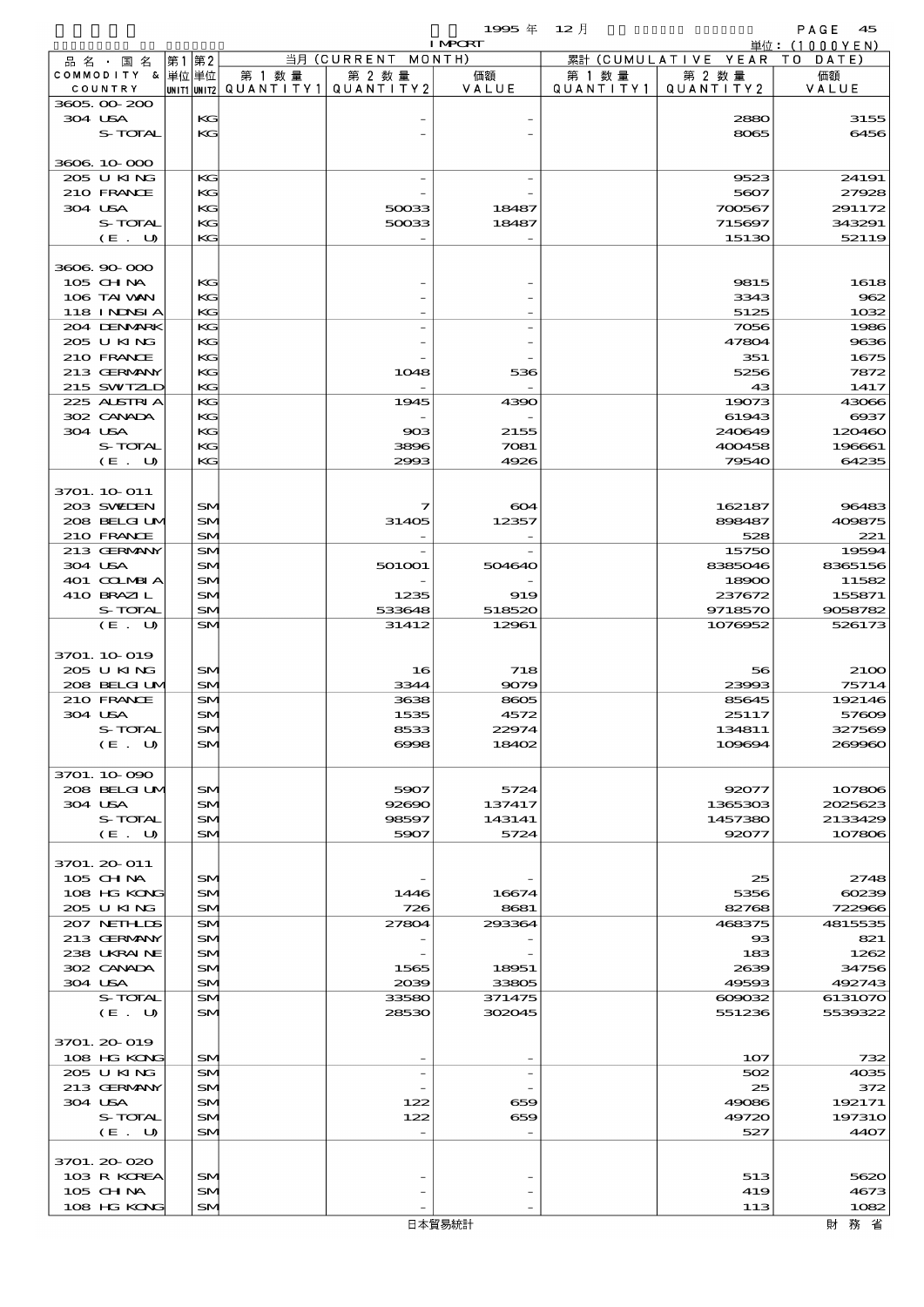$1995 \frac{1}{4}$   $12 \frac{1}{2}$ 

| <b>I MPORT</b> |                   |      |                 |                                       |                          |        |        | 単位: $(1000YEN)$              |               |
|----------------|-------------------|------|-----------------|---------------------------------------|--------------------------|--------|--------|------------------------------|---------------|
|                | 品名・国名             | 第1第2 |                 |                                       | 当月 (CURRENT MONTH)       |        |        | 累計 (CUMULATIVE YEAR TO DATE) |               |
|                | COMMODITY & 単位単位  |      |                 | 第 1 数量                                | 第 2 数量                   | 価額     | 第 1 数量 | 第 2 数量                       | 価額            |
|                | COUNTRY           |      |                 | UNIT1 UNIT2  QUANT I TY1  QUANT I TY2 |                          | VALUE  |        | QUANTITY1   QUANTITY2        | VALUE         |
|                | 3605.00-200       |      |                 |                                       |                          |        |        |                              |               |
|                | 304 USA           |      | KG              |                                       |                          |        |        | 2880                         | 3155          |
|                | S-TOTAL           |      | KG              |                                       |                          |        |        | 8065                         | 6456          |
|                |                   |      |                 |                                       |                          |        |        |                              |               |
|                | 3606 10 000       |      |                 |                                       |                          |        |        |                              |               |
|                | 205 U KING        |      | KG              |                                       |                          |        |        | 9523                         | 24191         |
|                | 210 FRANCE        |      | KG              |                                       |                          |        |        | 5607                         | 27928         |
|                | 304 USA           |      | KG              |                                       | 50033                    | 18487  |        | 700567                       | 291172        |
|                | S-TOTAL           |      | KG              |                                       | 50033                    | 18487  |        | 715697                       | 343291        |
|                | (E. U)            |      | KG              |                                       |                          |        |        | 15130                        | 52119         |
|                |                   |      |                 |                                       |                          |        |        |                              |               |
|                | 3606.90-000       |      |                 |                                       |                          |        |        |                              |               |
|                | 105 CHNA          |      | KG              |                                       |                          |        |        | 9815                         | 1618          |
|                | 106 TAI VAN       |      | KG              |                                       |                          |        |        | 3343                         | 962           |
|                | <b>118 INDSIA</b> |      | KG              |                                       |                          |        |        | 5125                         | 1032          |
|                | 204 DENMARK       |      | KG              |                                       |                          |        |        | 7056                         | 1986          |
|                | 205 U KING        |      | KG              |                                       |                          |        |        | 47804                        | 9636          |
|                | 210 FRANCE        |      | KG              |                                       |                          |        |        | 351                          | 1675          |
|                | 213 GERMANY       |      | KG              |                                       | 1048                     | 536    |        | 5256                         | 7872          |
|                | 215 SWIZLD        |      | KG              |                                       |                          |        |        | 43                           | 1417          |
|                | 225 ALSTRIA       |      | KG              |                                       | 1945                     | 4390   |        | 19073                        | 43066         |
|                | 302 CANADA        |      | KG              |                                       |                          |        |        | 61943                        | 6937          |
|                | 304 USA           |      | KG              |                                       | 903                      | 2155   |        | 240649                       | 120460        |
|                | S-TOTAL           |      | KG              |                                       | 3896                     | 7081   |        | 400458                       | 196661        |
|                | (E. U)            |      | KG              |                                       | 2993                     | 4926   |        | 79540                        | 64235         |
|                |                   |      |                 |                                       |                          |        |        |                              |               |
|                | 3701. 10 011      |      |                 |                                       |                          |        |        |                              |               |
|                | 203 SWIEN         |      | <b>SM</b>       |                                       | 7                        | 604    |        | 162187                       | 96483         |
|                | 208 BELGI UM      |      | SM              |                                       | 31405                    | 12357  |        | 898487                       | 409875        |
|                | 210 FRANCE        |      | <b>SM</b>       |                                       |                          |        |        | 528                          | 221           |
|                | 213 GERMANY       |      | <b>SM</b>       |                                       |                          |        |        | 15750                        | 19594         |
|                | 304 USA           |      | <b>SM</b>       |                                       | 501001                   | 504640 |        | 8385046                      | 8365156       |
|                | 401 CCLMBIA       |      | <b>SM</b>       |                                       |                          |        |        | 18900                        | 11582         |
|                | 410 BRAZIL        |      | SM              |                                       | 1235                     | 919    |        | 237672                       | 155871        |
|                | S-TOTAL           |      | <b>SM</b>       |                                       | 533648                   | 518520 |        | 9718570                      | 9058782       |
|                | (E. U)            |      | <b>SM</b>       |                                       | 31412                    | 12961  |        | 1076952                      | 526173        |
|                |                   |      |                 |                                       |                          |        |        |                              |               |
|                | 3701. 10 019      |      |                 |                                       |                          |        |        |                              |               |
|                | 205 U KING        |      | <b>SM</b>       |                                       | 16                       | 718    |        | 56                           | <b>2100</b>   |
|                | 208 BELGI UM      |      | <b>SM</b>       |                                       | 3344                     | 9079   |        | 23993                        | 75714         |
|                | 210 FRANCE        |      | <b>SM</b>       |                                       | 3638                     | 8605   |        | 85645                        | 192146        |
|                | 304 USA           |      | SM <sub>1</sub> |                                       | 1535                     | 4572   |        | 25117                        | 57609         |
|                | S-TOTAL           |      | SN              |                                       | 8533                     | 22974  |        | 134811                       | 327569        |
|                | (E. U)            |      | <b>SM</b>       |                                       | 6998                     | 18402  |        | 109694                       | 269960        |
|                |                   |      |                 |                                       |                          |        |        |                              |               |
|                | 3701.10.090       |      |                 |                                       |                          |        |        |                              |               |
|                | 208 BELGI UM      |      | SM <sub>1</sub> |                                       | 5907                     | 5724   |        | 92077                        | 107806        |
|                | 304 USA           |      | <b>SM</b>       |                                       | 92690                    | 137417 |        | 1365303                      | 2025623       |
|                | S-TOTAL           |      | <b>SM</b>       |                                       | 98597                    | 143141 |        | 1457380                      | 2133429       |
|                | (E. U)            |      | <b>SM</b>       |                                       | 5907                     | 5724   |        | 92077                        | 107806        |
|                |                   |      |                 |                                       |                          |        |        |                              |               |
|                | 3701. 20-011      |      |                 |                                       |                          |        |        |                              |               |
|                | $105$ CHNA        |      | SM <sub>1</sub> |                                       |                          |        |        | 25                           | 2748          |
|                | 108 HG KONG       |      | SM              |                                       | 1446                     | 16674  |        | 5356                         | 60239         |
|                | 205 U KING        |      | <b>SM</b>       |                                       | 726                      | 8681   |        | 82768                        | 722966        |
|                | 207 NETHLIS       |      | SM.             |                                       | 27804                    | 293364 |        | 468375                       | 4815535       |
|                | 213 GERMANY       |      | <b>SM</b>       |                                       |                          |        |        | $_{\rm ss}$                  | 821           |
|                | 238 UKRAINE       |      | <b>SM</b>       |                                       |                          |        |        | 183                          | 1262          |
|                | 302 CANADA        |      | SM              |                                       | 1565                     | 18951  |        | 2639                         | 34756         |
|                | 304 USA           |      | <b>SM</b>       |                                       | 2039                     | 33805  |        | 49593                        | 492743        |
|                | S-TOTAL           |      | <b>SM</b>       |                                       | 33580                    | 371475 |        | 609032                       | 6131070       |
|                | (E. U)            |      | <b>SM</b>       |                                       | 28530                    | 302045 |        | 551236                       | 5539322       |
|                |                   |      |                 |                                       |                          |        |        |                              |               |
|                | 3701. 20-019      |      |                 |                                       |                          |        |        |                              |               |
|                | 108 HG KONG       |      | <b>SM</b>       |                                       |                          |        |        | 107                          | 732           |
|                | 205 U KING        |      | SM              |                                       | $\overline{\phantom{a}}$ |        |        | 502                          | 4035          |
|                | 213 GERMANY       |      | <b>SM</b>       |                                       |                          |        |        | 25                           | 372           |
|                | 304 USA           |      | SM              |                                       | 122                      | 659    |        | 49086                        | 192171        |
|                | S-TOTAL           |      | <b>SM</b>       |                                       | 122                      | 659    |        | 49720                        | <b>197310</b> |
|                | (E. U)            |      | <b>SM</b>       |                                       |                          |        |        | 527                          | 4407          |
|                |                   |      |                 |                                       |                          |        |        |                              |               |
|                | 3701.20-020       |      |                 |                                       |                          |        |        |                              |               |
|                | 103 R KOREA       |      | <b>SM</b>       |                                       |                          |        |        | 513                          | 5620          |
|                | 105 CH NA         |      | SM              |                                       |                          |        |        | 419                          | 4673          |
|                | 108 HG KONG       |      | <b>SM</b>       |                                       |                          |        |        | 113                          | 1082          |
|                |                   |      |                 |                                       |                          |        |        |                              |               |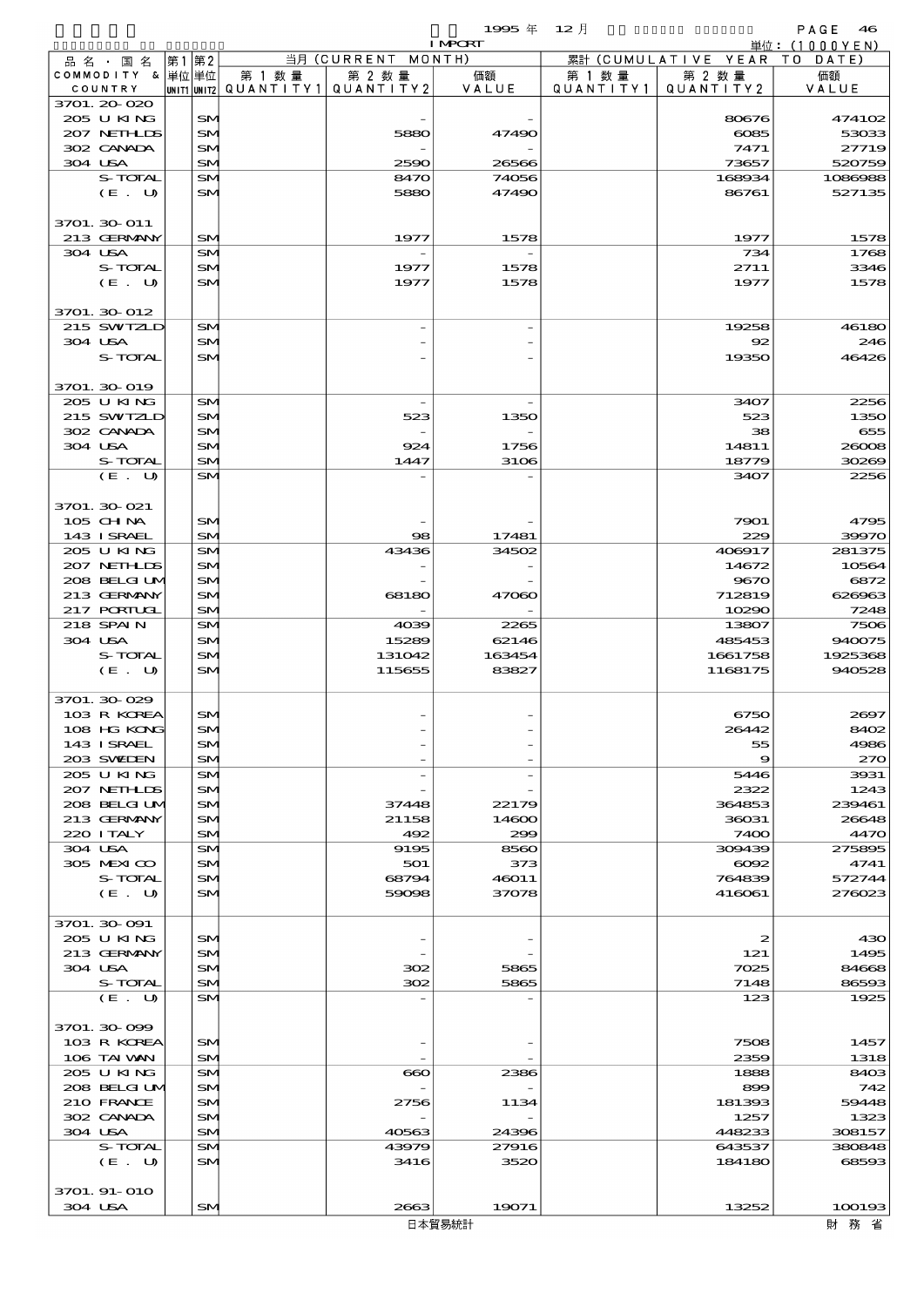$1995 \nless 12 \nless 12$ 

|         |                             |      |           |        |                                                  | <b>I MPORT</b> |        |                                 | 単位: (1000YEN)     |
|---------|-----------------------------|------|-----------|--------|--------------------------------------------------|----------------|--------|---------------------------------|-------------------|
|         | 品名・国名                       | 第1第2 |           |        | 当月 (CURRENT MONTH)                               |                |        | 累計 (CUMULATIVE YEAR TO DATE)    |                   |
|         | COMMODITY & 単位単位<br>COUNTRY |      |           | 第 1 数量 | 第 2 数量<br> UNIT1 UNIT2  QUANT I TY1  QUANT I TY2 | 価額<br>VALUE    | 第 1 数量 | 第 2 数量<br>QUANTITY1   QUANTITY2 | 価額<br>VALUE       |
|         | 3701.20-020                 |      |           |        |                                                  |                |        |                                 |                   |
|         | 205 U KING                  |      | SM.       |        |                                                  |                |        | 80676                           | 474102            |
|         | 207 NETHLIS                 |      | SM        |        | 5880                                             | 47490          |        | $\cos 5$                        | 53033             |
|         | 302 CANADA                  |      | SM        |        |                                                  |                |        | 7471                            | 27719             |
|         | 304 USA                     |      | SM        |        | 2590                                             | 26566          |        | 73657                           | 520759            |
|         | S-TOTAL<br>(E. U)           |      | SM<br>SM  |        | 8470<br>5880                                     | 74056<br>47490 |        | 168934<br>86761                 | 1086988<br>527135 |
|         |                             |      |           |        |                                                  |                |        |                                 |                   |
|         | 3701. 30-011                |      |           |        |                                                  |                |        |                                 |                   |
|         | 213 GERMANY                 |      | SM        |        | 1977                                             | 1578           |        | 1977                            | 1578              |
|         | 304 USA                     |      | SM        |        |                                                  |                |        | 734                             | 1768              |
|         | S-TOTAL                     |      | SM        |        | 1977                                             | 1578           |        | 2711                            | 3346              |
|         | (E. U)                      |      | SM        |        | 1977                                             | 1578           |        | 1977                            | 1578              |
|         | 3701. 30-012                |      |           |        |                                                  |                |        |                                 |                   |
|         | 215 SWIZLD                  |      | SM        |        |                                                  |                |        | 19258                           | 46180             |
|         | 304 USA                     |      | SM        |        |                                                  |                |        | 92                              | 246               |
|         | S-TOTAL                     |      | SM        |        |                                                  |                |        | 19350                           | 46426             |
|         |                             |      |           |        |                                                  |                |        |                                 |                   |
|         | 3701. 30-019                |      |           |        |                                                  |                |        |                                 |                   |
|         | 205 U KING                  |      | SM        |        |                                                  |                |        | 3407                            | 2256              |
|         | 215 SWIZLD<br>302 CANADA    |      | SM<br>SM. |        | 523                                              | 1350           |        | 523<br>38                       | 1350<br>655       |
|         | 304 USA                     |      | SM        |        | 924                                              | 1756           |        | 14811                           | 26008             |
|         | S-TOTAL                     |      | SM        |        | 1447                                             | 3106           |        | 18779                           | 30269             |
|         | (E. U)                      |      | SM        |        |                                                  |                |        | 3407                            | 2256              |
|         |                             |      |           |        |                                                  |                |        |                                 |                   |
|         | 3701. 30-021                |      |           |        |                                                  |                |        |                                 |                   |
|         | 105 CHNA                    |      | SM        |        |                                                  |                |        | 7901                            | 4795              |
|         | 143 ISRAEL<br>205 U KING    |      | SM<br>SM  |        | $\circledcirc$<br>43436                          | 17481<br>34502 |        | 229<br>406917                   | 39970<br>281375   |
|         | 207 NETHLIS                 |      | SM        |        |                                                  |                |        | 14672                           | 10564             |
|         | 208 BELGI UM                |      | SM        |        |                                                  |                |        | 9670                            | 6872              |
|         | 213 GERMANY                 |      | SM        |        | 68180                                            | 47060          |        | 712819                          | 626963            |
|         | 217 PORTUGL                 |      | SM.       |        |                                                  |                |        | 10290                           | 7248              |
|         | 218 SPAIN                   |      | <b>SM</b> |        | 4039                                             | 2265           |        | 13807                           | 7506              |
|         | 304 USA                     |      | SM        |        | 15289                                            | 62146          |        | 485453                          | 940075            |
|         | S-TOTAL                     |      | SM        |        | 131042                                           | 163454         |        | 1661758                         | 1925368           |
|         | (E. U)                      |      | SM        |        | 115655                                           | 83827          |        | 1168175                         | 940528            |
|         | 3701.30 029                 |      |           |        |                                                  |                |        |                                 |                   |
|         | 103 R KOREA                 |      | <b>SM</b> |        |                                                  |                |        | 6750                            | 2697              |
|         | 108 HG KONG                 |      | SN        |        |                                                  |                |        | 26442                           | 8402              |
|         | 143 ISRAEL                  |      | SM        |        |                                                  |                |        | 55                              | 4986              |
|         | 203 SWIDEN                  |      | SM.       |        |                                                  |                |        | $\boldsymbol{\Theta}$           | 270               |
|         | 205 U KING<br>207 NETHLIDS  |      | SM<br>SM. |        |                                                  |                |        | 5446<br>2322                    | 3931<br>1243      |
|         | 208 BELGI UM                |      | SM        |        | 37448                                            | 22179          |        | 364853                          | 239461            |
|         | 213 GERMANY                 |      | SM        |        | 21158                                            | 14600          |        | 36031                           | 26648             |
|         | 220 I TALY                  |      | SM.       |        | 492                                              | 299            |        | 7400                            | 4470              |
|         | 304 USA                     |      | SM        |        | 9195                                             | 8560           |        | 309439                          | 275895            |
|         | 305 MEXICO                  |      | <b>SM</b> |        | 501                                              | 373            |        | $\cos z$                        | 4741              |
|         | S-TOTAL<br>(E. U)           |      | SM<br>SM  |        | 68794<br>59098                                   | 46011<br>37078 |        | 764839                          | 572744<br>276023  |
|         |                             |      |           |        |                                                  |                |        | 416061                          |                   |
|         | 3701. 30-091                |      |           |        |                                                  |                |        |                                 |                   |
|         | 205 U KING                  |      | <b>SM</b> |        |                                                  |                |        | 2                               | 430               |
|         | 213 GERMANY                 |      | SM.       |        |                                                  |                |        | 121                             | 1495              |
|         | 304 USA                     |      | SM        |        | 302                                              | 5865           |        | 7025                            | 84668             |
|         | S-TOTAL                     |      | SM.       |        | 302                                              | 5865           |        | 7148                            | 86593             |
|         | (E. U)                      |      | SM        |        |                                                  |                |        | 123                             | 1925              |
|         | 3701.30-099                 |      |           |        |                                                  |                |        |                                 |                   |
|         | 103 R KOREA                 |      | SM        |        |                                                  |                |        | 7508                            | 1457              |
|         | 106 TAI VAN                 |      | SM.       |        |                                                  |                |        | 2359                            | 1318              |
|         | 205 U KING                  |      | SM        |        | $\bf{60}$                                        | 2386           |        | 1888                            | 8403              |
|         | 208 BELGI UM                |      | <b>SM</b> |        |                                                  |                |        | 899                             | 742               |
|         | 210 FRANCE                  |      | SM        |        | 2756                                             | 1134           |        | 181393                          | 59448             |
|         | 302 CANADA<br>304 USA       |      | SM<br>SM. |        |                                                  | 24396          |        | 1257<br>448233                  | 1323<br>308157    |
|         | S-TOTAL                     |      | SM        |        | 40563<br>43979                                   | 27916          |        | 643537                          | 380848            |
|         | (E. U)                      |      | <b>SM</b> |        | 3416                                             | 3520           |        | 184180                          | 68593             |
|         |                             |      |           |        |                                                  |                |        |                                 |                   |
|         | 3701. 91-010                |      |           |        |                                                  |                |        |                                 |                   |
| 304 USA |                             |      | <b>SM</b> |        | 2663                                             | 19071          |        | 13252                           | 100193            |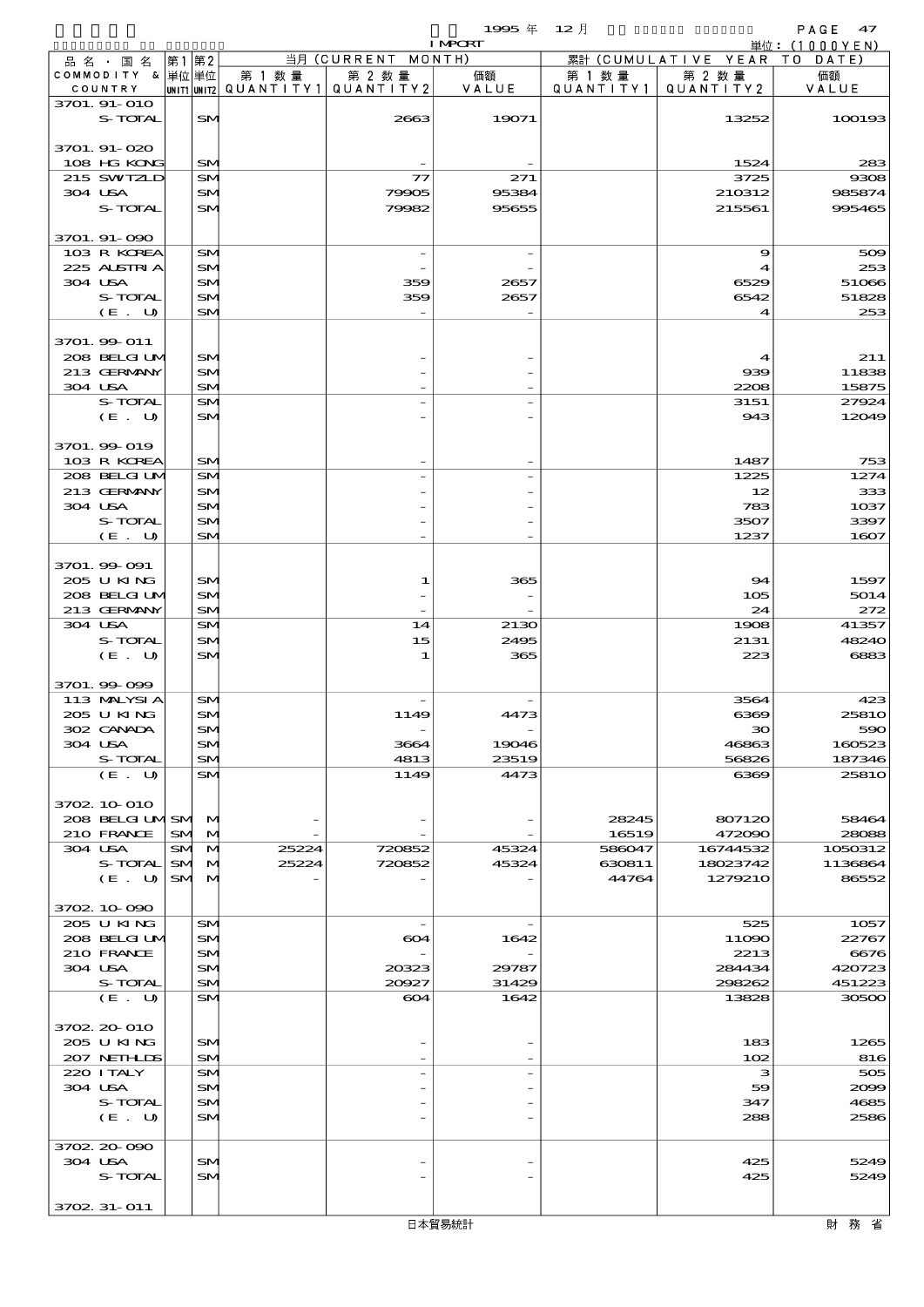$1995 \nleftrightarrow 12 \nparallel$  PAGE 47

|                              |                        |                              |                |                                                  | <b>I MPORT</b> |                      |                              | 単位: (1000YEN)          |
|------------------------------|------------------------|------------------------------|----------------|--------------------------------------------------|----------------|----------------------|------------------------------|------------------------|
| 品名・国名                        |                        | 第1 第2                        |                | 当月 (CURRENT MONTH)                               |                |                      | 累計 (CUMULATIVE YEAR TO DATE) |                        |
| COMMODITY & 単位 単位<br>COUNTRY |                        |                              | 第 1 数量         | 第 2 数量<br> UNIT1 UNIT2  QUANT   TY1  QUANT   TY2 | 価額<br>VALUE    | 第 1 数 量<br>QUANTITY1 | 第 2 数量<br>QUANTITY 2         | 価額<br>VALUE            |
| 3701. 91-010                 |                        |                              |                |                                                  |                |                      |                              |                        |
| S-TOTAL                      |                        | <b>SM</b>                    |                | 2663                                             | 19071          |                      | 13252                        | 100193                 |
|                              |                        |                              |                |                                                  |                |                      |                              |                        |
| 3701. 91-020<br>108 HG KONG  |                        | SM                           |                |                                                  |                |                      | 1524                         | 283                    |
| 215 SWIZLD                   |                        | <b>SM</b>                    |                | $\tau$                                           | 271            |                      | 3725                         | 9308                   |
| 304 USA                      |                        | SM.                          |                | 79905                                            | 95384          |                      | 210312                       | 985874                 |
| S-TOTAL                      |                        | SM                           |                | 79982                                            | 95655          |                      | 215561                       | 995465                 |
|                              |                        |                              |                |                                                  |                |                      |                              |                        |
| 3701. 91-090<br>103 R KOREA  |                        | <b>SM</b>                    |                |                                                  |                |                      | 9                            | 509                    |
| 225 ALSIRIA                  |                        | <b>SM</b>                    |                |                                                  |                |                      | 4                            | 253                    |
| 304 USA                      |                        | SM                           |                | 359                                              | 2657           |                      | 6529                         | 51066                  |
| S-TOTAL                      |                        | SM.                          |                | 359                                              | 2657           |                      | 6542                         | 51828                  |
| (E. U)                       |                        | SM                           |                |                                                  |                |                      | 4                            | 253                    |
| 3701. 99 011                 |                        |                              |                |                                                  |                |                      |                              |                        |
| 208 BELGI UM                 |                        | SM                           |                |                                                  |                |                      | $\mathbf 4$                  | 211                    |
| 213 GERMANY                  |                        | SM.                          |                |                                                  |                |                      | 939                          | 11838                  |
| 304 USA                      |                        | SM                           |                |                                                  |                |                      | 2208                         | 15875                  |
| S-TOTAL                      |                        | <b>SM</b>                    |                |                                                  |                |                      | 3151<br>943                  | 27924                  |
| (E. U)                       |                        | SM <sub>1</sub>              |                |                                                  |                |                      |                              | 12049                  |
| 3701.99-019                  |                        |                              |                |                                                  |                |                      |                              |                        |
| 103 R KOREA                  |                        | SM                           |                |                                                  |                |                      | 1487                         | 753                    |
| 208 BELGILM                  |                        | <b>SM</b>                    |                |                                                  |                |                      | 1225                         | 1274                   |
| 213 GERMANY<br>304 USA       |                        | SM<br>SM                     |                |                                                  |                |                      | 12<br>783                    | 333<br>1037            |
| S-TOTAL                      |                        | SM.                          |                |                                                  |                |                      | 3507                         | 3397                   |
| (E. U)                       |                        | SM                           |                |                                                  |                |                      | 1237                         | 1607                   |
|                              |                        |                              |                |                                                  |                |                      |                              |                        |
| 3701.99 091                  |                        |                              |                |                                                  |                |                      |                              |                        |
| 205 U KING<br>208 BELGI UM   |                        | SM                           |                | 1                                                | 365            |                      | 94                           | 1597                   |
| 213 GERMANY                  |                        | SM.<br>SM                    |                |                                                  |                |                      | 105<br>24                    | 5014<br>272            |
| 304 USA                      |                        | <b>SM</b>                    |                | 14                                               | 2130           |                      | 1908                         | 41357                  |
| S-TOTAL                      |                        | SM                           |                | 15                                               | 2495           |                      | 2131                         | 48240                  |
| (E. U)                       |                        | SM                           |                | 1                                                | 365            |                      | 223                          | 6883                   |
| 3701.99 099                  |                        |                              |                |                                                  |                |                      |                              |                        |
| 113 MALYSIA                  |                        | <b>SM</b>                    |                |                                                  |                |                      | 3564                         | 423                    |
| 205 U KING                   |                        | SM                           |                | 1149                                             | 4473           |                      | ങ്ങ                          | <b>25810</b>           |
| 302 CANADA                   |                        | SN                           |                |                                                  |                |                      | 30                           | 590                    |
| 304 USA                      |                        | SM                           |                | 3664                                             | 19046          |                      | 46863                        | 160523                 |
| S-TOTAL<br>(E. U)            |                        | SM<br>SM <sub>1</sub>        |                | 4813<br>1149                                     | 23519<br>4473  |                      | 56826<br>6369                | 187346<br><b>25810</b> |
|                              |                        |                              |                |                                                  |                |                      |                              |                        |
| 3702 10 010                  |                        |                              |                |                                                  |                |                      |                              |                        |
| 208 BELGILMSM M              |                        |                              |                |                                                  |                | 28245                | 807120                       | 58464                  |
| 210 FRANCE                   | <b>SM</b>              | M                            |                |                                                  |                | 16519                | 472090                       | 28088                  |
| 304 USA<br>S-TOTAL           | <b>SM</b><br><b>SM</b> | $\mathbf{M}$<br>$\mathbf{M}$ | 25224<br>25224 | 720852<br>720852                                 | 45324<br>45324 | 586047<br>630811     | 16744532<br>18023742         | 1050312<br>1136864     |
| (E. U)                       |                        | SM M                         |                |                                                  |                | 44764                | 1279210                      | 86552                  |
|                              |                        |                              |                |                                                  |                |                      |                              |                        |
| 3702 10 090                  |                        |                              |                |                                                  |                |                      |                              |                        |
| 205 U KING                   |                        | SM <sub>1</sub>              |                |                                                  |                |                      | 525                          | 1057                   |
| 208 BELGI UM<br>210 FRANCE   |                        | SM<br>SM                     |                | 604                                              | 1642           |                      | 11090<br>2213                | 22767<br>6676          |
| 304 USA                      |                        | SM.                          |                | 20323                                            | 29787          |                      | 284434                       | 420723                 |
| S-TOTAL                      |                        | SM                           |                | 20927                                            | 31429          |                      | 298262                       | 451223                 |
| (E. U)                       |                        | SM <sub>1</sub>              |                | 604                                              | 1642           |                      | 13828                        | 30500                  |
| 3702 20 010                  |                        |                              |                |                                                  |                |                      |                              |                        |
| 205 U KING                   |                        | SM.                          |                |                                                  |                |                      | 183                          | 1265                   |
| 207 NETHLIS                  |                        | SM                           |                |                                                  |                |                      | 102                          | 816                    |
| 220 I TALY                   |                        | <b>SM</b>                    |                |                                                  |                |                      | з                            | 505                    |
| 304 USA                      |                        | SM                           |                |                                                  |                |                      | 59                           | 2000                   |
| S-TOTAL<br>(E. U)            |                        | SM<br>SM                     |                |                                                  |                |                      | 347<br>288                   | 4685<br>2586           |
|                              |                        |                              |                |                                                  |                |                      |                              |                        |
| 3702 20 090                  |                        |                              |                |                                                  |                |                      |                              |                        |
| 304 USA                      |                        | SM                           |                |                                                  |                |                      | 425                          | 5249                   |
| S-TOTAL                      |                        | SM <sub>1</sub>              |                |                                                  |                |                      | 425                          | 5249                   |
| 3702 31-011                  |                        |                              |                |                                                  |                |                      |                              |                        |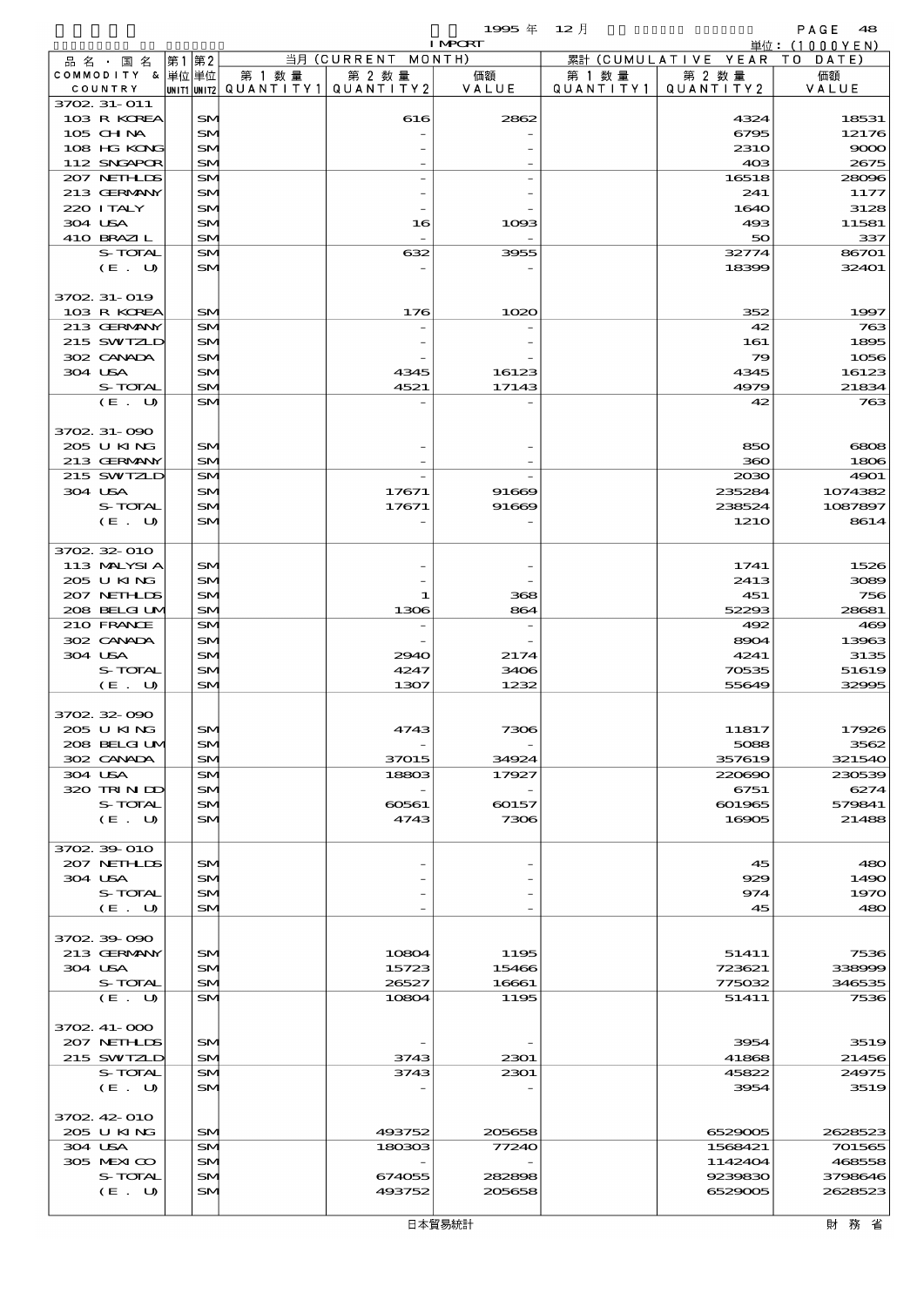|                               |                              |                          |                    | 1995 $#$       | $12$ 月    |                      | PAGE<br>48         |
|-------------------------------|------------------------------|--------------------------|--------------------|----------------|-----------|----------------------|--------------------|
|                               |                              |                          | 当月 (CURRENT MONTH) | <b>I MPCRT</b> |           | 累計 (CUMULATIVE YEAR) | 単位: (1000YEN)      |
| 品 名 ・ 国 名<br>COMMODITY & 単位単位 | 第1 第2                        | 第 1 数 量                  | 第 2 数 量            | 価額             | 第 1 数 量   | 第 2 数量               | T O<br>DATE<br>価額  |
| COUNTRY                       |                              | unit1 unit2  Q∪ANT   TY1 | QUANTITY2          | VALUE          | QUANTITY1 | QUANTITY 2           | VALUE              |
| 3702 31-011                   |                              |                          |                    |                |           |                      |                    |
| 103 R KOREA<br>105 CH NA      | SM <sub>1</sub>              |                          | 616                | 2862           |           | 4324                 | 18531              |
| 108 HG KONG                   | <b>SM</b><br>SM <sub>1</sub> |                          |                    |                |           | 6795<br>231O         | 12176<br>9000      |
| 112 SNGAPOR                   | <b>SM</b>                    |                          |                    |                |           | 40 <sup>3</sup>      | 2675               |
| 207 NETHLIS                   | SM <sub>1</sub>              |                          |                    |                |           | 16518                | 28096              |
| 213 GERMANY                   | SM <sub>1</sub>              |                          |                    |                |           | 241                  | 1177               |
| 220 I TALY                    | <b>SM</b>                    |                          |                    |                |           | 1640                 | 3128               |
| 304 USA<br>410 BRAZIL         | SM.<br><b>SM</b>             |                          | 16                 | 1093           |           | 493<br>50            | 11581<br>337       |
| S-TOTAL                       | SM <sub>1</sub>              |                          | 632                | 3955           |           | 32774                | 86701              |
| (E. U)                        | <b>SM</b>                    |                          |                    |                |           | 18399                | 32401              |
|                               |                              |                          |                    |                |           |                      |                    |
| 3702 31-019<br>103 R KOREA    | <b>SM</b>                    |                          | 176                | 1020           |           | 352                  | 1997               |
| 213 GERMANY                   | SM <sub>1</sub>              |                          |                    |                |           | 42                   | 763                |
| 215 SWIZLD                    | <b>SM</b>                    |                          |                    |                |           | 161                  | 1895               |
| 302 CANADA                    | <b>SM</b>                    |                          |                    |                |           | 79                   | 1056               |
| 304 USA                       | SM.                          |                          | 4345               | 16123          |           | 4345                 | 16123              |
| S-TOTAL                       | <b>SM</b>                    |                          | 4521               | 17143          |           | 4979                 | 21834              |
| (E. U)                        | <b>SM</b>                    |                          |                    |                |           | 42                   | 763                |
| 3702 31-090                   |                              |                          |                    |                |           |                      |                    |
| 205 U KING                    | SM <sub>1</sub>              |                          |                    |                |           | 850                  | 6808               |
| 213 GERMANY                   | <b>SM</b>                    |                          |                    |                |           | 360                  | 1806               |
| 215 SWIZLD                    | SM <sub>1</sub>              |                          |                    |                |           | 2030                 | 4901               |
| 304 USA<br>S-TOTAL            | <b>SM</b><br><b>SM</b>       |                          | 17671<br>17671     | 91669<br>91669 |           | 235284<br>238524     | 1074382<br>1087897 |
| (E. U)                        | <b>SM</b>                    |                          |                    |                |           | 121O                 | 8614               |
|                               |                              |                          |                    |                |           |                      |                    |
| 3702 32 010                   |                              |                          |                    |                |           |                      |                    |
| 113 MALYSIA                   | <b>SM</b>                    |                          |                    |                |           | 1741                 | 1526               |
| 205 U KING<br>207 NETHLIS     | <b>SM</b>                    |                          |                    |                |           | 2413                 | 3089<br>756        |
| 208 BELGI UM                  | SM.<br><b>SM</b>             |                          | 1<br>1306          | 368<br>864     |           | 451<br>52293         | 28681              |
| 210 FRANCE                    | SM <sub>1</sub>              |                          |                    |                |           | 492                  | 469                |
| 302 CANADA                    | <b>SM</b>                    |                          |                    |                |           | 8904                 | 13963              |
| 304 USA                       | <b>SM</b>                    |                          | 2940               | 2174           |           | 4241                 | 3135               |
| S-TOTAL<br>(E. U)             | <b>SM</b><br><b>SM</b>       |                          | 4247<br>1307       | 3406<br>1232   |           | 70535<br>55649       | 51619<br>32995     |
|                               |                              |                          |                    |                |           |                      |                    |
| 3702.32.090                   |                              |                          |                    |                |           |                      |                    |
| 205 U KING                    | <b>SM</b>                    |                          | 4743               | 7306           |           | 11817                | 17926              |
| 208 BELGIUM                   | SM.                          |                          |                    |                |           | 5088                 | 3562               |
| 302 CANADA<br>304 USA         | SM <sub>1</sub><br><b>SM</b> |                          | 37015<br>18803     | 34924<br>17927 |           | 357619<br>220690     | 321540<br>230539   |
| 320 TRINDO                    | <b>SM</b>                    |                          |                    |                |           | 6751                 | 6274               |
| S-TOTAL                       | <b>SM</b>                    |                          | 60561              | 60157          |           | 601965               | 579841             |
| (E. U)                        | SM                           |                          | 4743               | 7306           |           | 16905                | 21488              |
|                               |                              |                          |                    |                |           |                      |                    |
| 3702 39 010<br>207 NETHLIS    | SM <sub>1</sub>              |                          |                    |                |           | 45                   | 480                |
| 304 USA                       | <b>SM</b>                    |                          |                    |                |           | 929                  | 1490               |
| S-TOTAL                       | SM.                          |                          |                    |                |           | 974                  | 1970               |
| (E. U)                        | <b>SM</b>                    |                          |                    |                |           | 45                   | 480                |
|                               |                              |                          |                    |                |           |                      |                    |
| 3702 39 090<br>213 GERMANY    | <b>SM</b>                    |                          | 10804              | 1195           |           | 51411                | 7536               |
| 304 USA                       | SM.                          |                          | 15723              | 15466          |           | 723621               | 338000             |
| S-TOTAL                       | SM <sub>1</sub>              |                          | 26527              | 16661          |           | 775032               | 346535             |
| (E. U)                        | <b>SM</b>                    |                          | 10804              | 1195           |           | 51411                | 7536               |
|                               |                              |                          |                    |                |           |                      |                    |
| 3702.41-000<br>207 NETHLIS    | SM <sub>1</sub>              |                          |                    |                |           | 3954                 | 3519               |
| 215 SWIZLD                    | <b>SM</b>                    |                          | 3743               | 2301           |           | 41868                | 21456              |
| S-TOTAL                       | <b>SM</b>                    |                          | 3743               | 2301           |           | 45822                | 24975              |
| (E. U)                        | <b>SM</b>                    |                          |                    |                |           | 3954                 | 3519               |
|                               |                              |                          |                    |                |           |                      |                    |
| 3702 42 010<br>205 U KING     | SM                           |                          |                    | 205658         |           | 6529005              | 2628523            |
| 304 USA                       | <b>SM</b>                    |                          | 493752<br>180303   | 77240          |           | 1568421              | 701565             |
| 305 MEXICO                    | <b>SM</b>                    |                          |                    |                |           | 1142404              | 468558             |
| S-TOTAL                       | SM <sub>1</sub>              |                          | 674055             | 282898         |           | 9239830              | 3798646            |
| (E. U)                        | SM.                          |                          | 493752             | 205658         |           | 6529005              | 2628523            |
|                               |                              |                          |                    |                |           |                      |                    |

財務省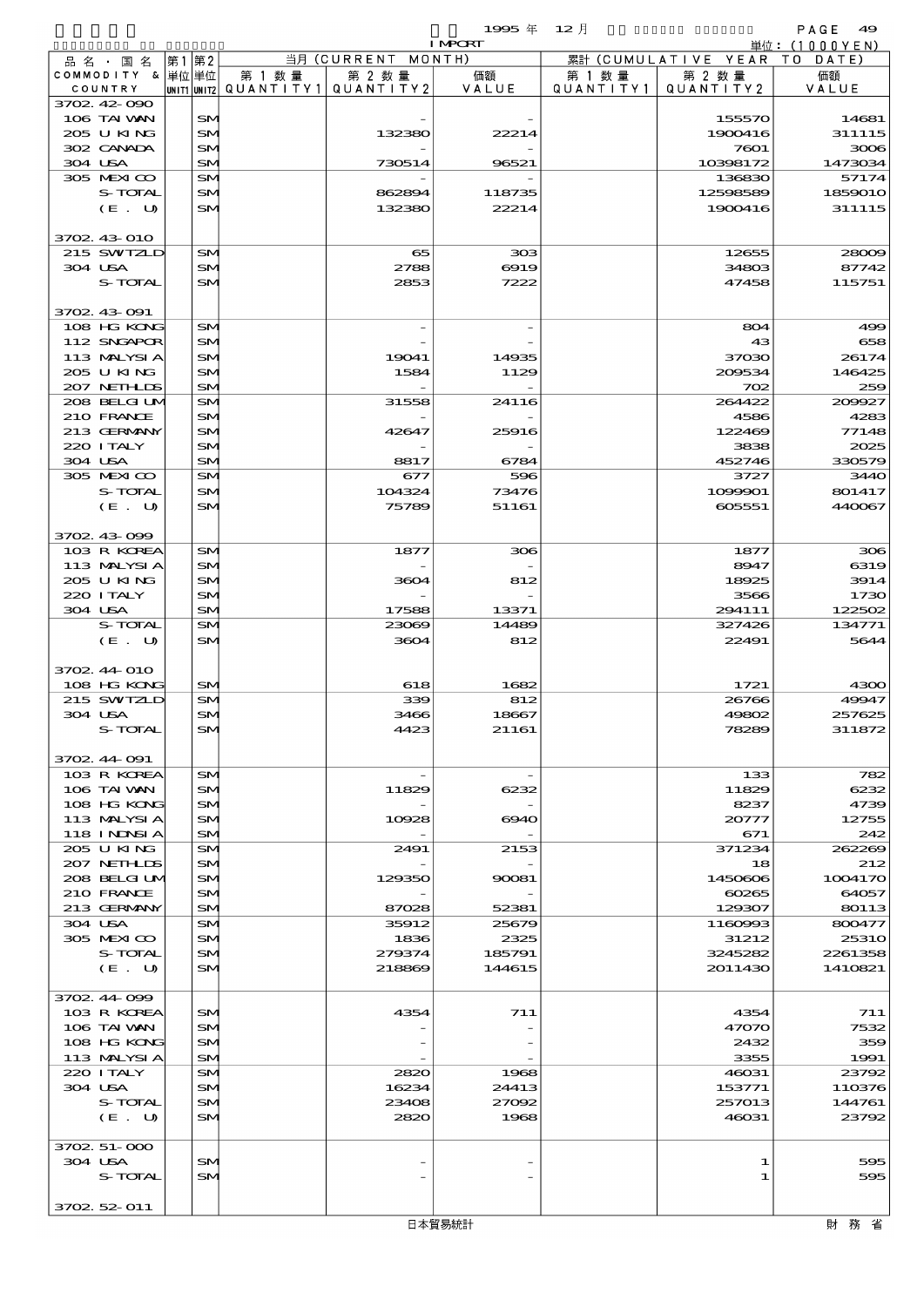$1995 \nleftrightarrow 12 \nparallel$  PAGE 49

| <b>I MPORT</b> |                            |    |                 |        |                                       | 単位: (1000YEN) |           |                              |                  |
|----------------|----------------------------|----|-----------------|--------|---------------------------------------|---------------|-----------|------------------------------|------------------|
|                | 品 名 ・ 国 名                  | 第1 | 第2              |        | 当月 (CURRENT MONTH)                    |               |           | 累計 (CUMULATIVE YEAR TO DATE) |                  |
|                | COMMODITY & 単位単位           |    |                 | 第 1 数量 | 第 2 数量                                | 価額            | 第 1 数 量   | 第 2 数量                       | 価額               |
|                | COUNTRY                    |    |                 |        | UNIT1 UNIT2  QUANT   TY1  QUANT   TY2 | VALUE         | QUANTITY1 | QUANTITY 2                   | VALUE            |
|                | 3702 42 090                |    |                 |        |                                       |               |           |                              |                  |
|                | 106 TAI VAN<br>205 U KING  |    | SM.<br>SM       |        | 132380                                | 22214         |           | 155570<br>1900416            | 14681<br>311115  |
|                | 302 CANADA                 |    | SM              |        |                                       |               |           | 7601                         | 3006             |
|                | 304 USA                    |    | SM              |        | 730514                                | 96521         |           | 10398172                     | 1473034          |
|                | 305 MEXICO                 |    | SM              |        |                                       |               |           | 136830                       | 57174            |
|                | S-TOTAL                    |    | SM              |        | 862894                                | 118735        |           | 12598589                     | 1859010          |
|                | (E. U)                     |    | SM.             |        | 132380                                | 22214         |           | 1900416                      | 311115           |
|                |                            |    |                 |        |                                       |               |           |                              |                  |
|                | 3702 43 010                |    |                 |        |                                       |               |           |                              |                  |
|                | 215 SWIZLD                 |    | SM              |        | 65                                    | 308           |           | 12655                        | 28009            |
|                | 304 USA<br>S-TOTAL         |    | SM<br>SM        |        | 2788<br>2853                          | 6919<br>7222  |           | 34803<br>47458               | 87742<br>115751  |
|                |                            |    |                 |        |                                       |               |           |                              |                  |
|                | 3702 43 091                |    |                 |        |                                       |               |           |                              |                  |
|                | 108 HG KONG                |    | SM              |        |                                       |               |           | 804                          | 499              |
|                | 112 SNGAPOR                |    | SM.             |        |                                       |               |           | 43                           | 658              |
|                | 113 MALYSIA                |    | SM              |        | 19041                                 | 14935         |           | 37030                        | 26174            |
|                | 205 U KING                 |    | SM              |        | 1584                                  | 1129          |           | 209534                       | 146425           |
|                | 207 NETHLIS                |    | SM              |        |                                       |               |           | 702                          | 259              |
|                | 208 BELGILM                |    | SM              |        | 31558                                 | 24116         |           | 264422                       | 209927           |
|                | 210 FRANCE                 |    | SM.             |        |                                       |               |           | 4586                         | 4283             |
|                | 213 GERMANY<br>220 I TALY  |    | SM<br>SM        |        | 42647                                 | 25916         |           | 122469<br>3838               | 77148<br>2025    |
|                | 304 USA                    |    | SM              |        | 8817                                  | 6784          |           | 452746                       | 330579           |
|                | 305 MEXICO                 |    | SM              |        | 677                                   | 596           |           | 3727                         | 3440             |
|                | S-TOTAL                    |    | SM              |        | 104324                                | 73476         |           | 1099901                      | 801417           |
|                | (E. U)                     |    | SM.             |        | 75789                                 | 51161         |           | 605551                       | 440067           |
|                |                            |    |                 |        |                                       |               |           |                              |                  |
|                | 3702 43 099                |    |                 |        |                                       |               |           |                              |                  |
|                | 103 R KOREA                |    | SM              |        | 1877                                  | 306           |           | 1877                         | 306              |
|                | 113 MALYSIA                |    | SM.             |        |                                       |               |           | 8947                         | 6319             |
|                | 205 U KING                 |    | SM              |        | 3604                                  | 812           |           | 18925                        | 3914             |
|                | 220 I TALY<br>304 USA      |    | SM<br>SM        |        | 17588                                 | 13371         |           | 3566<br>294111               | 1730<br>122502   |
|                | S-TOTAL                    |    | SM              |        | 23069                                 | 14489         |           | 327426                       | 134771           |
|                | (E. U)                     |    | SM              |        | 3604                                  | 812           |           | 22491                        | 5644             |
|                |                            |    |                 |        |                                       |               |           |                              |                  |
|                | 3702 44 010                |    |                 |        |                                       |               |           |                              |                  |
|                | 108 HG KONG                |    | SM              |        | 618                                   | 1682          |           | 1721                         | 4300             |
|                | 215 SWIZLD                 |    | SM              |        | 339                                   | 812           |           | 26766                        | 49947            |
|                | 304 USA                    |    | SM              |        | 3466                                  | 18667         |           | 49802                        | 257625           |
|                | S-TOTAL                    |    | SN              |        | 4423                                  | 21161         |           | 78289                        | 311872           |
|                | 3702 44 091                |    |                 |        |                                       |               |           |                              |                  |
|                | 103 R KOREA                |    | SM.             |        |                                       |               |           | 133                          | 782              |
|                | 106 TAI VAN                |    | SM              |        | 11829                                 | 6232          |           | 11829                        | 6232             |
|                | 108 HG KONG                |    | SM              |        |                                       |               |           | 8237                         | 4739             |
|                | 113 MALYSIA                |    | SM.             |        | 10928                                 | 6940          |           | 20777                        | 12755            |
|                | 118 INNSI A                |    | SM.             |        |                                       |               |           | 671                          | 242              |
|                | 205 U KING                 |    | SM.             |        | 2491                                  | 2153          |           | 371234                       | 262269           |
|                | 207 NETHLIDS               |    | SM.             |        |                                       |               |           | 18                           | 212              |
|                | 208 BELGI UM<br>210 FRANCE |    | SM<br>SM.       |        | 129350                                | 90081         |           | 1450606<br>60265             | 1004170<br>64057 |
|                | 213 GERMANY                |    | SM.             |        | 87028                                 | 52381         |           | 129307                       | 80113            |
|                | 304 USA                    |    | SM              |        | 35912                                 | 25679         |           | 1160993                      | 800477           |
|                | 305 MEXICO                 |    | SM.             |        | 1836                                  | 2325          |           | 31212                        | 2531O            |
|                | S-TOTAL                    |    | SM              |        | 279374                                | 185791        |           | 3245282                      | 2261358          |
|                | (E. U)                     |    | SM              |        | 218869                                | 144615        |           | 2011430                      | 1410821          |
|                |                            |    |                 |        |                                       |               |           |                              |                  |
|                | 3702 44 099                |    |                 |        |                                       |               |           |                              |                  |
|                | 103 R KOREA                |    | SM <sub>1</sub> |        | 4354                                  | 711           |           | 4354                         | 711              |
|                | 106 TAI VAN                |    | <b>SM</b>       |        |                                       |               |           | 47070                        | 7532<br>359      |
|                | 108 HG KONG<br>113 MALYSIA |    | SM.<br>SM.      |        |                                       |               |           | 2432<br>3355                 | 1991             |
|                | 220 I TALY                 |    | SM              |        | 2820                                  | 1968          |           | 46031                        | 23792            |
|                | 304 USA                    |    | SM.             |        | 16234                                 | 24413         |           | 153771                       | 110376           |
|                | S-TOTAL                    |    | SM              |        | 23408                                 | 27092         |           | 257013                       | 144761           |
|                | (E. U)                     |    | SM              |        | 2820                                  | 1968          |           | 46031                        | 23792            |
|                |                            |    |                 |        |                                       |               |           |                              |                  |
|                | 3702 51-000                |    |                 |        |                                       |               |           |                              |                  |
|                | 304 USA                    |    | SM.             |        |                                       |               |           | 1                            | 595              |
|                | S-TOTAL                    |    | SM              |        |                                       |               |           | 1                            | 595              |

 $\sqrt{3702.52 \cdot 011}$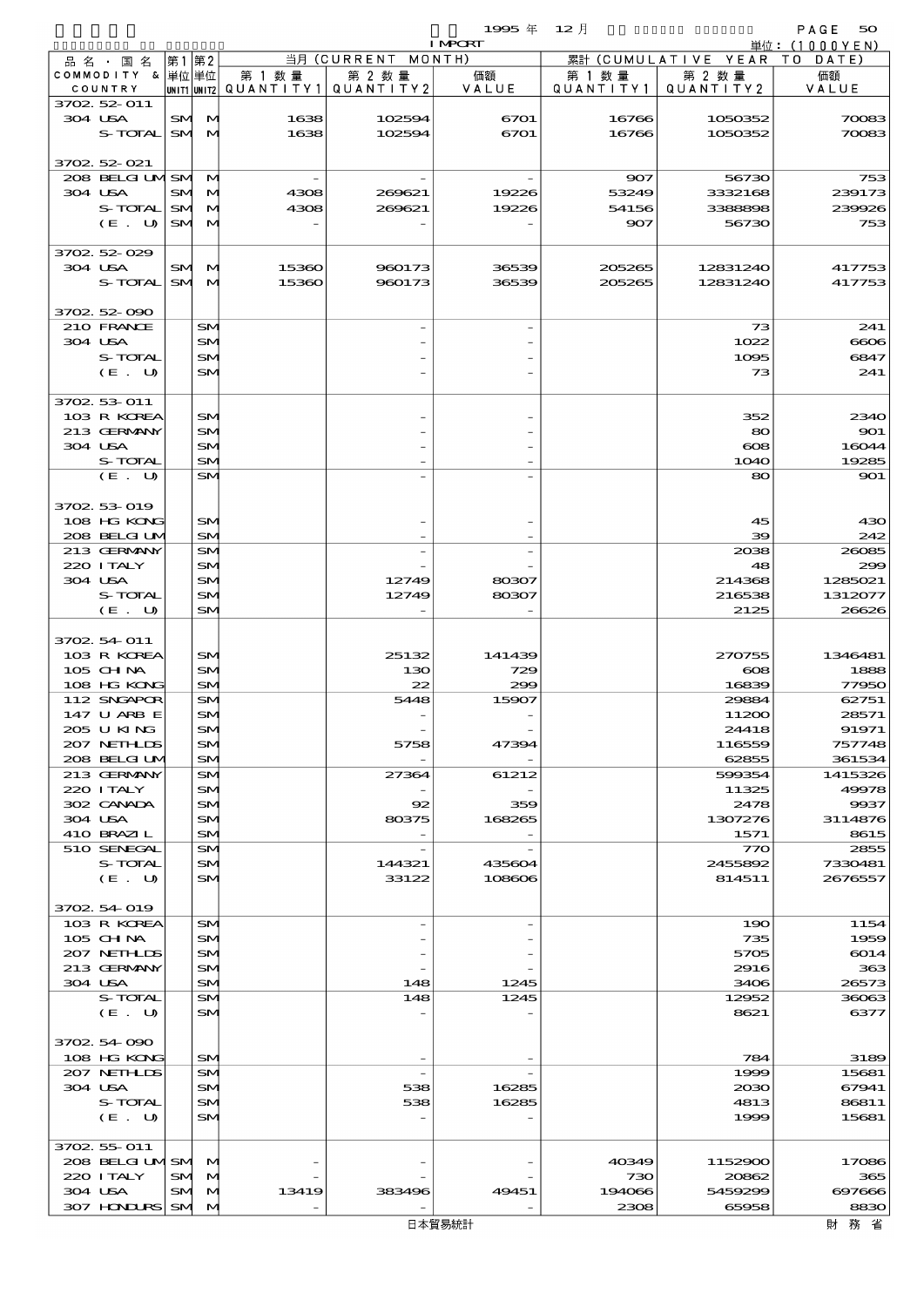|                             |           |                      |                                       |             | 1995年                    | 12月           |                     | PAGE<br>50              |
|-----------------------------|-----------|----------------------|---------------------------------------|-------------|--------------------------|---------------|---------------------|-------------------------|
| 品 名 ・ 国 名                   | 第1第2      |                      |                                       | 当月 (CURRENT | <b>I MPORT</b><br>MONTH) | 累計            | (CUMULATIVE YEAR TO | 単位: $(1000YEN)$<br>DATE |
| COMMODITY & 単位単位            |           |                      | 第 1 数 量                               | 第 2 数量      | 価額                       | 第 1 数 量       | 第 2 数量              | 価額                      |
| COUNTRY                     |           |                      | UNIT1 UNIT2  Q∪ANT   TY1  Q∪ANT   TY2 |             | VALUE                    | QUANTITY1     | QUANTITY 2          | VALUE                   |
| 3702 52 011                 |           |                      |                                       |             |                          |               |                     |                         |
| 304 USA                     |           | SM M                 | 1638                                  | 102594      | 6701                     | 16766         | 1050352             | 70083                   |
| S-TOTAL                     |           | SM M                 | 1638                                  | 102594      | 6701                     | 16766         | 1050352             | 70083                   |
| 3702 52 021                 |           |                      |                                       |             |                          |               |                     |                         |
| 208 BELGILMISM M            |           |                      |                                       |             |                          | 907           | 56730               | 753                     |
| 304 USA                     | <b>SM</b> | M                    | 4308                                  | 269621      | 19226                    | 53249         | 3332168             | 239173                  |
| S-TOTAL                     | <b>SM</b> | $\mathbf{M}$         | 4308                                  | 269621      | 19226                    | 54156         | 3388898             | 239926                  |
| (E. U)                      |           | SM M                 |                                       |             |                          | 907           | 56730               | 753                     |
|                             |           |                      |                                       |             |                          |               |                     |                         |
| 3702 52 029<br>304 USA      |           |                      | 15360                                 | 960173      | 36539                    | 205265        | 12831240            | 417753                  |
| S-TOTAL                     |           | SM M<br>SM M         | 15360                                 | 960173      | 36539                    | 205265        | 12831240            | 417753                  |
|                             |           |                      |                                       |             |                          |               |                     |                         |
| 3702 52 090                 |           |                      |                                       |             |                          |               |                     |                         |
| 210 FRANCE                  |           | SM                   |                                       |             |                          |               | 73                  | 241                     |
| 304 USA                     |           | SM                   |                                       |             |                          |               | 1022                | 6606                    |
| S-TOTAL                     |           | SM                   |                                       |             |                          |               | 1095                | 6847                    |
| (E. U)                      |           | SM                   |                                       |             |                          |               | 73                  | 241                     |
| 3702 53 011                 |           |                      |                                       |             |                          |               |                     |                         |
| 103 R KOREA                 |           | SM                   |                                       |             |                          |               | 352                 | 2340                    |
| 213 GERMANY                 |           | SM                   |                                       |             |                          |               | 80                  | 901                     |
| 304 USA                     |           | SM                   |                                       |             |                          |               | $\infty$            | 16044                   |
| S-TOTAL                     |           | SM                   |                                       |             |                          |               | 1040                | 19285                   |
| (E. U)                      |           | SM                   |                                       |             |                          |               | 80                  | 901                     |
|                             |           |                      |                                       |             |                          |               |                     |                         |
| 3702 53 019<br>108 HG KONG  |           | SM                   |                                       |             |                          |               | 45                  | 430                     |
| 208 BELGI UM                |           | SM                   |                                       |             |                          |               | 39                  | 242                     |
| 213 GERMANY                 |           | SM                   |                                       |             |                          |               | 2038                | 26085                   |
| 220 I TALY                  |           | SM                   |                                       |             |                          |               | 48                  | 299                     |
| 304 USA                     |           | SM                   |                                       | 12749       | 80307                    |               | 214368              | 1285021                 |
| S-TOTAL                     |           | SM                   |                                       | 12749       | 80307                    |               | 216538              | 1312077                 |
| (E. U)                      |           | SM                   |                                       |             |                          |               | 2125                | 26626                   |
| 3702 54 011                 |           |                      |                                       |             |                          |               |                     |                         |
| 103 R KOREA                 |           | SM                   |                                       | 25132       | 141439                   |               | 270755              | 1346481                 |
| $105$ CHNA                  |           | SM                   |                                       | 130         | 729                      |               | $\infty$            | 1888                    |
| 108 HG KONG                 |           | SM                   |                                       | 22          | 299                      |               | 16839               | 77950                   |
| 112 SNGAPOR                 |           | SM                   |                                       | 5448        | 15907                    |               | 29884               | 62751                   |
| 147 U ARB E                 |           | SM                   |                                       |             |                          |               | 11200               | 28571                   |
| 205 U KING                  |           | SM                   |                                       |             |                          |               | 24418               | 91971                   |
| 207 NETHLIS<br>208 BELGI UM |           | SM<br>SM             |                                       | 5758        | 47394                    |               | 116559<br>62855     | 757748<br>361534        |
| 213 GERMANY                 |           | SM                   |                                       | 27364       | 61212                    |               | 599354              | 1415326                 |
| 220 I TALY                  |           | SM                   |                                       |             |                          |               | 11325               | 49978                   |
| 302 CANADA                  |           | SM                   |                                       | 92          | 359                      |               | 2478                | 9937                    |
| 304 USA                     |           | SM                   |                                       | 80375       | 168265                   |               | 1307276             | 3114876                 |
| 410 BRAZIL                  |           | SM                   |                                       |             |                          |               | 1571                | 8615                    |
| 510 SENEGAL<br>S-TOTAL      |           | SM<br>SM             |                                       | 144321      | 435604                   |               | 770<br>2455892      | 2855<br>7330481         |
| (E. U)                      |           | SM                   |                                       | 33122       | 108606                   |               | 814511              | 2676557                 |
|                             |           |                      |                                       |             |                          |               |                     |                         |
| 3702 54 019                 |           |                      |                                       |             |                          |               |                     |                         |
| 103 R KOREA                 |           | SM                   |                                       |             |                          |               | 190                 | 1154                    |
| 105 CHNA                    |           | SM                   |                                       |             |                          |               | 735                 | 1959                    |
| 207 NETHLIS<br>213 GERMANY  |           | SM<br>SM             |                                       |             |                          |               | 5705<br>2916        | 6014<br>363             |
| 304 USA                     |           | SM                   |                                       | 148         | 1245                     |               | 3406                | 26573                   |
| S-TOTAL                     |           | SM                   |                                       | 148         | 1245                     |               | 12952               | 36063                   |
| (E. U)                      |           | SM                   |                                       |             |                          |               | 8621                | 6377                    |
|                             |           |                      |                                       |             |                          |               |                     |                         |
| 3702 54 090                 |           |                      |                                       |             |                          |               |                     |                         |
| 108 HG KONG<br>207 NETHLIS  |           | SM<br>SM             |                                       |             |                          |               | 784<br>1999         | 3189                    |
| 304 USA                     |           | SM.                  |                                       | 538         | 16285                    |               | 2030                | 15681<br>67941          |
| S-TOTAL                     |           | SM                   |                                       | 538         | 16285                    |               | 4813                | 86811                   |
| (E. U)                      |           | SM                   |                                       |             |                          |               | 1999                | 15681                   |
|                             |           |                      |                                       |             |                          |               |                     |                         |
| 3702 55 011                 |           |                      |                                       |             |                          |               |                     |                         |
| 208 BELGILMISMI M           |           |                      |                                       |             |                          | 40349         | 1152900             | 17086                   |
| 220 I TALY<br>304 USA       | SM        | $\mathbf{M}$<br>SM M | 13419                                 | 383496      | 49451                    | 730<br>194066 | 20862<br>5459299    | 365<br>697666           |
| 307 HINIURS                 | <b>SM</b> | $\mathbf{M}$         |                                       |             |                          | 2308          | 65958               | 8830                    |
|                             |           |                      |                                       |             |                          |               |                     |                         |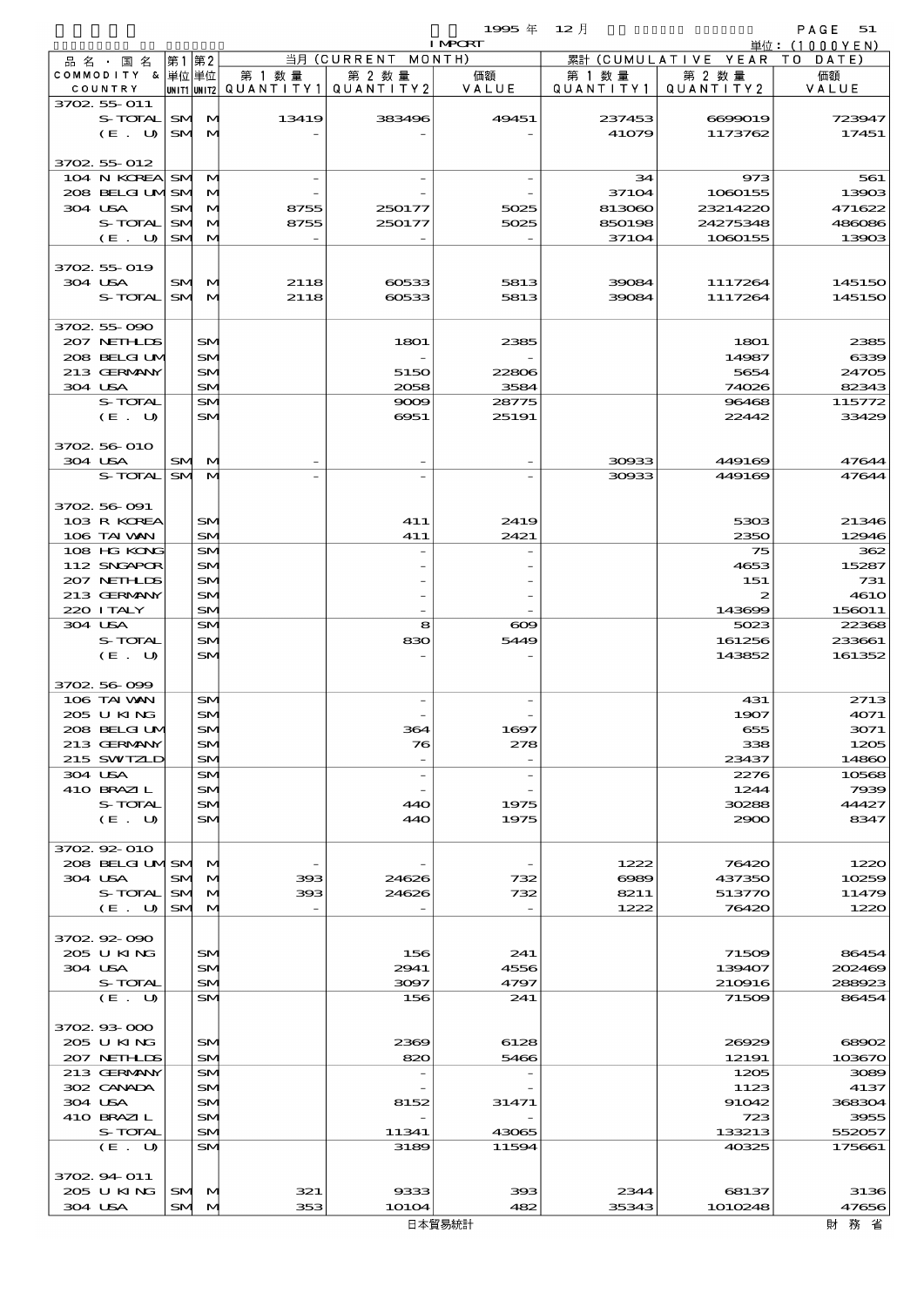$1995 \nsubseteq 12 \nparallel$  PAGE 51

|                             |      |                       |         |                                                  | <b>I MPORT</b> |                      |                              | 単位:(1000YEN)    |
|-----------------------------|------|-----------------------|---------|--------------------------------------------------|----------------|----------------------|------------------------------|-----------------|
| 品名・国名                       | 第1第2 |                       |         | 当月 (CURRENT MONTH)                               |                |                      | 累計 (CUMULATIVE YEAR TO DATE) |                 |
| COMMODITY & 単位単位<br>COUNTRY |      |                       | 第 1 数 量 | 第 2 数量<br> unit1 unit2  Q∪ANT   TY1  Q∪ANT   TY2 | 価額<br>VALUE    | 第 1 数 量<br>QUANTITY1 | 第 2 数量<br>QUANTITY 2         | 価額<br>VALUE     |
| 3702 55 011                 |      |                       |         |                                                  |                |                      |                              |                 |
| S-TOTAL SM M                |      |                       | 13419   | 383496                                           | 49451          | 237453               | 6699019                      | 723947          |
| (E. U)                      |      | SMM                   |         |                                                  |                | 41079                | 1173762                      | 17451           |
| 3702 55 012                 |      |                       |         |                                                  |                |                      |                              |                 |
| 104 N KOREA SM M            |      |                       |         |                                                  |                | 34                   | 973                          | 561             |
| 208 BELGILMISMI M           |      |                       |         |                                                  |                | 37104                | 1080155                      | 13903           |
| 304 USA                     |      | SM M                  | 8755    | 250177                                           | 5025           | 813060               | 23214220                     | 471622          |
| S-TOTAL<br>(E. U)           | SM   | M<br>SM M             | 8755    | 250177                                           | 5025           | 850198<br>37104      | 24275348<br>1060155          | 486086<br>13903 |
|                             |      |                       |         |                                                  |                |                      |                              |                 |
| 3702 55 019                 |      |                       |         |                                                  |                |                      |                              |                 |
| 304 USA                     |      | SM M                  | 2118    | 60533                                            | 5813           | 39084                | 1117264                      | 145150          |
| S-TOTAL SM M                |      |                       | 2118    | 60533                                            | 5813           | 39084                | 1117264                      | 145150          |
| 3702 55 090                 |      |                       |         |                                                  |                |                      |                              |                 |
| 207 NETHLIS                 |      | SM                    |         | 1801                                             | 2385           |                      | 1801                         | 2385            |
| 208 BELGI UM                |      | <b>SM</b>             |         |                                                  |                |                      | 14987                        | 6339            |
| 213 GERMANY                 |      | SM                    |         | 5150                                             | 22806          |                      | 5654                         | 24705           |
| 304 USA<br>S-TOTAL          |      | <b>SM</b><br>SM       |         | 2058<br>9009                                     | 3584<br>28775  |                      | 74026<br>96468               | 82343<br>115772 |
| (E. U)                      |      | SM                    |         | 6951                                             | 25191          |                      | 22442                        | 33429           |
|                             |      |                       |         |                                                  |                |                      |                              |                 |
| 3702 56 010                 |      |                       |         |                                                  |                |                      |                              |                 |
| 304 USA                     |      | SM M                  |         |                                                  |                | 30933                | 449169                       | 47644           |
| S-TOTAL                     |      | SM M                  |         |                                                  |                | 30933                | 449169                       | 47644           |
| 3702 56 091                 |      |                       |         |                                                  |                |                      |                              |                 |
| 103 R KOREA                 |      | SM.                   |         | 411                                              | 2419           |                      | 5303                         | 21346           |
| 106 TAI VAN                 |      | <b>SM</b>             |         | 411                                              | 2421           |                      | 2350                         | 12946           |
| 108 HG KONG                 |      | SM                    |         |                                                  |                |                      | 75                           | 362             |
| 112 SNGAPOR<br>207 NETHLIS  |      | SM<br>SM              |         |                                                  |                |                      | 4653<br>151                  | 15287<br>731    |
| 213 GERMANY                 |      | SM                    |         |                                                  |                |                      | 2                            | <b>4610</b>     |
| 220 I TALY                  |      | <b>SM</b>             |         |                                                  |                |                      | 143699                       | 156011          |
| 304 USA                     |      | SM                    |         | 8                                                | $\infty$       |                      | 5023                         | 22368           |
| S-TOTAL                     |      | SM                    |         | 830                                              | 5449           |                      | 161256                       | 233661          |
| (E. U)                      |      | <b>SM</b>             |         |                                                  |                |                      | 143852                       | 161352          |
| 3702 56 099                 |      |                       |         |                                                  |                |                      |                              |                 |
| 106 TAI VAN                 |      | SM                    |         |                                                  |                |                      | 431                          | 2713            |
| 205 U KING                  |      | SM                    |         |                                                  |                |                      | 1907                         | 4071            |
| 208 BELGIU                  |      | $S_{N}$               |         | æ.                                               | 1697           |                      | 655                          | 3071            |
| 213 GERMANY<br>215 SWIZLD   |      | SM <sub>1</sub><br>SM |         | 76                                               | 278            |                      | 338<br>23437                 | 1205<br>14860   |
| 304 USA                     |      | SM                    |         | $\overline{a}$                                   |                |                      | 2276                         | 10568           |
| 410 BRAZIL                  |      | SM                    |         |                                                  |                |                      | 1244                         | 7939            |
| S-TOTAL                     |      | SM                    |         | 440                                              | 1975           |                      | 30288                        | 44427           |
| (E. U)                      |      | SM                    |         | 440                                              | 1975           |                      | 2900                         | 8347            |
| 3702.92-010                 |      |                       |         |                                                  |                |                      |                              |                 |
| 208 BELGILMSM M             |      |                       |         |                                                  |                | 1222                 | 76420                        | 1220            |
| 304 USA                     |      | SM M                  | 393     | 24626                                            | 732            | 6989                 | 437350                       | 10259           |
| S-TOTAL                     |      | SM M                  | 393     | 24626                                            | 732            | 8211                 | 513770                       | 11479           |
| (E. U)                      |      | SM M                  |         |                                                  |                | 1222                 | 76420                        | 1220            |
| 3702.92-090                 |      |                       |         |                                                  |                |                      |                              |                 |
| 205 U KING                  |      | SM.                   |         | 156                                              | 241            |                      | 71509                        | 86454           |
| 304 USA                     |      | SM                    |         | 2941                                             | 4556           |                      | 139407                       | 202469          |
| S-TOTAL                     |      | SM.                   |         | 3097                                             | 4797           |                      | 210916                       | 288923          |
| (E. U)                      |      | SM                    |         | 156                                              | 241            |                      | 71509                        | 86454           |
| 370293000                   |      |                       |         |                                                  |                |                      |                              |                 |
| 205 U KING                  |      | SM                    |         | 2369                                             | 6128           |                      | 26929                        | 68902           |
| 207 NETHLIS                 |      | SM.                   |         | 820                                              | 5466           |                      | 12191                        | 103670          |
| 213 GERMANY                 |      | SM.                   |         |                                                  |                |                      | 1205                         | 3089            |
| 302 CANADA<br>304 USA       |      | SM<br>SM              |         | 8152                                             | 31471          |                      | 1123<br>91042                | 4137<br>368304  |
| 410 BRAZIL                  |      | SM                    |         |                                                  |                |                      | 723                          | 3955            |
| S-TOTAL                     |      | SM                    |         | 11341                                            | 43065          |                      | 133213                       | 552057          |
| (E. U)                      |      | <b>SM</b>             |         | 3189                                             | 11594          |                      | 40325                        | 175661          |
| 3702 94 011                 |      |                       |         |                                                  |                |                      |                              |                 |
| 205 U KING                  |      | SM M                  | 321     | 9333                                             | 393            | 2344                 | 68137                        | 3136            |
| 304 USA                     |      | SM M                  | 353     | 10104                                            | 482            | 35343                | 1010248                      | 47656           |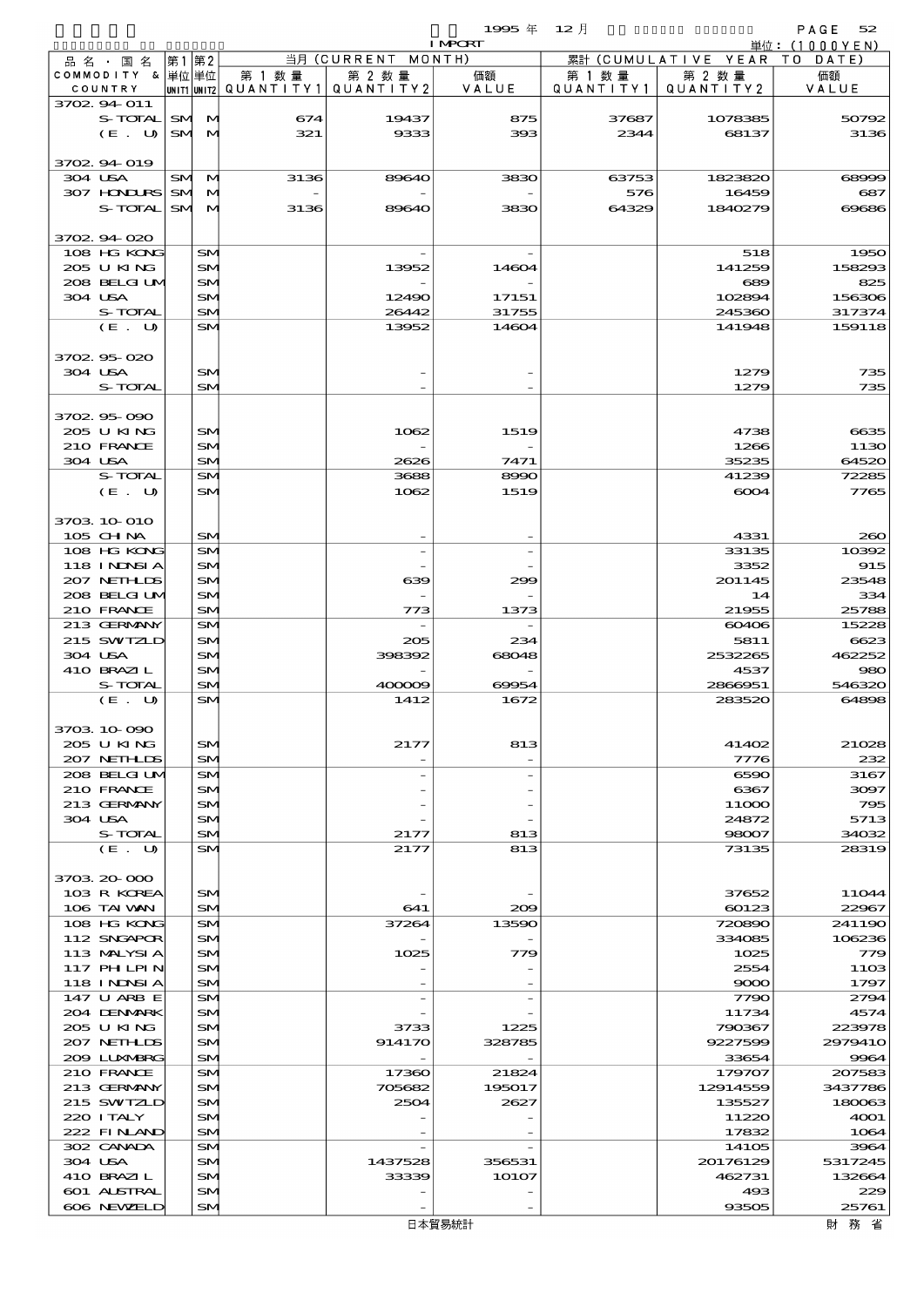$1995 \nleftrightarrow 12 \nparallel$  PAGE 52

|                            |      |          |        |                                       | <b>I MPORT</b>  |           |                              | 単位: (1000YEN)     |
|----------------------------|------|----------|--------|---------------------------------------|-----------------|-----------|------------------------------|-------------------|
| 品名・国名                      | 第1第2 |          |        | 当月 (CURRENT MONTH)                    |                 |           | 累計 (CUMULATIVE YEAR TO DATE) |                   |
| COMMODITY & 単位 単位          |      |          | 第 1 数量 | 第 2 数量                                | 価額              | 第 1 数 量   | 第 2 数量                       | 価額                |
| COUNTRY<br>3702 94 011     |      |          |        | unit1 unit2  QUANT   TY1  QUANT   TY2 | VALUE           | QUANTITY1 | QUANTITY 2                   | VALUE             |
| S-TOTAL SM M               |      |          | 674    | 19437                                 | 875             | 37687     | 1078385                      | 50792             |
| (E. U)                     |      | SM M     | 321    | 9333                                  | 393             | 2344      | 68137                        | 3136              |
|                            |      |          |        |                                       |                 |           |                              |                   |
| 3702 94 019                |      |          |        |                                       |                 |           |                              |                   |
| 304 USA                    |      | SM M     | 3136   | 89640                                 | 3830            | 63753     | 1823820                      | 68999             |
| 307 HONDURS SM M           |      |          |        |                                       |                 | 576       | 16459                        | 687               |
| S-TOTAL SM M               |      |          | 3136   | 89640                                 | 3830            | 64329     | 1840279                      | 69686             |
| 3702.94.020                |      |          |        |                                       |                 |           |                              |                   |
| 108 HG KONG                |      | SM       |        |                                       |                 |           | 518                          | 1950              |
| 205 U KING                 |      | SM       |        | 13952                                 | 14604           |           | 141259                       | 158293            |
| 208 BELGI UM               |      | SM       |        |                                       |                 |           | 689                          | 825               |
| 304 USA                    |      | SM       |        | 12490                                 | 17151           |           | 102894                       | 156306            |
| S-TOTAL                    |      | SM       |        | 26442                                 | 31755           |           | 245360                       | 317374            |
| (E. U)                     |      | SM       |        | 13952                                 | 14604           |           | 141948                       | 159118            |
| 3702 95 020                |      |          |        |                                       |                 |           |                              |                   |
| 304 USA                    |      | SM       |        |                                       |                 |           | 1279                         | 735               |
| S-TOTAL                    |      | SM       |        |                                       |                 |           | 1279                         | 735               |
|                            |      |          |        |                                       |                 |           |                              |                   |
| 3702 95 090                |      |          |        |                                       |                 |           |                              |                   |
| 205 U KING                 |      | SM       |        | 1062                                  | 1519            |           | 4738                         | 6635              |
| 210 FRANCE                 |      | SM       |        |                                       |                 |           | 1266                         | 1130              |
| 304 USA<br>S-TOTAL         |      | SM<br>SM |        | 2626<br>3688                          | 7471<br>8990    |           | 35235<br>41239               | 64520<br>72285    |
| (E. U)                     |      | SM       |        | 1062                                  | 1519            |           | 6004                         | 7765              |
|                            |      |          |        |                                       |                 |           |                              |                   |
| 3703 10 010                |      |          |        |                                       |                 |           |                              |                   |
| 105 CH NA                  |      | SM       |        |                                       |                 |           | 4331                         | 260               |
| 108 HG KONG                |      | SM       |        |                                       |                 |           | 33135                        | 10392             |
| 118 INNSI A                |      | SM       |        |                                       |                 |           | 3352                         | 915               |
| 207 NETHLIS                |      | SM       |        | 639                                   | 299             |           | 201145                       | 23548             |
| 208 BELGI UM<br>210 FRANCE |      | SM<br>SM |        | 773                                   | 1373            |           | 14<br>21955                  | 334<br>25788      |
| 213 GERMANY                |      | SM.      |        |                                       |                 |           | 60406                        | 15228             |
| 215 SWIZLD                 |      | SM       |        | 205                                   | 234             |           | 5811                         | 6623              |
| 304 USA                    |      | SM       |        | 398392                                | 68048           |           | 2532265                      | 462252            |
| 410 BRAZIL                 |      | SM       |        |                                       |                 |           | 4537                         | 980               |
| S-TOTAL                    |      | SM       |        | 400009                                | 69954           |           | 2866951                      | 546320            |
| (E. U)                     |      | SM       |        | 1412                                  | 1672            |           | 283520                       | 64898             |
| 3703 10 090                |      |          |        |                                       |                 |           |                              |                   |
| 205 U KING                 |      | SM       |        | 2177                                  | 813             |           | 41402                        | 21028             |
| 207 NETHLIS                |      | SM       |        |                                       |                 |           | 7776                         | 232               |
| 208 BELGI UM               |      | SM.      |        |                                       |                 |           | 6590                         | 3167              |
| 210 FRANCE                 |      | SM       |        |                                       |                 |           | 6367                         | 3097              |
| 213 GERMANY                |      | SM       |        |                                       |                 |           | 11000                        | 795               |
| 304 USA                    |      | SM       |        |                                       |                 |           | 24872                        | 5713              |
| S-TOTAL<br>(E. U)          |      | SM<br>SM |        | 2177<br>2177                          | 813<br>813      |           | 98007<br>73135               | 34032<br>28319    |
|                            |      |          |        |                                       |                 |           |                              |                   |
| 3703 20 000                |      |          |        |                                       |                 |           |                              |                   |
| 103 R KOREA                |      | SM       |        |                                       |                 |           | 37652                        | 11044             |
| 106 TAI VAN                |      | SM       |        | 641                                   | 209             |           | 60123                        | 22967             |
| 108 HG KONG                |      | SM       |        | 37264                                 | 13590           |           | 720890                       | 241190            |
| 112 SNGAPOR<br>113 MALYSIA |      | SM<br>SM |        | 1025                                  | 779             |           | 334085<br>1025               | 106236<br>779     |
| 117 PHLPIN                 |      | SM       |        |                                       |                 |           | 2554                         | 1103              |
| 118 I NDSI A               |      | SM       |        |                                       |                 |           | 9000                         | 1797              |
| 147 U ARB E                |      | SM       |        |                                       |                 |           | 7790                         | 2794              |
| 204 DENMARK                |      | SM       |        |                                       |                 |           | 11734                        | 4574              |
| 205 U KING                 |      | SM       |        | 3733                                  | 1225            |           | 790367                       | 223978            |
| 207 NETHLIS<br>209 LUXMBRG |      | SM<br>SM |        | 914170                                | 328785          |           | 9227599<br>33654             | 2979410<br>9964   |
| 210 FRANCE                 |      | SM       |        | 17360                                 | 21824           |           | 179707                       | 207583            |
| 213 GERMANY                |      | SM       |        | 705682                                | 195017          |           | 12914559                     | 3437786           |
| 215 SWIZLD                 |      | SM       |        | 2504                                  | 2627            |           | 135527                       | 180063            |
| 220 I TALY                 |      | SM       |        |                                       |                 |           | 11220                        | 4001              |
| 222 FINLAND                |      | SM       |        |                                       |                 |           | 17832                        | 1064              |
| 302 CANADA                 |      | SM       |        |                                       |                 |           | 14105                        | 3964              |
| 304 USA<br>410 BRAZIL      |      | SM<br>SM |        | 1437528<br>33339                      | 356531<br>1O1O7 |           | 20176129<br>462731           | 5317245<br>132664 |
| 601 ALSTRAL                |      | SM       |        |                                       |                 |           | 493                          | 229               |
| 606 NEWELD                 |      | SM       |        |                                       |                 |           | 93505                        | 25761             |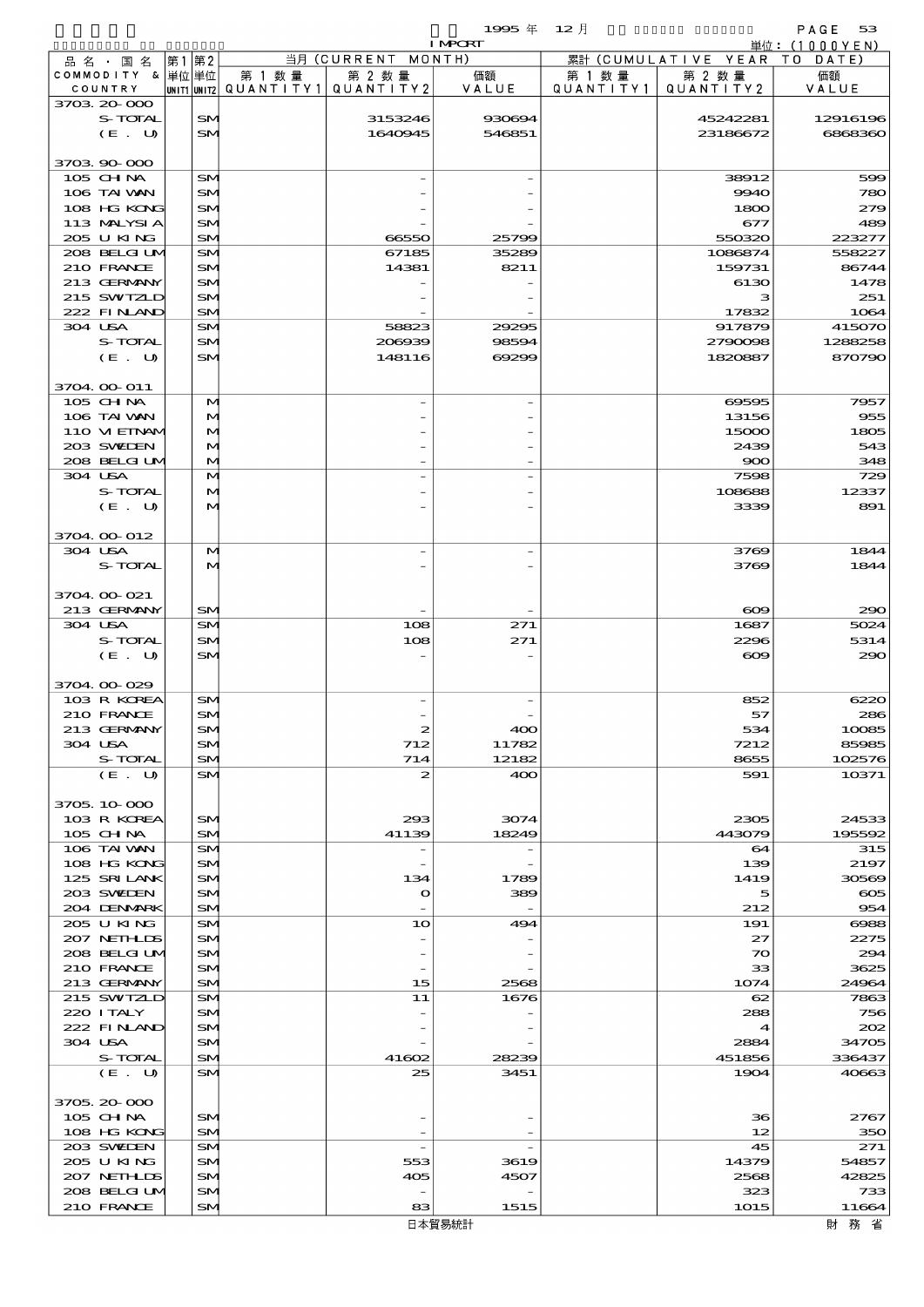$1995 \nless 12 \nless 12$ 

|         |                             |    |          |                                                  |                    | <b>I MPCRT</b> |                     |                              | 単位: (1000YEN)     |
|---------|-----------------------------|----|----------|--------------------------------------------------|--------------------|----------------|---------------------|------------------------------|-------------------|
|         | 品名・国名                       | 第1 | 第2       |                                                  | 当月 (CURRENT MONTH) |                |                     | 累計 (CUMULATIVE YEAR TO DATE) |                   |
|         | COMMODITY & 単位単位<br>COUNTRY |    |          | 第 1 数量<br> UNIT1 UNIT2  QUANT I TY1  QUANT I TY2 | 第 2 数量             | 価額<br>VALUE    | 第 1 数量<br>QUANTITY1 | 第 2 数量<br>QUANTITY 2         | 価額<br>VALUE       |
|         | 3703 20 000                 |    |          |                                                  |                    |                |                     |                              |                   |
|         | S-TOTAL                     |    | SM.      |                                                  | 3153246            | 930694         |                     | 45242281                     | 12916196          |
|         | (E. U)                      |    | SM.      |                                                  | 1640945            | 546851         |                     | 23186672                     | 6868360           |
|         | 3703 90 000                 |    |          |                                                  |                    |                |                     |                              |                   |
|         | 105 CH NA                   |    | SM       |                                                  |                    |                |                     | 38912                        | 599               |
|         | 106 TAI VAN                 |    | SM       |                                                  |                    |                |                     | 9940                         | 780               |
|         | 108 HG KONG                 |    | SM       |                                                  |                    |                |                     | 1800                         | 279               |
|         | 113 MALYSIA                 |    | SM       |                                                  |                    |                |                     | 677                          | 489               |
|         | 205 U KING                  |    | SM       |                                                  | 66550              | 25799          |                     | 550320                       | 223277            |
|         | 208 BELGI UM                |    | SM       |                                                  | 67185              | 35289          |                     | 1086874                      | 558227            |
|         | 210 FRANCE                  |    | SM       |                                                  | 14381              | 8211           |                     | 159731                       | 86744             |
|         | 213 GERMANY                 |    | SM       |                                                  |                    |                |                     | 6130                         | 1478              |
|         | 215 SWIZLD                  |    | SM       |                                                  |                    |                |                     | з                            | 251               |
|         | 222 FINAND                  |    | SM       |                                                  |                    |                |                     | 17832                        | 1064              |
|         | 304 USA                     |    | SM       |                                                  | 58823              | 29295          |                     | 917879                       | 415070            |
|         | S-TOTAL                     |    | SM       |                                                  | 206939             | 98594          |                     | 2790098                      | 1288258           |
|         | $(E_U U)$                   |    | SM.      |                                                  | 148116             | 69299          |                     | 1820887                      | 870790            |
|         |                             |    |          |                                                  |                    |                |                     |                              |                   |
|         | 3704 00 011<br>105 CHNA     |    | M        |                                                  |                    |                |                     | 69595                        | 7957              |
|         | 106 TAI VAN                 |    | M        |                                                  |                    |                |                     | 13156                        | 955               |
|         | 110 VI EINAM                |    | M        |                                                  |                    |                |                     | 15000                        | 1805              |
|         | 203 SWIDEN                  |    | M        |                                                  |                    |                |                     | 2439                         | 543               |
|         | 208 BELGI UM                |    | M        |                                                  |                    |                |                     | 900                          | 348               |
| 304 USA |                             |    | M        |                                                  |                    |                |                     | 7598                         | 729               |
|         | S-TOTAL                     |    | M        |                                                  |                    |                |                     | 108688                       | 12337             |
|         | (E. U)                      |    | M        |                                                  |                    |                |                     | 3339                         | 891               |
|         |                             |    |          |                                                  |                    |                |                     |                              |                   |
|         | 3704.00-012                 |    |          |                                                  |                    |                |                     |                              |                   |
| 304 USA |                             |    | M        |                                                  |                    |                |                     | 3769                         | 1844              |
|         | S-TOTAL                     |    | M        |                                                  |                    |                |                     | 3769                         | 1844              |
|         |                             |    |          |                                                  |                    |                |                     |                              |                   |
|         | 3704.00-021                 |    |          |                                                  |                    |                |                     |                              |                   |
|         | 213 GERMANY                 |    | SM       |                                                  |                    |                |                     | $\infty$                     | 290               |
| 304 USA |                             |    | SM       |                                                  | 108                | 271            |                     | 1687                         | 5024              |
|         | S-TOTAL                     |    | SM       |                                                  | 108                | 271            |                     | 2296                         | 5314              |
|         | (E. U)                      |    | SM.      |                                                  |                    |                |                     | $\infty$                     | 290               |
|         | 3704.00.029                 |    |          |                                                  |                    |                |                     |                              |                   |
|         | 103 R KOREA                 |    | SM       |                                                  |                    |                |                     | 852                          | 6220              |
|         | 210 FRANCE                  |    | SM       |                                                  |                    |                |                     | 57                           | 286               |
|         | 213 GERMANY                 |    | $5$      |                                                  |                    | 40C            |                     | 534                          | 10085             |
|         | 304 USA                     |    | SM       |                                                  | 712                | 11782          |                     | 7212                         | 85985             |
|         | S-TOTAL                     |    | SM       |                                                  | 714                | 12182          |                     | 8655                         | 102576            |
|         | (E. U)                      |    | SM       |                                                  | 2                  | 400            |                     | 591                          | 10371             |
|         |                             |    |          |                                                  |                    |                |                     |                              |                   |
|         | 3705, 10, 000               |    |          |                                                  |                    |                |                     |                              |                   |
|         | 103 R KOREA                 |    | SM       |                                                  | 293                | 3074           |                     | 2305                         | 24533             |
|         | 105 CHNA                    |    | SM       |                                                  | 41139              | 18249          |                     | 443079                       | 195592            |
|         | 106 TAI VAN                 |    | SM       |                                                  |                    |                |                     | 64                           | 315               |
|         | 108 HG KONG                 |    | SM       |                                                  |                    |                |                     | 139<br>1419                  | 2197              |
|         | 125 SRILANK<br>203 SWIDEN   |    | SM<br>SM |                                                  | 134<br>$\mathbf o$ | 1789<br>389    |                     | 5                            | 30569<br>$\infty$ |
|         | 204 DENMRK                  |    | SM       |                                                  |                    |                |                     | 212                          | 954               |
|         | 205 U KING                  |    | SM       |                                                  | 10                 | 494            |                     | 191                          | 6988              |
|         | 207 NETHLIDS                |    | SM       |                                                  |                    |                |                     | 27                           | 2275              |
|         | 208 BELGI UM                |    | SM       |                                                  |                    |                |                     | $\infty$                     | 294               |
|         | 210 FRANCE                  |    | SM       |                                                  |                    |                |                     | 33                           | 3625              |
|         | 213 GERMANY                 |    | SM       |                                                  | 15                 | 2568           |                     | 1074                         | 24964             |
|         | 215 SWIZLD                  |    | SM       |                                                  | 11                 | 1676           |                     | 62                           | 7863              |
|         | 220 I TALY                  |    | SM       |                                                  |                    |                |                     | 288                          | 756               |
|         | 222 FINAND                  |    | SM       |                                                  |                    |                |                     | 4                            | 202               |
|         | 304 USA                     |    | SM       |                                                  |                    |                |                     | 2884                         | 34705             |
|         | S-TOTAL                     |    | SM       |                                                  | 41602              | 28239          |                     | 451856                       | 336437            |
|         | (E. U)                      |    | SM       |                                                  | 25                 | 3451           |                     | 1904                         | 40663             |
|         |                             |    |          |                                                  |                    |                |                     |                              |                   |
|         | 3705, 20-000                |    |          |                                                  |                    |                |                     |                              |                   |
|         | 105 CH NA                   |    | SM       |                                                  |                    |                |                     | 36                           | 2767              |
|         | 108 HG KONG<br>203 SWIDEN   |    | SM<br>SM |                                                  |                    |                |                     | 12<br>45                     | 350<br>271        |
|         | 205 U KING                  |    | SM       |                                                  | 553                | 3619           |                     | 14379                        | 54857             |
|         | 207 NETHLIDS                |    | SM       |                                                  | 405                | 4507           |                     | 2568                         | 42825             |
|         | 208 BELGI UM                |    | SM.      |                                                  |                    |                |                     | 323                          | 733               |
|         | 210 FRANCE                  |    | SM       |                                                  | 83                 | 1515           |                     | 1015                         | 11664             |

財務省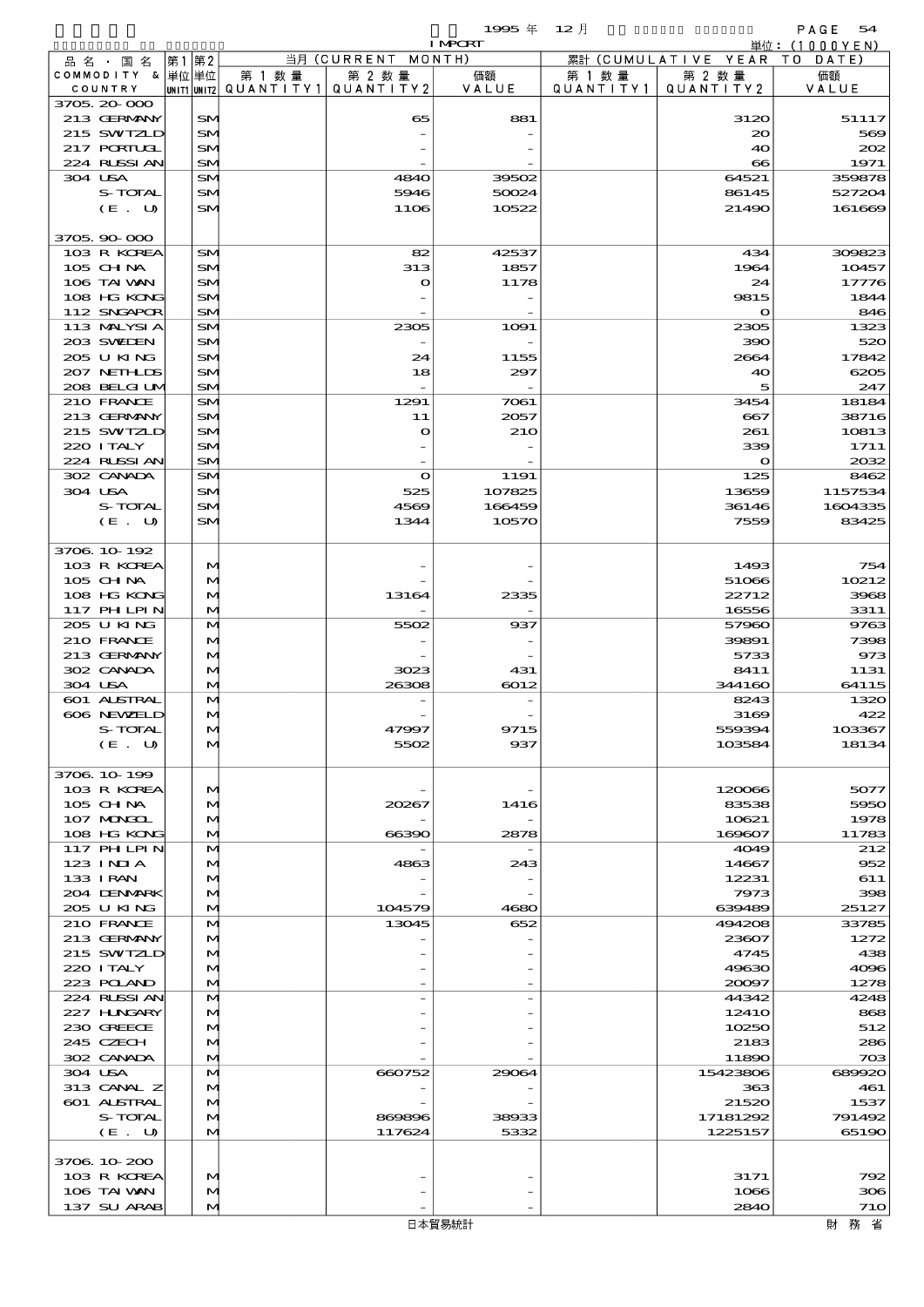|                               |    |              |                          |                              | 1995 $#$       | $12$ 月               |                               | PAGE<br>54       |
|-------------------------------|----|--------------|--------------------------|------------------------------|----------------|----------------------|-------------------------------|------------------|
|                               |    |              |                          |                              | <b>I MPORT</b> |                      |                               | 単位: (1000YEN)    |
| 品 名 ・ 国 名<br>COMMODITY & 単位単位 | 第1 | 第2           | 第 1 数量                   | 当月 (CURRENT MONTH)<br>第 2 数量 | 価額             |                      | 累計 (CUMULATIVE YEAR<br>第 2 数量 | TO DATE)<br>価額   |
| COUNTRY                       |    |              | unit1 unit2  Q∪ANT   TY1 | QUANTITY 2                   | VALUE          | 第 1 数 量<br>QUANTITY1 | QUANTITY 2                    | VALUE            |
| 3705, 20-000                  |    |              |                          |                              |                |                      |                               |                  |
| 213 GERMANY                   |    | <b>SM</b>    |                          | 65                           | 881            |                      | 3120                          | 51117            |
| 215 SWIZLD                    |    | SN           |                          |                              |                |                      | $_{\infty}$                   | 569              |
| 217 PORTUGL                   |    | SM           |                          |                              |                |                      | 40                            | 202              |
| 224 RLSSIAN                   |    | SM           |                          |                              |                |                      | $\infty$                      | 1971             |
| 304 USA<br>S-TOTAL            |    | SM<br>SM     |                          | 4840<br>5946                 | 39502<br>50024 |                      | 64521<br>86145                | 359878<br>527204 |
| $(E_U U)$                     |    | SM           |                          | 1106                         | 10522          |                      | 21490                         | 161669           |
|                               |    |              |                          |                              |                |                      |                               |                  |
| 3705.90-000                   |    |              |                          |                              |                |                      |                               |                  |
| 103 R KOREA                   |    | SM           |                          | 82                           | 42537          |                      | 434                           | 309823           |
| 105 CH NA                     |    | <b>SM</b>    |                          | 313                          | 1857           |                      | 1964                          | 10457            |
| 106 TAI VAN                   |    | <b>SM</b>    |                          | $\mathbf o$                  | 1178           |                      | 24                            | 17776            |
| 108 HG KONG                   |    | <b>SM</b>    |                          |                              |                |                      | 9815                          | 1844<br>846      |
| 112 SNGAPOR<br>113 MALYSIA    |    | SM<br>SM     |                          | 2305                         | 1091           |                      | $\mathbf o$<br>2305           | 1323             |
| 203 SWIDEN                    |    | <b>SM</b>    |                          |                              |                |                      | 390                           | 520              |
| 205 U KING                    |    | SN           |                          | 24                           | 1155           |                      | 2664                          | 17842            |
| 207 NETHLIS                   |    | <b>SM</b>    |                          | 18                           | 297            |                      | 40                            | 6205             |
| 208 BELGI UM                  |    | SM           |                          |                              |                |                      | 5                             | 247              |
| 210 FRANCE                    |    | SM           |                          | 1291                         | 7061           |                      | 3454                          | 18184            |
| 213 GERMANY                   |    | <b>SM</b>    |                          | 11                           | 2057           |                      | 667                           | 38716            |
| 215 SWIZLD                    |    | SN           |                          | $\bullet$                    | 210            |                      | 261                           | 10813            |
| 220 I TALY                    |    | <b>SM</b>    |                          |                              |                |                      | 339                           | 1711             |
| 224 RUSSIAN<br>302 CANADA     |    | SM<br>SM     |                          | $\mathbf{o}$                 | 1191           |                      | $\mathbf o$<br>125            | 2032<br>8462     |
| 304 USA                       |    | <b>SM</b>    |                          | 525                          | 107825         |                      | 13659                         | 1157534          |
| S-TOTAL                       |    | SN           |                          | 4569                         | 166459         |                      | 36146                         | 1604335          |
| (E. U)                        |    | SM           |                          | 1344                         | 10570          |                      | 7559                          | 83425            |
|                               |    |              |                          |                              |                |                      |                               |                  |
| 3706 10 192                   |    |              |                          |                              |                |                      |                               |                  |
| 103 R KOREA                   |    | M            |                          |                              |                |                      | 1493                          | 754              |
| 105 CHNA                      |    | M            |                          |                              |                |                      | 51066                         | 10212            |
| 108 HG KONG                   |    | M            |                          | 13164                        | 2335           |                      | 22712                         | 3968             |
| 117 PH LPIN<br>205 U KING     |    | M<br>M       |                          | 5502                         | 937            |                      | 16556<br>57960                | 3311<br>9763     |
| 210 FRANCE                    |    | M            |                          |                              |                |                      | 39891                         | 7398             |
| 213 GERMANY                   |    | M            |                          |                              |                |                      | 5733                          | 973              |
| 302 CANADA                    |    | $\mathbf{M}$ |                          | 3023                         | 431            |                      | 8411                          | 1131             |
| 304 USA                       |    | M            |                          | 26308                        | 6012           |                      | 344160                        | 64115            |
| 601 ALSTRAL                   |    | M            |                          |                              |                |                      | 8243                          | 1320             |
| 606 NEWELD                    |    |              |                          |                              |                |                      | 3169                          | 422              |
| S-TOTAL                       |    | M            |                          | 47997                        | 9715           |                      | 559394                        | 103367           |
| (E. U)                        |    | M            |                          | 5502                         | 937            |                      | 103584                        | 18134            |
| 3706 10 199                   |    |              |                          |                              |                |                      |                               |                  |
| 103 R KOREA                   |    | M            |                          |                              |                |                      | 120066                        | 5077             |
| 105 CH NA                     |    | M            |                          | 20267                        | 1416           |                      | 83538                         | 5950             |
| 107 MONGOL                    |    | M            |                          |                              |                |                      | 10621                         | 1978             |
| 108 HG KONG                   |    | M            |                          | 66390                        | 2878           |                      | 169607                        | 11783            |
| <b>117 PHLPIN</b>             |    | M            |                          |                              |                |                      | 4049                          | 212              |
| $123$ INIA                    |    | M            |                          | 4863                         | 243            |                      | 14667                         | 952              |
| 133 I RAN<br>204 DENMARK      |    | M<br>M       |                          |                              |                |                      | 12231<br>7973                 | 611<br>398       |
| 205 U KING                    |    | M            |                          | 104579                       | 4680           |                      | 639489                        | 25127            |
| 210 FRANCE                    |    | M            |                          | 13045                        | 652            |                      | 494208                        | 33785            |
| 213 GERMANY                   |    | M            |                          |                              |                |                      | 23607                         | 1272             |
| 215 SWIZLD                    |    | M            |                          |                              |                |                      | 4745                          | 438              |
| 220 I TALY                    |    | M            |                          |                              |                |                      | 49630                         | 4096             |
| 223 POLAND                    |    | M            |                          |                              |                |                      | 20097                         | 1278             |
| 224 RUSSI AN                  |    | M            |                          |                              |                |                      | 44342                         | 4248             |
| 227 H.NGARY<br>230 GREECE     |    | M            |                          |                              |                |                      | 1241O<br>10250                | 868<br>512       |
| 245 CZECH                     |    | M<br>M       |                          |                              |                |                      | 2183                          | 286              |
| 302 CANADA                    |    | M            |                          |                              |                |                      | 11890                         | 703              |
| 304 USA                       |    | M            |                          | 660752                       | 29064          |                      | 15423806                      | 689920           |
| 313 CANAL Z                   |    | $\mathbf{M}$ |                          |                              |                |                      | 363                           | 461              |
| 601 ALSTRAL                   |    | M            |                          |                              |                |                      | 21520                         | 1537             |
| S-TOTAL                       |    | M            |                          | 869896                       | 38933          |                      | 17181292                      | 791492           |
| (E. U)                        |    | M            |                          | 117624                       | 5332           |                      | 1225157                       | 65190            |
| 3706 10 200                   |    |              |                          |                              |                |                      |                               |                  |
| 103 R KOREA                   |    | M            |                          |                              |                |                      | 3171                          | 792              |
| 106 TAI VAN                   |    | M            |                          |                              |                |                      | 1066                          | 306              |
| 137 SU ARAB                   |    | M            |                          |                              |                |                      | 2840                          | 71O              |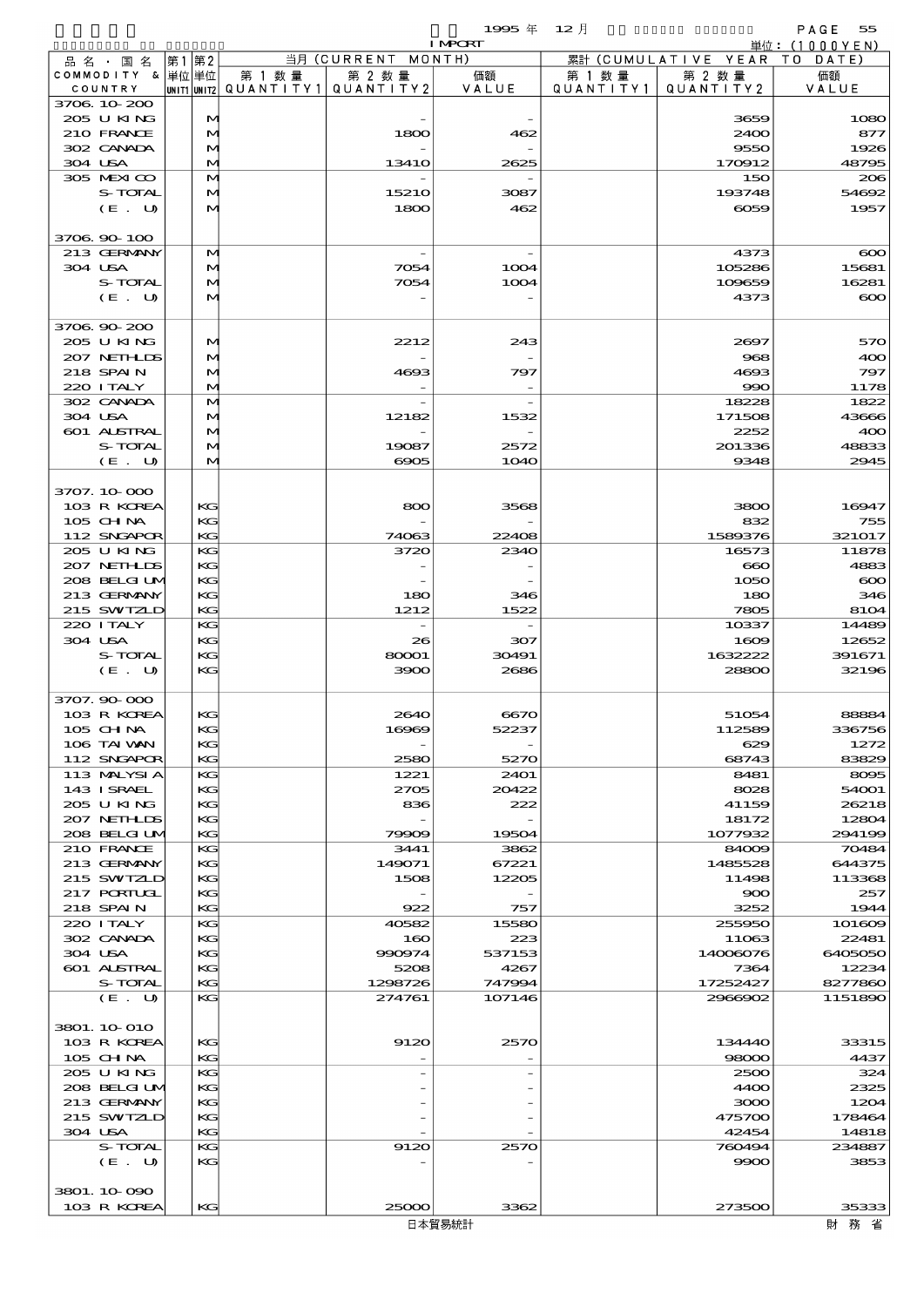$\overline{1995}$   $\overline{4}$   $\overline{12}$   $\overline{7}$   $\overline{12}$   $\overline{7}$   $\overline{5}$   $\overline{5}$   $\overline{5}$   $\overline{5}$   $\overline{12}$   $\overline{7}$   $\overline{12}$   $\overline{13}$   $\overline{13}$   $\overline{14}$   $\overline{15}$   $\overline{11}$   $\overline{13}$   $\overline{12}$   $\overline{15}$   $\overline{13}$   $\overline{12$ 

|                                  |       |                   |        |                                                  | <b>I MPORT</b>   |                     |                              | 単位: (1000 Y E N)   |
|----------------------------------|-------|-------------------|--------|--------------------------------------------------|------------------|---------------------|------------------------------|--------------------|
| 品名・国名                            | 第1 第2 |                   |        | 当月 (CURRENT MONTH)                               |                  |                     | 累計 (CUMULATIVE YEAR TO DATE) |                    |
| COMMODITY & 単位単位<br>COUNTRY      |       |                   | 第 1 数量 | 第 2 数量<br> UNIT1 UNIT2  QUANT I TY1  QUANT I TY2 | 価額<br>VALUE      | 第 1 数量<br>QUANTITY1 | 第 2 数量<br>QUANTITY 2         | 価額<br>VALUE        |
| 3706 10 200                      |       |                   |        |                                                  |                  |                     |                              |                    |
| 205 U KING                       |       | $\mathbf{M}$      |        |                                                  |                  |                     | 3659                         | 1080               |
| 210 FRANCE                       |       | M                 |        | 1800                                             | 462              |                     | 2400                         | 877                |
| 302 CANADA                       |       | M                 |        |                                                  |                  |                     | 9550                         | 1926               |
| 304 USA                          |       | $\bf M$           |        | 1341O                                            | 2625             |                     | 170912                       | 48795              |
| 305 MEXICO<br>S-TOTAL            |       | $\mathbf{M}$<br>M |        | 15210                                            | 3087             |                     | 150<br>193748                | 206<br>54692       |
| (E. U)                           |       | $\bf M$           |        | 1800                                             | 462              |                     | 6059                         | 1957               |
|                                  |       |                   |        |                                                  |                  |                     |                              |                    |
| 3706 90 100                      |       |                   |        |                                                  |                  |                     |                              |                    |
| 213 GERMANY                      |       | M                 |        |                                                  |                  |                     | 4373                         | $\infty$           |
| 304 USA                          |       | M                 |        | 7054                                             | 1004             |                     | 105286                       | 15681              |
| S-TOTAL<br>(E. U)                |       | M<br>м            |        | 7054                                             | 1004             |                     | 109659<br>4373               | 16281<br>$\infty$  |
|                                  |       |                   |        |                                                  |                  |                     |                              |                    |
| 3706 90 200                      |       |                   |        |                                                  |                  |                     |                              |                    |
| 205 U KING                       |       | M                 |        | 2212                                             | 243              |                     | 2697                         | 570                |
| 207 NETHLIS                      |       | M                 |        |                                                  |                  |                     | 968                          | 400                |
| <b>218 SPAIN</b>                 |       | $\mathbf{M}$      |        | 4693                                             | 797              |                     | 4693                         | 797                |
| 220 I TALY                       |       | м                 |        |                                                  |                  |                     | 990                          | 1178               |
| 302 CANADA<br>304 USA            |       | M<br>M            |        | 12182                                            | 1532             |                     | 18228<br>171508              | 1822<br>43666      |
| 601 ALSTRAL                      |       | M                 |        |                                                  |                  |                     | 2252                         | 400                |
| S-TOTAL                          |       | M                 |        | 19087                                            | 2572             |                     | 201336                       | 48833              |
| (E. U)                           |       | $\bf M$           |        | 6905                                             | <b>1O4O</b>      |                     | 9348                         | 2945               |
|                                  |       |                   |        |                                                  |                  |                     |                              |                    |
| 3707.10-000                      |       |                   |        |                                                  |                  |                     |                              |                    |
| 103 R KOREA                      |       | KG                |        | 800                                              | 3568             |                     | 3800                         | 16947              |
| 105 CH NA<br>112 SNGAPOR         |       | KG<br>KG          |        | 74063                                            | 22408            |                     | 832<br>1589376               | 755<br>321017      |
| 205 U KING                       |       | KG                |        | 3720                                             | 2340             |                     | 16573                        | 11878              |
| 207 NETHLIS                      |       | KG                |        |                                                  |                  |                     | $\bf{60}$                    | 4883               |
| 208 BELGILM                      |       | KG                |        |                                                  |                  |                     | 1050                         | $\infty$           |
| 213 GERMANY                      |       | KG                |        | 180                                              | 346              |                     | 180                          | 346                |
| 215 SWIZLD                       |       | KG                |        | 1212                                             | 1522             |                     | 7805                         | 8104               |
| 220 I TALY                       |       | KG                |        |                                                  |                  |                     | 10337                        | 14489              |
| 304 USA                          |       | KG                |        | 26<br>80001                                      | 307<br>30491     |                     | 1609                         | 12652              |
| S-TOTAL<br>(E. U)                |       | KG<br>KG          |        | 3900                                             | 2686             |                     | 1632222<br>28800             | 391671<br>32196    |
|                                  |       |                   |        |                                                  |                  |                     |                              |                    |
| 3707.90-000                      |       |                   |        |                                                  |                  |                     |                              |                    |
| 103 R KOREA                      |       | KG                |        | 2640                                             | 6670             |                     | 51054                        | 88884              |
| 105 CHNA                         |       | KG                |        | 16969                                            | 52237            |                     | 112589                       | 336756             |
| 106 TAI WAN                      |       | KG                |        |                                                  |                  |                     | 629                          | 1272               |
| 112 SNGAPOR<br>113 MALYSIA       |       | KC<br>KG          |        | 2580<br>1221                                     | 5270<br>2401     |                     | 68743<br>8481                | 83829<br>8095      |
| 143 ISRAEL                       |       | KC                |        | 2705                                             | 20422            |                     | 8028                         | 54001              |
| 205 U KING                       |       | KG                |        | 836                                              | 222              |                     | 41159                        | 26218              |
| 207 NETHLIS                      |       | KG                |        |                                                  |                  |                     | 18172                        | 12804              |
| 208 BELGI UM                     |       | KG                |        | 79909                                            | 19504            |                     | 1077932                      | 294199             |
| 210 FRANCE                       |       | KG                |        | 3441                                             | 3862             |                     | 84009                        | 70484              |
| 213 GERMANY                      |       | KC                |        | 149071                                           | 67221            |                     | 1485528                      | 644375             |
| 215 SWIZLD<br><b>217 PORTUGL</b> |       | KG<br>KG          |        | 1508                                             | 12205            |                     | 11498<br>900                 | 113368<br>257      |
| 218 SPAIN                        |       | KC                |        | 922                                              | 757              |                     | 3252                         | 1944               |
| 220 I TALY                       |       | KG                |        | 40582                                            | 15580            |                     | 255950                       | 101609             |
| 302 CANADA                       |       | KG                |        | 160                                              | 223              |                     | 11063                        | 22481              |
| 304 USA                          |       | KG                |        | 990974                                           | 537153           |                     | 14006076                     | 6405050            |
| 601 ALSTRAL                      |       | KG                |        | 5208                                             | 4267             |                     | 7364                         | 12234              |
| S-TOTAL<br>(E. U)                |       | KC<br>KG          |        | 1298726<br>274761                                | 747994<br>107146 |                     | 17252427<br>2966902          | 8277860<br>1151890 |
|                                  |       |                   |        |                                                  |                  |                     |                              |                    |
| 3801. 10 010                     |       |                   |        |                                                  |                  |                     |                              |                    |
| 103 R KOREA                      |       | KG                |        | 9120                                             | 2570             |                     | 134440                       | 33315              |
| 105 CH NA                        |       | KC                |        |                                                  |                  |                     | 98000                        | 4437               |
| 205 U KING                       |       | KG                |        |                                                  |                  |                     | 2500                         | 324                |
| 208 BELGI UM                     |       | KG                |        |                                                  |                  |                     | 4400                         | 2325               |
| 213 GERMANY<br>215 SWIZLD        |       | KG<br>KG          |        |                                                  |                  |                     | 3000<br>475700               | 1204<br>178464     |
| 304 USA                          |       | KC                |        |                                                  |                  |                     | 42454                        | 14818              |
| S-TOTAL                          |       | KG                |        | 9120                                             | 2570             |                     | 760494                       | 234887             |
| (E. U)                           |       | KG                |        |                                                  |                  |                     | 9900                         | 3853               |
|                                  |       |                   |        |                                                  |                  |                     |                              |                    |
| 3801. 10 090                     |       |                   |        |                                                  |                  |                     |                              |                    |
| 103 R KOREA                      |       | KC                |        | 25000                                            | 3362             |                     | 273500                       | 35333              |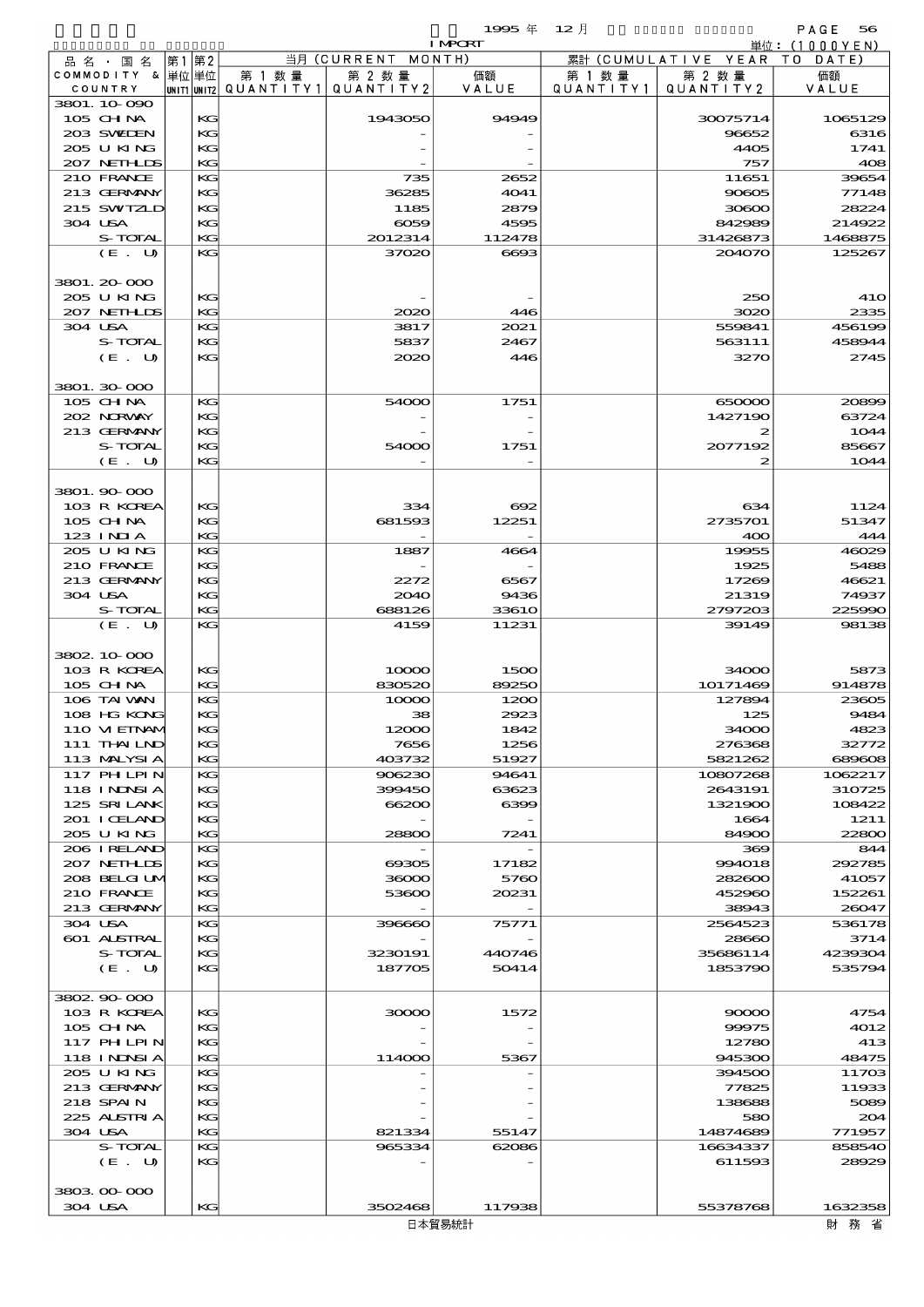|                             |         |    |          |                                                  |                    | 1995年          | $12$ 月               |                      | PAGE<br>56       |
|-----------------------------|---------|----|----------|--------------------------------------------------|--------------------|----------------|----------------------|----------------------|------------------|
|                             |         |    |          |                                                  |                    | <b>I MPORT</b> |                      |                      | 単位:(1000YEN)     |
| 品 名 ・ 国 名                   |         | 第1 | 第2       |                                                  | 当月 (CURRENT MONTH) |                |                      | 累計 (CUMULATIVE YEAR  | T O<br>DATE      |
| COMMODITY & 単位単位<br>COUNTRY |         |    |          | 第 1 数量<br> unit1 unit2  Q∪ANT   TY1  Q∪ANT   TY2 | 第 2 数量             | 価額<br>VALUE    | 第 1 数 量<br>QUANTITY1 | 第 2 数量<br>QUANTITY 2 | 価額<br>VALUE      |
| 3801.10090                  |         |    |          |                                                  |                    |                |                      |                      |                  |
| $105$ CHNA                  |         |    | KG       |                                                  | 1943050            | 94949          |                      | 30075714             | 1065129          |
| 203 SWIEN                   |         |    | KG       |                                                  |                    |                |                      | 96652                | 6316             |
| 205 U KING                  |         |    | KG       |                                                  |                    |                |                      | 4405                 | 1741             |
| 207 NETHLIS                 |         |    | KG       |                                                  |                    |                |                      | 757                  | 408              |
| 210 FRANCE                  |         |    | KG       |                                                  | 735                | 2652           |                      | 11651                | 39654            |
| 213 GERMANY                 |         |    | KG       |                                                  | 36285              | 4041           |                      | 90805                | 77148            |
| 215 SWIZLD                  |         |    | KG       |                                                  | 1185               | 2879           |                      | 30600                | 28224            |
| 304 USA                     |         |    | KG       |                                                  | $\infty$           | 4595           |                      | 842989               | 214922           |
|                             | S-TOTAL |    | KG       |                                                  | 2012314            | 112478         |                      | 31426873             | 1468875          |
|                             | (E. U)  |    | KG       |                                                  | 37020              | 6693           |                      | 204070               | 125267           |
|                             |         |    |          |                                                  |                    |                |                      |                      |                  |
| 3801. 20-000                |         |    |          |                                                  |                    |                |                      |                      |                  |
| 205 U KING                  |         |    | KG       |                                                  |                    |                |                      | 250                  | <b>41O</b>       |
| 207 NETHLIS                 |         |    | KG       |                                                  | 2020               | 446            |                      | 3020                 | 2335             |
| 304 USA                     |         |    | KG       |                                                  | 3817               | 2021           |                      | 559841               | 456199           |
|                             | S-TOTAL |    | KG       |                                                  | 5837               | 2467           |                      | 563111               | 458944           |
|                             | (E. U)  |    | KG       |                                                  | 2020               | 446            |                      | 3270                 | 2745             |
| 3801.30 000                 |         |    |          |                                                  |                    |                |                      |                      |                  |
|                             |         |    |          |                                                  | 54000              |                |                      |                      |                  |
| $105$ CHNA<br>202 NRWAY     |         |    | KG<br>KG |                                                  |                    | 1751           |                      | 650000<br>1427190    | 20899<br>63724   |
| 213 GERMANY                 |         |    | KG       |                                                  |                    |                |                      | 2                    | 1044             |
|                             | S-TOTAL |    | KG       |                                                  | 54000              | 1751           |                      | 2077192              | 85667            |
|                             | (E. U)  |    | KG       |                                                  |                    |                |                      | 2                    | 1044             |
|                             |         |    |          |                                                  |                    |                |                      |                      |                  |
| 3801.90.000                 |         |    |          |                                                  |                    |                |                      |                      |                  |
| 103 R KOREA                 |         |    | KG       |                                                  | 334                | 692            |                      | 634                  | 1124             |
| 105 CH NA                   |         |    | KG       |                                                  | 681593             | 12251          |                      | 2735701              | 51347            |
| $123$ INIA                  |         |    | KG       |                                                  |                    |                |                      | 400                  | 444              |
| 205 U KING                  |         |    | KG       |                                                  | 1887               | 4664           |                      | 19955                | 46029            |
| 210 FRANCE                  |         |    | KG       |                                                  |                    |                |                      | 1925                 | 5488             |
| 213 GERMANY                 |         |    | KG       |                                                  | 2272               | 6567           |                      | 17269                | 46621            |
| 304 USA                     |         |    | KG       |                                                  | 2040               | 9436           |                      | 21319                | 74937            |
|                             | S-TOTAL |    | KG       |                                                  | 688126             | 33610          |                      | 2797203              | 225990           |
|                             | (E. U)  |    | KG       |                                                  | 4159               | 11231          |                      | 39149                | 98138            |
|                             |         |    |          |                                                  |                    |                |                      |                      |                  |
| 3802 10 000                 |         |    |          |                                                  |                    |                |                      |                      |                  |
| 103 R KOREA                 |         |    | KG       |                                                  | 10000              | 1500           |                      | 34000                | 5873             |
| 105 CHNA                    |         |    | KG       |                                                  | 830520             | 89250          |                      | 10171469             | 914878           |
| 106 TAI WAN                 |         |    | KG       |                                                  | 10000              | 1200           |                      | 127894               | 23605            |
| 108 HG KONG                 |         |    | KG       |                                                  | 38                 | 2923           |                      | 125                  | 9484             |
| 110 VIEINAM                 |         |    | KG       |                                                  | 12000              | 1842           |                      | 34000                | 4823             |
| 111 THAILND                 |         |    | KG       |                                                  | 7656               | 1256           |                      | 276368               | 32772            |
| 113 MALYSIA                 |         |    | KG<br>KG |                                                  | 403732             | 51927          |                      | 5821262              | 689608           |
| 117 PH LPIN                 |         |    |          |                                                  | 906230             | 94641          |                      | 10807268             | 1062217          |
| 118 I NDSI A<br>125 SRILANK |         |    | KG<br>KG |                                                  | 399450<br>66200    | 63623<br>6399  |                      | 2643191<br>1321900   | 310725<br>108422 |
| 201 I CELAND                |         |    | KG       |                                                  |                    |                |                      | 1664                 | 1211             |
| 205 U KING                  |         |    | KG       |                                                  | 28800              | 7241           |                      | 84900                | 22800            |
| 206 IRELAND                 |         |    | KG       |                                                  |                    |                |                      | 369                  | 844              |
| 207 NETHLIDS                |         |    | KG       |                                                  | 69305              | 17182          |                      | 994018               | 292785           |
| 208 BELGI UM                |         |    | KG       |                                                  | 36000              | 5760           |                      | 282600               | 41057            |
| 210 FRANCE                  |         |    | KG       |                                                  | 53600              | 20231          |                      | 452960               | 152261           |
| 213 GERMANY                 |         |    | KG       |                                                  |                    |                |                      | 38943                | 26047            |
| 304 USA                     |         |    | KG       |                                                  | 396660             | 75771          |                      | 2564523              | 536178           |
| <b>601 ALSTRAL</b>          |         |    | KG       |                                                  |                    |                |                      | 28660                | 3714             |
|                             | S-TOTAL |    | KG       |                                                  | 3230191            | 440746         |                      | 35686114             | 4239304          |
|                             | (E. U)  |    | KG       |                                                  | 187705             | 50414          |                      | 1853790              | 535794           |
|                             |         |    |          |                                                  |                    |                |                      |                      |                  |
| 3802 90 000                 |         |    |          |                                                  |                    |                |                      |                      |                  |
| 103 R KOREA                 |         |    | KG       |                                                  | 30000              | 1572           |                      | 90000                | 4754             |
| 105 CH NA                   |         |    | KG       |                                                  |                    |                |                      | 99975                | 4012             |
| 117 PH LPIN                 |         |    | KG       |                                                  |                    |                |                      | 12780                | 413              |
| 118 I NDSI A                |         |    | KG       |                                                  | 114000             | 5367           |                      | 945300               | 48475            |
| 205 U KING                  |         |    | KG       |                                                  |                    |                |                      | 394500               | 11703            |
| 213 GERMANY                 |         |    | KG       |                                                  |                    |                |                      | 77825                | 11933            |
| 218 SPAIN                   |         |    | KG       |                                                  |                    |                |                      | 138688               | 5089             |
| 225 ALSTRIA<br>304 USA      |         |    | KG<br>KG |                                                  | 821334             |                |                      | 580<br>14874689      | 204<br>771957    |
|                             | S-TOTAL |    | KG       |                                                  | 965334             | 55147<br>62086 |                      | 16634337             | 858540           |
|                             | (E. U)  |    | KG       |                                                  |                    |                |                      | 611593               | 28929            |
|                             |         |    |          |                                                  |                    |                |                      |                      |                  |
| 3803 00 000                 |         |    |          |                                                  |                    |                |                      |                      |                  |
| 304 USA                     |         |    | KG       |                                                  | 3502468            | 117938         |                      | 55378768             | 1632358          |
|                             |         |    |          |                                                  |                    |                |                      |                      |                  |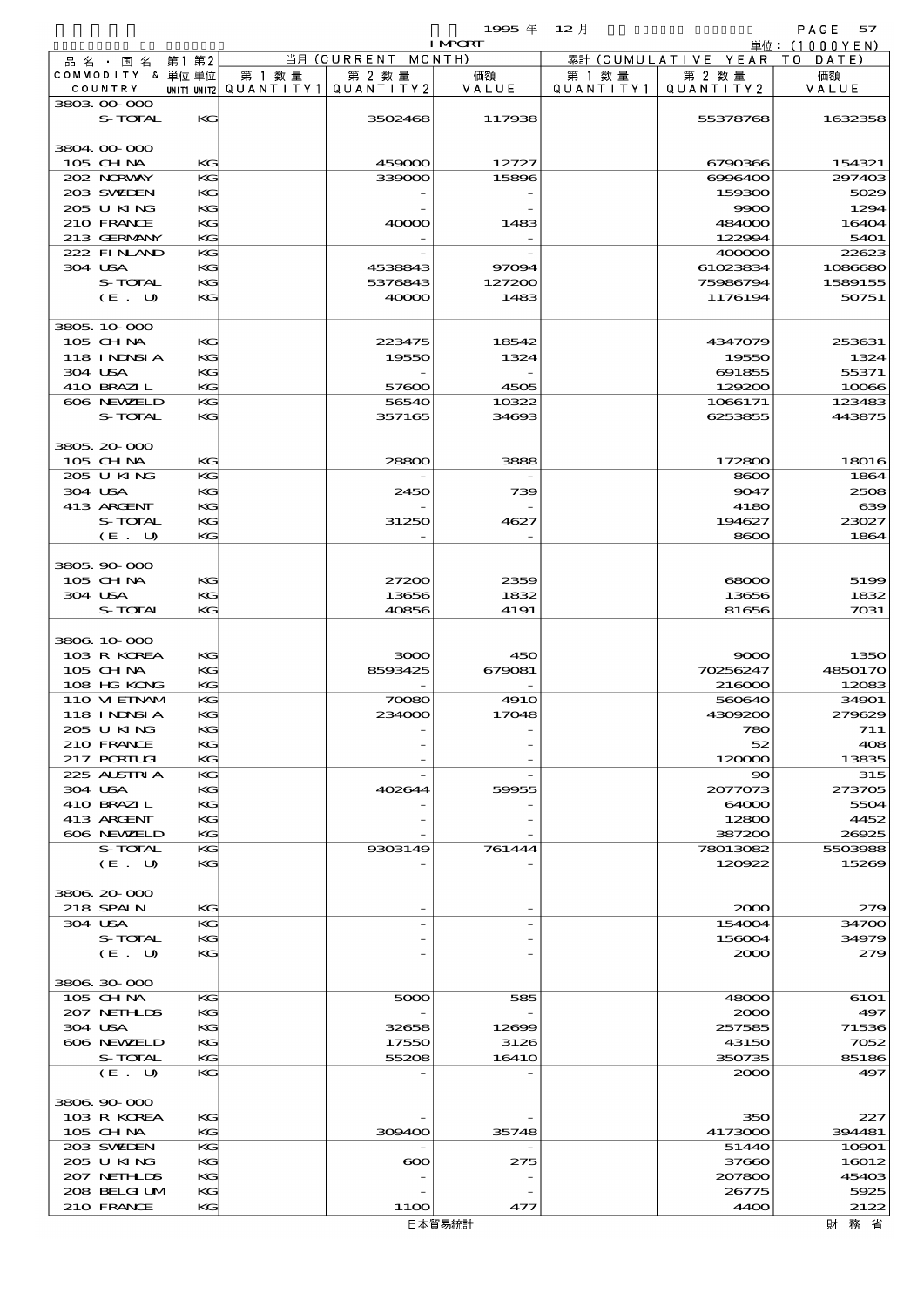$1995 \nsubseteq 12 \nexists$ 

| <b>I MPORT</b>              |          |        |                                                  |                      |                      |                              | 単位: (1000YEN) |
|-----------------------------|----------|--------|--------------------------------------------------|----------------------|----------------------|------------------------------|---------------|
| 品名・国名                       | 第1第2     |        | 当月 (CURRENT MONTH)                               |                      |                      | 累計 (CUMULATIVE YEAR TO DATE) |               |
| COMMODITY & 単位単位<br>COUNTRY |          | 第 1 数量 | 第 2 数量<br> UNIT1 UNIT2  QUANT   TY1  QUANT   TY2 | 価額<br>VALUE          | 第 1 数 量<br>QUANTITY1 | 第 2 数量<br>QUANTITY 2         | 価額<br>VALUE   |
| 3803 00 000                 |          |        |                                                  |                      |                      |                              |               |
| S-TOTAL                     | KG       |        | 3502468                                          | 117938               |                      | 55378768                     | 1632358       |
| 3804.00.000                 |          |        |                                                  |                      |                      |                              |               |
| 105 CH NA                   | KG       |        | 459000                                           | 12727                |                      | 6790366                      | 154321        |
| 202 NORWAY                  | KG       |        | 339000                                           | 15896                |                      | 6996400                      | 297403        |
| 203 SWIDEN<br>205 U KING    | КG<br>KG |        |                                                  |                      |                      | 159300                       | 5029          |
| 210 FRANCE                  | KG       |        | 40000                                            | 1483                 |                      | 9900<br>484000               | 1294<br>16404 |
| 213 GERMANY                 | KG.      |        |                                                  |                      |                      | 122994                       | 5401          |
| 222 FINAND                  | KG       |        |                                                  |                      |                      | 400000                       | 22623         |
| 304 USA                     | KG       |        | 4538843                                          | 97094                |                      | 61023834                     | 1086680       |
| S-TOTAL                     | KG       |        | 5376843                                          | 127200               |                      | 75986794                     | 1589155       |
| (E. U)                      | KG       |        | 40000                                            | 1483                 |                      | 1176194                      | 50751         |
| 3805 10 000                 |          |        |                                                  |                      |                      |                              |               |
| 105 CHNA                    | KG       |        | 223475                                           | 18542                |                      | 4347079                      | 253631        |
| 118 I NDSI A<br>304 USA     | KG<br>KG |        | 19550                                            | 1324                 |                      | 19550                        | 1324<br>55371 |
| 410 BRAZIL                  | KG.      |        | 57600                                            | 4505                 |                      | 691855<br>129200             | 10066         |
| 606 NEWELD                  | KG       |        | 56540                                            | 10322                |                      | 1066171                      | 123483        |
| S-TOTAL                     | KG       |        | 357165                                           | 34693                |                      | 6253855                      | 443875        |
| 3805 20 000                 |          |        |                                                  |                      |                      |                              |               |
| 105 CH NA                   | $K$ $G$  |        | 28800                                            | 3888                 |                      | 172800                       | 18016         |
| 205 U KING                  | KG       |        |                                                  |                      |                      | 8600                         | 1864          |
| 304 USA                     | $K$ $G$  |        | 2450                                             | 739                  |                      | 9047                         | 2508          |
| 413 ARCENT                  | KG       |        |                                                  |                      |                      | 4180                         | 639           |
| S-TOTAL                     | KG       |        | 31250                                            | 4627                 |                      | 194627                       | 23027         |
| (E. U)                      | KG.      |        |                                                  |                      |                      | 8600                         | 1864          |
| 3805, 90-000                |          |        |                                                  |                      |                      |                              |               |
| 105 CH NA                   | KG       |        | 27200                                            | 2359                 |                      | $\infty$                     | 5199          |
| 304 USA                     | KG       |        | 13656                                            | 1832                 |                      | 13656                        | 1832          |
| S-TOTAL                     | KG       |        | 40856                                            | 4191                 |                      | 81656                        | 7031          |
| 3806 10 000                 |          |        |                                                  |                      |                      |                              |               |
| 103 R KOREA                 | KG       |        | 3000                                             | 450                  |                      | 9000                         | 1350          |
| 105 CHNA                    | KG       |        | 8593425                                          | 679081               |                      | 70256247                     | 4850170       |
| 108 HG KONG                 | KG.      |        |                                                  |                      |                      | 216000                       | 12083         |
| 110 VIEINAM                 | KG       |        | 70080                                            | 491O                 |                      | 560640                       | 34901         |
| 118 INNSI A                 | KG       |        | 234000                                           | 17048                |                      | 4309200                      | 279629        |
| 205 U KING                  | KG       |        |                                                  |                      |                      | 780                          | 711           |
| 210 FRANCE                  | КG       |        |                                                  |                      |                      | 52                           | 408           |
| 217 PORIUGI                 | KG       |        |                                                  |                      |                      | 120000                       | 13835         |
| 225 ALSTRIA<br>304 USA      | KG<br>KG |        | 402644                                           | 59955                |                      | $\infty$<br>2077073          | 315<br>273705 |
| 410 BRAZIL                  | KG       |        |                                                  |                      |                      | 64000                        | 5504          |
| 413 ARCENT                  | KG       |        |                                                  |                      |                      | 12800                        | 4452          |
| 606 NEWELD                  | KG       |        |                                                  |                      |                      | 387200                       | 26925         |
| S-TOTAL                     | KG       |        | 9303149                                          | 761444               |                      | 78013082                     | 5503988       |
| (E U)                       | KG       |        |                                                  |                      |                      | 120022                       | 15269         |
| 3806.20-000                 |          |        |                                                  |                      |                      |                              |               |
| 218 SPAIN                   | KG       |        |                                                  |                      |                      | 2000                         | 279           |
| 304 USA                     | KG       |        |                                                  |                      |                      | 154004                       | 34700         |
| S-TOTAL<br>(E U)            | KG<br>KG |        |                                                  |                      |                      | 156004<br>2000               | 34979<br>279  |
|                             |          |        |                                                  |                      |                      |                              |               |
| 3806 30 000                 |          |        |                                                  |                      |                      |                              |               |
| 105 CHNA                    | KG       |        | 5000                                             | 585                  |                      | 48000                        | 6101          |
| 207 NETHLIS                 | KG       |        |                                                  |                      |                      | 2000                         | 497           |
| 304 USA                     | KG       |        | 32658                                            | 12699                |                      | 257585                       | 71536         |
| 606 NEWELD<br>S-TOTAL       | KG<br>KG |        | 17550<br>55208                                   | 3126<br><b>16410</b> |                      | 43150<br>350735              | 7052<br>85186 |
| (E. U)                      | KG       |        |                                                  |                      |                      | 2000                         | 497           |
|                             |          |        |                                                  |                      |                      |                              |               |
| 3806.90-000<br>103 R KOREA  | KG       |        |                                                  |                      |                      | 350                          | 227           |
| $105$ CHNA                  | KG       |        | 309400                                           | 35748                |                      | 4173000                      | 394481        |
| 203 SWELEN                  | KG       |        |                                                  |                      |                      | 51440                        | 10901         |
| 205 U KING                  | KG       |        | $\boldsymbol{\infty}$                            | 275                  |                      | 37660                        | 16012         |
| 207 NETHLIS                 | KG       |        |                                                  |                      |                      | 207800                       | 45403         |
| 208 BELGI UM                | KG       |        |                                                  |                      |                      | 26775                        | 5925          |
| 210 FRANCE                  | KG       |        | 11OO                                             | 477                  |                      | 4400                         | 2122          |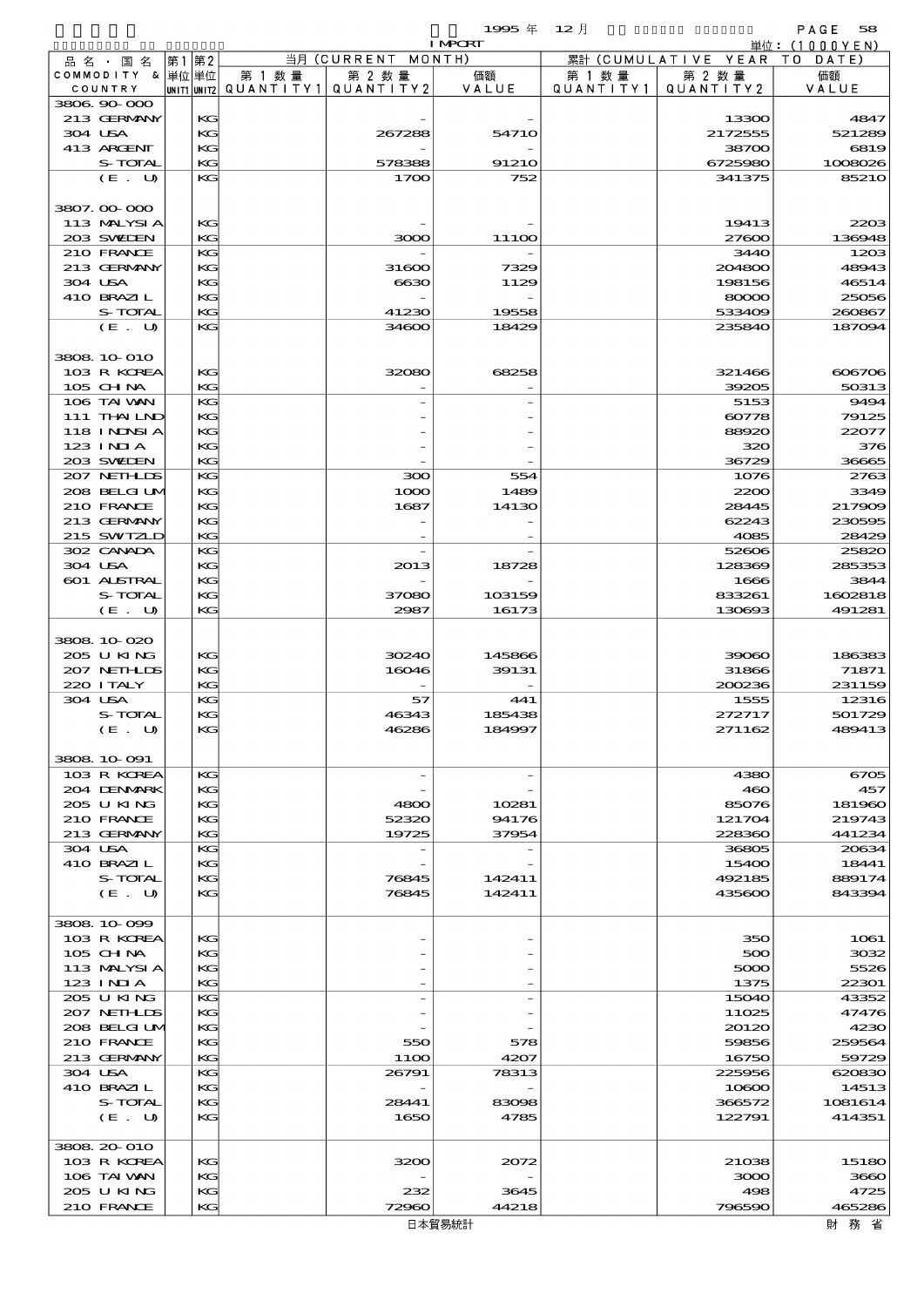|                           |          |                                       |                    | 1995年 12月      |           |                              | PAGE<br>58      |
|---------------------------|----------|---------------------------------------|--------------------|----------------|-----------|------------------------------|-----------------|
|                           |          |                                       |                    | <b>I MPORT</b> |           |                              | 単位: $(1000YEN)$ |
| 品 名 ・ 国 名                 | 第1第2     |                                       | 当月 (CURRENT MONTH) |                |           | 累計 (CUMULATIVE YEAR TO DATE) |                 |
| COMMODITY & 単位単位          |          | 第 1 数 量                               | 第 2 数量             | 価額             | 第 1 数 量   | 第 2 数量                       | 価額              |
| COUNTRY                   |          | unit1 unit2  Q∪ANT   TY1  Q∪ANT   TY2 |                    | VALUE          | QUANTITY1 | QUANTITY2                    | VALUE           |
| 3806 90 000               |          |                                       |                    |                |           |                              |                 |
| 213 GERMANY               | KG       |                                       |                    |                |           | 13300                        | 4847            |
| 304 USA                   | KG       |                                       | 267288             | 54710          |           | 2172555                      | 521289          |
| 413 ARCENT                | KG       |                                       |                    |                |           | 38700                        | 6819            |
| S-TOTAL                   | KG<br>KG |                                       | 578388             | 91210<br>752   |           | 6725980<br>341375            | 1008026         |
| (E. U)                    |          |                                       | 1700               |                |           |                              | 8521O           |
| 3807.00.000               |          |                                       |                    |                |           |                              |                 |
| 113 MALYSIA               | KG       |                                       |                    |                |           | 19413                        | 2203            |
| 203 SWIEN                 | KG       |                                       | 3000               | 111OO          |           | 27600                        | 136948          |
| 210 FRANCE                | KG       |                                       |                    |                |           | 3440                         | 1203            |
| 213 GERMANY               | KG       |                                       | 31600              | 7329           |           | 204800                       | 48943           |
| 304 USA                   | KG       |                                       | 6630               | 1129           |           | 198156                       | 46514           |
| 410 BRAZIL                | KG       |                                       |                    |                |           | 80000                        | 25056           |
| S-TOTAL                   | KG       |                                       | 41230              | 19558          |           | 533409                       | 260867          |
| $(E_U U)$                 | KG       |                                       | 34600              | 18429          |           | 235840                       | 187094          |
|                           |          |                                       |                    |                |           |                              |                 |
| 3808 10 010               |          |                                       |                    |                |           |                              |                 |
| 103 R KOREA               | KG       |                                       | 32080              | 68258          |           | 321466                       | 606706          |
| 105 CHNA                  | KG       |                                       |                    |                |           | 39205                        | 50313           |
| 106 TAI VAN               | KG       |                                       |                    |                |           | 5153                         | 9494            |
| $111$ THAILND             | KG       |                                       |                    |                |           | 60778                        | 79125           |
| <b>118 INNSIA</b>         | KG       |                                       |                    |                |           | 88920                        | 22077           |
| $123$ $1$ NIA             | KG       |                                       |                    |                |           | 320                          | 376             |
| 203 SWIEN                 | KG       |                                       |                    |                |           | 36729                        | 36665           |
| 207 NETHLIS               | KG       |                                       | 300                | 554            |           | 1076                         | 2763            |
| 208 BELGI UM              | KG       |                                       | 1000               | 1489           |           | 2200                         | 3349            |
| 210 FRANCE                | KG       |                                       | 1687               | 14130          |           | 28445                        | 217909          |
| 213 GERMANY               | KG       |                                       |                    |                |           | 62243                        | 230595          |
| 215 SWIZLD                | KG       |                                       |                    |                |           | 4085                         | 28429           |
| 302 CANADA                | KG       |                                       |                    |                |           | 52606                        | 25820           |
| 304 USA                   | KG       |                                       | 2013               | 18728          |           | 128369                       | 285353          |
| 601 ALSTRAL               | KG       |                                       |                    |                |           | 1666                         | 3844            |
| S-TOTAL                   | KG       |                                       | 37080              | 103159         |           | 833261                       | 1602818         |
| (E. U)                    | KG       |                                       | 2987               | 16173          |           | 130693                       | 491281          |
|                           |          |                                       |                    |                |           |                              |                 |
| 3808 10 020               |          |                                       |                    |                |           |                              |                 |
| 205 U KING                | KG       |                                       | 30240              | 145866         |           | 39060                        | 186383          |
| 207 NETHLIS               | KG       |                                       | 16046              | 39131          |           | 31866                        | 71871           |
| 220 I TALY                | KG       |                                       |                    |                |           | 200236                       | 231159          |
| 304 USA                   | KG       |                                       | 57                 | 441            |           | 1555                         | 12316           |
| S-TOTAL                   | KG       |                                       | 46343              | 185438         |           | 272717                       | 501729          |
| (E. U)                    | KG       |                                       | 46286              | 184997         |           | 271162                       | 489413          |
|                           |          |                                       |                    |                |           |                              |                 |
| 3808 10 091               |          |                                       |                    |                |           |                              |                 |
| 103 R KOREA               | KG       |                                       |                    |                |           | 4380                         | 6705            |
| 204 DENMARK<br>205 U KING | KG<br>KG |                                       | 4800               | 10281          |           | 460<br>85076                 | 457<br>181960   |
| 210 FRANCE                | KG       |                                       | 52320              | 94176          |           | 121704                       | 219743          |
|                           | KG       |                                       | 19725              | 37954          |           | 228360                       |                 |
| 213 GERMANY<br>304 USA    | KG       |                                       |                    |                |           | 36805                        | 441234<br>20634 |
| 410 BRAZIL                | KG       |                                       |                    |                |           | 15400                        | 18441           |
| S-TOTAL                   | KG       |                                       | 76845              | 142411         |           | 492185                       | 889174          |
| (E. U)                    | KG       |                                       | 76845              | 142411         |           | 435600                       | 843394          |
|                           |          |                                       |                    |                |           |                              |                 |
| 3808 10 099               |          |                                       |                    |                |           |                              |                 |
| 103 R KOREA               | KG       |                                       |                    |                |           | 350                          | 1061            |
| 105 CH NA                 | KG       |                                       |                    |                |           | 500                          | 3032            |
| 113 MALYSIA               | KG       |                                       |                    |                |           | 5000                         | 5526            |
| $123$ INIA                | KG       |                                       |                    |                |           | 1375                         | 22301           |
| 205 U KING                | KG       |                                       |                    |                |           | 15040                        | 43352           |
| 207 NETHLIS               | KG       |                                       |                    |                |           | 11025                        | 47476           |
| 208 BELGI UM              | KG       |                                       |                    |                |           | 20120                        | 4230            |
| 210 FRANCE                | KG       |                                       | 550                | 578            |           | 59856                        | 259564          |
| 213 GERMANY               | KG       |                                       | 11OO               | 4207           |           | 16750                        | 59729           |
| 304 USA                   | KG       |                                       | 26791              | 78313          |           | 225956                       | 620830          |
| 410 BRAZIL                | KG       |                                       |                    |                |           | 10800                        | 14513           |
| S-TOTAL                   | KG       |                                       | 28441              | 83098          |           | 366572                       | 1081614         |
| (E. U)                    | KG       |                                       | 1650               | 4785           |           | 122791                       | 414351          |
|                           |          |                                       |                    |                |           |                              |                 |
| 3808 20 010               |          |                                       |                    |                |           |                              |                 |
| 103 R KOREA               | KG       |                                       | 3200               | 2072           |           | 21038                        | 15180           |
| 106 TAI VAN               | KG       |                                       |                    |                |           | 3000                         | 3660            |
| 205 U KING                | KG       |                                       | 232                | 3645           |           | 498                          | 4725            |
| 210 FRANCE                | KG       |                                       | 72960              | 44218          |           | 796590                       | 465286          |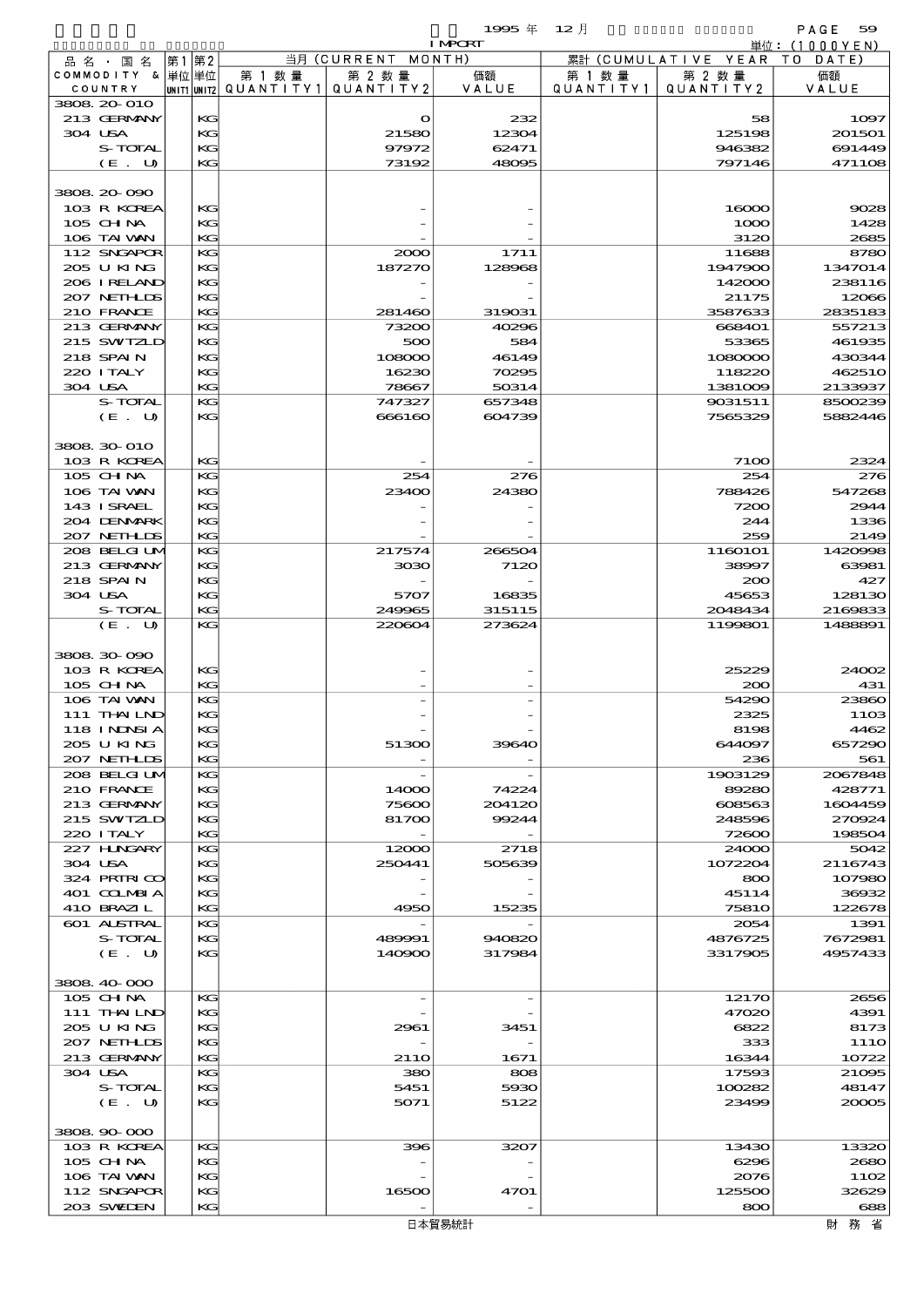$1995 \nless 12 \nless 12$ 

|         |                               |          |        |                                 | <b>I MPORT</b> |           |                              | 単位:(1000YEN)             |
|---------|-------------------------------|----------|--------|---------------------------------|----------------|-----------|------------------------------|--------------------------|
|         | 品名・国名                         | 第1 第2    |        | 当月 (CURRENT MONTH)              |                |           | 累計 (CUMULATIVE YEAR TO DATE) |                          |
|         | COMMODITY & 単位単位              |          | 第 1 数量 | 第 2 数量                          | 価額             | 第 1 数 量   | 第 2 数量                       | 価額                       |
|         | COUNTRY<br>3808 20 010        |          |        | UNIT1 UNIT2 QUANTITY1 QUANTITY2 | VALUE          | QUANTITY1 | QUANTITY 2                   | VALUE                    |
|         | 213 GERMANY                   | KG       |        | $\circ$                         | 232            |           | 58                           | 1097                     |
| 304 USA |                               | KG       |        | 21580                           | 12304          |           | 125198                       | 201501                   |
|         | S-TOTAL                       | KG       |        | 97972                           | 62471          |           | 946382                       | 691449                   |
|         | (E. U)                        | KG       |        | 73192                           | 48095          |           | 797146                       | 471108                   |
|         |                               |          |        |                                 |                |           |                              |                          |
|         | 3808 20 090                   |          |        |                                 |                |           |                              |                          |
|         | 103 R KOREA                   | KG       |        |                                 |                |           | 16000                        | 9028                     |
|         | 105 CHNA<br>106 TAI VAN       | KG<br>KG |        |                                 |                |           | 1000<br>3120                 | 1428<br>2685             |
|         | 112 SNGAPOR                   | KG       |        | 2000                            | 1711           |           | 11688                        | 8780                     |
|         | 205 U KING                    | КG       |        | 187270                          | 128968         |           | 1947900                      | 1347014                  |
|         | 206 IRELAND                   | KG       |        |                                 |                |           | 142000                       | 238116                   |
|         | 207 NETHLIS                   | KС       |        |                                 |                |           | 21175                        | 12066                    |
|         | 210 FRANCE                    | KG       |        | 281460                          | 319031         |           | 3587633                      | 2835183                  |
|         | 213 GERMANY                   | KG       |        | 73200                           | 40296          |           | 668401                       | 557213                   |
|         | 215 SWIZLD<br>218 SPAIN       | КG<br>KG |        | 500<br>108000                   | 584<br>46149   |           | 53365<br>1080000             | 461935<br>430344         |
|         | 220 ITALY                     | KС       |        | 16230                           | 70295          |           | 118220                       | 462510                   |
| 304 USA |                               | KG       |        | 78667                           | 50314          |           | 1381009                      | 2133937                  |
|         | S-TOTAL                       | KG       |        | 747327                          | 657348         |           | 9031511                      | 8500239                  |
|         | (E. U)                        | KG       |        | 666160                          | 604739         |           | 7565329                      | 5882446                  |
|         |                               |          |        |                                 |                |           |                              |                          |
|         | 3808 30 010                   |          |        |                                 |                |           |                              |                          |
|         | 103 R KOREA<br>105 CHNA       | KG<br>KG |        | 254                             | 276            |           | 7100<br>254                  | 2324<br>276              |
|         | 106 TAI VAN                   | KG       |        | 23400                           | 24380          |           | 788426                       | 547268                   |
|         | 143 ISRAEL                    | KG       |        |                                 |                |           | 7200                         | 2944                     |
|         | 204 DENMARK                   | KС       |        |                                 |                |           | 244                          | 1336                     |
|         | 207 NETHLIS                   | KG       |        |                                 |                |           | 259                          | 2149                     |
|         | 208 BELGI UM                  | KG       |        | 217574                          | 266504         |           | 1160101                      | 1420998                  |
|         | 213 GERMANY                   | KG       |        | 3030                            | 7120           |           | 38997                        | 63981                    |
| 304 USA | 218 SPAIN                     | KG<br>KG |        | 5707                            | 16835          |           | 200<br>45653                 | 427<br>128130            |
|         | S-TOTAL                       | KG       |        | 249965                          | 315115         |           | 2048434                      | 2169833                  |
|         | (E. U)                        | KG       |        | 220604                          | 273624         |           | 1199801                      | 1488891                  |
|         |                               |          |        |                                 |                |           |                              |                          |
|         | 3808 30 090                   |          |        |                                 |                |           |                              |                          |
|         | 103 R KOREA                   | KG       |        |                                 |                |           | 25229                        | 24002                    |
|         | 105 CHNA                      | KG       |        |                                 |                |           | 200                          | 431                      |
|         | 106 TAI VAN<br>111 THAILND    | KG<br>KG |        |                                 |                |           | 54290<br>2325                | 23860<br>1103            |
|         | 118 INNSI A                   | KG       |        |                                 |                |           | 8198                         | 4462                     |
|         | 2005 U KING                   | KС       |        | 51300                           | 39640          |           | 644097                       | 657290                   |
|         | 207 NETHLIS                   | KG       |        |                                 |                |           | 236                          | 561                      |
|         | 208 BELGI UM                  | KG       |        |                                 |                |           | 1903129                      | 2067848                  |
|         | 210 FRANCE                    | KG       |        | 14000                           | 74224          |           | 89280                        | 428771                   |
|         | 213 GERMANY                   | KG       |        | 75600                           | 204120         |           | 608563                       | 1604459                  |
|         | 215 SWIZLD<br>220 I TALY      | KС<br>KG |        | 81700                           | 99244          |           | 248596<br>72600              | 270924<br>198504         |
|         | 227 HNGARY                    | KG       |        | 12000                           | 2718           |           | 24000                        | 5042                     |
| 304 USA |                               | KG       |        | 250441                          | 505639         |           | 1072204                      | 2116743                  |
|         | 324 PRIRICO                   | KG       |        |                                 |                |           | 800                          | 107980                   |
|         | 401 COLMBIA                   | KС       |        |                                 |                |           | 45114                        | 36932                    |
|         | 410 BRAZIL                    | KG       |        | 4950                            | 15235          |           | <b>75810</b>                 | 122678                   |
|         | <b>601 ALSTRAL</b><br>S-TOTAL | KG<br>KG |        | 489991                          | 940820         |           | 2054<br>4876725              | 1391<br>7672981          |
|         | (E. U)                        | KG       |        | 140900                          | 317984         |           | 3317905                      | 4957433                  |
|         |                               |          |        |                                 |                |           |                              |                          |
|         | 3808 40 000                   |          |        |                                 |                |           |                              |                          |
|         | 105 CHNA                      | KG       |        |                                 |                |           | 12170                        | 2656                     |
|         | $111$ THAILND                 | KG       |        |                                 |                |           | 47020                        | 4391                     |
|         | 205 U KING<br>207 NETHLIS     | KG<br>KС |        | 2961                            | 3451           |           | 6822<br>333                  | 8173<br>11 <sub>10</sub> |
|         | 213 GERMANY                   | KG       |        | 21 <sub>10</sub>                | 1671           |           | 16344                        | 10722                    |
| 304 USA |                               | KG       |        | 380                             | 808            |           | 17593                        | 21095                    |
|         | S-TOTAL                       | KG       |        | 5451                            | 5930           |           | 100282                       | 48147                    |
|         | (E. U)                        | KG       |        | 5071                            | 5122           |           | 23499                        | 20005                    |
|         |                               |          |        |                                 |                |           |                              |                          |
|         | 3808 90 000<br>103 R KOREA    | KG       |        | 396                             | 3207           |           | 13430                        | 13320                    |
|         | $105$ CHNA                    | KG       |        |                                 |                |           | 6296                         | 2680                     |
|         | 106 TAI VAN                   | KG       |        |                                 |                |           | 2076                         | 1102                     |
|         | 112 SNGAPOR                   | КG       |        | 16500                           | 4701           |           | 125500                       | 32629                    |
|         | 203 SWIEN                     | KG       |        |                                 |                |           | 800                          | 688                      |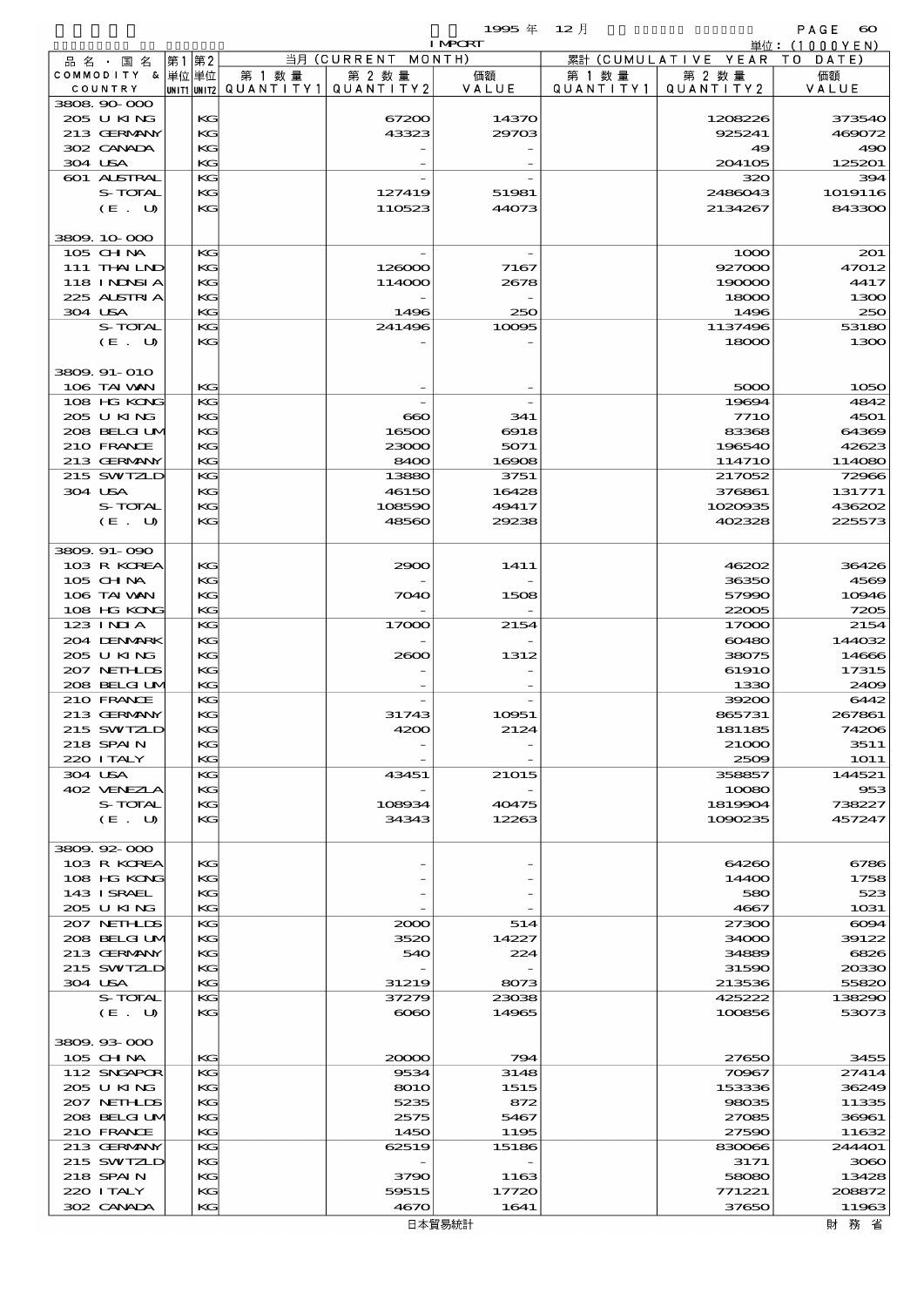|                             |          |                                      |                      | 1995 $#$       | $12$ 月               |                      | PAGE<br>$\boldsymbol{\infty}$ |
|-----------------------------|----------|--------------------------------------|----------------------|----------------|----------------------|----------------------|-------------------------------|
|                             |          |                                      |                      | <b>I MPORT</b> |                      |                      | 単位:(1000YEN)                  |
| 品名・国名                       | 第1 第2    |                                      | 当月 (CURRENT          | MONTH)         |                      | 累計 (CUMULATIVE YEAR) | DATE)<br>T O                  |
| COMMODITY & 単位単位<br>COUNTRY |          | 第 1 数 量<br> unit1 unit2  Q∪ANT   TY1 | 第 2 数量<br>QUANTITY 2 | 価額<br>VALUE    | 第 1 数 量<br>QUANTITY1 | 第 2 数量<br>QUANTITY 2 | 価額<br>VALUE                   |
| 3808 90 000                 |          |                                      |                      |                |                      |                      |                               |
| 205 U KING                  | KC       |                                      | 67200                | 14370          |                      | 1208226              | 373540                        |
| 213 GERMANY                 | KG       |                                      | 43323                | 29703          |                      | 925241               | 469072                        |
| 302 CANADA                  | KG       |                                      |                      |                |                      | 49                   | 490                           |
| 304 USA                     | KG       |                                      |                      |                |                      | 204105               | 125201                        |
| 601 ALSTRAL                 | KG       |                                      |                      |                |                      | 320                  | 394                           |
| S-TOTAL<br>(E. U)           | KC<br>KG |                                      | 127419<br>110523     | 51981<br>44073 |                      | 2486043<br>2134267   | 1019116<br>843300             |
|                             |          |                                      |                      |                |                      |                      |                               |
| 3809 10 000                 |          |                                      |                      |                |                      |                      |                               |
| 105 CH NA                   | KG       |                                      |                      |                |                      | 1000                 | 201                           |
| 111 THAILND                 | KC       |                                      | 126000               | 7167           |                      | 927000               | 47012                         |
| <b>118 INNSIA</b>           | KG       |                                      | 114000               | 2678           |                      | 190000               | 4417                          |
| 225 ALSTRIA                 | KG       |                                      |                      |                |                      | 18000                | 1300                          |
| 304 USA                     | KG       |                                      | 1496                 | 250            |                      | 1496                 | 250                           |
| S-TOTAL                     | KG       |                                      | 241496               | 10095          |                      | 1137496              | 53180                         |
| (E. U)                      | KG       |                                      |                      |                |                      | 18000                | 1300                          |
|                             |          |                                      |                      |                |                      |                      |                               |
| 3809. 91-010<br>106 TAI VAN | KG       |                                      |                      |                |                      | 5000                 | 1050                          |
| 108 HG KONG                 | KG       |                                      |                      |                |                      | 19694                | 4842                          |
| 205 U KING                  | KC       |                                      | $\bf{660}$           | 341            |                      | <b>7710</b>          | 4501                          |
| 208 BELGI UM                | KG       |                                      | 16500                | 6918           |                      | 83368                | 64369                         |
| 210 FRANCE                  | KG       |                                      | 23000                | 5071           |                      | 196540               | 42623                         |
| 213 GERMANY                 | KG       |                                      | 8400                 | 16908          |                      | 114710               | 114080                        |
| 215 SWIZLD                  | KG       |                                      | 13880                | 3751           |                      | 217052               | 72966                         |
| 304 USA                     | KG       |                                      | 46150                | 16428          |                      | 376861               | 131771                        |
| <b>S-TOTAL</b>              | KG       |                                      | 108590               | 49417          |                      | 1020935              | 436202                        |
| (E. U)                      | KG       |                                      | 48560                | 29238          |                      | 402328               | 225573                        |
|                             |          |                                      |                      |                |                      |                      |                               |
| 3809.91-090                 |          |                                      |                      |                |                      |                      |                               |
| 103 R KOREA<br>$105$ CHNA   | KG<br>KG |                                      | 2900                 | 1411           |                      | 46202<br>36350       | 36426<br>4569                 |
| 106 TAI VAN                 | KG       |                                      | 7040                 | 1508           |                      | 57990                | 10946                         |
| 108 HG KONG                 | KG       |                                      |                      |                |                      | 22005                | 7205                          |
| $123$ INIA                  | KG       |                                      | 17000                | 2154           |                      | 17000                | 2154                          |
| 204 DENMARK                 | KG       |                                      |                      |                |                      | 60480                | 144032                        |
| 205 U KING                  | KG       |                                      | 2600                 | 1312           |                      | 38075                | 14666                         |
| 207 NETHLIS                 | KC       |                                      |                      |                |                      | 61910                | 17315                         |
| 208 BELGI UM                | KG       |                                      |                      |                |                      | 1330                 | 2409                          |
| 210 FRANCE                  | KG       |                                      |                      |                |                      | 39200                | 6442                          |
| 213 GERMANY                 | KG       |                                      | 31743                | 10951          |                      | 865731               | 267861                        |
| 215 SWTZLD                  | KG       |                                      | 4200                 | 2124           |                      | 181185               | 74206                         |
| 218 SPAIN<br>220 I TALY     | KC<br>KG |                                      |                      |                |                      | 21000<br>2509        | 3511<br><b>1O11</b>           |
| 304 USA                     | KG       |                                      | 43451                | 21015          |                      | 358857               | 144521                        |
| 402 VENEZLA                 | KG       |                                      |                      |                |                      | 10080                | 953                           |
| S-TOTAL                     | KG       |                                      | 108934               | 40475          |                      | 1819904              | 738227                        |
| (E. U)                      | KG       |                                      | 34343                | 12263          |                      | 1090235              | 457247                        |
|                             |          |                                      |                      |                |                      |                      |                               |
| 3809.92-000                 |          |                                      |                      |                |                      |                      |                               |
| 103 R KOREA                 | KG       |                                      |                      |                |                      | 64260                | 6786                          |
| 108 HG KONG                 | KG       |                                      |                      |                |                      | 14400                | 1758                          |
| 143 I SRAEL                 | KG       |                                      |                      |                |                      | 580                  | 523                           |
| 205 U KING<br>207 NETHLIS   | KG<br>KC |                                      | 2000                 | 514            |                      | 4667<br>27300        | 1031<br>$\infty$ 94           |
| 208 BELGI UM                | KC       |                                      | 3520                 | 14227          |                      | 34000                | 39122                         |
| 213 GERMANY                 | KG       |                                      | 540                  | 224            |                      | 34889                | 6826                          |
| 215 SWIZLD                  | KC       |                                      |                      |                |                      | 31590                | 20330                         |
| 304 USA                     | KG       |                                      | 31219                | 8073           |                      | 213536               | 55820                         |
| S-TOTAL                     | KG       |                                      | 37279                | 23038          |                      | 425222               | 138290                        |
| (E. U)                      | KG       |                                      | $\infty$             | 14965          |                      | 100856               | 53073                         |
|                             |          |                                      |                      |                |                      |                      |                               |
| 3809.93-000                 |          |                                      |                      |                |                      |                      |                               |
| $105$ CHNA                  | KG<br>KG |                                      | 20000                | 794            |                      | 27650                | 3455                          |
| 112 SNGAPOR<br>205 U KING   | KG       |                                      | 9534<br>8010         | 3148<br>1515   |                      | 70967<br>153336      | 27414<br>36249                |
| 207 NETHLIDS                | KG       |                                      | 5235                 | 872            |                      | 98035                | 11335                         |
| 208 BELGI UM                | KC       |                                      | 2575                 | 5467           |                      | 27085                | 36961                         |
| 210 FRANCE                  | KC       |                                      | 1450                 | 1195           |                      | 27590                | 11632                         |
| 213 GERMANY                 | KG       |                                      | 62519                | 15186          |                      | 830066               | 244401                        |

215 SWIZLD  $|{\bf K}$   $|$  -  $|$  -  $|$  -  $|$  3171 3060 218 SPAIN KG 3790 1163 58080 13428  $220 \text{ ITALY}$   $\begin{vmatrix} 17720 \\ 17720 \end{vmatrix}$   $771221$   $208872$ 302 CANADA KG 4670 1641 37650 11963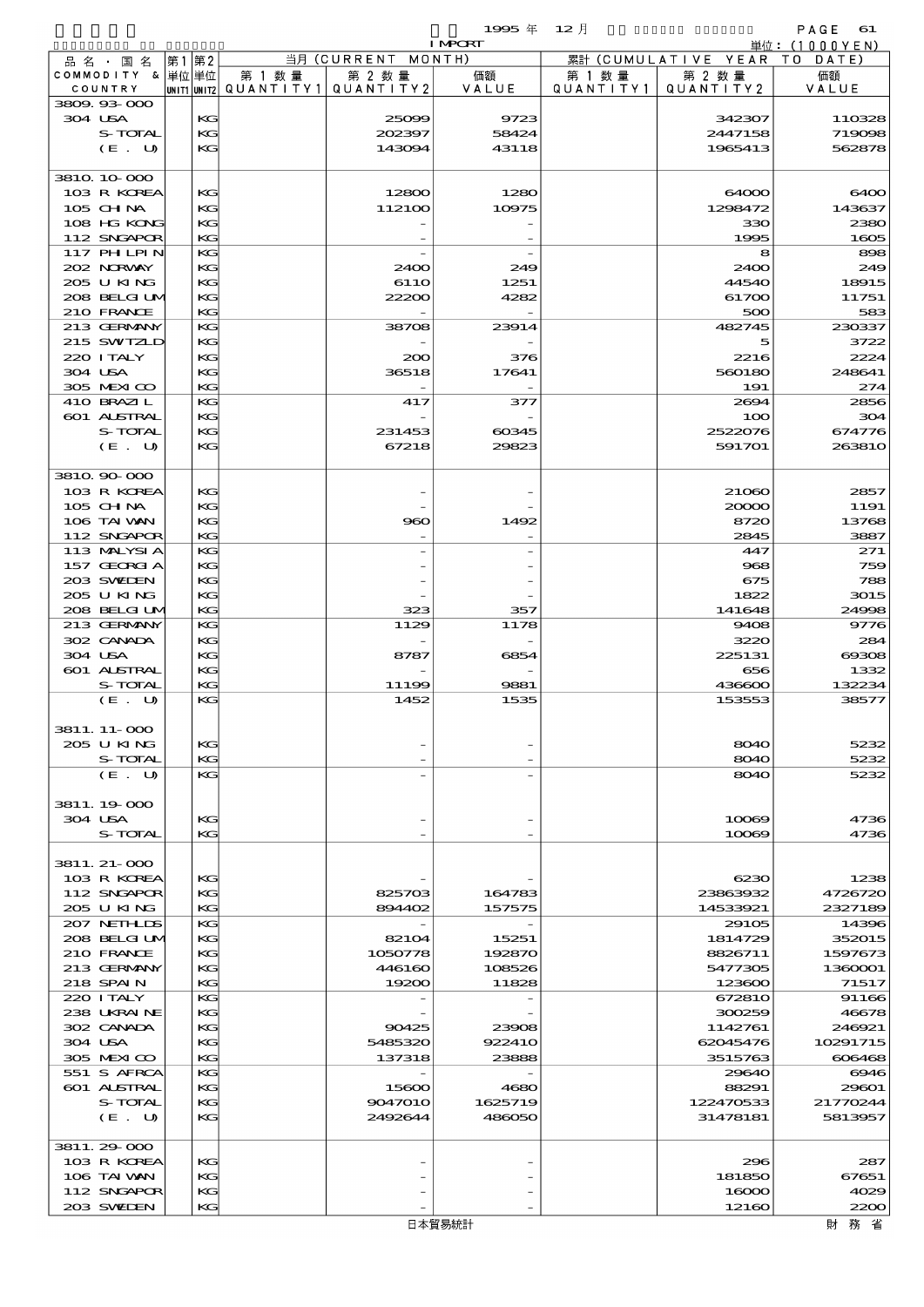|                               |       |          |                                       |                                 | 1995 $#$                         | $12$ 月    |                                        | $PAGE$ 61       |
|-------------------------------|-------|----------|---------------------------------------|---------------------------------|----------------------------------|-----------|----------------------------------------|-----------------|
|                               |       |          |                                       | 当月 (CURRENT MONTH)              | <b>I MPORT</b>                   |           |                                        | 単位: (1000YEN)   |
| 品 名 ・ 国 名<br>COMMODITY & 単位単位 | 第1 第2 |          | 第 1 数量                                | 第 2 数量                          | 価額                               | 第 1 数量    | 累計 (CUMULATIVE YEAR TO DATE)<br>第 2 数量 | 価額              |
| COUNTRY                       |       |          | unit1 unit2  QUANT   TY1  QUANT   TY2 |                                 | VALUE                            | QUANTITY1 | QUANTITY2                              | VALUE           |
| 3809.93.000                   |       |          |                                       |                                 |                                  |           |                                        |                 |
| 304 USA                       |       | KG       |                                       | 25099                           | 9723                             |           | 342307                                 | 110328          |
| S-TOTAL                       |       | KG       |                                       | 202397                          | 58424                            |           | 2447158                                | 719098          |
| (E. U)                        |       | KG       |                                       | 143094                          | 43118                            |           | 1965413                                | 562878          |
| 3810 10 000                   |       |          |                                       |                                 |                                  |           |                                        |                 |
| 103 R KOREA                   |       | KG       |                                       | 12800                           | 1280                             |           | 64000                                  | 6400            |
| 105 CHNA                      |       | KG       |                                       | 112100                          | 10975                            |           | 1298472                                | 143637          |
| 108 HG KONG                   |       | KG       |                                       |                                 |                                  |           | 330                                    | 2380            |
| 112 SNGAPOR                   |       | KG       |                                       |                                 |                                  |           | 1995                                   | 1605            |
| 117 PHLPIN                    |       | KG       |                                       |                                 |                                  |           | 8                                      | 898             |
| 202 NRWAY<br>205 U KING       |       | KG<br>KG |                                       | 2400<br>611O                    | 249<br>1251                      |           | 2400<br>44540                          | 249<br>18915    |
| 208 BELGI UM                  |       | KG       |                                       | 22200                           | 4282                             |           | 61700                                  | 11751           |
| 210 FRANCE                    |       | KG       |                                       |                                 |                                  |           | 500                                    | 583             |
| 213 GERMANY                   |       | KG       |                                       | 38708                           | 23914                            |           | 482745                                 | 230337          |
| 215 SWIZLD                    |       | KG       |                                       |                                 |                                  |           | 5                                      | 3722            |
| 220 I TALY                    |       | KG       |                                       | 200                             | 376                              |           | 2216                                   | 2224            |
| 304 USA                       |       | KG       |                                       | 36518                           | 17641                            |           | 560180                                 | 248641          |
| 305 MEXICO<br>410 BRAZIL      |       | KG<br>KG |                                       | $\overline{\phantom{a}}$<br>417 | 377                              |           | 191<br>2694                            | 274<br>2856     |
| 601 ALSTRAL                   |       | KG       |                                       |                                 |                                  |           | 100                                    | 304             |
| S-TOTAL                       |       | KG       |                                       | 231453                          | 60345                            |           | 2522076                                | 674776          |
| (E. U)                        |       | KG       |                                       | 67218                           | 29823                            |           | 591701                                 | 263810          |
|                               |       |          |                                       |                                 |                                  |           |                                        |                 |
| 3810 90 000                   |       |          |                                       |                                 |                                  |           |                                        |                 |
| 103 R KOREA                   |       | KG       |                                       |                                 |                                  |           | 21060                                  | 2857            |
| 105 CHNA                      |       | KG       |                                       |                                 |                                  |           | 20000                                  | 1191            |
| 106 TAI VAN<br>112 SNGAPOR    |       | KG<br>KG |                                       | 960                             | 1492<br>$\overline{\phantom{0}}$ |           | 8720<br>2845                           | 13768<br>3887   |
| 113 MALYSIA                   |       | KG       |                                       |                                 |                                  |           | 447                                    | 271             |
| 157 GEORGIA                   |       | KG       |                                       |                                 |                                  |           | 968                                    | 759             |
| 203 SWIEN                     |       | KG       |                                       |                                 |                                  |           | 675                                    | 788             |
| 205 U KING                    |       | KG       |                                       |                                 |                                  |           | 1822                                   | 3015            |
| 208 BELGI UM                  |       | KG       |                                       | 323                             | 357                              |           | 141648                                 | 24998           |
| 213 GERMANY                   |       | KG       |                                       | 1129                            | 1178                             |           | 9408                                   | 9776            |
| 302 CANADA                    |       | KG       |                                       |                                 |                                  |           | 3220                                   | 284             |
| 304 USA<br>601 ALSTRAL        |       | KG<br>KG |                                       | 8787                            | 6854                             |           | 225131<br>656                          | 00008<br>1332   |
| S-TOTAL                       |       | KG       |                                       | 11199                           | 9881                             |           | 436600                                 | 132234          |
| (E. U)                        |       | KG       |                                       | 1452                            | 1535                             |           | 153553                                 | 38577           |
|                               |       |          |                                       |                                 |                                  |           |                                        |                 |
| 3811. 11-000                  |       |          |                                       |                                 |                                  |           |                                        |                 |
| 205 U KING                    |       | KG       |                                       |                                 |                                  |           | 8040                                   | 5232            |
| S-TOTAL<br>(E. U)             |       | KG<br>KG |                                       |                                 |                                  |           | 8040<br>8040                           | 5232<br>5232    |
|                               |       |          |                                       |                                 |                                  |           |                                        |                 |
| 3811.19.000                   |       |          |                                       |                                 |                                  |           |                                        |                 |
| 304 USA                       |       | KG       |                                       |                                 |                                  |           | 10069                                  | 4736            |
| S-TOTAL                       |       | KG       |                                       |                                 |                                  |           | 10069                                  | 4736            |
|                               |       |          |                                       |                                 |                                  |           |                                        |                 |
| 3811. 21-000                  |       |          |                                       |                                 |                                  |           |                                        |                 |
| 103 R KOREA<br>112 SNGAPOR    |       | KG<br>KG |                                       | 825703                          | 164783                           |           | 6230<br>23863932                       | 1238<br>4726720 |
| 205 U KING                    |       | KG       |                                       | 894402                          | 157575                           |           | 14533921                               | 2327189         |
| 207 NETHLIS                   |       | KG       |                                       |                                 |                                  |           | 29105                                  | 14396           |
| 208 BELGI UM                  |       | KG       |                                       | 82104                           | 15251                            |           | 1814729                                | 352015          |
| 210 FRANCE                    |       | KG       |                                       | 1050778                         | 192870                           |           | 8826711                                | 1597673         |
| 213 GERMANY                   |       | KG       |                                       | 446160                          | 108526                           |           | 5477305                                | 1360001         |
| 218 SPAIN                     |       | KG       |                                       | 19200                           | 11828                            |           | 123600                                 | 71517           |
| 220 I TALY<br>238 UKRAINE     |       | KG<br>KG |                                       |                                 |                                  |           | 672810<br>300259                       | 91166<br>46678  |
| 302 CANADA                    |       | KG       |                                       | 90425                           | 23908                            |           | 1142761                                | 246921          |
| 304 USA                       |       | KG       |                                       | 5485320                         | 922410                           |           | 62045476                               | 10291715        |
| 305 MEXICO                    |       | KG       |                                       | 137318                          | 23888                            |           | 3515763                                | 606468          |
| 551 S AFRCA                   |       | KG       |                                       |                                 |                                  |           | 29640                                  | 6946            |
| 601 ALSTRAL                   |       | KG       |                                       | 15600                           | 4680                             |           | 88291                                  | 29601           |
| S-TOTAL                       |       | KG       |                                       | 9047010                         | 1625719                          |           | 122470533                              | 21770244        |
| (E. U)                        |       | KG       |                                       | 2492644                         | 486050                           |           | 31478181                               | 5813957         |
| 3811.29-000                   |       |          |                                       |                                 |                                  |           |                                        |                 |
| 103 R KOREA                   |       | KG       |                                       |                                 |                                  |           | 296                                    | 287             |
| 106 TAI WAN                   |       | KG       |                                       |                                 |                                  |           | 181850                                 | 67651           |
| 112 SNGAPOR                   |       | KG       |                                       |                                 |                                  |           | 16000                                  | 4029            |
| 203 SWIDEN                    |       | KG       |                                       |                                 |                                  |           | 12160                                  | 2200            |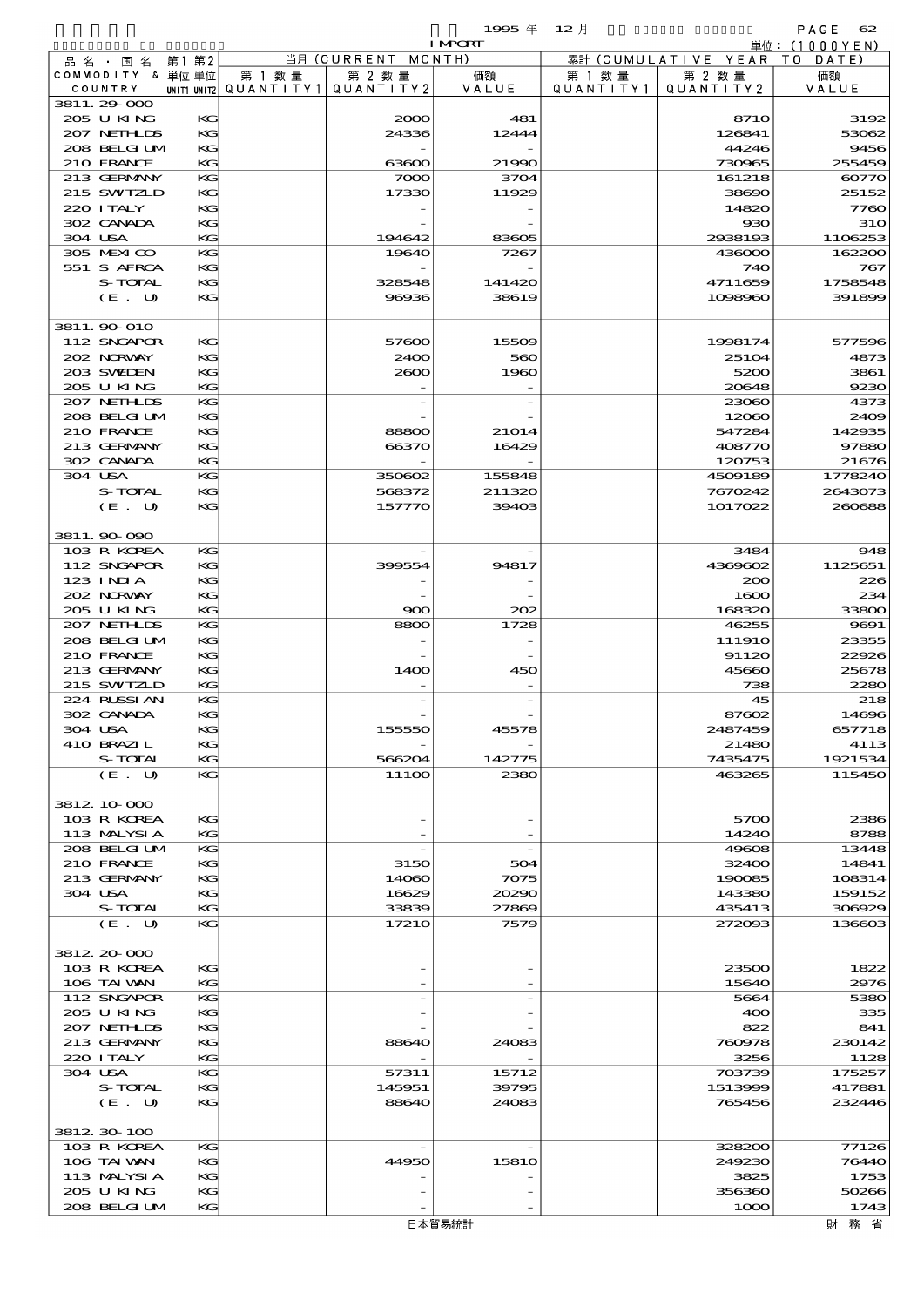$1995 \nsubseteq 12 \nexists$ 

|                            |          |        |                                          | <b>I MPCRT</b> |           |                              | 単位:(1000YEN)       |
|----------------------------|----------|--------|------------------------------------------|----------------|-----------|------------------------------|--------------------|
| 品 名 ・ 国 名                  | 第1 第2    |        | 当月 (CURRENT MONTH)                       |                |           | 累計 (CUMULATIVE YEAR TO DATE) |                    |
| COMMODITY & 単位単位           |          | 第 1 数量 | 第 2 数量                                   | 価額             | 第 1 数 量   | 第 2 数量                       | 価額                 |
| COUNTRY                    |          |        | UNIT1 UNIT2  QUANT I TY 1   QUANT I TY 2 | VALUE          | QUANTITY1 | QUANTITY 2                   | VALUE              |
| 3811.29-000                |          |        |                                          |                |           |                              |                    |
| 205 U KING                 | КG       |        | 2000                                     | 481            |           | <b>8710</b>                  | 3192               |
| 207 NETHLIS                | KG       |        | 24336                                    | 12444          |           | 126841                       | 53062              |
| 208 BELGI UM               | KG       |        |                                          |                |           | 44246                        | 9456               |
| 210 FRANCE                 | KG       |        | 63600                                    | 21990          |           | 730965                       | 255459             |
| 213 GERMANY                | KG       |        | 7000                                     | 3704           |           | 161218                       | 60770              |
| 215 SWIZLD                 | КG       |        | 17330                                    | 11929          |           | 38690                        | 25152              |
| 220 I TALY<br>302 CANADA   | KC       |        |                                          |                |           | 14820                        | 7760<br><b>310</b> |
| 304 USA                    | KG<br>KG |        | 194642                                   | 83605          |           | 930<br>2938193               | 1106253            |
| 305 MEXICO                 | KG       |        | 19640                                    | 7267           |           | 436000                       | 162200             |
| 551 S AFRCA                | KG       |        |                                          |                |           | 740                          | 767                |
| S-TOTAL                    | KC       |        | 328548                                   | 141420         |           | 4711659                      | 1758548            |
| (E. U)                     | KG       |        | 96936                                    | 38619          |           | 1098960                      | 391899             |
|                            |          |        |                                          |                |           |                              |                    |
| 3811. 90 010               |          |        |                                          |                |           |                              |                    |
| 112 SNGAPOR                | КG       |        | 57600                                    | 15509          |           | 1998174                      | 577596             |
| 202 NORWAY                 | KC       |        | 2400                                     | 560            |           | 25104                        | 4873               |
| 203 SWIEN                  | KG       |        | 2000                                     | 1960           |           | 5200                         | 3861               |
| 205 U KING                 | KG       |        |                                          |                |           | 20648                        | 9230               |
| 207 NETHLIS                | KG       |        |                                          |                |           | 23060                        | 4373               |
| 208 BELGI UM               | KG       |        |                                          |                |           | 12060                        | 2409               |
| 210 FRANCE                 | KC       |        | 88800                                    | 21014          |           | 547284                       | 142935             |
| 213 GERMANY                | KG       |        | 66370                                    | 16429          |           | 408770                       | 97880              |
| 302 CANADA                 | KG       |        |                                          |                |           | 120753                       | 21676              |
| 304 USA                    | KG       |        | 350602                                   | 155848         |           | 4509189                      | 1778240            |
| S-TOTAL                    | KG       |        | 568372                                   | 211320         |           | 7670242                      | 2643073            |
| (E. U)                     | KG       |        | 157770                                   | 39403          |           | 1017022                      | 260688             |
|                            |          |        |                                          |                |           |                              |                    |
| 3811.90 090                |          |        |                                          |                |           |                              |                    |
| 103 R KOREA                | KG       |        |                                          |                |           | 3484                         | 948                |
| 112 SNGAPOR                | KG       |        | 399554                                   | 94817          |           | 4369602                      | 1125651            |
| 123 INIA                   | KC       |        |                                          |                |           | 200                          | 226                |
| 202 NORWAY                 | KG       |        |                                          |                |           | 1600                         | 234                |
| 205 U KING                 | KG       |        | 900                                      | 202            |           | 168320                       | 33800              |
| 207 NETHLIS                | KG       |        | 8800                                     | 1728           |           | 46255                        | 9691               |
| 208 BELGI UM               | KG       |        |                                          |                |           | 11191O                       | 23355              |
| 210 FRANCE                 | KC       |        |                                          |                |           | 91120                        | 22926              |
| 213 GERMANY                | KG       |        | 1400                                     | 450            |           | 45660                        | 25678              |
| 215 SWIZLD                 | KG       |        |                                          |                |           | 738                          | 2280               |
| 224 RUSSI AN<br>302 CANADA | KG       |        |                                          |                |           | 45                           | 218                |
| 304 USA                    | KG<br>KG |        | 155550                                   |                |           | 87602<br>2487459             | 14696<br>657718    |
| 410 BRAZIL                 | KG       |        |                                          | 45578          |           | 21480                        | 4113               |
| S-TOTAL                    | KG       |        | 566204                                   | 142775         |           | 7435475                      | 1921534            |
| (E. U)                     | KG       |        | 111OO                                    | 2380           |           | 463265                       | 115450             |
|                            |          |        |                                          |                |           |                              |                    |
| 3812 10 000                |          |        |                                          |                |           |                              |                    |
| 103 R KOREA                | KG       |        |                                          |                |           | 5700                         | 2386               |
| 113 MALYSIA                | KG       |        |                                          |                |           | 14240                        | 8788               |
| 208 BELGI UM               | KG       |        |                                          |                |           | 49608                        | 13448              |
| 210 FRANCE                 | KG       |        | 3150                                     | 504            |           | 32400                        | 14841              |
| 213 GERMANY                | KC       |        | 14060                                    | 7075           |           | 190085                       | 108314             |
| 304 USA                    | KG       |        | 16629                                    | 20290          |           | 143380                       | 159152             |
| S-TOTAL                    | KG       |        | 33839                                    | 27869          |           | 435413                       | 306929             |
| (E. U)                     | KG       |        | 17210                                    | 7579           |           | 272093                       | 136603             |
|                            |          |        |                                          |                |           |                              |                    |
| 3812 20 000                |          |        |                                          |                |           |                              |                    |
| 103 R KOREA                | KG       |        |                                          |                |           | 23500                        | 1822               |
| 106 TAI VAN                | KG       |        |                                          |                |           | 15640                        | 2976               |
| 112 SNGAPOR                | KG       |        |                                          |                |           | 5664                         | 5380               |
| 205 U KING                 | KG       |        |                                          |                |           | 400                          | 335                |
| 207 NETHLIS                | KC       |        |                                          |                |           | 822                          | 841                |
| 213 GERMANY                | KG       |        | 88640                                    | 24083          |           | 760978                       | 230142             |
| 220 I TALY                 | KG       |        |                                          |                |           | 3256                         | 1128               |
| 304 USA                    | KC       |        | 57311                                    | 15712          |           | 703739                       | 175257             |
| S-TOTAL<br>(E. U)          | KG<br>KG |        | 145951                                   | 39795          |           | 1513999                      | 417881             |
|                            |          |        | 88640                                    | 24083          |           | 765456                       | 232446             |
| 3812 30 100                |          |        |                                          |                |           |                              |                    |
| 103 R KOREA                | KG       |        |                                          |                |           | 328200                       | 77126              |
| 106 TAI VAN                | KG       |        | 44950                                    | 1581O          |           | 249230                       | 76440              |
| 113 MALYSIA                | KC       |        |                                          |                |           | 3825                         | 1753               |
| 205 U KING                 | KC       |        |                                          |                |           | 356360                       | 50266              |
| 208 BELGI UM               | KC       |        |                                          |                |           | 1000                         | 1743               |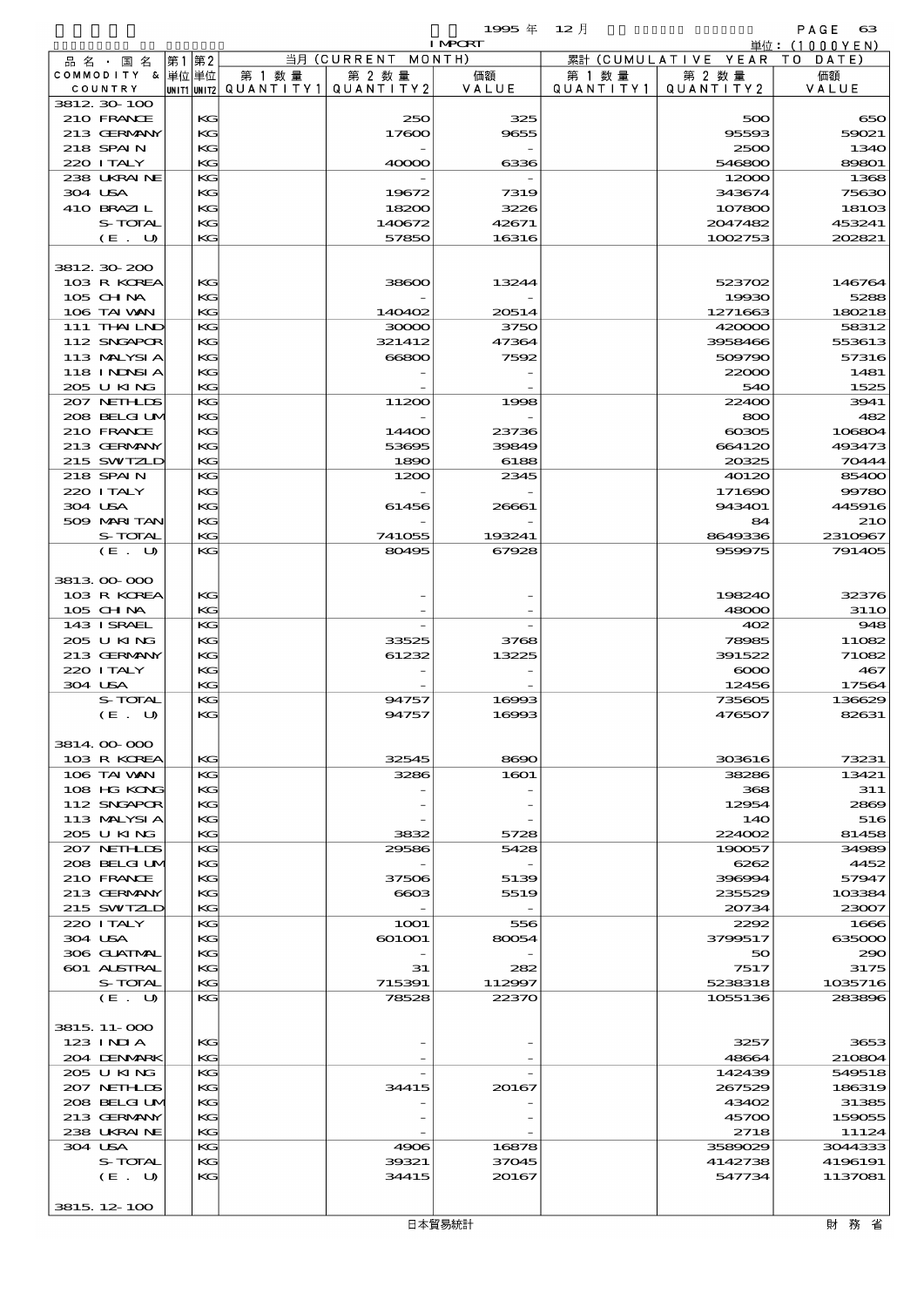|                            |                   |             |                      |                      | 1995年           | $12$ 月               |                      | PAGE<br>$_{\rm 63}$ |
|----------------------------|-------------------|-------------|----------------------|----------------------|-----------------|----------------------|----------------------|---------------------|
|                            |                   |             |                      |                      | <b>I MPORT</b>  |                      |                      | 単位:(1000YEN)        |
| 品名・国名<br>COMMODITY & 単位単位  |                   | 第2<br> 第1   |                      | 当月 (CURRENT MONTH)   |                 |                      | 累計 (CUMULATIVE YEAR) | TO DATE)<br>価額      |
| COUNTRY                    |                   | UNIT1 UNIT2 | 第 1 数 量<br>QUANTITY1 | 第 2 数量<br>QUANTITY 2 | 価額<br>VALUE     | 第 1 数 量<br>QUANTITY1 | 第 2 数量<br>QUANTITY 2 | VALUE               |
| 3812 30 100                |                   |             |                      |                      |                 |                      |                      |                     |
| 210 FRANCE                 |                   | KG          |                      | 250                  | 325             |                      | 500                  | 650                 |
| 213 GERMANY<br>218 SPAIN   |                   | KG<br>KG    |                      | 17600                | 9655            |                      | 95593<br>2500        | 59021<br>1340       |
| 220 I TALY                 |                   | KG          |                      | 40000                | 6336            |                      | 546800               | 89801               |
| 238 UKRAINE                |                   | KG          |                      |                      |                 |                      | 12000                | 1368                |
| 304 USA                    |                   | KG          |                      | 19672                | 7319            |                      | 343674               | 75630               |
| 410 BRAZIL                 |                   | KG          |                      | 18200                | 3226            |                      | 107800               | 18103               |
|                            | S-TOTAL           | KG          |                      | 140672               | 42671           |                      | 2047482              | 453241              |
|                            | (E. U)            | KG          |                      | 57850                | 16316           |                      | 1002753              | 202821              |
| 3812 30 200                |                   |             |                      |                      |                 |                      |                      |                     |
| 103 R KOREA                |                   | KG          |                      | 38600                | 13244           |                      | 523702               | 146764              |
| 105 CH NA                  |                   | KG          |                      |                      |                 |                      | 19930                | 5288                |
| 106 TAI VAN                |                   | KG          |                      | 140402               | 20514           |                      | 1271663              | 180218              |
| 111 THAILND<br>112 SNGAPOR |                   | KG<br>KG    |                      | 30000<br>321412      | 3750<br>47364   |                      | 420000<br>3958466    | 58312<br>553613     |
| 113 MALYSIA                |                   | KG          |                      | 66800                | 7592            |                      | 509790               | 57316               |
| 118 INNSI A                |                   | KG          |                      |                      |                 |                      | 22000                | 1481                |
| 205 U KING                 |                   | KG          |                      |                      |                 |                      | 540                  | 1525                |
| 207 NETHLIS                |                   | KG          |                      | 11200                | 1998            |                      | 22400                | 3941                |
| 208 BELGI UM               |                   | KG          |                      |                      |                 |                      | 800                  | 482                 |
| 210 FRANCE<br>213 GERMANY  |                   | KG<br>KG    |                      | 14400<br>53695       | 23736<br>39849  |                      | ങ്ങര<br>664120       | 106804<br>493473    |
| 215 SWIZLD                 |                   | KG          |                      | 1890                 | 6188            |                      | 20325                | 70444               |
| 218 SPAIN                  |                   | KG          |                      | 1200                 | 2345            |                      | 40120                | 85400               |
| 220 I TALY                 |                   | KG          |                      |                      |                 |                      | 171690               | 99780               |
| 304 USA                    |                   | KG          |                      | 61456                | 26661           |                      | 943401               | 445916              |
| 509 MARI TAN               |                   | KG          |                      |                      |                 |                      | 84                   | <b>210</b>          |
|                            | S-TOTAL<br>(E. U) | KG<br>KG    |                      | 741055<br>80495      | 193241<br>67928 |                      | 8649336<br>959975    | 2310967<br>791405   |
|                            |                   |             |                      |                      |                 |                      |                      |                     |
| 3813 00 000                |                   |             |                      |                      |                 |                      |                      |                     |
| 103 R KOREA                |                   | KG          |                      |                      |                 |                      | 198240               | 32376               |
| 105 CHNA                   |                   | KG          |                      |                      |                 |                      | 48000                | <b>3110</b>         |
| 143 ISRAEL<br>205 U KING   |                   | KG<br>KG    |                      | 33525                |                 |                      | 402<br>78985         | 948<br>11082        |
| 213 GERMANY                |                   | KG          |                      | 61232                | 3768<br>13225   |                      | 391522               | 71082               |
| 220 ITALY                  |                   | KG          |                      |                      |                 |                      | $\infty$             | 467                 |
| 304 USA                    |                   | KG          |                      |                      |                 |                      | 12456                | 17564               |
|                            | S-TOTAL           | KG          |                      | 94757                | 16993           |                      | 735605               | 136629              |
|                            | (E. U)            | KG          |                      | 94757                | 16993           |                      | 476507               | 82631               |
| 3814.00.000                |                   |             |                      |                      |                 |                      |                      |                     |
| 103 R KOREA                |                   | KG          |                      | 32545                | 8690            |                      | 303616               | 73231               |
| 106 TAI VAN                |                   | KG          |                      | 3286                 | 1601            |                      | 38286                | 13421               |
| 108 HG KONG                |                   | KG          |                      |                      |                 |                      | 368                  | 311                 |
| 112 SNGAPOR<br>113 MALYSIA |                   | KG<br>KG    |                      |                      |                 |                      | 12954<br>14O         | 2869<br>516         |
| 205 U KING                 |                   | KG          |                      | 3832                 | 5728            |                      | 224002               | 81458               |
| 207 NETHLIS                |                   | KG          |                      | 29586                | 5428            |                      | 190057               | 34989               |
| 208 BELGI UM               |                   | KG          |                      |                      |                 |                      | 6262                 | 4452                |
| 210 FRANCE                 |                   | KG          |                      | 37506                | 5139            |                      | 396994               | 57947               |
| 213 GERMANY                |                   | KG          |                      | 6603                 | 5519            |                      | 235529               | 103384              |
| 215 SWIZLD<br>220 I TALY   |                   | KG<br>KG    |                      | 1 <b>001</b>         | 556             |                      | 20734<br>2292        | 23007<br>1666       |
| 304 USA                    |                   | KG          |                      | 601001               | 80054           |                      | 3799517              | 635000              |
| 306 GUATNAL                |                   | KG          |                      |                      |                 |                      | 50                   | 290                 |
| 601 ALSTRAL                |                   | KG          |                      | 31                   | 282             |                      | 7517                 | 3175                |
|                            | S-TOTAL           | KG          |                      | 715391               | 112997          |                      | 5238318              | 1035716             |
|                            | (E. U)            | $K$ $G$     |                      | 78528                | 22370           |                      | 1055136              | 283896              |
| 3815, 11-000<br>$123$ INIA |                   | KG          |                      |                      |                 |                      | 3257                 | 3653                |
| 204 DENMARK                |                   | KG          |                      |                      |                 |                      | 48664                | 210804              |
| 205 U KING                 |                   | KG          |                      |                      |                 |                      | 142439               | 549518              |
| 207 NETHLIS                |                   | KG          |                      | 34415                | 20167           |                      | 267529               | 186319              |
| 208 BELGI UM               |                   | KG          |                      |                      |                 |                      | 43402                | 31385               |
| 213 GERMANY<br>238 UKRAINE |                   | KG<br>KG    |                      |                      |                 |                      | 45700<br>2718        | 159055<br>11124     |
| 304 USA                    |                   | KG          |                      | 4906                 | 16878           |                      | 3589029              | 3044333             |

3815.12-100

S-TOTAL KG 39321 37045 4142738 4196191  $(E. U)$  KG 34415 20167 547734 1137081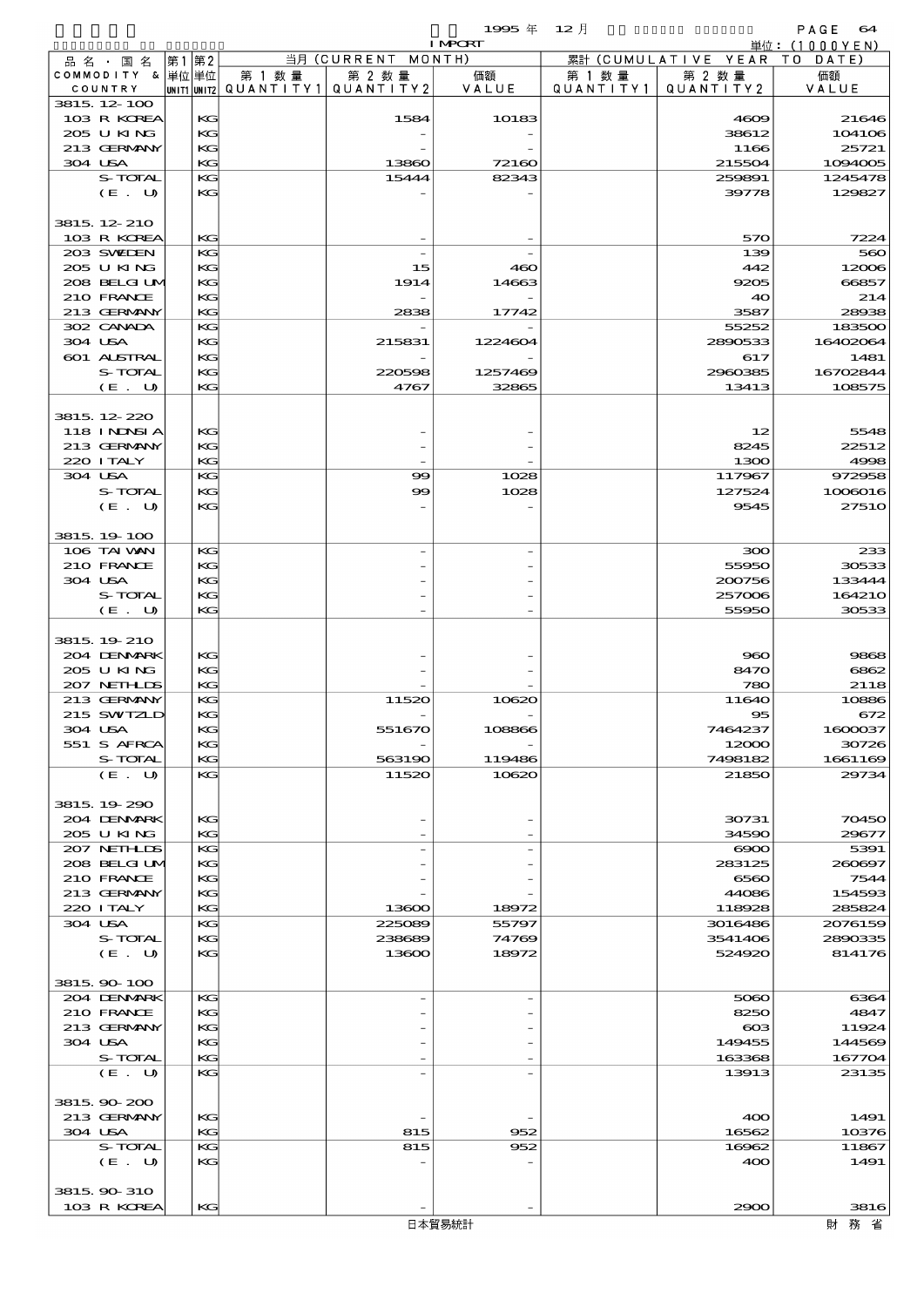|                              |          |                                  |                      | 1995 $#$       | $12$ 月               |                      | PAGE<br>64        |
|------------------------------|----------|----------------------------------|----------------------|----------------|----------------------|----------------------|-------------------|
|                              |          |                                  |                      | <b>I MPCRT</b> |                      |                      | 単位: $(1000YEN)$   |
| 品名・国名                        | 第1 第2    |                                  | 当月 (CURRENT MONTH)   |                |                      | 累計 (CUMULATIVE YEAR) | TO DATE)          |
| COMMODITY & 単位単位<br>COUNTRY  |          | 第 1 数 量<br>UNIT1 UNIT2 QUANTITY1 | 第 2 数量<br>QUANTITY 2 | 価額<br>VALUE    | 第 1 数 量<br>QUANTITY1 | 第 2 数量<br>QUANTITY2  | 価額<br>VALUE       |
| 3815 12 100                  |          |                                  |                      |                |                      |                      |                   |
| 103 R KOREA                  | KG       |                                  | 1584                 | 10183          |                      | 4609                 | 21646             |
| 205 U KING                   | KG       |                                  |                      |                |                      | 38612                | 104106            |
| 213 GERMANY                  | KG       |                                  |                      |                |                      | 1166                 | 25721             |
| 304 USA                      | KG       |                                  | 13860                | 72160          |                      | 215504               | 1094005           |
| S-TOTAL                      | KG       |                                  | 15444                | 82343          |                      | 259891               | 1245478           |
| $(E_U U)$                    | KG       |                                  |                      |                |                      | 39778                | 129827            |
|                              |          |                                  |                      |                |                      |                      |                   |
| 3815, 12, 210<br>103 R KOREA | KG       |                                  |                      |                |                      | 570                  | 7224              |
| 203 SWEDEN                   | KG       |                                  |                      |                |                      | 139                  | 560               |
| 205 U KING                   | KG       |                                  | 15                   | 460            |                      | 442                  | 12006             |
| 208 BELGI UM                 | KG       |                                  | 1914                 | 14663          |                      | 9205                 | 66857             |
| 210 FRANCE                   | KG       |                                  |                      |                |                      | 40                   | 214               |
| 213 GERMANY                  | KG       |                                  | 2838                 | 17742          |                      | 3587                 | 28938             |
| 302 CANADA                   | KG       |                                  |                      |                |                      | 55252                | 183500            |
| 304 USA                      | KG       |                                  | 215831               | 1224604        |                      | 2890533              | 16402064          |
| 601 ALSTRAL                  | KG       |                                  |                      |                |                      | 617                  | 1481              |
| S-TOTAL                      | KG       |                                  | 220598               | 1257469        |                      | 2960385              | 16702844          |
| (E. U)                       | KG       |                                  | 4767                 | 32865          |                      | 13413                | 108575            |
| 3815 12 220                  |          |                                  |                      |                |                      |                      |                   |
| <b>118 INNSIA</b>            | КG       |                                  |                      |                |                      | 12                   | 5548              |
| 213 GERMANY                  | KG       |                                  |                      |                |                      | 8245                 | 22512             |
| 220 I TALY                   | KG       |                                  |                      |                |                      | 1300                 | 4998              |
| 304 USA                      | KG       |                                  | $\infty$             | 1028           |                      | 117967               | 972958            |
| S-TOTAL                      | KG       |                                  | $\infty$             | 1028           |                      | 127524               | 1006016           |
| (E. U)                       | KG       |                                  |                      |                |                      | 9545                 | <b>27510</b>      |
|                              |          |                                  |                      |                |                      |                      |                   |
| 3815 19 100                  |          |                                  |                      |                |                      |                      |                   |
| 106 TAI WAN                  | KG       |                                  |                      |                |                      | 300                  | 233               |
| 210 FRANCE                   | KG       |                                  |                      |                |                      | 55950                | 30533             |
| 304 USA<br>S-TOTAL           | KG<br>KG |                                  |                      |                |                      | 200756<br>257006     | 133444<br>164210  |
| (E. U)                       | KG       |                                  |                      |                |                      | 55950                | 30533             |
|                              |          |                                  |                      |                |                      |                      |                   |
| 3815 19 210                  |          |                                  |                      |                |                      |                      |                   |
| 204 DENMARK                  | КG       |                                  |                      |                |                      | 960                  | 9868              |
| 205 U KING                   | KG       |                                  |                      |                |                      | 8470                 | 6862              |
| 207 NETHLIS                  | KG       |                                  |                      |                |                      | 780                  | 2118              |
| 213 GERMANY                  | KG       |                                  | 11520                | 10620          |                      | 11640                | 10886             |
| 215 SWIZL                    | KG       |                                  |                      |                |                      | 95                   | 672               |
| 304 USA                      | КG       |                                  | 551670               | 108866         |                      | 7464237              | 1600037           |
| 551 S AFRCA                  | KG       |                                  |                      | 119486         |                      | 12000                | 30726             |
| S-TOTAL<br>(E. U)            | KG<br>KG |                                  | 563190<br>11520      | 10620          |                      | 7498182<br>21850     | 1661169<br>29734  |
|                              |          |                                  |                      |                |                      |                      |                   |
| 3815, 19, 290                |          |                                  |                      |                |                      |                      |                   |
| 204 DENMARK                  | KG       |                                  |                      |                |                      | 30731                | 70450             |
| 205 U KING                   | KG       |                                  |                      |                |                      | 34590                | 29677             |
| 207 NETHLIDS                 | KG       |                                  |                      |                |                      | $\infty$             | 5391              |
| 208 BELGI UM                 | KC       |                                  |                      |                |                      | 283125               | 260697            |
| 210 FRANCE                   | KG       |                                  |                      |                |                      | 6560                 | 7544              |
| 213 GERMANY                  | KG       |                                  |                      |                |                      | 44086                | 154593            |
| 220 I TALY                   | KG       |                                  | 13600                | 18972          |                      | 118928               | 285824            |
| 304 USA                      | KG       |                                  | 225089               | 55797          |                      | 3016486              | 2076159           |
| S-TOTAL                      | KC<br>KG |                                  | 238689<br>13600      | 74769<br>18972 |                      | 3541406<br>524920    | 2890335<br>814176 |
| (E. U)                       |          |                                  |                      |                |                      |                      |                   |
| 3815, 90-100                 |          |                                  |                      |                |                      |                      |                   |
| 204 DENMARK                  | KG       |                                  |                      |                |                      | 5060                 | 6364              |
| 210 FRANCE                   | KG       |                                  |                      |                |                      | 8250                 | 4847              |
| 213 GERMANY                  | KG       |                                  |                      |                |                      | $\cos$               | 11924             |
| 304 USA                      | KG       |                                  |                      |                |                      | 149455               | 144569            |
| S-TOTAL                      | KG       |                                  |                      |                |                      | 163368               | 167704            |
| (E. U)                       | KG       |                                  |                      |                |                      | 13913                | 23135             |
|                              |          |                                  |                      |                |                      |                      |                   |
| 3815, 90-200                 |          |                                  |                      |                |                      |                      |                   |
| 213 GERMANY                  | KG       |                                  |                      |                |                      | 400                  | 1491              |
| 304 USA                      | КC<br>KG |                                  | 815<br>815           | 952            |                      | 16562                | 10376             |
| S-TOTAL<br>(E. U)            | KG       |                                  |                      | 952            |                      | 16962<br>400         | 11867<br>1491     |
|                              |          |                                  |                      |                |                      |                      |                   |
| 3815 90 310                  |          |                                  |                      |                |                      |                      |                   |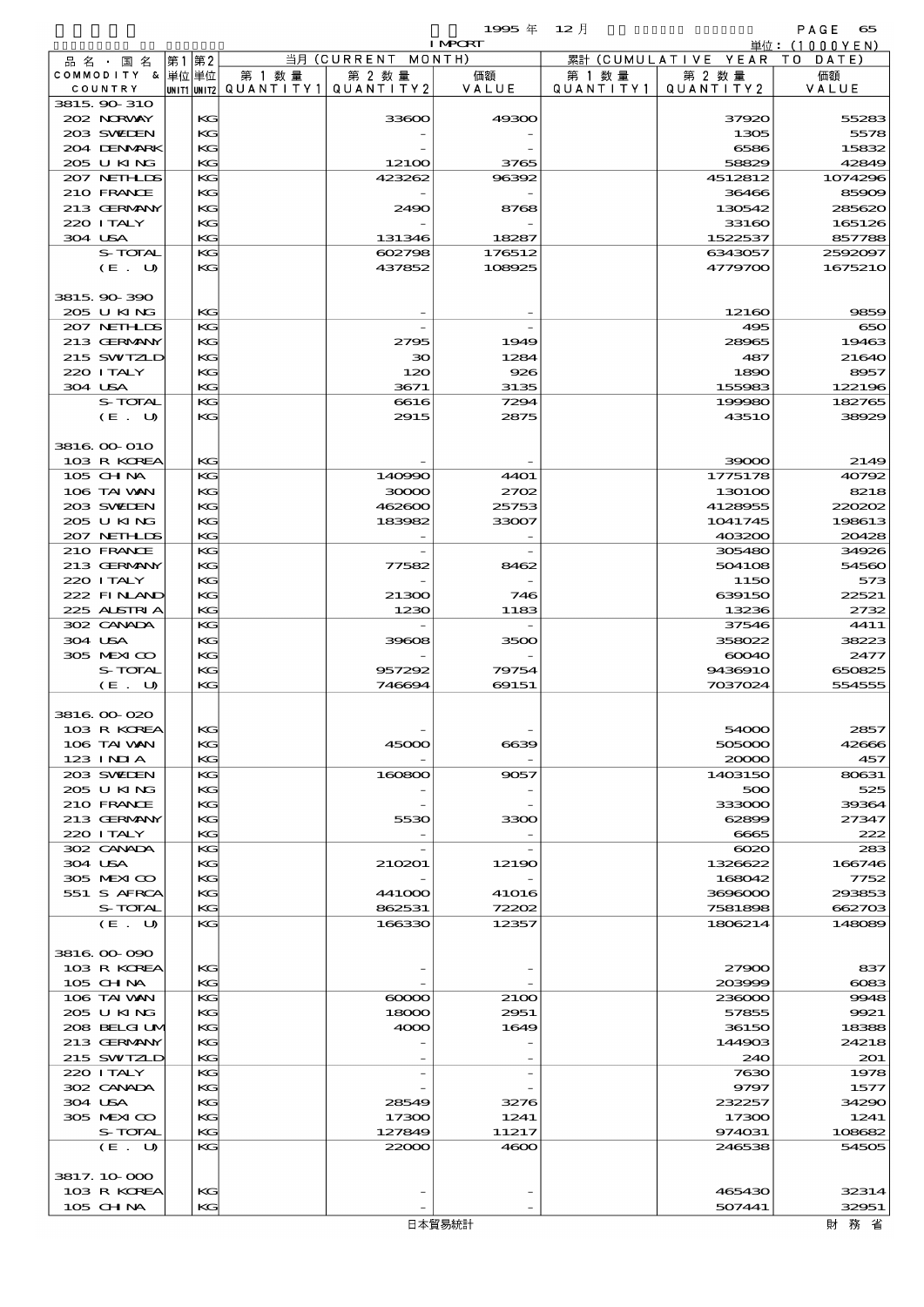$1995 \nsubseteq 12 \nexists$ 

|                             |    |          |                                                  |                    | <b>I MPORT</b>      |                      |                              | 単位:(1000YEN)     |
|-----------------------------|----|----------|--------------------------------------------------|--------------------|---------------------|----------------------|------------------------------|------------------|
| 品名・国名                       | 第1 | 第2       |                                                  | 当月 (CURRENT MONTH) |                     |                      | 累計 (CUMULATIVE YEAR TO DATE) |                  |
| COMMODITY & 単位単位<br>COUNTRY |    |          | 第 1 数量<br> UNIT1 UNIT2  QUANT I TY1  QUANT I TY2 | 第 2 数量             | 価額<br>VALUE         | 第 1 数 量<br>QUANTITY1 | 第 2 数量<br>QUANTITY 2         | 価額<br>VALUE      |
| 3815 90 310                 |    |          |                                                  |                    |                     |                      |                              |                  |
| 202 NORWAY                  |    | KG       |                                                  | 33600              | 49300               |                      | 37920                        | 55283            |
| 203 SWIEN                   |    | KG       |                                                  |                    |                     |                      | 1305                         | 5578             |
| 204 DENMARK                 |    | KG       |                                                  |                    |                     |                      | 6586                         | 15832            |
| 205 U KING<br>207 NETHLIS   |    | KG<br>KG |                                                  | 12100<br>423262    | 3765<br>96392       |                      | 58829<br>4512812             | 42849<br>1074296 |
| 210 FRANCE                  |    | KG       |                                                  |                    |                     |                      | 36466                        | 85909            |
| 213 GERMANY                 |    | KG       |                                                  | 2490               | 8768                |                      | 130542                       | 285620           |
| 220 I TALY                  |    | KG       |                                                  |                    |                     |                      | 33160                        | 165126           |
| 304 USA                     |    | KG       |                                                  | 131346             | 18287               |                      | 1522537                      | 857788           |
| S-TOTAL                     |    | KG       |                                                  | 602798             | 176512              |                      | 6343057                      | 2592097          |
| (E. U)                      |    | KG       |                                                  | 437852             | 108925              |                      | 4779700                      | 1675210          |
| 3815 90 390                 |    |          |                                                  |                    |                     |                      |                              |                  |
| 205 U KING                  |    | KG       |                                                  |                    |                     |                      | 12160                        | 9859             |
| 207 NETHLIS                 |    | KG       |                                                  |                    |                     |                      | 495                          | 650              |
| 213 GERMANY                 |    | KG       |                                                  | 2795               | 1949                |                      | 28965                        | 19463            |
| 215 SWIZLD<br>220 ITALY     |    | KG       |                                                  | 30                 | 1284                |                      | 487                          | 21640            |
| 304 USA                     |    | KG<br>KG |                                                  | 120<br>3671        | 926<br>3135         |                      | 1890<br>155983               | 8957<br>122196   |
| S-TOTAL                     |    | KG       |                                                  | 6616               | 7294                |                      | 199980                       | 182765           |
| (E. U)                      |    | KG       |                                                  | 2915               | 2875                |                      | <b>43510</b>                 | 38929            |
|                             |    |          |                                                  |                    |                     |                      |                              |                  |
| 3816 00 010                 |    |          |                                                  |                    |                     |                      |                              |                  |
| 103 R KOREA                 |    | KG       |                                                  |                    |                     |                      | 39000                        | 2149             |
| 105 CH NA<br>106 TAI VAN    |    | KG<br>KG |                                                  | 140990<br>30000    | <b>4401</b><br>2702 |                      | 1775178<br>130100            | 40792<br>8218    |
| 203 SWIEN                   |    | KG       |                                                  | 462600             | 25753               |                      | 4128955                      | 220202           |
| 205 U KING                  |    | KG       |                                                  | 183982             | 33007               |                      | 1041745                      | 198613           |
| 207 NETHLIS                 |    | KG       |                                                  |                    |                     |                      | 403200                       | 20428            |
| 210 FRANCE                  |    | KG       |                                                  |                    |                     |                      | 305480                       | 34926            |
| 213 GERMANY                 |    | KG       |                                                  | 77582              | 8462                |                      | 504108                       | 54560            |
| 220 I TALY<br>222 FINAND    |    | KG<br>KG |                                                  | 21300              | 746                 |                      | 1150<br>639150               | 573<br>22521     |
| 225 ALSTRIA                 |    | KG       |                                                  | 1230               | 1183                |                      | 13236                        | 2732             |
| 302 CANADA                  |    | KG       |                                                  |                    |                     |                      | 37546                        | 4411             |
| 304 USA                     |    | KG       |                                                  | 39608              | 3500                |                      | 358022                       | 38223            |
| 305 MEXICO                  |    | KG       |                                                  |                    |                     |                      | 60040                        | 2477             |
| S-TOTAL                     |    | KG       |                                                  | 957292             | 79754               |                      | 9436910                      | 650825           |
| (E. U)                      |    | KG       |                                                  | 746694             | 69151               |                      | 7037024                      | 554555           |
| 3816 00 020                 |    |          |                                                  |                    |                     |                      |                              |                  |
| 103 R KOREA                 |    | KG       |                                                  |                    |                     |                      | 54000                        | 2857             |
| 106 TAI WAN                 |    | KG       |                                                  | 45000              | 6639                |                      | 505000                       | 42666            |
| $123$ INIA                  |    | KG       |                                                  |                    |                     |                      | 20000                        | 457              |
| 203 SWIDEN                  |    | KG       |                                                  | 160800             | 9057                |                      | 1403150                      | 80631            |
| 205 U KING<br>210 FRANCE    |    | KG<br>KG |                                                  |                    |                     |                      | 500<br>333000                | 525<br>39364     |
| 213 GERMANY                 |    | KG       |                                                  | 5530               | 3300                |                      | 62899                        | 27347            |
| 220 I TALY                  |    | KG       |                                                  |                    |                     |                      | 6665                         | 222              |
| 302 CANADA                  |    | KG       |                                                  |                    |                     |                      | $\infty$                     | 283              |
| 304 USA                     |    | KG       |                                                  | 210201             | 12190               |                      | 1326622                      | 166746           |
| 305 MEXICO                  |    | KG       |                                                  |                    |                     |                      | 168042                       | 7752             |
| 551 S AFRCA                 |    | KG       |                                                  | 441000             | <b>41016</b>        |                      | 3696000                      | 293853           |
| S-TOTAL<br>(E. U)           |    | KG<br>KG |                                                  | 862531<br>166330   | 72202<br>12357      |                      | 7581898<br>1806214           | 662703<br>148089 |
|                             |    |          |                                                  |                    |                     |                      |                              |                  |
| 3816 00 090                 |    |          |                                                  |                    |                     |                      |                              |                  |
| 103 R KOREA                 |    | KG       |                                                  |                    |                     |                      | 27900                        | 837              |
| 105 CHNA                    |    | KG       |                                                  |                    |                     |                      | 203999                       | $\cos$           |
| 106 TAI VAN                 |    | KG       |                                                  | $\infty$           | 2100                |                      | 236000                       | 9948             |
| 205 U KING<br>208 BELGI UM  |    | KG<br>KG |                                                  | 18000<br>4000      | 2951<br>1649        |                      | 57855<br>36150               | 9921<br>18388    |
| 213 GERMANY                 |    | KG       |                                                  |                    |                     |                      | 144903                       | 24218            |
| 215 SWIZLD                  |    | KG       |                                                  |                    |                     |                      | 240                          | 201              |
| 220 I TALY                  |    | KG       |                                                  |                    |                     |                      | 7630                         | 1978             |
| 302 CANADA                  |    | KG       |                                                  |                    |                     |                      | 9797                         | 1577             |
| 304 USA                     |    | KG       |                                                  | 28549              | 3276                |                      | 232257                       | 34290            |
| 305 MEXICO                  |    | KG       |                                                  | 17300              | 1241                |                      | 17300                        | 1241             |
| S-TOTAL<br>(E. U)           |    | KG<br>KG |                                                  | 127849<br>22000    | 11217<br>4600       |                      | 974031<br>246538             | 108682<br>54505  |
|                             |    |          |                                                  |                    |                     |                      |                              |                  |
| 3817.10.000                 |    |          |                                                  |                    |                     |                      |                              |                  |
| 103 R KOREA                 |    | KG       |                                                  |                    |                     |                      | 465430                       | 32314            |
| 105 CHNA                    |    | KG       |                                                  |                    |                     |                      | 507441                       | 32951            |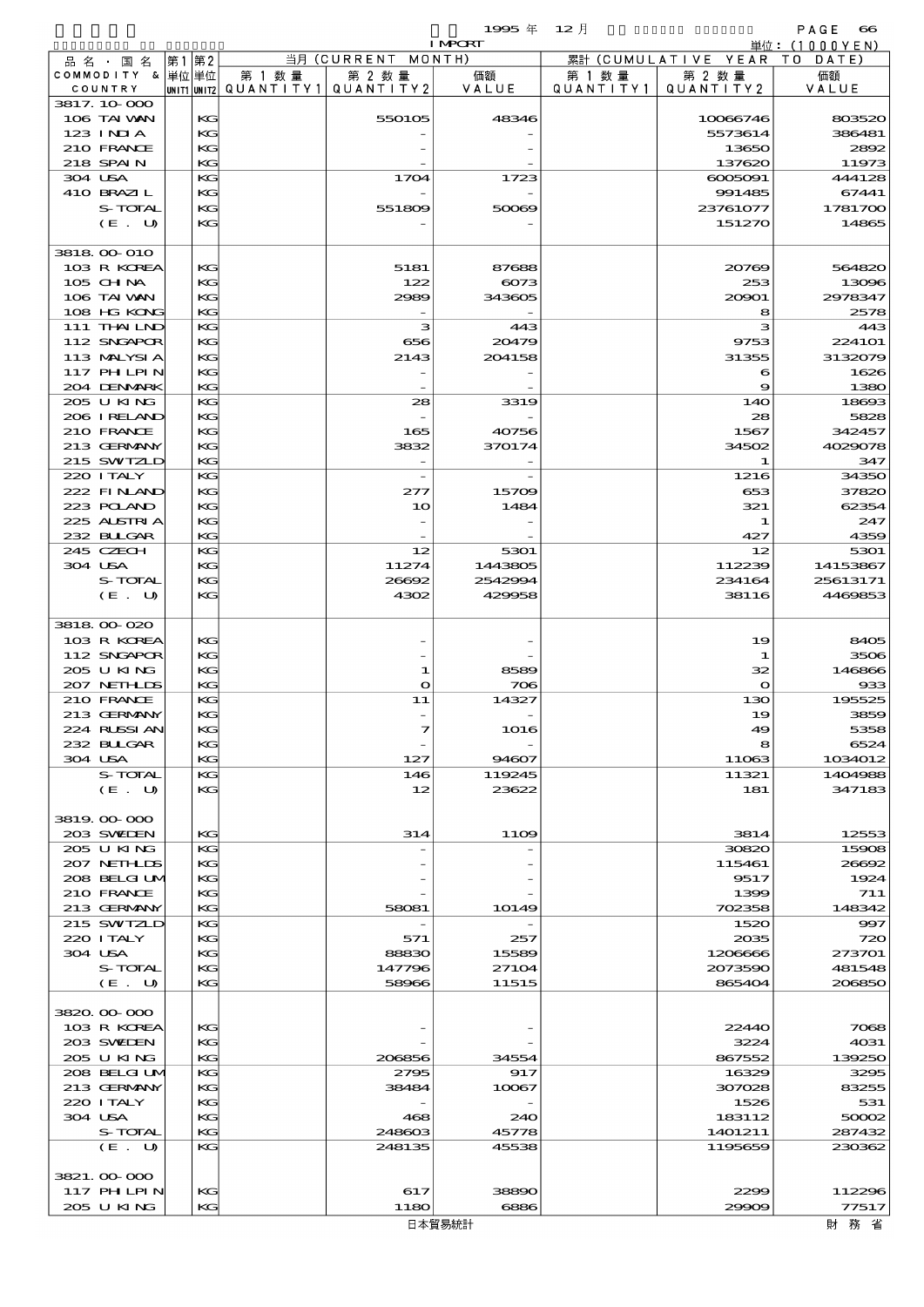品別国別表 輸 入 1995 12 確定 (Fixed Annual) 66

|         |                            |      |              |                                       |                          | <b>I MPCRT</b> |                   |                        | 単位:(1000YEN)                                         |
|---------|----------------------------|------|--------------|---------------------------------------|--------------------------|----------------|-------------------|------------------------|------------------------------------------------------|
|         | 品 名 ・ 国 名                  | 第1第2 |              |                                       | 当月 (CURRENT              | MONTH)         |                   | 累計 (CUMULATIVE YEAR TO | DATE                                                 |
|         | COMMODITY & 単位単位           |      |              | 第 1 数 量                               | 第 2 数量                   | 価額<br>VALUE    | 第 1 数 量           | 第 2 数量                 | 価額                                                   |
|         | COUNTRY<br>3817.10.000     |      |              | unit1 unit2  QUANT   TY1  QUANT   TY2 |                          |                | Q U A N T I T Y 1 | QUANTITY2              | VALUE                                                |
|         | 106 TAI VAN                |      | KG           |                                       | 550105                   | 48346          |                   | 10086746               | 803520                                               |
|         | $123$ $INIA$               |      | KG           |                                       |                          |                |                   | 5573614                | 386481                                               |
|         | 210 FRANCE                 |      | KG           |                                       |                          |                |                   | 13650                  | 2892                                                 |
|         | 218 SPAIN                  |      | KG           |                                       |                          |                |                   | 137620                 | 11973                                                |
| 304 USA |                            |      | KG           |                                       | 1704                     | 1723           |                   | 0000001                | 444128                                               |
|         | 410 BRAZIL                 |      | KG           |                                       |                          |                |                   | 991485                 | 67441                                                |
|         | S-TOTAL<br>(E. U)          |      | KG<br>KG     |                                       | 551809                   | 50069          |                   | 23761077               | 1781700                                              |
|         |                            |      |              |                                       |                          |                |                   | 151270                 | 14865                                                |
|         | 3818 00 010                |      |              |                                       |                          |                |                   |                        |                                                      |
|         | 103 R KOREA                |      | KG           |                                       | 5181                     | 87688          |                   | 20769                  | 564820                                               |
|         | 105 CH NA                  |      | KC           |                                       | 122                      | 6073           |                   | 253                    | 13096                                                |
|         | 106 TAI VAN                |      | KG           |                                       | 2989                     | 343605         |                   | 20901                  | 2978347                                              |
|         | 108 HG KONG                |      | KG           |                                       |                          |                |                   | 8                      | 2578                                                 |
|         | 111 THAILND                |      | KG           |                                       | з                        | 443            |                   | з                      | 443                                                  |
|         | 112 SNGAPOR                |      | KG           |                                       | 656                      | 20479          |                   | 9753                   | 224101                                               |
|         | 113 MALYSIA<br>117 PH LPIN |      | KC<br>KG     |                                       | 2143                     | 204158         |                   | 31355<br>6             | 3132079<br>1626                                      |
|         | 204 DENMARK                |      | KG           |                                       |                          |                |                   | 9                      | 1380                                                 |
|         | 205 U KING                 |      | KG           |                                       | 28                       | 3319           |                   | 14O                    | 18693                                                |
|         | 206 IRELAND                |      | KG           |                                       |                          |                |                   | 28                     | 5828                                                 |
|         | 210 FRANCE                 |      | KC           |                                       | 165                      | 40756          |                   | 1567                   | 342457                                               |
|         | 213 GERMANY                |      | KG           |                                       | 3832                     | 370174         |                   | 34502                  | 4029078                                              |
|         | 215 SWIZLD                 |      | KG           |                                       |                          |                |                   | 1                      | 347                                                  |
|         | 220 I TALY                 |      | KG           |                                       | $\overline{\phantom{a}}$ |                |                   | 1216                   | 34350                                                |
|         | 222 FINAND<br>223 POLAND   |      | KG<br>KC     |                                       | 277<br>10                | 15709<br>1484  |                   | 653<br>321             | 37820<br>62354                                       |
|         | 225 ALSTRIA                |      | KG           |                                       |                          |                |                   | 1                      | 247                                                  |
|         | 232 BULGAR                 |      | KG           |                                       |                          |                |                   | 427                    | 4359                                                 |
|         | 245 CZECH                  |      | KG           |                                       | 12                       | 5301           |                   | 12                     | 5301                                                 |
| 304 USA |                            |      | KG           |                                       | 11274                    | 1443805        |                   | 112239                 | 14153867                                             |
|         | S-TOTAL                    |      | KG           |                                       | 26692                    | 2542994        |                   | 234164                 | 25613171                                             |
|         | (E. U)                     |      | KG           |                                       | 4302                     | 429958         |                   | 38116                  | 4469853                                              |
|         |                            |      |              |                                       |                          |                |                   |                        |                                                      |
|         | 3818 00 020                |      |              |                                       |                          |                |                   |                        |                                                      |
|         | 103 R KOREA<br>112 SNGAPOR |      | KG<br>KG     |                                       |                          |                |                   | 19<br>1                | 8405<br>3506                                         |
|         | 205 U KING                 |      | KG           |                                       | 1                        | 8589           |                   | 32                     | 146866                                               |
|         | 207 NETHLIS                |      | KG           |                                       | $\mathbf{\Omega}$        | 706            |                   | $\mathbf{o}$           | 933                                                  |
|         | 210 FRANCE                 |      | KG           |                                       | 11                       | 14327          |                   | 130                    | 195525                                               |
|         | 213 GERMANY                |      | KG           |                                       |                          |                |                   | 19                     | 3859                                                 |
|         | 224 RISSIAN                |      | $\mathbf{K}$ |                                       | 7                        | 1016           |                   | 49                     | 5358                                                 |
|         | 232 BULGAR                 |      | KG           |                                       |                          |                |                   | 8                      | 6524                                                 |
| 304 USA |                            |      | KC           |                                       | 127                      | 94607          |                   | 11063                  | 1034012                                              |
|         | S-TOTAL                    |      | KC           |                                       | 146                      | 119245         |                   | 11321                  | 1404988                                              |
|         | (E. U)                     |      | KG           |                                       | 12                       | 23622          |                   | 181                    | 347183                                               |
|         | 3819.00-000                |      |              |                                       |                          |                |                   |                        |                                                      |
|         | 203 SWIEN                  |      | KG           |                                       | 314                      | 1109           |                   | 3814                   | 12553                                                |
|         | 205 U KING                 |      | KC           |                                       |                          |                |                   | 30820                  | 15908                                                |
|         | 207 NETHLIS                |      | KG           |                                       |                          |                |                   | 115461                 | 26692                                                |
|         | 208 BELGI UM               |      | KC           |                                       |                          |                |                   | 9517                   | 1924                                                 |
|         | 210 FRANCE                 |      | KG           |                                       |                          |                |                   | 1399                   | 711                                                  |
|         | 213 GERMANY<br>215 SWIZLD  |      | KG<br>KG     |                                       | 58081                    | 10149          |                   | 702358<br>1520         | 148342<br>997                                        |
|         | 220 I TALY                 |      | KG           |                                       | 571                      | 257            |                   | 2035                   | 720                                                  |
| 304 USA |                            |      | KC           |                                       | 88830                    | 15589          |                   | 1206666                | 273701                                               |
|         | S-TOTAL                    |      | KG           |                                       | 147796                   | 27104          |                   | 2073590                | 481548                                               |
|         | (E. U)                     |      | KG           |                                       | 58966                    | 11515          |                   | 865404                 | 206850                                               |
|         |                            |      |              |                                       |                          |                |                   |                        |                                                      |
|         | 3820.00.000                |      |              |                                       |                          |                |                   |                        |                                                      |
|         | 103 R KOREA                |      | KC           |                                       |                          |                |                   | 22440                  | 7068                                                 |
|         | 203 SWIDEN<br>205 U KING   |      | KG<br>KG     |                                       | 206856                   | 34554          |                   | 3224<br>867552         | 4031                                                 |
|         | 208 BELGI UM               |      | KG           |                                       | 2795                     | 917            |                   | 16329                  | 139250<br>3295                                       |
|         | 213 GERMANY                |      | KG           |                                       | 38484                    | 10067          |                   | 307028                 | 83255                                                |
|         | 220 I TALY                 |      | KG           |                                       |                          |                |                   | 1526                   | 531                                                  |
| 304 USA |                            |      | KG           |                                       | 468                      | 240            |                   | 183112                 | 50002                                                |
|         | S-TOTAL                    |      | KG           |                                       | 248603                   | 45778          |                   | 1401211                | 287432                                               |
|         | (E. U)                     |      | KC           |                                       | 248135                   | 45538          |                   | 1195659                | 230362                                               |
|         |                            |      |              |                                       |                          |                |                   |                        |                                                      |
|         | 3821.00-000<br>117 PHLPIN  |      | KC           |                                       | 617                      | 38890          |                   | 2299                   | 112296                                               |
|         | 205 U KING                 |      | KG           |                                       | 1180                     | 6886           |                   | 29909                  | 77517                                                |
|         |                            |      |              |                                       |                          | 日木留易統計         |                   |                        | けんちょう ひょうしゃ ひきょう ひょうしゃ みまわり みまわり みまわり みまわり みまわり はんしゃ |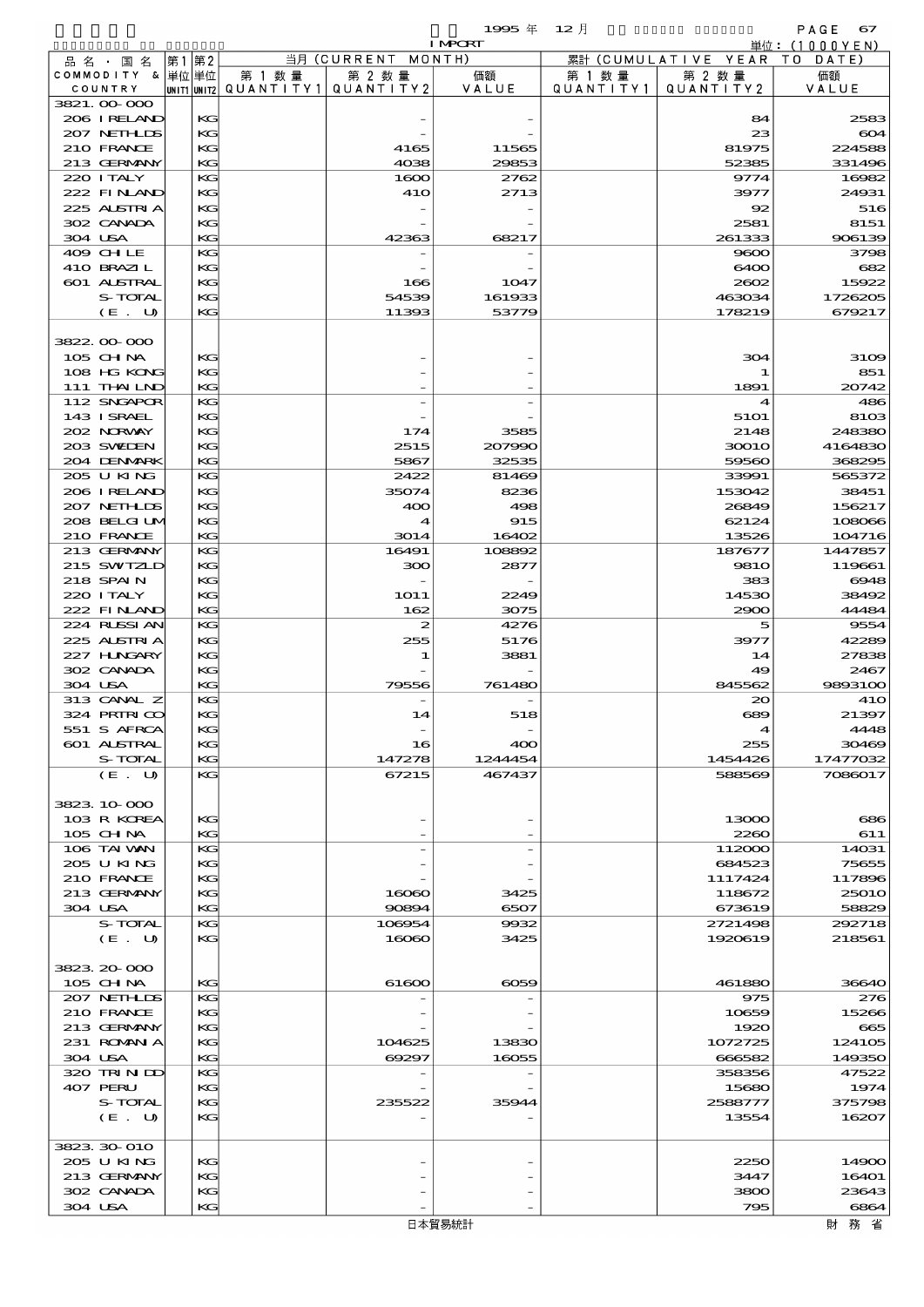$1995 \nless 12 \nless 12$ 

|                             |          |                                                     |                    | <b>I MPCRT</b> |                             |                              | 単位: (1000 Y E N ) |
|-----------------------------|----------|-----------------------------------------------------|--------------------|----------------|-----------------------------|------------------------------|-------------------|
| 品名・国名                       | 第1第2     |                                                     | 当月 (CURRENT MONTH) |                |                             | 累計 (CUMULATIVE YEAR TO DATE) |                   |
| COMMODITY & 単位単位<br>COUNTRY |          | 第 1 数量<br> UNIT1 UNIT2  QUANT I TY 1   QUANT I TY 2 | 第 2 数量             | 価額<br>VALUE    | 第 1 数量<br>Q U A N T I T Y 1 | 第 2 数量<br>QUANTITY 2         | 価額<br>VALUE       |
| 3821.00-000                 |          |                                                     |                    |                |                             |                              |                   |
| 206 I RELAND                | KС       |                                                     |                    |                |                             | 84                           | 2583              |
| 207 NETHLIS                 | KG       |                                                     |                    |                |                             | 23                           | 604               |
| 210 FRANCE                  | KG       |                                                     | 4165               | 11565          |                             | 81975                        | 224588            |
| 213 GERMANY                 | KG       |                                                     | 4038               | 29853          |                             | 52385                        | 331496            |
| 220 I TALY<br>222 FINAND    | KG<br>KG |                                                     | 1600<br>410        | 2762<br>2713   |                             | 9774<br>3977                 | 16982<br>24931    |
| 225 ALSTRIA                 | KG       |                                                     |                    |                |                             | 92                           | 516               |
| 302 CANADA                  | KG       |                                                     |                    |                |                             | 2581                         | 8151              |
| 304 USA                     | KG       |                                                     | 42363              | 68217          |                             | 261333                       | 906139            |
| 409 CHLE                    | KG       |                                                     |                    |                |                             | 9600                         | 3798              |
| 410 BRAZIL                  | KG       |                                                     |                    |                |                             | 6400                         | 682               |
| 601 ALSTRAL<br>S-TOTAL      | KG<br>KG |                                                     | 166<br>54539       | 1047<br>161933 |                             | 2602<br>463034               | 15922<br>1726205  |
| (E. U)                      | KG       |                                                     | 11393              | 53779          |                             | 178219                       | 679217            |
|                             |          |                                                     |                    |                |                             |                              |                   |
| 3822.00-000                 |          |                                                     |                    |                |                             |                              |                   |
| 105 CHNA                    | KG       |                                                     |                    |                |                             | 304                          | 3109              |
| 108 HG KONG                 | KG       |                                                     |                    |                |                             |                              | 851               |
| 111 THAILND                 | KG       |                                                     |                    |                |                             | 1891                         | 20742             |
| 112 SNGAPOR                 | KG       |                                                     |                    |                |                             | 4                            | 486               |
| 143 I SRAEL<br>202 NORWAY   | KG<br>KG |                                                     | 174                | 3585           |                             | 5101<br>2148                 | 8103<br>248380    |
| 203 SWIEN                   | KG       |                                                     | 2515               | 207990         |                             | 30010                        | 4164830           |
| 204 DENMARK                 | KG       |                                                     | 5867               | 32535          |                             | 59560                        | 368295            |
| 205 U KING                  | KG       |                                                     | 2422               | 81469          |                             | 33991                        | 565372            |
| 206 IRELAND                 | KG       |                                                     | 35074              | 8236           |                             | 153042                       | 38451             |
| 207 NETHLIS                 | KG       |                                                     | 400                | 498            |                             | 26849                        | 156217            |
| 208 BELGI UM                | KG       |                                                     | $\boldsymbol{4}$   | 915            |                             | 62124                        | 108066            |
| 210 FRANCE                  | KG       |                                                     | 3014               | 16402          |                             | 13526                        | 104716            |
| 213 GERMANY<br>215 SWIZLD   | KG<br>KG |                                                     | 16491<br>300       | 108892<br>2877 |                             | 187677<br><b>9810</b>        | 1447857<br>119661 |
| 218 SPAIN                   | KG       |                                                     |                    |                |                             | 383                          | 6948              |
| 220 I TALY                  | KG       |                                                     | 1O11               | 2249           |                             | 14530                        | 38492             |
| 222 FINLAND                 | KG       |                                                     | 162                | 3075           |                             | 2900                         | 44484             |
| 224 RUSSI AN                | KG       |                                                     | 2                  | 4276           |                             | 5                            | 9554              |
| 225 ALSTRIA                 | KG       |                                                     | 255                | 5176           |                             | 3977                         | 42289             |
| 227 H.NGARY                 | KG       |                                                     | 1                  | 3881           |                             | 14                           | 27838             |
| 302 CANADA<br>304 USA       | KG<br>KG |                                                     | 79556              | 761480         |                             | 49<br>845562                 | 2467<br>9893100   |
| 313 CANAL Z                 | KG       |                                                     |                    |                |                             | 20                           | 41O               |
| 324 PRIRICO                 | KG       |                                                     | 14                 | 518            |                             | 689                          | 21397             |
| 551 S AFRCA                 | KG       |                                                     |                    |                |                             |                              | 4448              |
| 601 ALSTRAL                 | KG       |                                                     | 16                 | 400            |                             | 255                          | 30469             |
| S-TOTAL                     | KG       |                                                     | 147278             | 1244454        |                             | 1454426                      | 17477032          |
| (E. U)                      | KG       |                                                     | 67215              | 467437         |                             | 588569                       | 7086017           |
| 3823 10 000                 |          |                                                     |                    |                |                             |                              |                   |
| 103 R KOREA                 | KG       |                                                     |                    |                |                             | 13000                        | 686               |
| 105 CH NA                   | KG       |                                                     |                    |                |                             | 2260                         | 611               |
| 106 TAI VAN                 | KG       |                                                     |                    |                |                             | 112000                       | 14031             |
| 205 U KING                  | KG       |                                                     |                    |                |                             | 684523                       | 75655             |
| 210 FRANCE                  | KG       |                                                     |                    |                |                             | 1117424                      | 117896            |
| 213 GERMANY                 | KG       |                                                     | 16060              | 3425           |                             | 118672                       | <b>25010</b>      |
| 304 USA<br>S-TOTAL          | KG<br>KG |                                                     | 90894<br>106954    | 6507<br>9932   |                             | 673619<br>2721498            | 58829<br>292718   |
| (E. U)                      | KG       |                                                     | 16060              | 3425           |                             | 1920619                      | 218561            |
|                             |          |                                                     |                    |                |                             |                              |                   |
| 3823, 20-000                |          |                                                     |                    |                |                             |                              |                   |
| 105 CHNA                    | KG       |                                                     | 61600              | 6059           |                             | 461880                       | 36640             |
| 207 NETHLIS                 | KG       |                                                     |                    |                |                             | 975                          | 276               |
| 210 FRANCE                  | KG       |                                                     |                    |                |                             | 10659                        | 15266             |
| 213 GERMANY<br>231 ROMANIA  | KG<br>KG |                                                     |                    |                |                             | 1920<br>1072725              | 665<br>124105     |
| 304 USA                     | KG       |                                                     | 104625<br>69297    | 13830<br>16055 |                             | 666582                       | 149350            |
| 320 TRINDO                  | KG       |                                                     |                    |                |                             | 358356                       | 47522             |
| 407 PERU                    | KG       |                                                     |                    |                |                             | 15680                        | 1974              |
| S-TOTAL                     | KG       |                                                     | 235522             | 35944          |                             | 2588777                      | 375798            |
| (E. U)                      | KG       |                                                     |                    |                |                             | 13554                        | 16207             |
|                             |          |                                                     |                    |                |                             |                              |                   |
| 3823 30 010                 |          |                                                     |                    |                |                             |                              |                   |
| 205 U KING<br>213 GERMANY   | KG<br>KG |                                                     |                    |                |                             | 2250<br>3447                 | 14900<br>16401    |
| 302 CANADA                  | KG       |                                                     |                    |                |                             | 3800                         | 23643             |
| 304 USA                     | KG       |                                                     |                    |                |                             | 795                          | 6864              |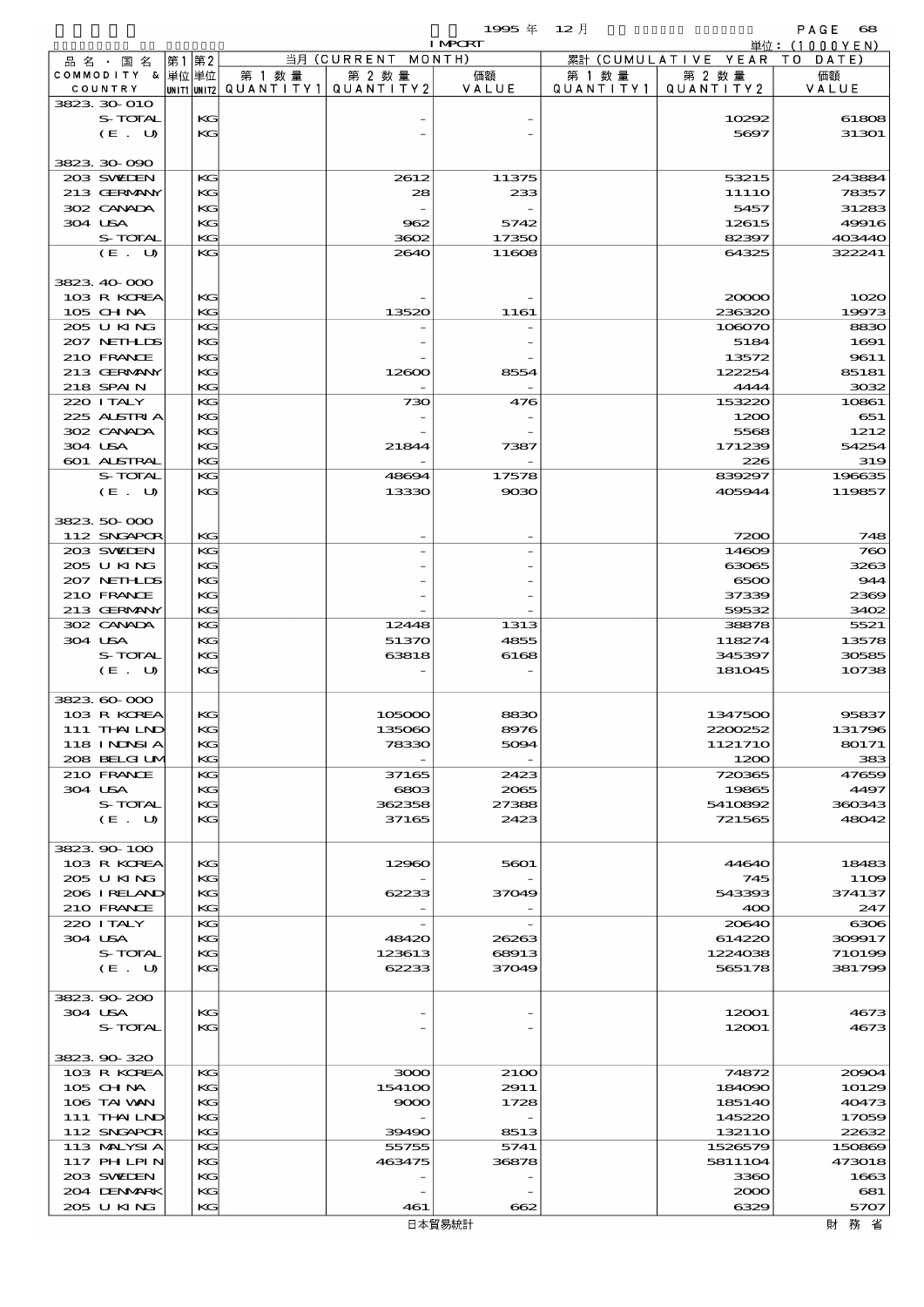$1$ 995  $\#$  12  $\bar{e}$  and  $\bar{e}$  and  $\bar{e}$  and  $\bar{e}$  and  $\bar{e}$  and  $\bar{e}$  and  $\bar{e}$  and  $\bar{e}$  and  $\bar{e}$  and  $\bar{e}$  and  $\bar{e}$  and  $\bar{e}$  and  $\bar{e}$  and  $\bar{e}$  and  $\bar{e}$  and  $\bar{e}$  and  $\bar{e}$  and  $\$ 

|         |                  |      |    |        |                                       | <b>I MPORT</b> |           |                              | 単位: (1000YEN)    |
|---------|------------------|------|----|--------|---------------------------------------|----------------|-----------|------------------------------|------------------|
|         | 品 名 ・ 国 名        | 第1第2 |    |        | 当月 (CURRENT MONTH)                    |                |           | 累計 (CUMULATIVE YEAR TO DATE) |                  |
|         | COMMODITY & 単位単位 |      |    | 第 1 数量 | 第 2 数量                                | 価額             | 第 1 数 量   | 第 2 数量                       | 価額               |
|         | COUNTRY          |      |    |        | UNIT1 UNIT2  QUANT   TY1  QUANT   TY2 | VALUE          | QUANTITY1 | QUANTITY 2                   | VALUE            |
|         | 3823 30 010      |      |    |        |                                       |                |           |                              |                  |
|         | S-TOTAL          |      | KG |        |                                       |                |           | 10292                        | 61808            |
|         | (E. U)           |      | KG |        |                                       |                |           | 5697                         | 31301            |
|         |                  |      |    |        |                                       |                |           |                              |                  |
|         | 3823 30 090      |      |    |        |                                       |                |           |                              |                  |
|         | 203 SWIEN        |      | KG |        | 2612                                  | 11375          |           | 53215                        | 243884           |
|         | 213 GERMANY      |      | KG |        | 28                                    | 233            |           | 1111O                        | 78357            |
|         | 302 CANADA       |      | KG |        |                                       |                |           | 5457                         | 31283            |
| 304 USA |                  |      | KG |        | 962                                   | 5742           |           | 12615                        | 49916            |
|         | S-TOTAL          |      | KG |        | 3602                                  | 17350          |           | 82397                        | 403440           |
|         | (E. U)           |      | KG |        | 2640                                  | 11608          |           | 64325                        | 322241           |
|         |                  |      |    |        |                                       |                |           |                              |                  |
|         | 3823 40 000      |      |    |        |                                       |                |           |                              |                  |
|         | 103 R KOREA      |      | KG |        |                                       |                |           | 20000                        | 1020             |
|         | $105$ CHNA       |      | KG |        | 13520                                 | 1161           |           | 236320                       | 19973            |
|         | 205 U KING       |      | KG |        |                                       |                |           | 108070                       | 8830             |
|         | 207 NETHLIS      |      | KG |        |                                       |                |           | 5184                         | 1691             |
|         | 210 FRANCE       |      | KG |        |                                       |                |           |                              |                  |
|         |                  |      |    |        |                                       |                |           | 13572                        | 9611             |
|         | 213 GERMANY      |      | KG |        | 12600                                 | 8554           |           | 122254                       | 85181            |
|         | 218 SPAIN        |      | KG |        |                                       |                |           | 4444                         | 3032             |
|         | 220 I TALY       |      | KG |        | 730                                   | 476            |           | 153220                       | 10861            |
|         | 225 ALSTRIA      |      | KG |        |                                       |                |           | 1200                         | 651              |
|         | 302 CANADA       |      | KG |        |                                       |                |           | 5568                         | 1212             |
| 304 USA |                  |      | KG |        | 21844                                 | 7387           |           | 171239                       | 54254            |
|         | 601 ALSTRAL      |      | KG |        |                                       |                |           | 226                          | 319              |
|         | S-TOTAL          |      | KG |        | 48694                                 | 17578          |           | 839297                       | 196635           |
|         | (E. U)           |      | KG |        | 13330                                 | 9030           |           | 405944                       | 119857           |
|         |                  |      |    |        |                                       |                |           |                              |                  |
|         | 3823 50 000      |      |    |        |                                       |                |           |                              |                  |
|         | 112 SNGAPOR      |      | KG |        |                                       |                |           | 7200                         | 748              |
|         | 203 SWIEN        |      | KG |        |                                       |                |           | 14609                        | 760              |
|         | 205 U KING       |      | KG |        |                                       |                |           | 63065                        | 3263             |
|         | 207 NETHLIS      |      | KG |        |                                       |                |           | 6500                         | 944              |
|         | 210 FRANCE       |      | KG |        |                                       |                |           | 37339                        | 2369             |
|         | 213 GERMANY      |      | KG |        |                                       |                |           | 59532                        | 3402             |
|         | 302 CANADA       |      | KG |        | 12448                                 | 1313           |           | 38878                        | 5521             |
|         |                  |      |    |        |                                       |                |           |                              |                  |
| 304 USA |                  |      | KG |        | 51370                                 | 4855           |           | 118274                       | 13578            |
|         | S-TOTAL          |      | KG |        | 63818                                 | 6168           |           | 345397                       | 30585            |
|         | (E. U)           |      | KG |        |                                       |                |           | 181045                       | 10738            |
|         |                  |      |    |        |                                       |                |           |                              |                  |
|         | 3823 60 000      |      |    |        |                                       |                |           |                              |                  |
|         | 103 R KOREA      |      | KG |        | 105000                                | 8830           |           | 1347500                      | 95837            |
|         | 111 THAIND       |      | KG |        | 135060                                | 8976           |           | 2200252                      | 131796           |
|         | 118 I NJNSI A    |      | KG |        | 78330                                 | 5094           |           | 1121710                      | 80171            |
|         | 208 BELGI UM     |      | KG |        |                                       |                |           | 1200                         | 383              |
|         | 210 FRANCE       |      | KG |        | 37165                                 | 2423           |           | 720365                       | 47659            |
| 304 USA |                  |      | KG |        | 6803                                  | 2065           |           | 19865                        | 4497             |
|         | S-TOTAL          |      | KG |        | 362358                                | 27388          |           | 5410892                      | 360343           |
|         | (E. U)           |      | KG |        | 37165                                 | 2423           |           | 721565                       | 48042            |
|         |                  |      |    |        |                                       |                |           |                              |                  |
|         | 3823 90 100      |      |    |        |                                       |                |           |                              |                  |
|         | 103 R KOREA      |      | KG |        | 12960                                 | 5601           |           | 44640                        | 18483            |
|         | 205 U KING       |      | KG |        |                                       |                |           | 745                          | 11O <sub>2</sub> |
|         | 206 IRELAND      |      | KC |        | 62233                                 | 37049          |           | 543393                       | 374137           |
|         | 210 FRANCE       |      | KG |        |                                       |                |           | 400                          | 247              |
|         | 220 I TALY       |      | KG |        |                                       |                |           | 20640                        | 6306             |
| 304 USA |                  |      | KG |        | 48420                                 | 26263          |           | 614220                       | 309917           |
|         | S-TOTAL          |      | KG |        |                                       | 68913          |           | 1224038                      |                  |
|         |                  |      |    |        | 123613<br>62233                       |                |           |                              | 710199           |
|         | (E. U)           |      | KG |        |                                       | 37049          |           | 565178                       | 381799           |
|         |                  |      |    |        |                                       |                |           |                              |                  |
|         | 3823 90 200      |      |    |        |                                       |                |           |                              |                  |
| 304 USA |                  |      | KG |        |                                       |                |           | 12001                        | 4673             |
|         | S-TOTAL          |      | KG |        |                                       |                |           | 12001                        | 4673             |
|         |                  |      |    |        |                                       |                |           |                              |                  |
|         | 3823 90 320      |      |    |        |                                       |                |           |                              |                  |
|         | 103 R KOREA      |      | KG |        | 3000                                  | 2100           |           | 74872                        | 20904            |
|         | $105$ CHNA       |      | KG |        | 154100                                | 2911           |           | 184090                       | 10129            |
|         | 106 TAI VAN      |      | KG |        | 9000                                  | 1728           |           | 185140                       | 40473            |
|         | 111 THAILND      |      | KG |        |                                       |                |           | 145220                       | 17059            |
|         | 112 SNGAPOR      |      | KG |        | 39490                                 | 8513           |           | 132110                       | 22632            |
|         | 113 MALYSIA      |      | KG |        | 55755                                 | 5741           |           | 1526579                      | 150869           |
|         | 117 PH LPIN      |      | KG |        | 463475                                | 36878          |           | 5811104                      | 473018           |
|         | 203 SWIDEN       |      | KG |        |                                       |                |           | 3360                         | 1663             |
|         | 204 DENMARK      |      | KG |        |                                       |                |           | 2000                         | 681              |
|         | 205 U KING       |      | KG |        | 461                                   | 662            |           | 6329                         | 5707             |